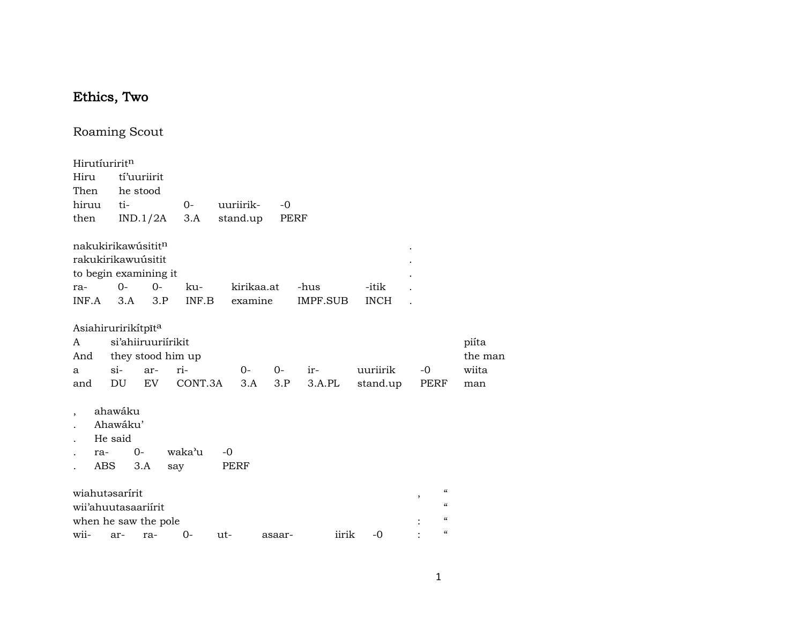## Ethics, Two

## Roaming Scout

| Hirutíuriritn                                                                     |                                                   |             |              |                       |        |                  |                      |                                               |                           |
|-----------------------------------------------------------------------------------|---------------------------------------------------|-------------|--------------|-----------------------|--------|------------------|----------------------|-----------------------------------------------|---------------------------|
| Hiru                                                                              | tí'uuriirit                                       |             |              |                       |        |                  |                      |                                               |                           |
| Then                                                                              | he stood                                          |             |              |                       |        |                  |                      |                                               |                           |
| hiruu                                                                             | ti-                                               |             | $0-$         | uuriirik-             | $-0$   |                  |                      |                                               |                           |
| then                                                                              | IND.1/2A                                          |             | 3.A          | stand.up              |        | PERF             |                      |                                               |                           |
| nakukirikawúsititn<br>rakukirikawuúsitit<br>to begin examining it<br>ra-<br>INF.A | $O -$<br>3.A                                      | $0-$<br>3.P | ku-<br>INF.B | kirikaa.at<br>examine |        | -hus<br>IMPF.SUB | -itik<br><b>INCH</b> |                                               |                           |
| Asiahiruririkítpīta<br>A<br>And<br>a                                              | si'ahiiruuriírikit<br>they stood him up<br>$\sin$ | ar-         | ri-          | 0-                    | $0-$   | ir-              | uuriirik             | $-0$                                          | piíta<br>the man<br>wiita |
| and                                                                               | DU                                                | EV          | CONT.3A      | 3.A                   | 3.P    | 3.A.PL           | stand.up             | PERF                                          | man                       |
| ra-<br><b>ABS</b>                                                                 | ahawáku<br>Ahawáku'<br>He said<br>$O -$<br>3.A    | say         | waka'u       | $-0$<br>PERF          |        |                  |                      |                                               |                           |
| wiahutəsarírit<br>wii'ahuutasaariirit                                             |                                                   |             |              |                       |        |                  |                      | $\epsilon$<br>,<br>$\boldsymbol{\mathcal{C}}$ |                           |
| when he saw the pole                                                              |                                                   |             |              |                       |        |                  |                      | $\boldsymbol{\zeta}\boldsymbol{\zeta}$        |                           |
| wii-                                                                              | ar-                                               | ra-         | 0-           | $ut -$                | asaar- | iirik            | $-0$                 | $\epsilon$                                    |                           |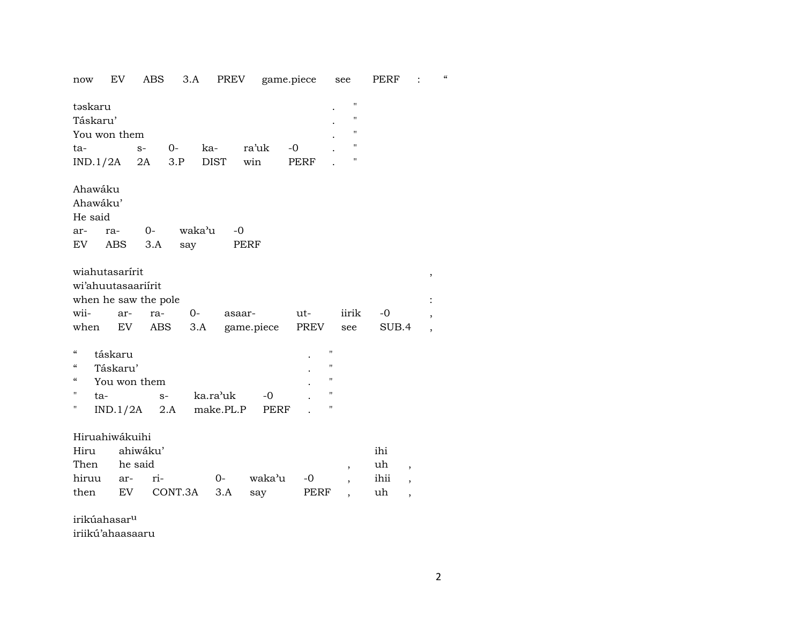now EV ABS 3.A PREV game.piece see PERF : "

| təskaru<br>Táskaru'                  |              |                          |        |             |             |      |                | $\blacksquare$<br>$\mathbf{H}$ |       |                          |   |
|--------------------------------------|--------------|--------------------------|--------|-------------|-------------|------|----------------|--------------------------------|-------|--------------------------|---|
| You won them                         |              |                          |        |             |             |      |                | $\mathbf{H}$                   |       |                          |   |
| ta-                                  | $S-$         | $0-$                     | ka-    |             | ra'uk       | $-0$ |                | $\pmb{\mathsf{H}}$             |       |                          |   |
| $IND.1/2A$ 2A                        |              | 3.P                      |        | <b>DIST</b> | win         | PERF |                | п                              |       |                          |   |
|                                      |              |                          |        |             |             |      |                |                                |       |                          |   |
| Ahawáku                              |              |                          |        |             |             |      |                |                                |       |                          |   |
| Ahawáku'                             |              |                          |        |             |             |      |                |                                |       |                          |   |
| He said                              |              |                          |        |             |             |      |                |                                |       |                          |   |
| ra-<br>ar-                           | $0-$         |                          | waka'u | $-0$        |             |      |                |                                |       |                          |   |
| EV                                   | ABS          | 3.A                      | say    |             | PERF        |      |                |                                |       |                          |   |
|                                      |              |                          |        |             |             |      |                |                                |       |                          |   |
| wiahutasarírit                       |              |                          |        |             |             |      |                |                                |       |                          | , |
| wi'ahuutasaariirit                   |              |                          |        |             |             |      |                |                                |       |                          |   |
| when he saw the pole                 |              |                          |        |             |             |      |                |                                |       |                          |   |
| wii-                                 | ar-          | ra-                      | $O-$   | asaar-      |             | ut-  |                | iirik                          | -0    |                          |   |
| when                                 | EV           | ABS                      | 3.A    |             | game.piece  | PREV |                | see                            | SUB.4 |                          |   |
| $\mathcal{C}\mathcal{C}$             |              |                          |        |             |             |      | $\blacksquare$ |                                |       |                          |   |
| táskaru                              |              |                          |        |             |             |      | п              |                                |       |                          |   |
| $\mathcal{C}\mathcal{C}$<br>Táskaru' |              |                          |        |             |             |      | $\blacksquare$ |                                |       |                          |   |
| $\mathcal{C}\mathcal{C}$             | You won them |                          |        |             |             |      | $\blacksquare$ |                                |       |                          |   |
| $\mathbf{H}$<br>ta-                  |              | $S-$                     |        | ka.ra'uk    | $-0$        |      |                |                                |       |                          |   |
| н                                    |              | $IND.1/2A$ 2.A make.PL.P |        |             | <b>PERF</b> |      | 11             |                                |       |                          |   |
| Hiruahiwákuihi                       |              |                          |        |             |             |      |                |                                |       |                          |   |
| Hiru                                 | ahiwáku'     |                          |        |             |             |      |                |                                | ihi   |                          |   |
| Then                                 | he said      |                          |        |             |             |      |                |                                | uh    |                          |   |
| hiruu                                | ar-          | ri-                      |        | $0 -$       | waka'u      | $-0$ |                | $\overline{\phantom{a}}$       | ihii  | $\overline{\phantom{a}}$ |   |
| then                                 | EV           | CONT.3A                  |        | 3.A         |             | PERF |                | ,                              | uh    | ,                        |   |
|                                      |              |                          |        |             | say         |      |                |                                |       | ,                        |   |

irikúahasarµ

iriikú'ahaasaaru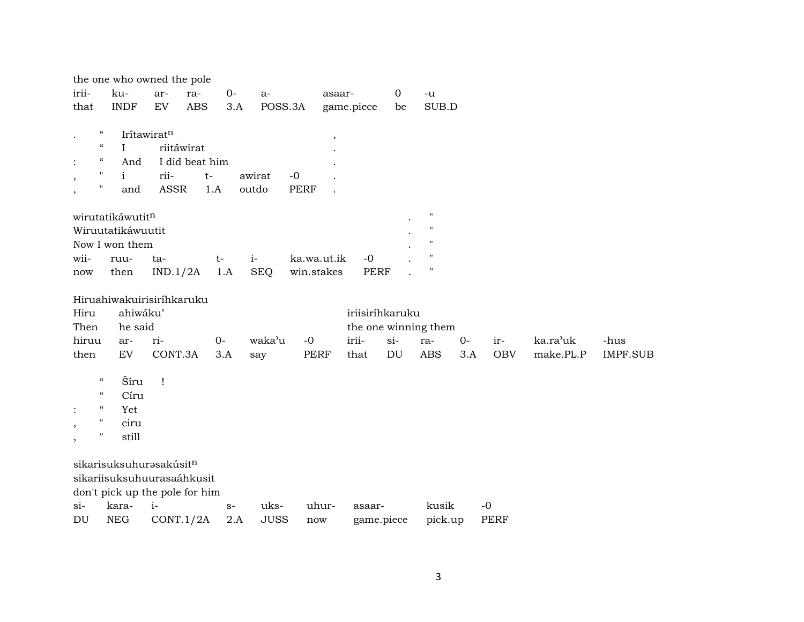|                          |                                        | the one who owned the pole     |              |                |      |             |             |                          |                 |                  |                      |       |            |           |                 |
|--------------------------|----------------------------------------|--------------------------------|--------------|----------------|------|-------------|-------------|--------------------------|-----------------|------------------|----------------------|-------|------------|-----------|-----------------|
| irii-                    |                                        | ku-                            | ar-          | ra-            | $0-$ | $a-$        |             | asaar-                   |                 | $\boldsymbol{0}$ | -u                   |       |            |           |                 |
| that                     |                                        | <b>INDF</b>                    | EV           | <b>ABS</b>     | 3.A  | POSS.3A     |             |                          | game.piece      | be               | SUB.D                |       |            |           |                 |
| $\bullet$                | $\epsilon\epsilon$                     | Irítawiratn                    |              |                |      |             |             | $\overline{\phantom{a}}$ |                 |                  |                      |       |            |           |                 |
|                          | $\boldsymbol{\mathcal{C}}$             | $\mathbf{I}$                   |              | riitáwirat     |      |             |             |                          |                 |                  |                      |       |            |           |                 |
| $\ddot{\cdot}$           | $\boldsymbol{\zeta}\boldsymbol{\zeta}$ | And                            |              | I did beat him |      |             |             |                          |                 |                  |                      |       |            |           |                 |
| $\overline{\phantom{a}}$ | $\pmb{\mathsf{H}}$                     | i.                             | rii-         | $t-$           |      | awirat      | $-0$        |                          |                 |                  |                      |       |            |           |                 |
| $^\mathrm{^\mathrm{o}}$  | $\pmb{\mathsf{H}}$                     | and                            | ASSR         | 1.A            |      | outdo       | PERF        |                          |                 |                  |                      |       |            |           |                 |
|                          |                                        | wirutatikáwutitn               |              |                |      |             |             |                          |                 |                  | $\pmb{\mathsf{H}}$   |       |            |           |                 |
|                          |                                        | Wiruutatikáwuutit              |              |                |      |             |             |                          |                 |                  | $\mathbf{H}$         |       |            |           |                 |
|                          |                                        | Now I won them                 |              |                |      |             |             |                          |                 |                  | $\pmb{\mathsf{H}}$   |       |            |           |                 |
| wii-                     |                                        | ruu-                           | ta-          |                | $t-$ | $i-$        | ka.wa.ut.ik |                          | $-0$            |                  | $\blacksquare$       |       |            |           |                 |
| now                      |                                        | then                           | IND.1/2A     |                | 1.A  | <b>SEQ</b>  | win.stakes  |                          | <b>PERF</b>     |                  | $\pmb{\mathsf{H}}$   |       |            |           |                 |
|                          |                                        | Hiruahiwakuirisiríhkaruku      |              |                |      |             |             |                          |                 |                  |                      |       |            |           |                 |
| Hiru                     |                                        | ahiwáku'                       |              |                |      |             |             |                          | iriisiríhkaruku |                  |                      |       |            |           |                 |
| Then                     |                                        | he said                        |              |                |      |             |             |                          |                 |                  | the one winning them |       |            |           |                 |
| hiruu                    |                                        | ar-                            | ri-          |                | $0-$ | waka'u      | $-0$        |                          | irii-           | $si-$            | ra-                  | $O -$ | ir-        | ka.ra'uk  | -hus            |
| then                     |                                        | ${\rm EV}$                     | CONT.3A      |                | 3.A  | say         | PERF        |                          | that            | DU               | <b>ABS</b>           | 3.A   | <b>OBV</b> | make.PL.P | <b>IMPF.SUB</b> |
|                          | $\boldsymbol{\mathcal{C}}$             | Šíru                           | $\mathbf{I}$ |                |      |             |             |                          |                 |                  |                      |       |            |           |                 |
|                          | $\pmb{\zeta}\pmb{\zeta}$               | Círu                           |              |                |      |             |             |                          |                 |                  |                      |       |            |           |                 |
| $\ddot{\cdot}$           | $\pmb{\zeta}\pmb{\zeta}$               | Yet                            |              |                |      |             |             |                          |                 |                  |                      |       |            |           |                 |
| ,                        | $\pmb{\mathsf{H}}$                     | ciru                           |              |                |      |             |             |                          |                 |                  |                      |       |            |           |                 |
| $\, ,$                   | 11                                     | still                          |              |                |      |             |             |                          |                 |                  |                      |       |            |           |                 |
|                          |                                        | sikarisuksuhurasakúsitn        |              |                |      |             |             |                          |                 |                  |                      |       |            |           |                 |
|                          |                                        | sikariisuksuhuurasaáhkusit     |              |                |      |             |             |                          |                 |                  |                      |       |            |           |                 |
|                          |                                        | don't pick up the pole for him |              |                |      |             |             |                          |                 |                  |                      |       |            |           |                 |
| $\sin$                   |                                        | kara-                          | $i-$         |                | $S-$ | uks-        | uhur-       |                          | asaar-          |                  | kusik                |       | $-0$       |           |                 |
| DU                       |                                        | ${\rm NEG}$                    |              | CONT.1/2A      | 2.A  | <b>JUSS</b> | now         |                          | game.piece      |                  | pick.up              |       | PERF       |           |                 |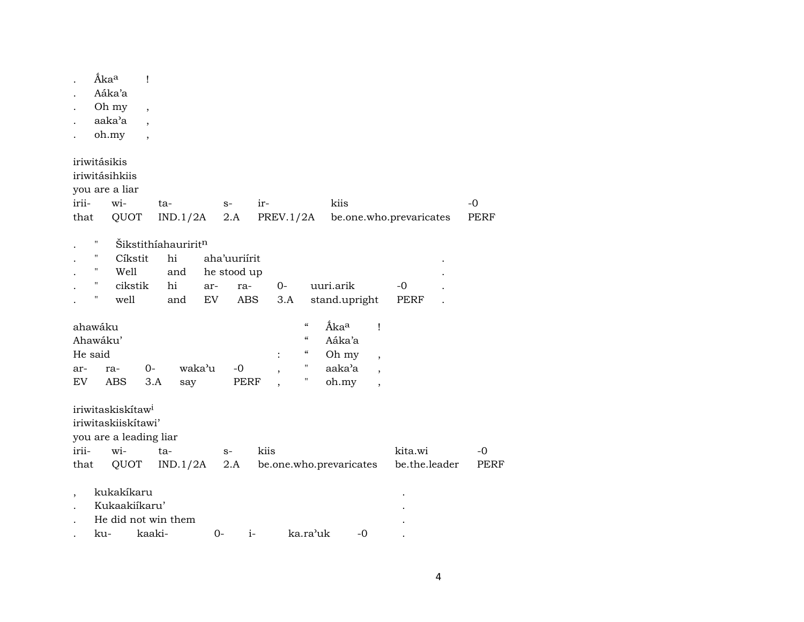|                  | Åka <sup>a</sup><br>Aáka'a<br>Oh my<br>aaka'a                              |                                                                                               | Ţ<br>$\overline{\phantom{a}}$                        |                                               |           |                                           |      |             |                                                                                        |                                                        |                                                                                                  |                          |              |
|------------------|----------------------------------------------------------------------------|-----------------------------------------------------------------------------------------------|------------------------------------------------------|-----------------------------------------------|-----------|-------------------------------------------|------|-------------|----------------------------------------------------------------------------------------|--------------------------------------------------------|--------------------------------------------------------------------------------------------------|--------------------------|--------------|
|                  | oh.my                                                                      |                                                                                               | $\overline{\phantom{a}}$<br>$\overline{\phantom{a}}$ |                                               |           |                                           |      |             |                                                                                        |                                                        |                                                                                                  |                          |              |
| irii-<br>that    | iriwitásikis                                                               | iriwitásihkiis<br>you are a liar<br>wi-<br>QUOT                                               |                                                      | ta-<br>IND.1/2A                               |           | $S-$<br>2.A                               | ir-  | PREV.1/2A   |                                                                                        | kiis                                                   |                                                                                                  | be.one.who.prevaricates  | -0<br>PERF   |
|                  | $\pmb{\mathsf{H}}$<br>$\pmb{\mathsf{H}}$<br>11<br>$\pmb{\mathsf{H}}$<br>11 | Cíkstit<br>Well<br>cikstik<br>well                                                            |                                                      | Šikstithíahauriritn<br>hi<br>and<br>hi<br>and | ar-<br>EV | aha'uuriirit<br>he stood up<br>ra-<br>ABS |      | $0-$<br>3.A |                                                                                        | uuri.arik<br>stand.upright                             |                                                                                                  | -0<br><b>PERF</b>        |              |
| ar-<br><b>EV</b> | ahawáku<br>Ahawáku'<br>He said                                             | ra-<br><b>ABS</b>                                                                             | $0-$<br>3.A                                          | say                                           | waka'u    | $-0$<br>PERF                              |      | :           | $\mathcal{C}\mathcal{C}$<br>$\boldsymbol{\mathcal{C}}$<br>$\epsilon\epsilon$<br>Н<br>Н | Áka <sup>a</sup><br>Aáka'a<br>Oh my<br>aaka'a<br>oh.my | $\mathbf{I}$<br>$\overline{\phantom{a}}$<br>$\overline{\phantom{a}}$<br>$\overline{\phantom{a}}$ |                          |              |
| irii-<br>that    |                                                                            | iriwitaskiskítaw <sup>i</sup><br>iriwitaskiiskítawi'<br>you are a leading liar<br>wi-<br>QUOT |                                                      | ta-<br>IND.1/2A                               |           | $S-$<br>2.A                               | kiis |             |                                                                                        | be.one.who.prevaricates                                |                                                                                                  | kita.wi<br>be.the.leader | $-0$<br>PERF |
| $\cdot$          | ku-                                                                        | kukakíkaru<br>Kukaakiikaru'                                                                   | kaaki-                                               | He did not win them                           | $0-$      | $i-$                                      |      |             | ka.ra'uk                                                                               | $-0$                                                   |                                                                                                  |                          |              |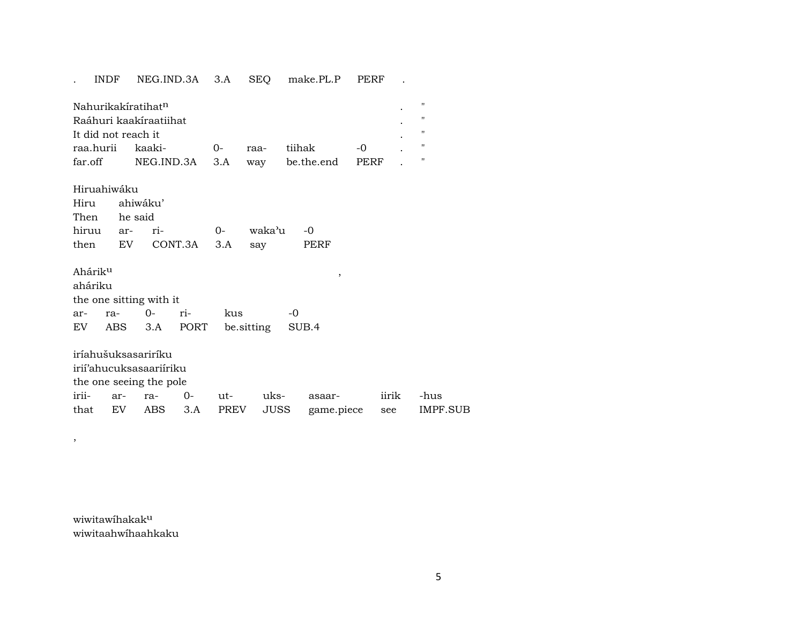## . INDF NEG.IND.3A 3.A SEQ make.PL.P PERF .

| Nahurikakíratihat <sup>n</sup> |                                              |          |  |             |      |  |  |  |  |  |
|--------------------------------|----------------------------------------------|----------|--|-------------|------|--|--|--|--|--|
| Raáhuri kaakíraatiihat         |                                              |          |  |             |      |  |  |  |  |  |
| It did not reach it            |                                              |          |  |             |      |  |  |  |  |  |
| raa.hurii kaaki-               |                                              | $\Omega$ |  | raa- tiihak | $-0$ |  |  |  |  |  |
|                                | far.off NEG.IND.3A 3.A way be.the.end PERF . |          |  |             |      |  |  |  |  |  |

Hiruahiwáku Hiru ahiwáku' he said hiruu ar- ri- 0- waka'u -0 then EV CONT.3A 3.A say PERF

| Ahárik <sup>u</sup> |                         |     |                               |           |  |
|---------------------|-------------------------|-----|-------------------------------|-----------|--|
| aháriku             |                         |     |                               |           |  |
|                     | the one sitting with it |     |                               |           |  |
|                     | ar- ra- 0-              | ri- | kus                           | $-\Omega$ |  |
| EV                  |                         |     | ABS 3.A PORT be sitting SUB.4 |           |  |
|                     |                         |     |                               |           |  |

iríahušuksasariríku irií'ahucuksasaariíriku the one seeing the pole irii- ar- ra- 0- ut- uks- asaar- iirik -hus that EV ABS 3.A PREV JUSS game.piece see IMPF.SUB

wiwitawíhakakµ wiwitaahwíhaahkaku

,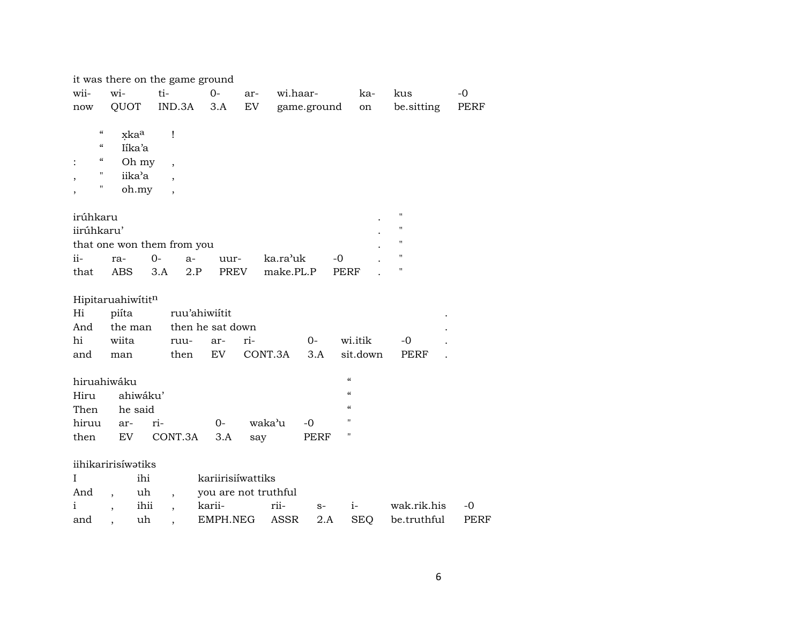|                                        | it was there on the game ground |                          |                      |     |           |             |                                        |                    |             |
|----------------------------------------|---------------------------------|--------------------------|----------------------|-----|-----------|-------------|----------------------------------------|--------------------|-------------|
| wii-                                   | wi-                             | ti-                      | $0-$                 | ar- | wi.haar-  |             | ka-                                    | kus                | $-0$        |
| now                                    | QUOT                            | IND.3A                   | 3.A                  | EV  |           | game.ground | on                                     | be.sitting         | PERF        |
|                                        |                                 |                          |                      |     |           |             |                                        |                    |             |
| $\pmb{\zeta}\pmb{\zeta}$               | xkaa                            | Ţ                        |                      |     |           |             |                                        |                    |             |
| $\zeta\zeta$                           | Iíka'a                          |                          |                      |     |           |             |                                        |                    |             |
| $\boldsymbol{\zeta}\boldsymbol{\zeta}$ | Oh my                           | $\overline{\phantom{a}}$ |                      |     |           |             |                                        |                    |             |
| $\pmb{\mathsf{H}}$                     | iika'a                          |                          |                      |     |           |             |                                        |                    |             |
| Π                                      | oh.my                           | $\overline{\phantom{a}}$ |                      |     |           |             |                                        |                    |             |
|                                        |                                 |                          |                      |     |           |             |                                        |                    |             |
| irúhkaru                               |                                 |                          |                      |     |           |             |                                        | $\mathbf{H}$       |             |
| iirúhkaru'                             |                                 |                          |                      |     |           |             |                                        | $\pmb{\mathsf{H}}$ |             |
|                                        | that one won them from you      |                          |                      |     |           |             |                                        | $\pmb{\mathsf{H}}$ |             |
| ii-                                    | ra-                             | $0-$<br>$a-$             | uur-                 |     | ka.ra'uk  |             | $-0$                                   | $\bar{\mathbf{H}}$ |             |
| that                                   | <b>ABS</b>                      | 3.A                      | 2.P<br>PREV          |     | make.PL.P |             | <b>PERF</b>                            | П                  |             |
|                                        |                                 |                          |                      |     |           |             |                                        |                    |             |
|                                        | Hipitaruahiwititn               |                          |                      |     |           |             |                                        |                    |             |
| Hi                                     | piíta                           |                          | ruu'ahiwiítit        |     |           |             |                                        |                    |             |
| And                                    | the man                         |                          | then he sat down     |     |           |             |                                        |                    |             |
| hi                                     | wiita                           | ruu-                     | ar-                  | ri- |           | $0-$        | wi.itik                                | -0                 |             |
| and                                    | man                             | then                     | EV                   |     | CONT.3A   | 3.A         | sit.down                               | PERF               |             |
|                                        |                                 |                          |                      |     |           |             |                                        |                    |             |
| hiruahiwáku                            |                                 |                          |                      |     |           |             | $\boldsymbol{\zeta}\boldsymbol{\zeta}$ |                    |             |
| Hiru                                   | ahiwáku'                        |                          |                      |     |           |             | $\epsilon$                             |                    |             |
| Then                                   | he said                         |                          |                      |     |           |             | $\boldsymbol{\zeta}\boldsymbol{\zeta}$ |                    |             |
| hiruu                                  | ar-                             | ri-                      | $O -$                |     | waka'u    | $-0$        | $\mathbf{H}$                           |                    |             |
| then                                   | EV                              | CONT.3A                  | 3.A                  | say |           | PERF        | $\blacksquare$                         |                    |             |
|                                        |                                 |                          |                      |     |           |             |                                        |                    |             |
|                                        | iihikaririsíwatiks              |                          |                      |     |           |             |                                        |                    |             |
| Ι                                      | ihi                             |                          | kariirisiíwattiks    |     |           |             |                                        |                    |             |
| And                                    | uh<br>$\overline{\phantom{a}}$  | $\overline{\phantom{a}}$ | you are not truthful |     |           |             |                                        |                    |             |
| i                                      | ihii                            |                          | karii-               |     | rii-      | $S-$        | $i-$                                   | wak.rik.his        | $-0$        |
| and                                    | uh                              |                          | EMPH.NEG             |     | ASSR      | 2.A         | <b>SEQ</b>                             | be.truthful        | <b>PERF</b> |
|                                        |                                 |                          |                      |     |           |             |                                        |                    |             |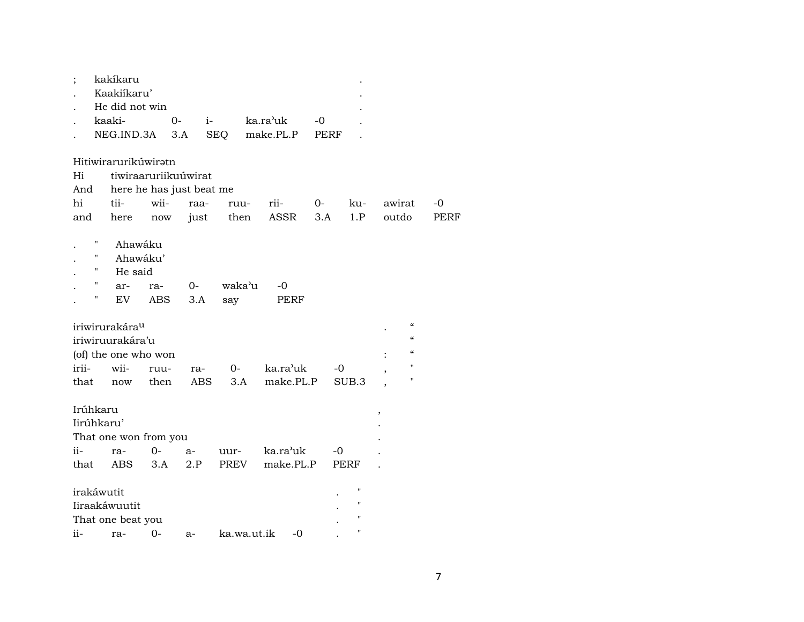| ;          |                    | kakíkaru                   |      |       |            |             |           |      |      |                   |       |                            |      |
|------------|--------------------|----------------------------|------|-------|------------|-------------|-----------|------|------|-------------------|-------|----------------------------|------|
|            |                    | Kaakiíkaru'                |      |       |            |             |           |      |      |                   |       |                            |      |
|            |                    | He did not win             |      |       |            |             |           |      |      |                   |       |                            |      |
|            |                    | kaaki-                     |      | $0 -$ | $i-$       |             | ka.ra'uk  | -0   |      |                   |       |                            |      |
|            |                    | NEG.IND.3A                 |      | 3.A   | <b>SEQ</b> |             | make.PL.P | PERF |      |                   |       |                            |      |
|            |                    | Hitiwirarurikúwiratn       |      |       |            |             |           |      |      |                   |       |                            |      |
| Hi         |                    | tiwiraaruriikuúwirat       |      |       |            |             |           |      |      |                   |       |                            |      |
| And        |                    | here he has just beat me   |      |       |            |             |           |      |      |                   |       |                            |      |
| hi         |                    | tii-                       | wii- | raa-  |            | ruu-        | rii-      | $0-$ |      | ku-               |       | awirat                     | $-0$ |
|            |                    |                            |      |       |            |             |           |      |      | 1.P               | outdo |                            | PERF |
| and        |                    | here                       | now  | just  |            | then        | ASSR      | 3.A  |      |                   |       |                            |      |
|            | $\pmb{\mathsf{H}}$ | Ahawáku                    |      |       |            |             |           |      |      |                   |       |                            |      |
|            | 11                 | Ahawáku'                   |      |       |            |             |           |      |      |                   |       |                            |      |
|            | "                  | He said                    |      |       |            |             |           |      |      |                   |       |                            |      |
|            | 11                 | ar-                        | ra-  | $0-$  |            | waka'u      | -0        |      |      |                   |       |                            |      |
|            | 11                 | EV                         | ABS  | 3.A   |            |             | PERF      |      |      |                   |       |                            |      |
|            |                    |                            |      |       |            | say         |           |      |      |                   |       |                            |      |
|            |                    | iriwirurakára <sup>u</sup> |      |       |            |             |           |      |      |                   |       | $\boldsymbol{\mathcal{C}}$ |      |
|            |                    | iriwiruurakára'u           |      |       |            |             |           |      |      |                   |       | $\epsilon$                 |      |
|            |                    |                            |      |       |            |             |           |      |      |                   |       | $\epsilon$                 |      |
|            |                    | (of) the one who won       |      |       |            |             |           |      |      |                   |       | 11                         |      |
| irii-      |                    | wii-                       | ruu- | ra-   |            | $0-$        | ka.ra'uk  |      | $-0$ |                   |       | 11                         |      |
| that       |                    | now                        | then | ABS   |            | 3.A         | make.PL.P |      |      | SUB <sub>.3</sub> |       |                            |      |
|            |                    |                            |      |       |            |             |           |      |      |                   |       |                            |      |
| Irúhkaru   |                    |                            |      |       |            |             |           |      |      |                   | ,     |                            |      |
| Iirúhkaru' |                    |                            |      |       |            |             |           |      |      |                   |       |                            |      |
|            |                    | That one won from you      |      |       |            |             |           |      |      |                   |       |                            |      |
| ii-        |                    | ra-                        | $0-$ | $a-$  |            | uur-        | ka.ra'uk  |      | $-0$ |                   |       |                            |      |
| that       |                    | ABS                        | 3.A  | 2.P   |            | PREV        | make.PL.P |      | PERF |                   |       |                            |      |
| irakáwutit |                    |                            |      |       |            |             |           |      |      | н                 |       |                            |      |
|            |                    | Iiraakáwuutit              |      |       |            |             |           |      |      | "                 |       |                            |      |
|            |                    | That one beat you          |      |       |            |             |           |      |      | "                 |       |                            |      |
|            |                    |                            |      |       |            |             |           |      |      | "                 |       |                            |      |
| ii-        |                    | ra-                        | 0-   | $a-$  |            | ka.wa.ut.ik | $-0$      |      |      |                   |       |                            |      |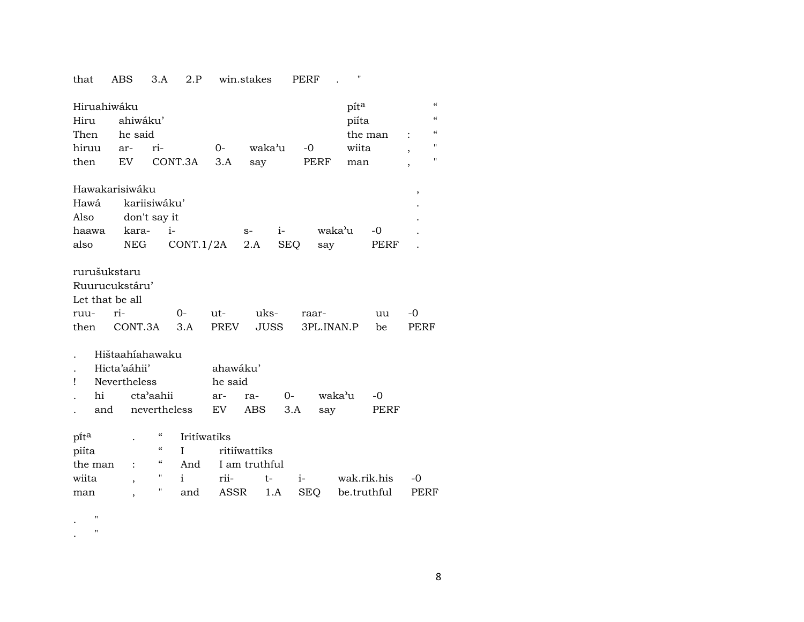| that                                                      | ABS                 | 3.A                                          | 2.P          |                                  | win.stakes    |             | PERF       |             |            |                                        |  |
|-----------------------------------------------------------|---------------------|----------------------------------------------|--------------|----------------------------------|---------------|-------------|------------|-------------|------------|----------------------------------------|--|
| Hiruahiwáku                                               |                     |                                              |              |                                  |               |             |            | píta        |            | $\pmb{\zeta}\pmb{\zeta}$               |  |
| Hiru                                                      |                     | ahiwáku'                                     |              |                                  |               |             |            | piíta       |            | $\boldsymbol{\zeta}\boldsymbol{\zeta}$ |  |
| Then                                                      |                     | he said                                      |              |                                  |               |             |            |             | the man    | $\boldsymbol{\zeta}\boldsymbol{\zeta}$ |  |
| hiruu                                                     | ar-                 | ri-                                          |              | $0-$                             | waka'u        |             | $-0$       | wiita       |            | 11                                     |  |
| then                                                      | EV                  |                                              | CONT.3A      | 3.A                              | say           |             | PERF       | man         |            | $\pmb{\mathsf{H}}$                     |  |
| Hawakarisiwáku                                            |                     |                                              |              |                                  |               |             |            |             |            | $\, ,$                                 |  |
| Hawá                                                      |                     | kariisiwáku'                                 |              |                                  |               |             |            |             |            |                                        |  |
| Also                                                      |                     | don't say it                                 |              |                                  |               |             |            |             |            |                                        |  |
| haawa                                                     |                     | kara-                                        | $i-$         |                                  | $S-$          | $i-$        |            | waka'u      | $-0$       |                                        |  |
| also                                                      |                     | NEG                                          | CONT.1/2A    |                                  | 2.A           | <b>SEQ</b>  | say        |             | PERF       |                                        |  |
| rurušukstaru<br>Ruurucukstáru'<br>Let that be all<br>ruu- | ri-                 |                                              | $0-$         | ut-                              | uks-          |             | raar-      |             | uu         | -0                                     |  |
| then                                                      |                     | CONT.3A                                      | 3.A          | PREV                             | JUSS          |             | 3PL.INAN.P |             | be         | PERF                                   |  |
| Ţ<br>hi                                                   | Hicta'aáhii'<br>and | Hištaahíahawaku<br>Nevertheless<br>cta'aahii | nevertheless | ahawáku'<br>he said<br>ar-<br>EV | ra-<br>ABS    | $0-$<br>3.A | say        | waka'u      | -0<br>PERF |                                        |  |
| pita                                                      |                     | "                                            | Iritíwatiks  |                                  |               |             |            |             |            |                                        |  |
| piíta                                                     |                     | $\boldsymbol{\mathcal{C}}$                   | I            |                                  | ritiíwattiks  |             |            |             |            |                                        |  |
| the man                                                   |                     | $\epsilon\epsilon$                           | And          |                                  | I am truthful |             |            |             |            |                                        |  |
| wiita                                                     |                     | н.<br>$\overline{ }$                         | i.           | rii-                             | $t-$          |             | $i-$       | wak.rik.his |            | -0                                     |  |
| man                                                       |                     | Ħ<br>,                                       | and          | ASSR                             |               | 1.A         | <b>SEQ</b> | be.truthful |            | PERF                                   |  |

. "

. "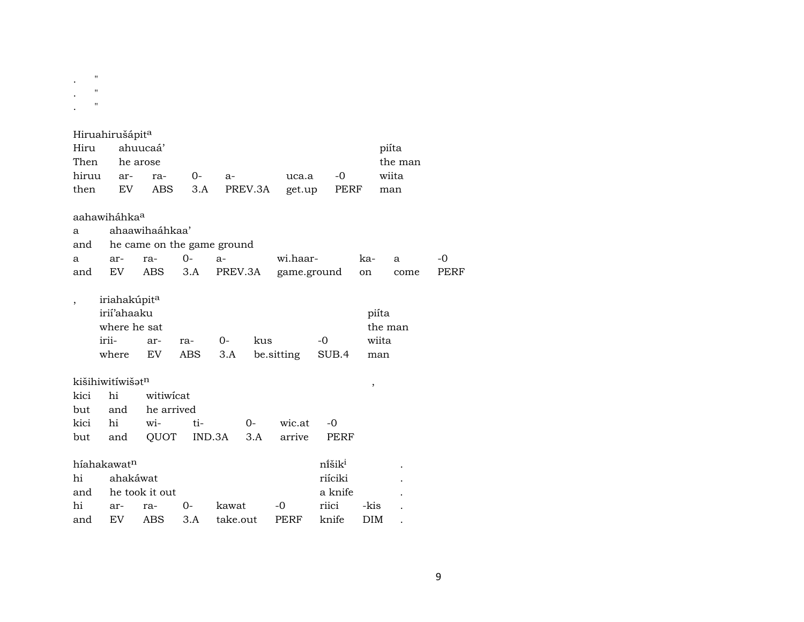| $^{\prime\prime}$<br>$^{\prime\prime}$<br>$^{\prime\prime}$ |                                                         |                |     |                            |             |      |               |                  |      |
|-------------------------------------------------------------|---------------------------------------------------------|----------------|-----|----------------------------|-------------|------|---------------|------------------|------|
|                                                             | Hiruahirušápit <sup>a</sup>                             |                |     |                            |             |      |               |                  |      |
| Hiru                                                        |                                                         | ahuucaá'       |     |                            |             |      |               | piíta            |      |
| Then                                                        |                                                         | he arose       |     |                            |             |      |               | the man          |      |
| hiruu                                                       | ar-                                                     | ra-            | 0-  | $a-$                       | uca.a       | -0   |               | wiita            |      |
| then                                                        | EV.                                                     | ABS.           | 3.A | PREV.3A                    | get.up      | PERF |               | man              |      |
| a<br>and                                                    | aahawiháhka <sup>a</sup>                                | ahaawihaáhkaa' |     | he came on the game ground |             |      |               |                  |      |
| a                                                           | ar-                                                     | ra-            | 0-  | $a-$                       | wi.haar-    |      | ka-           | a                | -0   |
| and                                                         | EV.                                                     | ABS            | 3.A | PREV.3A                    | game.ground |      | <sub>on</sub> | come             | PERF |
| $\overline{ }$                                              | iriahakúpit <sup>a</sup><br>irií'ahaaku<br>where he sat |                |     |                            |             |      |               | piíta<br>the man |      |

| where he sat         |  |  | the man                              |       |       |  |  |
|----------------------|--|--|--------------------------------------|-------|-------|--|--|
| irii- ar- ra- 0- kus |  |  |                                      | $-()$ | wiita |  |  |
|                      |  |  | where EV ABS 3.A besitting SUB.4 man |       |       |  |  |

| but and QUOT IND.3A 3.A arrive PERF |
|-------------------------------------|

| híahakawat <sup>n</sup> |          |                |          |                       |      | nišik <sup>i</sup> |      |  |
|-------------------------|----------|----------------|----------|-----------------------|------|--------------------|------|--|
| hi                      | ahakáwat |                |          |                       |      | riíciki            |      |  |
| and                     |          | he took it out |          |                       |      | a knife            |      |  |
| hi                      | ar-      | ra-            | $\Omega$ | kawat                 | $-O$ | riici              | -kis |  |
| and                     | EV       |                |          | ABS 3.A take.out PERF |      | knife              | DIM. |  |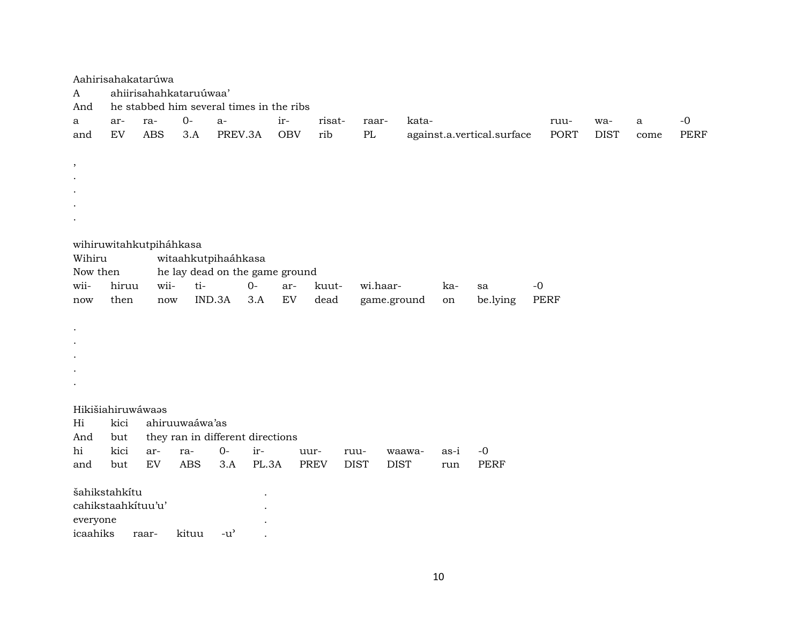| Aahirisahakatarúwa |       |            |                         |                                     |                                          |                   |             |                        |        |      |                            |             |             |      |             |
|--------------------|-------|------------|-------------------------|-------------------------------------|------------------------------------------|-------------------|-------------|------------------------|--------|------|----------------------------|-------------|-------------|------|-------------|
| A                  |       |            | ahiirisahahkataruúwaa'  |                                     |                                          |                   |             |                        |        |      |                            |             |             |      |             |
| And                |       |            |                         |                                     | he stabbed him several times in the ribs |                   |             |                        |        |      |                            |             |             |      |             |
| a                  | ar-   | ra-        | $0-$                    | $a-$                                | ir-                                      |                   | risat-      | raar-                  | kata-  |      |                            | ruu-        | wa-         | a    | $-0$        |
| and                | EV    | <b>ABS</b> | 3.A                     | PREV.3A                             |                                          | rib<br><b>OBV</b> |             | $\mathbf{P}\mathbf{L}$ |        |      | against.a.vertical.surface | <b>PORT</b> | <b>DIST</b> | come | <b>PERF</b> |
|                    |       |            |                         |                                     |                                          |                   |             |                        |        |      |                            |             |             |      |             |
| $\,$               |       |            |                         |                                     |                                          |                   |             |                        |        |      |                            |             |             |      |             |
|                    |       |            |                         |                                     |                                          |                   |             |                        |        |      |                            |             |             |      |             |
|                    |       |            |                         |                                     |                                          |                   |             |                        |        |      |                            |             |             |      |             |
|                    |       |            |                         |                                     |                                          |                   |             |                        |        |      |                            |             |             |      |             |
|                    |       |            |                         |                                     |                                          |                   |             |                        |        |      |                            |             |             |      |             |
|                    |       |            |                         |                                     |                                          |                   |             |                        |        |      |                            |             |             |      |             |
|                    |       |            | wihiruwitahkutpiháhkasa |                                     |                                          |                   |             |                        |        |      |                            |             |             |      |             |
| Wihiru             |       |            | witaahkutpihaáhkasa     |                                     |                                          |                   |             |                        |        |      |                            |             |             |      |             |
| Now then           |       |            |                         |                                     | he lay dead on the game ground           |                   |             |                        |        |      |                            |             |             |      |             |
| wii-               | hiruu | wii-       | ti-                     |                                     | $O -$                                    | ar-               | kuut-       | wi.haar-               |        | ka-  | sa                         | $-0$        |             |      |             |
| now                | then  | now        |                         | IND.3A                              | 3.A                                      | EV<br>dead        |             | game.ground            |        | on   | be.lying                   | <b>PERF</b> |             |      |             |
|                    |       |            |                         |                                     |                                          |                   |             |                        |        |      |                            |             |             |      |             |
| $\bullet$          |       |            |                         |                                     |                                          |                   |             |                        |        |      |                            |             |             |      |             |
| $\bullet$          |       |            |                         |                                     |                                          |                   |             |                        |        |      |                            |             |             |      |             |
|                    |       |            |                         |                                     |                                          |                   |             |                        |        |      |                            |             |             |      |             |
|                    |       |            |                         |                                     |                                          |                   |             |                        |        |      |                            |             |             |      |             |
|                    |       |            |                         |                                     |                                          |                   |             |                        |        |      |                            |             |             |      |             |
|                    |       |            |                         |                                     |                                          |                   |             |                        |        |      |                            |             |             |      |             |
| Hikišiahiruwáwaas  |       |            |                         |                                     |                                          |                   |             |                        |        |      |                            |             |             |      |             |
| Hi                 | kici  |            | ahiruuwaáwa'as          |                                     |                                          |                   |             |                        |        |      |                            |             |             |      |             |
| And                | but   |            |                         |                                     | they ran in different directions         |                   |             |                        |        |      |                            |             |             |      |             |
| hi                 | kici  | ar-        | ra-                     | $0-$                                | ir-                                      | uur-              | ruu-        |                        | waawa- | as-i | $-0$                       |             |             |      |             |
| and                | but   | EV         | <b>ABS</b>              | 3.A                                 | PL.3A                                    | <b>PREV</b>       | <b>DIST</b> | <b>DIST</b>            |        | run  | <b>PERF</b>                |             |             |      |             |
|                    |       |            |                         |                                     |                                          |                   |             |                        |        |      |                            |             |             |      |             |
| šahikstahkítu      |       |            |                         |                                     |                                          |                   |             |                        |        |      |                            |             |             |      |             |
| cahikstaahkituu'u' |       |            |                         |                                     |                                          |                   |             |                        |        |      |                            |             |             |      |             |
| everyone           |       |            |                         |                                     |                                          |                   |             |                        |        |      |                            |             |             |      |             |
| icaahiks           |       | raar-      | kituu                   | $-u$ <sup><math>\prime</math></sup> |                                          |                   |             |                        |        |      |                            |             |             |      |             |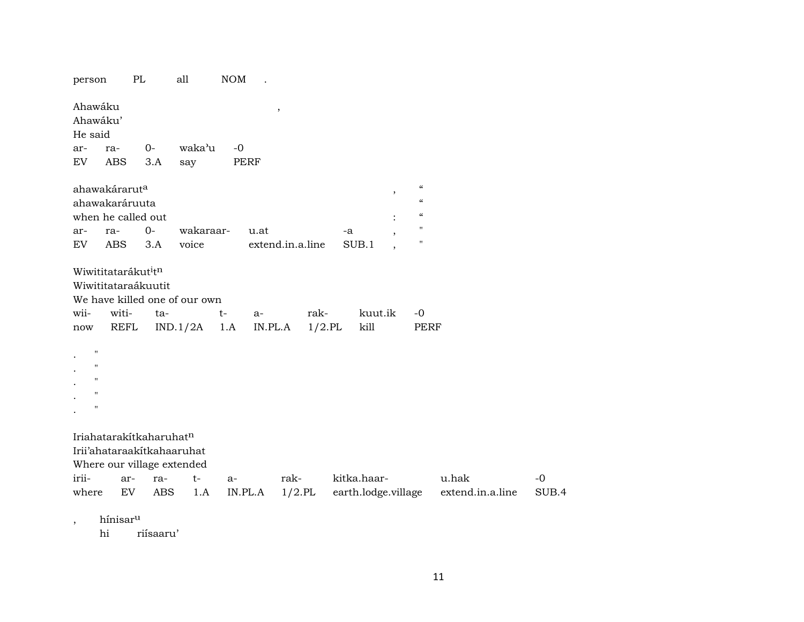| $0-$<br>3.A<br>ahawakárarut <sup>a</sup><br>ahawakaráruuta<br>when he called out<br>$0-$<br>3.A<br>Wiwititatarákut <sup>i</sup> tn<br>Wiwititataraákuutit<br>ta-<br>REFL | waka'u<br>say<br>wakaraar-<br>voice<br>We have killed one of our own<br>IND.1/2A | $-0$<br>$t-$<br>1.A                                                                                                           | $^\mathrm{^\mathrm{o}}$<br>PERF<br>u.at<br>$a-$<br>IN.PL.A | extend.in.a.line<br>rak-<br>$1/2$ .PL | -a<br>SUB.1 | $\, ,$<br>kuut.ik | $\boldsymbol{\mathcal{C}}$<br>$\epsilon$<br>$\boldsymbol{\zeta}\boldsymbol{\zeta}$<br>11<br>П<br>$-0$ |                                                               |
|--------------------------------------------------------------------------------------------------------------------------------------------------------------------------|----------------------------------------------------------------------------------|-------------------------------------------------------------------------------------------------------------------------------|------------------------------------------------------------|---------------------------------------|-------------|-------------------|-------------------------------------------------------------------------------------------------------|---------------------------------------------------------------|
|                                                                                                                                                                          |                                                                                  |                                                                                                                               |                                                            |                                       |             |                   |                                                                                                       |                                                               |
|                                                                                                                                                                          |                                                                                  |                                                                                                                               |                                                            |                                       |             |                   |                                                                                                       |                                                               |
|                                                                                                                                                                          |                                                                                  |                                                                                                                               |                                                            |                                       |             |                   |                                                                                                       |                                                               |
|                                                                                                                                                                          |                                                                                  |                                                                                                                               |                                                            |                                       |             |                   |                                                                                                       |                                                               |
|                                                                                                                                                                          |                                                                                  |                                                                                                                               |                                                            |                                       |             |                   |                                                                                                       |                                                               |
|                                                                                                                                                                          |                                                                                  |                                                                                                                               |                                                            |                                       |             |                   |                                                                                                       |                                                               |
|                                                                                                                                                                          |                                                                                  |                                                                                                                               |                                                            |                                       |             |                   |                                                                                                       |                                                               |
|                                                                                                                                                                          |                                                                                  |                                                                                                                               |                                                            |                                       |             |                   |                                                                                                       |                                                               |
|                                                                                                                                                                          |                                                                                  |                                                                                                                               |                                                            |                                       |             |                   |                                                                                                       |                                                               |
|                                                                                                                                                                          |                                                                                  |                                                                                                                               |                                                            |                                       |             | kill              | PERF                                                                                                  |                                                               |
|                                                                                                                                                                          |                                                                                  |                                                                                                                               |                                                            |                                       |             |                   |                                                                                                       |                                                               |
|                                                                                                                                                                          |                                                                                  |                                                                                                                               |                                                            |                                       |             |                   |                                                                                                       | $-0$                                                          |
|                                                                                                                                                                          |                                                                                  | IN.PL.A                                                                                                                       |                                                            |                                       |             |                   |                                                                                                       | SUB.4                                                         |
| ar-                                                                                                                                                                      |                                                                                  | Iriahatarakítkaharuhatn<br>Irii'ahataraakitkahaaruhat<br>Where our village extended<br>ra-<br>$t-$<br>EV<br><b>ABS</b><br>1.A | $a-$                                                       |                                       |             |                   | kitka.haar-<br>rak-                                                                                   | u.hak<br>$1/2$ .PL<br>earth.lodge.village<br>extend.in.a.line |

hi riísaaru'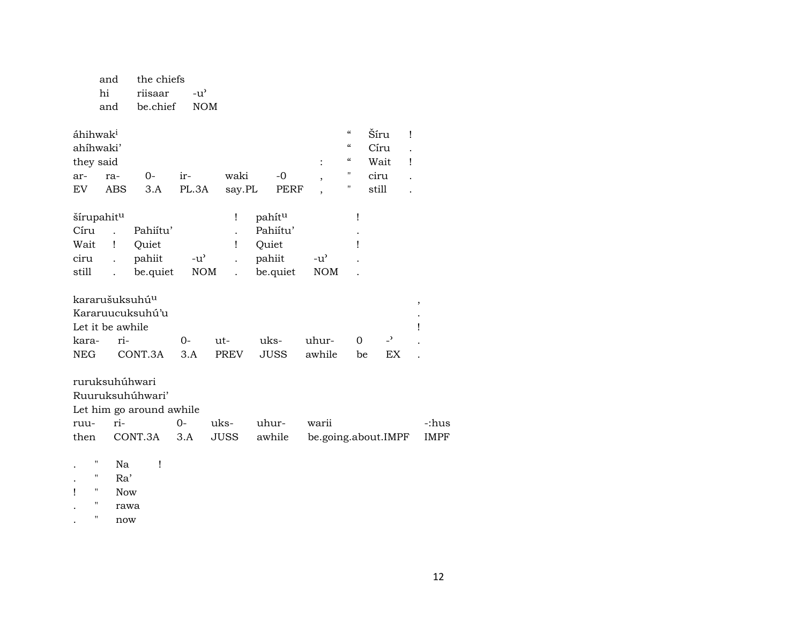| and | the chiefs |                |
|-----|------------|----------------|
| hi  | riisaar    | $-11^{\prime}$ |
| and | be.chief   | <b>NOM</b>     |

| áhihwak <sup>i</sup>       |                      |                          |               |        |                    |                          | $\mathcal{C}\mathcal{C}$ | Šíru                     | Ţ |
|----------------------------|----------------------|--------------------------|---------------|--------|--------------------|--------------------------|--------------------------|--------------------------|---|
| ahíhwaki'                  |                      |                          |               |        |                    |                          | "                        | Círu                     |   |
| they said                  |                      |                          |               |        |                    |                          | "                        | Wait                     | Ţ |
| ar-                        | ra-                  | $O -$                    | ir-           | waki   | $-0$               | $\overline{\phantom{a}}$ | п                        | ciru                     |   |
| EV.                        | <b>ABS</b>           | 3.A                      | PL.3A         | say.PL | PERF               | $\overline{\phantom{a}}$ | п                        | still                    |   |
| šírupahit <sup>u</sup>     |                      |                          |               | Ţ      | pahít <sup>u</sup> |                          | Ţ                        |                          |   |
| Círu                       |                      | Pahiitu'                 |               |        | Pahiítu'           |                          |                          |                          |   |
| Wait                       | Ţ                    | Quiet                    |               | Ţ      | Quiet              |                          | Ţ                        |                          |   |
| ciru                       |                      | pahiit                   | $-u^{\prime}$ |        | pahiit             | -u'                      |                          |                          |   |
| still                      | $\ddot{\phantom{a}}$ | be.quiet                 | NOM           |        | be.quiet           | <b>NOM</b>               |                          |                          |   |
| kararušuksuhú <sup>u</sup> |                      |                          |               |        |                    |                          |                          |                          | , |
|                            |                      | Kararuucuksuhú'u         |               |        |                    |                          |                          |                          |   |
| Let it be awhile           |                      |                          |               |        |                    |                          |                          |                          |   |
| kara-                      | ri-                  |                          | $0-$          | ut-    | uks-               | uhur-                    | 0                        | $\overline{\phantom{0}}$ |   |
| <b>NEG</b>                 |                      | CONT.3A                  | 3.A           | PREV   | JUSS               | awhile                   | be                       | EX                       |   |
| ruruksuhúhwari             |                      |                          |               |        |                    |                          |                          |                          |   |
|                            |                      | Ruuruksuhúhwari'         |               |        |                    |                          |                          |                          |   |
|                            |                      | Let him go around awhile |               |        |                    |                          |                          |                          |   |
|                            |                      |                          |               |        |                    |                          |                          |                          |   |

| ruu- ri- |  | 0- uks- uhur- warii |                                                       | -:hus |
|----------|--|---------------------|-------------------------------------------------------|-------|
|          |  |                     | then CONT.3A 3.A JUSS awhile be.going.about.IMPF IMPF |       |

- $\sim 1$  $\boldsymbol{\theta}$ Na  $\sim$
- Ra'  $\mathbf{u}$  $\sim$
- $\mathbf{I}$  $\sim 0$  $\operatorname{Now}$
- $\mathbf{u}$ rawa  $\sim$
- $\boldsymbol{\mathsf{u}}$  $\operatorname{now}$  $\mathcal{L}^{\pm}$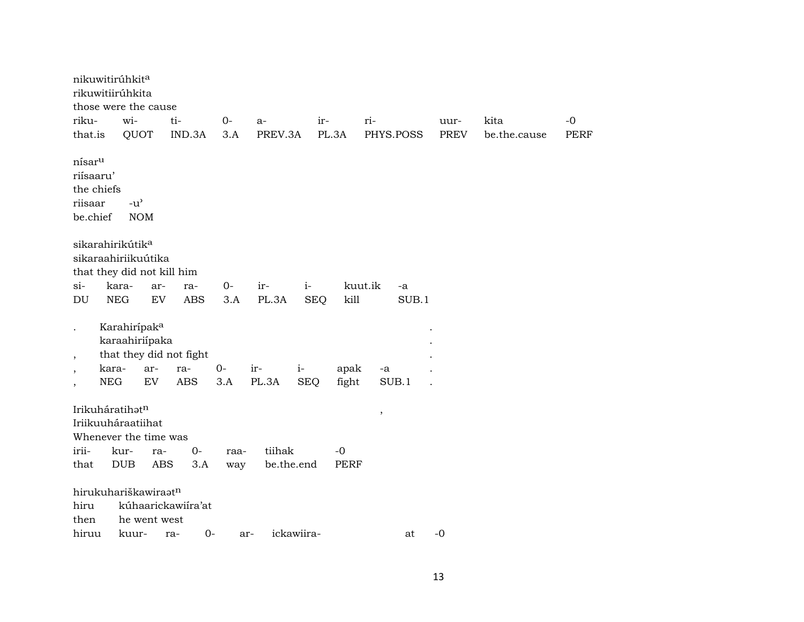|                          | nikuwitirúhkita<br>rikuwitiirúhkita |              |                         |      |                   |            |             |               |             |              |      |
|--------------------------|-------------------------------------|--------------|-------------------------|------|-------------------|------------|-------------|---------------|-------------|--------------|------|
|                          | those were the cause                |              |                         |      |                   |            |             |               |             |              |      |
| riku-                    | wi-                                 |              | ti-                     | $0-$ | $a-$              | ir-        |             | ri-           | uur-        | kita         | $-0$ |
| that.is                  |                                     | QUOT         | IND.3A                  | 3.A  | PREV.3A           | PL.3A      |             | PHYS.POSS     | <b>PREV</b> | be.the.cause | PERF |
| nísar <sup>u</sup>       |                                     |              |                         |      |                   |            |             |               |             |              |      |
| riísaaru'                |                                     |              |                         |      |                   |            |             |               |             |              |      |
|                          | the chiefs                          |              |                         |      |                   |            |             |               |             |              |      |
| riisaar                  | $-u$ <sup><math>\prime</math></sup> |              |                         |      |                   |            |             |               |             |              |      |
| be.chief                 |                                     | <b>NOM</b>   |                         |      |                   |            |             |               |             |              |      |
|                          |                                     |              |                         |      |                   |            |             |               |             |              |      |
|                          | sikarahirikútik <sup>a</sup>        |              |                         |      |                   |            |             |               |             |              |      |
|                          | sikaraahiriikuútika                 |              |                         |      |                   |            |             |               |             |              |      |
|                          | that they did not kill him          |              |                         |      |                   |            |             |               |             |              |      |
| $si-$                    | kara-                               | ar-          | ra-                     | 0-   | ir-               | $i-$       |             | kuut.ik<br>-a |             |              |      |
| DU                       | <b>NEG</b>                          | EV           | <b>ABS</b>              | 3.A  | PL.3A             | <b>SEQ</b> | kill        | SUB.1         |             |              |      |
|                          |                                     |              |                         |      |                   |            |             |               |             |              |      |
|                          | Karahirípak <sup>a</sup>            |              |                         |      |                   |            |             |               |             |              |      |
|                          | karaahiriípaka                      |              |                         |      |                   |            |             |               |             |              |      |
| $\overline{\phantom{a}}$ |                                     |              | that they did not fight |      |                   |            |             |               |             |              |      |
| $\cdot$                  | kara-                               | ar-          | ra-                     | $0-$ | ir-               | $i-$       | apak        | $-a$          |             |              |      |
| $\overline{ }$           | <b>NEG</b>                          | ${\rm EV}$   | <b>ABS</b>              | 3.A  | PL.3A             | <b>SEQ</b> | fight       | SUB.1         |             |              |      |
|                          |                                     |              |                         |      |                   |            |             |               |             |              |      |
|                          | Irikuháratihatn                     |              |                         |      |                   |            |             | $\, ,$        |             |              |      |
|                          | Iriikuuháraatiihat                  |              |                         |      |                   |            |             |               |             |              |      |
|                          | Whenever the time was               |              |                         |      |                   |            |             |               |             |              |      |
| irii-                    | kur-                                | ra-          | $0-$                    | raa- | tiihak            |            | $-0$        |               |             |              |      |
| that                     | <b>DUB</b>                          | ABS          | 3.A                     | way  | be.the.end        |            | <b>PERF</b> |               |             |              |      |
|                          |                                     |              |                         |      |                   |            |             |               |             |              |      |
|                          | hirukuhariškawiraatn                |              |                         |      |                   |            |             |               |             |              |      |
| hiru                     |                                     |              | kúhaarickawiíra'at      |      |                   |            |             |               |             |              |      |
| then                     |                                     | he went west |                         |      |                   |            |             |               |             |              |      |
| hiruu                    | kuur-                               |              | $O -$<br>ra-            |      | ickawiira-<br>ar- |            |             | at            | $-0$        |              |      |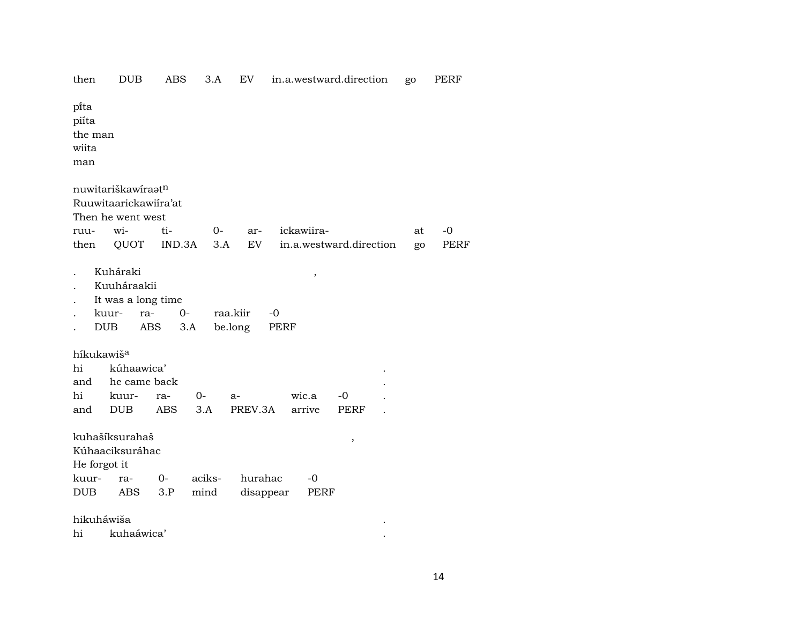|                                            |                                                                             |                    |                |                      |                   | m.a. webewara.an eenon  | ອຯ |      |
|--------------------------------------------|-----------------------------------------------------------------------------|--------------------|----------------|----------------------|-------------------|-------------------------|----|------|
| pi̇̃ta<br>piíta<br>the man<br>wiita<br>man |                                                                             |                    |                |                      |                   |                         |    |      |
|                                            | nuwitariškawíraatn<br>Ruuwitaarickawiíra'at<br>Then he went west            |                    |                |                      |                   |                         |    |      |
| ruu-                                       | wi-                                                                         | ti-                | $O-$           | ar-                  | ickawiira-        |                         | at | -0   |
| then                                       | QUOT                                                                        | IND.3A             | 3.A            | EV                   |                   | in.a.westward.direction | go | PERF |
|                                            | Kuháraki<br>Kuuháraakii<br>It was a long time<br>kuur-<br>ra-<br><b>DUB</b> | $0-$<br>ABS<br>3.A |                | raa.kiir<br>be.long  | ,<br>$-0$<br>PERF |                         |    |      |
| híkukawiš <sup>a</sup>                     |                                                                             |                    |                |                      |                   |                         |    |      |
| hi                                         | kúhaawica'                                                                  |                    |                |                      |                   |                         |    |      |
| and                                        | he came back                                                                |                    |                |                      |                   |                         |    |      |
| hi                                         | kuur-                                                                       | ra-                | 0-             | a-                   | wic.a             | $-0$                    |    |      |
| and                                        | <b>DUB</b>                                                                  | <b>ABS</b>         | 3.A            | PREV.3A              | arrive            | <b>PERF</b>             |    |      |
| He forgot it<br>kuur-<br><b>DUB</b>        | kuhašíksurahaš<br>Kúhaaciksuráhac<br>ra-<br>ABS                             | $0-$<br>3.P        | aciks-<br>mind | hurahac<br>disappear | $-0$<br>PERF      | $\,$                    |    |      |
| hikuháwiša                                 |                                                                             |                    |                |                      |                   |                         |    |      |
| hi                                         | kuhaáwica'                                                                  |                    |                |                      |                   |                         |    |      |
|                                            |                                                                             |                    |                |                      |                   |                         |    |      |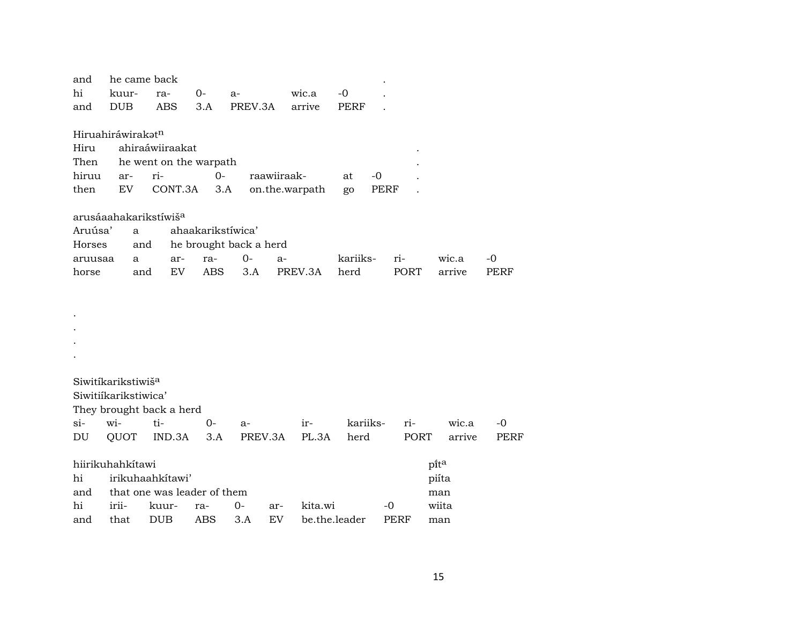| and                               |            | he came back |                          |                             |                        |                |         |               |      |        |             |
|-----------------------------------|------------|--------------|--------------------------|-----------------------------|------------------------|----------------|---------|---------------|------|--------|-------------|
| hi                                | kuur-      |              | ra-                      | 0-                          | a-                     |                | wic.a   | $-0$          |      |        |             |
| and                               | <b>DUB</b> |              | ABS                      | 3.A                         | PREV.3A                |                | arrive  | PERF          |      |        |             |
|                                   |            |              |                          |                             |                        |                |         |               |      |        |             |
| Hiruahiráwirakatn                 |            |              |                          |                             |                        |                |         |               |      |        |             |
| Hiru                              |            |              | ahiraáwiiraakat          |                             |                        |                |         |               |      |        |             |
| Then                              |            |              |                          | he went on the warpath      |                        |                |         |               |      |        |             |
| hiruu                             | ar-        | ri-          |                          | $0-$                        |                        | raawiiraak-    |         | at            | $-0$ |        |             |
| then                              | EV         |              | CONT.3A                  | 3.A                         |                        | on.the.warpath |         | go            | PERF |        |             |
| arusáaahakarikstíwiš <sup>a</sup> |            |              |                          |                             |                        |                |         |               |      |        |             |
| Aruúsa'                           |            | a            |                          | ahaakarikstíwica'           |                        |                |         |               |      |        |             |
| Horses                            |            | and          |                          |                             | he brought back a herd |                |         |               |      |        |             |
| aruusaa                           |            | a            | ar-                      | ra-                         | $0-$                   | $a-$           |         | kariiks-      | ri-  | wic.a  | -0          |
| horse                             |            | and          | <b>EV</b>                | ABS                         | 3.A                    |                | PREV.3A | herd          | PORT | arrive | PERF        |
|                                   |            |              |                          |                             |                        |                |         |               |      |        |             |
|                                   |            |              |                          |                             |                        |                |         |               |      |        |             |
|                                   |            |              |                          |                             |                        |                |         |               |      |        |             |
|                                   |            |              |                          |                             |                        |                |         |               |      |        |             |
|                                   |            |              |                          |                             |                        |                |         |               |      |        |             |
|                                   |            |              |                          |                             |                        |                |         |               |      |        |             |
| Siwitíkarikstiwiš <sup>a</sup>    |            |              |                          |                             |                        |                |         |               |      |        |             |
| Siwitiíkarikstiwica'              |            |              |                          |                             |                        |                |         |               |      |        |             |
|                                   |            |              | They brought back a herd |                             |                        |                |         |               |      |        |             |
| $\sin$                            | wi-        | ti-          |                          | $0 -$                       | a-                     |                | ir-     | kariiks-      | ri-  | wic.a  | $-0$        |
| DU                                | QUOT       |              | IND.3A                   | 3.A                         | PREV.3A                |                | PL.3A   | herd          | PORT | arrive | <b>PERF</b> |
|                                   |            |              |                          |                             |                        |                |         |               |      |        |             |
| hiirikuhahkitawi                  |            |              |                          |                             |                        |                |         |               |      | pita   |             |
| hi                                |            |              | irikuhaahkítawi'         |                             |                        |                |         |               |      | piíta  |             |
| and                               |            |              |                          | that one was leader of them |                        |                |         |               |      | man    |             |
| hi                                | irii-      |              | kuur-                    | ra-                         | $0-$                   | ar-            | kita.wi |               | -0   | wiita  |             |
| and                               | that       |              | <b>DUB</b>               | ABS                         | 3.A                    | EV <sub></sub> |         | be.the.leader | PERF | man    |             |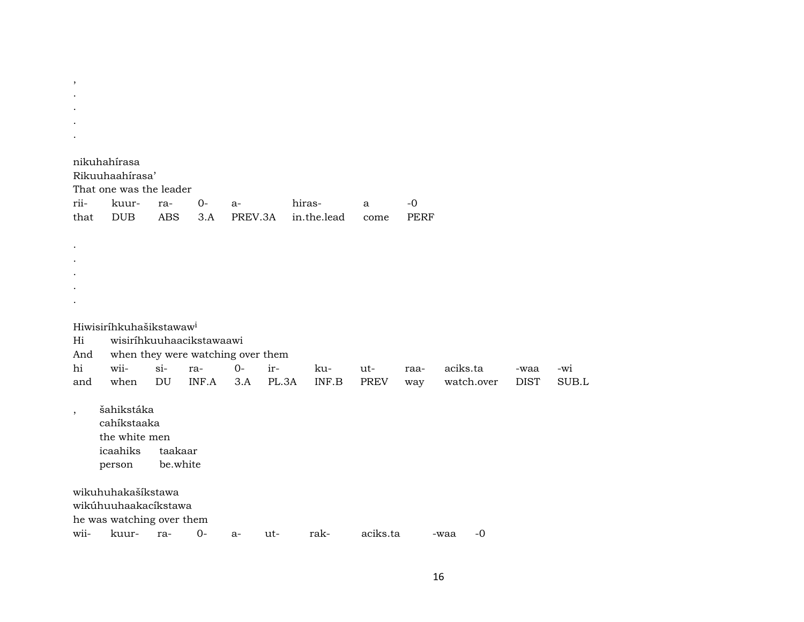| rii-                     | nikuhahírasa<br>Rikuuhaahirasa'<br>That one was the leader<br>kuur- | ra-        | $O -$ | $a-$    |       | hiras-      | a           | $-0$        |              |             |       |
|--------------------------|---------------------------------------------------------------------|------------|-------|---------|-------|-------------|-------------|-------------|--------------|-------------|-------|
| that                     | <b>DUB</b>                                                          | <b>ABS</b> | 3.A   | PREV.3A |       | in.the.lead | come        | <b>PERF</b> |              |             |       |
|                          |                                                                     |            |       |         |       |             |             |             |              |             |       |
|                          |                                                                     |            |       |         |       |             |             |             |              |             |       |
|                          |                                                                     |            |       |         |       |             |             |             |              |             |       |
|                          |                                                                     |            |       |         |       |             |             |             |              |             |       |
| Hi                       | Hiwisiríhkuhašikstawaw <sup>i</sup><br>wisiríhkuuhaacikstawaawi     |            |       |         |       |             |             |             |              |             |       |
| And                      | when they were watching over them                                   |            |       |         |       |             |             |             |              |             |       |
| hi                       | wii-                                                                | $si-$      | ra-   | $0-$    | ir-   | ku-         | ut-         | raa-        | aciks.ta     | -waa        | -wi   |
| and                      | when                                                                | DU         | INF.A | 3.A     | PL.3A | INF.B       | <b>PREV</b> | way         | watch.over   | <b>DIST</b> | SUB.L |
| $\overline{\phantom{a}}$ | šahikstáka                                                          |            |       |         |       |             |             |             |              |             |       |
|                          | cahíkstaaka                                                         |            |       |         |       |             |             |             |              |             |       |
|                          | the white men                                                       |            |       |         |       |             |             |             |              |             |       |
|                          | icaahiks                                                            | taakaar    |       |         |       |             |             |             |              |             |       |
|                          | person                                                              | be.white   |       |         |       |             |             |             |              |             |       |
|                          | wikuhuhakašíkstawa                                                  |            |       |         |       |             |             |             |              |             |       |
|                          | wikúhuuhaakacíkstawa                                                |            |       |         |       |             |             |             |              |             |       |
|                          | he was watching over them                                           |            |       |         |       |             |             |             |              |             |       |
| wii-                     | kuur-                                                               | ra-        | $0-$  | a-      | ut-   | rak-        | aciks.ta    |             | $-0$<br>-waa |             |       |

 $\overline{\phantom{a}}$  $\hat{\mathcal{A}}$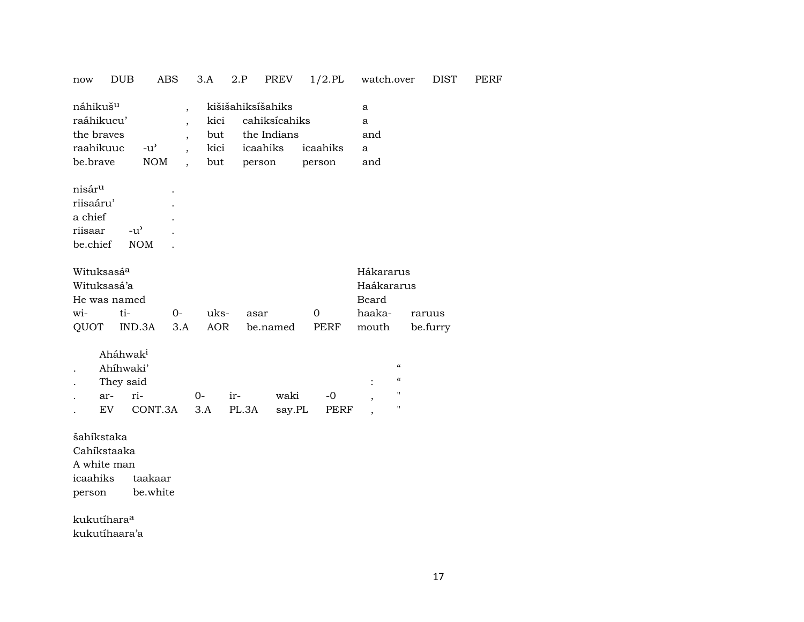| <b>DUB</b><br>now                                                         | ABS                                                                                                       | 3.A                                                                      | 2.P                                                    | PREV           | $1/2$ .PL          | watch.over                                                     | <b>DIST</b> |
|---------------------------------------------------------------------------|-----------------------------------------------------------------------------------------------------------|--------------------------------------------------------------------------|--------------------------------------------------------|----------------|--------------------|----------------------------------------------------------------|-------------|
| náhikuš <sup>u</sup><br>raáhikucu'<br>the braves<br>raahikuuc<br>be.brave | $\overline{\phantom{a}}$<br>$\overline{\phantom{a}}$<br>$-u$ <sup><math>\prime</math></sup><br><b>NOM</b> | kici<br>$\overline{ }$<br>but<br>kici<br>but<br>$\overline{\phantom{a}}$ | kišišahiksíšahiks<br>the Indians<br>icaahiks<br>person | cahiksícahiks  | icaahiks<br>person | a<br>a<br>and<br>a<br>and                                      |             |
| nisár <sup>u</sup><br>riisaáru'<br>a chief<br>riisaar<br>be.chief         | $-u^{\prime}$<br><b>NOM</b>                                                                               |                                                                          |                                                        |                |                    |                                                                |             |
| Wituksasá <sup>a</sup>                                                    |                                                                                                           |                                                                          |                                                        |                |                    | Hákararus                                                      |             |
| Wituksasá'a<br>He was named                                               |                                                                                                           |                                                                          |                                                        |                |                    | Haákararus<br>Beard                                            |             |
| wi-                                                                       | ti-<br>$0-$                                                                                               | uks-                                                                     | asar                                                   |                | 0                  | haaka-                                                         | raruus      |
| QUOT                                                                      | IND.3A<br>3.A                                                                                             | <b>AOR</b>                                                               |                                                        | be.named       | PERF               | mouth                                                          | be.furry    |
| Aháhwak <sup>i</sup><br>Ahíhwaki'<br>They said<br>ar-<br><b>EV</b>        | ri-<br>CONT.3A                                                                                            | $0-$<br>3.A                                                              | ir-<br>PL.3A                                           | waki<br>say.PL | $-0$<br>PERF       | $\pmb{\zeta}\pmb{\zeta}$<br>$\pmb{\zeta}\pmb{\zeta}$<br>н<br>П |             |
| šahíkstaka<br>Cahíkstaaka<br>A white man<br>icaahiks<br>person            | taakaar<br>be.white                                                                                       |                                                                          |                                                        |                |                    |                                                                |             |
| kukutíhara <sup>a</sup>                                                   |                                                                                                           |                                                                          |                                                        |                |                    |                                                                |             |
| kukutíhaara'a                                                             |                                                                                                           |                                                                          |                                                        |                |                    |                                                                |             |

PERF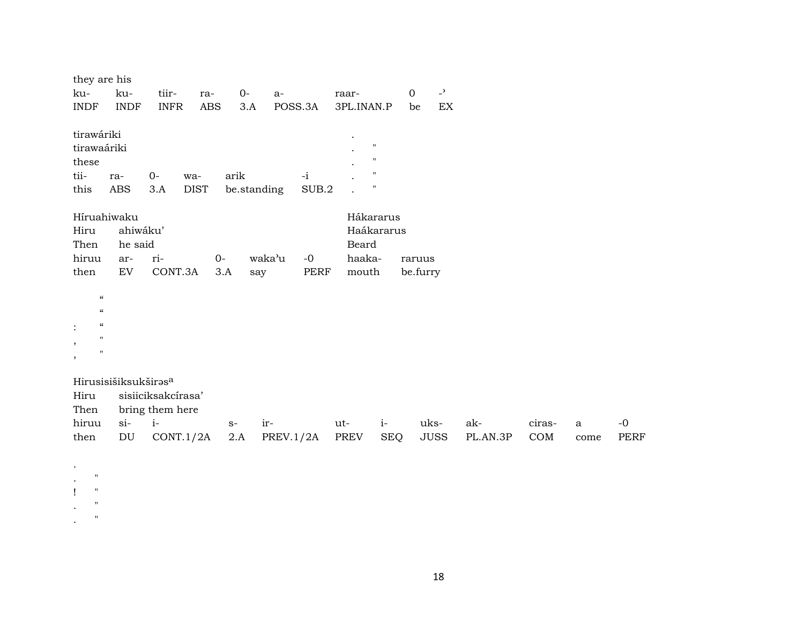|              | they are his                           |                    |             |               |           |                    |            |                               |          |        |             |             |
|--------------|----------------------------------------|--------------------|-------------|---------------|-----------|--------------------|------------|-------------------------------|----------|--------|-------------|-------------|
| ku-          | ku-                                    | tiir-              | ra-         | $O -$<br>$a-$ |           | raar-              |            | $\overline{a}$<br>$\mathbf 0$ |          |        |             |             |
| <b>INDF</b>  | <b>INDF</b>                            | <b>INFR</b>        | <b>ABS</b>  | 3.A           | POSS.3A   | 3PL.INAN.P         |            | EX<br>be                      |          |        |             |             |
| tirawáriki   |                                        |                    |             |               |           |                    |            |                               |          |        |             |             |
| tirawaáriki  |                                        |                    |             |               |           | $^{\prime}$        |            |                               |          |        |             |             |
| these        |                                        |                    |             |               |           |                    | П          |                               |          |        |             |             |
| tii-         | ra-                                    | $O -$              | wa-         | arik          | $-i$      | $\pmb{\mathsf{H}}$ |            |                               |          |        |             |             |
| this         | ABS                                    | 3.A                | <b>DIST</b> | be.standing   | SUB.2     | $\pmb{\mathsf{H}}$ |            |                               |          |        |             |             |
|              | Híruahiwaku                            |                    |             |               |           | Hákararus          |            |                               |          |        |             |             |
| Hiru         | ahiwáku'                               |                    |             |               |           |                    | Haákararus |                               |          |        |             |             |
| Then         | he said                                |                    |             |               |           | Beard              |            |                               |          |        |             |             |
| hiruu        | ar-                                    | ri-                | $O -$       | waka'u        | $-0$      | haaka-             |            | raruus                        |          |        |             |             |
| then         | $\mathop{\rm EV}\nolimits$             | CONT.3A            | 3.A         | say           | PERF      | mouth              |            | be.furry                      |          |        |             |             |
|              |                                        |                    |             |               |           |                    |            |                               |          |        |             |             |
|              | $\pmb{\zeta}\pmb{\zeta}$               |                    |             |               |           |                    |            |                               |          |        |             |             |
|              | $\pmb{\zeta}\pmb{\zeta}$               |                    |             |               |           |                    |            |                               |          |        |             |             |
|              | $\boldsymbol{\zeta}\boldsymbol{\zeta}$ |                    |             |               |           |                    |            |                               |          |        |             |             |
|              | $\mathbf{H}$                           |                    |             |               |           |                    |            |                               |          |        |             |             |
| $\,$         | $\pmb{\mathsf{H}}$                     |                    |             |               |           |                    |            |                               |          |        |             |             |
|              |                                        |                    |             |               |           |                    |            |                               |          |        |             |             |
|              | Hirusisišiksukširas <sup>a</sup>       |                    |             |               |           |                    |            |                               |          |        |             |             |
| Hiru         |                                        | sisiiciksakcírasa' |             |               |           |                    |            |                               |          |        |             |             |
| Then         |                                        | bring them here    |             |               |           |                    |            |                               |          |        |             |             |
| hiruu        | $si-$                                  | $i-$               |             | ir-<br>$S-$   |           | ut-                | $i-$       | uks-                          | ak-      | ciras- | $\mathbf a$ | $-0$        |
| then         | $\mathop{\rm DU}\nolimits$             | CONT.1/2A          |             | 2.A           | PREV.1/2A | PREV               | <b>SEQ</b> | <b>JUSS</b>                   | PL.AN.3P | COM    | come        | <b>PERF</b> |
|              |                                        |                    |             |               |           |                    |            |                               |          |        |             |             |
| $\bullet$    |                                        |                    |             |               |           |                    |            |                               |          |        |             |             |
| $\mathbf{H}$ |                                        |                    |             |               |           |                    |            |                               |          |        |             |             |

 $\langle \cdot \rangle$  $\langle 1 \rangle \equiv 2$  $\sim$   $^{-1}$  $\sim$   $\,$   $\,$  $\mathcal{L}^{\mathcal{L}}$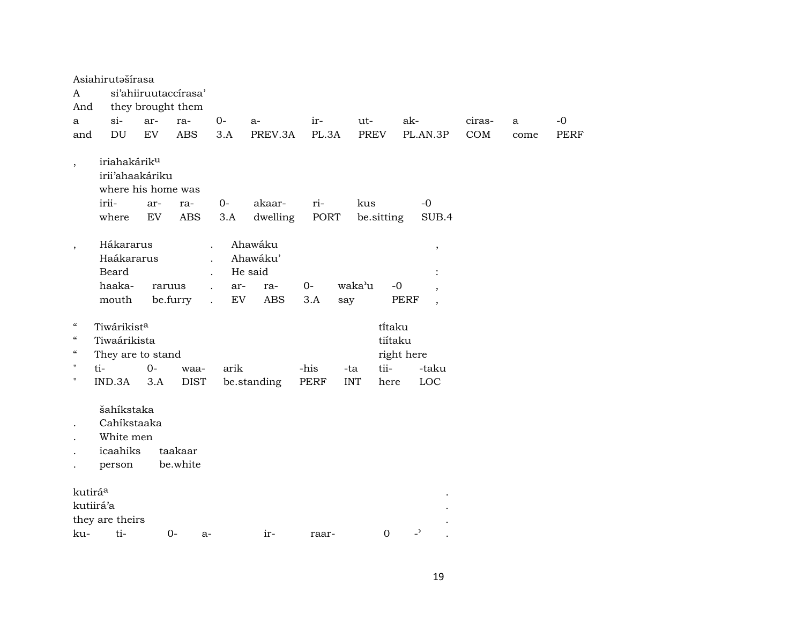|                            | Asiahirutašírasa                                                  |        |                      |                                                    |                                |       |            |                  |                          |        |      |             |
|----------------------------|-------------------------------------------------------------------|--------|----------------------|----------------------------------------------------|--------------------------------|-------|------------|------------------|--------------------------|--------|------|-------------|
| A                          |                                                                   |        | si'ahiiruutaccírasa' |                                                    |                                |       |            |                  |                          |        |      |             |
| And                        |                                                                   |        | they brought them    |                                                    |                                |       |            |                  |                          |        |      |             |
| a                          | si-                                                               | ar-    | ra-                  | $0-$                                               | $a-$                           | ir-   | ut-        |                  | ak-                      | ciras- | a    | $-0$        |
| and                        | <b>DU</b>                                                         | EV     | <b>ABS</b>           | 3.A                                                | PREV.3A                        | PL.3A |            | <b>PREV</b>      | PL.AN.3P                 | COM    | come | <b>PERF</b> |
| $\cdot$                    | iriahakárik <sup>u</sup><br>irii'ahaakáriku<br>where his home was |        |                      |                                                    |                                |       |            |                  |                          |        |      |             |
|                            | irii-                                                             | ar-    | ra-                  | $0-$                                               | akaar-                         | ri-   | kus        |                  | $-0$                     |        |      |             |
|                            | where                                                             | EV     | <b>ABS</b>           | 3.A                                                | dwelling                       | PORT  |            | be.sitting       | SUB.4                    |        |      |             |
| $\overline{ }$             | Hákararus<br>Haákararus<br>Beard                                  |        |                      | $\cdot$                                            | Ahawáku<br>Ahawáku'<br>He said |       |            |                  | $\, ,$                   |        |      |             |
|                            | haaka-                                                            | raruus |                      | $\cdot$<br>ar-                                     | ra-                            | $O -$ | waka'u     | $-0$             |                          |        |      |             |
|                            | mouth                                                             |        | be.furry             | $\ddot{\phantom{a}}$<br>EV<br>$\ddot{\phantom{0}}$ | <b>ABS</b>                     | 3.A   | say        |                  | PERF                     |        |      |             |
|                            |                                                                   |        |                      |                                                    |                                |       |            |                  | $\overline{\phantom{a}}$ |        |      |             |
| $\epsilon\epsilon$         | Tiwárikista                                                       |        |                      |                                                    |                                |       |            | titaku           |                          |        |      |             |
| $\boldsymbol{\mathcal{C}}$ | Tiwaárikista                                                      |        |                      |                                                    |                                |       |            | tiítaku          |                          |        |      |             |
| $\mathcal{C}\mathcal{C}$   | They are to stand                                                 |        |                      |                                                    |                                |       |            |                  | right here               |        |      |             |
| $\pmb{\mathsf{H}}$         | ti-                                                               | $0 -$  | waa-                 | arik                                               |                                | -his  | -ta        | tii-             | -taku                    |        |      |             |
| $\pmb{\mathsf{H}}$         | IND.3A                                                            | 3.A    | <b>DIST</b>          |                                                    | be.standing                    | PERF  | <b>INT</b> | here             | LOC                      |        |      |             |
|                            | šahíkstaka<br>Cahíkstaaka                                         |        |                      |                                                    |                                |       |            |                  |                          |        |      |             |
|                            | White men                                                         |        |                      |                                                    |                                |       |            |                  |                          |        |      |             |
|                            | icaahiks                                                          |        | taakaar              |                                                    |                                |       |            |                  |                          |        |      |             |
|                            | person                                                            |        | be.white             |                                                    |                                |       |            |                  |                          |        |      |             |
|                            |                                                                   |        |                      |                                                    |                                |       |            |                  |                          |        |      |             |
| kutirá <sup>a</sup>        |                                                                   |        |                      |                                                    |                                |       |            |                  |                          |        |      |             |
|                            | kutiirá'a                                                         |        |                      |                                                    |                                |       |            |                  |                          |        |      |             |
|                            | they are theirs                                                   |        |                      |                                                    |                                |       |            |                  |                          |        |      |             |
| ku-                        | ti-                                                               |        | $0-$<br>$a-$         |                                                    | ir-                            | raar- |            | $\boldsymbol{0}$ | $\overline{\phantom{0}}$ |        |      |             |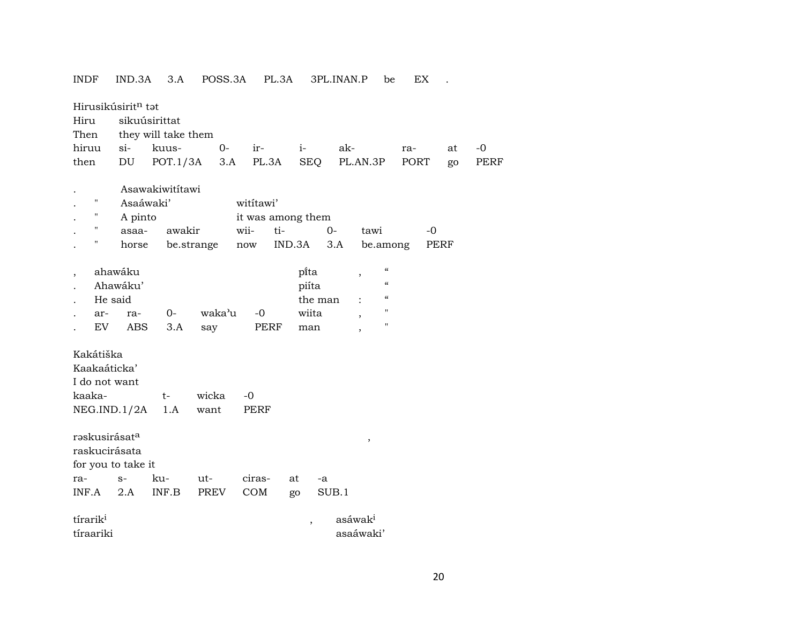INDF IND.3A 3.A POSS.3A PL.3A 3PL.INAN.P be EX .

|                      | Hirusikúsirit <sup>n</sup> tat |                     |            |        |                   |                          |                                                |      |      |      |  |  |  |
|----------------------|--------------------------------|---------------------|------------|--------|-------------------|--------------------------|------------------------------------------------|------|------|------|--|--|--|
| Hiru                 |                                | sikuúsirittat       |            |        |                   |                          |                                                |      |      |      |  |  |  |
| Then                 |                                | they will take them |            |        |                   |                          |                                                |      |      |      |  |  |  |
| hiruu                | $\sin$                         | kuus-               | $0-$       | ir-    | $i-$              | ak-                      |                                                | ra-  | at   | $-0$ |  |  |  |
| then                 | DU                             | POT.1/3A            | 3.A        |        | PL.3A             | SEQ                      | PL.AN.3P                                       | PORT | go   | PERF |  |  |  |
|                      |                                |                     |            |        |                   |                          |                                                |      |      |      |  |  |  |
|                      |                                | Asawakiwitítawi     |            |        |                   |                          |                                                |      |      |      |  |  |  |
| $\pmb{\mathsf{H}}$   |                                | Asaáwaki'           |            |        | wititawi'         |                          |                                                |      |      |      |  |  |  |
| $\pmb{\mathsf{H}}$   | A pinto                        |                     |            |        | it was among them |                          |                                                |      |      |      |  |  |  |
| $\pmb{\mathsf{H}}$   | asaa-                          | awakir              |            | wii-   | ti-               | $0 -$                    | tawi                                           | $-0$ |      |      |  |  |  |
| $\mathbf{H}$         | horse                          |                     | be.strange | now    | IND.3A            | 3.A                      | be.among                                       |      | PERF |      |  |  |  |
|                      |                                |                     |            |        |                   |                          |                                                |      |      |      |  |  |  |
|                      | ahawáku                        |                     |            |        |                   | pi̇̃ta                   | $\epsilon\epsilon$<br>$\,$                     |      |      |      |  |  |  |
|                      | Ahawáku'                       |                     |            |        |                   | piíta                    | $\boldsymbol{\zeta}\boldsymbol{\zeta}$         |      |      |      |  |  |  |
|                      | He said                        |                     |            |        |                   | the man                  | $\boldsymbol{\mathcal{C}}$                     |      |      |      |  |  |  |
| ar-                  | ra-                            | $0-$                | waka'u     | $-0$   |                   | wiita                    | $\pmb{\mathsf{H}}$<br>$\overline{\phantom{a}}$ |      |      |      |  |  |  |
| EV                   | ABS                            | 3.A                 | say        |        | PERF              | man                      | $\pmb{\mathsf{H}}$<br>$\overline{ }$           |      |      |      |  |  |  |
|                      |                                |                     |            |        |                   |                          |                                                |      |      |      |  |  |  |
| Kakátiška            |                                |                     |            |        |                   |                          |                                                |      |      |      |  |  |  |
|                      | Kaakaáticka'                   |                     |            |        |                   |                          |                                                |      |      |      |  |  |  |
|                      | I do not want                  |                     |            |        |                   |                          |                                                |      |      |      |  |  |  |
| kaaka-               |                                | $t-$                | wicka      | $-0$   |                   |                          |                                                |      |      |      |  |  |  |
|                      | NEG.ID.1/2A                    | 1.A                 | want       | PERF   |                   |                          |                                                |      |      |      |  |  |  |
|                      |                                |                     |            |        |                   |                          |                                                |      |      |      |  |  |  |
|                      | raskusirásat <sup>a</sup>      |                     |            |        |                   |                          | $\, ,$                                         |      |      |      |  |  |  |
|                      | raskucirásata                  |                     |            |        |                   |                          |                                                |      |      |      |  |  |  |
|                      | for you to take it             |                     |            |        |                   |                          |                                                |      |      |      |  |  |  |
| ra-                  | $S-$                           | ku-                 | ut-        | ciras- | at                | -a                       |                                                |      |      |      |  |  |  |
| INF.A                | 2.A                            | INF.B               | PREV       | COM    | go                | SUB.1                    |                                                |      |      |      |  |  |  |
|                      |                                |                     |            |        |                   |                          |                                                |      |      |      |  |  |  |
| tírarik <sup>i</sup> |                                |                     |            |        |                   | $\overline{\phantom{a}}$ | asáwaki                                        |      |      |      |  |  |  |
| tíraariki            |                                |                     |            |        |                   |                          | asaáwaki'                                      |      |      |      |  |  |  |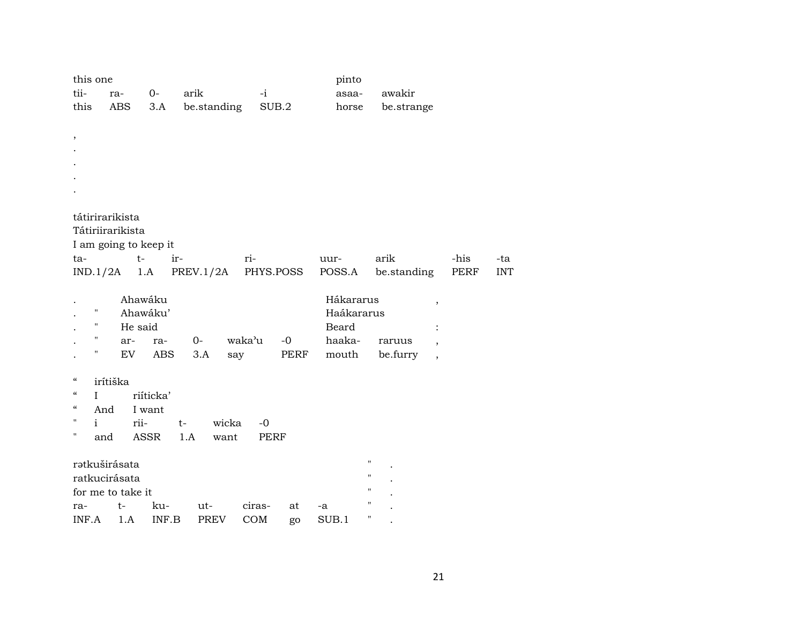|                                        | this one           |                               |           |             |             |           | pinto      |                                      |      |            |
|----------------------------------------|--------------------|-------------------------------|-----------|-------------|-------------|-----------|------------|--------------------------------------|------|------------|
| tii-                                   |                    | ra-                           | $0-$      | arik        | $-i$        |           | asaa-      | awakir                               |      |            |
| this                                   |                    | ABS                           | 3.A       | be.standing |             | SUB.2     | horse      | be.strange                           |      |            |
|                                        |                    |                               |           |             |             |           |            |                                      |      |            |
| $\,$                                   |                    |                               |           |             |             |           |            |                                      |      |            |
|                                        |                    |                               |           |             |             |           |            |                                      |      |            |
|                                        |                    |                               |           |             |             |           |            |                                      |      |            |
|                                        |                    |                               |           |             |             |           |            |                                      |      |            |
|                                        |                    |                               |           |             |             |           |            |                                      |      |            |
|                                        |                    |                               |           |             |             |           |            |                                      |      |            |
|                                        |                    | tátirirarikista               |           |             |             |           |            |                                      |      |            |
|                                        |                    | Tátiriirarikista              |           |             |             |           |            |                                      |      |            |
| ta-                                    |                    | I am going to keep it<br>$t-$ | ir-       |             | ri-         |           | uur-       | arik                                 | -his | -ta        |
|                                        |                    | $IND.1/2A$ 1.A                |           | PREV.1/2A   |             | PHYS.POSS | POSS.A     | be.standing                          | PERF | <b>INT</b> |
|                                        |                    |                               |           |             |             |           |            |                                      |      |            |
|                                        |                    | Ahawáku                       |           |             |             |           | Hákararus  | $\overline{\phantom{a}}$             |      |            |
|                                        | $\pmb{\mathsf{H}}$ | Ahawáku'                      |           |             |             |           | Haákararus |                                      |      |            |
|                                        | $\pmb{\mathsf{H}}$ | He said                       |           |             |             |           | Beard      | $\ddot{\cdot}$                       |      |            |
|                                        | $\pmb{\mathsf{H}}$ | ar-                           | ra-       | $0-$        | waka'u      | $-0$      | haaka-     | raruus<br>$\overline{\phantom{a}}$   |      |            |
|                                        | 11                 | EV                            | ABS       | 3.A         | say         | PERF      | mouth      | be.furry<br>$\overline{\phantom{a}}$ |      |            |
|                                        |                    |                               |           |             |             |           |            |                                      |      |            |
| $\mathcal{C}\mathcal{C}$               | irítiška           |                               |           |             |             |           |            |                                      |      |            |
| $\boldsymbol{\zeta}\boldsymbol{\zeta}$ | $\mathbf{I}$       |                               | riíticka' |             |             |           |            |                                      |      |            |
| $\mathcal{C}\mathcal{C}$<br>11         | And                |                               | I want    |             |             |           |            |                                      |      |            |
| 11                                     | $\mathbf{i}$       | rii-                          | $t-$      | wicka       | $-0$        |           |            |                                      |      |            |
|                                        | and                |                               | ASSR      | 1.A<br>want | <b>PERF</b> |           |            |                                      |      |            |
|                                        |                    | ratkuširásata                 |           |             |             |           |            | $\pmb{\mathsf{H}}$                   |      |            |
|                                        |                    | ratkucirásata                 |           |             |             |           |            | $\pmb{\mathsf{H}}$                   |      |            |
|                                        |                    | for me to take it             |           |             |             |           |            | н                                    |      |            |
| ra-                                    |                    | $t-$                          | ku-       | ut-         | ciras-      | at        | -a         | 11                                   |      |            |
| INF.A                                  |                    | 1.A                           | INF.B     | <b>PREV</b> | COM         | go        | SUB.1      | 11                                   |      |            |
|                                        |                    |                               |           |             |             |           |            |                                      |      |            |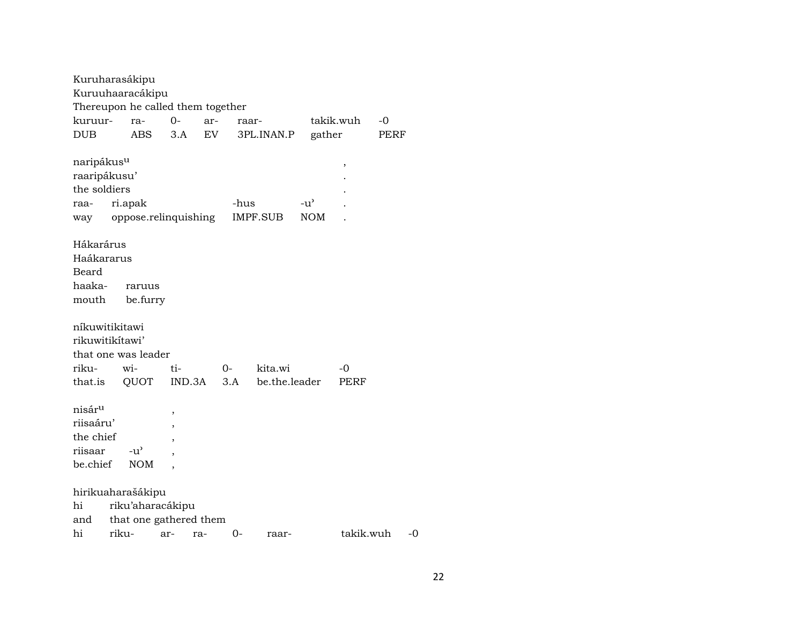| Kuruharasákipu                    |         |               |                          |        |       |               |               |           |      |
|-----------------------------------|---------|---------------|--------------------------|--------|-------|---------------|---------------|-----------|------|
| Kuruuhaaracákipu                  |         |               |                          |        |       |               |               |           |      |
| Thereupon he called them together |         |               |                          |        |       |               |               |           |      |
| kuruur-                           |         | ra-           | $0-$                     | ar-    | raar- |               |               | takik.wuh | $-0$ |
| <b>DUB</b>                        |         | ABS           | 3.A                      | EV     |       | 3PL.INAN.P    | gather        |           | PERF |
|                                   |         |               |                          |        |       |               |               |           |      |
| naripákus <sup>u</sup>            |         |               |                          |        |       |               |               | ,         |      |
| raaripákusu'                      |         |               |                          |        |       |               |               |           |      |
| the soldiers                      |         |               |                          |        |       |               |               |           |      |
| raa-                              | ri.apak |               |                          |        | -hus  |               | $-u^{\prime}$ |           |      |
| way                               |         |               | oppose.relinquishing     |        |       | IMPF.SUB      | <b>NOM</b>    |           |      |
|                                   |         |               |                          |        |       |               |               |           |      |
| Hákarárus                         |         |               |                          |        |       |               |               |           |      |
| Haákararus                        |         |               |                          |        |       |               |               |           |      |
| Beard                             |         |               |                          |        |       |               |               |           |      |
| haaka-                            |         | raruus        |                          |        |       |               |               |           |      |
| mouth                             |         | be.furry      |                          |        |       |               |               |           |      |
|                                   |         |               |                          |        |       |               |               |           |      |
| níkuwitikitawi                    |         |               |                          |        |       |               |               |           |      |
| rikuwitikitawi'                   |         |               |                          |        |       |               |               |           |      |
| that one was leader               |         |               |                          |        |       |               |               |           |      |
| riku-                             |         | wi-           | ti-                      |        | 0-    | kita.wi       |               | $-0$      |      |
| that.is                           |         | QUOT          |                          | IND.3A | 3.A   | be.the.leader |               | PERF      |      |
|                                   |         |               |                          |        |       |               |               |           |      |
| nisár <sup>u</sup>                |         |               | ,                        |        |       |               |               |           |      |
| riisaáru'                         |         |               |                          |        |       |               |               |           |      |
| the chief                         |         |               | $\overline{\phantom{a}}$ |        |       |               |               |           |      |
| riisaar                           |         | $-u^{\prime}$ |                          |        |       |               |               |           |      |
| be.chief                          |         | <b>NOM</b>    |                          |        |       |               |               |           |      |
|                                   |         |               |                          |        |       |               |               |           |      |
| hirikuaharašákipu                 |         |               |                          |        |       |               |               |           |      |
| hi                                |         |               | riku'aharacákipu         |        |       |               |               |           |      |
| and                               |         |               | that one gathered them   |        |       |               |               |           |      |
| hi                                | riku-   |               | ar-                      | ra-    | 0-    | raar-         |               | takik.wuh | -0   |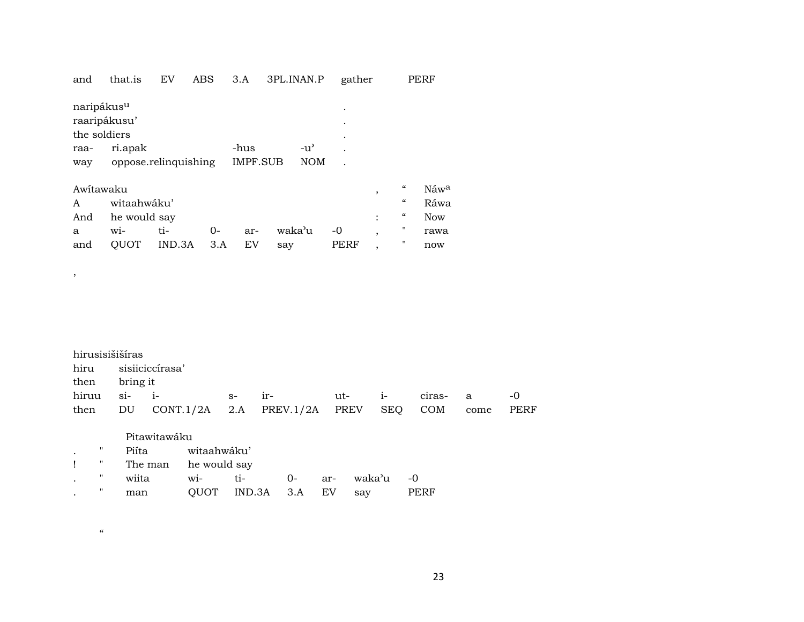| and                                                    | that.is              | EV     | ABS   | 3.A             | 3PL.INAN.P |            | gather                   |                          | PERF       |
|--------------------------------------------------------|----------------------|--------|-------|-----------------|------------|------------|--------------------------|--------------------------|------------|
| naripákus <sup>u</sup><br>raaripákusu'<br>the soldiers |                      |        |       |                 |            | ۰          |                          |                          |            |
| raa-                                                   | ri.apak              |        |       | -hus            |            | -u'        |                          |                          |            |
| way                                                    | oppose.relinquishing |        |       | <b>IMPF.SUB</b> |            | <b>NOM</b> |                          |                          |            |
| Awitawaku                                              |                      |        |       |                 |            |            | ,                        | $\epsilon$               | Náwa       |
| A                                                      | witaahwáku'          |        |       |                 |            |            |                          | $\mathcal{C}\mathcal{C}$ | Ráwa       |
| And                                                    | he would say         |        |       |                 |            |            | ٠                        | "                        | <b>Now</b> |
| a                                                      | wi-                  | ti-    | $O -$ | ar-             | waka'u     | -0         | $\overline{\phantom{a}}$ | п                        | rawa       |
| and                                                    | <b>OUOT</b>          | IND.3A | 3.A   | EV              | say        | PERF       | ,                        | п                        | now        |

 $\overline{\phantom{a}}$ 

 $\alpha$ 

| hirusisišiširas |                                                        |                     |  |  |      |
|-----------------|--------------------------------------------------------|---------------------|--|--|------|
|                 | hiru sisiiciccírasa'                                   |                     |  |  |      |
| then bring it   |                                                        |                     |  |  |      |
|                 |                                                        | ir- ut- i- ciras- a |  |  | $-0$ |
|                 | then DU CONT.1/2A 2.A PREV.1/2A PREV SEQ COM come PERF |                     |  |  |      |

|   | Pitawitawáku         |             |               |      |     |        |      |
|---|----------------------|-------------|---------------|------|-----|--------|------|
| " | Piíta                | witaahwáku' |               |      |     |        |      |
| π | The man he would say |             |               |      |     |        |      |
| " | wiita                | wi-         | ti-           | $0-$ | ar- | waka'u | -0   |
| " | man                  | OUOT        | IND.3A 3.A EV |      |     | say    | PERF |

23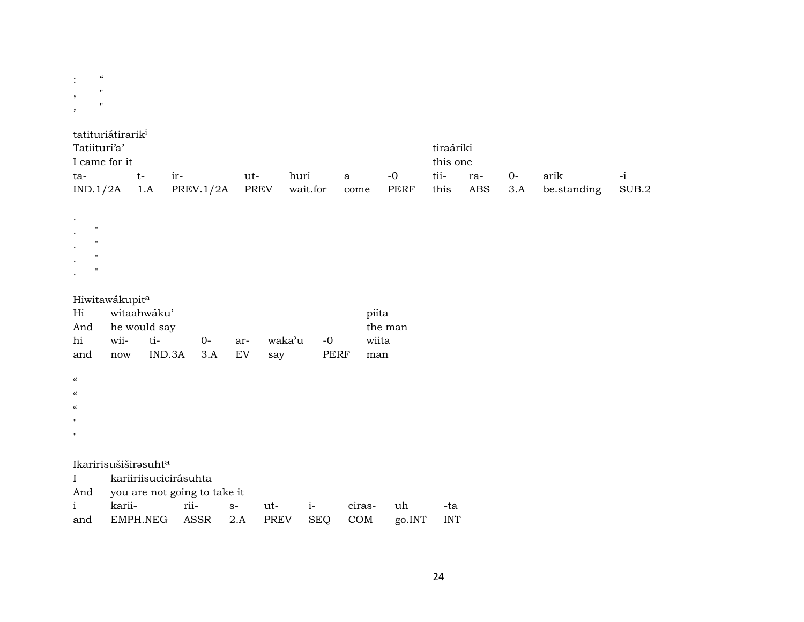| $\ddot{\cdot}$ | $\epsilon$  |  |
|----------------|-------------|--|
| ,              | п           |  |
| ,              | $^{\prime}$ |  |

 $\ddot{\phantom{a}}$ 

 $\ddot{\phantom{a}}$ 

 $\bullet$ 

 $\bullet$ 

 $\cdot$ 

 $\mathbf{u}$ 

 $\mathbf{u}$ 

 $\boldsymbol{\mathsf{H}}$ 

 $\mathbf{u}$ 

| tatituriátirarik <sup>i</sup> |    |                               |     |          |      |      |      |           |       |             |       |  |
|-------------------------------|----|-------------------------------|-----|----------|------|------|------|-----------|-------|-------------|-------|--|
| Tatiiturí'a'                  |    |                               |     |          |      |      |      | tiraáriki |       |             |       |  |
| I came for it                 |    |                               |     |          |      |      |      | this one  |       |             |       |  |
| ta-                           | t- | $ir-$                         | ut- | huri     | a    | $-0$ | tii- | ra-       | $O -$ | arik        | $-1$  |  |
|                               |    | $IND.1/2A$ 1.A PREV.1/2A PREV |     | wait.for | come | PERF | this | ABS 3.A   |       | be.standing | SUB.2 |  |

| Hiwitawákupita |
|----------------|
|----------------|

| Hi                         | witaahwáku'                      |                              |      |      |        |            |        | piíta   |            |
|----------------------------|----------------------------------|------------------------------|------|------|--------|------------|--------|---------|------------|
| And                        | he would say                     |                              |      |      |        |            |        | the man |            |
| hi                         | wii-                             | ti-                          | $0-$ | ar-  | waka'u | -0         |        | wiita   |            |
| and                        | now                              | IND.3A                       | 3.A  | EV   | say    | PERF       |        | man     |            |
|                            |                                  |                              |      |      |        |            |        |         |            |
| $\boldsymbol{\mathcal{C}}$ |                                  |                              |      |      |        |            |        |         |            |
| $\boldsymbol{\mathcal{C}}$ |                                  |                              |      |      |        |            |        |         |            |
| $\boldsymbol{\mathcal{C}}$ |                                  |                              |      |      |        |            |        |         |            |
| $\mathbf{H}$               |                                  |                              |      |      |        |            |        |         |            |
| $\mathbf{H}$               |                                  |                              |      |      |        |            |        |         |            |
|                            |                                  |                              |      |      |        |            |        |         |            |
|                            | Ikaririsušiširəsuht <sup>a</sup> |                              |      |      |        |            |        |         |            |
| $\mathbf{I}$               |                                  | kariiriisucicirásuhta        |      |      |        |            |        |         |            |
| And                        |                                  | you are not going to take it |      |      |        |            |        |         |            |
| $\mathbf{i}$               | karii-                           | rii-                         |      | $S-$ | ut-    | $i-$       | ciras- | uh      | -ta        |
| and                        | EMPH.NEG                         |                              | ASSR | 2.A  | PREV   | <b>SEQ</b> | COM    | go.INT  | <b>INT</b> |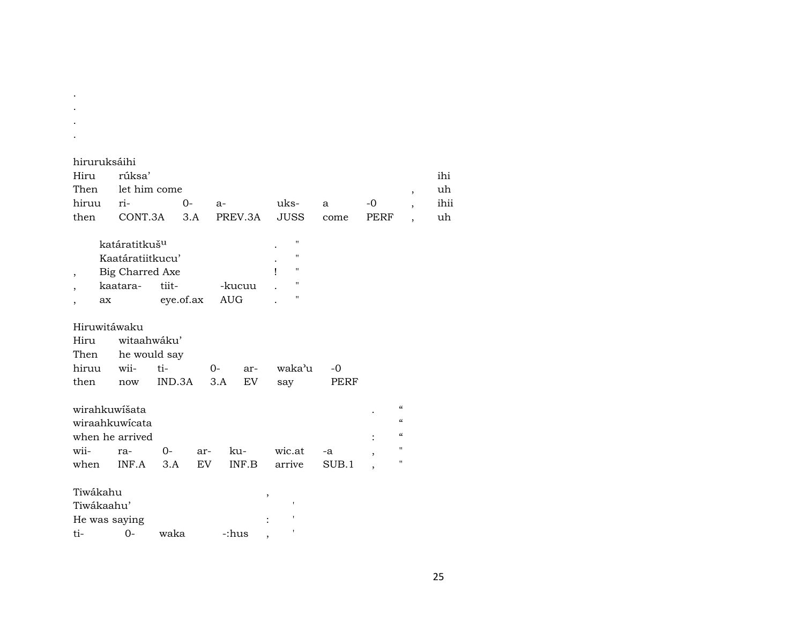| hiruruksáihi |                                          |  |  |  |  |  |  |      |  |
|--------------|------------------------------------------|--|--|--|--|--|--|------|--|
| Hiru rúksa'  |                                          |  |  |  |  |  |  | ihi  |  |
|              | Then let him come                        |  |  |  |  |  |  |      |  |
|              | hiruu ri- $0$ - a- uks- a $-0$ ,         |  |  |  |  |  |  | ihii |  |
|              | then CONT.3A 3.A PREV.3A JUSS come PERF, |  |  |  |  |  |  | uh   |  |

| katáratitkuš <sup>u</sup> |           |        |   | $^{\prime}$ |
|---------------------------|-----------|--------|---|-------------|
| Kaatáratiitkucu'          |           |        | ٠ | $^{\prime}$ |
| Big Charred Axe           |           |        |   | "           |
| kaatara-                  | tiit-     | -kucuu |   | "           |
| aх                        | eye.of.ax | AUG    |   | "           |

## Hiruwitáwaku

. . . .

| Hiru witaahwáku' |                            |  |  |                                  |      |  |  |  |  |
|------------------|----------------------------|--|--|----------------------------------|------|--|--|--|--|
|                  | Then he would say          |  |  |                                  |      |  |  |  |  |
|                  |                            |  |  | hiruu wii- ti-  0- ar- waka'u -0 |      |  |  |  |  |
|                  | then now IND.3A 3.A EV say |  |  |                                  | PERF |  |  |  |  |

| wirahkuwišata   |  |  |                                      |  |            |
|-----------------|--|--|--------------------------------------|--|------------|
| wiraahkuwicata  |  |  |                                      |  | $\epsilon$ |
| when he arrived |  |  |                                      |  |            |
|                 |  |  | wii- ra- 0- ar- ku- wic.at -a        |  |            |
|                 |  |  | when INF.A 3.A EV INF.B arrive SUB.1 |  |            |

| Tiwákahu      |    |      |       |  |
|---------------|----|------|-------|--|
| Tiwákaahu'    |    |      |       |  |
| He was saying |    |      |       |  |
| ti-           | O- | waka | -:hus |  |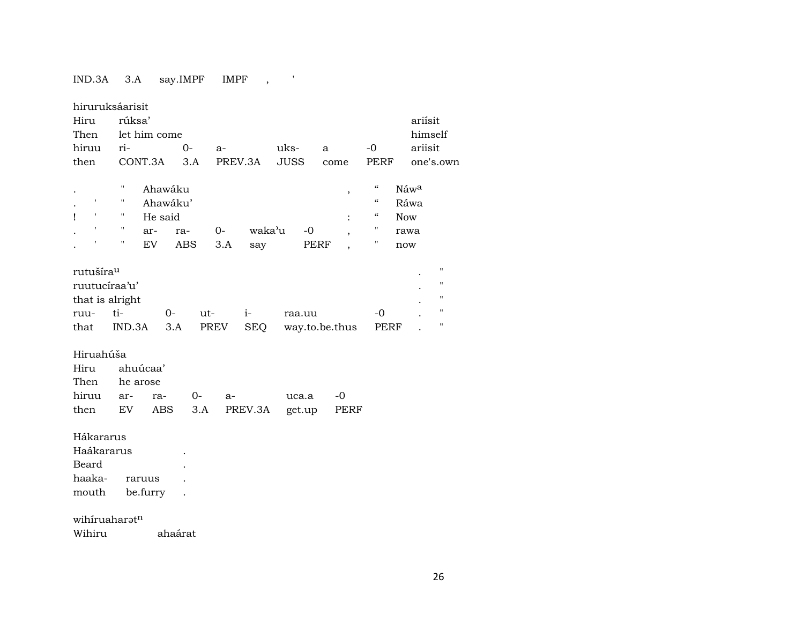$IND.3A$  3.A say.IMPF IMPF ,

| hiruruksáarisit                                                                                                    |  |
|--------------------------------------------------------------------------------------------------------------------|--|
| rúksa'<br>Hiru<br>ariísit                                                                                          |  |
| Then<br>let him come<br>himself                                                                                    |  |
| ariisit<br>hiruu<br>ri-<br>$0-$<br>uks-<br>$-0$<br>$a-$<br>a                                                       |  |
| CONT.3A<br><b>JUSS</b><br>then<br>3.A<br>PREV.3A<br><b>PERF</b><br>one's.own<br>come                               |  |
|                                                                                                                    |  |
| $\mathcal{C}\mathcal{C}$<br>π<br>Ahawáku<br>Náwa<br>$\,$                                                           |  |
| $\boldsymbol{\mathcal{C}}$<br>$\pmb{\mathsf{I}}$<br>Ahawáku'<br>Ráwa                                               |  |
| $\mathbf{r}$<br>$\boldsymbol{\mathcal{C}}$<br>Ţ<br>He said<br><b>Now</b><br>$\ddot{\cdot}$                         |  |
| $\pmb{\mathsf{H}}$<br>$\pmb{\mathsf{r}}$<br>Π.<br>waka'u<br>$-0$<br>0-<br>ra-<br>ar-<br>rawa                       |  |
| 11<br>Ħ<br>EV<br><b>ABS</b><br>3.A<br>PERF<br>say<br>now                                                           |  |
| $\pmb{\mathsf{H}}$                                                                                                 |  |
| rutušíra <sup>u</sup><br>$\pmb{\mathsf{H}}$                                                                        |  |
| ruutucíraa'u'<br>11                                                                                                |  |
| that is alright<br>$\pmb{\mathsf{H}}$<br>ti-<br>$-0$                                                               |  |
| $0-$<br>$i-$<br>ut-<br>ruu-<br>raa.uu<br>$\pmb{\mathsf{H}}$<br>PREV<br>that<br>IND.3A<br>3.A<br><b>SEQ</b><br>PERF |  |
| way.to.be.thus                                                                                                     |  |
| Hiruahúša                                                                                                          |  |
| ahuúcaa'<br>Hiru                                                                                                   |  |
| Then<br>he arose                                                                                                   |  |
| hiruu<br>$O -$<br>$-0$<br>ar-<br>ra-<br>uca.a<br>$a-$                                                              |  |
| EV<br><b>ABS</b><br>PREV.3A<br>then<br>3.A<br><b>PERF</b><br>get.up                                                |  |
|                                                                                                                    |  |
| Hákararus                                                                                                          |  |
| Haákararus                                                                                                         |  |
| Beard                                                                                                              |  |
| haaka-<br>raruus                                                                                                   |  |
| be.furry<br>mouth                                                                                                  |  |
|                                                                                                                    |  |
| wihiruaharatn                                                                                                      |  |
| Wihiru<br>ahaárat                                                                                                  |  |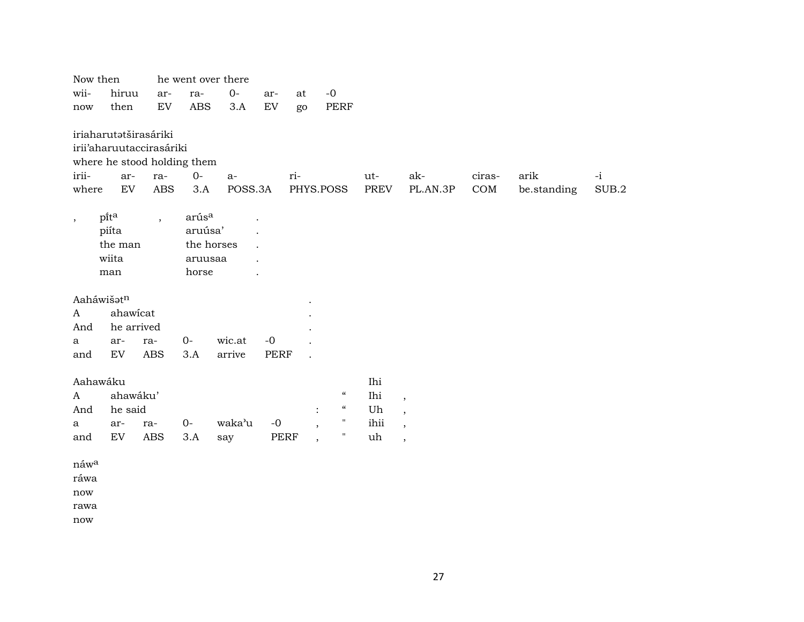| Now then             |            |                             | he went over there |         |             |           |                          |                            |             |                          |        |             |       |
|----------------------|------------|-----------------------------|--------------------|---------|-------------|-----------|--------------------------|----------------------------|-------------|--------------------------|--------|-------------|-------|
| wii-                 | hiruu      | ar-                         | ra-                | $0-$    | ar-         | at        | $-0$                     |                            |             |                          |        |             |       |
| now                  | then       | ${\rm EV}$                  | <b>ABS</b>         | 3.A     | ${\rm EV}$  | go        |                          | <b>PERF</b>                |             |                          |        |             |       |
|                      |            | iriaharutatširasáriki       |                    |         |             |           |                          |                            |             |                          |        |             |       |
|                      |            | irii'aharuutaccirasáriki    |                    |         |             |           |                          |                            |             |                          |        |             |       |
|                      |            | where he stood holding them |                    |         |             |           |                          |                            |             |                          |        |             |       |
| irii-                | ar-        | ra-                         | $0-$               | $a-$    |             | ri-       |                          |                            | ut-         | ak-                      | ciras- | arik        | $-i$  |
| where                | ${\rm EV}$ | ABS                         | 3.A                | POSS.3A |             | PHYS.POSS |                          |                            | <b>PREV</b> | $\rm PL. AN. 3P$         | COM    | be.standing | SUB.2 |
|                      | pita       | $\overline{\phantom{a}}$    | arús <sup>a</sup>  |         |             |           |                          |                            |             |                          |        |             |       |
| $^\mathrm{,}$        | piíta      |                             | aruúsa'            |         |             |           |                          |                            |             |                          |        |             |       |
|                      | the man    |                             | the horses         |         |             |           |                          |                            |             |                          |        |             |       |
|                      | wiita      |                             | aruusaa            |         |             |           |                          |                            |             |                          |        |             |       |
|                      | man        |                             | horse              |         |             |           |                          |                            |             |                          |        |             |       |
|                      |            |                             |                    |         |             |           |                          |                            |             |                          |        |             |       |
| Aaháwišatn           |            |                             |                    |         |             |           |                          |                            |             |                          |        |             |       |
| $\mathbf{A}$         | ahawicat   |                             |                    |         |             |           |                          |                            |             |                          |        |             |       |
| And                  | he arrived |                             |                    |         |             |           |                          |                            |             |                          |        |             |       |
| a                    | ar-        | ra-                         | 0-                 | wic.at  | $-0$        |           |                          |                            |             |                          |        |             |       |
| and                  | EV         | <b>ABS</b>                  | 3.A                | arrive  | <b>PERF</b> |           |                          |                            |             |                          |        |             |       |
| Aahawáku             |            |                             |                    |         |             |           |                          |                            | Ihi         |                          |        |             |       |
| A                    | ahawáku'   |                             |                    |         |             |           |                          | $\boldsymbol{\mathcal{C}}$ | Ihi         | $\overline{\phantom{a}}$ |        |             |       |
| And                  | he said    |                             |                    |         |             |           | $\ddot{\cdot}$           | $\boldsymbol{\mathcal{G}}$ | Uh          | $\overline{\phantom{a}}$ |        |             |       |
| a                    | ar-        | ra-                         | 0-                 | waka'u  | $-0$        |           | $\overline{\phantom{a}}$ | $\pmb{\mathsf{H}}$         | ihii        | $\,$                     |        |             |       |
| and                  | EV         | <b>ABS</b>                  | 3.A                | say     |             | PERF      | $\overline{\phantom{a}}$ | $\pmb{\mathsf{H}}$         | uh          | $\overline{\phantom{a}}$ |        |             |       |
| náw <sup>a</sup>     |            |                             |                    |         |             |           |                          |                            |             |                          |        |             |       |
| ráwa                 |            |                             |                    |         |             |           |                          |                            |             |                          |        |             |       |
| $\operatorname{now}$ |            |                             |                    |         |             |           |                          |                            |             |                          |        |             |       |
| rawa                 |            |                             |                    |         |             |           |                          |                            |             |                          |        |             |       |
| now                  |            |                             |                    |         |             |           |                          |                            |             |                          |        |             |       |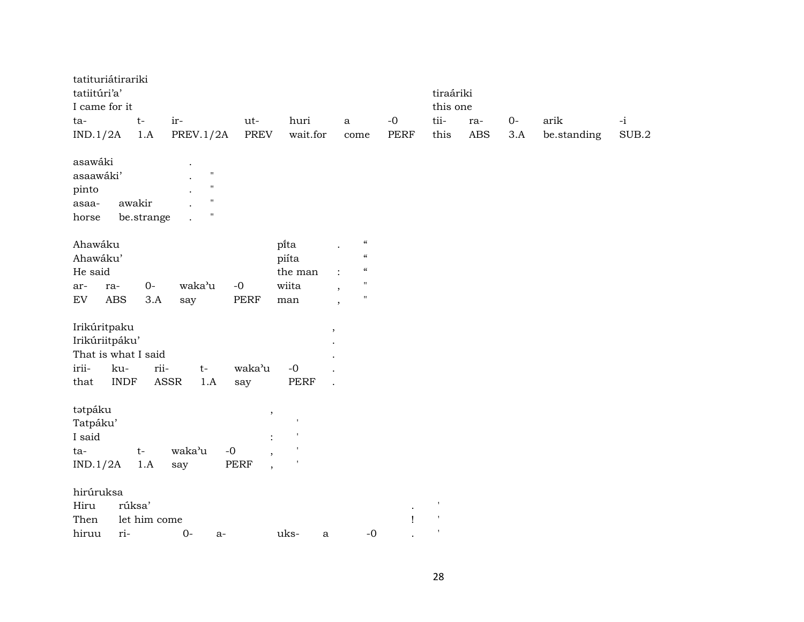| tatituriátirariki   |             |              |                  |                                         |                      |                                                |               |              |            |      |             |       |
|---------------------|-------------|--------------|------------------|-----------------------------------------|----------------------|------------------------------------------------|---------------|--------------|------------|------|-------------|-------|
| tatiitúri'a'        |             |              |                  |                                         |                      |                                                |               | tiraáriki    |            |      |             |       |
| I came for it       |             |              |                  |                                         |                      |                                                |               | this one     |            |      |             |       |
| ta-                 |             | $t-$         | ir-              | ut-                                     | huri                 | $\mathbf{a}$                                   | $-0$          | tii-         | ra-        | $0-$ | arik        | $-i$  |
| IND.1/2A            |             | 1.A          | <b>PREV.1/2A</b> | <b>PREV</b>                             | wait.for             | come                                           | <b>PERF</b>   | this         | <b>ABS</b> | 3.A  | be.standing | SUB.2 |
| asawáki             |             |              | $\bullet$        |                                         |                      |                                                |               |              |            |      |             |       |
| asaawáki'           |             |              | $\mathbf{H}$     |                                         |                      |                                                |               |              |            |      |             |       |
| pinto               |             |              | $\mathbf H$      |                                         |                      |                                                |               |              |            |      |             |       |
| asaa-               |             | awakir       | $\mathbf{H}$     |                                         |                      |                                                |               |              |            |      |             |       |
| horse               |             | be.strange   | $\mathbf{H}$     |                                         |                      |                                                |               |              |            |      |             |       |
| Ahawáku             |             |              |                  |                                         | pi̇̃ta               | $\epsilon\epsilon$                             |               |              |            |      |             |       |
| Ahawáku'            |             |              |                  |                                         | piíta                | $\mathcal{C}$                                  |               |              |            |      |             |       |
| He said             |             |              |                  |                                         | the man              | $\boldsymbol{\zeta}\boldsymbol{\zeta}$         |               |              |            |      |             |       |
| ar-                 | ra-         | $0-$         | waka'u           | $-{\bf 0}$                              | wiita                | $\pmb{\mathsf{H}}$<br>$\overline{\phantom{a}}$ |               |              |            |      |             |       |
| EV                  | <b>ABS</b>  | 3.A          | say              | PERF                                    | man                  | $\pmb{\mathsf{H}}$<br>$\overline{\phantom{a}}$ |               |              |            |      |             |       |
| Irikúritpaku        |             |              |                  |                                         |                      | $\overline{\phantom{a}}$                       |               |              |            |      |             |       |
| Irikúriitpáku'      |             |              |                  |                                         |                      |                                                |               |              |            |      |             |       |
| That is what I said |             |              |                  |                                         |                      |                                                |               |              |            |      |             |       |
| irii-               | ku-         | rii-         | $t-$             | waka'u                                  | $-0$                 |                                                |               |              |            |      |             |       |
| that                | <b>INDF</b> |              | ASSR<br>1.A      | say                                     | PERF                 |                                                |               |              |            |      |             |       |
| tətpáku             |             |              |                  | $\,$                                    |                      |                                                |               |              |            |      |             |       |
| Tatpáku'            |             |              |                  |                                         | ,                    |                                                |               |              |            |      |             |       |
| I said              |             |              |                  | $\ddot{\cdot}$                          |                      |                                                |               |              |            |      |             |       |
| ta-                 |             | $t-$         | waka'u           | $-0$<br>$\overline{\phantom{a}}$        | $\pmb{\mathsf{I}}$   |                                                |               |              |            |      |             |       |
| IND.1/2A            |             | 1.A          | say              | <b>PERF</b><br>$\overline{\phantom{a}}$ | $\,$ 1               |                                                |               |              |            |      |             |       |
| hirúruksa           |             |              |                  |                                         |                      |                                                |               |              |            |      |             |       |
| Hiru                | rúksa'      |              |                  |                                         |                      |                                                |               | $\mathsf{I}$ |            |      |             |       |
| Then                |             | let him come |                  |                                         |                      |                                                | $\mathbf{I}%$ | $\mathsf I$  |            |      |             |       |
| hiruu               | ri-         |              | $0-$<br>a-       |                                         | uks-<br>$\mathbf{a}$ | $-0$                                           |               |              |            |      |             |       |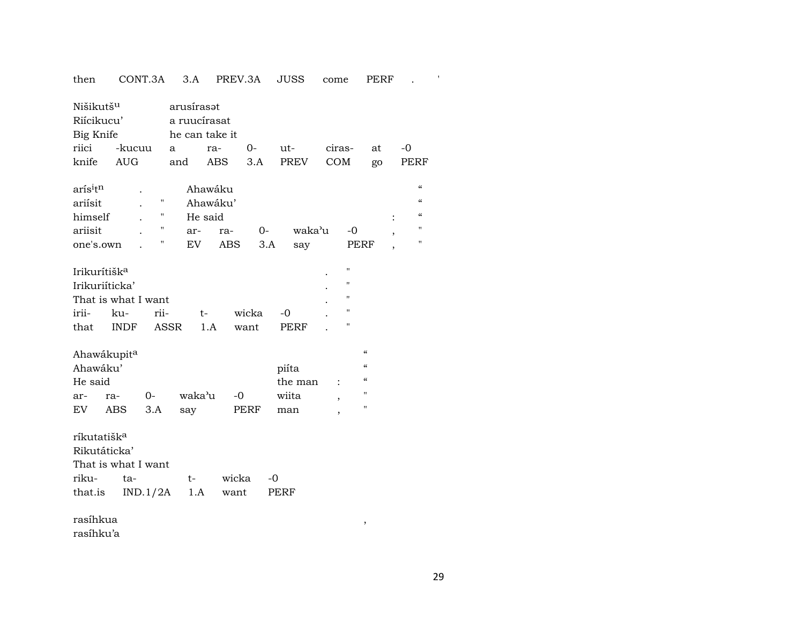| then                                                                               |                    | CONT.3A             | 3.A                                          | PREV.3A  |               | <b>JUSS</b>         | come                     |                          | <b>PERF</b> |                                        |  |
|------------------------------------------------------------------------------------|--------------------|---------------------|----------------------------------------------|----------|---------------|---------------------|--------------------------|--------------------------|-------------|----------------------------------------|--|
| Nišikutš <sup>u</sup><br>Riícikucu'<br>Big Knife                                   |                    |                     | arusírasot<br>a ruucírasat<br>he can take it |          |               |                     |                          |                          |             |                                        |  |
|                                                                                    |                    |                     |                                              |          |               |                     |                          |                          |             |                                        |  |
| riici                                                                              | -kucuu             |                     | a                                            | ra-      | $0-$          | ut-                 | ciras-                   |                          | at          | $-0$                                   |  |
| knife                                                                              | <b>AUG</b>         |                     | and                                          | ABS      | 3.A           | <b>PREV</b>         | COM                      |                          | go          | PERF                                   |  |
| arís <sup>i</sup> t <sup>n</sup><br>ariísit                                        |                    | $\pmb{\mathsf{H}}$  | Ahawáku                                      | Ahawáku' |               |                     |                          |                          |             | $\epsilon\epsilon$<br>$\epsilon$       |  |
| himself                                                                            |                    | 11                  | He said                                      |          |               |                     |                          |                          |             | $\boldsymbol{\zeta}\boldsymbol{\zeta}$ |  |
| ariisit                                                                            |                    | $\pmb{\mathsf{H}}$  | ar-                                          | ra-      | $O-$          | waka'u              |                          | -0                       |             | 11                                     |  |
| one's.own                                                                          |                    | Ħ                   | EV                                           | ABS      | 3.A           | say                 |                          | PERF                     |             | $\pmb{\mathsf{H}}$                     |  |
| Irikurítišk <sup>a</sup><br>Irikuriíticka'<br>That is what I want<br>irii-<br>that | ku-<br><b>INDF</b> | rii-<br><b>ASSR</b> | $t-$<br>1.A                                  |          | wicka<br>want | $-0$<br><b>PERF</b> |                          | 11<br>"<br>н<br>П<br>П   |             |                                        |  |
| Ahawákupita                                                                        |                    |                     |                                              |          |               |                     |                          | $\pmb{\zeta}\pmb{\zeta}$ |             |                                        |  |
| Ahawáku'                                                                           |                    |                     |                                              |          |               | piíta               |                          | $\pmb{\zeta}\pmb{\zeta}$ |             |                                        |  |
| He said                                                                            |                    |                     |                                              |          |               | the man             |                          | $\mathcal{C}$            |             |                                        |  |
| ar-                                                                                | ra-                | $0-$                | waka'u                                       | $-0$     |               | wiita               | $\overline{\phantom{a}}$ | $\pmb{\mathsf{H}}$       |             |                                        |  |
| EV                                                                                 | ABS                | 3.A                 | say                                          |          | PERF          | man                 | ,                        | $\pmb{\mathsf{H}}$       |             |                                        |  |
| ríkutatišk <sup>a</sup><br>Rikutáticka'<br>That is what I want<br>riku-            | ta-                |                     | $t-$                                         | wicka    |               | $-0$                |                          |                          |             |                                        |  |
|                                                                                    |                    |                     | 1.A                                          |          |               | PERF                |                          |                          |             |                                        |  |
| that.is                                                                            |                    | IND.1/2A            |                                              | want     |               |                     |                          |                          |             |                                        |  |
| rasíhkua                                                                           |                    |                     |                                              |          |               |                     |                          | ,                        |             |                                        |  |

rasíhku'a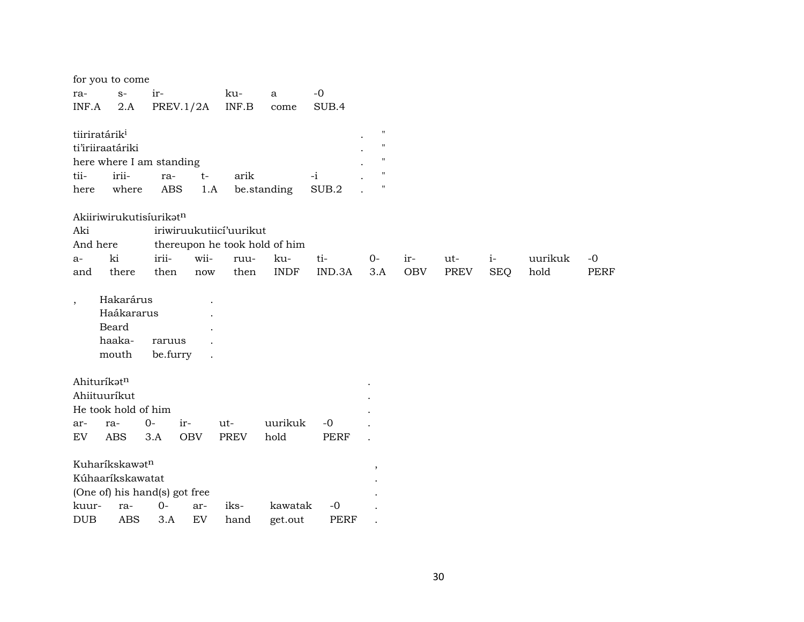| for you to come                                                                                                |                     |
|----------------------------------------------------------------------------------------------------------------|---------------------|
| $-0$<br>$S-$<br>ir-<br>ku-<br>ra-<br>a                                                                         |                     |
| INF.B<br>INF.A<br>PREV.1/2A<br>SUB.4<br>2.A<br>come                                                            |                     |
|                                                                                                                |                     |
| $\pmb{\mathsf{H}}$<br>tiiriratárik <sup>i</sup>                                                                |                     |
| $\pmb{\mathsf{H}}$<br>ti'iriiraatáriki                                                                         |                     |
| $^{\prime}$<br>here where I am standing                                                                        |                     |
| irii-<br>tii-<br>$-i$<br>arik<br>ra-<br>$t-$                                                                   |                     |
| $\pmb{\mathsf{H}}$<br>be.standing<br>SUB.2<br>where<br><b>ABS</b><br>1.A<br>here                               |                     |
| Akiiriwirukutisíurikatn                                                                                        |                     |
| Aki<br>iriwiruukutiicí'uurikut                                                                                 |                     |
| And here<br>thereupon he took hold of him                                                                      |                     |
| ki<br>irii-<br>wii-<br>$i-$<br>ku-<br>ti-<br>$0-$<br>ir-<br>ut-<br>ruu-<br>a-                                  | $-0$<br>uurikuk     |
| <b>SEQ</b><br>there<br>then<br>then<br><b>INDF</b><br>IND.3A<br>3.A<br><b>OBV</b><br><b>PREV</b><br>and<br>now | hold<br><b>PERF</b> |
|                                                                                                                |                     |
| Hakarárus<br>$\cdot$                                                                                           |                     |
| Haákararus                                                                                                     |                     |
| Beard                                                                                                          |                     |
| haaka-<br>raruus                                                                                               |                     |
| be.furry<br>mouth                                                                                              |                     |
|                                                                                                                |                     |
| Ahituríkatn                                                                                                    |                     |
| Ahiituuríkut                                                                                                   |                     |
| He took hold of him                                                                                            |                     |
| uurikuk<br>$0-$<br>ir-<br>$ut-$<br>$-0$<br>ar-<br>ra-                                                          |                     |
| <b>ABS</b><br><b>OBV</b><br><b>PREV</b><br>hold<br>EV<br>3.A<br><b>PERF</b>                                    |                     |
| Kuharíkskawatn                                                                                                 |                     |
| $\overline{\phantom{a}}$<br>Kúhaaríkskawatat                                                                   |                     |
| (One of) his hand(s) got free                                                                                  |                     |
| $O -$<br>kawatak<br>kuur-<br>ra-<br>iks-<br>$-0$<br>ar-                                                        |                     |
| EV<br><b>ABS</b><br><b>DUB</b><br>3.A<br><b>PERF</b><br>hand<br>get.out                                        |                     |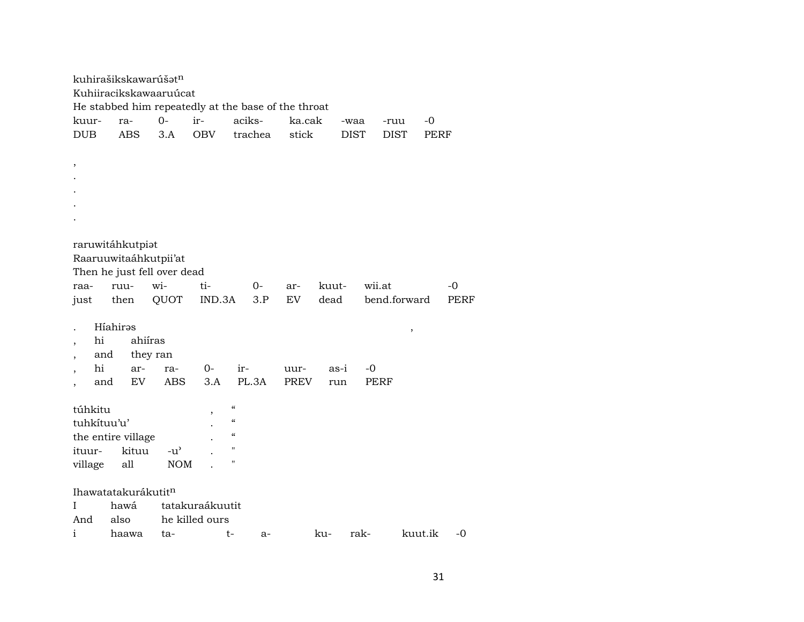|                          |     | kuhirašikskawarúšat <sup>n</sup> |                             |                                                     |                                        |         |             |       |             |             |              |      |
|--------------------------|-----|----------------------------------|-----------------------------|-----------------------------------------------------|----------------------------------------|---------|-------------|-------|-------------|-------------|--------------|------|
| Kuhiiracikskawaaruúcat   |     |                                  |                             |                                                     |                                        |         |             |       |             |             |              |      |
|                          |     |                                  |                             | He stabbed him repeatedly at the base of the throat |                                        |         |             |       |             |             |              |      |
| kuur-                    |     | ra-                              | $0-$                        | ir-                                                 | aciks-                                 |         | ka.cak      |       | -waa        | -ruu        | -0           |      |
| <b>DUB</b>               |     | <b>ABS</b>                       | 3.A                         | <b>OBV</b>                                          |                                        | trachea | stick       |       | <b>DIST</b> | <b>DIST</b> | <b>PERF</b>  |      |
|                          |     |                                  |                             |                                                     |                                        |         |             |       |             |             |              |      |
| $\, ,$                   |     |                                  |                             |                                                     |                                        |         |             |       |             |             |              |      |
|                          |     |                                  |                             |                                                     |                                        |         |             |       |             |             |              |      |
|                          |     |                                  |                             |                                                     |                                        |         |             |       |             |             |              |      |
|                          |     |                                  |                             |                                                     |                                        |         |             |       |             |             |              |      |
|                          |     |                                  |                             |                                                     |                                        |         |             |       |             |             |              |      |
|                          |     |                                  |                             |                                                     |                                        |         |             |       |             |             |              |      |
|                          |     | raruwitáhkutpiat                 |                             |                                                     |                                        |         |             |       |             |             |              |      |
|                          |     | Raaruuwitaáhkutpii'at            |                             |                                                     |                                        |         |             |       |             |             |              |      |
|                          |     |                                  | Then he just fell over dead |                                                     |                                        |         |             |       |             |             |              |      |
| raa-                     |     | ruu-                             | wi-                         | ti-                                                 |                                        | $0-$    | ar-         | kuut- |             | wii.at      |              | -0   |
| just                     |     | then                             | QUOT                        | IND.3A                                              |                                        | 3.P     | EV          | dead  |             |             | bend.forward | PERF |
|                          |     |                                  |                             |                                                     |                                        |         |             |       |             |             |              |      |
|                          |     | Híahiras                         |                             |                                                     |                                        |         |             |       |             |             | $\,$         |      |
| hi                       |     | ahiíras                          |                             |                                                     |                                        |         |             |       |             |             |              |      |
| ,                        | and | they ran                         |                             |                                                     |                                        |         |             |       |             |             |              |      |
| hi                       |     | ar-                              | ra-                         | $0-$                                                | ir-                                    |         | uur-        |       | as-i        | -0          |              |      |
| $\overline{\phantom{a}}$ | and | EV                               | ABS                         | 3.A                                                 |                                        | PL.3A   | <b>PREV</b> |       | run         | PERF        |              |      |
|                          |     |                                  |                             |                                                     | $\boldsymbol{\zeta}\boldsymbol{\zeta}$ |         |             |       |             |             |              |      |
| túhkitu<br>tuhkítuu'u'   |     |                                  |                             | $\overline{\phantom{a}}$                            | $\mathcal{C}\mathcal{C}$               |         |             |       |             |             |              |      |
|                          |     |                                  |                             |                                                     | $\epsilon\epsilon$                     |         |             |       |             |             |              |      |
| ituur-                   |     | the entire village<br>kituu      | $-u^{\prime}$               |                                                     | $\pmb{\mathsf{H}}$                     |         |             |       |             |             |              |      |
|                          |     |                                  |                             |                                                     | н                                      |         |             |       |             |             |              |      |
| village                  |     | all                              | <b>NOM</b>                  |                                                     |                                        |         |             |       |             |             |              |      |
|                          |     |                                  |                             |                                                     |                                        |         |             |       |             |             |              |      |
|                          |     | Ihawatatakurákutitn              |                             |                                                     |                                        |         |             |       |             |             |              |      |
| L<br>And                 |     | hawá<br>also                     |                             | tatakuraákuutit<br>he killed ours                   |                                        |         |             |       |             |             |              |      |
|                          |     |                                  |                             |                                                     |                                        |         |             |       |             |             |              |      |
| i                        |     | haawa                            | ta-                         |                                                     | t-                                     | a-      |             | ku-   | rak-        |             | kuut.ik      | $-0$ |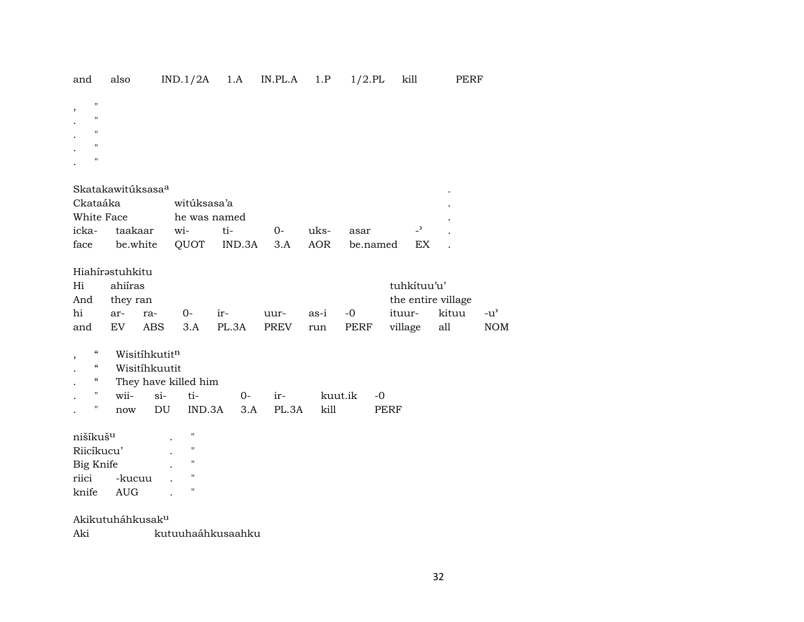| and                                                                                 | also                                                       | IND.1/2A             | 1.A          | IN.PL.A      | 1.P         | $1/2$ .PL       | kill                                                   | PERF         |                      |
|-------------------------------------------------------------------------------------|------------------------------------------------------------|----------------------|--------------|--------------|-------------|-----------------|--------------------------------------------------------|--------------|----------------------|
| $\mathbf{H}$<br>,<br>11<br>$\mathbf{H}$<br>$\pmb{\mathsf{H}}$<br>$\bar{\mathbf{H}}$ |                                                            |                      |              |              |             |                 |                                                        |              |                      |
|                                                                                     | Skatakawitúksasa <sup>a</sup>                              |                      |              |              |             |                 |                                                        |              |                      |
| Ckataáka                                                                            |                                                            | witúksasa'a          |              |              |             |                 |                                                        |              |                      |
| White Face                                                                          |                                                            | he was named         |              |              |             |                 |                                                        |              |                      |
| icka-                                                                               | taakaar                                                    | wi-                  | ti-          | $0-$         | uks-        | asar            | $\overline{a}$                                         |              |                      |
| face                                                                                | be.white                                                   | QUOT                 | IND.3A       | 3.A          | AOR         | be.named        | EX                                                     |              |                      |
| Hi<br>And<br>hi<br>and                                                              | Hiahírastuhkitu<br>ahiíras<br>they ran<br>ar-<br>ra-<br>EV | $O-$<br>ABS<br>3.A   | ir-<br>PL.3A | uur-<br>PREV | as-i<br>run | $-0$<br>PERF    | tuhkítuu'u'<br>the entire village<br>ituur-<br>village | kituu<br>all | $-u^{\prime}$<br>NOM |
| $\boldsymbol{\mathcal{C}}$<br>$\overline{\phantom{a}}$                              | Wisitíhkutitn                                              |                      |              |              |             |                 |                                                        |              |                      |
| $\boldsymbol{\mathcal{C}}$                                                          | Wisitíhkuutit                                              |                      |              |              |             |                 |                                                        |              |                      |
| $\epsilon\epsilon$                                                                  |                                                            | They have killed him |              |              |             |                 |                                                        |              |                      |
| п.                                                                                  | wii-                                                       | $si-$<br>ti-         | $0-$         | ir-          |             | kuut.ik<br>$-0$ |                                                        |              |                      |
| 11                                                                                  | now                                                        | DU<br>IND.3A         | 3.A          | PL.3A        | kill        |                 | <b>PERF</b>                                            |              |                      |
| nišíkuš <sup>u</sup>                                                                |                                                            | 11                   |              |              |             |                 |                                                        |              |                      |
| Riicíkucu'                                                                          |                                                            | $\pmb{\mathsf{H}}$   |              |              |             |                 |                                                        |              |                      |
| Big Knife                                                                           |                                                            | 11                   |              |              |             |                 |                                                        |              |                      |
| riici                                                                               | -kucuu                                                     | 11                   |              |              |             |                 |                                                        |              |                      |
| knife                                                                               | <b>AUG</b>                                                 | "                    |              |              |             |                 |                                                        |              |                      |
|                                                                                     | Akikutuháhkusak <sup>u</sup>                               |                      |              |              |             |                 |                                                        |              |                      |

Aki kutuuhaáhkusaahku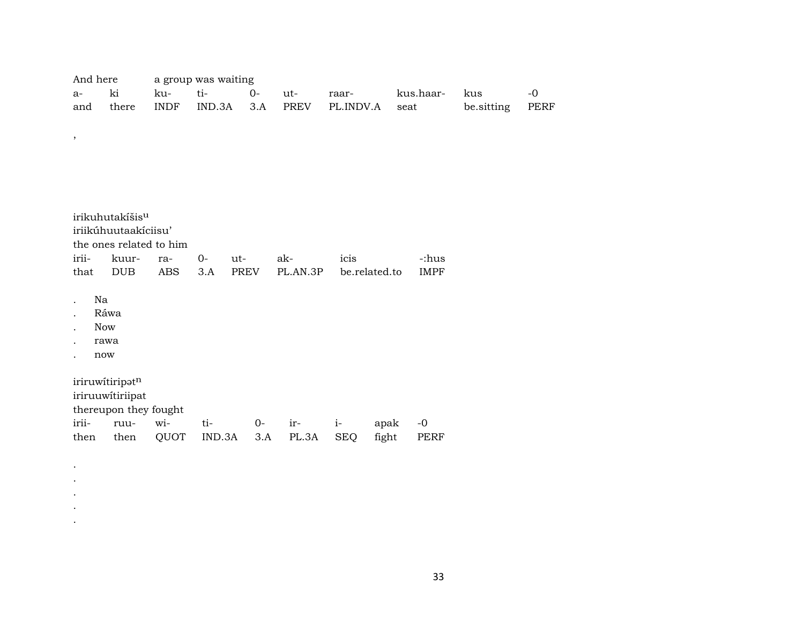| And here a group was waiting |  |  |  |                                               |               |                 |       |
|------------------------------|--|--|--|-----------------------------------------------|---------------|-----------------|-------|
|                              |  |  |  | raar-                                         | kus.haar- kus |                 | $-()$ |
|                              |  |  |  | and there INDF IND.3A 3.A PREV PL.INDV.A seat |               | be.sitting PERF |       |

| irikuhutakíšis <sup>u</sup><br>iriikúhuutaakíciisu'<br>the ones related to him |                                         |     |      |             |          |               |             |  |  |  |  |
|--------------------------------------------------------------------------------|-----------------------------------------|-----|------|-------------|----------|---------------|-------------|--|--|--|--|
| irii-                                                                          | kuur-                                   | ra- | $0-$ | ut-         | ak-      | icis          | -:hus       |  |  |  |  |
| that                                                                           | <b>DUB</b>                              | ABS | 3.A  | <b>PREV</b> | PL.AN.3P | be.related.to | <b>IMPF</b> |  |  |  |  |
|                                                                                | Na<br>Ráwa<br><b>Now</b><br>rawa<br>now |     |      |             |          |               |             |  |  |  |  |
| iriruwitiripatn                                                                |                                         |     |      |             |          |               |             |  |  |  |  |

,

iriruuwítiriipat

. . . . .

thereupon they fought<br>irii- ruu- wi-

irii- ruu- wi- ti- 0- ir- i- apak -0 then then QUOT IND.3A 3.A PL.3A SEQ fight PERF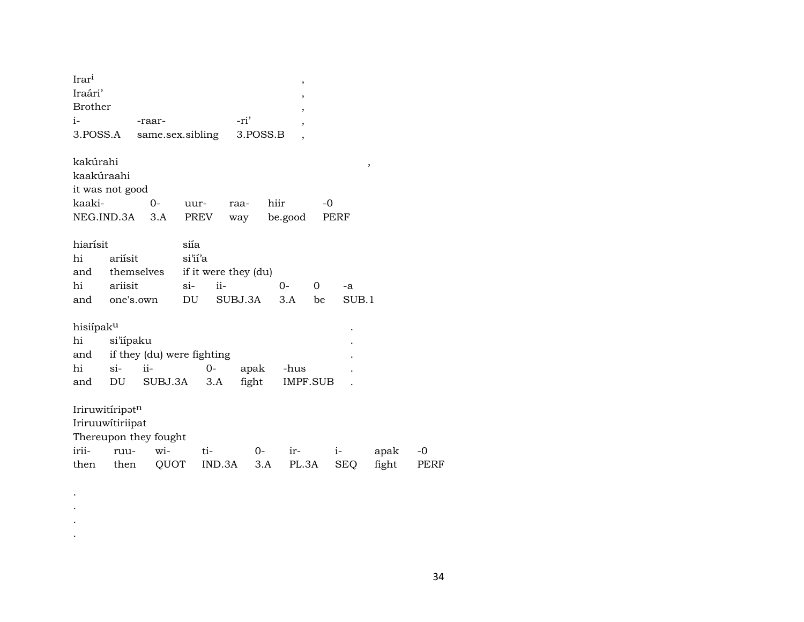| Irar <sup>i</sup> |           |                            |         |        |                      |      | $\, ,$                   |          |       |       |
|-------------------|-----------|----------------------------|---------|--------|----------------------|------|--------------------------|----------|-------|-------|
| Iraári'           |           |                            |         |        |                      |      | ,                        |          |       |       |
| <b>Brother</b>    |           |                            |         |        |                      |      | ,                        |          |       |       |
| $i-$              |           | -raar-                     |         |        | -ri'                 |      | $\overline{\phantom{a}}$ |          |       |       |
| 3.POSS.A          |           | same.sex.sibling           |         |        | 3.POSS.B             |      | $\overline{\phantom{a}}$ |          |       |       |
| kakúrahi          |           |                            |         |        |                      |      |                          |          |       |       |
| kaakúraahi        |           |                            |         |        |                      |      |                          |          | ,     |       |
| it was not good   |           |                            |         |        |                      |      |                          |          |       |       |
| kaaki-            |           | 0-                         | uur-    |        | raa-                 | hiir |                          | -0       |       |       |
| NEG.IND.3A        |           | 3.A                        | PREV    |        | way                  |      | be.good                  |          | PERF  |       |
| hiarísit          |           |                            | siía    |        |                      |      |                          |          |       |       |
| hi                | ariísit   |                            | si'ii'a |        |                      |      |                          |          |       |       |
| and               |           | themselves                 |         |        | if it were they (du) |      |                          |          |       |       |
| hi                | ariisit   |                            | $\sin$  | $ii-$  |                      | $0-$ |                          | $\Omega$ | -a    |       |
| and one's.own     |           |                            | DU      |        | SUBJ.3A              |      | 3.A                      | be       | SUB.1 |       |
| hisiípaku         |           |                            |         |        |                      |      |                          |          |       |       |
| hi                | si'iípaku |                            |         |        |                      |      |                          |          |       |       |
| and               |           | if they (du) were fighting |         |        |                      |      |                          |          |       |       |
| hi                | $si$ -    | ii-                        |         | $0-$   | apak -hus            |      |                          |          |       |       |
| and               | DU        | SUBJ.3A                    |         | 3.A    | fight                |      | IMPF.SUB                 |          |       |       |
|                   |           |                            |         |        |                      |      |                          |          |       |       |
| Iriruwitíripatn   |           |                            |         |        |                      |      |                          |          |       |       |
| Iriruuwitiriipat  |           |                            |         |        |                      |      |                          |          |       |       |
|                   |           | Thereupon they fought      |         |        |                      |      |                          |          |       |       |
| irii-             | ruu-      | wi-                        |         | ti-    | $O-$                 |      | ir-                      |          | $i-$  | apak  |
| then then         |           | QUOT                       |         | IND.3A |                      | 3.A  | PL.3A                    |          | SEQ   | fight |
|                   |           |                            |         |        |                      |      |                          |          |       |       |

 $\sim$  $\sim$  $\sim$  $\sim$ 

 $34$ 

 $\mbox{-}0$ PERF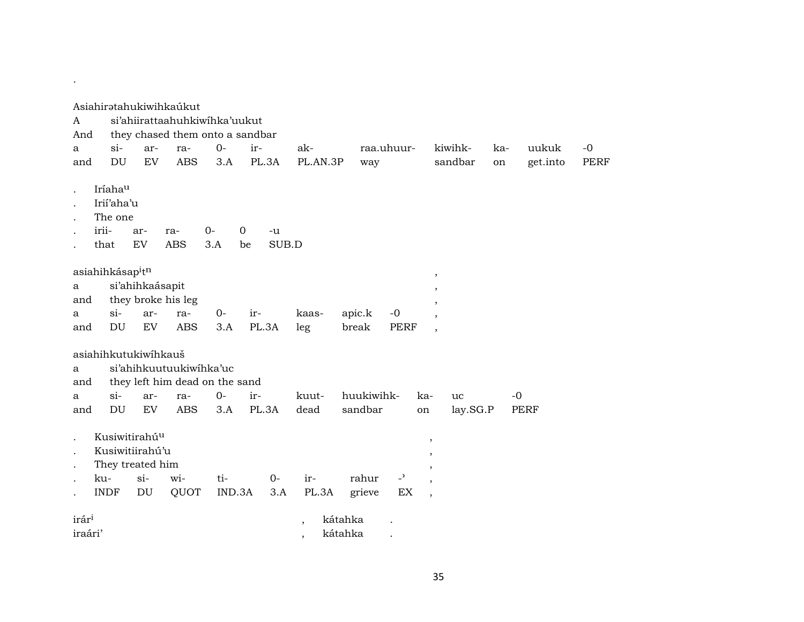| A<br>And          |                                                                                        |                 | Asiahiratahukiwihkaúkut<br>si'ahiirattaahuhkiwihka'uukut<br>they chased them onto a sandbar |               |         |             |                          |         |                 |                      |                                     |          |     |             |             |
|-------------------|----------------------------------------------------------------------------------------|-----------------|---------------------------------------------------------------------------------------------|---------------|---------|-------------|--------------------------|---------|-----------------|----------------------|-------------------------------------|----------|-----|-------------|-------------|
| a                 | $si$ -                                                                                 | ar-             | ra-                                                                                         | $0-$          | ir-     |             | ak-                      |         | raa.uhuur-      |                      |                                     | kiwihk-  | ka- | uukuk       | $-0$        |
| and               | DU                                                                                     | EV              | <b>ABS</b>                                                                                  | 3.A           |         | PL.3A       | PL.AN.3P                 |         | way             |                      |                                     | sandbar  | on  | get.into    | <b>PERF</b> |
|                   | Iríahau<br>Irii'aha'u<br>The one<br>irii-<br>that                                      | ar-<br>EV       | ra-<br><b>ABS</b>                                                                           | $0-$<br>3.A   | 0<br>be | -u<br>SUB.D |                          |         |                 |                      |                                     |          |     |             |             |
| a<br>and          | asiahihkásap <sup>i</sup> t <sup>n</sup>                                               | si'ahihkaásapit | they broke his leg                                                                          |               |         |             |                          |         |                 |                      | $\cdot$<br>$\overline{\phantom{a}}$ |          |     |             |             |
| a                 | $si$ -                                                                                 | ar-             | ra-                                                                                         | $O-$          | ir-     |             | kaas-                    |         | apic.k          | $-0$                 |                                     |          |     |             |             |
| and               | DU                                                                                     | EV              | <b>ABS</b>                                                                                  | 3.A           |         | PL.3A       | leg                      |         | break           | <b>PERF</b>          | $\overline{\phantom{a}}$            |          |     |             |             |
|                   | asiahihkutukiwihkauš                                                                   |                 |                                                                                             |               |         |             |                          |         |                 |                      |                                     |          |     |             |             |
| a                 |                                                                                        |                 | si'ahihkuutuukiwihka'uc                                                                     |               |         |             |                          |         |                 |                      |                                     |          |     |             |             |
| and               |                                                                                        |                 | they left him dead on the sand                                                              |               |         |             |                          |         |                 |                      |                                     |          |     |             |             |
| a                 | $si$ -                                                                                 | ar-             | ra-                                                                                         | $0 -$         | ir-     |             | kuut-                    |         | huukiwihk-      |                      | ka-                                 | uc       |     | $-0$        |             |
| and               | DU                                                                                     | EV              | <b>ABS</b>                                                                                  | 3.A           |         | PL.3A       | dead                     |         | sandbar         |                      | on                                  | lay.SG.P |     | <b>PERF</b> |             |
|                   | Kusiwitirahú <sup>u</sup><br>Kusiwitiirahú'u<br>They treated him<br>ku-<br><b>INDF</b> | $si-$<br>DU     | wi-<br>QUOT                                                                                 | ti-<br>IND.3A |         | $0-$<br>3.A | ir-<br>PL.3A             |         | rahur<br>grieve | $\overline{a}$<br>EX | $\, ,$<br>$\cdot$                   |          |     |             |             |
| irár <sup>i</sup> |                                                                                        |                 |                                                                                             |               |         |             | $\overline{\phantom{a}}$ | kátahka |                 |                      |                                     |          |     |             |             |
| iraári'           |                                                                                        |                 |                                                                                             |               |         |             |                          | kátahka |                 |                      |                                     |          |     |             |             |

.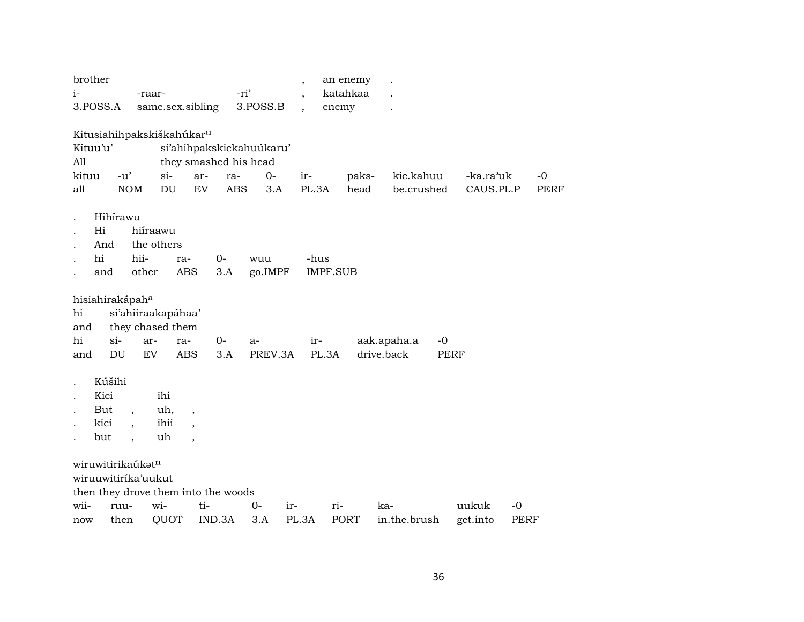| brother<br>$i-$<br>-raar-<br>3.POSS.A<br>same.sex.sibling                                       |                                         |                                                                           | -ri'              | 3.POSS.B                                 | $\overline{\phantom{a}}$<br>enemy | an enemy<br>katahkaa |                                   |                                     |                     |
|-------------------------------------------------------------------------------------------------|-----------------------------------------|---------------------------------------------------------------------------|-------------------|------------------------------------------|-----------------------------------|----------------------|-----------------------------------|-------------------------------------|---------------------|
| Kitusiahihpakskiškahúkar <sup>u</sup><br>Kítuu'u'<br>All<br>kituu<br>$-u'$<br><b>NOM</b><br>all |                                         | they smashed his head<br>$si-$<br>ar-<br>$\mathop{\rm DU}\nolimits$<br>EV | ra-<br><b>ABS</b> | si'ahihpakskickahuúkaru'<br>$O -$<br>3.A | ir-<br>PL.3A                      | paks-<br>head        | kic.kahuu<br>be.crushed           | -ka.ra <sup>,</sup> uk<br>CAUS.PL.P | $-0$<br><b>PERF</b> |
| Hihírawu<br>Hi<br>And<br>hi<br>and                                                              | hiíraawu<br>the others<br>hii-<br>other | ra-<br>ABS                                                                | $0-$<br>3.A       | wuu<br>go.IMPF                           | -hus<br><b>IMPF.SUB</b>           |                      |                                   |                                     |                     |
| hisiahirakápah <sup>a</sup><br>hi<br>and<br>$si-$<br>hi<br>DU<br>and                            | ar-<br>EV                               | si'ahiiraakapáhaa'<br>they chased them<br>ra-<br><b>ABS</b>               | 0-<br>3.A         | a-<br>PREV.3A                            | ir-<br>PL.3A                      |                      | aak.apaha.a<br>$-0$<br>drive.back | PERF                                |                     |
| Kúšihi<br>Kici<br>But<br>kici<br>but                                                            | ihi<br>$\cdot$<br>$\cdot$               | uh,<br>$\cdot$<br>ihii<br>uh<br>$\overline{\phantom{a}}$                  |                   |                                          |                                   |                      |                                   |                                     |                     |
| wiruwitirikaúkatn<br>wiruuwitiríka'uukut<br>then they drove them into the woods<br>wii-<br>ruu- | wi-                                     | ti-                                                                       |                   | $0-$<br>ir-                              | ri-                               |                      | ka-                               | uukuk<br>$-0$                       |                     |
| then<br>now                                                                                     |                                         | QUOT                                                                      | IND.3A            | 3.A                                      | PL.3A                             | <b>PORT</b>          | in.the.brush                      | get.into                            | PERF                |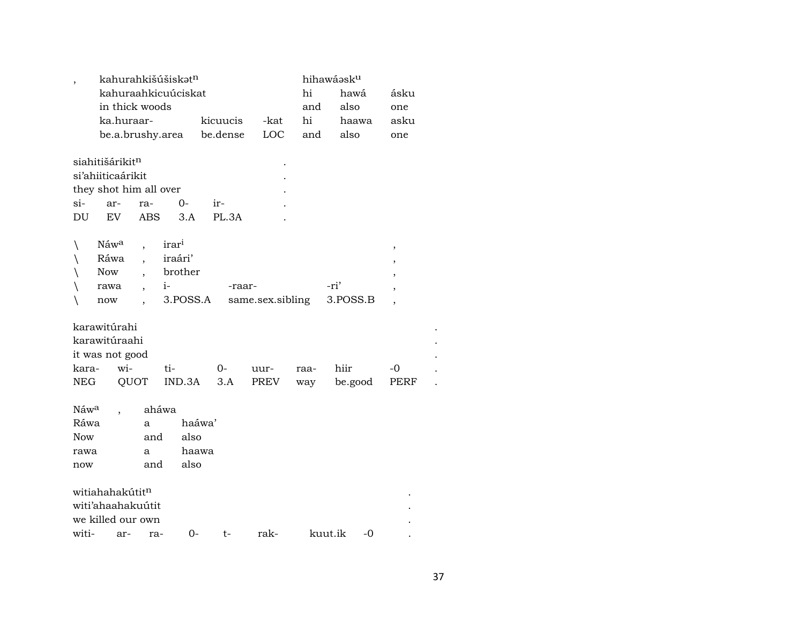|                  |                             |      |                      | kahurahkišúšiskət <sup>n</sup> |          |                  |      | hihawáasku |          |    |                          |  |
|------------------|-----------------------------|------|----------------------|--------------------------------|----------|------------------|------|------------|----------|----|--------------------------|--|
|                  |                             |      |                      | kahuraahkicuúciskat            |          |                  |      | hi         | hawá     |    | ásku                     |  |
|                  | in thick woods              |      |                      |                                |          |                  |      | and        | also     |    | one                      |  |
|                  | ka.huraar-                  |      |                      |                                | kicuucis |                  | -kat | hi         | haawa    |    | asku                     |  |
|                  |                             |      |                      | be.a.brushy.area               | be.dense |                  | LOC  | and        | also     |    | one                      |  |
|                  |                             |      |                      |                                |          |                  |      |            |          |    |                          |  |
|                  | siahitišárikitn             |      |                      |                                |          |                  |      |            |          |    |                          |  |
|                  | si'ahiiticaárikit           |      |                      |                                |          |                  |      |            |          |    |                          |  |
|                  | they shot him all over      |      |                      |                                |          |                  |      |            |          |    |                          |  |
| $si-$            | ar-                         |      | ra-                  | 0-                             | ir-      |                  |      |            |          |    |                          |  |
| DU               | EV                          |      | <b>ABS</b>           | 3.A                            | PL.3A    |                  |      |            |          |    |                          |  |
|                  |                             |      |                      |                                |          |                  |      |            |          |    |                          |  |
| $\setminus$      | Náw <sup>a</sup>            |      |                      | irar <sup>i</sup>              |          |                  |      |            |          |    | $\, ,$                   |  |
| $\setminus$      | Ráwa                        |      | $\ddot{\phantom{0}}$ | iraári'                        |          |                  |      |            |          |    | ,                        |  |
| $\backslash$     | Now                         |      |                      | brother                        |          |                  |      |            |          |    |                          |  |
| $\setminus$      | rawa                        |      |                      | $i-$                           |          | -raar-           |      | -ri'       |          |    |                          |  |
| $\setminus$      | now                         |      |                      | 3.POSS.A                       |          | same.sex.sibling |      |            | 3.POSS.B |    | $\overline{\phantom{a}}$ |  |
|                  |                             |      |                      |                                |          |                  |      |            |          |    |                          |  |
|                  | karawitúrahi                |      |                      |                                |          |                  |      |            |          |    |                          |  |
|                  | karawitúraahi               |      |                      |                                |          |                  |      |            |          |    |                          |  |
|                  | it was not good             |      |                      |                                |          |                  |      |            |          |    |                          |  |
| kara-            |                             | wi-  |                      | ti-                            | 0-       | uur-             |      | raa-       | hiir     |    | -0                       |  |
| <b>NEG</b>       |                             | QUOT |                      | IND.3A                         | 3.A      | PREV             |      | way        | be.good  |    | PERF                     |  |
|                  |                             |      |                      |                                |          |                  |      |            |          |    |                          |  |
| Náw <sup>a</sup> |                             |      | aháwa                |                                |          |                  |      |            |          |    |                          |  |
| Ráwa             |                             |      | a                    |                                | haáwa'   |                  |      |            |          |    |                          |  |
| <b>Now</b>       |                             |      | and                  | also                           |          |                  |      |            |          |    |                          |  |
| rawa             |                             |      | a                    |                                | haawa    |                  |      |            |          |    |                          |  |
| now              |                             |      | and                  | also                           |          |                  |      |            |          |    |                          |  |
|                  |                             |      |                      |                                |          |                  |      |            |          |    |                          |  |
|                  | witiahahakútit <sup>n</sup> |      |                      |                                |          |                  |      |            |          |    |                          |  |
|                  | witi'ahaahakuutit           |      |                      |                                |          |                  |      |            |          |    |                          |  |
|                  | we killed our own           |      |                      |                                |          |                  |      |            |          |    |                          |  |
| witi-            |                             |      | ar- ra-              | 0-                             | t-       | rak-             |      | kuut.ik    |          | -0 |                          |  |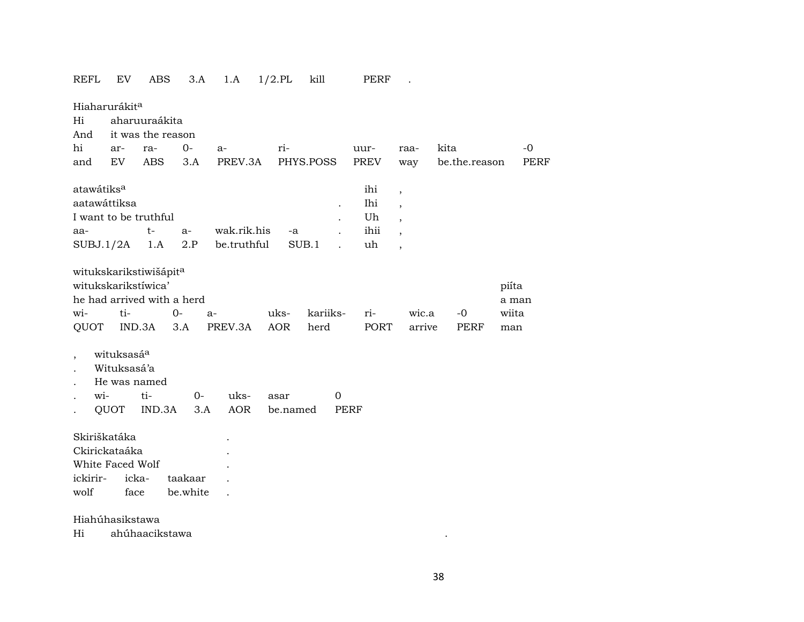| REFL                                                                                                   | EV                     | ABS               |             | 3.A   | 1.A         | $1/2$ .PL   | kill             |              | PERF        |                          |      |                     |                                |             |
|--------------------------------------------------------------------------------------------------------|------------------------|-------------------|-------------|-------|-------------|-------------|------------------|--------------|-------------|--------------------------|------|---------------------|--------------------------------|-------------|
| Hiaharurákit <sup>a</sup>                                                                              |                        |                   |             |       |             |             |                  |              |             |                          |      |                     |                                |             |
| Hi                                                                                                     |                        | aharuuraákita     |             |       |             |             |                  |              |             |                          |      |                     |                                |             |
| And                                                                                                    |                        | it was the reason |             |       |             |             |                  |              |             |                          |      |                     |                                |             |
| hi                                                                                                     | ar-                    | ra-               | $0-$        |       | $a-$        | ri-         |                  |              | uur-        | raa-                     | kita |                     |                                | $-0$        |
| and                                                                                                    | EV                     | ABS               | 3.A         |       | PREV.3A     |             | PHYS.POSS        |              | PREV        | way                      |      | be.the.reason       |                                | <b>PERF</b> |
| atawátiks <sup>a</sup>                                                                                 |                        |                   |             |       |             |             |                  |              | ihi         | $\overline{\phantom{a}}$ |      |                     |                                |             |
| aatawáttiksa                                                                                           |                        |                   |             |       |             |             |                  | $\cdot$      | Ihi         | $\overline{\phantom{a}}$ |      |                     |                                |             |
| I want to be truthful                                                                                  |                        |                   |             |       |             |             |                  |              | Uh          | $\ddot{\phantom{0}}$     |      |                     |                                |             |
| aa-                                                                                                    |                        | $t-$              | $a-$        |       | wak.rik.his | -a          |                  | $\mathbf{r}$ | ihii        |                          |      |                     |                                |             |
| SUBJ.1/2A                                                                                              |                        | 1.A               | 2.P         |       | be.truthful |             | SUB.1            |              | uh          | $\overline{\phantom{a}}$ |      |                     |                                |             |
| witukskarikstiwišápit <sup>a</sup><br>witukskarikstíwica'<br>he had arrived with a herd<br>wi-<br>QUOT | ti-                    | IND.3A            | $0-$<br>3.A | $a-$  | PREV.3A     | uks-<br>AOR | kariiks-<br>herd |              | ri-<br>PORT | wic.a<br>arrive          |      | $-0$<br><b>PERF</b> | piíta<br>a man<br>wiita<br>man |             |
| $\overline{\phantom{a}}$                                                                               | wituksasá <sup>a</sup> |                   |             |       |             |             |                  |              |             |                          |      |                     |                                |             |
|                                                                                                        | Wituksasá'a            |                   |             |       |             |             |                  |              |             |                          |      |                     |                                |             |
|                                                                                                        | He was named           |                   |             |       |             |             |                  |              |             |                          |      |                     |                                |             |
| wi-                                                                                                    |                        | ti-               |             | $O -$ | uks-        | asar        |                  | $\mathbf 0$  |             |                          |      |                     |                                |             |
|                                                                                                        | <b>QUOT</b>            | IND.3A            |             | 3.A   | <b>AOR</b>  | be.named    |                  | <b>PERF</b>  |             |                          |      |                     |                                |             |
| Skiriškatáka                                                                                           |                        |                   |             |       |             |             |                  |              |             |                          |      |                     |                                |             |
| Ckirickataáka                                                                                          |                        |                   |             |       |             |             |                  |              |             |                          |      |                     |                                |             |
| White Faced Wolf                                                                                       |                        |                   |             |       |             |             |                  |              |             |                          |      |                     |                                |             |
| ickirir-                                                                                               |                        | icka-             | taakaar     |       |             |             |                  |              |             |                          |      |                     |                                |             |
| wolf                                                                                                   | face                   |                   | be.white    |       |             |             |                  |              |             |                          |      |                     |                                |             |
|                                                                                                        |                        |                   |             |       |             |             |                  |              |             |                          |      |                     |                                |             |

Hiahúhasikstawa

Hi ahúhaacikstawa .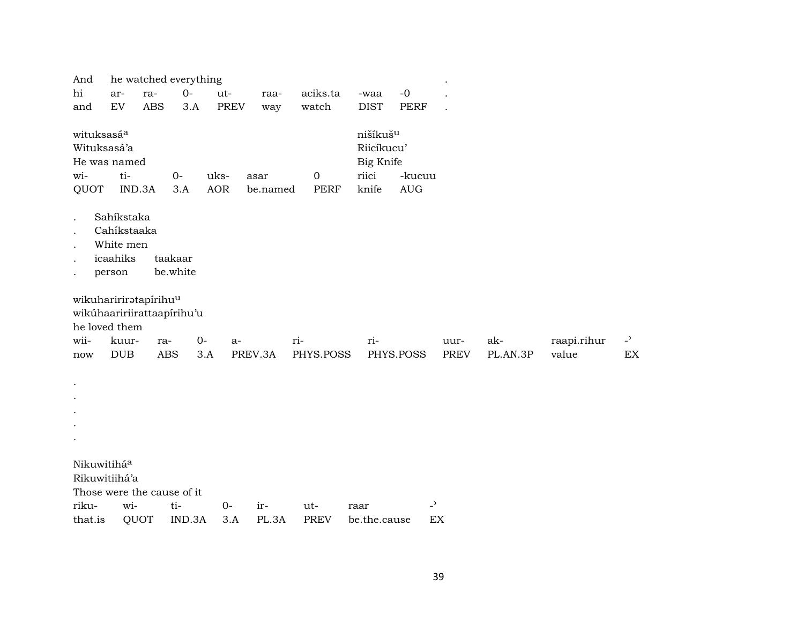| And                                      |                                                                                      |            | he watched everything |                    |                  |                          |                                                                   |                                            | $\bullet$           |                 |                      |                      |
|------------------------------------------|--------------------------------------------------------------------------------------|------------|-----------------------|--------------------|------------------|--------------------------|-------------------------------------------------------------------|--------------------------------------------|---------------------|-----------------|----------------------|----------------------|
| hi                                       | ar-                                                                                  | ra-        | $0-$                  | ut-                | raa-             | aciks.ta                 | -waa                                                              | $-0$                                       |                     |                 |                      |                      |
| and                                      | ${\rm EV}$                                                                           | <b>ABS</b> | 3.A                   | <b>PREV</b>        | way              | watch                    | <b>DIST</b>                                                       | PERF                                       |                     |                 |                      |                      |
| wituksasáa<br>Wituksasá'a<br>wi-<br>QUOT | He was named<br>ti-<br>IND.3A                                                        |            | $O -$<br>3.A          | uks-<br><b>AOR</b> | asar<br>be.named | $\boldsymbol{0}$<br>PERF | nišíkuš <sup>u</sup><br>Riicíkucu'<br>Big Knife<br>riici<br>knife | -kucuu<br>$\mathbf{A}\mathbf{U}\mathbf{G}$ |                     |                 |                      |                      |
|                                          | Sahíkstaka<br>Cahíkstaaka<br>White men<br>icaahiks<br>person                         |            | taakaar<br>be.white   |                    |                  |                          |                                                                   |                                            |                     |                 |                      |                      |
| wii-<br>now                              | wikuhaririratapirihuu<br>wikúhaaririirattaapírihu'u<br>he loved them<br>kuur-<br>DUB | ra-        | $0-$<br><b>ABS</b>    | a-<br>3.A          | PREV.3A          | ri-<br>PHYS.POSS         | ri-                                                               | PHYS.POSS                                  | uur-<br><b>PREV</b> | ak-<br>PL.AN.3P | raapi.rihur<br>value | $\overline{a}$<br>EX |
|                                          |                                                                                      |            |                       |                    |                  |                          |                                                                   |                                            |                     |                 |                      |                      |
| Nikuwitiháa                              | Rikuwitiihá'a<br>Those were the cause of it                                          |            |                       |                    |                  |                          |                                                                   |                                            |                     |                 |                      |                      |
| riku-                                    | wi-                                                                                  |            | ti-                   | $O -$              | ir-              | ut-                      | raar                                                              | $\overline{\phantom{0}}$                   |                     |                 |                      |                      |
| that.is                                  | QUOT                                                                                 |            | IND.3A                | 3.A                | PL.3A            | <b>PREV</b>              | be.the.cause                                                      |                                            | EX                  |                 |                      |                      |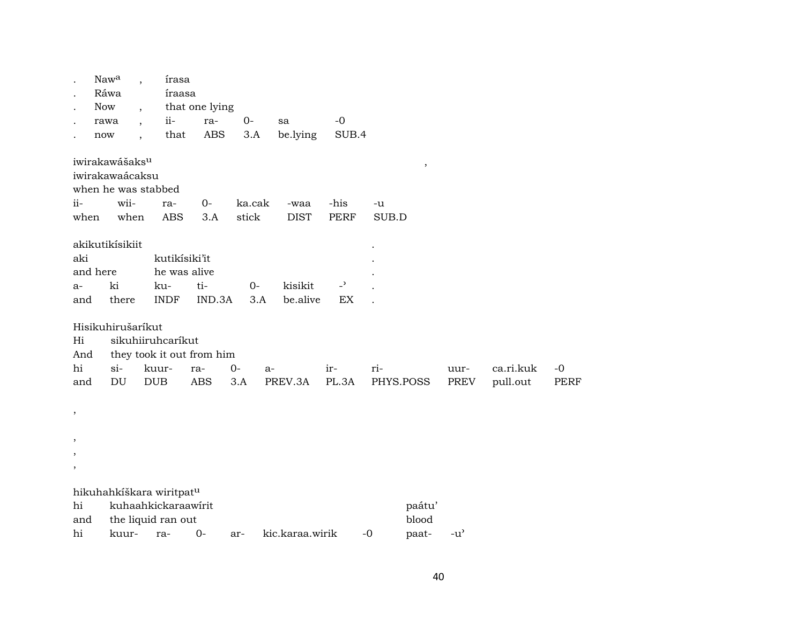|               | Nawa                       | $\overline{\phantom{a}}$ | írasa                                |                           |        |                 |                |       |           |                                     |           |             |
|---------------|----------------------------|--------------------------|--------------------------------------|---------------------------|--------|-----------------|----------------|-------|-----------|-------------------------------------|-----------|-------------|
|               | Ráwa                       |                          | íraasa                               |                           |        |                 |                |       |           |                                     |           |             |
|               | <b>Now</b>                 |                          |                                      | that one lying            |        |                 |                |       |           |                                     |           |             |
|               | rawa                       | $\cdot$                  | $ii -$                               | ra-                       | $0-$   | sa              | $-0$           |       |           |                                     |           |             |
|               | now                        | $\ddot{\phantom{0}}$     | that                                 | <b>ABS</b>                | 3.A    | be.lying        | SUB.4          |       |           |                                     |           |             |
|               | iwirakawášaks <sup>u</sup> |                          |                                      |                           |        |                 |                |       | $\, ,$    |                                     |           |             |
|               | iwirakawaácaksu            |                          |                                      |                           |        |                 |                |       |           |                                     |           |             |
|               |                            |                          | when he was stabbed                  |                           |        |                 |                |       |           |                                     |           |             |
| ii-           |                            | wii-                     | ra-                                  | $0-$                      | ka.cak | -waa            | -his           | -u    |           |                                     |           |             |
| when          |                            | when                     | <b>ABS</b>                           | 3.A                       | stick  | <b>DIST</b>     | <b>PERF</b>    | SUB.D |           |                                     |           |             |
|               | akikutikísikiit            |                          |                                      |                           |        |                 |                |       |           |                                     |           |             |
| aki           |                            |                          |                                      | kutikísiki'it             |        |                 |                |       |           |                                     |           |             |
|               | and here                   |                          |                                      | he was alive              |        |                 |                |       |           |                                     |           |             |
| a-            | ki                         |                          | ku-                                  | ti-                       | $0-$   | kisikit         | $\overline{a}$ |       |           |                                     |           |             |
| and           |                            | there                    | <b>INDF</b>                          | IND.3A                    | 3.A    | be.alive        | EX             |       |           |                                     |           |             |
|               | Hisikuhirušaríkut          |                          |                                      |                           |        |                 |                |       |           |                                     |           |             |
| Hi            |                            |                          | sikuhiiruhcaríkut                    |                           |        |                 |                |       |           |                                     |           |             |
| And           |                            |                          |                                      | they took it out from him |        |                 |                |       |           |                                     |           |             |
| hi            | si-                        |                          | kuur-                                | ra-                       | $0-$   | $a-$            | ir-            | ri-   |           | uur-                                | ca.ri.kuk | $-0$        |
| and           | $\mathop{\rm DU}\nolimits$ |                          | <b>DUB</b>                           | <b>ABS</b>                | 3.A    | PREV.3A         | PL.3A          |       | PHYS.POSS | PREV                                | pull.out  | <b>PERF</b> |
| $\, ,$        |                            |                          |                                      |                           |        |                 |                |       |           |                                     |           |             |
|               |                            |                          |                                      |                           |        |                 |                |       |           |                                     |           |             |
| $\, ,$        |                            |                          |                                      |                           |        |                 |                |       |           |                                     |           |             |
| $\,$          |                            |                          |                                      |                           |        |                 |                |       |           |                                     |           |             |
| $^\mathrm{,}$ |                            |                          |                                      |                           |        |                 |                |       |           |                                     |           |             |
|               |                            |                          | hikuhahkíškara wiritpat <sup>u</sup> |                           |        |                 |                |       |           |                                     |           |             |
| hi            |                            |                          | kuhaahkickaraawirit                  |                           |        |                 |                |       | paátu'    |                                     |           |             |
| and           |                            |                          | the liquid ran out                   |                           |        |                 |                |       | blood     |                                     |           |             |
| hi            |                            | kuur-                    | ra-                                  | $0-$                      | ar-    | kic.karaa.wirik |                | $-0$  | paat-     | $-u$ <sup><math>\prime</math></sup> |           |             |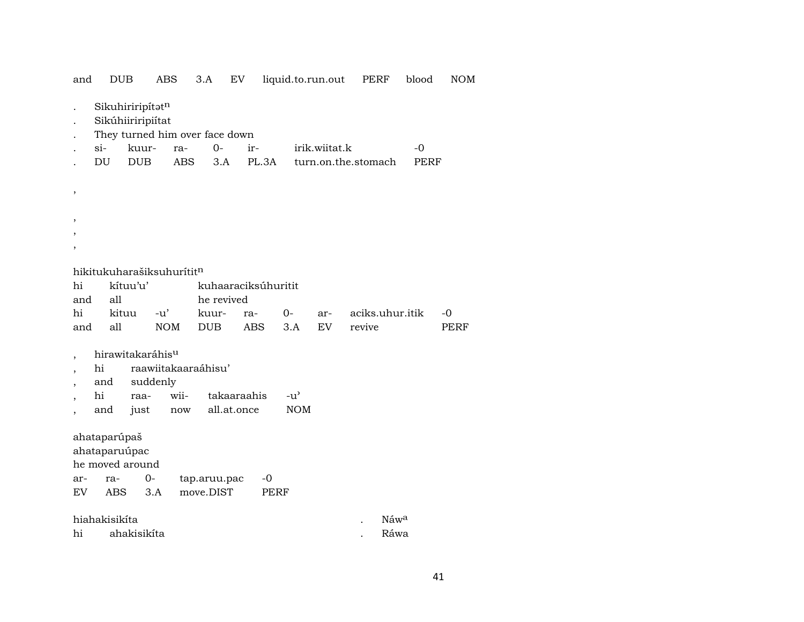| and                      |                        | <b>DUB</b>                                   | ABS                                                             | 3.A          | EV                         |                     | liquid.to.run.out | PERF                        | blood       | <b>NOM</b>  |
|--------------------------|------------------------|----------------------------------------------|-----------------------------------------------------------------|--------------|----------------------------|---------------------|-------------------|-----------------------------|-------------|-------------|
|                          |                        | Sikuhiriripítatn<br>Sikúhiiriripiítat        | They turned him over face down                                  |              |                            |                     |                   |                             |             |             |
|                          | $si-$                  | kuur-                                        | ra-                                                             | $0 -$        | ir-                        |                     | irik.wiitat.k     |                             | $-0$        |             |
|                          | DU                     | ${\rm DUB}$                                  | <b>ABS</b>                                                      | 3.A          |                            | PL.3A               |                   | turn.on.the.stomach         | <b>PERF</b> |             |
| ,                        |                        |                                              |                                                                 |              |                            |                     |                   |                             |             |             |
|                          |                        |                                              |                                                                 |              |                            |                     |                   |                             |             |             |
| ,                        |                        |                                              |                                                                 |              |                            |                     |                   |                             |             |             |
|                          |                        |                                              | hikitukuharašiksuhurítit <sup>n</sup>                           |              |                            |                     |                   |                             |             |             |
| hi<br>and                | all                    | kítuu'u'                                     |                                                                 | he revived   |                            | kuhaaraciksúhuritit |                   |                             |             |             |
| hi                       |                        | kituu                                        | $-u'$                                                           | kuur-        | ra-                        | $0-$                | ar-               | aciks.uhur.itik             |             | $-0$        |
| and                      | all                    |                                              | <b>NOM</b>                                                      | <b>DUB</b>   | <b>ABS</b>                 | 3.A                 | <b>EV</b>         | revive                      |             | <b>PERF</b> |
| $\overline{\phantom{a}}$ | hi<br>and<br>hi<br>and | hirawitakaráhis <sup>u</sup><br>raa-<br>just | raawiitakaaraáhisu'<br>suddenly<br>wii-<br>$\operatorname{now}$ |              | takaaraahis<br>all.at.once | $-u^{\prime}$       | <b>NOM</b>        |                             |             |             |
|                          | ahataparúpaš           | ahataparuúpac<br>he moved around             |                                                                 |              |                            |                     |                   |                             |             |             |
| ar-                      | ra-                    |                                              | $0-$                                                            | tap.aruu.pac |                            | $-0$                |                   |                             |             |             |
| EV                       | <b>ABS</b>             |                                              | 3.A                                                             | move.DIST    |                            | <b>PERF</b>         |                   |                             |             |             |
|                          |                        |                                              |                                                                 |              |                            |                     |                   |                             |             |             |
| hi                       | hiahakisikíta          | ahakisikíta                                  |                                                                 |              |                            |                     |                   | $N$ áw <sup>a</sup><br>Ráwa |             |             |
|                          |                        |                                              |                                                                 |              |                            |                     |                   |                             |             |             |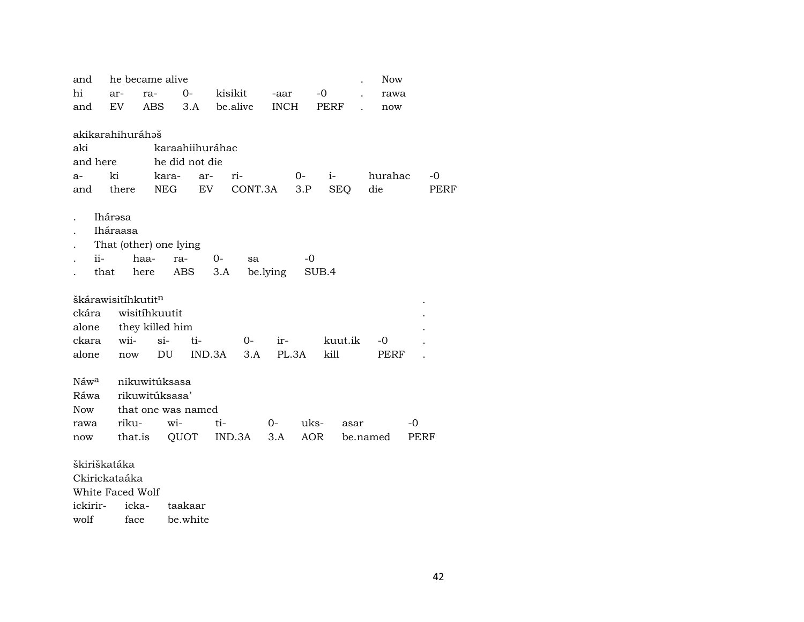| and              |                    | he became alive        |                 |          |          |             |            |            |      | <b>Now</b> |      |      |
|------------------|--------------------|------------------------|-----------------|----------|----------|-------------|------------|------------|------|------------|------|------|
| hi               | ar-                | ra-                    | 0-              | kisikit  |          | -aar        |            | $-0$       |      | rawa       |      |      |
| and              | EV                 | <b>ABS</b>             | 3.A             | be.alive |          | <b>INCH</b> |            | PERF       |      | now        |      |      |
|                  |                    |                        |                 |          |          |             |            |            |      |            |      |      |
|                  | akikarahihuráhaš   |                        |                 |          |          |             |            |            |      |            |      |      |
| aki              |                    |                        | karaahiihuráhac |          |          |             |            |            |      |            |      |      |
| and here         |                    |                        | he did not die  |          |          |             |            |            |      |            |      |      |
| $a-$             | ki                 | kara-                  | ar-             | ri-      |          |             | $0-$       | $i-$       |      | hurahac    |      | $-0$ |
| and              | there              | NEG                    | EV              |          | CONT.3A  |             | 3.P        | <b>SEQ</b> |      | die        |      | PERF |
|                  |                    |                        |                 |          |          |             |            |            |      |            |      |      |
|                  | Ihárəsa            |                        |                 |          |          |             |            |            |      |            |      |      |
|                  | Iháraasa           |                        |                 |          |          |             |            |            |      |            |      |      |
|                  |                    | That (other) one lying |                 |          |          |             |            |            |      |            |      |      |
| ii-              |                    | haa-                   | ra-             | $0-$     | sa       |             | -0         |            |      |            |      |      |
|                  | that               | here                   | ABS             | 3.A      | be.lying |             |            | SUB.4      |      |            |      |      |
|                  |                    |                        |                 |          |          |             |            |            |      |            |      |      |
|                  | škárawisitíhkutitn |                        |                 |          |          |             |            |            |      |            |      |      |
| ckára            |                    | wisitihkuutit          |                 |          |          |             |            |            |      |            |      |      |
| alone            |                    | they killed him        |                 |          |          |             |            |            |      |            |      |      |
| ckara            | wii-               | $si$ -                 | ti-             |          | $0-$     | ir-         |            | kuut.ik    |      | -0         |      |      |
| alone            | now                | DU                     |                 | IND.3A   | 3.A      | PL.3A       |            | kill       |      | PERF       |      |      |
|                  |                    |                        |                 |          |          |             |            |            |      |            |      |      |
| Náw <sup>a</sup> |                    | nikuwitúksasa          |                 |          |          |             |            |            |      |            |      |      |
| Ráwa             |                    | rikuwitúksasa'         |                 |          |          |             |            |            |      |            |      |      |
| <b>Now</b>       |                    | that one was named     |                 |          |          |             |            |            |      |            |      |      |
| rawa             | riku-              | wi-                    |                 | ti-      |          | 0-          | uks-       |            | asar |            | $-0$ |      |
| now              | that.is            |                        | QUOT            | IND.3A   |          | 3.A         | <b>AOR</b> |            |      | be.named   | PERF |      |
|                  |                    |                        |                 |          |          |             |            |            |      |            |      |      |
| škiriškatáka     |                    |                        |                 |          |          |             |            |            |      |            |      |      |
|                  | Ckirickataáka      |                        |                 |          |          |             |            |            |      |            |      |      |
|                  | White Faced Wolf   |                        |                 |          |          |             |            |            |      |            |      |      |
| ickirir-         | icka-              |                        | taakaar         |          |          |             |            |            |      |            |      |      |

wolf face be.white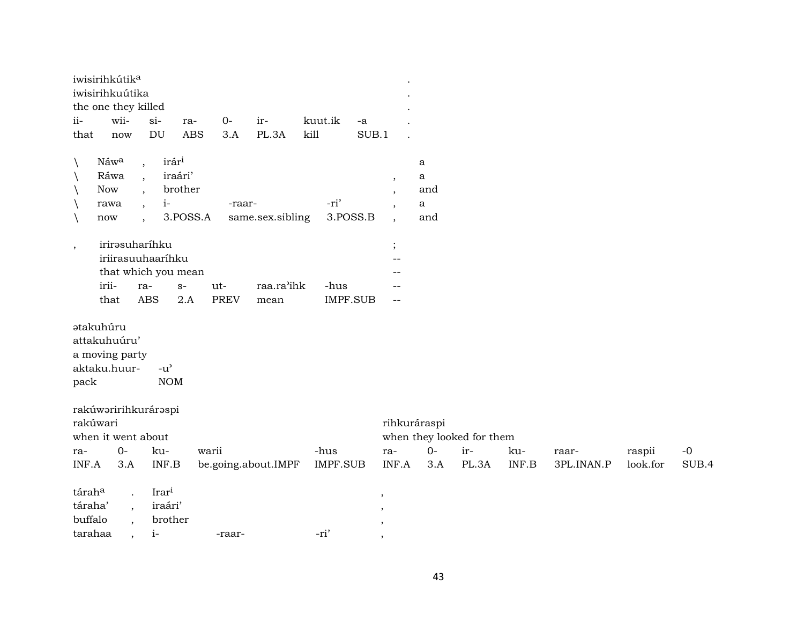|              | iwisirihkútik <sup>a</sup>                                         |                          |                             |             |                     |                 |                          |                          |              |                           |       |            |          |       |
|--------------|--------------------------------------------------------------------|--------------------------|-----------------------------|-------------|---------------------|-----------------|--------------------------|--------------------------|--------------|---------------------------|-------|------------|----------|-------|
|              | iwisirihkuútika                                                    |                          |                             |             |                     |                 |                          |                          |              |                           |       |            |          |       |
|              | the one they killed                                                |                          |                             |             |                     |                 |                          |                          |              |                           |       |            |          |       |
| $ii-$        | wii-                                                               | $si-$                    | ra-                         | $0-$        | ir-                 | kuut.ik         | $\mbox{-a}$              |                          |              |                           |       |            |          |       |
| that         | now                                                                | DU                       | <b>ABS</b>                  | 3.A         | PL.3A               | kill            | SUB.1                    |                          |              |                           |       |            |          |       |
| $\setminus$  | Náwa                                                               |                          | irár <sup>i</sup>           |             |                     |                 |                          |                          | a            |                           |       |            |          |       |
| $\backslash$ | Ráwa                                                               | $\overline{\phantom{a}}$ | iraári'                     |             |                     |                 |                          |                          | a            |                           |       |            |          |       |
| $\setminus$  | <b>Now</b>                                                         | $\overline{ }$ ,         | brother                     |             |                     |                 |                          | $\overline{\phantom{a}}$ | and          |                           |       |            |          |       |
|              | rawa                                                               | $\overline{\phantom{a}}$ | $i-$                        | -raar-      |                     | -ri'            |                          |                          | $\mathbf{a}$ |                           |       |            |          |       |
| $\setminus$  | now                                                                | $\overline{\phantom{a}}$ | 3.POSS.A                    |             | same.sex.sibling    |                 | 3.POSS.B                 | $\cdot$                  | and          |                           |       |            |          |       |
|              |                                                                    | $\ddot{\phantom{0}}$     |                             |             |                     |                 |                          |                          |              |                           |       |            |          |       |
| $\cdot$      | irirəsuharíhku                                                     |                          |                             |             |                     |                 |                          | $\vdots$                 |              |                           |       |            |          |       |
|              | iriirasuuhaaríhku                                                  |                          |                             |             |                     |                 |                          | --                       |              |                           |       |            |          |       |
|              | that which you mean                                                |                          |                             |             |                     |                 |                          |                          |              |                           |       |            |          |       |
|              | irii-                                                              | ra-                      | $S-$                        | ut-         | raa.ra'ihk          | -hus            |                          |                          |              |                           |       |            |          |       |
|              | that                                                               | <b>ABS</b>               | 2.A                         | <b>PREV</b> | mean                |                 | <b>IMPF.SUB</b>          | $\overline{\phantom{a}}$ |              |                           |       |            |          |       |
| pack         | <b>atakuhúru</b><br>attakuhuúru'<br>a moving party<br>aktaku.huur- |                          | $-u^{\prime}$<br><b>NOM</b> |             |                     |                 |                          |                          |              |                           |       |            |          |       |
|              | rakúwaririhkuráraspi                                               |                          |                             |             |                     |                 |                          |                          |              |                           |       |            |          |       |
| rakúwari     |                                                                    |                          |                             |             |                     |                 |                          |                          | rihkuráraspi |                           |       |            |          |       |
|              | when it went about                                                 |                          |                             |             |                     |                 |                          |                          |              | when they looked for them |       |            |          |       |
| ra-          | $0-$                                                               |                          | ku-                         | warii       |                     | -hus            |                          | ra-                      | $0-$         | ir-                       | ku-   | raar-      | raspii   | $-0$  |
| INF.A        | 3.A                                                                |                          | INF.B                       |             | be.going.about.IMPF | <b>IMPF.SUB</b> |                          | INF.A                    | 3.A          | PL.3A                     | INF.B | 3PL.INAN.P | look.for | SUB.4 |
| táraha       | $\ddot{\phantom{a}}$                                               |                          | Irari                       |             |                     |                 | $\overline{\phantom{a}}$ |                          |              |                           |       |            |          |       |
| táraha'      | $\overline{\phantom{a}}$                                           |                          | iraári'                     |             |                     |                 |                          |                          |              |                           |       |            |          |       |
| buffalo      |                                                                    |                          | brother                     |             |                     |                 |                          |                          |              |                           |       |            |          |       |
| tarahaa      | $\ddot{\phantom{0}}$                                               | $i-$                     |                             | -raar-      |                     | -ri'            | $\cdot$                  |                          |              |                           |       |            |          |       |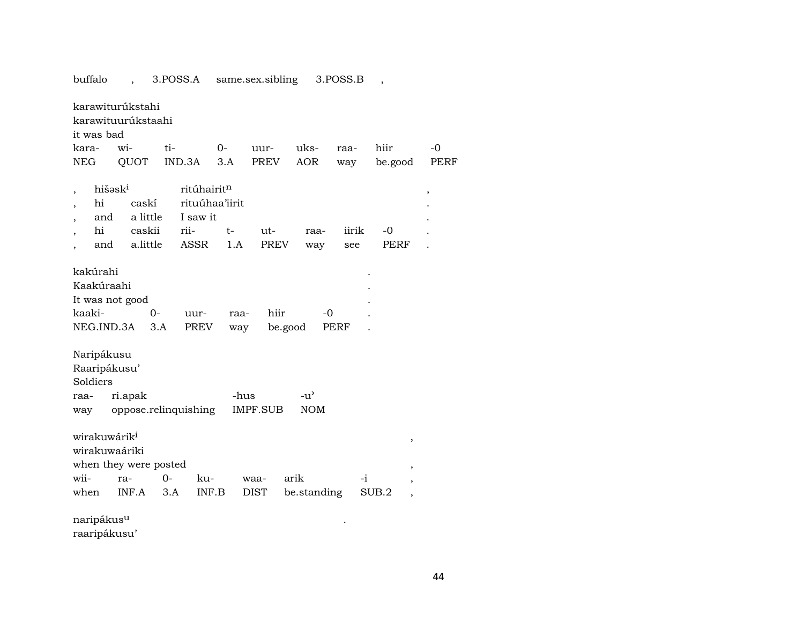| it was bad<br>kara-                                               | karawiturúkstahi<br>karawituurúkstaahi<br>wi- | ti-                      | $0-$                                                     | uur-                 | uks-                        | raa-         | hiir                                        | $-0$        |
|-------------------------------------------------------------------|-----------------------------------------------|--------------------------|----------------------------------------------------------|----------------------|-----------------------------|--------------|---------------------------------------------|-------------|
| NEG                                                               | QUOT                                          | IND.3A                   | 3.A                                                      | PREV                 | <b>AOR</b>                  | way          | be.good                                     | <b>PERF</b> |
| hišəsk <sup>i</sup><br>,<br>hi<br>and<br>hi<br>and                | caskí<br>a little<br>caskii<br>a.little       | I saw it<br>rii-<br>ASSR | ritúhairit <sup>n</sup><br>rituúhaa'iirit<br>$t-$<br>1.A | $ut-$<br><b>PREV</b> | raa-<br>way                 | iirik<br>see | $-0$<br>PERF                                | ,           |
| kakúrahi<br>Kaakúraahi<br>It was not good<br>kaaki-<br>NEG.IND.3A | $0-$<br>3.A                                   | uur-<br><b>PREV</b>      | raa-<br>way                                              | hiir<br>be.good      | $-0$                        | PERF         |                                             |             |
| Naripákusu<br>Raaripákusu'<br>Soldiers<br>raa-<br>way             | ri.apak<br>oppose.relinquishing               |                          | -hus                                                     | <b>IMPF.SUB</b>      | $-u^{\prime}$<br><b>NOM</b> |              |                                             |             |
| wirakuwárik <sup>i</sup><br>wirakuwaáriki<br>wii-<br>when         | when they were posted<br>ra-<br>INF.A         | $0-$<br>3.A              | ku-<br>INF.B                                             | waa-<br>DIST         | arik<br>be.standing         | -i           | ,<br>,<br>SUB.2<br>$\overline{\phantom{a}}$ |             |
| naripákus <sup>u</sup>                                            |                                               |                          |                                                          |                      |                             |              |                                             |             |

buffalo , 3.POSS.A same.sex.sibling 3.POSS.B ,

raaripákusu'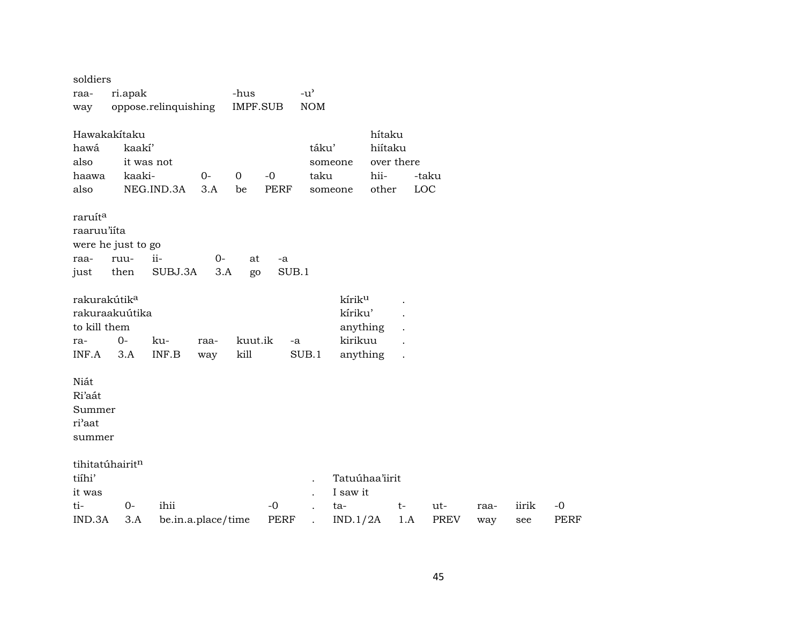| soldiers                 |         |                      |       |                 |             |               |                    |            |                      |             |      |       |             |
|--------------------------|---------|----------------------|-------|-----------------|-------------|---------------|--------------------|------------|----------------------|-------------|------|-------|-------------|
| raa-                     | ri.apak |                      |       | -hus            |             | $-u^{\prime}$ |                    |            |                      |             |      |       |             |
| way                      |         | oppose.relinquishing |       | <b>IMPF.SUB</b> |             | <b>NOM</b>    |                    |            |                      |             |      |       |             |
| Hawakakítaku             |         |                      |       |                 |             |               |                    | hítaku     |                      |             |      |       |             |
| hawá                     | kaakí'  |                      |       |                 |             | táku'         |                    | hiítaku    |                      |             |      |       |             |
| also                     |         | it was not           |       |                 |             |               | someone            | over there |                      |             |      |       |             |
| haawa                    | kaaki-  |                      | $0-$  | $\mathbf 0$     | $-0$        | taku          |                    | hii-       |                      | -taku       |      |       |             |
| also                     |         | NEG.IND.3A           | 3.A   | be              | <b>PERF</b> |               | someone            | other      |                      | LOC         |      |       |             |
| raruít <sup>a</sup>      |         |                      |       |                 |             |               |                    |            |                      |             |      |       |             |
| raaruu'iíta              |         |                      |       |                 |             |               |                    |            |                      |             |      |       |             |
| were he just to go       |         |                      |       |                 |             |               |                    |            |                      |             |      |       |             |
| raa-                     | ruu-    | ii-                  | $O -$ | at              | -a          |               |                    |            |                      |             |      |       |             |
| just                     | then    | SUBJ.3A              | 3.A   | go              | SUB.1       |               |                    |            |                      |             |      |       |             |
| rakurakútik <sup>a</sup> |         |                      |       |                 |             |               | kírik <sup>u</sup> |            |                      |             |      |       |             |
| rakuraakuútika           |         |                      |       |                 |             |               | kíriku'            |            |                      |             |      |       |             |
| to kill them             |         |                      |       |                 |             |               | anything           |            |                      |             |      |       |             |
| ra-                      | $0-$    | ku-                  | raa-  | kuut.ik         | $-a$        |               | kirikuu            |            |                      |             |      |       |             |
| INF.A                    | 3.A     | INF.B                | way   | kill            |             | SUB.1         | anything           |            | $\ddot{\phantom{a}}$ |             |      |       |             |
| Niát                     |         |                      |       |                 |             |               |                    |            |                      |             |      |       |             |
| Ri'aát                   |         |                      |       |                 |             |               |                    |            |                      |             |      |       |             |
| Summer                   |         |                      |       |                 |             |               |                    |            |                      |             |      |       |             |
| ri'aat                   |         |                      |       |                 |             |               |                    |            |                      |             |      |       |             |
| summer                   |         |                      |       |                 |             |               |                    |            |                      |             |      |       |             |
| tihitatúhairitn          |         |                      |       |                 |             |               |                    |            |                      |             |      |       |             |
| tiíhi'                   |         |                      |       |                 |             |               | Tatuúhaa'iirit     |            |                      |             |      |       |             |
| it was                   |         |                      |       |                 |             |               | I saw it           |            |                      |             |      |       |             |
| ti-                      | $0 -$   | ihii                 |       |                 | $-0$        |               | ta-                |            | $t-$                 | ut-         | raa- | iirik | $-0$        |
| IND.3A                   | 3.A     | be.in.a.place/time   |       |                 | <b>PERF</b> |               | IND.1/2A           |            | 1.A                  | <b>PREV</b> | way  | see   | <b>PERF</b> |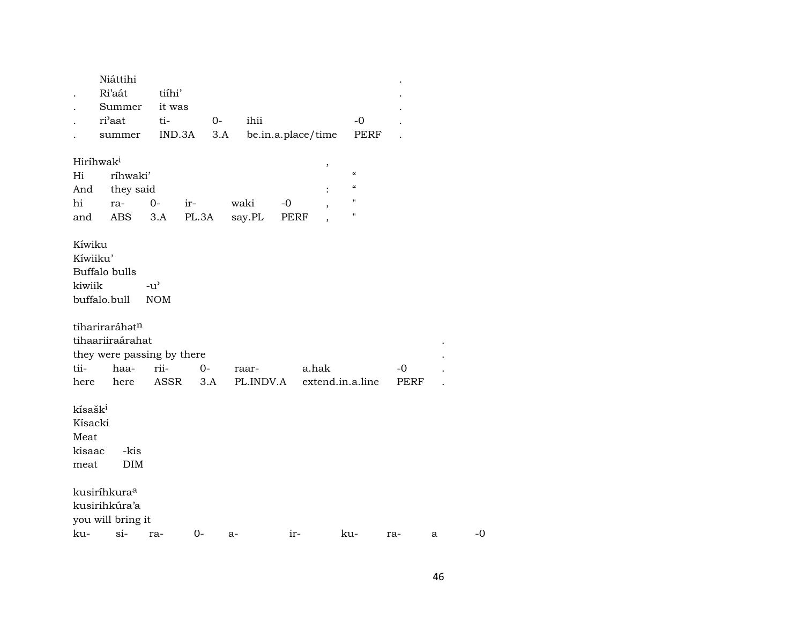|                                                          | Niáttihi<br>Ri'aát<br>Summer                                     | tiíhi'<br>it was            |       |           |                    |                  |                                        |      |   |    |
|----------------------------------------------------------|------------------------------------------------------------------|-----------------------------|-------|-----------|--------------------|------------------|----------------------------------------|------|---|----|
|                                                          | ri'aat                                                           | ti-                         | $0-$  | ihii      |                    |                  | $-0$                                   |      |   |    |
|                                                          | summer                                                           | IND.3A                      | 3.A   |           | be.in.a.place/time |                  | PERF                                   |      |   |    |
|                                                          |                                                                  |                             |       |           |                    |                  |                                        |      |   |    |
| Hiríhwak <sup>i</sup>                                    |                                                                  |                             |       |           |                    |                  |                                        |      |   |    |
| Hi                                                       | ríhwaki'                                                         |                             |       |           |                    | ,                | $\epsilon\epsilon$                     |      |   |    |
| And                                                      | they said                                                        |                             |       |           |                    |                  | $\boldsymbol{\zeta}\boldsymbol{\zeta}$ |      |   |    |
| hi                                                       | ra-                                                              | $O -$                       | ir-   | waki      | $-0$               |                  | $\pmb{\mathsf{H}}$                     |      |   |    |
| and                                                      | ABS                                                              | 3.A                         | PL.3A | say.PL    | PERF               |                  | $\pmb{\mathsf{H}}$                     |      |   |    |
|                                                          |                                                                  |                             |       |           |                    |                  |                                        |      |   |    |
| Kíwiku<br>Kíwiiku'<br>kiwiik                             | Buffalo bulls<br>buffalo.bull                                    | $-u^{\prime}$<br><b>NOM</b> |       |           |                    |                  |                                        |      |   |    |
|                                                          | tihariraráhatn<br>tihaariiraárahat<br>they were passing by there |                             |       |           |                    |                  |                                        |      |   |    |
| tii-                                                     | haa-                                                             | rii-                        | $O -$ | raar-     |                    | a.hak            |                                        | -0   |   |    |
| here                                                     | here                                                             | ASSR                        | 3.A   | PL.INDV.A |                    | extend.in.a.line |                                        | PERF |   |    |
| kísašk <sup>i</sup><br>Kísacki<br>Meat<br>kisaac<br>meat | -kis<br>DIM                                                      |                             |       |           |                    |                  |                                        |      |   |    |
|                                                          | kusiríhkura <sup>a</sup>                                         |                             |       |           |                    |                  |                                        |      |   |    |
|                                                          | kusirihkúra'a                                                    |                             |       |           |                    |                  |                                        |      |   |    |
|                                                          | you will bring it                                                |                             |       |           |                    |                  |                                        |      |   |    |
| ku-                                                      | $si-$                                                            | ra-                         | $0-$  | $a-$      | ir-                |                  | ku-                                    | ra-  | a | -0 |
|                                                          |                                                                  |                             |       |           |                    |                  |                                        |      |   |    |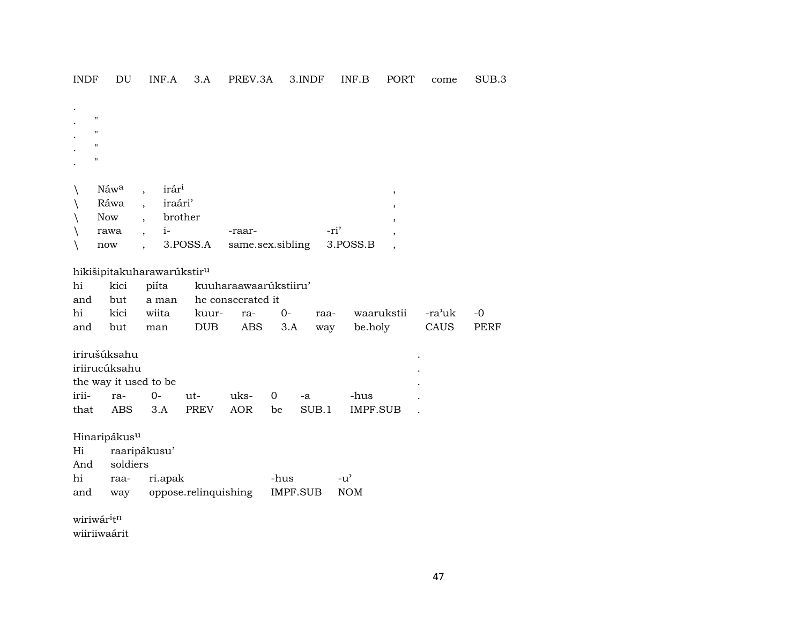**INDF** DU INF.A 3.A PREV.3A 3.INDF INF.B PORT SUB.3 come

| $\bullet$<br>$\cdot$ | $\mathbf{H}$<br>$^{\prime}$<br>$\mathbf{H}$<br>$\mathbf{H}$ |             |                                                              |                            |                  |             |
|----------------------|-------------------------------------------------------------|-------------|--------------------------------------------------------------|----------------------------|------------------|-------------|
|                      | Náwa<br>Ráwa<br><b>Now</b><br>rawa<br>now                   | ,<br>,<br>, | irár <sup>i</sup><br>iraári'<br>brother<br>$1 -$<br>3.POSS.A | -raar-<br>same.sex.sibling | -ri'<br>3.POSS.B | ,<br>٠<br>, |

## hikišipitakuharawarúkstir $^{\rm u}$

|  |                                 | hi kici piíta kuuharaawaarúkstiiru' |  |  |                                                      |  |  |  |  |  |
|--|---------------------------------|-------------------------------------|--|--|------------------------------------------------------|--|--|--|--|--|
|  | and but a man he consecrated it |                                     |  |  |                                                      |  |  |  |  |  |
|  |                                 |                                     |  |  | hi kici wiita kuur- ra- 0- raa- waarukstii -ra'uk -0 |  |  |  |  |  |
|  |                                 |                                     |  |  | and but man DUB ABS 3.A way be.holy CAUS PERF        |  |  |  |  |  |

| irirušúksahu |                       |        |             |            |    |       |          | ٠ |  |
|--------------|-----------------------|--------|-------------|------------|----|-------|----------|---|--|
|              | iriirucúksahu         |        |             |            |    |       |          | ٠ |  |
|              | the way it used to be |        |             |            |    |       |          | ٠ |  |
| irii-        | ra-                   | $()$ - | $ut-$       | $11ks - 0$ |    | -а    | -hus     |   |  |
| that         | ABS                   | 3.A    | <b>PREV</b> | AOR        | be | SUB.1 | IMPF.SUB |   |  |

Hinaripákus<sup>u</sup>

| Hi  | raaripákusu'                      |      |                    |  |  |  |  |  |  |  |
|-----|-----------------------------------|------|--------------------|--|--|--|--|--|--|--|
|     | And soldiers                      |      |                    |  |  |  |  |  |  |  |
| hi  | raa- ri.apak                      | -hus | $-11$ <sup>2</sup> |  |  |  |  |  |  |  |
| and | way oppose.relinquishing IMPF.SUB |      | NOM                |  |  |  |  |  |  |  |

wiriwár $\mathfrak{i}\mathfrak{t}^n$ 

wiiriiwaárit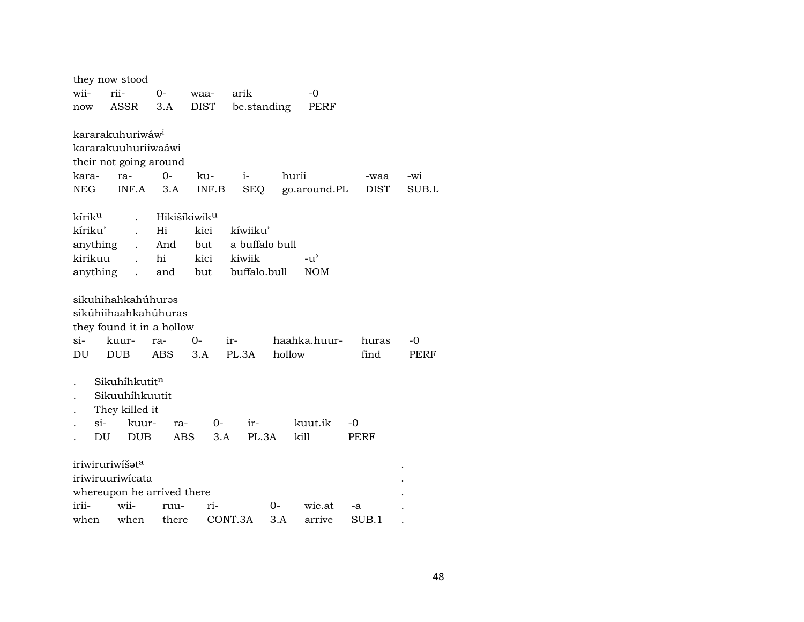|                            | they now stood                   |            |                          |                |        |              |             |       |
|----------------------------|----------------------------------|------------|--------------------------|----------------|--------|--------------|-------------|-------|
| wii-                       | rii-                             | $0-$       | waa-                     | arik           |        | $-0$         |             |       |
| now                        | ASSR                             | 3.A        | <b>DIST</b>              | be.standing    |        | PERF         |             |       |
|                            |                                  |            |                          |                |        |              |             |       |
|                            | kararakuhuriwáw <sup>i</sup>     |            |                          |                |        |              |             |       |
|                            | kararakuuhuriiwaáwi              |            |                          |                |        |              |             |       |
|                            | their not going around           |            |                          |                |        |              |             |       |
| kara-                      | ra-                              | $O -$      | ku-                      | $i-$           | hurii  |              | -waa        | $-wi$ |
| NEG                        | INF.A                            | 3.A        | INF.B                    | <b>SEQ</b>     |        | go.around.PL | <b>DIST</b> | SUB.L |
| kírik <sup>u</sup>         |                                  |            | Hikišíkiwik <sup>u</sup> |                |        |              |             |       |
| kíriku'                    |                                  | Hi         | kici                     | kíwiiku'       |        |              |             |       |
|                            | anything<br>$\ddot{\phantom{a}}$ | And        | but                      | a buffalo bull |        |              |             |       |
| kirikuu                    | $\ddot{\phantom{a}}$             | hi         | kici                     | kiwiik         |        | -น'          |             |       |
|                            | anything<br>$\ddot{\phantom{a}}$ | and        | but                      | buffalo.bull   |        | <b>NOM</b>   |             |       |
|                            |                                  |            |                          |                |        |              |             |       |
|                            | sikuhihahkahúhurəs               |            |                          |                |        |              |             |       |
|                            | sikúhiihaahkahúhuras             |            |                          |                |        |              |             |       |
|                            | they found it in a hollow        |            |                          |                |        |              |             |       |
| $\sin$                     | kuur-                            | ra-        | 0-                       | ir-            |        | haahka.huur- | huras       | -0    |
| $\mathop{\rm DU}\nolimits$ | <b>DUB</b>                       | ABS        | 3.A                      | PL.3A          | hollow |              | find        | PERF  |
|                            |                                  |            |                          |                |        |              |             |       |
|                            | Sikuhíhkutitn                    |            |                          |                |        |              |             |       |
|                            | Sikuuhíhkuutit                   |            |                          |                |        |              |             |       |
|                            | They killed it                   |            |                          |                |        |              |             |       |
|                            | $\sin$<br>kuur-                  | ra-        | $O-$                     | $ir-$          |        | kuut.ik      | -0          |       |
|                            | DU<br><b>DUB</b>                 | <b>ABS</b> | 3.A                      | PL.3A          | kill   |              | PERF        |       |
|                            | iriwiruriwišat <sup>a</sup>      |            |                          |                |        |              |             |       |
|                            | iriwiruuriwicata                 |            |                          |                |        |              |             |       |
|                            | whereupon he arrived there       |            |                          |                |        |              |             |       |
| irii-                      | wii-                             | ruu-       | ri-                      |                | 0-     | wic.at       | -a          |       |
| when                       | when                             | there      |                          | CONT.3A        | 3.A    | arrive       | SUB.1       |       |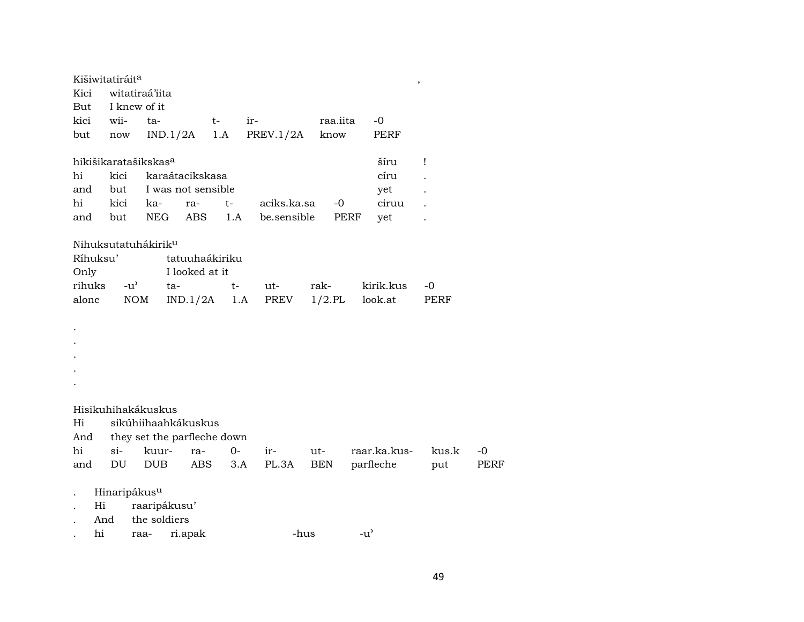|                      | Kišiwitatiráit <sup>a</sup>      |                             |          |                    |      |             |            |           |               | $\, ,$ |             |
|----------------------|----------------------------------|-----------------------------|----------|--------------------|------|-------------|------------|-----------|---------------|--------|-------------|
| Kici                 |                                  | witatiraá'iita              |          |                    |      |             |            |           |               |        |             |
| But                  |                                  | I knew of it                |          |                    |      |             |            |           |               |        |             |
|                      | kici wii-                        | ta-                         |          |                    | $t-$ | ir-         |            | raa.iita  | $-0$          |        |             |
| but                  | $\operatorname{now}$             |                             | IND.1/2A |                    | 1.A  | PREV.1/2A   |            | know      | PERF          |        |             |
|                      | hikišikaratašikskas <sup>a</sup> |                             |          |                    |      |             |            |           | šíru          | Ţ      |             |
| hi                   | kici                             |                             |          | karaátacikskasa    |      |             |            |           | círu          |        |             |
| and                  | but                              |                             |          | I was not sensible |      |             |            |           | yet           |        |             |
| hi                   | kici                             | ka-                         |          | ra-                | $t-$ | aciks.ka.sa |            | -0        | ciruu         |        |             |
| and                  | but                              | NEG                         |          | ABS                | 1.A  | be.sensible |            | PERF      | yet           |        |             |
|                      | Nihuksutatuhákirik <sup>u</sup>  |                             |          |                    |      |             |            |           |               |        |             |
|                      | Ríhuksu'                         |                             |          | tatuuhaákiriku     |      |             |            |           |               |        |             |
| Only                 |                                  |                             |          | I looked at it     |      |             |            |           |               |        |             |
| rihuks               |                                  | $-u^{\prime}$               | ta-      |                    | t-   | ut-         | rak-       |           | kirik.kus     | -0     |             |
| alone                |                                  | <b>NOM</b>                  |          | IND.1/2A           |      | 1.A<br>PREV |            | $1/2$ .PL | look.at       | PERF   |             |
|                      |                                  |                             |          |                    |      |             |            |           |               |        |             |
| $\bullet$            |                                  |                             |          |                    |      |             |            |           |               |        |             |
|                      |                                  |                             |          |                    |      |             |            |           |               |        |             |
|                      |                                  |                             |          |                    |      |             |            |           |               |        |             |
|                      |                                  |                             |          |                    |      |             |            |           |               |        |             |
|                      |                                  |                             |          |                    |      |             |            |           |               |        |             |
|                      |                                  |                             |          |                    |      |             |            |           |               |        |             |
|                      | Hisikuhihakákuskus               |                             |          |                    |      |             |            |           |               |        |             |
| Hi                   |                                  | sikúhiihaahkákuskus         |          |                    |      |             |            |           |               |        |             |
| And                  |                                  | they set the parfleche down |          |                    |      |             |            |           |               |        |             |
| hi                   | $\sin$                           | kuur-                       |          | ra-                | $0-$ | ir-         | ut-        |           | raar.ka.kus-  | kus.k  | $-0$        |
| and                  | DU                               | <b>DUB</b>                  |          | ABS                | 3.A  | PL.3A       | <b>BEN</b> |           | parfleche     | put    | <b>PERF</b> |
| $\ddot{\phantom{0}}$ | Hinaripákus <sup>u</sup>         |                             |          |                    |      |             |            |           |               |        |             |
|                      | Hi                               | raaripákusu'                |          |                    |      |             |            |           |               |        |             |
|                      | And                              | the soldiers                |          |                    |      |             |            |           |               |        |             |
|                      | hi                               | raa-                        |          | ri.apak            |      |             | -hus       |           | $-u^{\prime}$ |        |             |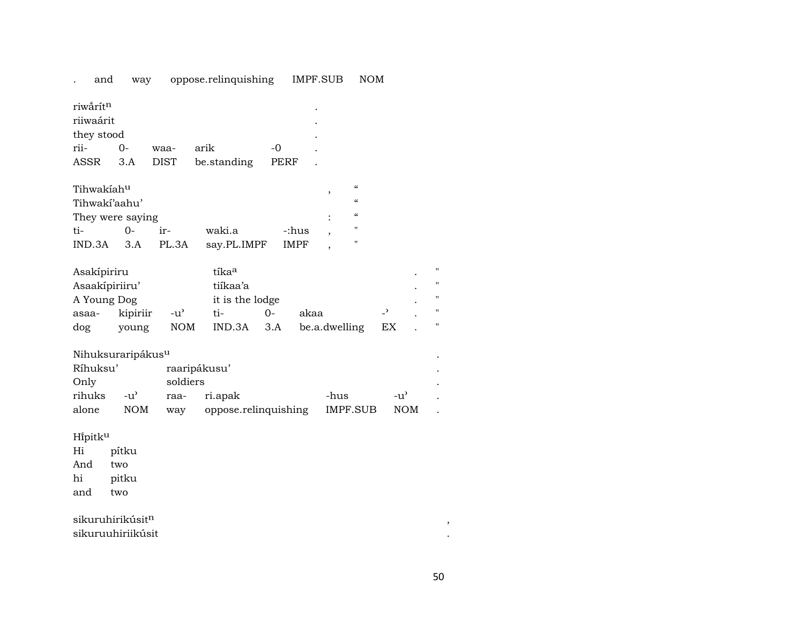| and                                                                          | way               |                     | oppose.relinquishing                                              |           | IMPF.SUB                                                                            | <b>NOM</b>                                        |                                |                                            |
|------------------------------------------------------------------------------|-------------------|---------------------|-------------------------------------------------------------------|-----------|-------------------------------------------------------------------------------------|---------------------------------------------------|--------------------------------|--------------------------------------------|
| riwârít <sup>n</sup><br>riiwaárit<br>they stood<br>rii-<br>ASSR              | 0-<br>3.A         | waa-<br><b>DIST</b> | arik<br>be.standing                                               | -0        | PERF                                                                                |                                                   |                                |                                            |
| Tihwakíah <sup>u</sup><br>Tihwakí'aahu'<br>They were saying<br>ti-<br>IND.3A | $0-$<br>3.A       | ir-<br>PL.3A        | waki.a<br>say.PL.IMPF                                             |           | $\overline{\phantom{a}}$<br>$\bullet$<br>-:hus<br>$\cdot$<br><b>IMPF</b><br>$\cdot$ | $\epsilon$<br>$\epsilon$<br>$\epsilon$<br>11<br>" |                                |                                            |
| Asakípiriru<br>Asaakípiriiru'<br>A Young Dog<br>asaa-<br>dog                 | kipiriir<br>young | -น'<br>NOM          | tíka <sup>a</sup><br>tiíkaa'a<br>it is the lodge<br>ti-<br>IND.3A | 0-<br>3.A | akaa                                                                                | be.a.dwelling                                     | $\overline{\phantom{0}}$<br>ЕX | $^{\prime}$<br>$^{\prime}$<br>11<br>Ħ<br>Π |

## $N$ ihuksuraripákus $^{\text{u}}$

| Ríhuksu' |        |          | raaripákusu'             |          |        |  |
|----------|--------|----------|--------------------------|----------|--------|--|
| Only     |        | soldiers |                          |          |        |  |
| rihuks   | $-11'$ |          | raa- ri.apak             | -hus     | $-11'$ |  |
| alone    | NOM    |          | way oppose.relinquishing | IMPF.SUB | NOM.   |  |

Hi̇̃pitk<sup>u</sup><br>Hi

pítku<br>two And hi pitku and two

 ${\bf s}$ ikuruhirikúsit $^{\rm n}$ 

sikuruuhiriikúsit .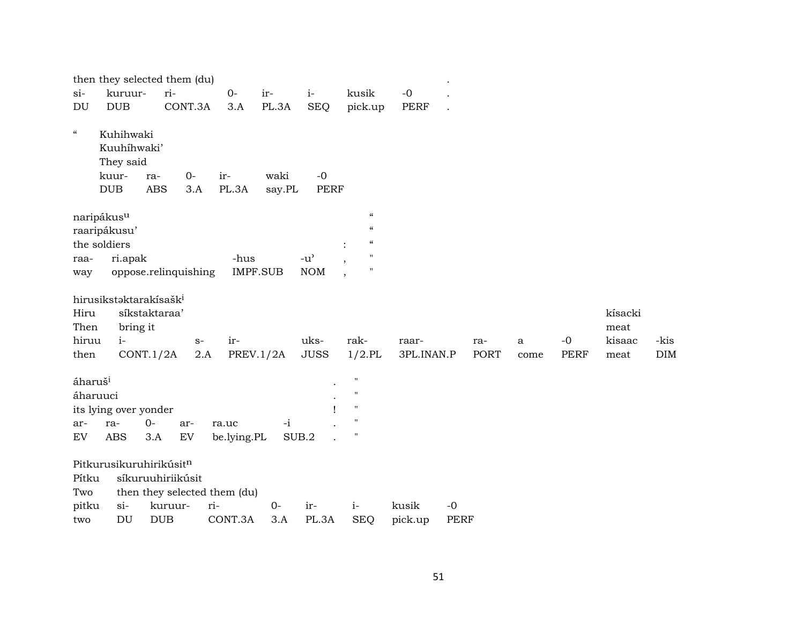|                                              |                                                              | then they selected them (du)      |                      |                  |                                     |                                                                                      |             |             |             |      |             |                           |            |
|----------------------------------------------|--------------------------------------------------------------|-----------------------------------|----------------------|------------------|-------------------------------------|--------------------------------------------------------------------------------------|-------------|-------------|-------------|------|-------------|---------------------------|------------|
| $si-$                                        | kuruur-                                                      | ri-                               | $0-$                 | ir-              | $i-$                                | kusik                                                                                | $-0$        |             |             |      |             |                           |            |
| DU                                           | $\rm DUB$                                                    | CONT.3A                           | 3.A                  | PL.3A            | <b>SEQ</b>                          | pick.up                                                                              | <b>PERF</b> |             |             |      |             |                           |            |
| $\boldsymbol{\mathcal{C}}$                   | Kuhihwaki<br>Kuuhíhwaki'<br>They said<br>kuur-<br><b>DUB</b> | $0-$<br>ra-<br><b>ABS</b><br>3.A  | ir-<br>PL.3A         | waki<br>say.PL   | $-0$<br><b>PERF</b>                 |                                                                                      |             |             |             |      |             |                           |            |
|                                              | naripákus <sup>u</sup>                                       |                                   |                      |                  |                                     | $\pmb{\zeta}\pmb{\zeta}$                                                             |             |             |             |      |             |                           |            |
|                                              | raaripákusu'                                                 |                                   |                      |                  |                                     | $\boldsymbol{\mathcal{C}}$                                                           |             |             |             |      |             |                           |            |
|                                              | the soldiers                                                 |                                   |                      |                  |                                     | $\boldsymbol{\zeta}\boldsymbol{\zeta}$                                               |             |             |             |      |             |                           |            |
| raa-                                         | ri.apak                                                      |                                   | -hus                 |                  | $-u$ <sup><math>\prime</math></sup> | $^{\prime\prime}$                                                                    |             |             |             |      |             |                           |            |
| way                                          |                                                              | oppose.relinquishing              |                      | <b>IMPF.SUB</b>  | <b>NOM</b>                          | $\pmb{\mathsf{H}}$                                                                   |             |             |             |      |             |                           |            |
| Hiru<br>Then<br>hiruu                        | hirusikstaktarakísašk <sup>i</sup><br>bring it<br>$i-$       | síkstaktaraa'<br>$S-$             | ir-                  |                  | uks-                                | rak-                                                                                 | raar-       |             | ra-         | a    | $-0$        | kísacki<br>meat<br>kisaac | -kis       |
| then                                         | CONT.1/2A                                                    | $2.A$                             |                      | <b>PREV.1/2A</b> | <b>JUSS</b>                         | $1/2$ .PL                                                                            | 3PL.INAN.P  |             | <b>PORT</b> | come | <b>PERF</b> | meat                      | <b>DIM</b> |
| áharuš <sup>i</sup><br>áharuuci<br>ar-<br>EV | its lying over yonder<br>ra-<br><b>ABS</b>                   | $0 -$<br>ar-<br>3.A<br>${\rm EV}$ | ra.uc<br>be.lying.PL | $-i$             | SUB.2                               | $^{\prime}$<br>$^{\prime\prime}$<br>$\pmb{\mathsf{H}}$<br>$^{\prime}$<br>$^{\prime}$ |             |             |             |      |             |                           |            |
|                                              | Pitkurusikuruhirikúsitn                                      |                                   |                      |                  |                                     |                                                                                      |             |             |             |      |             |                           |            |
| Pítku                                        |                                                              | síkuruuhiriikúsit                 |                      |                  |                                     |                                                                                      |             |             |             |      |             |                           |            |
| Two                                          |                                                              | then they selected them (du)      |                      |                  |                                     |                                                                                      |             |             |             |      |             |                           |            |
| pitku                                        | $si-$                                                        | kuruur-                           | ri-                  | $0-$             | ir-                                 | $i-$                                                                                 | kusik       | $-0$        |             |      |             |                           |            |
| two                                          | DU                                                           | <b>DUB</b>                        | CONT.3A              | 3.A              | PL.3A                               | <b>SEQ</b>                                                                           | pick.up     | <b>PERF</b> |             |      |             |                           |            |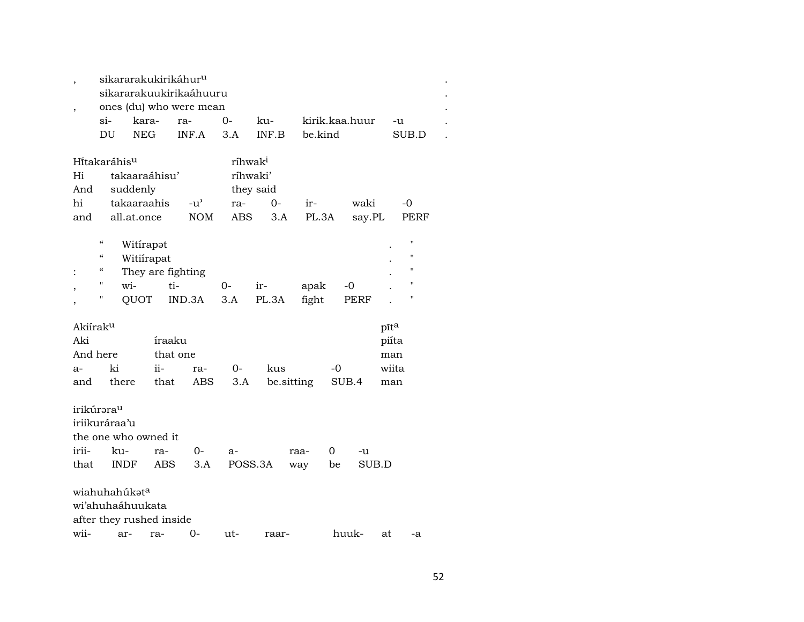|                |                            |                          | sikararakukirikáhur <sup>u</sup> |                     |            |         |                |       |                |  |
|----------------|----------------------------|--------------------------|----------------------------------|---------------------|------------|---------|----------------|-------|----------------|--|
|                |                            |                          | sikararakuukirikaáhuuru          |                     |            |         |                |       |                |  |
| $\overline{ }$ |                            |                          | ones (du) who were mean          |                     |            |         |                |       |                |  |
|                | $\sin$                     | kara-                    | ra-                              | 0-                  | ku-        |         | kirik.kaa.huur | -u    |                |  |
|                | DU                         | <b>NEG</b>               | INF.A                            | 3.A                 | INF.B      | be.kind |                |       | SUB.D          |  |
|                |                            |                          |                                  |                     |            |         |                |       |                |  |
|                | Hitakaráhis <sup>u</sup>   |                          |                                  | ríhwak <sup>i</sup> |            |         |                |       |                |  |
| Hi             |                            | takaaraáhisu'            |                                  | ríhwaki'            |            |         |                |       |                |  |
| And            |                            | suddenly                 |                                  | they said           |            |         |                |       |                |  |
| hi             |                            | takaaraahis              | -u'                              | ra-                 | $0-$       | ir-     | waki           |       | -0             |  |
| and            |                            | all.at.once              | <b>NOM</b>                       | <b>ABS</b>          | 3.A        | PL.3A   | say.PL         |       | PERF           |  |
|                |                            |                          |                                  |                     |            |         |                |       |                |  |
|                | $\boldsymbol{\mathcal{C}}$ | Witirapot                |                                  |                     |            |         |                |       | $\blacksquare$ |  |
|                | $\pmb{\zeta}\pmb{\zeta}$   | Witiirapat               |                                  |                     |            |         |                |       | "              |  |
|                | "                          |                          | They are fighting                |                     |            |         |                |       | "              |  |
|                | $\pmb{\mathsf{H}}$         | wi-                      | ti-                              | 0-                  | ir-        | apak    | -0             |       | $\blacksquare$ |  |
|                | н                          | <b>TOUQ</b>              | IND.3A                           | 3.A                 | PL.3A      | fight   | <b>PERF</b>    |       | "              |  |
|                |                            |                          |                                  |                     |            |         |                |       |                |  |
| Akiíraku       |                            |                          |                                  |                     |            |         |                | pīta  |                |  |
| Aki            |                            |                          | íraaku                           |                     |            |         |                | piíta |                |  |
|                | And here                   |                          | that one                         |                     |            |         |                | man   |                |  |
| $a-$           | ki                         | $ii -$                   | ra-                              | 0-                  | kus        |         | -0             | wiita |                |  |
| and            | there                      |                          | that<br>ABS                      | 3.A                 | be.sitting |         | SUB.4          |       |                |  |
|                |                            |                          |                                  |                     |            |         |                | man   |                |  |
|                |                            |                          |                                  |                     |            |         |                |       |                |  |
|                | irikúrəra <sup>u</sup>     |                          |                                  |                     |            |         |                |       |                |  |
|                | iriikuráraa'u              |                          |                                  |                     |            |         |                |       |                |  |
|                |                            | the one who owned it     |                                  |                     |            |         |                |       |                |  |
| irii-          | ku-                        | ra-                      | 0-                               | $a-$                |            | raa-    | 0<br>-u        |       |                |  |
| that           | <b>INDF</b>                |                          | ABS<br>3.A                       | POSS.3A             |            | way     | SUB.D<br>be    |       |                |  |
|                |                            |                          |                                  |                     |            |         |                |       |                |  |
|                | wiahuhahúkat <sup>a</sup>  |                          |                                  |                     |            |         |                |       |                |  |
|                |                            | wi'ahuhaáhuukata         |                                  |                     |            |         |                |       |                |  |
|                |                            | after they rushed inside |                                  |                     |            |         |                |       |                |  |
| wii-           | ar-                        | ra-                      | 0-                               | ut-                 | raar-      |         | huuk-          | at    | -a             |  |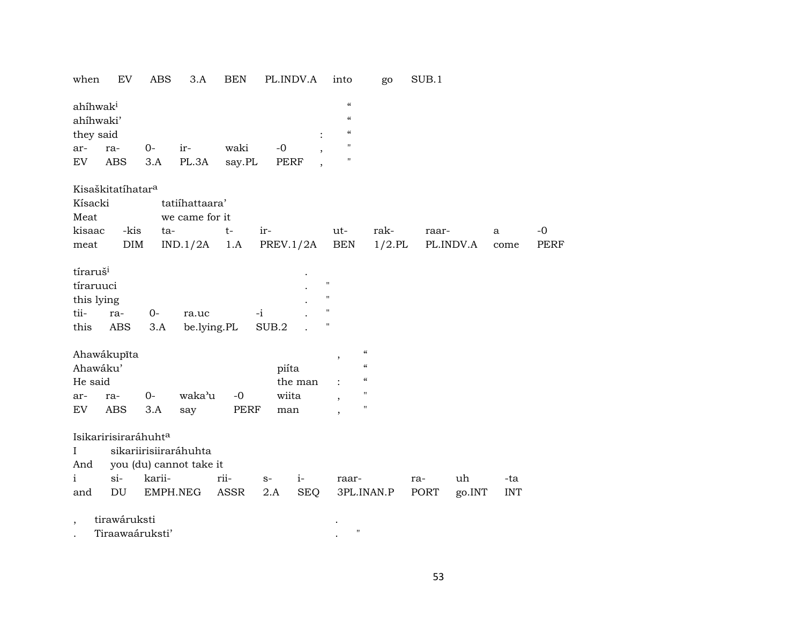|  |  |  |  |  | when EV ABS 3.A BEN PL.INDV.A into go SUB.1 |  |  |  |
|--|--|--|--|--|---------------------------------------------|--|--|--|
|--|--|--|--|--|---------------------------------------------|--|--|--|

| ahíhwak <sup>i</sup> |     |          |           |        |      | $\epsilon$ |
|----------------------|-----|----------|-----------|--------|------|------------|
| ahíhwaki'            |     |          |           |        |      | $\epsilon$ |
| they said            |     |          |           |        |      | $\epsilon$ |
| ar-                  | ra- | $\Omega$ | $ir-$     | waki   | -0   |            |
| EV                   | ABS |          | 3.A PL.3A | say.PL | PERF | п          |

## Kisaškitatíhatar<sup>a</sup>

| Kísacki<br>Meat      |        |                      |        | tatiíhattaara'<br>we came for it |      |       |           |         |                    |                |                                        |           |     |           |        |            |      |
|----------------------|--------|----------------------|--------|----------------------------------|------|-------|-----------|---------|--------------------|----------------|----------------------------------------|-----------|-----|-----------|--------|------------|------|
| kisaac               |        | -kis                 | ta-    |                                  | t-   | ir-   |           |         |                    | ut-            |                                        | rak-      |     | raar-     |        | a          | $-0$ |
|                      |        | DIM                  |        |                                  |      |       | PREV.1/2A |         |                    | <b>BEN</b>     |                                        | $1/2$ .PL |     | PL.INDV.A |        |            | PERF |
| meat                 |        |                      |        | $IND.1/2A$ 1.A                   |      |       |           |         |                    |                |                                        |           |     |           |        | come       |      |
| tíraruš <sup>i</sup> |        |                      |        |                                  |      |       |           |         |                    |                |                                        |           |     |           |        |            |      |
| tíraruuci            |        |                      |        |                                  |      |       |           |         | $\mathbf{H}$       |                |                                        |           |     |           |        |            |      |
| this lying           |        |                      |        |                                  |      |       |           |         | $\mathbf{H}$       |                |                                        |           |     |           |        |            |      |
| tii-                 | ra-    |                      | 0-     | ra.uc                            |      | $-i$  |           |         | $\pmb{\mathsf{H}}$ |                |                                        |           |     |           |        |            |      |
|                      |        |                      |        |                                  |      |       |           |         | $\pmb{\mathsf{H}}$ |                |                                        |           |     |           |        |            |      |
| this                 | ABS    |                      | 3.A    | be.lying.PL                      |      | SUB.2 |           |         |                    |                |                                        |           |     |           |        |            |      |
| Ahawákupīta          |        |                      |        |                                  |      |       |           |         |                    |                | $\boldsymbol{\zeta}\boldsymbol{\zeta}$ |           |     |           |        |            |      |
| Ahawáku'             |        |                      |        |                                  |      |       |           |         |                    | $^\mathrm{,}$  | $\mathcal{C}$                          |           |     |           |        |            |      |
|                      |        |                      |        |                                  |      |       | piíta     |         |                    |                | $\epsilon\epsilon$                     |           |     |           |        |            |      |
| He said              |        |                      |        |                                  |      |       |           | the man |                    | $\ddot{\cdot}$ | $\pmb{\mathsf{H}}$                     |           |     |           |        |            |      |
| ar-                  | ra-    | $0-$                 |        | waka'u                           | -0   |       | wiita     |         |                    | $\cdot$        |                                        |           |     |           |        |            |      |
| EV                   | ABS    |                      | 3.A    | say                              | PERF |       | man       |         |                    | $\overline{ }$ | "                                      |           |     |           |        |            |      |
|                      |        |                      |        |                                  |      |       |           |         |                    |                |                                        |           |     |           |        |            |      |
|                      |        | Isikaririsiraráhuhta |        |                                  |      |       |           |         |                    |                |                                        |           |     |           |        |            |      |
| L                    |        |                      |        | sikariirisiiraráhuhta            |      |       |           |         |                    |                |                                        |           |     |           |        |            |      |
| And                  |        |                      |        | you (du) cannot take it          |      |       |           |         |                    |                |                                        |           |     |           |        |            |      |
| $\mathbf{i}$         | $\sin$ |                      | karii- |                                  | rii- | $S-$  |           | $i-$    |                    | raar-          |                                        |           | ra- |           | uh     | -ta        |      |
| and                  | DU     |                      |        | EMPH.NEG                         | ASSR | 2.A   |           | SEQ     |                    | 3PL.INAN.P     |                                        |           |     | PORT      | go.INT | <b>INT</b> |      |
|                      |        |                      |        |                                  |      |       |           |         |                    |                |                                        |           |     |           |        |            |      |

tirawáruksti  $\cdot$ 

 $\begin{array}{cc} \star & & \\ \star & & \end{array}$ Tiraawaáruksti'  $\cdot$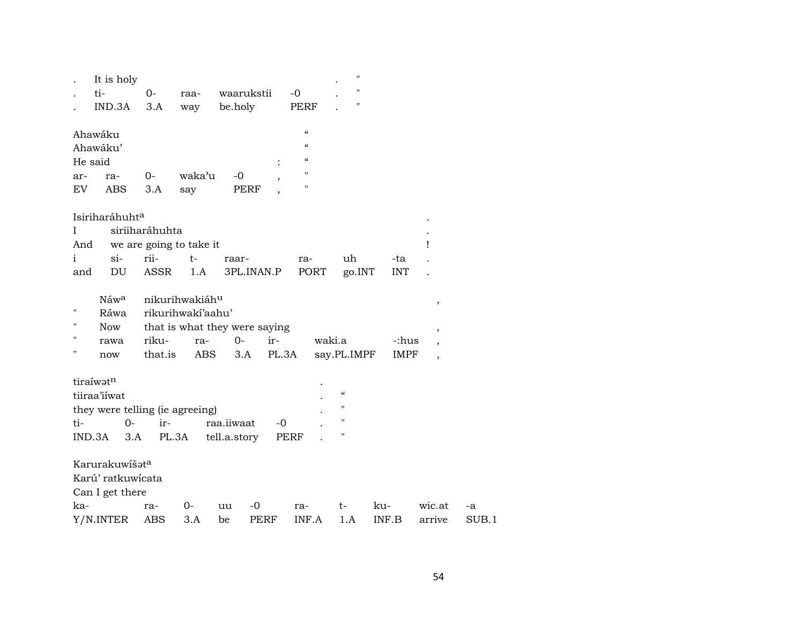|                    | It is holy                      |                |                               |              |             |                            |        | $\pmb{\mathsf{H}}$                     |       |             |                                                      |       |
|--------------------|---------------------------------|----------------|-------------------------------|--------------|-------------|----------------------------|--------|----------------------------------------|-------|-------------|------------------------------------------------------|-------|
|                    | ti-                             | $O-$           | raa-                          |              | waarukstii  | $-0$                       |        | $^{\prime\prime}$                      |       |             |                                                      |       |
|                    | IND.3A                          | 3.A            | way                           | be.holy      |             | PERF                       |        |                                        |       |             |                                                      |       |
|                    |                                 |                |                               |              |             | $\boldsymbol{\mathcal{C}}$ |        |                                        |       |             |                                                      |       |
|                    | Ahawáku<br>Ahawáku'             |                |                               |              |             | $\epsilon$                 |        |                                        |       |             |                                                      |       |
| He said            |                                 |                |                               |              |             | $\mathcal{C}\mathcal{C}$   |        |                                        |       |             |                                                      |       |
| ar-                | ra-                             | $0-$           | waka'u                        | $-0$         |             | $\pmb{\mathsf{H}}$         |        |                                        |       |             |                                                      |       |
| EV                 | <b>ABS</b>                      | 3.A            | say                           |              | PERF        | $\pmb{\mathsf{H}}$         |        |                                        |       |             |                                                      |       |
|                    |                                 |                |                               |              |             |                            |        |                                        |       |             |                                                      |       |
|                    | Isiriharáhuhta                  |                |                               |              |             |                            |        |                                        |       |             |                                                      |       |
| Ι                  |                                 | siriiharáhuhta |                               |              |             |                            |        |                                        |       |             |                                                      |       |
| And                |                                 |                | we are going to take it       |              |             |                            |        |                                        |       |             | Ţ                                                    |       |
| $\mathbf{i}$       | $si-$                           | rii-           | $t-$                          | raar-        |             | ra-                        |        | uh                                     |       | -ta         |                                                      |       |
| and                | DU                              | ASSR           | 1.A                           |              | 3PL.INAN.P  | PORT                       |        | go.INT                                 |       | <b>INT</b>  |                                                      |       |
|                    | Náwa                            |                | nikurihwakiáhu                |              |             |                            |        |                                        |       |             |                                                      |       |
| п                  | Ráwa                            |                | rikurihwakí'aahu'             |              |             |                            |        |                                        |       |             | $\, ,$                                               |       |
| $\blacksquare$     | Now                             |                | that is what they were saying |              |             |                            |        |                                        |       |             |                                                      |       |
| $\pmb{\mathsf{H}}$ | rawa                            | riku-          | ra-                           | $0 -$        | ir-         |                            | waki.a |                                        |       | -:hus       | $\, ,$                                               |       |
| $\pmb{\mathsf{H}}$ | now                             | that.is        | ABS                           | 3.A          | PL.3A       |                            |        | say.PL.IMPF                            |       | <b>IMPF</b> | $\overline{\phantom{a}}$<br>$\overline{\phantom{a}}$ |       |
|                    |                                 |                |                               |              |             |                            |        |                                        |       |             |                                                      |       |
|                    | tiraíwatn                       |                |                               |              |             |                            |        |                                        |       |             |                                                      |       |
|                    | tiiraa'iiwat                    |                |                               |              |             |                            |        | $\boldsymbol{\zeta}\boldsymbol{\zeta}$ |       |             |                                                      |       |
|                    | they were telling (ie agreeing) |                |                               |              |             |                            |        | $\pmb{\mathsf{H}}$                     |       |             |                                                      |       |
| ti-                | $0-$                            | ir-            |                               | raa.iiwaat   | $-0$        |                            |        | $\pmb{\mathsf{H}}$                     |       |             |                                                      |       |
|                    | IND.3A<br>3.A                   | PL.3A          |                               | tell.a.story |             | <b>PERF</b>                |        | п                                      |       |             |                                                      |       |
|                    | Karurakuwišat <sup>a</sup>      |                |                               |              |             |                            |        |                                        |       |             |                                                      |       |
|                    | Karú' ratkuwícata               |                |                               |              |             |                            |        |                                        |       |             |                                                      |       |
|                    | Can I get there                 |                |                               |              |             |                            |        |                                        |       |             |                                                      |       |
| ka-                |                                 | ra-            | $0-$                          | uu           | -0          | ra-                        |        | t-                                     | ku-   |             | wic.at                                               | -a    |
|                    | Y/N.INTER                       | ABS            | 3.A                           | be           | <b>PERF</b> | INF.A                      |        | 1.A                                    | INF.B |             | arrive                                               | SUB.1 |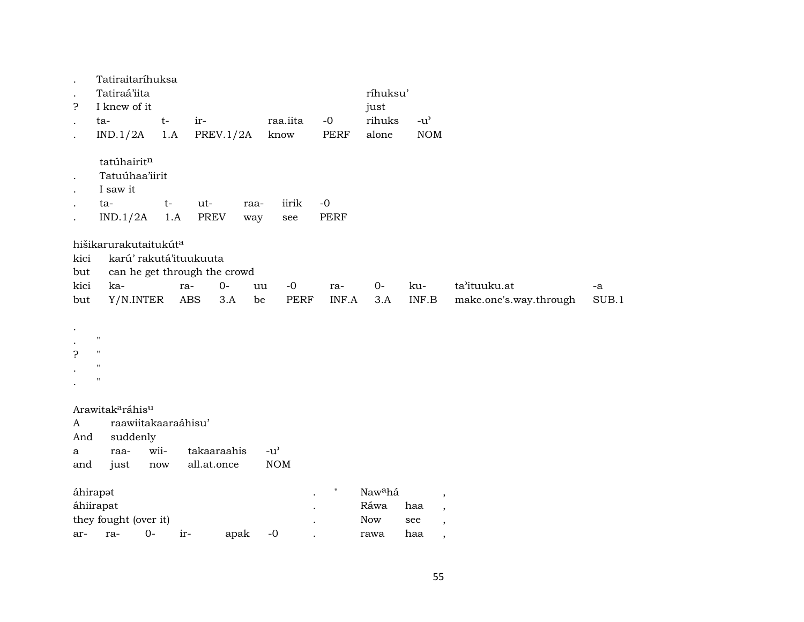| $\bullet$<br>5. | Tatiraitaríhuksa<br>Tatiraá'iita<br>I knew of it                    |             |                              |             |                                     |                     | ríhuksu'<br>just                          |                                                                                                |                        |       |
|-----------------|---------------------------------------------------------------------|-------------|------------------------------|-------------|-------------------------------------|---------------------|-------------------------------------------|------------------------------------------------------------------------------------------------|------------------------|-------|
| $\cdot$         | ta-                                                                 | $t-$        | ir-                          |             | raa.iita                            | $-0$                | rihuks                                    | $-u^{\prime}$                                                                                  |                        |       |
| $\bullet$       | IND.1/2A                                                            | 1.A         | PREV. $1/2A$                 |             | know                                | <b>PERF</b>         | alone                                     | <b>NOM</b>                                                                                     |                        |       |
| $\bullet$       | tatúhairitn<br>Tatuúhaa'iirit<br>I saw it<br>ta-<br>IND.1/2A        | $t-$<br>1.A | ut-<br><b>PREV</b>           | raa-<br>way | iirik<br>see                        | $-0$<br><b>PERF</b> |                                           |                                                                                                |                        |       |
|                 | hišikarurakutaitukút <sup>a</sup>                                   |             |                              |             |                                     |                     |                                           |                                                                                                |                        |       |
| kici            | karú' rakutá'ituukuuta                                              |             |                              |             |                                     |                     |                                           |                                                                                                |                        |       |
| but             |                                                                     |             | can he get through the crowd |             |                                     |                     |                                           |                                                                                                |                        |       |
| kici            | ka-                                                                 | ra-         | $0-$                         | uu          | $-0$                                | ra-                 | $0-$                                      | ku-                                                                                            | ta'ituuku.at           | -a    |
| but             | Y/N.INTER                                                           |             | <b>ABS</b><br>3.A            | be          | PERF                                | INF.A               | 3.A                                       | INF.B                                                                                          | make.one's.way.through | SUB.1 |
| P               | $\pmb{\mathsf{H}}$<br>$\pmb{\mathsf{H}}$<br>$\pmb{\mathsf{H}}$<br>" |             |                              |             |                                     |                     |                                           |                                                                                                |                        |       |
|                 | Arawitak <sup>a</sup> ráhis <sup>u</sup>                            |             |                              |             |                                     |                     |                                           |                                                                                                |                        |       |
| A               | raawiitakaaraáhisu'                                                 |             |                              |             |                                     |                     |                                           |                                                                                                |                        |       |
| And             | suddenly                                                            |             |                              |             |                                     |                     |                                           |                                                                                                |                        |       |
| a               | raa-                                                                | wii-        | takaaraahis                  |             | $-u$ <sup><math>\prime</math></sup> |                     |                                           |                                                                                                |                        |       |
| and             | just                                                                | now         | all.at.once                  |             | <b>NOM</b>                          |                     |                                           |                                                                                                |                        |       |
|                 | áhirapot<br>áhiirapat<br>they fought (over it)                      |             |                              |             |                                     | $\pmb{\mathsf{H}}$  | Naw <sup>a</sup> há<br>Ráwa<br><b>Now</b> | $\overline{\phantom{a}}$<br>haa<br>$\overline{\phantom{a}}$<br>see<br>$\overline{\phantom{a}}$ |                        |       |
| ar-             | $0-$<br>ra-                                                         | ir-         |                              | apak        | $-0$                                |                     | rawa                                      | haa<br>$\cdot$                                                                                 |                        |       |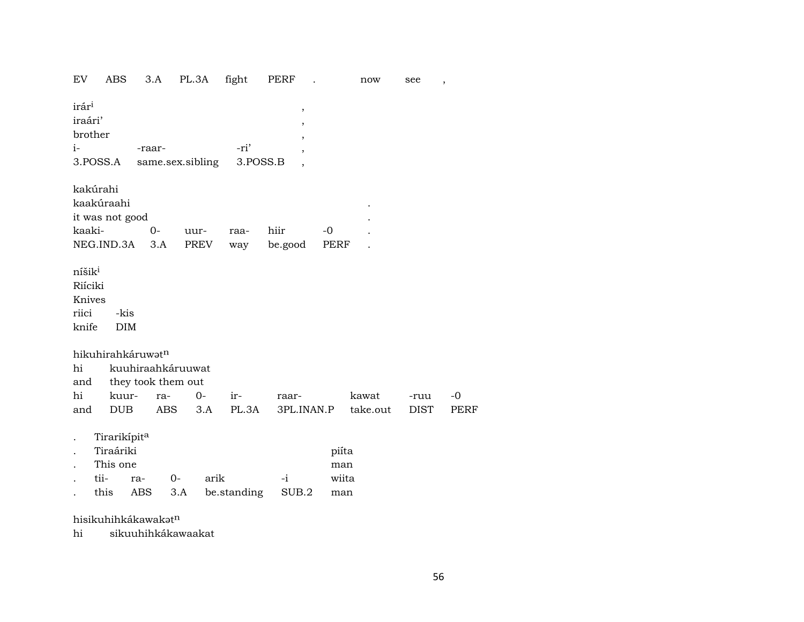EV ABS 3.A PL.3A fight PERF . now see , irár³ , iraári' , brother i- -raar- -ri' , 3.POSS.A same.sex.sibling 3.POSS.B , kakúrahi kaakúraahi . it was not good kaaki- 0- uur- raa- hiir -0 . NEG.IND.3A 3.A PREV way be.good PERF níšik $^{\rm i}$ Riíciki Knives riici -kis knife DIM hikuhirahkáruwat<sup>n</sup> hi kuuhiraahkáruuwat and they took them out hi kuur- ra- 0- ir- raar- kawat -ruu -0 and DUB ABS 3.A PL.3A 3PL.INAN.P take.out DIST PERF . Tirarikípit<sup>a</sup> . Tiraáriki piíta This one man . tii- ra- 0- arik -i wiita . this ABS 3.A be.standing SUB.2 man

hisikuhihkákawakatn

hi sikuuhihkákawaakat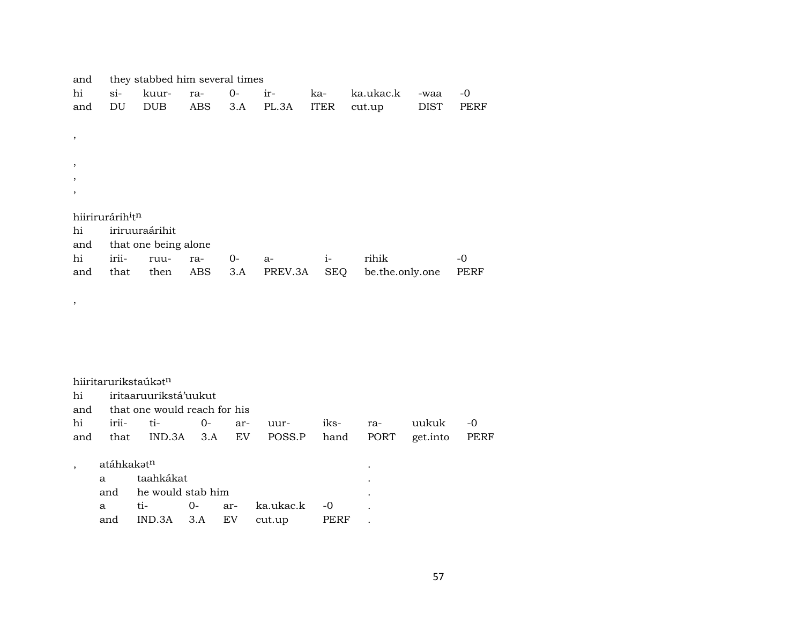| and                                      | they stabbed him several times |                      |     |       |         |             |                 |             |      |  |  |  |
|------------------------------------------|--------------------------------|----------------------|-----|-------|---------|-------------|-----------------|-------------|------|--|--|--|
| hi                                       | $\sin$                         | kuur-                | ra- | 0-    | ir-     | ka-         | ka.ukac.k       | -waa        | -0   |  |  |  |
| and                                      | DU                             | <b>DUB</b>           | ABS | 3.A   | PL.3A   | <b>ITER</b> | cut.up          | <b>DIST</b> | PERF |  |  |  |
|                                          |                                |                      |     |       |         |             |                 |             |      |  |  |  |
| $\cdot$                                  |                                |                      |     |       |         |             |                 |             |      |  |  |  |
|                                          |                                |                      |     |       |         |             |                 |             |      |  |  |  |
| $\cdot$                                  |                                |                      |     |       |         |             |                 |             |      |  |  |  |
| $\, ,$                                   |                                |                      |     |       |         |             |                 |             |      |  |  |  |
| $\cdot$                                  |                                |                      |     |       |         |             |                 |             |      |  |  |  |
|                                          |                                |                      |     |       |         |             |                 |             |      |  |  |  |
| hiirirurárih <sup>i</sup> t <sup>n</sup> |                                |                      |     |       |         |             |                 |             |      |  |  |  |
| hi                                       |                                | iriruuraárihit       |     |       |         |             |                 |             |      |  |  |  |
| and                                      |                                | that one being alone |     |       |         |             |                 |             |      |  |  |  |
| hi                                       | irii-                          | ruu-                 | ra- | $O -$ | $a-$    | $1-$        | rihik           |             | -0   |  |  |  |
| and                                      | that                           | then                 | ABS | 3.A   | PREV.3A | <b>SEQ</b>  | be.the.only.one |             | PERF |  |  |  |

| hi  |                     | iritaaruurikstá'uukut        |      |            |        |      |      |          |      |
|-----|---------------------|------------------------------|------|------------|--------|------|------|----------|------|
| and |                     | that one would reach for his |      |            |        |      |      |          |      |
| hi  | $\cdots$<br>$1r11-$ | ti-                          | $0-$ | ar-        | uur-   | iks- | ra-  | uukuk    | -0   |
| and | that                | $IND.3A$ $3.A$               |      | ${\rm EV}$ | POSS.P | hand | PORT | get.into | PERF |

| $\mathbf{a}$ | taahkákat                    |  |      | ٠ |  |
|--------------|------------------------------|--|------|---|--|
|              | and he would stab him        |  |      |   |  |
| $\mathbf{a}$ |                              |  |      |   |  |
| and          | $IND.3A$ $3.A$ $EV$ $cut.up$ |  | PERF |   |  |

 $\overline{\phantom{a}}$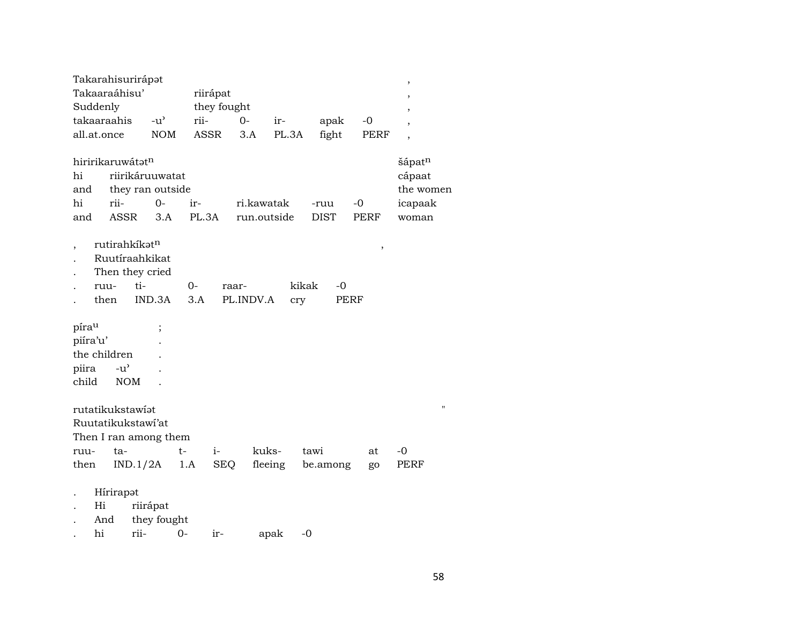|             |      |               | Takarahisurirápət                   |       |             |             |         |             |             | $\,$                     |
|-------------|------|---------------|-------------------------------------|-------|-------------|-------------|---------|-------------|-------------|--------------------------|
|             |      | Takaaraáhisu' |                                     |       | riirápat    |             |         |             |             |                          |
| Suddenly    |      |               |                                     |       | they fought |             |         |             |             | $\cdot$                  |
|             |      | takaaraahis   | $-u$ <sup><math>\prime</math></sup> | rii-  |             | $0-$        | ir-     | apak        | $-0$        | $\overline{\phantom{a}}$ |
| all.at.once |      |               | <b>NOM</b>                          |       | ASSR        | 3.A         | PL.3A   | fight       | PERF        |                          |
|             |      |               |                                     |       |             |             |         |             |             |                          |
|             |      |               | hiririkaruwátatn                    |       |             |             |         |             |             | šápatn                   |
| hi          |      |               | riirikáruuwatat                     |       |             |             |         |             |             | cápaat                   |
| and         |      |               | they ran outside                    |       |             |             |         |             |             | the women                |
| hi          |      | rii-          | $0-$                                | ir-   |             | ri.kawatak  |         | -ruu        | -0          | icapaak                  |
| and         |      | <b>ASSR</b>   | 3.A                                 | PL.3A |             | run.outside |         | <b>DIST</b> | <b>PERF</b> | woman                    |
|             |      |               |                                     |       |             |             |         |             |             |                          |
|             |      |               | rutirahkíkatn                       |       |             |             |         |             |             |                          |
|             |      |               | Ruutíraahkikat                      |       |             |             |         |             | $\, ,$      |                          |
|             |      |               |                                     |       |             |             |         |             |             |                          |
|             |      |               | Then they cried                     |       |             |             |         |             |             |                          |
|             | ruu- |               | ti-                                 | 0-    |             | raar-       |         | kikak<br>-0 |             |                          |
|             | then |               | IND.3A                              | 3.A   |             | PL.INDV.A   | cry     |             | PERF        |                          |
|             |      |               |                                     |       |             |             |         |             |             |                          |
| pírau       |      |               | $\cdot$                             |       |             |             |         |             |             |                          |
| piíra'u'    |      |               |                                     |       |             |             |         |             |             |                          |
|             |      | the children  |                                     |       |             |             |         |             |             |                          |
| piira       |      | $-u^{\prime}$ |                                     |       |             |             |         |             |             |                          |
| child       |      | <b>NOM</b>    |                                     |       |             |             |         |             |             |                          |
|             |      |               |                                     |       |             |             |         |             |             |                          |
|             |      |               | rutatikukstawiat                    |       |             |             |         |             |             | $\blacksquare$           |
|             |      |               | Ruutatikukstawi'at                  |       |             |             |         |             |             |                          |
|             |      |               | Then I ran among them               |       |             |             |         |             |             |                          |
| ruu-        |      | ta-           |                                     | t-    | $i-$        |             | kuks-   | tawi        | at          | $-0$                     |
| then        |      |               | IND.1/2A                            | 1.A   | <b>SEQ</b>  |             | fleeing | be.among    | go          | PERF                     |
|             |      |               |                                     |       |             |             |         |             |             |                          |
|             |      | Hírirapot     |                                     |       |             |             |         |             |             |                          |
|             | Hi   |               |                                     |       |             |             |         |             |             |                          |
|             |      |               | riirápat                            |       |             |             |         |             |             |                          |
|             | And  |               | they fought                         |       |             |             |         |             |             |                          |
|             | hi   |               | rii-                                | 0-    | ir-         |             | apak    | $-0$        |             |                          |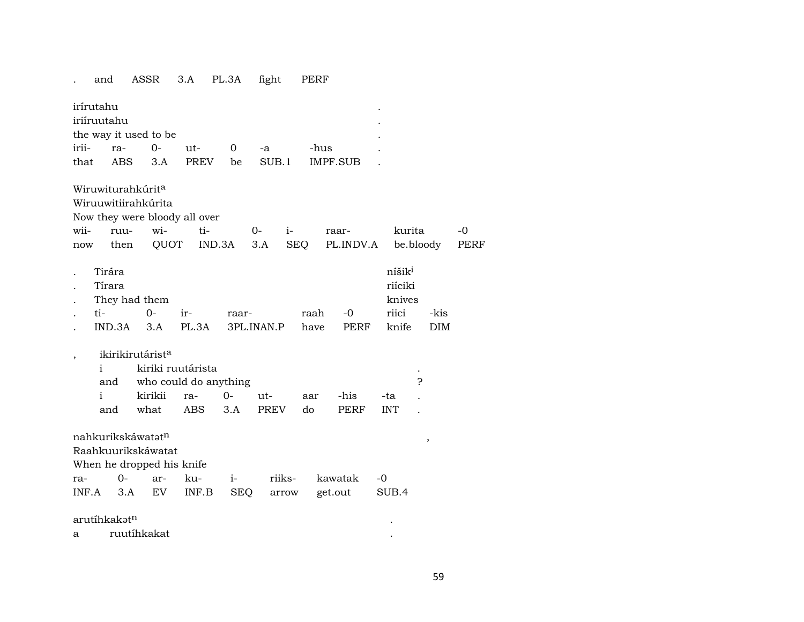## . and ASSR 3.A PL.3A fight PERF

| irírutahu   |              |                          |                               |                               |            |              |            |             |                    |            |      |
|-------------|--------------|--------------------------|-------------------------------|-------------------------------|------------|--------------|------------|-------------|--------------------|------------|------|
| iriíruutahu |              |                          |                               |                               |            |              |            |             |                    |            |      |
|             |              |                          | the way it used to be         |                               |            |              |            |             |                    |            |      |
| irii-       |              | ra-                      | 0-                            | ut-                           | 0          | -a           |            | -hus        |                    |            |      |
| that        |              | <b>ABS</b>               | 3.A                           | <b>PREV</b>                   | be         | SUB.1        |            | IMPF.SUB    |                    |            |      |
|             |              |                          |                               |                               |            |              |            |             |                    |            |      |
|             |              |                          | Wiruwiturahkúrit <sup>a</sup> |                               |            |              |            |             |                    |            |      |
|             |              |                          | Wiruuwitiirahkúrita           |                               |            |              |            |             |                    |            |      |
|             |              |                          |                               | Now they were bloody all over |            |              |            |             |                    |            |      |
| wii-        |              | ruu-                     | wi-                           | ti-                           |            | $0-$<br>$i-$ |            | raar-       | kurita             |            | $-0$ |
| now         |              | then                     | QUOT                          |                               | IND.3A     | 3.A          | <b>SEQ</b> | PL.INDV.A   |                    | be.bloody  | PERF |
|             | Tirára       |                          |                               |                               |            |              |            |             | níšik <sup>i</sup> |            |      |
|             | Tírara       |                          |                               |                               |            |              |            |             | riíciki            |            |      |
|             |              |                          | They had them                 |                               |            |              |            |             | knives             |            |      |
|             | ti-          |                          | $0 -$                         | ir-                           | raar-      |              | raah       | $-0$        | riici              | -kis       |      |
|             | IND.3A       |                          | 3.A                           | PL.3A                         |            | 3PL.INAN.P   | have       | <b>PERF</b> | knife              | <b>DIM</b> |      |
|             |              |                          | ikirikirutárist <sup>a</sup>  |                               |            |              |            |             |                    |            |      |
| ,           | $\mathbf{i}$ |                          |                               | kiriki ruutárista             |            |              |            |             |                    |            |      |
|             | and          |                          |                               | who could do anything         |            |              |            |             |                    | ς          |      |
|             | $\mathbf{i}$ |                          | kirikii                       | ra-                           | $0-$       | ut-          | aar        | -his        | -ta                |            |      |
|             |              |                          | what                          | <b>ABS</b>                    | 3.A        | <b>PREV</b>  | do         | <b>PERF</b> | <b>INT</b>         |            |      |
|             | and          |                          |                               |                               |            |              |            |             |                    |            |      |
|             |              |                          | nahkurikskáwatat <sup>n</sup> |                               |            |              |            |             |                    | ,          |      |
|             |              |                          | Raahkuurikskáwatat            |                               |            |              |            |             |                    |            |      |
|             |              |                          | When he dropped his knife     |                               |            |              |            |             |                    |            |      |
| ra-         |              | $0-$                     | ar-                           | ku-                           | $i-$       | riiks-       |            | kawatak     | $-0$               |            |      |
| INF.A       |              | 3.A                      | EV                            | INF.B                         | <b>SEQ</b> | arrow        |            | get.out     | SUB.4              |            |      |
|             |              |                          |                               |                               |            |              |            |             |                    |            |      |
|             |              | arutíhkakət <sup>n</sup> |                               |                               |            |              |            |             |                    |            |      |
| а           |              |                          | ruutíhkakat                   |                               |            |              |            |             |                    |            |      |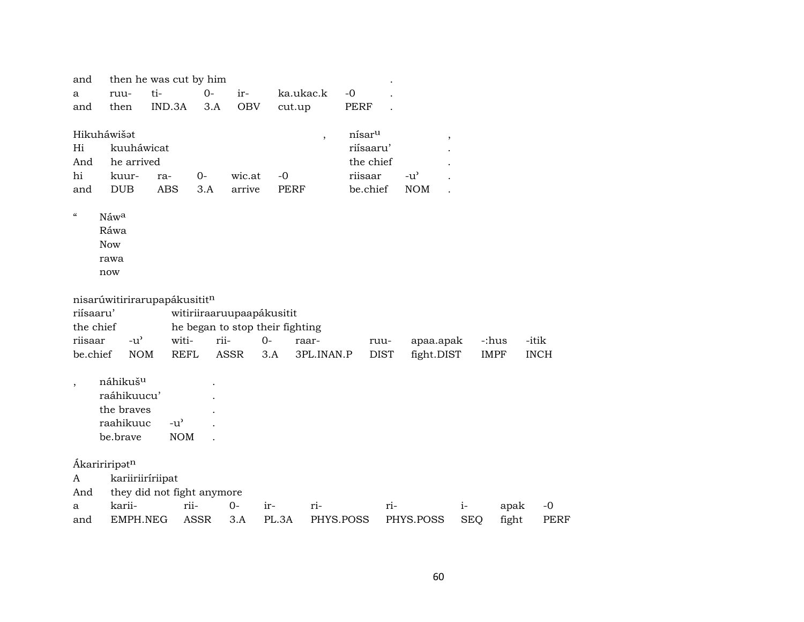| and                      |                                     | then he was cut by him     |      |                                 |             |                          |                    |     |                         |            |             |             |
|--------------------------|-------------------------------------|----------------------------|------|---------------------------------|-------------|--------------------------|--------------------|-----|-------------------------|------------|-------------|-------------|
| a                        | ruu-                                | ti-                        | $0-$ | ir-                             |             | ka.ukac.k                | $-0$               |     |                         |            |             |             |
| and                      | then                                | IND.3A                     | 3.A  | <b>OBV</b>                      | cut.up      |                          | <b>PERF</b>        |     |                         |            |             |             |
|                          |                                     |                            |      |                                 |             |                          |                    |     |                         |            |             |             |
|                          | Hikuháwišat                         |                            |      |                                 |             | $\overline{\phantom{a}}$ | nísar <sup>u</sup> |     | $^\mathrm{^\mathrm{o}}$ |            |             |             |
| Hi                       | kuuháwicat                          |                            |      |                                 |             |                          | riísaaru'          |     |                         |            |             |             |
| And                      | he arrived                          |                            |      |                                 |             |                          | the chief          |     |                         |            |             |             |
| hi                       | kuur-                               | ra-                        | $0-$ | wic.at                          | $-0$        |                          | riisaar            |     | $-u^{\prime}$           |            |             |             |
| and                      | <b>DUB</b>                          | <b>ABS</b>                 | 3.A  | arrive                          | <b>PERF</b> |                          | be.chief           |     | <b>NOM</b>              |            |             |             |
| $\zeta\zeta$             | Náwa                                |                            |      |                                 |             |                          |                    |     |                         |            |             |             |
|                          | Ráwa                                |                            |      |                                 |             |                          |                    |     |                         |            |             |             |
|                          | <b>Now</b>                          |                            |      |                                 |             |                          |                    |     |                         |            |             |             |
|                          | rawa                                |                            |      |                                 |             |                          |                    |     |                         |            |             |             |
|                          | now                                 |                            |      |                                 |             |                          |                    |     |                         |            |             |             |
|                          |                                     |                            |      |                                 |             |                          |                    |     |                         |            |             |             |
|                          | nisarúwitirirarupapákusititn        |                            |      |                                 |             |                          |                    |     |                         |            |             |             |
| riísaaru'                |                                     |                            |      | witiriiraaruupaapákusitit       |             |                          |                    |     |                         |            |             |             |
| the chief                |                                     |                            |      | he began to stop their fighting |             |                          |                    |     |                         |            |             |             |
| riisaar                  | $-u$ <sup><math>\sim</math></sup>   | witi-                      | rii- |                                 | $O -$       | raar-                    | ruu-               |     | apaa.apak               |            | -:hus       | -itik       |
| be.chief                 | <b>NOM</b>                          | <b>REFL</b>                |      | <b>ASSR</b>                     | 3.A         | 3PL.INAN.P               | <b>DIST</b>        |     | fight.DIST              |            | <b>IMPF</b> | <b>INCH</b> |
|                          |                                     |                            |      |                                 |             |                          |                    |     |                         |            |             |             |
| $\overline{\phantom{a}}$ | náhikuš <sup>u</sup><br>raáhikuucu' |                            |      |                                 |             |                          |                    |     |                         |            |             |             |
|                          | the braves                          |                            |      |                                 |             |                          |                    |     |                         |            |             |             |
|                          | raahikuuc                           | $-u^{\prime}$              |      |                                 |             |                          |                    |     |                         |            |             |             |
|                          | be.brave                            | <b>NOM</b>                 |      |                                 |             |                          |                    |     |                         |            |             |             |
|                          |                                     |                            |      |                                 |             |                          |                    |     |                         |            |             |             |
|                          | Ákaririripatn                       |                            |      |                                 |             |                          |                    |     |                         |            |             |             |
| A                        |                                     | kariiriiríriipat           |      |                                 |             |                          |                    |     |                         |            |             |             |
| And                      |                                     | they did not fight anymore |      |                                 |             |                          |                    |     |                         |            |             |             |
| a                        | karii-                              |                            | rii- | $0-$                            | ir-         | ri-                      |                    | ri- |                         | $i-$       | apak        | $-0$        |
| and                      | EMPH.NEG                            |                            | ASSR | 3.A                             | PL.3A       | PHYS.POSS                |                    |     | PHYS.POSS               | <b>SEQ</b> | fight       | PERF        |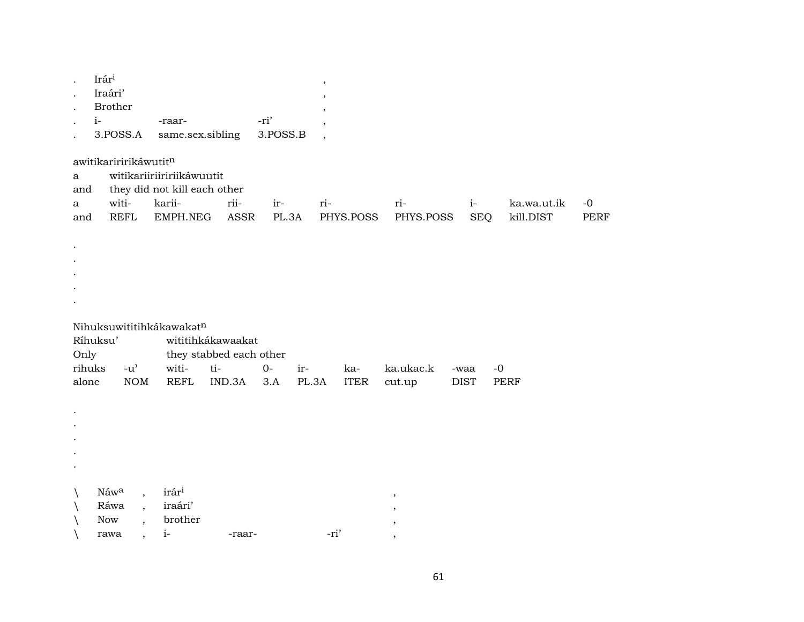|                            | Irári<br>Iraári'<br><b>Brother</b><br>$i-$<br>3.POSS.A                                                          | -raar-<br>same.sex.sibling                                                      |                                                               | -ri'<br>3.POSS.B             | $\, ,$<br>$\cdot$<br>$\overline{\phantom{a}}$ |                                              |                             |                          |              |
|----------------------------|-----------------------------------------------------------------------------------------------------------------|---------------------------------------------------------------------------------|---------------------------------------------------------------|------------------------------|-----------------------------------------------|----------------------------------------------|-----------------------------|--------------------------|--------------|
| a<br>and<br>a<br>and       | awitikariririkáwutitn<br>witi-<br><b>REFL</b>                                                                   | witikariiriiririikáwuutit<br>they did not kill each other<br>karii-<br>EMPH.NEG | rii-<br>ASSR                                                  | ir-<br>PL.3A                 | ri-<br>PHYS.POSS                              | ri-<br>PHYS.POSS                             | $i-$<br><b>SEQ</b>          | ka.wa.ut.ik<br>kill.DIST | $-0$<br>PERF |
|                            |                                                                                                                 |                                                                                 |                                                               |                              |                                               |                                              |                             |                          |              |
| Only<br>rihuks<br>alone    | Ríhuksu'<br>$-u^{\prime}$<br><b>NOM</b>                                                                         | Nihuksuwititihkákawakatn<br>witi-<br><b>REFL</b>                                | wititihkákawaakat<br>they stabbed each other<br>ti-<br>IND.3A | $O -$<br>ir-<br>3.A<br>PL.3A | ka-<br><b>ITER</b>                            | ka.ukac.k<br>cut.up                          | $-0$<br>-waa<br><b>DIST</b> | PERF                     |              |
|                            |                                                                                                                 |                                                                                 |                                                               |                              |                                               |                                              |                             |                          |              |
| $\setminus$<br>$\setminus$ | Náwa<br>$\overline{\phantom{a}}$<br>Ráwa<br>$\overline{\phantom{a}}$<br>Now<br>rawa<br>$\overline{\phantom{a}}$ | irár <sup>i</sup><br>iraári'<br>brother<br>$i-$                                 | -raar-                                                        |                              | -ri'                                          | $\, ,$<br>$\cdot$<br>$^\mathrm{^\mathrm{o}}$ |                             |                          |              |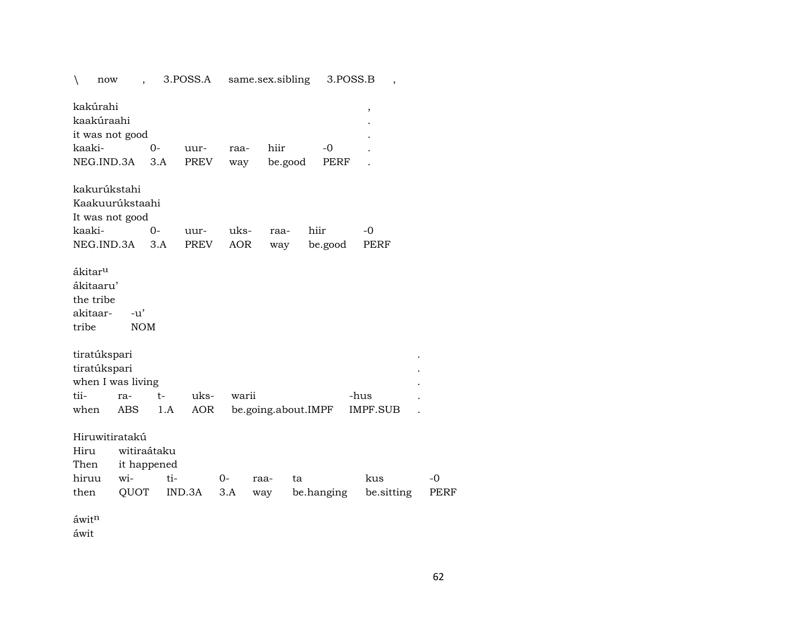| $\setminus$<br>now                                                 |                     |             | 3.POSS.A    |            | same.sex.sibling    |         | 3.POSS.B   | ,               |             |
|--------------------------------------------------------------------|---------------------|-------------|-------------|------------|---------------------|---------|------------|-----------------|-------------|
| kakúrahi<br>kaakúraahi<br>it was not good                          |                     |             |             |            |                     |         |            | $\, ,$          |             |
| kaaki-                                                             |                     | 0-          | uur-        | raa-       | hiir                |         | -0         |                 |             |
| NEG.IND.3A                                                         |                     | 3.A         | <b>PREV</b> |            |                     | be.good | PERF       |                 |             |
|                                                                    |                     |             |             | way        |                     |         |            |                 |             |
| kakurúkstahi<br>Kaakuurúkstaahi<br>It was not good                 |                     |             |             |            |                     |         |            |                 |             |
| kaaki-                                                             |                     | $0-$        | uur-        | uks-       | raa-                |         | hiir       | $-0$            |             |
| NEG.IND.3A                                                         |                     | 3.A         | <b>PREV</b> | <b>AOR</b> | way                 |         | be.good    | <b>PERF</b>     |             |
| ákitar <sup>u</sup><br>ákitaaru'<br>the tribe<br>akitaar-<br>tribe | $-u'$<br><b>NOM</b> |             |             |            |                     |         |            |                 |             |
| tiratúkspari                                                       |                     |             |             |            |                     |         |            |                 |             |
| tiratúkspari                                                       |                     |             |             |            |                     |         |            |                 |             |
| when I was living                                                  |                     |             |             |            |                     |         |            |                 |             |
| tii-                                                               | ra-                 | $t-$        | uks-        | warii      |                     |         |            | -hus            |             |
| when                                                               | <b>ABS</b>          | 1.A         | <b>AOR</b>  |            | be.going.about.IMPF |         |            | <b>IMPF.SUB</b> |             |
| Hiruwitiratakú<br>Hiru<br>Then                                     | witiraátaku         | it happened |             |            |                     |         |            |                 |             |
| hiruu                                                              | wi-                 | ti-         |             | $0-$       | raa-                | ta      |            | kus             | $-0$        |
| then                                                               | QUOT                |             | IND.3A      | 3.A        | way                 |         | be.hanging | be sitting      | <b>PERF</b> |
| áwitn                                                              |                     |             |             |            |                     |         |            |                 |             |

áwit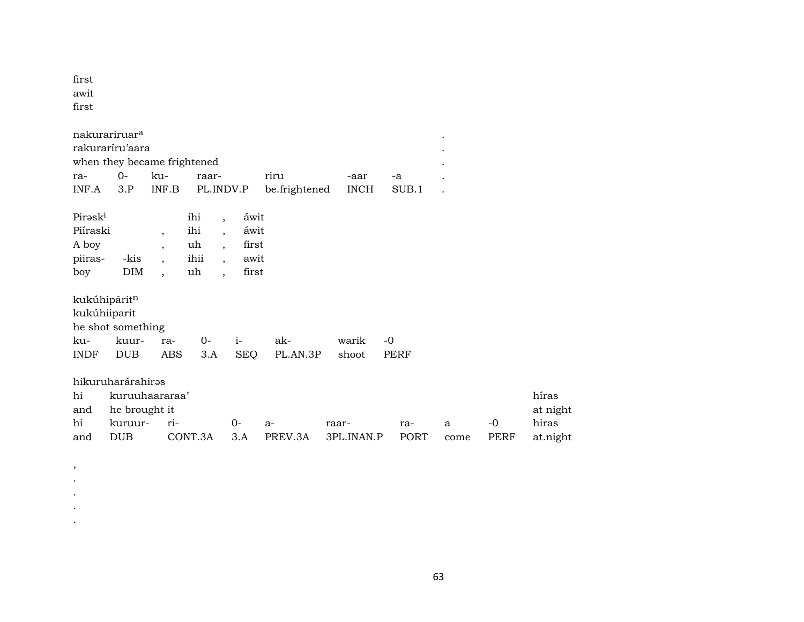first awit first

, . . . .

|                                                | nakurariruar <sup>a</sup>         |                |                                |                                                                                                 |               |             |       | $\bullet$ |             |          |
|------------------------------------------------|-----------------------------------|----------------|--------------------------------|-------------------------------------------------------------------------------------------------|---------------|-------------|-------|-----------|-------------|----------|
|                                                | rakuraríru'aara                   |                |                                |                                                                                                 |               |             |       |           |             |          |
|                                                | when they became frightened       |                |                                |                                                                                                 |               |             |       |           |             |          |
| ra-                                            | 0-                                | ku-            | raar-                          |                                                                                                 | riru          | -aar        | -a    |           |             |          |
| INF.A                                          | 3.P                               | INF.B          |                                | PL.INDV.P                                                                                       | be.frightened | <b>INCH</b> | SUB.1 |           |             |          |
| Piraski<br>Piíraski<br>A boy<br>piiras-<br>boy | -kis<br><b>DIM</b>                | $\overline{ }$ | ihi<br>ihi<br>uh<br>ihii<br>uh | áwit<br>$\overline{\phantom{a}}$<br>áwit<br>first<br>$\overline{ }$<br>awit<br>$\cdot$<br>first |               |             |       |           |             |          |
| kukúhiiparit                                   | kukúhipāritn<br>he shot something |                |                                |                                                                                                 |               |             |       |           |             |          |
| ku-                                            | kuur-                             | ra-            | $0-$                           | $i-$                                                                                            | ak-           | warik       | $-0$  |           |             |          |
| <b>INDF</b>                                    | <b>DUB</b>                        | ABS            | 3.A                            | <b>SEQ</b>                                                                                      | PL.AN.3P      | shoot       | PERF  |           |             |          |
|                                                | hikuruharárahiras                 |                |                                |                                                                                                 |               |             |       |           |             |          |
| hi                                             | kuruuhaararaa'                    |                |                                |                                                                                                 |               |             |       |           |             | híras    |
| and                                            | he brought it                     |                |                                |                                                                                                 |               |             |       |           |             | at night |
| hi                                             | kuruur-                           | ri-            |                                | 0-                                                                                              | $a-$          | raar-       | ra-   | a         | -0          | hiras    |
| and                                            | <b>DUB</b>                        |                | CONT.3A                        | 3.A                                                                                             | PREV.3A       | 3PL.INAN.P  | PORT  | come      | <b>PERF</b> | at.night |

63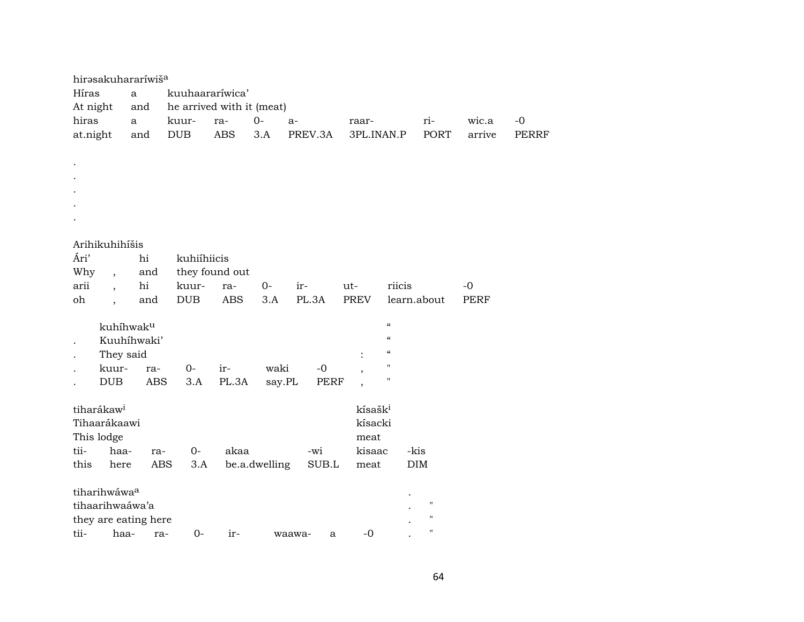| hirasakuhararíwiša               |              |                   |                           |               |             |                          |                          |                    |             |              |
|----------------------------------|--------------|-------------------|---------------------------|---------------|-------------|--------------------------|--------------------------|--------------------|-------------|--------------|
| Híras                            | a            |                   | kuuhaararíwica'           |               |             |                          |                          |                    |             |              |
| At night                         | and          |                   | he arrived with it (meat) |               |             |                          |                          |                    |             |              |
| hiras                            | $\mathbf{a}$ | kuur-             | ra-                       | $0-$          | $a-$        | raar-                    |                          | ri-                | wic.a       | $-0$         |
| at.night                         | and          | <b>DUB</b>        | <b>ABS</b>                | 3.A           | PREV.3A     | 3PL.INAN.P               |                          | PORT               | arrive      | <b>PERRF</b> |
|                                  |              |                   |                           |               |             |                          |                          |                    |             |              |
|                                  |              |                   |                           |               |             |                          |                          |                    |             |              |
|                                  |              |                   |                           |               |             |                          |                          |                    |             |              |
|                                  |              |                   |                           |               |             |                          |                          |                    |             |              |
|                                  |              |                   |                           |               |             |                          |                          |                    |             |              |
|                                  |              |                   |                           |               |             |                          |                          |                    |             |              |
| Arihikuhihíšis                   |              |                   |                           |               |             |                          |                          |                    |             |              |
| Ári'                             | hi           | kuhiíhiicis       |                           |               |             |                          |                          |                    |             |              |
| Why<br>$\overline{\phantom{a}}$  | and          |                   | they found out            |               |             |                          |                          |                    |             |              |
| arii<br>$\overline{\phantom{a}}$ | hi           | kuur-             | ra-                       | $0-$          | ir-         | $ut-$                    | riicis                   |                    | $-0$        |              |
| oh<br>$\overline{\phantom{a}}$   | and          | <b>DUB</b>        | <b>ABS</b>                | 3.A           | PL.3A       | <b>PREV</b>              | learn.about              |                    | <b>PERF</b> |              |
|                                  |              |                   |                           |               |             |                          |                          |                    |             |              |
|                                  | kuhíhwaku    |                   |                           |               |             |                          | $\epsilon\epsilon$       |                    |             |              |
|                                  | Kuuhíhwaki'  |                   |                           |               |             |                          | $\mathcal{C}$            |                    |             |              |
| They said                        |              |                   |                           |               |             |                          | $\mathcal{C}\mathcal{C}$ |                    |             |              |
| kuur-                            | ra-          | $0-$              | ir-                       | waki          | $-0$        | $\overline{\phantom{a}}$ | н<br>$\pmb{\mathsf{H}}$  |                    |             |              |
| DUB                              | <b>ABS</b>   | 3.A               | PL.3A                     | say.PL        | <b>PERF</b> | $\overline{\phantom{a}}$ |                          |                    |             |              |
| tiharákaw <sup>i</sup>           |              |                   |                           |               |             | kísašk <sup>i</sup>      |                          |                    |             |              |
| Tihaarákaawi                     |              |                   |                           |               |             | kísacki                  |                          |                    |             |              |
| This lodge                       |              |                   |                           |               |             | meat                     |                          |                    |             |              |
| tii-<br>haa-                     | ra-          | $0-$              | akaa                      |               | -wi         | kisaac                   | -kis                     |                    |             |              |
| this<br>here                     |              | <b>ABS</b><br>3.A |                           | be.a.dwelling | SUB.L       | meat                     | DIM                      |                    |             |              |
|                                  |              |                   |                           |               |             |                          |                          |                    |             |              |
| tiharihwáwa <sup>a</sup>         |              |                   |                           |               |             |                          |                          |                    |             |              |
| tihaarihwaáwa'a                  |              |                   |                           |               |             |                          |                          | $\pmb{\mathsf{H}}$ |             |              |
| they are eating here             |              |                   |                           |               |             |                          |                          | п                  |             |              |
| tii-<br>haa-                     |              | $0-$<br>ra-       | ir-                       |               | waawa-<br>a | $-0$                     |                          | п                  |             |              |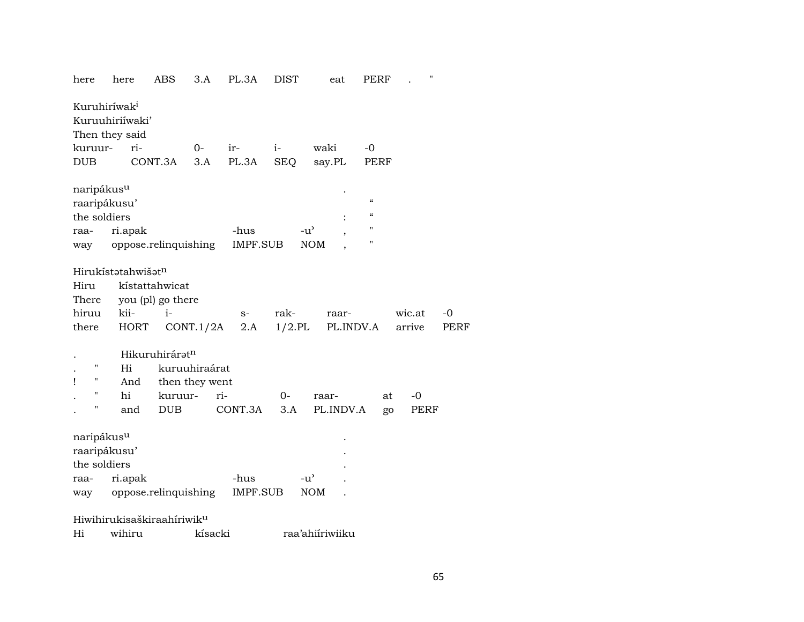| here                     | here                                   | ABS               | 3.A            | PL.3A    | DIST          | eat             | PERF                                   | ,,     |      |
|--------------------------|----------------------------------------|-------------------|----------------|----------|---------------|-----------------|----------------------------------------|--------|------|
| Kuruhiríwak <sup>i</sup> | Kuruuhiriíwaki'                        |                   |                |          |               |                 |                                        |        |      |
|                          | Then they said                         |                   |                |          |               |                 |                                        |        |      |
| kuruur-                  | ri-                                    |                   | $O-$           | ir-      | $i-$          | waki            | $-0$                                   |        |      |
| <b>DUB</b>               |                                        | CONT.3A           | 3.A            | PL.3A    | <b>SEQ</b>    | say.PL          | PERF                                   |        |      |
| naripákus <sup>u</sup>   |                                        |                   |                |          |               |                 |                                        |        |      |
| raaripákusu'             |                                        |                   |                |          |               |                 | $\pmb{\zeta}\pmb{\zeta}$               |        |      |
| the soldiers             |                                        |                   |                |          |               |                 | $\boldsymbol{\zeta}\boldsymbol{\zeta}$ |        |      |
| raa-                     | ri.apak                                |                   |                | -hus     | $-u^{\prime}$ |                 | н                                      |        |      |
|                          | way oppose.relinquishing               |                   |                | IMPF.SUB |               | <b>NOM</b>      | н                                      |        |      |
|                          |                                        |                   |                |          |               |                 |                                        |        |      |
|                          | Hirukístatahwišatn                     |                   |                |          |               |                 |                                        |        |      |
| Hiru                     |                                        | kístattahwicat    |                |          |               |                 |                                        |        |      |
| There                    |                                        | you (pl) go there |                |          |               |                 |                                        |        |      |
| hiruu                    | kii-                                   | i-                |                | $S-$     | rak-          | raar-           |                                        | wic.at | -0   |
| there                    | HORT                                   |                   | CONT.1/2A      | 2.A      | $1/2$ .PL     | PL.INDV.A       |                                        | arrive | PERF |
|                          |                                        |                   |                |          |               |                 |                                        |        |      |
|                          |                                        | Hikuruhiráratn    |                |          |               |                 |                                        |        |      |
| П                        | Hi                                     |                   | kuruuhiraárat  |          |               |                 |                                        |        |      |
| н<br>ı                   | And                                    |                   | then they went |          |               |                 |                                        |        |      |
| П                        | hi                                     | kuruur-           |                | ri-      | $0-$          | raar-           | at                                     | $-0$   |      |
| н                        | and                                    | <b>DUB</b>        |                | CONT.3A  | 3.A           | PL.INDV.A       | go                                     | PERF   |      |
|                          |                                        |                   |                |          |               |                 |                                        |        |      |
| naripákus <sup>u</sup>   |                                        |                   |                |          |               |                 |                                        |        |      |
| raaripákusu'             |                                        |                   |                |          |               |                 |                                        |        |      |
| the soldiers             |                                        |                   |                |          |               |                 |                                        |        |      |
| raa-                     | ri.apak                                |                   |                | -hus     |               | $-u^{\prime}$   |                                        |        |      |
| way                      | oppose.relinquishing                   |                   |                | IMPF.SUB |               | <b>NOM</b>      |                                        |        |      |
|                          |                                        |                   |                |          |               |                 |                                        |        |      |
|                          | Hiwihirukisaškiraahíriwik <sup>u</sup> |                   |                |          |               |                 |                                        |        |      |
| Hi                       | wihiru                                 |                   | kísacki        |          |               | raa'ahiiriwiiku |                                        |        |      |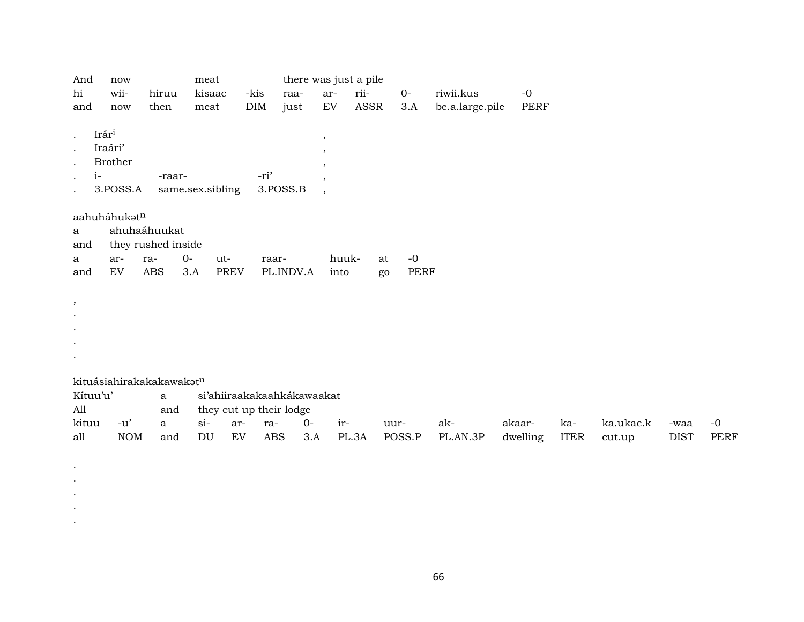| And           | now                      |                    | meat                    |            |                            |                          | there was just a pile |      |                 |      |  |  |
|---------------|--------------------------|--------------------|-------------------------|------------|----------------------------|--------------------------|-----------------------|------|-----------------|------|--|--|
| hi            | wii-                     | hiruu              | kisaac                  | -kis       | raa-                       | ar-                      | rii-                  | $0-$ | riwii.kus       | $-0$ |  |  |
| and           | now                      | then               | meat                    | <b>DIM</b> | just                       | EV                       | ASSR                  | 3.A  | be.a.large.pile | PERF |  |  |
|               |                          |                    |                         |            |                            |                          |                       |      |                 |      |  |  |
| $\bullet$     | Irári                    |                    |                         |            |                            | $\, ,$                   |                       |      |                 |      |  |  |
| $\bullet$     | Iraári'                  |                    |                         |            |                            |                          |                       |      |                 |      |  |  |
|               | Brother                  |                    |                         |            |                            | $^\mathrm{^\mathrm{o}}$  |                       |      |                 |      |  |  |
| $i-$          |                          | -raar-             |                         | -ri'       |                            | $\, ,$                   |                       |      |                 |      |  |  |
| $\bullet$     | 3.POSS.A                 |                    | same.sex.sibling        |            | 3.POSS.B                   | $\cdot$                  |                       |      |                 |      |  |  |
| $\bullet$     |                          |                    |                         |            |                            | $\overline{\phantom{a}}$ |                       |      |                 |      |  |  |
|               |                          |                    |                         |            |                            |                          |                       |      |                 |      |  |  |
|               | aahuháhukatn             |                    |                         |            |                            |                          |                       |      |                 |      |  |  |
| a             |                          | ahuhaáhuukat       |                         |            |                            |                          |                       |      |                 |      |  |  |
| and           |                          | they rushed inside |                         |            |                            |                          |                       |      |                 |      |  |  |
| a             | ar-                      | ra-                | $O -$<br>ut-            | raar-      |                            | huuk-                    | at                    | $-0$ |                 |      |  |  |
| and           | EV                       | ABS                | PREV<br>3.A             |            | PL.INDV.A                  | into                     | go                    | PERF |                 |      |  |  |
|               |                          |                    |                         |            |                            |                          |                       |      |                 |      |  |  |
| $^\mathrm{,}$ |                          |                    |                         |            |                            |                          |                       |      |                 |      |  |  |
| $\bullet$     |                          |                    |                         |            |                            |                          |                       |      |                 |      |  |  |
| $\bullet$     |                          |                    |                         |            |                            |                          |                       |      |                 |      |  |  |
| $\bullet$     |                          |                    |                         |            |                            |                          |                       |      |                 |      |  |  |
|               |                          |                    |                         |            |                            |                          |                       |      |                 |      |  |  |
|               |                          |                    |                         |            |                            |                          |                       |      |                 |      |  |  |
|               | kituásiahirakakakawakatn |                    |                         |            |                            |                          |                       |      |                 |      |  |  |
| Kítuu'u'      |                          |                    |                         |            | si'ahiiraakakaahkákawaakat |                          |                       |      |                 |      |  |  |
|               |                          | a                  |                         |            |                            |                          |                       |      |                 |      |  |  |
| All           |                          | and                | they cut up their lodge |            |                            |                          |                       |      |                 |      |  |  |

. . . . .

kituu -u' a si- ar- ra- 0- ir- uur- ak- akaar- ka- ka.ukac.k -waa -0 all NOM and DU EV ABS 3.A PL.3A POSS.P PL.AN.3P dwelling ITER cut.up DIST PERF

66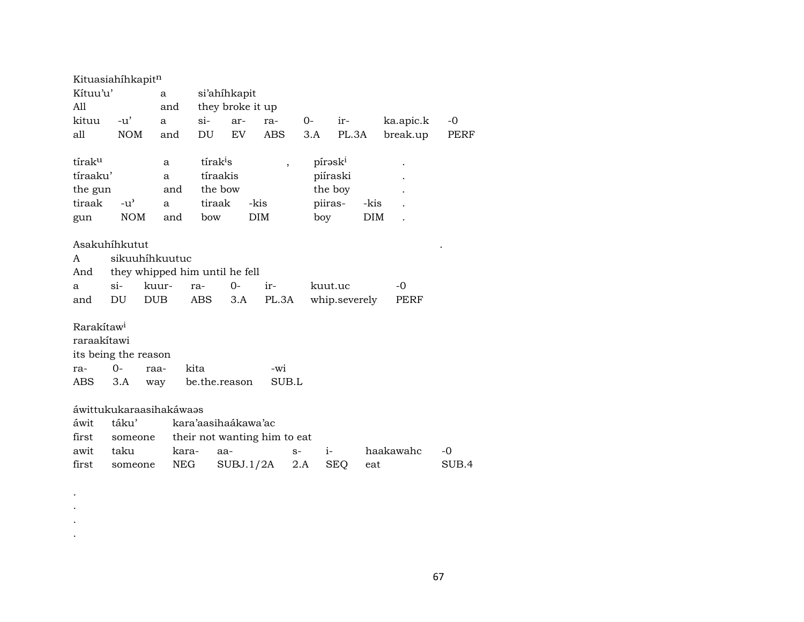|                          | Kituasiahíhkapitn    |                                |                              |                                                                         |            |      |            |                 |           |       |  |  |  |
|--------------------------|----------------------|--------------------------------|------------------------------|-------------------------------------------------------------------------|------------|------|------------|-----------------|-----------|-------|--|--|--|
| Kítuu'u'<br>$\mathbf{a}$ |                      |                                | si'ahihkapit                 |                                                                         |            |      |            |                 |           |       |  |  |  |
| All                      |                      | and                            |                              | they broke it up                                                        |            |      |            |                 |           |       |  |  |  |
| kituu                    | $-u'$                | a                              | $\sin$                       | ar-                                                                     | ra-        | $O-$ | ir-        |                 | ka.apic.k | -0    |  |  |  |
| all                      | <b>NOM</b>           | and                            | DU                           | EV                                                                      | <b>ABS</b> | 3.A  |            | PL.3A           | break.up  | PERF  |  |  |  |
|                          |                      |                                |                              |                                                                         |            |      |            |                 |           |       |  |  |  |
| tírak <sup>u</sup>       |                      | a                              |                              | tírak <sup>i</sup> s<br>pírask <sup>i</sup><br>$\overline{\phantom{a}}$ |            |      |            |                 |           |       |  |  |  |
| tíraaku'                 |                      | a                              | tíraakis                     |                                                                         |            |      | piíraski   |                 |           |       |  |  |  |
| the gun                  |                      | and                            | the bow                      |                                                                         |            |      | the boy    |                 |           |       |  |  |  |
| tiraak                   | $-u^{\prime}$        | a                              |                              | tiraak<br>-kis                                                          |            |      |            | piiras-<br>-kis |           |       |  |  |  |
| gun                      | <b>NOM</b>           | and                            | bow                          |                                                                         | <b>DIM</b> |      | boy        | DIM             |           |       |  |  |  |
|                          |                      |                                |                              |                                                                         |            |      |            |                 |           |       |  |  |  |
| Asakuhíhkutut            |                      |                                |                              |                                                                         |            |      |            |                 |           |       |  |  |  |
| sikuuhihkuutuc<br>A      |                      |                                |                              |                                                                         |            |      |            |                 |           |       |  |  |  |
| And                      |                      | they whipped him until he fell |                              |                                                                         |            |      |            |                 |           |       |  |  |  |
| a                        | $\sin$               | kuur-                          | ra-                          | $0 -$                                                                   | ir-        |      | kuut.uc    |                 | $-0$      |       |  |  |  |
| and                      | DU                   | <b>DUB</b>                     | ABS                          | 3.A                                                                     | PL.3A      |      |            | whip.severely   | PERF      |       |  |  |  |
|                          |                      |                                |                              |                                                                         |            |      |            |                 |           |       |  |  |  |
| Rarakítaw <sup>i</sup>   |                      |                                |                              |                                                                         |            |      |            |                 |           |       |  |  |  |
| raraakítawi              |                      |                                |                              |                                                                         |            |      |            |                 |           |       |  |  |  |
|                          | its being the reason |                                |                              |                                                                         |            |      |            |                 |           |       |  |  |  |
| ra-                      | $O-$                 | raa-                           | kita                         |                                                                         | -wi        |      |            |                 |           |       |  |  |  |
| ABS                      | 3.A                  | way                            | be.the.reason                |                                                                         | SUB.L      |      |            |                 |           |       |  |  |  |
|                          |                      |                                |                              |                                                                         |            |      |            |                 |           |       |  |  |  |
|                          |                      | áwittukukaraasihakáwaas        |                              |                                                                         |            |      |            |                 |           |       |  |  |  |
| áwit                     | táku'                |                                | kara'aasihaákawa'ac          |                                                                         |            |      |            |                 |           |       |  |  |  |
| first                    | someone              |                                | their not wanting him to eat |                                                                         |            |      |            |                 |           |       |  |  |  |
| awit                     | taku                 | kara-                          | aa-                          |                                                                         |            | $S-$ | $i-$       |                 | haakawahc | -0    |  |  |  |
| first                    | someone              | NEG                            |                              | SUBJ.1/2A                                                               |            | 2.A  | <b>SEQ</b> | eat             |           | SUB.4 |  |  |  |
|                          |                      |                                |                              |                                                                         |            |      |            |                 |           |       |  |  |  |

 $\bullet$  $\bullet$  $\bullet$  $\bullet$ 

67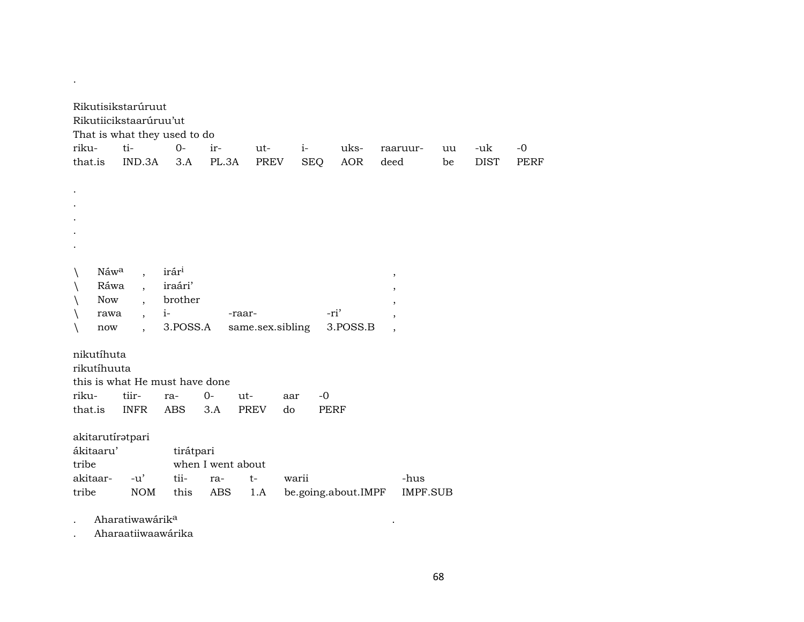| Rikutisikstarúruut<br>Rikutiicikstaarúruu'ut<br>That is what they used to do |                                |                   |                   |                  |       |             |                     |                                     |                 |    |             |             |
|------------------------------------------------------------------------------|--------------------------------|-------------------|-------------------|------------------|-------|-------------|---------------------|-------------------------------------|-----------------|----|-------------|-------------|
| riku-                                                                        | ti-                            | $O -$             | ir-               | ut-              | $i-$  |             | uks-                | raaruur-                            |                 | uu | -uk         | $-0$        |
| that.is                                                                      | IND.3A                         | 3.A               | PL.3A             | <b>PREV</b>      |       | <b>SEQ</b>  | <b>AOR</b>          | deed                                |                 | be | <b>DIST</b> | <b>PERF</b> |
|                                                                              |                                |                   |                   |                  |       |             |                     |                                     |                 |    |             |             |
|                                                                              |                                |                   |                   |                  |       |             |                     |                                     |                 |    |             |             |
|                                                                              |                                |                   |                   |                  |       |             |                     |                                     |                 |    |             |             |
|                                                                              |                                |                   |                   |                  |       |             |                     |                                     |                 |    |             |             |
|                                                                              |                                |                   |                   |                  |       |             |                     |                                     |                 |    |             |             |
|                                                                              |                                |                   |                   |                  |       |             |                     |                                     |                 |    |             |             |
|                                                                              |                                |                   |                   |                  |       |             |                     |                                     |                 |    |             |             |
| Náwa                                                                         | $\overline{\phantom{a}}$       | irár <sup>i</sup> |                   |                  |       |             |                     | $\,$                                |                 |    |             |             |
| Ráwa                                                                         | $\overline{\phantom{a}}$       | iraári'           |                   |                  |       |             |                     |                                     |                 |    |             |             |
| <b>Now</b>                                                                   | $\ddot{\phantom{0}}$           | brother           |                   |                  |       |             |                     | $\cdot$                             |                 |    |             |             |
| rawa                                                                         | $\overline{\phantom{a}}$       | $i-$              |                   | -raar-           |       | -ri'        |                     | $^\mathrm{,}$                       |                 |    |             |             |
| now                                                                          |                                | 3.POSS.A          |                   | same.sex.sibling |       |             | 3.POSS.B            | $\cdot$<br>$\overline{\phantom{a}}$ |                 |    |             |             |
|                                                                              |                                |                   |                   |                  |       |             |                     |                                     |                 |    |             |             |
| nikutíhuta                                                                   |                                |                   |                   |                  |       |             |                     |                                     |                 |    |             |             |
| rikutíhuuta                                                                  |                                |                   |                   |                  |       |             |                     |                                     |                 |    |             |             |
|                                                                              | this is what He must have done |                   |                   |                  |       |             |                     |                                     |                 |    |             |             |
| riku-                                                                        | tiir-                          | ra-               | $0-$              | $ut-$            | aar   | $-0$        |                     |                                     |                 |    |             |             |
| that.is                                                                      | <b>INFR</b>                    | ABS               | 3.A               | <b>PREV</b>      | do    | <b>PERF</b> |                     |                                     |                 |    |             |             |
|                                                                              |                                |                   |                   |                  |       |             |                     |                                     |                 |    |             |             |
| akitarutíratpari                                                             |                                |                   |                   |                  |       |             |                     |                                     |                 |    |             |             |
| ákitaaru'                                                                    |                                | tirátpari         |                   |                  |       |             |                     |                                     |                 |    |             |             |
| tribe                                                                        |                                |                   | when I went about |                  |       |             |                     |                                     |                 |    |             |             |
| akitaar-                                                                     | $-u'$                          | tii-              | ra-               | $t-$             | warii |             |                     |                                     | -hus            |    |             |             |
|                                                                              | <b>NOM</b>                     |                   |                   |                  |       |             |                     |                                     |                 |    |             |             |
| tribe                                                                        |                                | this              | <b>ABS</b>        | 1.A              |       |             | be.going.about.IMPF |                                     | <b>IMPF.SUB</b> |    |             |             |
|                                                                              |                                |                   |                   |                  |       |             |                     |                                     |                 |    |             |             |

. Aharatiwawárik° .

.

. Aharaatiiwaawárika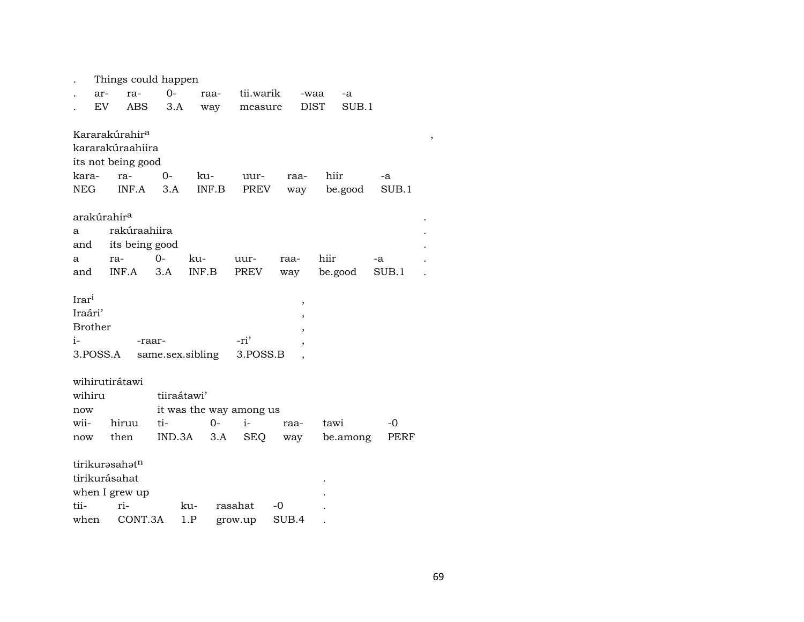|                   |                            | Things could happen     |                  |       |         |                         |       |             |          |    |       |  |  |
|-------------------|----------------------------|-------------------------|------------------|-------|---------|-------------------------|-------|-------------|----------|----|-------|--|--|
|                   | ar-                        | ra-                     | $O -$            | raa-  |         | tii.warik               |       | -waa        | -a       |    |       |  |  |
|                   | EV                         | ABS                     | 3.A              | way   |         | measure                 |       | <b>DIST</b> | SUB.1    |    |       |  |  |
|                   |                            |                         |                  |       |         |                         |       |             |          |    |       |  |  |
|                   | Kararakúrahir <sup>a</sup> |                         |                  |       |         |                         |       |             |          |    |       |  |  |
|                   |                            | kararakúraahiira        |                  |       |         |                         |       |             |          |    |       |  |  |
|                   | its not being good         |                         |                  |       |         |                         |       |             |          |    |       |  |  |
| kara-             |                            | ra-                     | $0-$             | ku-   |         | uur-                    |       | raa-        | hiir     |    | -a    |  |  |
| NEG               |                            | INF.A                   | 3.A              | INF.B |         | PREV                    |       | way         | be.good  |    | SUB.1 |  |  |
|                   |                            |                         |                  |       |         |                         |       |             |          |    |       |  |  |
|                   |                            | arakúrahir <sup>a</sup> |                  |       |         |                         |       |             |          |    |       |  |  |
| rakúraahiira<br>a |                            |                         |                  |       |         |                         |       |             |          |    |       |  |  |
| and               |                            | its being good          |                  |       |         |                         |       |             |          |    |       |  |  |
| a                 |                            | ra-                     | $0 -$            | ku-   |         | uur-                    | raa-  |             | hiir     | -a |       |  |  |
| and               |                            | INF.A                   | 3.A              | INF.B |         | PREV                    | way   |             | be.good  |    | SUB.1 |  |  |
| Irar <sup>i</sup> |                            |                         |                  |       |         |                         |       |             |          |    |       |  |  |
| Iraári'           |                            |                         |                  |       |         |                         |       | ,           |          |    |       |  |  |
|                   | <b>Brother</b>             |                         |                  |       |         |                         |       |             |          |    |       |  |  |
| $i-$              |                            | -raar-                  |                  |       |         | -ri'                    |       |             |          |    |       |  |  |
|                   | 3.POSS.A                   |                         | same.sex.sibling |       |         | 3.POSS.B                |       |             |          |    |       |  |  |
|                   |                            |                         |                  |       |         |                         |       |             |          |    |       |  |  |
|                   |                            | wihirutirátawi          |                  |       |         |                         |       |             |          |    |       |  |  |
| wihiru            |                            |                         | tiiraátawi'      |       |         |                         |       |             |          |    |       |  |  |
| now               |                            |                         |                  |       |         | it was the way among us |       |             |          |    |       |  |  |
| wii-              |                            | hiruu                   | ti-              |       | $0-$    | $i-$                    |       | raa-        | tawi     |    | -0    |  |  |
| now               |                            | then                    | IND.3A           |       | 3.A     | <b>SEQ</b>              |       | way         | be.among |    | PERF  |  |  |
|                   |                            |                         |                  |       |         |                         |       |             |          |    |       |  |  |
|                   |                            | tirikurasahatn          |                  |       |         |                         |       |             |          |    |       |  |  |
|                   |                            | tirikurásahat           |                  |       |         |                         |       |             |          |    |       |  |  |
|                   |                            | when I grew up          |                  |       |         |                         |       |             |          |    |       |  |  |
| tii-              |                            | ri-                     |                  | ku-   |         | rasahat                 | $-0$  |             |          |    |       |  |  |
| when              |                            | CONT.3A                 |                  | 1.P   | grow.up |                         | SUB.4 |             |          |    |       |  |  |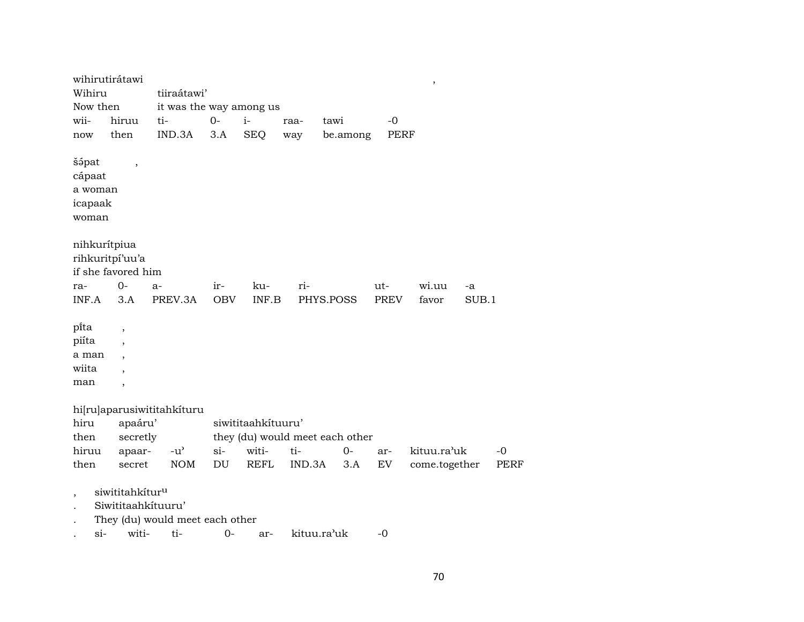|                                     | wihirutirátawi              |                                 |            |                    |        |                                 |             | $\, ,$        |       |             |
|-------------------------------------|-----------------------------|---------------------------------|------------|--------------------|--------|---------------------------------|-------------|---------------|-------|-------------|
| Wihiru<br>tiiraátawi'               |                             |                                 |            |                    |        |                                 |             |               |       |             |
| it was the way among us<br>Now then |                             |                                 |            |                    |        |                                 |             |               |       |             |
| wii-                                | hiruu                       | ti-                             | $0-$       | $i-$               | raa-   | tawi                            | $-0$        |               |       |             |
| now                                 | then                        | IND.3A                          | 3.A        | <b>SEQ</b>         | way    | be.among                        | <b>PERF</b> |               |       |             |
| šápat                               |                             |                                 |            |                    |        |                                 |             |               |       |             |
| cápaat                              | $\overline{\phantom{a}}$    |                                 |            |                    |        |                                 |             |               |       |             |
| a woman                             |                             |                                 |            |                    |        |                                 |             |               |       |             |
| icapaak                             |                             |                                 |            |                    |        |                                 |             |               |       |             |
| woman                               |                             |                                 |            |                    |        |                                 |             |               |       |             |
|                                     |                             |                                 |            |                    |        |                                 |             |               |       |             |
|                                     | nihkurítpiua                |                                 |            |                    |        |                                 |             |               |       |             |
|                                     | rihkuritpí'uu'a             |                                 |            |                    |        |                                 |             |               |       |             |
|                                     | if she favored him          |                                 |            |                    |        |                                 |             |               |       |             |
| ra-                                 | $0-$                        | $a-$                            | ir-        | ku-                | ri-    |                                 | ut-         | wi.uu         | -a    |             |
| INF.A                               | 3.A                         | PREV.3A                         | <b>OBV</b> | INF.B              |        | PHYS.POSS                       | <b>PREV</b> | favor         | SUB.1 |             |
|                                     |                             |                                 |            |                    |        |                                 |             |               |       |             |
| pi̇̃ta                              | $\overline{\phantom{a}}$    |                                 |            |                    |        |                                 |             |               |       |             |
| piíta                               | $\overline{\phantom{a}}$    |                                 |            |                    |        |                                 |             |               |       |             |
| a man                               | $\overline{\phantom{a}}$    |                                 |            |                    |        |                                 |             |               |       |             |
| wiita                               | $\overline{\phantom{a}}$    |                                 |            |                    |        |                                 |             |               |       |             |
| man                                 | $\overline{\phantom{a}}$    |                                 |            |                    |        |                                 |             |               |       |             |
|                                     |                             |                                 |            |                    |        |                                 |             |               |       |             |
|                                     |                             | hi[ru]aparusiwititahkituru      |            |                    |        |                                 |             |               |       |             |
| hiru                                | apaáru'                     |                                 |            | siwititaahkituuru' |        |                                 |             |               |       |             |
| then                                | secretly                    |                                 |            |                    |        | they (du) would meet each other |             |               |       |             |
| hiruu                               | apaar-                      | $-u^{\prime}$                   | $si-$      | witi-              | ti-    | $0 -$                           | ar-         | kituu.ra'uk   |       | $-0$        |
| then                                | secret                      | <b>NOM</b>                      | DU         | <b>REFL</b>        | IND.3A | 3.A                             | EV          | come.together |       | <b>PERF</b> |
|                                     |                             |                                 |            |                    |        |                                 |             |               |       |             |
| $\overline{\phantom{a}}$            | siwititahkitur <sup>u</sup> |                                 |            |                    |        |                                 |             |               |       |             |
|                                     | Siwititaahkituuru'          |                                 |            |                    |        |                                 |             |               |       |             |
|                                     |                             | They (du) would meet each other |            |                    |        |                                 |             |               |       |             |

. si- witi- ti- 0- ar- kituu.ra"uk -0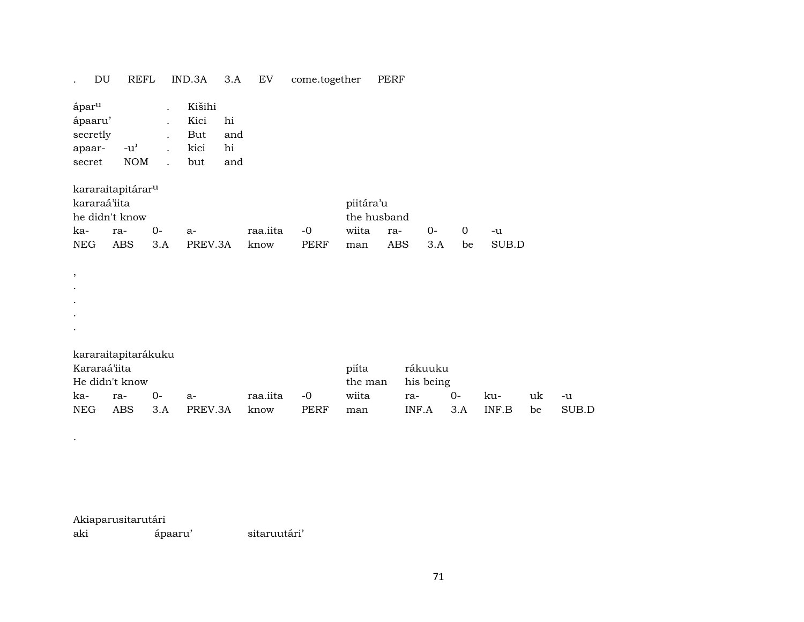|      | DU                                                           | <b>REFL</b>                                                          |                                                                      | IND.3A                               | 3.A                    | ${\rm EV}$       | come.together       |                                  | <b>PERF</b>               |                                      |                   |              |          |             |
|------|--------------------------------------------------------------|----------------------------------------------------------------------|----------------------------------------------------------------------|--------------------------------------|------------------------|------------------|---------------------|----------------------------------|---------------------------|--------------------------------------|-------------------|--------------|----------|-------------|
|      | ápar <sup>u</sup><br>ápaaru'<br>secretly<br>apaar-<br>secret | $-u$ <sup><math>\sim</math></sup><br>$\rm{NOM}$                      | $\ddot{\phantom{0}}$<br>$\ddot{\phantom{0}}$<br>$\ddot{\phantom{a}}$ | Kišihi<br>Kici<br>But<br>kici<br>but | hi<br>and<br>hi<br>and |                  |                     |                                  |                           |                                      |                   |              |          |             |
| ka-  | kararaá'iita<br><b>NEG</b>                                   | kararaitapitárar <sup>u</sup><br>he didn't know<br>ra-<br><b>ABS</b> | $0-$<br>3.A                                                          | $a-$<br>PREV.3A                      |                        | raa.iita<br>know | $-0$<br><b>PERF</b> | piitára'u<br>wiita<br>man        | the husband<br>ra-<br>ABS | $0-$<br>3.A                          | $\mathbf 0$<br>be | -u<br>SUB.D  |          |             |
| $\,$ |                                                              |                                                                      |                                                                      |                                      |                        |                  |                     |                                  |                           |                                      |                   |              |          |             |
|      |                                                              |                                                                      |                                                                      |                                      |                        |                  |                     |                                  |                           |                                      |                   |              |          |             |
| ka-  | Kararaá'iita<br><b>NEG</b>                                   | kararaitapitarákuku<br>He didn't know<br>ra-<br><b>ABS</b>           | $0-$<br>3.A                                                          | a-<br>PREV.3A                        |                        | raa.iita<br>know | $-0$<br><b>PERF</b> | piíta<br>the man<br>wiita<br>man |                           | rákuuku<br>his being<br>ra-<br>INF.A | 0-<br>3.A         | ku-<br>INF.B | uk<br>be | -u<br>SUB.D |
|      |                                                              |                                                                      |                                                                      |                                      |                        |                  |                     |                                  |                           |                                      |                   |              |          |             |

Akiaparusitarutári

.

ápaaru' sitaruutári'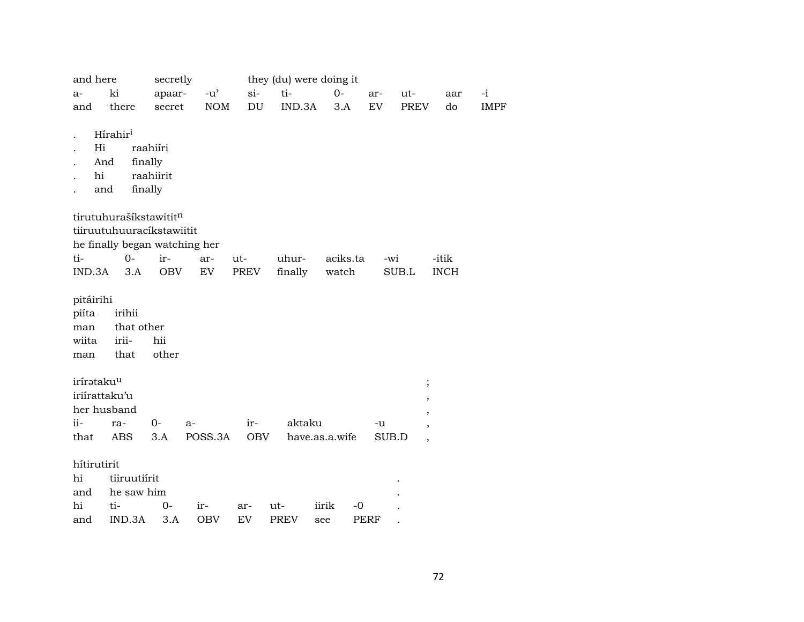| and here<br>a-<br>and                         | ki<br>there                                  | secretly<br>apaar-<br>secret                                      | $-u^{\prime}$<br><b>NOM</b> | si-<br>DU   | they (du) were doing it<br>ti-<br>IND.3A | $0-$<br>3.A          | ut-<br>ar-<br>EV<br>PREV | aar<br>do                                                                  | $-i$<br><b>IMPF</b> |
|-----------------------------------------------|----------------------------------------------|-------------------------------------------------------------------|-----------------------------|-------------|------------------------------------------|----------------------|--------------------------|----------------------------------------------------------------------------|---------------------|
| Hi<br>And<br>hi                               | Hírahir <sup>i</sup><br>and                  | raahiíri<br>finally<br>raahiirit<br>finally                       |                             |             |                                          |                      |                          |                                                                            |                     |
| ti-<br>IND.3A                                 | tirutuhurašíkstawititn<br>$0-$               | tiiruutuhuuracíkstawiitit<br>he finally began watching her<br>ir- | ar-                         | ut-<br>PREV | uhur-                                    | aciks.ta             | -wi                      | -itik                                                                      |                     |
| pitáirihi<br>piíta<br>man<br>wiita<br>man     | 3.A<br>irihii<br>that other<br>irii-<br>that | OBV<br>hii<br>other                                               | EV                          |             | finally                                  | watch                | SUB.L                    | <b>INCH</b>                                                                |                     |
| iríratakuu<br>iriirattaku'u<br>$ii -$<br>that | her husband<br>ra-<br>ABS                    | 0-<br>3.A                                                         | a-<br>POSS.3A               | ir-<br>OBV  | aktaku                                   | have.as.a.wife       | -u<br>SUB.D              | $\vdots$<br>$\, ,$<br>$^\mathrm{,}$<br>$\cdot$<br>$\overline{\phantom{a}}$ |                     |
| hítirutirit<br>hi<br>and<br>hi<br>and         | tiiruutiírit<br>he saw him<br>ti-<br>IND.3A  | 0-<br>3.A                                                         | ir-<br><b>OBV</b>           | ar-<br>EV   | ut-<br><b>PREV</b>                       | iirik<br>$-0$<br>see | PERF                     |                                                                            |                     |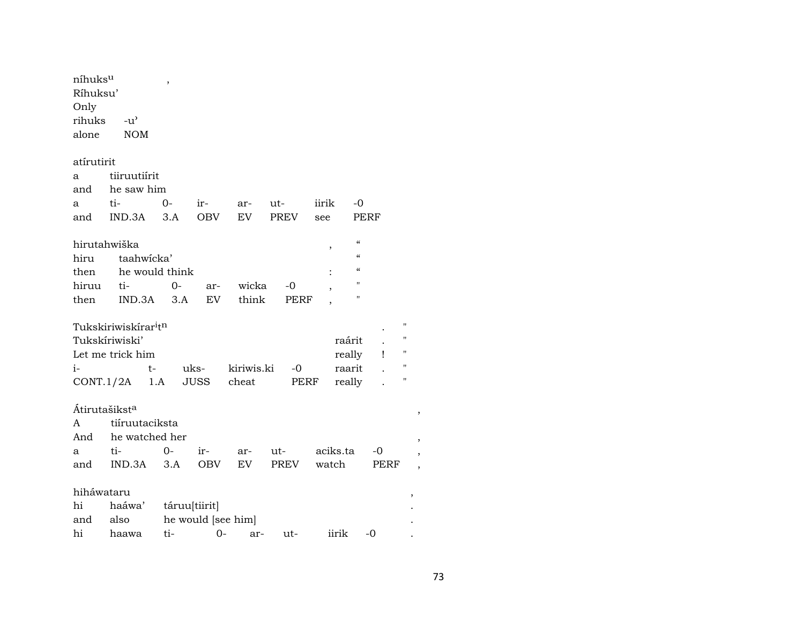| níhuksu<br>Ríhuksu'<br>Only<br>rihuks<br>alone | $-u^{\prime}$<br><b>NOM</b>                  | ,              |                    |            |             |          |                |                    |
|------------------------------------------------|----------------------------------------------|----------------|--------------------|------------|-------------|----------|----------------|--------------------|
|                                                |                                              |                |                    |            |             |          |                |                    |
| atírutirit                                     |                                              |                |                    |            |             |          |                |                    |
| a                                              | tiiruutiirit                                 |                |                    |            |             |          |                |                    |
| and                                            | he saw him                                   |                |                    |            |             |          |                |                    |
| a                                              | ti-                                          | 0-             | ir-                | ar-        | ut-         | iirik    | -0             |                    |
| and                                            | IND.3A                                       | 3.A            | <b>OBV</b>         | EV.        | <b>PREV</b> | see      | PERF           |                    |
|                                                |                                              |                |                    |            |             |          | $\mathcal{C}$  |                    |
| hirutahwiška                                   |                                              |                |                    |            |             | ,        | $\epsilon$     |                    |
| hiru                                           | taahwicka'                                   | he would think |                    |            |             |          | $\epsilon$     |                    |
| then<br>hiruu                                  | ti-                                          | 0-             |                    | wicka      | -0          |          | П              |                    |
| then                                           | IND.3A                                       | 3.A            | ar-<br>EV          | think      | PERF        |          | $\blacksquare$ |                    |
|                                                |                                              |                |                    |            |             |          |                |                    |
|                                                | Tukskiriwiskírar <sup>i</sup> t <sup>n</sup> |                |                    |            |             |          |                | 11                 |
|                                                | Tukskíriwiski'                               |                |                    |            |             | raárit   |                | $^{\prime}$        |
|                                                | Let me trick him                             |                |                    |            |             | really   | $\mathbf{I}$   | $\pmb{\mathsf{H}}$ |
| $i-$                                           |                                              | t-             | uks-               | kiriwis.ki | -0          | raarit   |                | $\pmb{\mathsf{H}}$ |
|                                                | CONT.1/2A                                    | 1.A            | <b>JUSS</b>        | cheat      | PERF        | really   |                | п                  |
|                                                |                                              |                |                    |            |             |          |                |                    |
| Átirutašikst <sup>a</sup>                      |                                              |                |                    |            |             |          |                |                    |
| A                                              | tiiruutaciksta                               |                |                    |            |             |          |                |                    |
| And                                            | he watched her                               |                |                    |            |             |          |                |                    |
| a                                              | ti-                                          | $0-$           | $ir-$              | ar-        | ut-         | aciks.ta | -0             |                    |
| and                                            | IND.3A                                       | 3.A            | <b>OBV</b>         | EV         | PREV        | watch    | PERF           |                    |
| hiháwataru                                     |                                              |                |                    |            |             |          |                |                    |
| hi                                             | haáwa'                                       |                | táruu[tiirit]      |            |             |          |                | ,                  |
| and                                            | also                                         |                | he would [see him] |            |             |          |                |                    |
| hi                                             | haawa                                        | ti-            | $0-$               | ar-        | ut-         | iirik    | $-0$           |                    |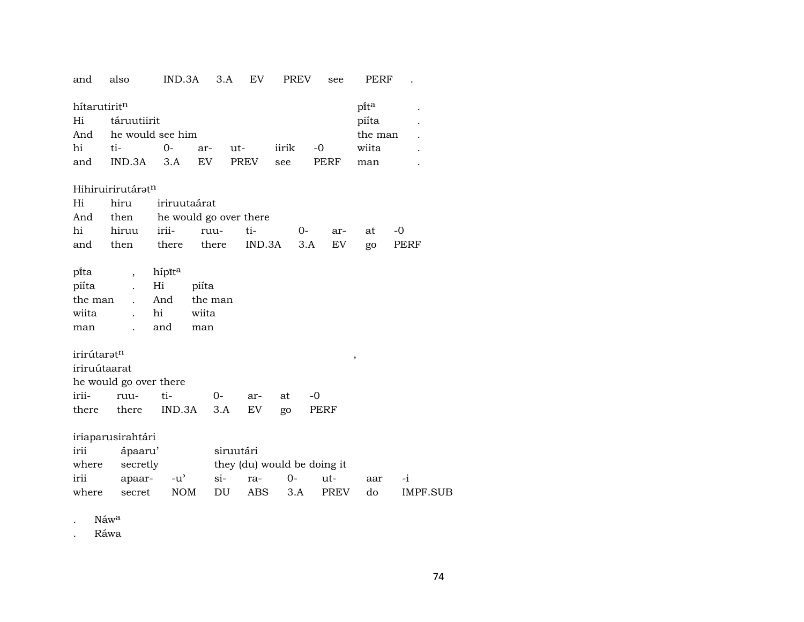| and          | also                     | IND.3A                 |         | 3.A       | EV                          |       | <b>PREV</b> | see         | PERF    |          |
|--------------|--------------------------|------------------------|---------|-----------|-----------------------------|-------|-------------|-------------|---------|----------|
| hítarutiritn |                          |                        |         |           |                             |       |             |             | pita    |          |
| Hi           | táruutiirit              |                        |         |           |                             |       |             |             | piíta   |          |
| And          |                          | he would see him       |         |           |                             |       |             |             | the man |          |
| hi           | ti-                      | $O -$                  | ar-     | ut-       |                             | iirik |             | $-0$        | wiita   |          |
| and          | IND.3A                   | 3.A                    | EV      |           | <b>PREV</b>                 | see   |             | PERF        | man     |          |
|              | Hihiruirirutáratn        |                        |         |           |                             |       |             |             |         |          |
| Hi           | hiru                     | iriruutaárat           |         |           |                             |       |             |             |         |          |
| And          | then                     | he would go over there |         |           |                             |       |             |             |         |          |
| hi           | hiruu                    | irii-                  | ruu-    |           | ti-                         |       | 0-          | ar-         | at      | -0       |
| and          | then                     | there                  | there   |           | IND.3A                      |       | 3.A         | EV          | go      | PERF     |
|              |                          |                        |         |           |                             |       |             |             |         |          |
| pi̇̃ta       | $\overline{\phantom{a}}$ | hípīta                 |         |           |                             |       |             |             |         |          |
| piíta        |                          | Hi                     | piíta   |           |                             |       |             |             |         |          |
| the man      | $\ddot{\phantom{a}}$     | And                    | the man |           |                             |       |             |             |         |          |
| wiita        |                          | hi                     | wiita   |           |                             |       |             |             |         |          |
| man          |                          | and                    | man     |           |                             |       |             |             |         |          |
| irirútaratn  |                          |                        |         |           |                             |       |             |             |         |          |
| iriruútaarat |                          |                        |         |           |                             |       |             |             | ,       |          |
|              | he would go over there   |                        |         |           |                             |       |             |             |         |          |
| irii-        | ruu-                     | ti-                    | $0-$    |           | ar-                         | at    | $-0$        |             |         |          |
| there        | there                    | IND.3A                 |         | 3.A       | EV                          | go    |             | PERF        |         |          |
|              |                          |                        |         |           |                             |       |             |             |         |          |
|              | iriaparusirahtári        |                        |         |           |                             |       |             |             |         |          |
| irii         | ápaaru'                  |                        |         | siruutári |                             |       |             |             |         |          |
| where        | secretly                 |                        |         |           | they (du) would be doing it |       |             |             |         |          |
| irii         | apaar-                   | $-u^{\prime}$          |         | si-       | ra-                         | $0-$  |             | ut-         | aar     | $-i$     |
| where        | secret                   | <b>NOM</b>             |         | DU        | <b>ABS</b>                  |       | 3.A         | <b>PREV</b> | do      | IMPF.SUB |

. Náw<sup>a</sup>

. Ráwa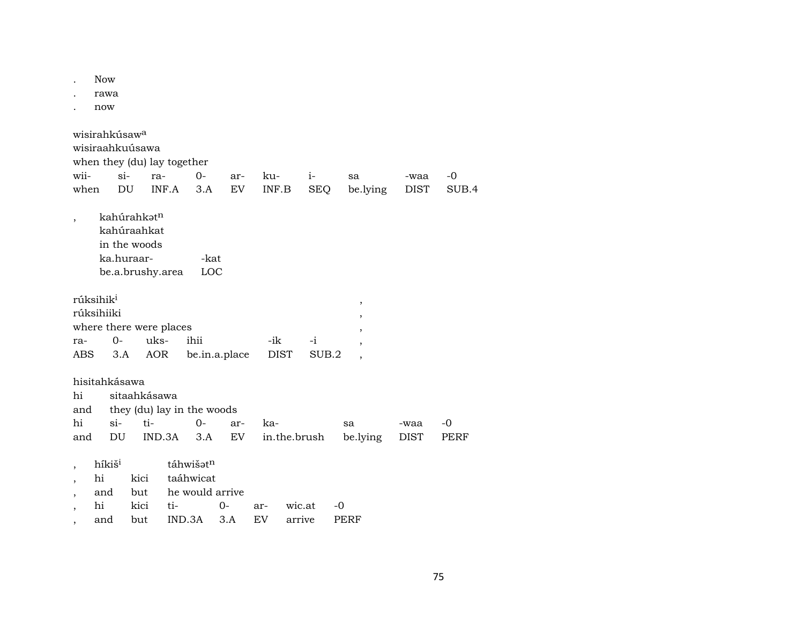|                                                   | <b>Now</b><br>rawa<br>now       |                                                                |        |                                           |           |                     |                    |                     |                     |               |
|---------------------------------------------------|---------------------------------|----------------------------------------------------------------|--------|-------------------------------------------|-----------|---------------------|--------------------|---------------------|---------------------|---------------|
| wisirahkúsaw <sup>a</sup><br>wii-<br>when         | $si-$<br>DU                     | wisiraahkuúsawa<br>when they (du) lay together<br>ra-          | INF.A  | $0 -$<br>3.A                              | ar-<br>EV | ku-<br>INF.B        | $i-$<br><b>SEQ</b> | sa<br>be.lying      | -waa<br><b>DIST</b> | $-0$<br>SUB.4 |
|                                                   | ka.huraar-                      | kahúrahkatn<br>kahúraahkat<br>in the woods<br>be.a.brushy.area |        | -kat<br>LOC                               |           |                     |                    |                     |                     |               |
| rúksihik <sup>i</sup><br>rúksihiiki<br>ra-<br>ABS | $0-$<br>3.A                     | where there were places<br>uks-<br>AOR                         |        | ihii<br>be.in.a.place                     |           | -ik<br><b>DIST</b>  | $-i$<br>SUB.2      | ,<br>$\overline{ }$ |                     |               |
| hisitahkásawa<br>hi<br>and<br>hi<br>and           | $\sin$<br>DU                    | sitaahkásawa<br>ti-                                            | IND.3A | they (du) lay in the woods<br>$0-$<br>3.A | ar-<br>EV | ka-<br>in.the.brush |                    | sa<br>be.lying      | -waa<br><b>DIST</b> | -0<br>PERF    |
| $\overline{\phantom{a}}$<br>hi<br>$\overline{ }$  | híkiš <sup>i</sup><br>and<br>hi | kici<br>but<br>kici                                            | ti-    | táhwišatn<br>taáhwicat<br>he would arrive | 0-        | ar-                 | wic.at             | -0                  |                     |               |

, and but IND.3A 3.A EV arrive PERF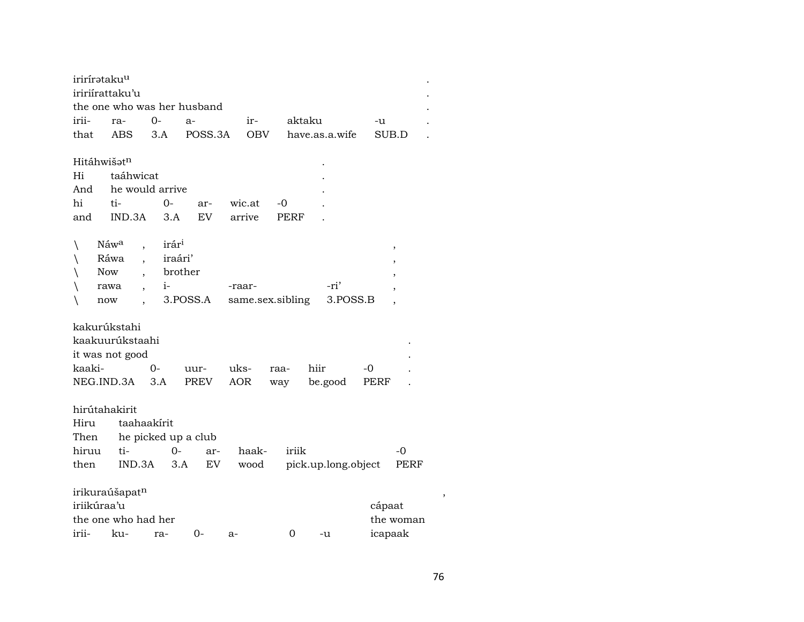|              | irirírətaku <sup>u</sup>   |                          |                             |                  |        |                     |                          |  |
|--------------|----------------------------|--------------------------|-----------------------------|------------------|--------|---------------------|--------------------------|--|
|              | iririirattaku'u            |                          |                             |                  |        |                     |                          |  |
|              |                            |                          | the one who was her husband |                  |        |                     |                          |  |
| irii-        | ra-                        | 0-                       | $a-$                        | ir-              | aktaku |                     | -u                       |  |
| that         | <b>ABS</b>                 | 3.A                      | POSS.3A                     | <b>OBV</b>       |        | have.as.a.wife      | SUB.D                    |  |
|              |                            |                          |                             |                  |        |                     |                          |  |
|              | Hitáhwišatn                |                          |                             |                  |        |                     |                          |  |
| Hi           | taáhwicat                  |                          |                             |                  |        |                     |                          |  |
| And          |                            | he would arrive          |                             |                  |        |                     |                          |  |
| hi           | ti-                        | 0-                       | ar-                         | wic.at           | -0     |                     |                          |  |
| and          | IND.3A                     | 3.A                      | EV                          | arrive           | PERF   |                     |                          |  |
|              |                            |                          |                             |                  |        |                     |                          |  |
| $\backslash$ | Náw <sup>a</sup>           | irár <sup>1</sup>        |                             |                  |        |                     | $\overline{\phantom{a}}$ |  |
| $\backslash$ | Ráwa                       | $\overline{\phantom{a}}$ | iraári'                     |                  |        |                     |                          |  |
| ∖            | <b>Now</b>                 |                          | brother                     |                  |        |                     |                          |  |
|              | rawa                       | $i-$                     |                             | -raar-           |        | -ri'                |                          |  |
| ∖            | now                        |                          | 3.POSS.A                    | same.sex.sibling |        | 3.POSS.B            |                          |  |
|              |                            |                          |                             |                  |        |                     |                          |  |
|              | kakurúkstahi               |                          |                             |                  |        |                     |                          |  |
|              | kaakuurúkstaahi            |                          |                             |                  |        |                     |                          |  |
|              | it was not good            |                          |                             |                  |        |                     |                          |  |
| kaaki-       |                            | $0 -$                    | uur-                        | uks-             | raa-   | hiir                | -0                       |  |
|              | NEG.IND.3A                 | 3.A                      | PREV                        | AOR              | way    | be.good             | PERF                     |  |
|              |                            |                          |                             |                  |        |                     |                          |  |
|              | hirútahakirit              |                          |                             |                  |        |                     |                          |  |
| Hiru         |                            | taahaakirit              |                             |                  |        |                     |                          |  |
| Then         |                            | he picked up a club      |                             |                  |        |                     |                          |  |
| hiruu        | ti-                        | $0-$                     | ar-                         | haak-            | iriik  |                     | $-0$                     |  |
| then         |                            | IND.3A                   | 3.A<br>EV                   | wood             |        | pick.up.long.object | PERF                     |  |
|              |                            |                          |                             |                  |        |                     |                          |  |
|              | irikuraúšapat <sup>n</sup> |                          |                             |                  |        |                     |                          |  |
|              | iriikúraa'u                |                          |                             |                  |        |                     | cápaat                   |  |
|              | the one who had her        |                          |                             |                  |        |                     | the woman                |  |
| irii-        | ku-                        | ra-                      | 0-                          | a-               | 0      | -u                  | icapaak                  |  |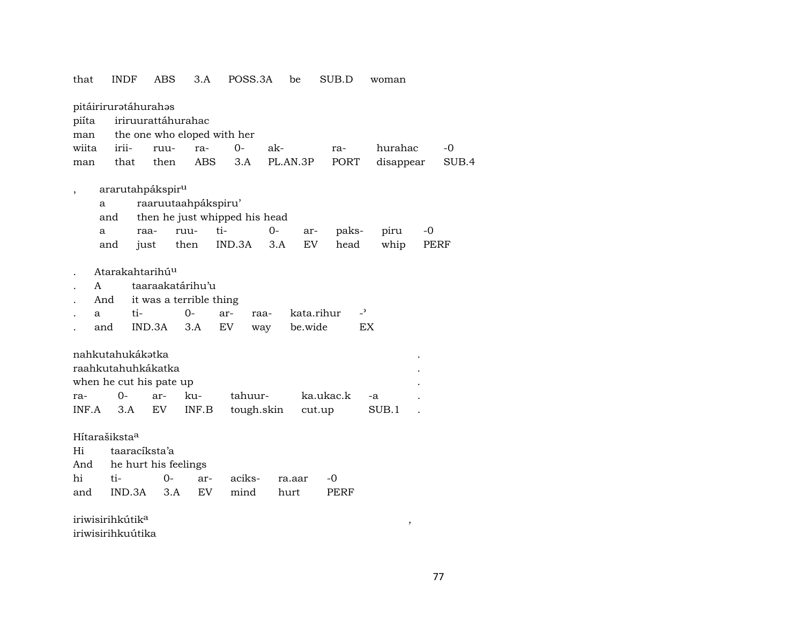that INDF ABS 3.A POSS.3A be SUB.D woman pitáiriruratáhurahas piíta iriruurattáhurahac man the one who eloped with her wiita irii- ruu- ra- 0- ak- ra- hurahac -0 man that then ABS 3.A PL.AN.3P PORT disappear SUB.4 , ararutahpákspir<sup>u</sup> a raaruutaahpákspiru' and then he just whipped his head a raa- ruu- ti- 0- ar- paks- piru -0 and just then IND.3A 3.A EV head whip PERF . Atarakahtarihú<sup>u</sup> . A taaraakatárihu'u . And it was a terrible thing a ti- 0- ar- raa- kata.rihur -<sup>5</sup> . and IND.3A 3.A EV way be.wide EX nahkutahukákatka raahkutahuhkákatka . when he cut his pate up ra- 0- ar- ku- tahuur- ka.ukac.k -a . INF.A 3.A EV INF.B tough.skin cut.up SUB.1 . Hítarašiksta° Hi taaracíksta'a And he hurt his feelings hi ti- 0- ar- aciks- ra.aar -0 and IND.3A 3.A EV mind hurt PERF  $i$ riwisirihkútik $^a$ 

iriwisirihkuútika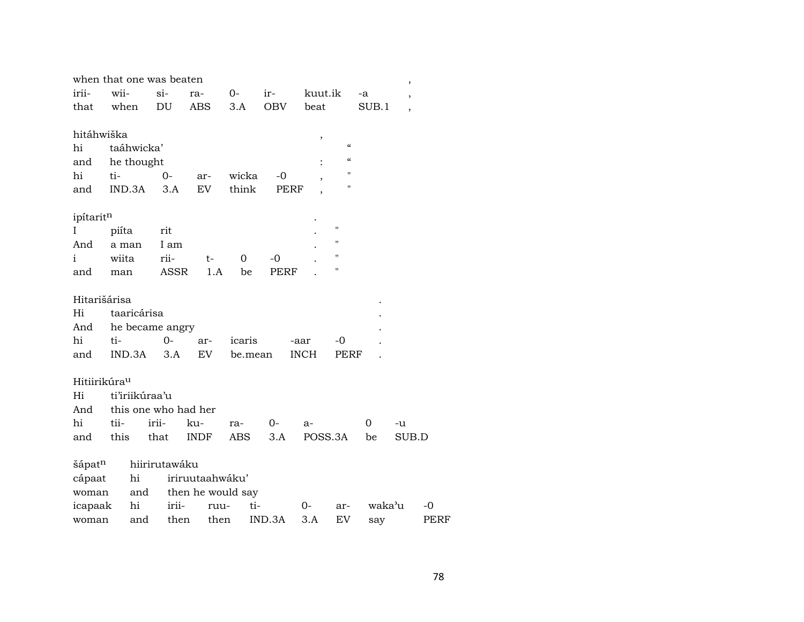| when that one was beaten |       |                |                      |                   |         |             |             |                    |        | $\overline{\phantom{a}}$ |             |
|--------------------------|-------|----------------|----------------------|-------------------|---------|-------------|-------------|--------------------|--------|--------------------------|-------------|
| irii-                    | wii-  |                | $si-$                | ra-               | $0-$    | ir-         | kuut.ik     |                    | -a     | ,                        |             |
| that                     | when  |                | DU                   | ABS               | 3.A     | <b>OBV</b>  | beat        |                    | SUB.1  |                          |             |
|                          |       |                |                      |                   |         |             |             |                    |        |                          |             |
| hitáhwiška               |       |                |                      |                   |         |             | $\, ,$      |                    |        |                          |             |
| hi                       |       | taáhwicka'     |                      |                   |         |             |             | $\epsilon\epsilon$ |        |                          |             |
| and                      |       | he thought     |                      |                   |         |             |             |                    |        |                          |             |
| hi                       | ti-   |                | $0-$                 | ar-               | wicka   | $-0$        |             | Н                  |        |                          |             |
| and                      |       | IND.3A         | 3.A                  | EV                | think   |             | PERF        | п                  |        |                          |             |
|                          |       |                |                      |                   |         |             |             |                    |        |                          |             |
| ipítaritn                |       |                |                      |                   |         |             |             | $\mathbf{H}$       |        |                          |             |
| I                        | piíta |                | rit<br>I am          |                   |         |             |             | П                  |        |                          |             |
| And<br>i                 | wiita | a man          | rii-                 |                   | 0       | $-0$        |             | П                  |        |                          |             |
|                          |       |                | <b>ASSR</b>          | t-<br>1.A         | be      | <b>PERF</b> |             | $\pmb{\mathsf{H}}$ |        |                          |             |
| and                      | man   |                |                      |                   |         |             |             |                    |        |                          |             |
| Hitarišárisa             |       |                |                      |                   |         |             |             |                    |        |                          |             |
| Hi                       |       | taaricárisa    |                      |                   |         |             |             |                    |        |                          |             |
| And                      |       |                | he became angry      |                   |         |             |             |                    |        |                          |             |
| hi                       | ti-   |                | $O -$                | ar-               | icaris  |             | -aar        | -0                 |        |                          |             |
| and                      |       | IND.3A         | 3.A                  | EV                | be.mean |             | <b>INCH</b> | PERF               |        |                          |             |
|                          |       |                |                      |                   |         |             |             |                    |        |                          |             |
| Hitiirikúra <sup>u</sup> |       |                |                      |                   |         |             |             |                    |        |                          |             |
| Hi                       |       | ti'iriikúraa'u |                      |                   |         |             |             |                    |        |                          |             |
| And                      |       |                | this one who had her |                   |         |             |             |                    |        |                          |             |
| hi                       | tii-  |                | irii-                | ku-               | ra-     | $0-$        | a-          |                    | 0      | -u                       |             |
| and                      | this  |                | that                 | INDF              | ABS     | 3.A         | POSS.3A     |                    | be     | SUB.D                    |             |
|                          |       |                |                      |                   |         |             |             |                    |        |                          |             |
| šápat <sup>n</sup>       |       |                | hiirirutawáku        |                   |         |             |             |                    |        |                          |             |
| cápaat                   |       | hi             |                      | iriruutaahwáku'   |         |             |             |                    |        |                          |             |
| woman                    |       | and            |                      | then he would say |         |             |             |                    |        |                          |             |
| icapaak                  |       | hi             | irii-                | ruu-              | ti-     |             | $O-$        | ar-                | waka'u |                          | -0          |
| woman                    |       | and            | then                 | then              |         | IND.3A      | 3.A         | EV                 | say    |                          | <b>PERF</b> |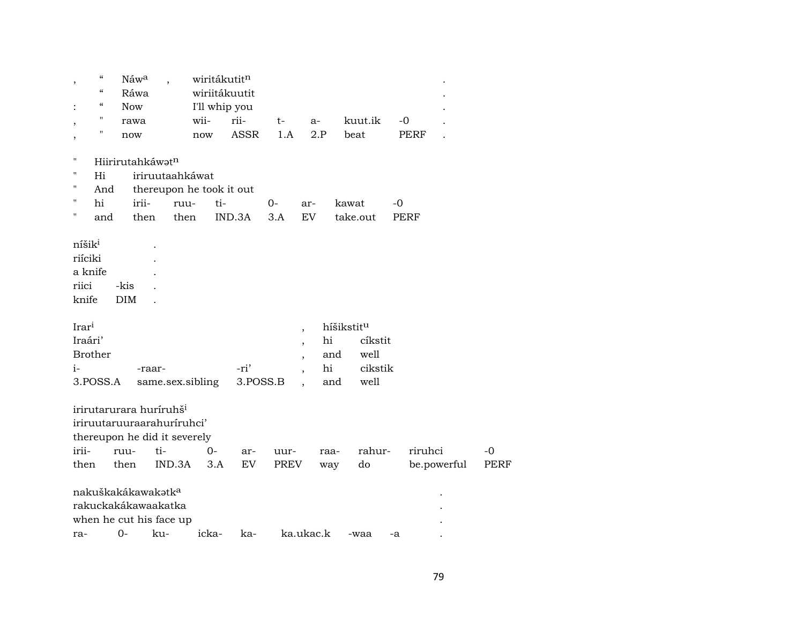|                                                            | $\boldsymbol{\zeta}\boldsymbol{\zeta}$<br>$\epsilon$ | Náw <sup>a</sup>                                                                                                  |                 | wiritákutitn<br>wiriitákuutit |             |              |                                                                                  |                                     |                 |             |                        |                     |
|------------------------------------------------------------|------------------------------------------------------|-------------------------------------------------------------------------------------------------------------------|-----------------|-------------------------------|-------------|--------------|----------------------------------------------------------------------------------|-------------------------------------|-----------------|-------------|------------------------|---------------------|
|                                                            | $\boldsymbol{\zeta}\boldsymbol{\zeta}$               | Ráwa                                                                                                              |                 |                               |             |              |                                                                                  |                                     |                 |             |                        |                     |
|                                                            | $\pmb{\mathsf{H}}$                                   | <b>Now</b>                                                                                                        |                 | I'll whip you                 |             |              |                                                                                  |                                     |                 |             |                        |                     |
| ,                                                          | Ħ                                                    | rawa                                                                                                              |                 | wii-                          | rii-        | $t-$         | a-                                                                               |                                     | kuut.ik         | $-0$        |                        |                     |
| ,                                                          |                                                      | now                                                                                                               |                 | now                           | <b>ASSR</b> | 1.A          | 2.P                                                                              |                                     | beat            | <b>PERF</b> |                        |                     |
| $\pmb{\mathsf{H}}$                                         |                                                      | Hiirirutahkáwatn                                                                                                  |                 |                               |             |              |                                                                                  |                                     |                 |             |                        |                     |
| $\pmb{\mathsf{H}}$                                         | Hi                                                   |                                                                                                                   | iriruutaahkáwat |                               |             |              |                                                                                  |                                     |                 |             |                        |                     |
| $\pmb{\mathsf{H}}$                                         | And                                                  |                                                                                                                   |                 | thereupon he took it out      |             |              |                                                                                  |                                     |                 |             |                        |                     |
| $\pmb{\mathsf{H}}$                                         | hi                                                   | irii-                                                                                                             | ruu-            | ti-                           |             | $0-$         | ar-                                                                              | kawat                               |                 | -0          |                        |                     |
| 11                                                         | and                                                  | then                                                                                                              | then            |                               | IND.3A      | 3.A          | <b>EV</b>                                                                        |                                     | take.out        | PERF        |                        |                     |
| níšik <sup>i</sup><br>riíciki<br>a knife<br>riici<br>knife |                                                      | -kis<br><b>DIM</b>                                                                                                |                 |                               |             |              |                                                                                  |                                     |                 |             |                        |                     |
| Irari<br>Iraári'                                           | <b>Brother</b>                                       |                                                                                                                   |                 |                               |             |              | $\overline{\phantom{a}}$<br>$\overline{\phantom{a}}$<br>$\overline{\phantom{a}}$ | híšikstit <sup>u</sup><br>hi<br>and | cíkstit<br>well |             |                        |                     |
| i-                                                         |                                                      | -raar-                                                                                                            |                 |                               | -ri'        |              | $\ddot{\phantom{0}}$                                                             | hi                                  | cikstik         |             |                        |                     |
|                                                            | 3.POSS.A                                             |                                                                                                                   |                 | same.sex.sibling              | 3.POSS.B    |              |                                                                                  | and                                 | well            |             |                        |                     |
| irii-<br>then                                              |                                                      | irirutarurara huríruhš <sup>i</sup><br>iriruutaruuraarahuriruhci'<br>thereupon he did it severely<br>ruu-<br>then | ti-<br>IND.3A   | $0-$<br>3.A                   | ar-<br>EV   | uur-<br>PREV |                                                                                  | raa-<br>way                         | rahur-<br>do    |             | riruhci<br>be.powerful | $-0$<br><b>PERF</b> |
|                                                            |                                                      | nakuškakákawakatka<br>rakuckakákawaakatka                                                                         |                 |                               |             |              |                                                                                  |                                     |                 |             |                        |                     |
|                                                            |                                                      | when he cut his face up                                                                                           |                 |                               |             |              |                                                                                  |                                     |                 |             |                        |                     |
| ra-                                                        |                                                      | $O -$                                                                                                             | ku-             | icka-                         | ka-         |              | ka.ukac.k                                                                        |                                     | -waa            | -a          |                        |                     |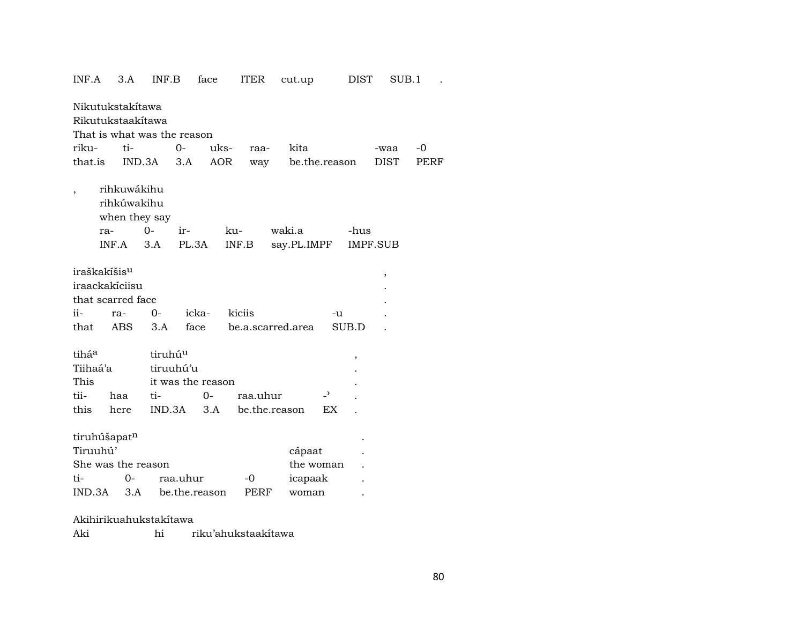| INF.A                                                                          | 3.A                                         | INF.B               | face                      | <b>ITER</b>  | cut.up                     |                | DIST  | SUB.1           |      |
|--------------------------------------------------------------------------------|---------------------------------------------|---------------------|---------------------------|--------------|----------------------------|----------------|-------|-----------------|------|
| Nikutukstakítawa<br>Rikutukstaakítawa<br>That is what was the reason           |                                             |                     |                           |              |                            |                |       |                 |      |
| riku-                                                                          | ti-                                         |                     | $0-$                      | uks-<br>raa- | kita                       |                |       | -waa            | $-0$ |
| that.is                                                                        |                                             | IND.3A              | 3.A                       | AOR<br>way   |                            | be.the.reason  |       | DIST            | PERF |
| $\overline{ }$                                                                 | rihkuwákihu<br>rihkúwakihu<br>when they say | $O -$               |                           | ku-          | waki.a                     |                | -hus  |                 |      |
| ra-                                                                            | INF.A                                       | 3.A                 | ir-<br>PL.3A              | INF.B        | say.PL.IMPF                |                |       | <b>IMPF.SUB</b> |      |
|                                                                                |                                             |                     |                           |              |                            |                |       |                 |      |
| iraškakíšis <sup>u</sup><br>iraackakíciisu<br>that scarred face<br>ii-<br>that | ra-<br><b>ABS</b>                           | $0-$<br>3.A         | icka-<br>face             | kiciis       | be.a.scarred.area          | -u             | SUB.D | ,               |      |
| tiháa                                                                          |                                             | tiruhú <sup>u</sup> |                           |              |                            |                | ,     |                 |      |
| Tiihaá'a                                                                       |                                             | tiruuhú'u           |                           |              |                            |                |       |                 |      |
| This                                                                           |                                             |                     | it was the reason         |              |                            |                |       |                 |      |
| tii-                                                                           | haa                                         | ti-                 | $0-$                      | raa.uhur     |                            | $\overline{a}$ |       |                 |      |
| this                                                                           | here                                        | IND.3A              | 3.A                       |              | be.the.reason              | EX             |       |                 |      |
| tiruhúšapatn<br>Tiruuhú'<br>She was the reason<br>ti-<br>IND.3A                | $0-$<br>3.A                                 |                     | raa.uhur<br>be.the.reason | $-0$<br>PERF | cápaat<br>icapaak<br>woman | the woman      |       |                 |      |
|                                                                                |                                             |                     |                           |              |                            |                |       |                 |      |

Akihirikuahukstakítawa

Aki hi riku'ahukstaakítawa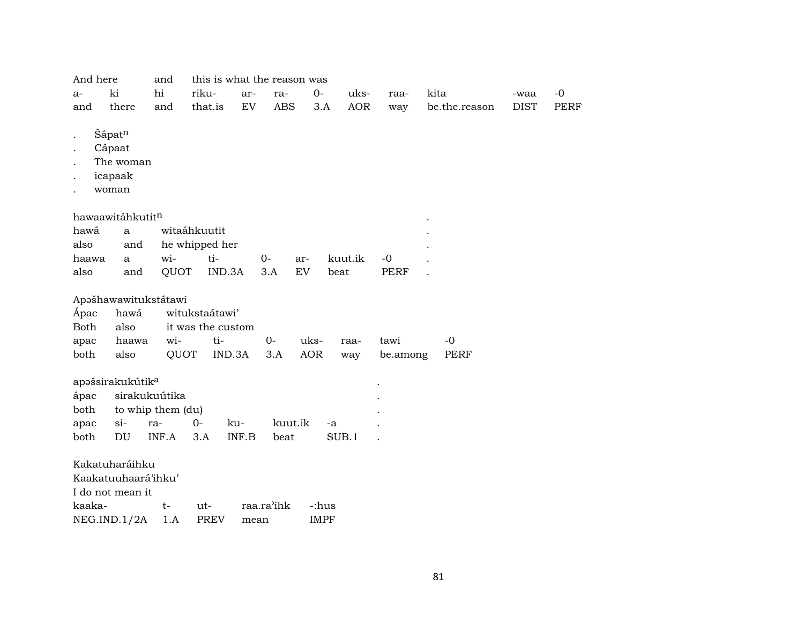| And here    |                              | and               | this is what the reason was |       |            |             |         |            |             |      |               |             |             |
|-------------|------------------------------|-------------------|-----------------------------|-------|------------|-------------|---------|------------|-------------|------|---------------|-------------|-------------|
| a-          | ki                           | hi                | riku-                       | ar-   | ra-        | $0 -$       | uks-    |            | raa-        | kita |               | -waa        | $-0$        |
| and         | there                        | and               | that.is                     | EV    | <b>ABS</b> | 3.A         |         | <b>AOR</b> | way         |      | be.the.reason | <b>DIST</b> | <b>PERF</b> |
|             |                              |                   |                             |       |            |             |         |            |             |      |               |             |             |
|             | Šápatn                       |                   |                             |       |            |             |         |            |             |      |               |             |             |
|             | Cápaat<br>The woman          |                   |                             |       |            |             |         |            |             |      |               |             |             |
|             |                              |                   |                             |       |            |             |         |            |             |      |               |             |             |
|             | icapaak<br>woman             |                   |                             |       |            |             |         |            |             |      |               |             |             |
|             |                              |                   |                             |       |            |             |         |            |             |      |               |             |             |
|             | hawaawitáhkutitn             |                   |                             |       |            |             |         |            |             |      |               |             |             |
| hawá        | $\mathbf{a}$                 |                   | witaáhkuutit                |       |            |             |         |            |             |      |               |             |             |
| also        | and                          |                   | he whipped her              |       |            |             |         |            |             |      |               |             |             |
| haawa       | a                            | wi-               | ti-                         |       | $0-$       | ar-         | kuut.ik |            | $-0$        |      |               |             |             |
| also        | and                          | QUOT              | IND.3A                      |       | 3.A        | ${\rm EV}$  | beat    |            | <b>PERF</b> |      |               |             |             |
|             | Apašhawawitukstátawi         |                   |                             |       |            |             |         |            |             |      |               |             |             |
| Ápac        | hawá                         |                   | witukstaátawi'              |       |            |             |         |            |             |      |               |             |             |
| <b>Both</b> | also                         |                   | it was the custom           |       |            |             |         |            |             |      |               |             |             |
| apac        | haawa                        | wi-               | ti-                         |       | $0-$       | uks-        | raa-    |            | tawi        | $-0$ |               |             |             |
| both        | also                         | QUOT              | IND.3A                      |       | 3.A        | <b>AOR</b>  | way     |            | be.among    |      | <b>PERF</b>   |             |             |
|             | apašsirakukútik <sup>a</sup> |                   |                             |       |            |             |         |            |             |      |               |             |             |
| ápac        |                              | sirakukuútika     |                             |       |            |             |         |            |             |      |               |             |             |
| both        |                              | to whip them (du) |                             |       |            |             |         |            |             |      |               |             |             |
| apac        | $si-$                        | ra-               | $O -$                       | ku-   | kuut.ik    |             | -a      |            |             |      |               |             |             |
| both        | DU                           | INF.A             | 3.A                         | INF.B | beat       |             | SUB.1   |            |             |      |               |             |             |
|             | Kakatuharáihku               |                   |                             |       |            |             |         |            |             |      |               |             |             |
|             | Kaakatuuhaará'ihku'          |                   |                             |       |            |             |         |            |             |      |               |             |             |
|             | I do not mean it             |                   |                             |       |            |             |         |            |             |      |               |             |             |
| kaaka-      |                              | $t-$              | ut-                         |       | raa.ra'ihk | -:hus       |         |            |             |      |               |             |             |
|             | NEG.IND.1/2A                 | 1.A               | PREV                        | mean  |            | <b>IMPF</b> |         |            |             |      |               |             |             |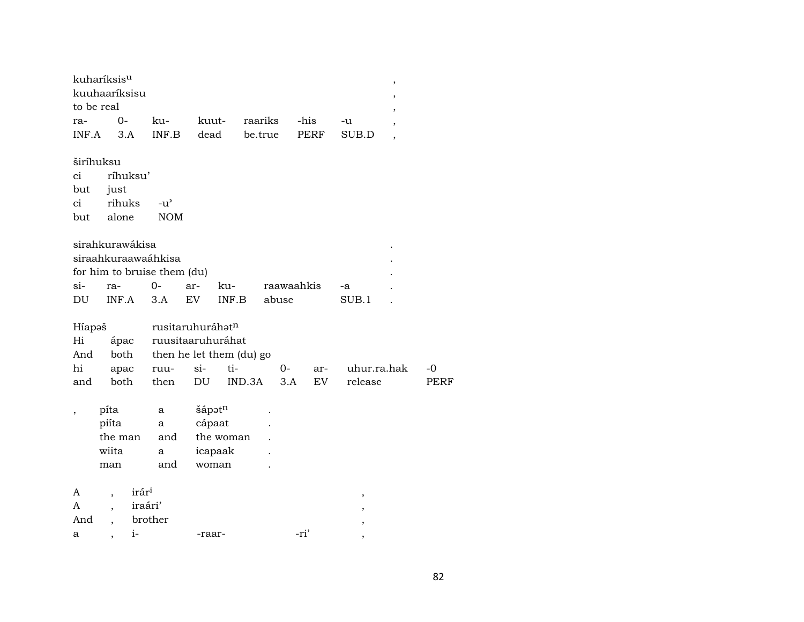| kuharíksis <sup>u</sup> |  |                                         |    |  |
|-------------------------|--|-----------------------------------------|----|--|
| kuuhaariksisu           |  |                                         |    |  |
| to be real              |  |                                         |    |  |
| ra- 0-                  |  | ku- kuut- raariks -his                  | -u |  |
|                         |  | INF.A 3.A INF.B dead be.true PERF SUB.D |    |  |

širíhuksu<br>ci ríhu ci ríhuksu' but just ci rihuks -u" but alone

|                     | sirahkurawákisa             |  |  |  |                               |       |  |  |  |  |  |
|---------------------|-----------------------------|--|--|--|-------------------------------|-------|--|--|--|--|--|
| siraahkuraawaáhkisa |                             |  |  |  |                               |       |  |  |  |  |  |
|                     | for him to bruise them (du) |  |  |  |                               |       |  |  |  |  |  |
|                     |                             |  |  |  | si- ra- 0- ar- ku- raawaahkis | -а    |  |  |  |  |  |
| DU                  | INF.A 3.A EV INF.B          |  |  |  | abuse                         | SUB.1 |  |  |  |  |  |

|     |  | Híapəš rusitaruhuráhət <sup>n</sup> |  |                                    |  |  |                                             |      |  |  |  |
|-----|--|-------------------------------------|--|------------------------------------|--|--|---------------------------------------------|------|--|--|--|
|     |  | Hi ápac ruusitaaruhuráhat           |  |                                    |  |  |                                             |      |  |  |  |
|     |  |                                     |  | And both then he let them (du) go  |  |  |                                             |      |  |  |  |
|     |  |                                     |  |                                    |  |  | hi apac ruu- si- ti-  0- ar- uhur.ra.hak -0 |      |  |  |  |
| and |  |                                     |  | both then DU IND.3A 3.A EV release |  |  |                                             | PERF |  |  |  |

| $\cdot$ | píta                     |                   | a   | šápotn    |      |                          |
|---------|--------------------------|-------------------|-----|-----------|------|--------------------------|
|         | piíta                    |                   | a   | cápaat    |      |                          |
|         | the man                  |                   | and | the woman |      |                          |
|         | wiita                    |                   | a   | icapaak   |      |                          |
|         | man                      |                   | and | woman     |      |                          |
|         |                          |                   |     |           |      |                          |
| A       |                          | irár <sup>i</sup> |     |           |      | $\overline{ }$           |
| A       |                          | iraári'           |     |           |      | $\overline{\phantom{a}}$ |
| And     |                          | brother           |     |           |      | ,                        |
| a       | $\overline{\phantom{a}}$ | i-                |     | -raar-    | -ri' | ,                        |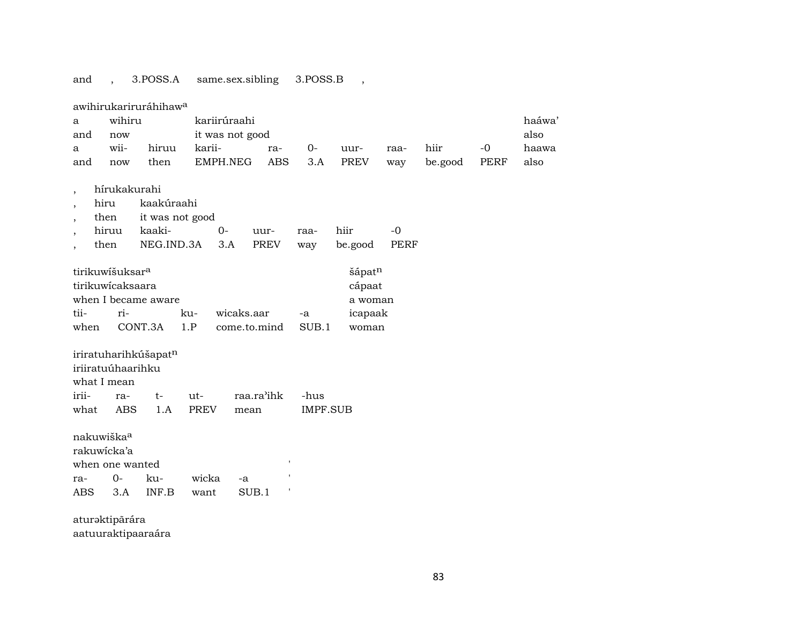## and , 3.POSS.A same.sex.sibling 3.POSS.B ,

|                          |                             | awihirukariruráhihaw <sup>a</sup> |             |                 |             |                 |             |             |         |      |       |
|--------------------------|-----------------------------|-----------------------------------|-------------|-----------------|-------------|-----------------|-------------|-------------|---------|------|-------|
| a                        | wihiru                      |                                   |             | kariirúraahi    |             |                 |             |             |         |      | haáwa |
| and                      | now                         |                                   |             | it was not good |             |                 |             |             |         |      | also  |
| a                        | wii-                        | hiruu                             | karii-      |                 | ra-         | $0-$            | uur-        | raa-        | hiir    | $-0$ | haawa |
| and                      | now                         | then                              | EMPH.NEG    |                 | ABS         | 3.A             | <b>PREV</b> | way         | be.good | PERF | also  |
|                          |                             |                                   |             |                 |             |                 |             |             |         |      |       |
| $\overline{\phantom{a}}$ | hírukakurahi                |                                   |             |                 |             |                 |             |             |         |      |       |
| $\overline{ }$           | hiru                        | kaakúraahi                        |             |                 |             |                 |             |             |         |      |       |
| $\overline{ }$           | then                        | it was not good                   |             |                 |             |                 |             |             |         |      |       |
| $\overline{\phantom{a}}$ | hiruu                       | kaaki-                            | $0-$        |                 | uur-        | raa-            | hiir        | $-0$        |         |      |       |
| $\bullet$                | then                        | NEG.IND.3A                        |             | 3.A             | <b>PREV</b> | way             | be.good     | <b>PERF</b> |         |      |       |
|                          |                             |                                   |             |                 |             |                 |             |             |         |      |       |
|                          | tirikuwíšuksar <sup>a</sup> |                                   |             |                 |             |                 | šápatn      |             |         |      |       |
|                          | tirikuwicaksaara            |                                   |             |                 |             |                 | cápaat      |             |         |      |       |
|                          |                             | when I became aware               |             |                 |             |                 | a woman     |             |         |      |       |
| tii-                     | ri-                         |                                   | ku-         | wicaks.aar      |             | -a              | icapaak     |             |         |      |       |
| when                     |                             | CONT.3A                           | 1.P         | come.to.mind    |             | SUB.1           | woman       |             |         |      |       |
|                          |                             |                                   |             |                 |             |                 |             |             |         |      |       |
|                          | iriiratuúhaarihku           | iriratuharihkúšapat <sup>n</sup>  |             |                 |             |                 |             |             |         |      |       |
|                          |                             |                                   |             |                 |             |                 |             |             |         |      |       |
| irii-                    | what I mean                 |                                   | ut-         | raa.ra'ihk      |             | -hus            |             |             |         |      |       |
|                          | ra-                         | $t-$                              |             |                 |             |                 |             |             |         |      |       |
| what                     | <b>ABS</b>                  | 1.A                               | <b>PREV</b> | mean            |             | <b>IMPF.SUB</b> |             |             |         |      |       |
|                          | nakuwiška <sup>a</sup>      |                                   |             |                 |             |                 |             |             |         |      |       |
|                          | rakuwicka'a                 |                                   |             |                 |             |                 |             |             |         |      |       |
|                          | when one wanted             |                                   |             |                 | ,           |                 |             |             |         |      |       |
|                          | $0-$                        | ku-                               | wicka       |                 |             |                 |             |             |         |      |       |
| ra-<br><b>ABS</b>        | 3.A                         | INF.B                             |             | -a<br>SUB.1     | ,           |                 |             |             |         |      |       |
|                          |                             |                                   | want        |                 |             |                 |             |             |         |      |       |
|                          |                             |                                   |             |                 |             |                 |             |             |         |      |       |

aturəktipãrára aatuuraktipaaraára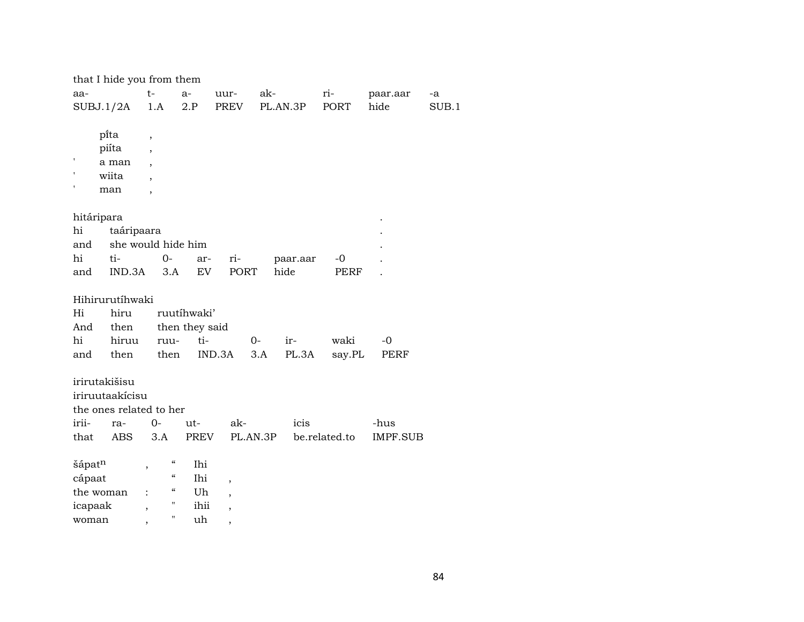|            | that I hide you from them |                                                |                |                          |          |          |               |          |       |
|------------|---------------------------|------------------------------------------------|----------------|--------------------------|----------|----------|---------------|----------|-------|
| aa-        |                           | $t-$                                           | $a-$           | uur-                     | ak-      |          | ri-           | paar.aar | -a    |
|            | SUBJ.1/2A                 | 1.A                                            | 2.P            | PREV                     |          | PL.AN.3P | PORT          | hide     | SUB.1 |
|            |                           |                                                |                |                          |          |          |               |          |       |
|            | pi̇̃ta                    | $\overline{\phantom{a}}$                       |                |                          |          |          |               |          |       |
|            | piíta                     |                                                |                |                          |          |          |               |          |       |
|            | a man                     |                                                |                |                          |          |          |               |          |       |
|            | wiita                     |                                                |                |                          |          |          |               |          |       |
|            | man                       | $\overline{\phantom{a}}$                       |                |                          |          |          |               |          |       |
|            |                           |                                                |                |                          |          |          |               |          |       |
| hitáripara |                           |                                                |                |                          |          |          |               |          |       |
| hi         | taáripaara                |                                                |                |                          |          |          |               |          |       |
| and        |                           | she would hide him                             |                |                          |          |          |               |          |       |
| hi         | ti-                       |                                                | $0-$<br>ar-    | ri-                      |          | paar.aar | $-0$          |          |       |
| and        | IND.3A                    | 3.A                                            | EV             | PORT                     | hide     |          | PERF          |          |       |
|            |                           |                                                |                |                          |          |          |               |          |       |
|            | Hihirurutíhwaki           |                                                |                |                          |          |          |               |          |       |
| Hi         | hiru                      |                                                | ruutíhwaki'    |                          |          |          |               |          |       |
| And        | then                      |                                                | then they said |                          |          |          |               |          |       |
| hi         | hiruu                     | ruu-                                           | ti-            |                          | $0-$     | ir-      | waki          | $-0$     |       |
| and        | then                      | then                                           |                | IND.3A                   | 3.A      | PL.3A    | say.PL        | PERF     |       |
|            |                           |                                                |                |                          |          |          |               |          |       |
|            | irirutakišisu             |                                                |                |                          |          |          |               |          |       |
|            | iriruutaakícisu           |                                                |                |                          |          |          |               |          |       |
|            | the ones related to her   |                                                |                |                          |          |          |               |          |       |
| irii-      | ra-                       | $0-$                                           | ut-            | ak-                      |          | icis     |               | -hus     |       |
| that       | <b>ABS</b>                | 3.A                                            | PREV           |                          | PL.AN.3P |          | be.related.to | IMPF.SUB |       |
|            |                           |                                                |                |                          |          |          |               |          |       |
| šápatn     |                           | $\epsilon\epsilon$<br>$\overline{\phantom{a}}$ | Ihi            |                          |          |          |               |          |       |
| cápaat     |                           | $\boldsymbol{\mathcal{C}}$                     | Ihi            | $\overline{\phantom{a}}$ |          |          |               |          |       |
|            | the woman                 | $\epsilon\epsilon$                             | Uh             | ,                        |          |          |               |          |       |
| icapaak    |                           | Ħ<br>$\overline{\phantom{a}}$                  | ihii           | ,                        |          |          |               |          |       |

woman , " uh ,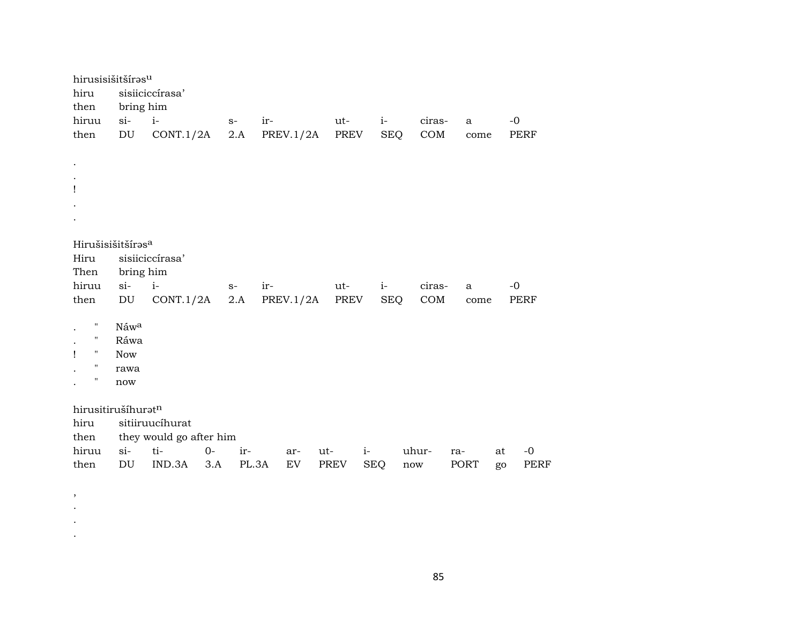| hirusisišitšírasu<br>hiru          |                            | sisiiciccírasa'         |       |       |     |            |             |      |            |        |     |              |    |             |
|------------------------------------|----------------------------|-------------------------|-------|-------|-----|------------|-------------|------|------------|--------|-----|--------------|----|-------------|
| then                               | bring him                  |                         |       |       |     |            |             |      |            |        |     |              |    |             |
| hiruu                              | $si-$                      | $i-$                    | $S-$  |       | ir- |            | ut-         |      | $i-$       | ciras- |     | $\mathbf{a}$ |    | $-0$        |
| then                               | $\mathop{\rm DU}\nolimits$ | CONT.1/2A               |       | 2.A   |     | PREV.1/2A  |             | PREV | <b>SEQ</b> | COM    |     | come         |    | <b>PERF</b> |
|                                    |                            |                         |       |       |     |            |             |      |            |        |     |              |    |             |
| $\bullet$                          |                            |                         |       |       |     |            |             |      |            |        |     |              |    |             |
| $\cdot$                            |                            |                         |       |       |     |            |             |      |            |        |     |              |    |             |
| $\mathbf{I}$                       |                            |                         |       |       |     |            |             |      |            |        |     |              |    |             |
|                                    |                            |                         |       |       |     |            |             |      |            |        |     |              |    |             |
|                                    |                            |                         |       |       |     |            |             |      |            |        |     |              |    |             |
| Hirušisišitšíras <sup>a</sup>      |                            |                         |       |       |     |            |             |      |            |        |     |              |    |             |
| Hiru                               |                            | sisiiciccírasa'         |       |       |     |            |             |      |            |        |     |              |    |             |
| Then                               | bring him                  |                         |       |       |     |            |             |      |            |        |     |              |    |             |
| hiruu                              | $si-$                      | $i-$                    | $S-$  |       | ir- |            | ut-         |      | $i-$       | ciras- |     | $\mathbf{a}$ |    | $-0$        |
| then                               | $\mathop{\rm DU}\nolimits$ | CONT.1/2A               |       | 2.A   |     | PREV.1/2A  |             | PREV | <b>SEQ</b> | COM    |     | come         |    | <b>PERF</b> |
|                                    |                            |                         |       |       |     |            |             |      |            |        |     |              |    |             |
| н<br>п                             | Náwa                       |                         |       |       |     |            |             |      |            |        |     |              |    |             |
| $\mathbf{I}$<br>$\pmb{\mathsf{H}}$ | Ráwa<br><b>Now</b>         |                         |       |       |     |            |             |      |            |        |     |              |    |             |
| п                                  | rawa                       |                         |       |       |     |            |             |      |            |        |     |              |    |             |
| п                                  | now                        |                         |       |       |     |            |             |      |            |        |     |              |    |             |
|                                    |                            |                         |       |       |     |            |             |      |            |        |     |              |    |             |
| hirusitirušíhuratn                 |                            |                         |       |       |     |            |             |      |            |        |     |              |    |             |
| hiru                               |                            | sitiiruucíhurat         |       |       |     |            |             |      |            |        |     |              |    |             |
| then                               |                            | they would go after him |       |       |     |            |             |      |            |        |     |              |    |             |
| hiruu                              | $si$ -                     | ti-                     | $O -$ | ir-   |     | ar-        | ut-         | $i-$ |            | uhur-  | ra- |              | at | $-0$        |
| then                               | $\mathop{\rm DU}\nolimits$ | IND.3A                  | 3.A   | PL.3A |     | ${\rm EV}$ | <b>PREV</b> |      | <b>SEQ</b> | now    |     | PORT         | go | <b>PERF</b> |
|                                    |                            |                         |       |       |     |            |             |      |            |        |     |              |    |             |

, . . .

85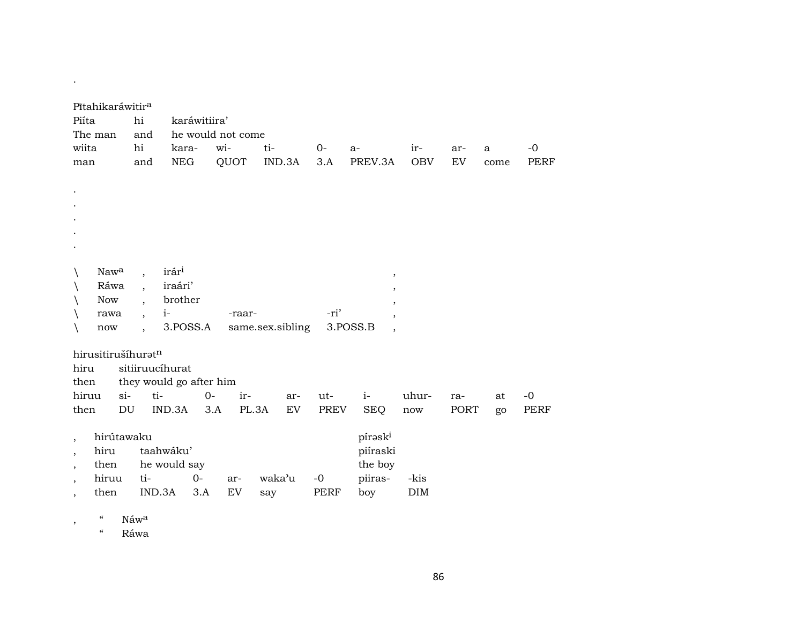| Pītahikaráwitira                 |                          |                         |                   |                  |        |             |                          |            |      |              |             |
|----------------------------------|--------------------------|-------------------------|-------------------|------------------|--------|-------------|--------------------------|------------|------|--------------|-------------|
| Piíta                            | hi                       | karáwitiira'            |                   |                  |        |             |                          |            |      |              |             |
| The man                          | and                      |                         | he would not come |                  |        |             |                          |            |      |              |             |
| wiita                            | hi                       | kara-                   | wi-               | ti-              |        | $0-$        | $a-$                     | ir-        | ar-  | $\mathbf{a}$ | $-0$        |
| man                              | and                      | <b>NEG</b>              | QUOT              |                  | IND.3A | 3.A         | PREV.3A                  | <b>OBV</b> | EV   | come         | <b>PERF</b> |
|                                  |                          |                         |                   |                  |        |             |                          |            |      |              |             |
|                                  |                          |                         |                   |                  |        |             |                          |            |      |              |             |
|                                  |                          |                         |                   |                  |        |             |                          |            |      |              |             |
|                                  |                          |                         |                   |                  |        |             |                          |            |      |              |             |
|                                  |                          |                         |                   |                  |        |             |                          |            |      |              |             |
|                                  |                          |                         |                   |                  |        |             |                          |            |      |              |             |
|                                  |                          |                         |                   |                  |        |             |                          |            |      |              |             |
| Naw <sup>a</sup><br>$\backslash$ | $\overline{\phantom{a}}$ | irár <sup>i</sup>       |                   |                  |        |             | $\,$                     |            |      |              |             |
| Ráwa                             |                          | iraári'                 |                   |                  |        |             | $\overline{\phantom{a}}$ |            |      |              |             |
| <b>Now</b>                       |                          | brother                 |                   |                  |        |             | $^\mathrm{^\mathrm{o}}$  |            |      |              |             |
| rawa                             | $\overline{\phantom{a}}$ | $i-$                    |                   | -raar-           |        | -ri'        | $\overline{\phantom{a}}$ |            |      |              |             |
| now                              | $\ddot{\phantom{0}}$     | 3.POSS.A                |                   | same.sex.sibling |        |             | 3.POSS.B<br>$\cdot$      |            |      |              |             |
|                                  |                          |                         |                   |                  |        |             |                          |            |      |              |             |
| hirusitirušíhuratn               |                          |                         |                   |                  |        |             |                          |            |      |              |             |
| hiru                             |                          | sitiiruucíhurat         |                   |                  |        |             |                          |            |      |              |             |
| then                             |                          | they would go after him |                   |                  |        |             |                          |            |      |              |             |
| hiruu                            | $\sin$                   | ti-                     | $O -$             | ir-              | ar-    | ut-         | $i-$                     | uhur-      | ra-  | at           | $-0$        |
| then                             | DU                       | IND.3A                  | 3.A               | PL.3A            | EV     | PREV        | <b>SEQ</b>               | now        | PORT | go           | PERF        |
|                                  |                          |                         |                   |                  |        |             |                          |            |      |              |             |
| hirútawaku<br>$\overline{ }$     |                          |                         |                   |                  |        |             | pírask <sup>i</sup>      |            |      |              |             |
| hiru<br>$\overline{\phantom{a}}$ |                          | taahwáku'               |                   |                  |        |             | piíraski                 |            |      |              |             |
| then<br>,                        |                          | he would say            |                   |                  |        |             | the boy                  |            |      |              |             |
| hiruu                            | ti-                      | $0-$                    | ar-               | waka'u           |        | $-0$        | piiras-                  | -kis       |      |              |             |
| then<br>,                        |                          | IND.3A                  | EV<br>3.A         | say              |        | <b>PERF</b> | boy                      | <b>DIM</b> |      |              |             |

, " Náw<sup>a</sup>

.

" Ráwa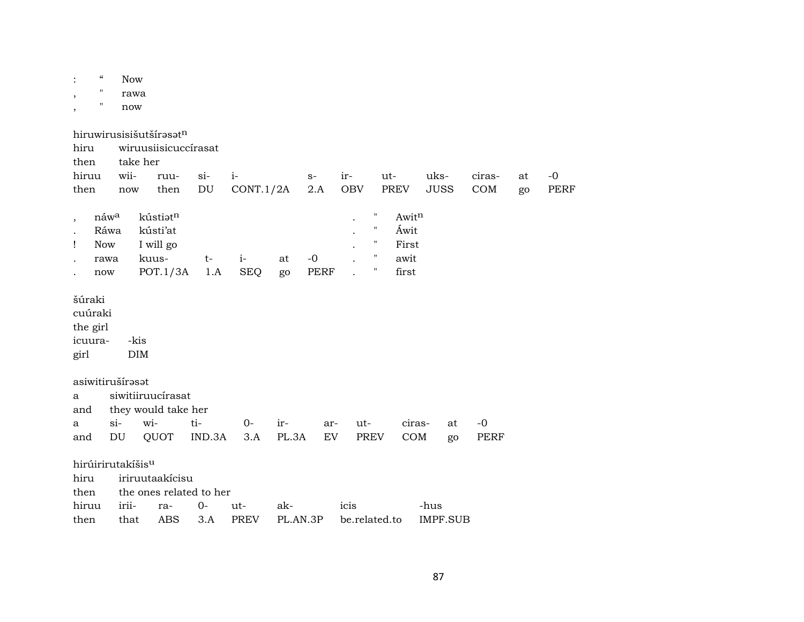| $\boldsymbol{\zeta}\boldsymbol{\zeta}$<br>11<br>$\pmb{\mathsf{H}}$<br>$\overline{ }$ | <b>Now</b><br>rawa<br>now            |                                                                 |                                     |                    |              |                     |                   |                                                                     |                                         |                     |          |               |          |              |
|--------------------------------------------------------------------------------------|--------------------------------------|-----------------------------------------------------------------|-------------------------------------|--------------------|--------------|---------------------|-------------------|---------------------------------------------------------------------|-----------------------------------------|---------------------|----------|---------------|----------|--------------|
| hiru<br>then<br>hiruu<br>then                                                        | take her<br>wii-<br>now              | hiruwirusisišutšírasatn<br>wiruusiisicuccírasat<br>ruu-<br>then | $si-$<br>$\mathop{\rm DU}\nolimits$ | $i-$<br>CONT.1/2A  |              | $S-$<br>2.A         | ir-<br><b>OBV</b> |                                                                     | ut-<br>PREV                             | uks-<br><b>JUSS</b> |          | ciras-<br>COM | at<br>go | $-0$<br>PERF |
| náwa<br>$\cdot$<br>Ráwa<br><b>Now</b><br>Ţ<br>rawa<br>now                            |                                      | kústiatn<br>kústi'at<br>I will go<br>kuus-<br>POT.1/3A          | $t-$<br>1.A                         | $i-$<br><b>SEQ</b> | at<br>go     | $-0$<br><b>PERF</b> |                   | π<br>$\pmb{\mathsf{H}}$<br>11<br>$\pmb{\mathsf{H}}$<br>$\mathbf{H}$ | Awitn<br>Áwit<br>First<br>awit<br>first |                     |          |               |          |              |
| šúraki<br>cuúraki<br>the girl<br>icuura-<br>girl                                     | -kis<br>$\rm{DIM}$                   |                                                                 |                                     |                    |              |                     |                   |                                                                     |                                         |                     |          |               |          |              |
| asiwitirušírasat<br>a<br>and<br>a<br>and                                             | $\sin$<br>$\mathop{\rm DU}\nolimits$ | siwitiiruucírasat<br>they would take her<br>wi-<br>QUOT         | ti-<br>IND.3A                       | $0-$<br>3.A        | ir-<br>PL.3A | ar-<br>EV           | ut-               | PREV                                                                | ciras-<br>COM                           |                     | at<br>go | $-0$<br>PERF  |          |              |
| hirúirirutakíšis <sup>u</sup><br>hiru<br>then<br>hiruu                               | irii-                                | iriruutaakicisu<br>the ones related to her<br>ra-               | $O -$                               | ut-                | ak-          |                     | icis              |                                                                     |                                         | -hus                |          |               |          |              |

then that ABS 3.A PREV PL.AN.3P be.related.to IMPF.SUB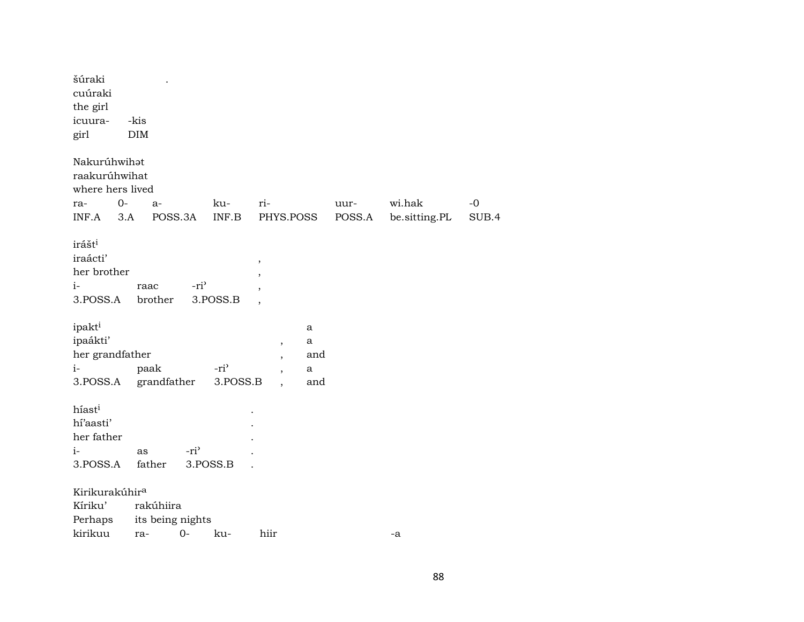| šúraki<br>cuúraki<br>the girl                                                    |                 |                  |                  |                                                                 |     |                |                         |             |
|----------------------------------------------------------------------------------|-----------------|------------------|------------------|-----------------------------------------------------------------|-----|----------------|-------------------------|-------------|
| icuura-                                                                          | -kis            |                  |                  |                                                                 |     |                |                         |             |
| girl                                                                             | <b>DIM</b>      |                  |                  |                                                                 |     |                |                         |             |
| Nakurúhwihat<br>raakurúhwihat<br>where hers lived<br>$0-$<br>ra-<br>INF.A<br>3.A | $a-$            | POSS.3A          | ku-<br>INF.B     | ri-<br>PHYS.POSS                                                |     | uur-<br>POSS.A | wi.hak<br>be.sitting.PL | -0<br>SUB.4 |
| irášt <sup>i</sup><br>iraácti'<br>her brother<br>$i-$<br>3.POSS.A                | raac<br>brother | -ri <sup>3</sup> | 3.POSS.B         | $^\mathrm{,}$<br>$\cdot$<br>$\overline{\phantom{a}}$<br>$\cdot$ |     |                |                         |             |
| ipakt <sup>i</sup>                                                               |                 |                  |                  |                                                                 | a   |                |                         |             |
| ipaákti'                                                                         |                 |                  |                  |                                                                 | a   |                |                         |             |
| her grandfather                                                                  |                 |                  |                  | $\, ,$<br>$\overline{\phantom{a}}$                              | and |                |                         |             |
| $i-$                                                                             | paak            |                  | -ri <sup>3</sup> |                                                                 | a   |                |                         |             |
| 3.POSS.A                                                                         | grandfather     |                  | 3.POSS.B         |                                                                 | and |                |                         |             |
| híasti<br>hí'aasti'<br>her father<br>$i-$<br>3.POSS.A                            | as<br>father    | -ri <sup>3</sup> | 3.POSS.B         |                                                                 |     |                |                         |             |
| Kirikurakúhir <sup>a</sup>                                                       |                 |                  |                  |                                                                 |     |                |                         |             |
| Kíriku'                                                                          | rakúhiira       |                  |                  |                                                                 |     |                |                         |             |
| Perhaps                                                                          |                 | its being nights |                  |                                                                 |     |                |                         |             |
| kirikuu                                                                          | ra-             | $0-$             | ku-              | hiir                                                            |     |                | -a                      |             |
|                                                                                  |                 |                  |                  |                                                                 |     |                |                         |             |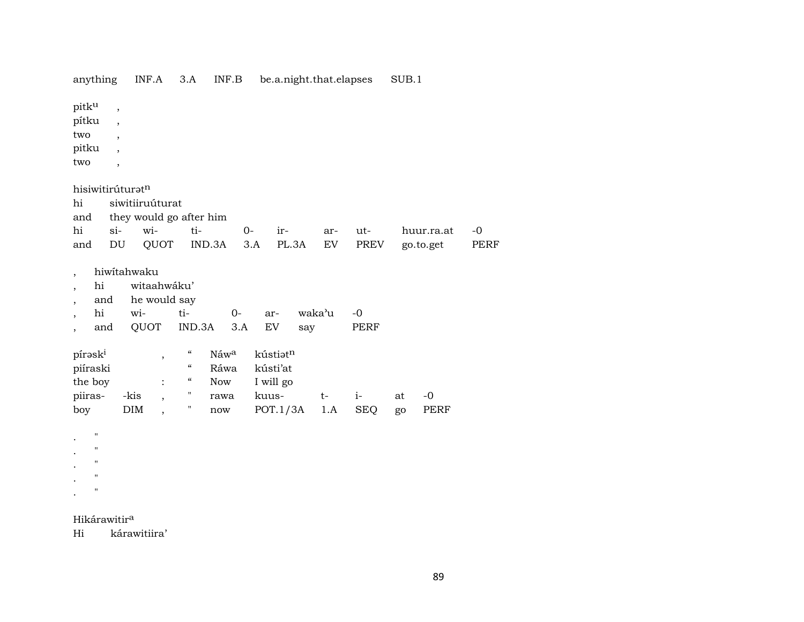| anything                                                                                                   |                                                                                                                   | INF.A                               | 3.A                                    | INF.B      |      | be.a.night.that.elapses |               |      |              | SUB.1 |            |             |
|------------------------------------------------------------------------------------------------------------|-------------------------------------------------------------------------------------------------------------------|-------------------------------------|----------------------------------------|------------|------|-------------------------|---------------|------|--------------|-------|------------|-------------|
| pitku<br>pítku<br>two<br>pitku<br>two                                                                      | ,<br>$\overline{\phantom{a}}$<br>$\overline{\phantom{a}}$<br>$\overline{\phantom{a}}$<br>$\overline{\phantom{a}}$ |                                     |                                        |            |      |                         |               |      |              |       |            |             |
| hisiwitirúturatn                                                                                           |                                                                                                                   |                                     |                                        |            |      |                         |               |      |              |       |            |             |
| hi                                                                                                         |                                                                                                                   | siwitiiruúturat                     |                                        |            |      |                         |               |      |              |       |            |             |
| and                                                                                                        |                                                                                                                   | they would go after him             |                                        |            |      |                         |               |      |              |       |            |             |
| hi                                                                                                         | si-                                                                                                               | wi-                                 | ti-                                    |            | $0-$ | ir-                     |               | ar-  | ut-          |       | huur.ra.at | $-o$        |
| and                                                                                                        | DU                                                                                                                | QUOT                                |                                        | IND.3A     | 3.A  |                         | PL.3A         | EV   | PREV         |       | go.to.get  | <b>PERF</b> |
| $\overline{\phantom{a}}$<br>hi<br>and<br>hi<br>and                                                         | hiwitahwaku<br>wi-                                                                                                | witaahwáku'<br>he would say<br>QUOT | ti-<br>IND.3A                          | $0-$       | 3.A  | ar-<br><b>EV</b>        | waka'u<br>say |      | $-0$<br>PERF |       |            |             |
| pírask <sup>i</sup>                                                                                        |                                                                                                                   | ,                                   | $\epsilon\epsilon$                     | Náwa       |      | kústiatn                |               |      |              |       |            |             |
| piíraski                                                                                                   |                                                                                                                   |                                     | $\boldsymbol{\zeta}\boldsymbol{\zeta}$ | Ráwa       |      | kústi'at                |               |      |              |       |            |             |
| the boy                                                                                                    |                                                                                                                   |                                     | $\boldsymbol{\zeta}\boldsymbol{\zeta}$ | <b>Now</b> |      | I will go               |               |      |              |       |            |             |
| piiras-                                                                                                    | -kis                                                                                                              |                                     | Η,                                     | rawa       |      | kuus-                   |               | $t-$ | $i-$         | at    | $-0$       |             |
| boy                                                                                                        | DIM                                                                                                               |                                     | Ħ                                      | now        |      | POT.1/3A                |               | 1.A  | <b>SEQ</b>   | go    | PERF       |             |
| $\pmb{\mathsf{H}}$<br>$\pmb{\mathsf{H}}$<br>$\pmb{\mathsf{H}}$<br>$\pmb{\mathsf{H}}$<br>$\pmb{\mathsf{H}}$ |                                                                                                                   |                                     |                                        |            |      |                         |               |      |              |       |            |             |

### Hikárawitir<sup>a</sup>

Hi kárawitiira'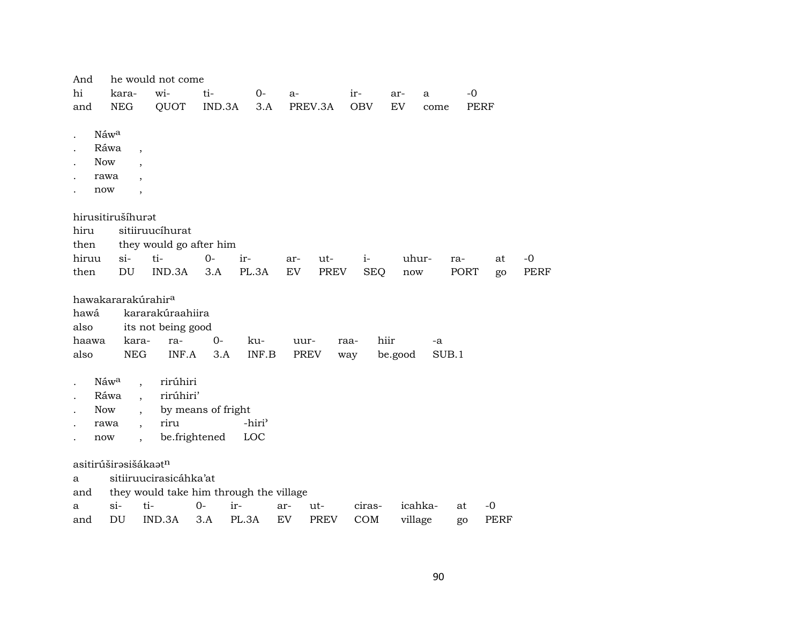| And                              |                  | he would not come              |                         |                                         |     |              |            |         |       |             |      |             |
|----------------------------------|------------------|--------------------------------|-------------------------|-----------------------------------------|-----|--------------|------------|---------|-------|-------------|------|-------------|
| hi                               | kara-            | wi-                            | ti-                     | $0-$                                    | a-  |              | $ir-$      | ar-     | a     | $-0$        |      |             |
| and                              | NEG              | QUOT                           |                         | IND.3A<br>3.A                           |     | PREV.3A      | <b>OBV</b> | EV      | come  | <b>PERF</b> |      |             |
|                                  |                  |                                |                         |                                         |     |              |            |         |       |             |      |             |
|                                  | Náw <sup>a</sup> |                                |                         |                                         |     |              |            |         |       |             |      |             |
|                                  | Ráwa             | $\overline{\phantom{a}}$       |                         |                                         |     |              |            |         |       |             |      |             |
| <b>Now</b>                       |                  |                                |                         |                                         |     |              |            |         |       |             |      |             |
| rawa                             |                  |                                |                         |                                         |     |              |            |         |       |             |      |             |
| now                              |                  | $\overline{\phantom{a}}$       |                         |                                         |     |              |            |         |       |             |      |             |
|                                  |                  |                                |                         |                                         |     |              |            |         |       |             |      |             |
| hirusitirušíhurat                |                  |                                |                         |                                         |     |              |            |         |       |             |      |             |
| hiru                             |                  | sitiiruucíhurat                |                         |                                         |     |              |            |         |       |             |      |             |
| then                             |                  |                                | they would go after him |                                         |     |              |            |         |       |             |      |             |
| hiruu                            | $\sin$           | ti-                            | $0-$                    | ir-                                     | ar- | ut-          | $i-$       | uhur-   |       | ra-         | at   | $-0$        |
| then                             | DU               | IND.3A                         | 3.A                     | PL.3A                                   | EV  | PREV         | <b>SEQ</b> | now     |       | PORT        | go   | <b>PERF</b> |
|                                  |                  |                                |                         |                                         |     |              |            |         |       |             |      |             |
|                                  |                  | hawakararakúrahir <sup>a</sup> |                         |                                         |     |              |            |         |       |             |      |             |
| hawá                             |                  | kararakúraahiira               |                         |                                         |     |              |            |         |       |             |      |             |
| also                             |                  | its not being good             |                         |                                         |     |              |            |         |       |             |      |             |
| haawa                            | kara-            | ra-                            | $0-$                    | ku-                                     |     | uur-<br>raa- | hiir       |         | -a    |             |      |             |
| also                             | <b>NEG</b>       |                                | INF.A                   | INF.B<br>3.A                            |     | PREV<br>way  |            | be.good | SUB.1 |             |      |             |
|                                  |                  |                                |                         |                                         |     |              |            |         |       |             |      |             |
|                                  | Náwa             |                                | rirúhiri                |                                         |     |              |            |         |       |             |      |             |
|                                  | Ráwa             | $\ddot{\phantom{a}}$           | rirúhiri'               |                                         |     |              |            |         |       |             |      |             |
| <b>Now</b>                       |                  |                                | by means of fright      |                                         |     |              |            |         |       |             |      |             |
| rawa                             |                  | riru<br>$\ddot{\phantom{0}}$   |                         | -hiri <sup>3</sup>                      |     |              |            |         |       |             |      |             |
| now                              |                  | $\ddot{\phantom{0}}$           | be.frightened           | LOC                                     |     |              |            |         |       |             |      |             |
|                                  |                  |                                |                         |                                         |     |              |            |         |       |             |      |             |
| asitirúširəsišákaət <sup>n</sup> |                  |                                |                         |                                         |     |              |            |         |       |             |      |             |
| a                                |                  |                                | sitiiruucirasicáhka'at  |                                         |     |              |            |         |       |             |      |             |
| and                              |                  |                                |                         | they would take him through the village |     |              |            |         |       |             |      |             |
| a                                | $si-$            | ti-                            | $O -$                   | ir-                                     | ar- | ut-          | ciras-     | icahka- |       | at          | $-0$ |             |
| and                              | DU               | IND.3A                         | 3.A                     | PL.3A                                   | EV  | PREV         | COM        | village |       | go          | PERF |             |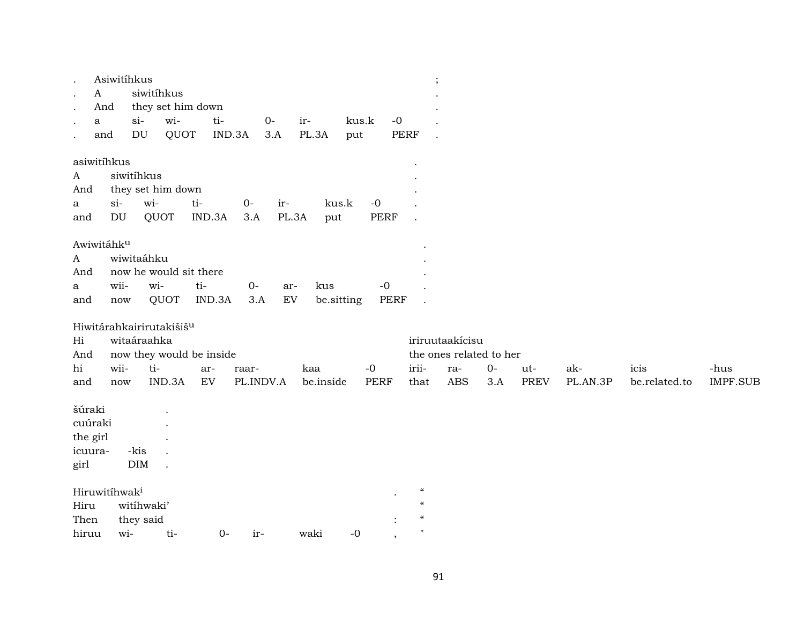| $\mathbf{A}$<br>$\cdot$<br>a                       | Asiwitíhkus<br>And<br>and           | siwitihkus<br>$si-$<br>DU | they set him down<br>wi-<br>QUOT   | ti-                                           | IND.3A             | $O -$<br>3.A      | ir-<br>PL.3A      | kus.k<br>put |                     | $-0$<br>PERF | $\vdots$                                                                                                                      |                                                                 |              |                    |                 |                       |                         |
|----------------------------------------------------|-------------------------------------|---------------------------|------------------------------------|-----------------------------------------------|--------------------|-------------------|-------------------|--------------|---------------------|--------------|-------------------------------------------------------------------------------------------------------------------------------|-----------------------------------------------------------------|--------------|--------------------|-----------------|-----------------------|-------------------------|
| asiwitihkus<br>$\mathbf{A}$<br>And<br>a<br>and     | $si-$<br>$\mathop{\rm DU}\nolimits$ | siwitihkus<br>wi-         | they set him down<br>QUOT          | $ti-$<br>IND.3A                               | $0-$<br>3.A        | ir-<br>PL.3A      | kus.k<br>put      |              | $-0$<br><b>PERF</b> |              |                                                                                                                               |                                                                 |              |                    |                 |                       |                         |
| Awiwitáhku<br>$\mathbf{A}$<br>And<br>a<br>and      | wii-<br>now                         | wiwitaáhku<br>wi-         | now he would sit there<br>QUOT     | ti-<br>IND.3A                                 | $0-$<br>3.A        | ar-<br>${\rm EV}$ | kus<br>be.sitting |              | $-0$<br><b>PERF</b> |              |                                                                                                                               |                                                                 |              |                    |                 |                       |                         |
| Hi<br>And<br>hi<br>and                             | wii-<br>now                         | witaáraahka<br>ti-        | Hiwitárahkairirutakišišu<br>IND.3A | now they would be inside<br>ar-<br>${\rm EV}$ | raar-<br>PL.INDV.A |                   | kaa<br>be.inside  |              | $-0$<br><b>PERF</b> |              | irii-<br>that                                                                                                                 | iriruutaakicisu<br>the ones related to her<br>ra-<br><b>ABS</b> | $O -$<br>3.A | ut-<br><b>PREV</b> | ak-<br>PL.AN.3P | icis<br>be.related.to | -hus<br><b>IMPF.SUB</b> |
| šúraki<br>cuúraki<br>the girl<br>icuura-<br>girl   |                                     | -kis<br>DIM               |                                    |                                               |                    |                   |                   |              |                     |              |                                                                                                                               |                                                                 |              |                    |                 |                       |                         |
| Hiruwitíhwak <sup>i</sup><br>Hiru<br>Then<br>hiruu | wi-                                 | witihwaki'<br>they said   | ti-                                | $0-$                                          | ir-                |                   | waki              | $-0$         |                     |              | $\mathcal{C}\mathcal{C}$<br>$\pmb{\zeta}\pmb{\zeta}$<br>$\boldsymbol{\varsigma} \boldsymbol{\varsigma}$<br>$\pmb{\mathsf{H}}$ |                                                                 |              |                    |                 |                       |                         |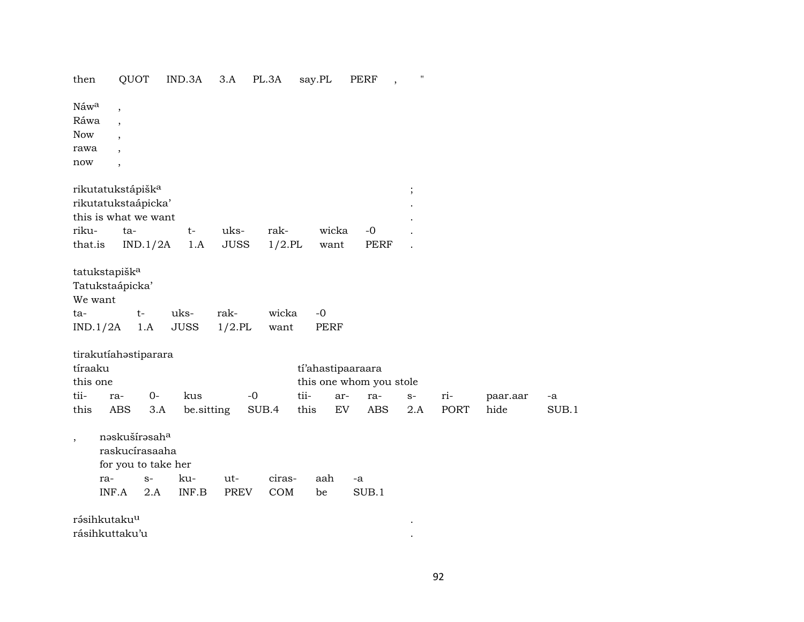| then                                      |                                                                                                                                          | QUOT                                                                       | IND.3A      | 3.A         | PL.3A     | say.PL            | <b>PERF</b>             | $\pmb{\mathsf{H}}$ |      |          |       |
|-------------------------------------------|------------------------------------------------------------------------------------------------------------------------------------------|----------------------------------------------------------------------------|-------------|-------------|-----------|-------------------|-------------------------|--------------------|------|----------|-------|
| Náwa<br>Ráwa<br><b>Now</b><br>rawa<br>now | $\overline{\phantom{a}}$<br>$\overline{\phantom{a}}$<br>$\overline{\phantom{a}}$<br>$\overline{\phantom{a}}$<br>$\overline{\phantom{a}}$ |                                                                            |             |             |           |                   |                         |                    |      |          |       |
|                                           |                                                                                                                                          | rikutatukstápišk <sup>a</sup>                                              |             |             |           |                   |                         | $\vdots$           |      |          |       |
|                                           |                                                                                                                                          | rikutatukstaápicka'                                                        |             |             |           |                   |                         |                    |      |          |       |
|                                           |                                                                                                                                          | this is what we want                                                       |             |             |           |                   |                         |                    |      |          |       |
| riku-                                     |                                                                                                                                          | ta-                                                                        | $t-$        | uks-        | rak-      | wicka             | $-0$                    |                    |      |          |       |
| that.is                                   |                                                                                                                                          | IND.1/2A                                                                   | 1.A         | <b>JUSS</b> | $1/2$ .PL | want              | PERF                    |                    |      |          |       |
| We want                                   | tatukstapišk <sup>a</sup><br>Tatukstaápicka'                                                                                             |                                                                            |             |             |           |                   |                         |                    |      |          |       |
| ta-                                       |                                                                                                                                          | $t-$                                                                       | uks-        | rak-        | wicka     | $-0$              |                         |                    |      |          |       |
| IND.1/2A                                  |                                                                                                                                          | 1.A                                                                        | <b>JUSS</b> | $1/2$ .PL   | want      | <b>PERF</b>       |                         |                    |      |          |       |
| tíraaku<br>this one                       |                                                                                                                                          | tirakutíahostiparara                                                       |             |             |           | tí'ahastipaaraara | this one whom you stole |                    |      |          |       |
| tii-                                      | ra-                                                                                                                                      | $O -$                                                                      | kus         | $-0$        |           | tii-<br>ar-       | ra-                     | $S-$               | ri-  | paar.aar | -a    |
| this                                      | <b>ABS</b>                                                                                                                               | 3.A                                                                        | be.sitting  |             | SUB.4     | this<br>EV        | <b>ABS</b>              | 2.A                | PORT | hide     | SUB.1 |
| $^\mathrm{,}$                             | ra-                                                                                                                                      | nəskušírəsah <sup>a</sup><br>raskucírasaaha<br>for you to take her<br>$S-$ | ku-         | ut-         | ciras-    | aah               | -a                      |                    |      |          |       |
|                                           | INF.A                                                                                                                                    | 2.A                                                                        | INF.B       | PREV        | COM       | be                | SUB.1                   |                    |      |          |       |
|                                           |                                                                                                                                          |                                                                            |             |             |           |                   |                         |                    |      |          |       |
|                                           | rásihkutaku <sup>u</sup><br>rásihkuttaku'u                                                                                               |                                                                            |             |             |           |                   |                         |                    |      |          |       |
|                                           |                                                                                                                                          |                                                                            |             |             |           |                   |                         |                    |      |          |       |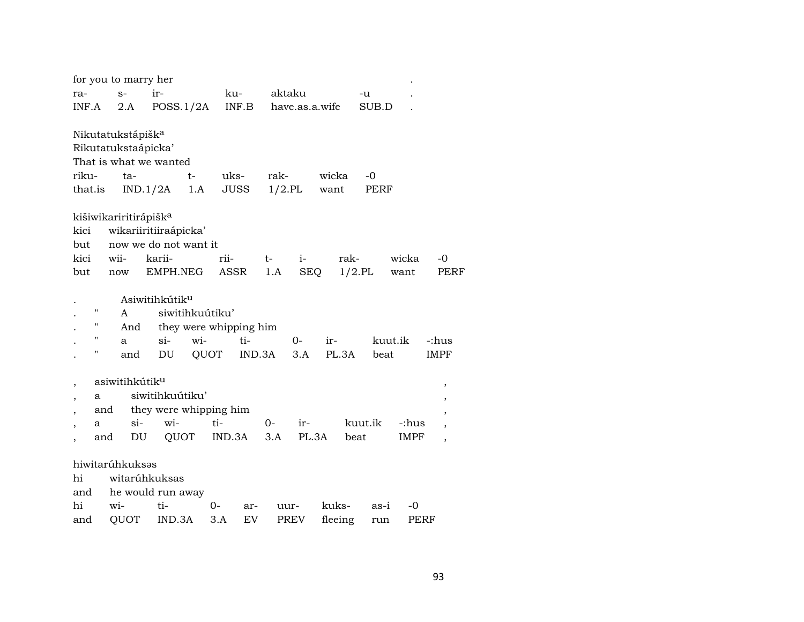|                |     | for you to marry her              |                            |                        |             |        |        |                |         |           |         |             |                          |
|----------------|-----|-----------------------------------|----------------------------|------------------------|-------------|--------|--------|----------------|---------|-----------|---------|-------------|--------------------------|
| ra-            |     | $S-$                              | ir-                        |                        | ku-         |        | aktaku |                |         | -u        |         |             |                          |
| INF.A          |     | 2.A                               |                            | POSS.1/2A              | INF.B       |        |        | have.as.a.wife |         |           | SUB.D   |             |                          |
|                |     |                                   |                            |                        |             |        |        |                |         |           |         |             |                          |
|                |     | Nikutatukstápišk <sup>a</sup>     |                            |                        |             |        |        |                |         |           |         |             |                          |
|                |     | Rikutatukstaápicka'               |                            |                        |             |        |        |                |         |           |         |             |                          |
|                |     |                                   | That is what we wanted     |                        |             |        |        |                |         |           |         |             |                          |
| riku-          |     | ta-                               |                            | $t-$                   | uks-        |        | rak-   |                | wicka   |           | $-0$    |             |                          |
| that.is        |     |                                   | IND.1/2A                   | 1.A                    | <b>JUSS</b> |        |        | $1/2$ .PL      | want    |           | PERF    |             |                          |
|                |     | kišiwikariritirápišk <sup>a</sup> |                            |                        |             |        |        |                |         |           |         |             |                          |
| kici           |     |                                   | wikariiritiiraápicka'      |                        |             |        |        |                |         |           |         |             |                          |
| but            |     |                                   | now we do not want it      |                        |             |        |        |                |         |           |         |             |                          |
| kici           |     | wii-                              | karii-                     |                        | rii-        | $t-$   |        | $i-$           |         | rak-      |         | wicka       | -0                       |
| but            |     | now                               | EMPH.NEG                   |                        | <b>ASSR</b> |        | 1.A    | SEQ            |         | $1/2$ .PL |         | want        | PERF                     |
|                |     |                                   |                            |                        |             |        |        |                |         |           |         |             |                          |
|                |     |                                   | Asiwitihkútik <sup>u</sup> |                        |             |        |        |                |         |           |         |             |                          |
|                | П   | A                                 |                            | siwitihkuútiku'        |             |        |        |                |         |           |         |             |                          |
|                | н   | And                               |                            | they were whipping him |             |        |        |                |         |           |         |             |                          |
|                | н   | a                                 | $\sin$                     | wi-                    | ti-         |        |        | $0-$           | ir-     |           | kuut.ik |             | -:hus                    |
|                | П   | and                               | DU                         | QUOT                   |             | IND.3A |        | 3.A            | PL.3A   |           | beat    |             | IMPF                     |
|                |     |                                   |                            |                        |             |        |        |                |         |           |         |             |                          |
|                |     | asiwitihkútik <sup>u</sup>        |                            |                        |             |        |        |                |         |           |         |             | $\,$                     |
| ,              | a   |                                   | siwitihkuútiku'            |                        |             |        |        |                |         |           |         |             | $\, ,$                   |
| $\overline{ }$ | and |                                   | they were whipping him     |                        |             |        |        |                |         |           |         |             | $\overline{\phantom{a}}$ |
|                | a   | $\sin$                            | wi-                        |                        | ti-         |        | $O-$   | ir-            |         | kuut.ik   |         | -:hus       | $\overline{ }$           |
|                | and | DU                                |                            | QUOT                   | IND.3A      |        | 3.A    | PL.3A          |         | beat      |         | <b>IMPF</b> | $\overline{\phantom{a}}$ |
|                |     | hiwitarúhkuksas                   |                            |                        |             |        |        |                |         |           |         |             |                          |
| hi             |     |                                   | witarúhkuksas              |                        |             |        |        |                |         |           |         |             |                          |
| and            |     |                                   | he would run away          |                        |             |        |        |                |         |           |         |             |                          |
| hi             |     | wi-                               | ti-                        | 0-                     |             | ar-    | uur-   |                | kuks-   |           | as-i    | -0          |                          |
| and            |     | QUOT                              | IND.3A                     |                        | 3.A         | EV     |        | PREV           | fleeing |           | run     | PERF        |                          |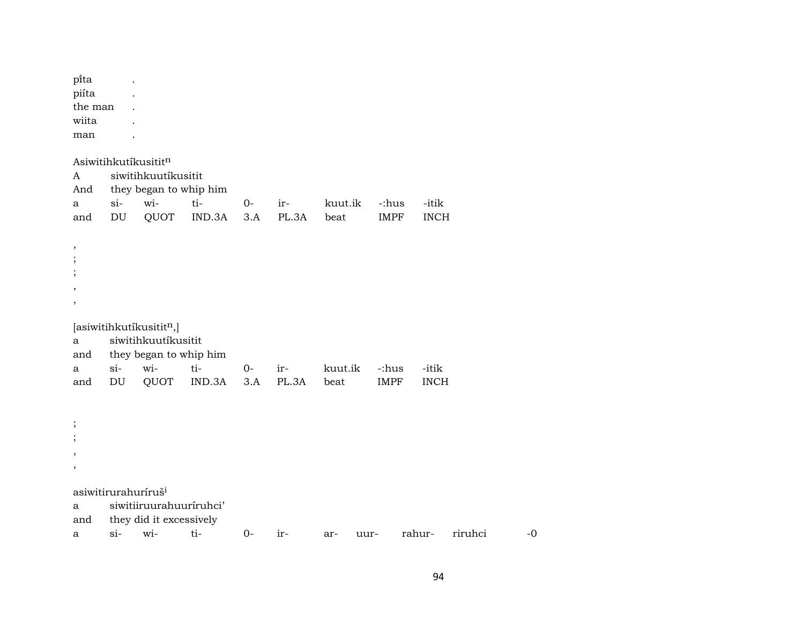pïta . piíta . the man . wiita man . Asiwitihkutíkusititn A siwitihkuutíkusitit And they began to whip him a si- wi- ti- 0- ir- kuut.ik -:hus -itik and DU QUOT IND.3A 3.A PL.3A beat IMPF INCH , ; ; , ,  $[asivitihkutíkusitit<sup>n</sup>,]$ a siwitihkuutíkusitit and they began to whip him a si- wi- ti- 0- ir- kuut.ik -:hus -itik and DU QUOT IND.3A 3.A PL.3A beat IMPF INCH ; ; , , asiwitirurahuríruš<sup>i</sup> a siwitiiruurahuuríruhci' and they did it excessively a si- wi- ti- 0- ir- ar- uur- rahur- riruhci -0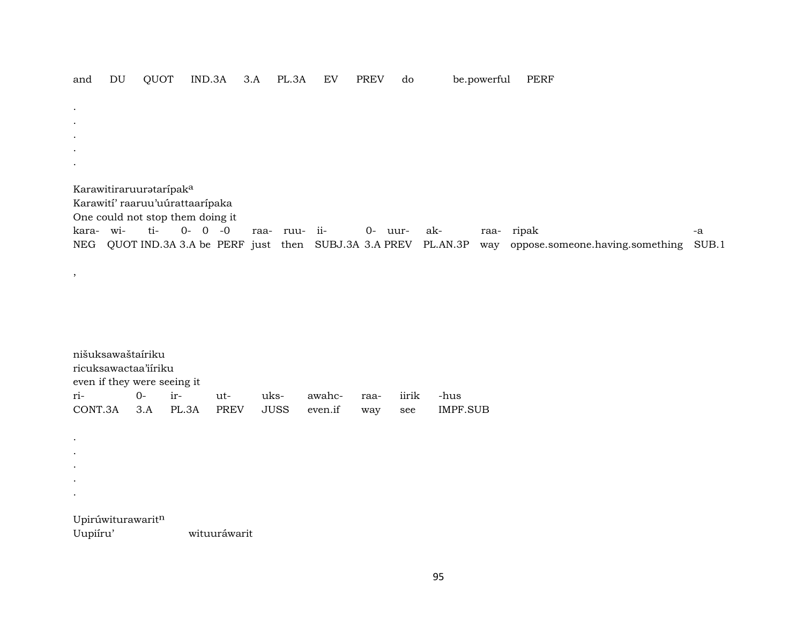| and       | DU | QUOT                             |             | IND.3A | 3.A | PL.3A         | EV                                                          | <b>PREV</b> | do |     | be.powerful | <b>PERF</b>                         |       |
|-----------|----|----------------------------------|-------------|--------|-----|---------------|-------------------------------------------------------------|-------------|----|-----|-------------|-------------------------------------|-------|
|           |    |                                  |             |        |     |               |                                                             |             |    |     |             |                                     |       |
| $\bullet$ |    |                                  |             |        |     |               |                                                             |             |    |     |             |                                     |       |
| $\bullet$ |    |                                  |             |        |     |               |                                                             |             |    |     |             |                                     |       |
| $\bullet$ |    |                                  |             |        |     |               |                                                             |             |    |     |             |                                     |       |
| $\bullet$ |    |                                  |             |        |     |               |                                                             |             |    |     |             |                                     |       |
|           |    |                                  |             |        |     |               |                                                             |             |    |     |             |                                     |       |
|           |    |                                  |             |        |     |               |                                                             |             |    |     |             |                                     |       |
|           |    | Karawitiraruurataripaka          |             |        |     |               |                                                             |             |    |     |             |                                     |       |
|           |    | Karawití' raaruu'uúrattaarípaka  |             |        |     |               |                                                             |             |    |     |             |                                     |       |
|           |    | One could not stop them doing it |             |        |     |               |                                                             |             |    |     |             |                                     |       |
| kara- wi- |    | ti-                              | $0 - 0 - 0$ |        |     | raa- ruu- ii- |                                                             | 0- uur-     |    | ak- |             | raa- ripak                          | $-a$  |
| NEG       |    |                                  |             |        |     |               | QUOT IND.3A 3.A be PERF just then SUBJ.3A 3.A PREV PL.AN.3P |             |    |     |             | way oppose.someone.having.something | SUB.1 |
|           |    |                                  |             |        |     |               |                                                             |             |    |     |             |                                     |       |
| $\cdot$   |    |                                  |             |        |     |               |                                                             |             |    |     |             |                                     |       |

| nišuksawaštairiku           |                      |  |  |  |  |  |  |                                                      |  |  |
|-----------------------------|----------------------|--|--|--|--|--|--|------------------------------------------------------|--|--|
|                             | ricuksawactaa'iiriku |  |  |  |  |  |  |                                                      |  |  |
| even if they were seeing it |                      |  |  |  |  |  |  |                                                      |  |  |
|                             |                      |  |  |  |  |  |  | -hus                                                 |  |  |
|                             |                      |  |  |  |  |  |  | CONT.3A 3.A PL.3A PREV JUSS even.if way see IMPF.SUB |  |  |

Upirúwiturawarit<sup>n</sup><br>Uupiíru'

. . . . .

wituuráwarit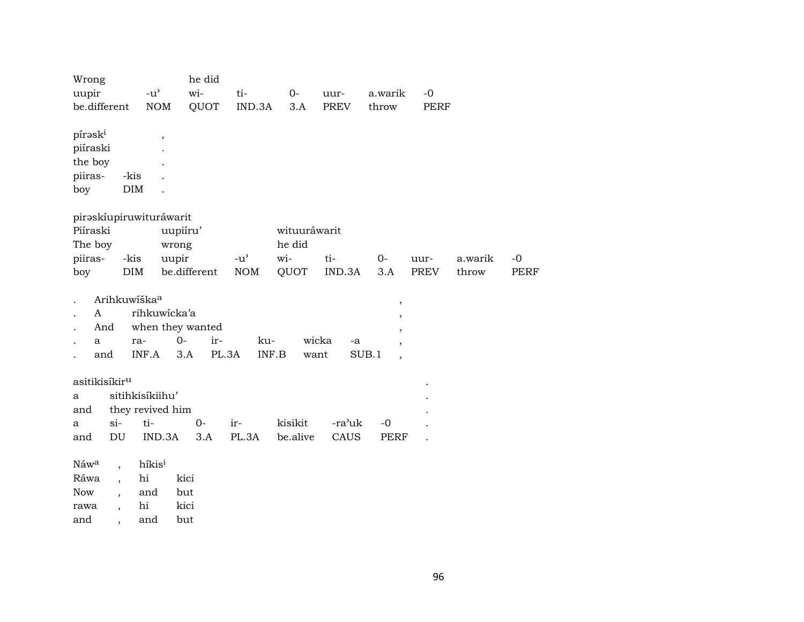| Wrong<br>uupir                                                         | $-u$ <sup><math>\sim</math></sup> | he did<br>wi- | ti-           | $0-$         | uur-        | a.warik                           | $-0$        |         |             |
|------------------------------------------------------------------------|-----------------------------------|---------------|---------------|--------------|-------------|-----------------------------------|-------------|---------|-------------|
| be.different                                                           | <b>NOM</b>                        | QUOT          | IND.3A        | 3.A          | <b>PREV</b> | throw                             | <b>PERF</b> |         |             |
| píraski<br>piíraski<br>the boy<br>piiras-<br>-kis<br>$\rm{DIM}$<br>boy | $^\mathrm{,}$                     |               |               |              |             |                                   |             |         |             |
| piraskíupiruwituráwarit                                                |                                   |               |               |              |             |                                   |             |         |             |
| Piíraski                                                               | uupiíru'                          |               |               | wituuráwarit |             |                                   |             |         |             |
| The boy                                                                | wrong                             |               |               | he did       |             |                                   |             |         |             |
| piiras-<br>-kis                                                        | uupir                             |               | $-u^{\prime}$ | wi-          | ti-         | $O -$                             | uur-        | a.warik | $-0$        |
| <b>DIM</b><br>boy                                                      |                                   | be.different  | <b>NOM</b>    | QUOT         | IND.3A      | 3.A                               | <b>PREV</b> | throw   | <b>PERF</b> |
| Arihkuwíška <sup>a</sup>                                               |                                   |               |               |              |             |                                   |             |         |             |
| A                                                                      | rihkuwicka'a                      |               |               |              |             | $\, ,$                            |             |         |             |
| And                                                                    | when they wanted                  |               |               |              |             | ,                                 |             |         |             |
| a<br>ra-                                                               | $0 -$                             | ir-           | ku-           | wicka        | -a          |                                   |             |         |             |
| and                                                                    | INF.A<br>3.A                      | PL.3A         | INF.B         | want         |             | SUB.1<br>$\overline{\phantom{a}}$ |             |         |             |
|                                                                        |                                   |               |               |              |             |                                   |             |         |             |
| asitikisíkir <sup>u</sup>                                              |                                   |               |               |              |             |                                   |             |         |             |
| a                                                                      | sitihkisíkiihu'                   |               |               |              |             |                                   |             |         |             |
| and<br>$si-$<br>a                                                      | they revived him<br>ti-           | $0-$          | ir-           | kisikit      | -ra'uk      | $-0$                              |             |         |             |
| $\mathop{\rm DU}\nolimits$<br>and                                      | IND.3A                            | 3.A           | PL.3A         | be.alive     | CAUS        | <b>PERF</b>                       |             |         |             |
|                                                                        |                                   |               |               |              |             |                                   |             |         |             |
| Náwa<br>$\overline{\phantom{a}}$                                       | híkisi                            |               |               |              |             |                                   |             |         |             |
| Ráwa<br>$\overline{\phantom{a}}$                                       | hi                                | kici          |               |              |             |                                   |             |         |             |
| <b>Now</b><br>,                                                        | and                               | but           |               |              |             |                                   |             |         |             |
| rawa<br>$\overline{\phantom{a}}$                                       | hi<br>kici                        |               |               |              |             |                                   |             |         |             |
| and                                                                    | and<br>but                        |               |               |              |             |                                   |             |         |             |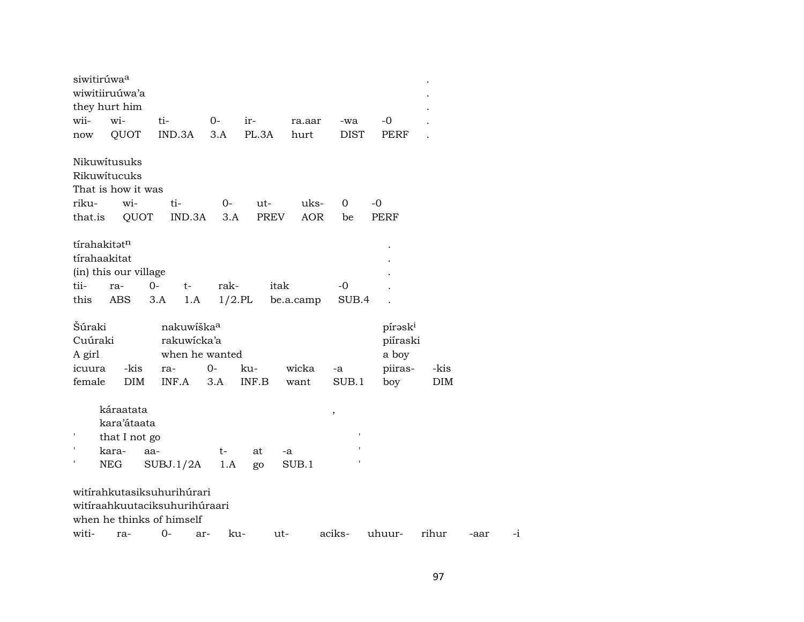| siwitirúwa <sup>a</sup>           | wiwitiiruúwa'a<br>they hurt him                                   |                                                |                                                         |                    |                    |                         |                                 |            |      |         |
|-----------------------------------|-------------------------------------------------------------------|------------------------------------------------|---------------------------------------------------------|--------------------|--------------------|-------------------------|---------------------------------|------------|------|---------|
| wii-                              | wi-                                                               | ti-                                            | $0-$                                                    | ir-                | ra.aar             | -wa                     | $-0$                            |            |      |         |
| now                               | QUOT                                                              | IND.3A                                         | 3.A                                                     | PL.3A              | hurt               | <b>DIST</b>             | PERF                            |            |      |         |
| riku-<br>that.is                  | Nikuwitusuks<br>Rikuwitucuks<br>That is how it was<br>wi-<br>QUOT | ti-                                            | $0-$<br>IND.3A<br>3.A                                   | ut-<br><b>PREV</b> | uks-<br><b>AOR</b> | 0<br>be                 | $-0$<br><b>PERF</b>             |            |      |         |
| tírahakitatn<br>tii-<br>this      | tírahaakitat<br>(in) this our village<br>ra-<br>ABS               | $0-$<br>3.A                                    | rak-<br>$t-$<br>1.A                                     | $1/2$ .PL          | itak<br>be.a.camp  | -0<br>SUB.4             |                                 |            |      |         |
| Šúraki<br>Cuúraki                 |                                                                   |                                                | nakuwiška <sup>a</sup><br>rakuwicka'a<br>when he wanted |                    |                    |                         | pírask <sup>i</sup><br>piíraski |            |      |         |
| A girl<br>icuura                  | -kis                                                              | ra-                                            | $0-$                                                    | ku-                | wicka              | -a                      | a boy<br>piiras-                | -kis       |      |         |
| female                            | <b>DIM</b>                                                        | INF.A                                          | 3.A                                                     | INF.B              | want               | SUB.1                   | boy                             | <b>DIM</b> |      |         |
| $\,$ I<br>$\pmb{\mathsf{I}}$<br>ı | káraatata<br>kara'átaata<br>that I not go<br>kara-<br>NEG         | aa-<br>SUBJ.1/2A<br>witírahkutasiksuhurihúrari | t-<br>1.A                                               | at<br>go           | -a<br>SUB.1        | $^\mathrm{^\mathrm{o}}$ |                                 |            |      |         |
|                                   |                                                                   |                                                | witíraahkuutaciksuhurihúraari                           |                    |                    |                         |                                 |            |      |         |
| witi-                             | ra-                                                               | when he thinks of himself<br>$0-$              | ar-                                                     | ku-                | ut-                | aciks-                  | uhuur-                          | rihur      | -aar | $^{-1}$ |
|                                   |                                                                   |                                                |                                                         |                    |                    |                         |                                 |            |      |         |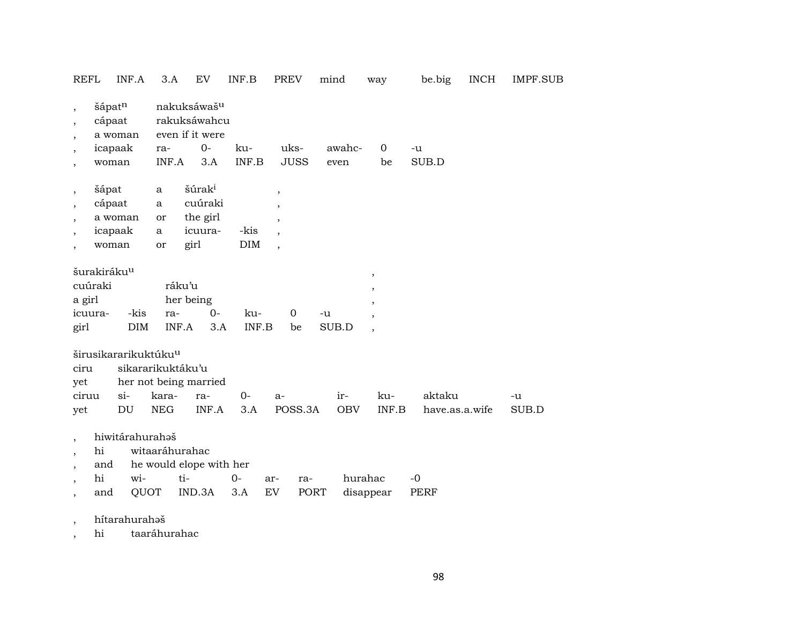|                                                                                   | REFL<br>INF.A                                                                                           | 3.A                                      | EV                                                                        | INF.B        | <b>PREV</b>                                                                                                  | mind              | way                                   | be.big                   | <b>INCH</b> | IMPF.SUB    |
|-----------------------------------------------------------------------------------|---------------------------------------------------------------------------------------------------------|------------------------------------------|---------------------------------------------------------------------------|--------------|--------------------------------------------------------------------------------------------------------------|-------------------|---------------------------------------|--------------------------|-------------|-------------|
| $\cdot$<br>$\overline{\phantom{a}}$<br>$\cdot$<br>$\overline{ }$<br>$^\mathrm{,}$ | šápatn<br>cápaat<br>a woman<br>icapaak<br>woman                                                         | ra-<br>INF.A                             | nakuksáwaš <sup>u</sup><br>rakuksáwahcu<br>even if it were<br>$0-$<br>3.A | ku-<br>INF.B | uks-<br><b>JUSS</b>                                                                                          | awahc-<br>even    | $\mathbf 0$<br>be                     | -u<br>SUB.D              |             |             |
| $\, ,$<br>$\,$<br>$\cdot$<br>$\overline{\phantom{a}}$                             | šápat<br>cápaat<br>a woman<br>icapaak<br>woman                                                          | a<br>$\mathbf{a}$<br>or<br>a<br>or       | šúrak <sup>i</sup><br>cuúraki<br>the girl<br>icuura-<br>girl              | -kis<br>DIM  | $\overline{\phantom{a}}$<br>$\overline{\phantom{a}}$<br>$\overline{\phantom{a}}$<br>$\overline{\phantom{a}}$ |                   |                                       |                          |             |             |
| a girl<br>girl                                                                    | šurakiráku <sup>u</sup><br>cuúraki<br>-kis<br>icuura-<br><b>DIM</b><br>širusikararikuktúku <sup>u</sup> | ra-                                      | ráku'u<br>her being<br>$O -$<br>INF.A<br>3.A                              | ku-<br>INF.B | $\mathbf 0$<br>be                                                                                            | -u<br>SUB.D       | $\,$<br>,<br>$\overline{\phantom{a}}$ |                          |             |             |
| ciru<br>yet<br>ciruu<br>yet                                                       | $\sin$<br>DU                                                                                            | sikararikuktáku'u<br>kara-<br><b>NEG</b> | her not being married<br>ra-<br>INF.A                                     | $0-$<br>3.A  | $a-$<br>POSS.3A                                                                                              | ir-<br><b>OBV</b> | ku-<br>INF.B                          | aktaku<br>have.as.a.wife |             | -u<br>SUB.D |
| $\cdot$                                                                           | hiwitárahurahəš<br>hi<br>and<br>hi<br>wi-<br>and                                                        | witaaráhurahac<br>QUOT                   | he would elope with her<br>ti-<br>IND.3A                                  | $0-$<br>3.A  | ar-<br>ra-<br>EV<br>PORT                                                                                     |                   | hurahac<br>disappear                  | $-0$<br><b>PERF</b>      |             |             |

, hítarahurahəš

, hi taaráhurahac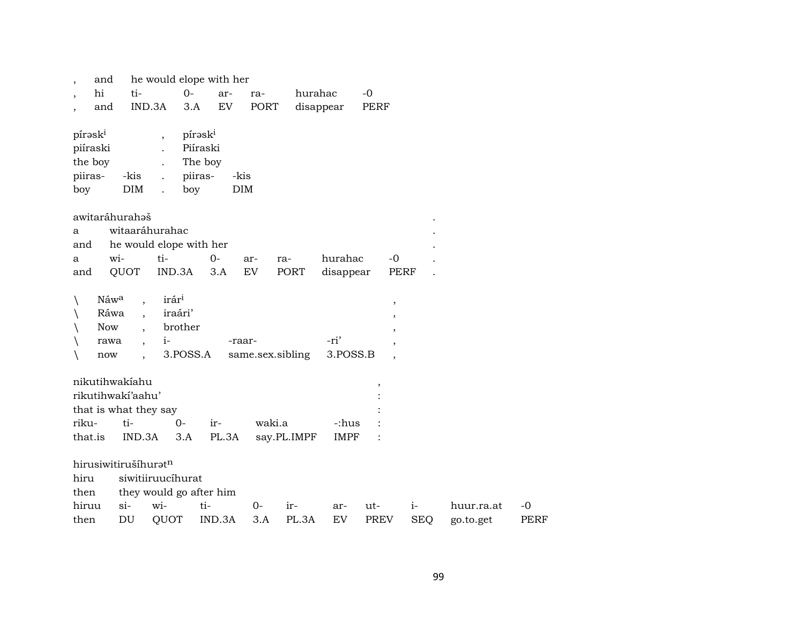| and<br>$\overline{\phantom{a}}$ |                          |                          | he would elope with her |                  |             |             |                          |            |            |             |
|---------------------------------|--------------------------|--------------------------|-------------------------|------------------|-------------|-------------|--------------------------|------------|------------|-------------|
| hi<br>$\overline{\phantom{a}}$  | ti-                      |                          | $0-$<br>ar-             | ra-              | hurahac     |             | $-0$                     |            |            |             |
| and<br>$\cdot$                  |                          | IND.3A                   | EV<br>3.A               | PORT             |             | disappear   | PERF                     |            |            |             |
| pírask <sup>i</sup>             |                          | $\overline{\phantom{a}}$ | pírask <sup>i</sup>     |                  |             |             |                          |            |            |             |
| piíraski                        |                          |                          | Piíraski                |                  |             |             |                          |            |            |             |
| the boy                         |                          |                          | The boy                 |                  |             |             |                          |            |            |             |
| piiras-                         | -kis                     |                          | piiras-                 | -kis             |             |             |                          |            |            |             |
| boy                             | DIM                      |                          | boy                     | DIM              |             |             |                          |            |            |             |
| awitaráhurahaš                  |                          |                          |                         |                  |             |             |                          |            |            |             |
| a                               |                          | witaaráhurahac           |                         |                  |             |             |                          |            |            |             |
| and                             |                          |                          | he would elope with her |                  |             |             |                          |            |            |             |
| a                               | wi-                      | ti-                      | $0 -$                   | ar-              | ra-         | hurahac     | $-0$                     |            |            |             |
| and                             | QUOT                     | IND.3A                   | 3.A                     | EV               | PORT        | disappear   | <b>PERF</b>              |            |            |             |
| Náwa<br>$\backslash$            |                          | irár <sup>i</sup>        |                         |                  |             |             | $\, ,$                   |            |            |             |
| Ráwa                            |                          | iraári'                  |                         |                  |             |             | $\, ,$                   |            |            |             |
| Now                             |                          | brother                  |                         |                  |             |             | $\overline{ }$           |            |            |             |
| rawa                            | $\overline{\phantom{a}}$ | $i-$                     |                         | -raar-           |             | -ri'        | $\cdot$                  |            |            |             |
| now                             |                          |                          | 3.POSS.A                | same.sex.sibling |             | 3.POSS.B    |                          |            |            |             |
|                                 |                          |                          |                         |                  |             |             |                          |            |            |             |
| nikutihwakiahu                  |                          |                          |                         |                  |             |             | $\overline{\phantom{a}}$ |            |            |             |
| rikutihwakí'aahu'               |                          |                          |                         |                  |             |             |                          |            |            |             |
| that is what they say           |                          |                          |                         |                  |             |             |                          |            |            |             |
| riku-                           | ti-                      | $0 -$                    | ir-                     | waki.a           |             | -:hus       |                          |            |            |             |
| that.is                         | IND.3A                   | 3.A                      | PL.3A                   |                  | say.PL.IMPF | <b>IMPF</b> |                          |            |            |             |
| hirusiwitirušíhuratn            |                          |                          |                         |                  |             |             |                          |            |            |             |
| hiru                            |                          | siwitiiruucíhurat        |                         |                  |             |             |                          |            |            |             |
| then                            |                          |                          | they would go after him |                  |             |             |                          |            |            |             |
| hiruu                           | $si-$                    | wi-                      | ti-                     | $0-$             | ir-         | ar-         | ut-                      | $i-$       | huur.ra.at | $-0$        |
| then                            | DU                       | QUOT                     | IND.3A                  | 3.A              | PL.3A       | EV          | <b>PREV</b>              | <b>SEQ</b> | go.to.get  | <b>PERF</b> |
|                                 |                          |                          |                         |                  |             |             |                          |            |            |             |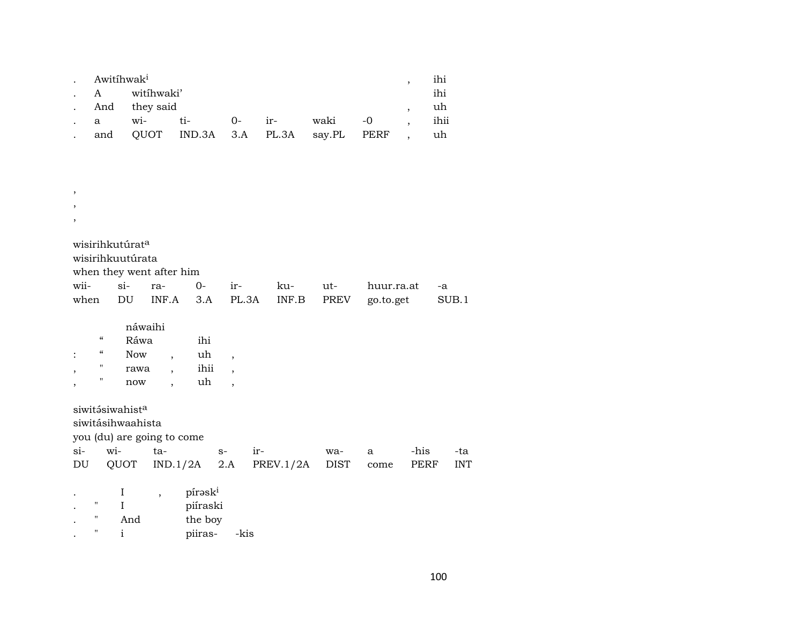| $\sim$ | Awitíhwak <sup>i</sup> |            |                                       |      |                   |         |  |  | ihi  |  |
|--------|------------------------|------------|---------------------------------------|------|-------------------|---------|--|--|------|--|
|        | $\mathbf{A}$           | witíhwaki' |                                       |      |                   |         |  |  |      |  |
|        |                        |            | . And they said                       |      |                   |         |  |  |      |  |
|        | $\mathbf{a}$           | wi-        | $t_i$                                 | $O-$ | $\frac{1}{2}$ ir- | waki -0 |  |  | ihii |  |
|        |                        |            | and QUOT IND.3A 3.A PL.3A say.PL PERF |      |                   |         |  |  | uh   |  |

| $\cdot$                     |        |                          |                            |     |     |            |       |
|-----------------------------|--------|--------------------------|----------------------------|-----|-----|------------|-------|
| wisirihkutúrat <sup>a</sup> |        |                          |                            |     |     |            |       |
| wisirihkuutúrata            |        |                          |                            |     |     |            |       |
|                             |        | when they went after him |                            |     |     |            |       |
| wii-                        | $\sin$ | ra- 0-                   | $ir-$                      | ku- | ut- | huur.ra.at | -a    |
| when                        | DU.    |                          | INF.A 3.A PL.3A INF.B PREV |     |     | go.to.get  | SUB.1 |

|            | náwaihi |     |
|------------|---------|-----|
| $\epsilon$ | Ráwa    | ihi |
| $\epsilon$ | Now     | uh  |

|  | 19 U VV | uu   |  |
|--|---------|------|--|
|  | rawa    | ihii |  |
|  | now     | uh   |  |

siwitásiwahist $^{\rm a}$ 

, ,

siwitásihwaahista

you (du) are going to come

|  |  | DU QUOT IND.1/2A 2.A PREV.1/2A DIST come PERF INT |  |  |
|--|--|---------------------------------------------------|--|--|

|             |     | pírask <sup>i</sup> |      |
|-------------|-----|---------------------|------|
| $^{\prime}$ |     | piíraski            |      |
| $^{\prime}$ | And | the boy             |      |
| $^{\prime}$ |     | piiras-             | -kis |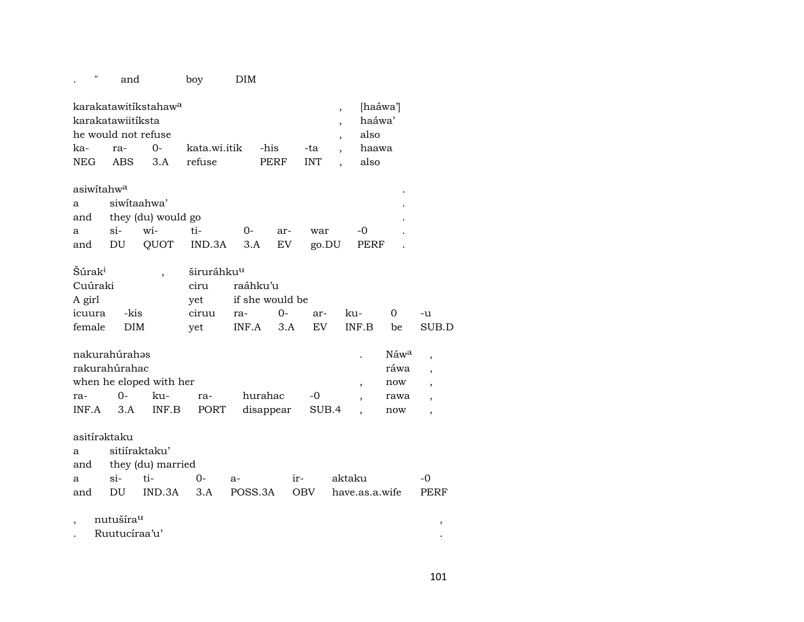# . " and boy DIM

|                     | karakatawitíkstahaw <sup>a</sup> |                 |                                          |  |  |  |  |  |  |
|---------------------|----------------------------------|-----------------|------------------------------------------|--|--|--|--|--|--|
|                     | karakatawiitiksta                |                 |                                          |  |  |  |  |  |  |
| he would not refuse |                                  | also            |                                          |  |  |  |  |  |  |
|                     |                                  |                 | ka- ra- 0- kata.wi.itik -his -ta , haawa |  |  |  |  |  |  |
| NEG ABS 3.A refuse  |                                  | PERF INT . also |                                          |  |  |  |  |  |  |
|                     |                                  |                 |                                          |  |  |  |  |  |  |

| asiwitahw <sup>a</sup> |                        |     |                                      |        |     |     |       |  |  |  |
|------------------------|------------------------|-----|--------------------------------------|--------|-----|-----|-------|--|--|--|
| a siwitaahwa'          |                        |     |                                      |        |     |     |       |  |  |  |
|                        | and they (du) would go |     |                                      |        |     |     |       |  |  |  |
| a a                    | si                     | wi- | $t_{1-}$                             | $()$ - | ar- | war | $-$ O |  |  |  |
|                        |                        |     | and DU QUOT IND.3A 3.A EV go.DU PERF |        |     |     |       |  |  |  |

| <i>Súrak<sup>i</sup></i> |      | širuráhku <sup>u</sup> |                     |  |                        |     |       |
|--------------------------|------|------------------------|---------------------|--|------------------------|-----|-------|
| Cuúraki                  |      | ciru                   | raáhku'u            |  |                        |     |       |
| A girl                   |      |                        | yet if she would be |  |                        |     |       |
| icuura                   | -kis |                        |                     |  | ciruu ra- 0- ar- ku- 0 |     | $-11$ |
| female DIM               |      | vet                    |                     |  | INF.A 3.A EV INF.B     | be. | SUB.D |

| nakurahúrahəs |        |                         |     |                 |      | Náw <sup>a</sup> |  |
|---------------|--------|-------------------------|-----|-----------------|------|------------------|--|
| rakurahúrahac |        | ráwa                    |     |                 |      |                  |  |
|               |        | when he eloped with her |     |                 |      | now              |  |
| ra-           | $()$ - | ku-                     | ra- | hurahac         | $-0$ | rawa             |  |
| INF.A         |        | 3.A INF.B PORT          |     | disappear SUB.4 |      | now              |  |

### asitírəktaku

a sitiíraktaku'

and they (du) married

|  |  |  | and DU IND.3A 3.A POSS.3A OBV have.as.a.wife PERF |  |
|--|--|--|---------------------------------------------------|--|

### $,$  nutušíra $^{\mathrm{u}}$  ,  $^{\mathrm{u}}$ . Ruutucíraa'u' .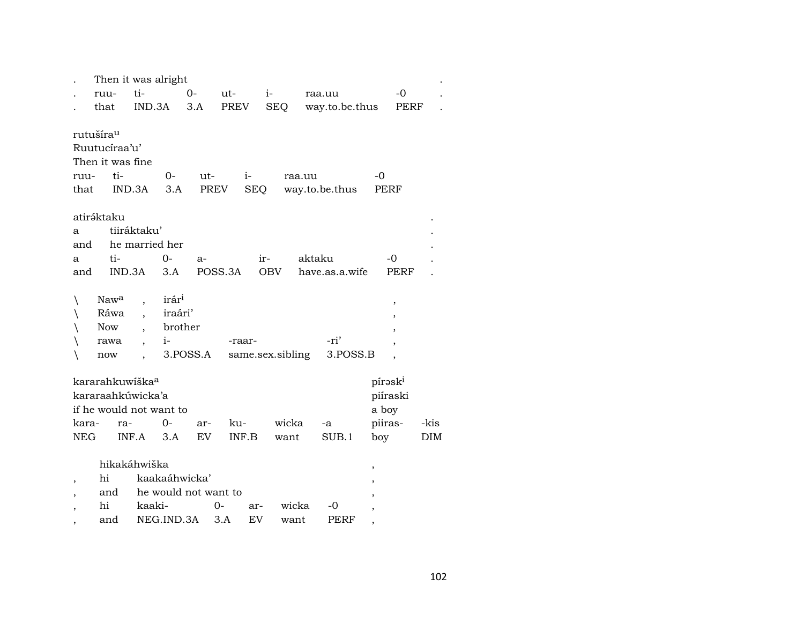|                          | Then it was alright         |                          |                   |                      |         |              |                  |        |                |   |          |      |
|--------------------------|-----------------------------|--------------------------|-------------------|----------------------|---------|--------------|------------------|--------|----------------|---|----------|------|
|                          | ruu-                        | ti-                      |                   | $O -$                | ut-     |              | $i-$             |        | raa.uu         |   | $-0$     |      |
|                          | that                        | IND.3A                   |                   | 3.A                  | PREV    |              | <b>SEQ</b>       |        | way.to.be.thus |   | PERF     |      |
|                          |                             |                          |                   |                      |         |              |                  |        |                |   |          |      |
|                          | rutušíra <sup>u</sup>       |                          |                   |                      |         |              |                  |        |                |   |          |      |
|                          | Ruutucíraa'u'               |                          |                   |                      |         |              |                  |        |                |   |          |      |
|                          | Then it was fine            |                          |                   |                      |         |              |                  |        |                |   |          |      |
| ruu-                     | ti-                         |                          | $0-$              | $ut-$                |         | $\mathbf{i}$ |                  | raa.uu |                |   | -0       |      |
| that                     |                             | IND.3A                   | 3.A               |                      | PREV    | SEQ          |                  |        | way.to.be.thus |   | PERF     |      |
|                          |                             |                          |                   |                      |         |              |                  |        |                |   |          |      |
|                          | atiráktaku                  |                          |                   |                      |         |              |                  |        |                |   |          |      |
| a                        |                             | tiiráktaku'              |                   |                      |         |              |                  |        |                |   |          |      |
| and                      |                             | he married her           |                   |                      |         |              |                  |        |                |   |          |      |
| a                        | ti-                         |                          | $0-$              | $a-$                 |         | ir-          |                  | aktaku |                |   | -0       |      |
| and                      | IND.3A                      |                          | 3.A               |                      | POSS.3A |              | <b>OBV</b>       |        | have.as.a.wife |   | PERF     |      |
|                          |                             |                          |                   |                      |         |              |                  |        |                |   |          |      |
| ∖                        | Nawa                        | $\ddot{\phantom{0}}$     | irár <sup>i</sup> |                      |         |              |                  |        |                |   | ,        |      |
| ∖                        | Ráwa                        | $\overline{\phantom{a}}$ | iraári'           |                      |         |              |                  |        |                |   |          |      |
|                          | Now                         | $\overline{\phantom{a}}$ | brother           |                      |         |              |                  |        |                |   |          |      |
|                          | rawa                        | $\overline{\phantom{a}}$ | $i-$              |                      |         | -raar-       |                  |        | -ri'           |   |          |      |
|                          | now                         | $\ddot{\phantom{0}}$     |                   | 3.POSS.A             |         |              | same.sex.sibling |        | 3.POSS.B       |   |          |      |
|                          |                             |                          |                   |                      |         |              |                  |        |                |   |          |      |
|                          | kararahkuwiška <sup>a</sup> |                          |                   |                      |         |              |                  |        |                |   | pírəski  |      |
|                          | kararaahkúwicka'a           |                          |                   |                      |         |              |                  |        |                |   | piíraski |      |
|                          | if he would not want to     |                          |                   |                      |         |              |                  |        |                |   | a boy    |      |
| kara-                    | ra-                         |                          | 0-                | ar-                  |         | ku-          | wicka            |        | $-a$           |   | piiras-  | -kis |
| <b>NEG</b>               |                             | INF.A                    | 3.A               | EV                   |         | INF.B        | want             |        | SUB.1          |   | boy      | DIM  |
|                          |                             |                          |                   |                      |         |              |                  |        |                |   |          |      |
|                          | hikakáhwiška                |                          |                   |                      |         |              |                  |        |                | , |          |      |
| $\overline{\phantom{a}}$ | hi                          |                          | kaakaáhwicka'     |                      |         |              |                  |        |                |   |          |      |
|                          | and                         |                          |                   | he would not want to |         |              |                  |        |                |   |          |      |
|                          | hi                          | kaaki-                   |                   |                      | $0-$    | ar-          |                  | wicka  | -0             |   |          |      |
|                          | and                         |                          | NEG.IND.3A        |                      | 3.A     | EV           | want             |        | PERF           |   |          |      |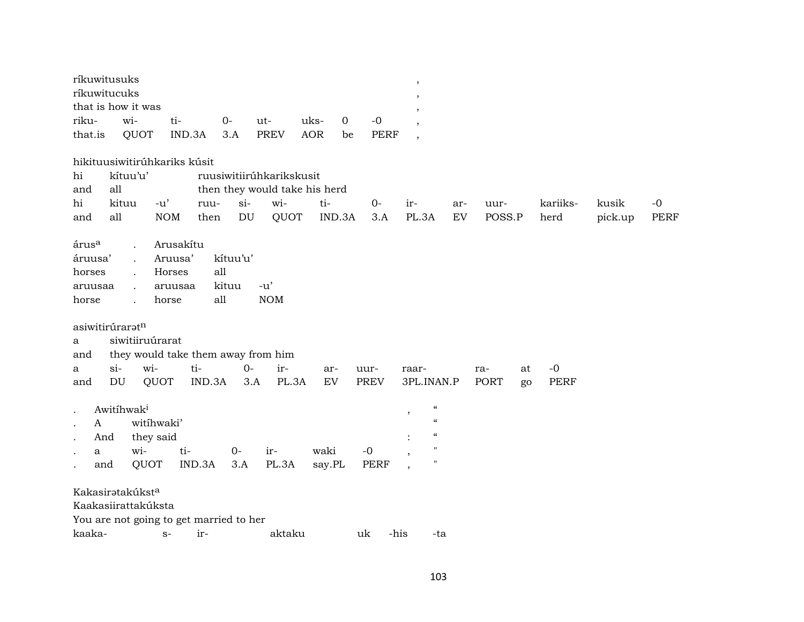| ríkuwitusuks      |                                         |            |          |        |                               |                     |             |         | $^\mathrm{,}$            |     |        |    |             |         |             |
|-------------------|-----------------------------------------|------------|----------|--------|-------------------------------|---------------------|-------------|---------|--------------------------|-----|--------|----|-------------|---------|-------------|
| ríkuwitucuks      |                                         |            |          |        |                               |                     |             |         | $\cdot$                  |     |        |    |             |         |             |
|                   | that is how it was                      |            |          |        |                               |                     |             |         |                          |     |        |    |             |         |             |
| riku-             | wi-                                     | ti-        | $0-$     | ut-    |                               | uks-<br>$\mathbf 0$ | $-0$        |         | $\cdot$                  |     |        |    |             |         |             |
| that.is           | QUOT                                    | IND.3A     | 3.A      |        | <b>PREV</b>                   | <b>AOR</b><br>be    | <b>PERF</b> |         | $\cdot$                  |     |        |    |             |         |             |
|                   | hikituusiwitirúhkariks kúsit            |            |          |        |                               |                     |             |         |                          |     |        |    |             |         |             |
| hi                | kítuu'u'                                |            |          |        | ruusiwitiirúhkarikskusit      |                     |             |         |                          |     |        |    |             |         |             |
| and               | all                                     |            |          |        | then they would take his herd |                     |             |         |                          |     |        |    |             |         |             |
| hi                | kituu                                   | $-u'$      | ruu-     | $\sin$ | wi-                           | ti-                 | $0 -$       | ir-     |                          | ar- | uur-   |    | kariiks-    | kusik   | $-0$        |
| and               | all                                     | <b>NOM</b> | then     | DU     | QUOT                          | IND.3A              | 3.A         |         | PL.3A                    | EV  | POSS.P |    | herd        | pick.up | <b>PERF</b> |
| árus <sup>a</sup> |                                         | Arusakítu  |          |        |                               |                     |             |         |                          |     |        |    |             |         |             |
| áruusa'           | $\ddot{\phantom{a}}$                    | Aruusa'    | kítuu'u' |        |                               |                     |             |         |                          |     |        |    |             |         |             |
| horses            |                                         | Horses     | all      |        |                               |                     |             |         |                          |     |        |    |             |         |             |
| aruusaa           |                                         | aruusaa    | kituu    | $-u'$  |                               |                     |             |         |                          |     |        |    |             |         |             |
| horse             | $\cdot$                                 | horse      | all      |        | <b>NOM</b>                    |                     |             |         |                          |     |        |    |             |         |             |
|                   |                                         |            |          |        |                               |                     |             |         |                          |     |        |    |             |         |             |
| asiwitirúraratn   |                                         |            |          |        |                               |                     |             |         |                          |     |        |    |             |         |             |
| a                 | siwitiiruúrarat                         |            |          |        |                               |                     |             |         |                          |     |        |    |             |         |             |
| and               | they would take them away from him      |            |          |        |                               |                     |             |         |                          |     |        |    |             |         |             |
| a                 | wi-<br>$\sin$                           | ti-        |          | $0-$   | ir-                           | ar-                 | uur-        | raar-   |                          |     | ra-    | at | $-0$        |         |             |
| and               | $\mathop{\rm DU}\nolimits$<br>QUOT      |            | IND.3A   | 3.A    | PL.3A                         | ${\rm EV}$          | <b>PREV</b> |         | 3PL.INAN.P               |     | PORT   | go | <b>PERF</b> |         |             |
|                   |                                         |            |          |        |                               |                     |             |         |                          |     |        |    |             |         |             |
|                   | Awitihwak <sup>i</sup>                  |            |          |        |                               |                     |             | $\,$    | $\mathcal{C}\mathcal{C}$ |     |        |    |             |         |             |
| A<br>$\bullet$    | witihwaki'                              |            |          |        |                               |                     |             |         | $\mathcal{C}$            |     |        |    |             |         |             |
| And               | they said                               |            |          |        |                               |                     |             |         | $\pmb{\zeta}\pmb{\zeta}$ |     |        |    |             |         |             |
| a                 | wi-                                     | ti-        |          | $O -$  | ir-                           | waki                | $-0$        | $\cdot$ | п                        |     |        |    |             |         |             |
| and               | QUOT                                    | IND.3A     |          | 3.A    | PL.3A                         | say.PL              | <b>PERF</b> |         | 11                       |     |        |    |             |         |             |
|                   | Kakasiratakúkst <sup>a</sup>            |            |          |        |                               |                     |             |         |                          |     |        |    |             |         |             |
|                   | Kaakasiirattakúksta                     |            |          |        |                               |                     |             |         |                          |     |        |    |             |         |             |
|                   | You are not going to get married to her |            |          |        |                               |                     |             |         |                          |     |        |    |             |         |             |
| kaaka-            |                                         | $S-$       | ir-      |        | aktaku                        |                     | uk          | -his    | -ta                      |     |        |    |             |         |             |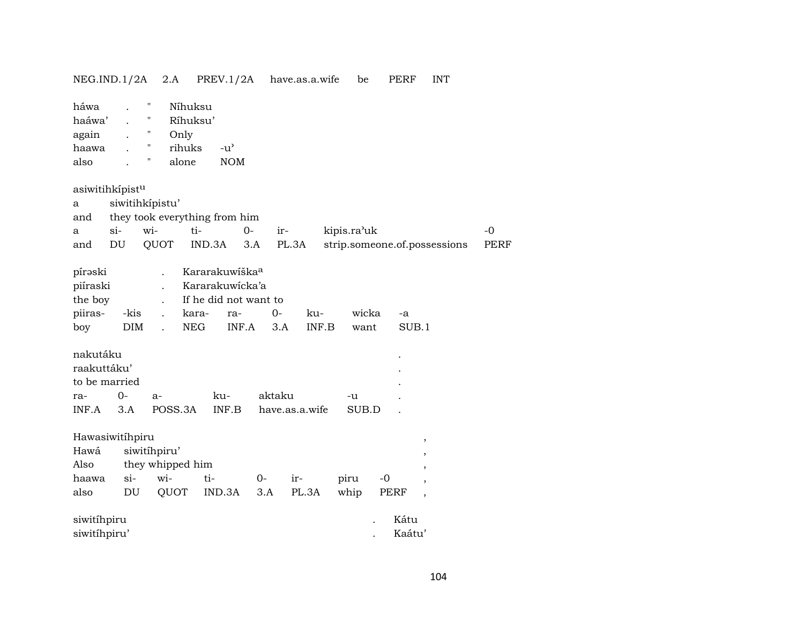| NEG.ID.1/2A                                      |                            | 2.A                                                                                                     | PREV.1/2A                                                                                                     |              | have.as.a.wife | be            | PERF                         | <b>INT</b>               |             |
|--------------------------------------------------|----------------------------|---------------------------------------------------------------------------------------------------------|---------------------------------------------------------------------------------------------------------------|--------------|----------------|---------------|------------------------------|--------------------------|-------------|
| háwa<br>haáwa'<br>again<br>haawa<br>also         |                            | π<br>Níhuksu<br>н<br>Ríhuksu'<br>П<br>Only<br>rihuks<br>Ħ<br>alone                                      | $-u^{\prime}$<br>$\rm{NOM}$                                                                                   |              |                |               |                              |                          |             |
| asiwitihkípistu                                  |                            |                                                                                                         |                                                                                                               |              |                |               |                              |                          |             |
| a                                                | siwitihkípistu'            |                                                                                                         |                                                                                                               |              |                |               |                              |                          |             |
| and                                              |                            |                                                                                                         | they took everything from him                                                                                 |              |                |               |                              |                          |             |
| a                                                | $si-$                      | wi-                                                                                                     | ti-<br>$O -$                                                                                                  |              | ir-            | kipis.ra'uk   |                              |                          | $-0$        |
| and                                              | $\mathop{\rm DU}\nolimits$ | QUOT                                                                                                    | IND.3A                                                                                                        | 3.A          | PL.3A          |               | strip.someone.of.possessions |                          | <b>PERF</b> |
| pírəski<br>piíraski<br>the boy<br>piiras-<br>boy | -kis<br>$\rm{DIM}$         | $\ddot{\phantom{a}}$<br>$\ddot{\phantom{0}}$<br>$\cdot$<br>$\ddot{\phantom{a}}$<br>$\ddot{\phantom{a}}$ | Kararakuwiška <sup>a</sup><br>Kararakuwicka'a<br>If he did not want to<br>kara-<br>ra-<br>INF.A<br><b>NEG</b> | $O -$<br>3.A | ku-<br>INF.B   | wicka<br>want | -a<br>SUB.1                  |                          |             |
| nakutáku                                         |                            |                                                                                                         |                                                                                                               |              |                |               |                              |                          |             |
| raakuttáku'                                      |                            |                                                                                                         |                                                                                                               |              |                |               |                              |                          |             |
| to be married                                    |                            |                                                                                                         |                                                                                                               |              |                |               |                              |                          |             |
| ra-                                              | $0-$                       | $a-$                                                                                                    | ku-<br>INF.B                                                                                                  | aktaku       |                | -u<br>SUB.D   |                              |                          |             |
| INF.A                                            | 3.A                        | POSS.3A                                                                                                 |                                                                                                               |              | have.as.a.wife |               |                              |                          |             |
| Hawasiwitíhpiru                                  |                            |                                                                                                         |                                                                                                               |              |                |               |                              | $^\mathrm{,}$            |             |
| Hawá                                             |                            | siwitíhpiru'                                                                                            |                                                                                                               |              |                |               |                              |                          |             |
| Also                                             |                            | they whipped him                                                                                        |                                                                                                               |              |                |               |                              |                          |             |
| haawa                                            | $si-$                      | wi-                                                                                                     | ti-                                                                                                           | $0-$         | ir-            | piru          | $-0$                         |                          |             |
| also                                             | $\mathop{\rm DU}\nolimits$ | QUOT                                                                                                    | IND.3A                                                                                                        | 3.A          | PL.3A          | whip          | <b>PERF</b>                  | $\overline{\phantom{a}}$ |             |
| siwitíhpiru                                      |                            |                                                                                                         |                                                                                                               |              |                |               | Kátu                         |                          |             |
| siwitíhpiru'                                     |                            |                                                                                                         |                                                                                                               |              |                |               | Kaátu'                       |                          |             |
|                                                  |                            |                                                                                                         |                                                                                                               |              |                |               |                              |                          |             |

104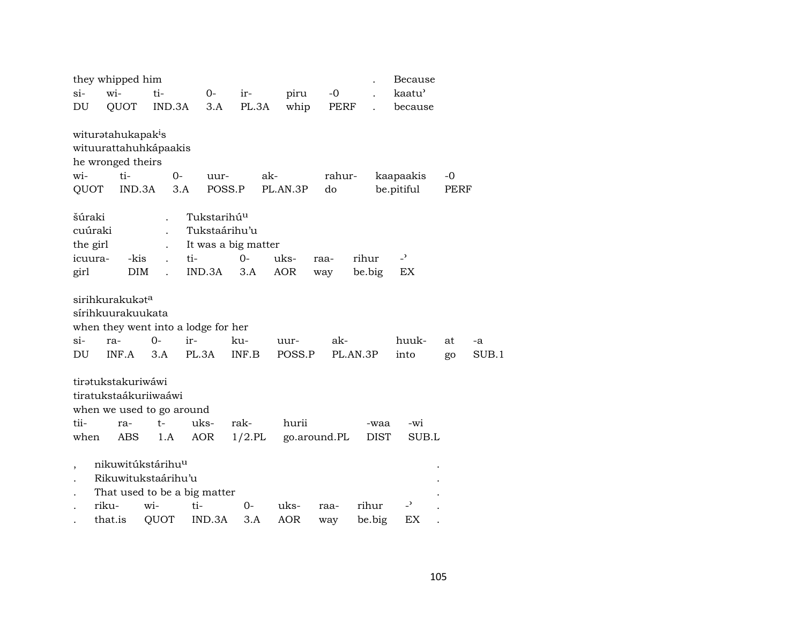|                          | they whipped him                                                                       |                     |                                                                 |                   |            |              |                     | Because           |      |       |
|--------------------------|----------------------------------------------------------------------------------------|---------------------|-----------------------------------------------------------------|-------------------|------------|--------------|---------------------|-------------------|------|-------|
| $si-$                    | wi-                                                                                    | ti-                 | $0-$                                                            | ir-               | piru       | $-0$         |                     | kaatu <sup></sup> |      |       |
| DU                       | QUOT                                                                                   | IND.3A              | 3.A                                                             | PL.3A             | whip       | PERF         |                     | because           |      |       |
|                          | wituratahukapak <sup>i</sup> s<br>wituurattahuhkápaakis<br>he wronged theirs           |                     |                                                                 |                   |            |              |                     |                   |      |       |
| wi-                      | ti-                                                                                    |                     | $0-$<br>uur-                                                    |                   | ak-        | rahur-       |                     | kaapaakis         | $-0$ |       |
| QUOT                     |                                                                                        | IND.3A              | 3.A                                                             | POSS.P            | PL.AN.3P   | do           |                     | be.pitiful        | PERF |       |
| šúraki<br>the girl       | cuúraki                                                                                |                     | Tukstarihú <sup>u</sup><br>Tukstaárihu'u<br>It was a big matter |                   |            |              |                     |                   |      |       |
| icuura-                  |                                                                                        | -kis                | ti-                                                             | $0-$              | uks-       | raa-         | rihur               | $\overline{a}$    |      |       |
| girl                     |                                                                                        | <b>DIM</b>          | IND.3A                                                          | 3.A               | <b>AOR</b> | way          | be.big              | EX                |      |       |
| $\sin$                   | sirihkurakukata<br>sírihkuurakuukata<br>ra-                                            | $0-$                | when they went into a lodge for her<br>ir-                      | ku-               | uur-       | ak-          |                     | huuk-             | at   | -a    |
| DU                       | INF.A                                                                                  | 3.A                 | PL.3A                                                           | INF.B             | POSS.P     |              | PL.AN.3P            | into              | go   | SUB.1 |
| tii-<br>when             | tiratukstakuriwáwi<br>tiratukstaákuriiwaáwi<br>when we used to go around<br>ra-<br>ABS | $t-$<br>1.A         | uks-<br><b>AOR</b>                                              | rak-<br>$1/2$ .PL | hurii      | go.around.PL | -waa<br><b>DIST</b> | -wi<br>SUB.L      |      |       |
| $\overline{\phantom{a}}$ | nikuwitúkstárihu <sup>u</sup>                                                          | Rikuwitukstaárihu'u | That used to be a big matter                                    |                   |            |              |                     |                   |      |       |
|                          | riku-                                                                                  | wi-                 | ti-                                                             | $0-$              | uks-       | raa-         | rihur               | $\overline{a}$    |      |       |
|                          | that.is                                                                                | QUOT                | IND.3A                                                          | 3.A               | <b>AOR</b> | way          | be.big              | ЕX                |      |       |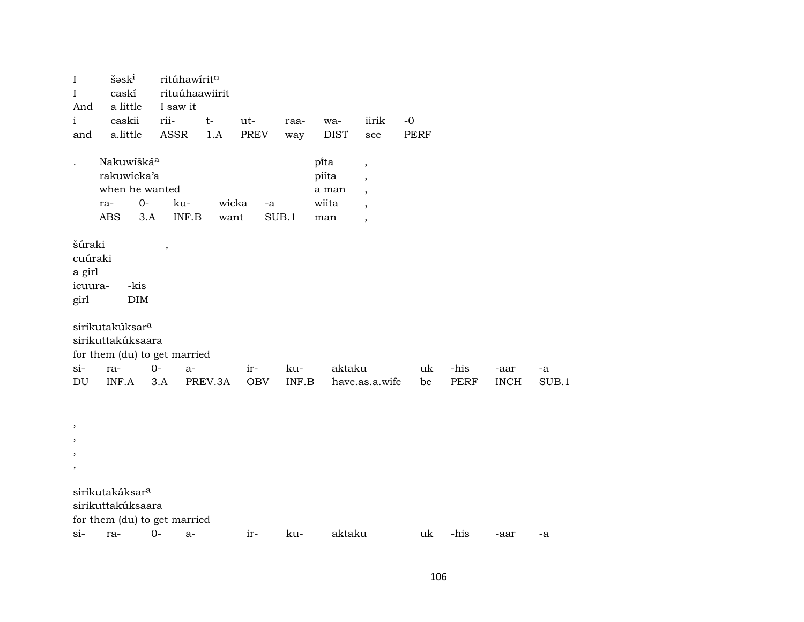| I<br>I                                         | $\check{\mathrm{s}}$ əs $\mathrm{k}^{\mathrm{i}}$<br>caskí                   |              | ritúhawíritn<br>rituúhaawiirit   |               |             |                                          |                                                                                                              |      |      |             |       |  |
|------------------------------------------------|------------------------------------------------------------------------------|--------------|----------------------------------|---------------|-------------|------------------------------------------|--------------------------------------------------------------------------------------------------------------|------|------|-------------|-------|--|
| And<br>i                                       | a little<br>caskii                                                           | rii-         | I saw it<br>$t-$                 | ut-           | raa-        | wa-                                      | iirik                                                                                                        | $-0$ |      |             |       |  |
| and                                            | a.little                                                                     | ASSR         | 1.A                              | PREV          | way         | <b>DIST</b>                              | see                                                                                                          | PERF |      |             |       |  |
|                                                | Nakuwíšká <sup>a</sup><br>rakuwicka'a<br>when he wanted<br>ra-<br><b>ABS</b> | $O -$<br>3.A | ku-<br>$\textsf{INF}.\textsf{B}$ | wicka<br>want | -a<br>SUB.1 | pi̇̃ta<br>piíta<br>a man<br>wiita<br>man | $\overline{\phantom{a}}$<br>$\overline{\phantom{a}}$<br>$\overline{\phantom{a}}$<br>$\overline{\phantom{a}}$ |      |      |             |       |  |
| šúraki<br>cuúraki<br>a girl<br>icuura-<br>girl | -kis<br>$\rm{DIM}$                                                           |              |                                  |               |             |                                          |                                                                                                              |      |      |             |       |  |
|                                                | sirikutakúksar <sup>a</sup><br>sirikuttakúksaara                             |              |                                  |               |             |                                          |                                                                                                              |      |      |             |       |  |
| si-                                            | for them (du) to get married<br>ra-                                          | $0-$         | $a-$                             | ir-           | ku-         | aktaku                                   |                                                                                                              | uk   | -his | -aar        | -a    |  |
| DU                                             | INF.A                                                                        | 3.A          | PREV.3A                          | OBV           | INF.B       |                                          | have.as.a.wife                                                                                               | be   | PERF | <b>INCH</b> | SUB.1 |  |
| ,<br>,                                         |                                                                              |              |                                  |               |             |                                          |                                                                                                              |      |      |             |       |  |
| ,<br>,                                         |                                                                              |              |                                  |               |             |                                          |                                                                                                              |      |      |             |       |  |
|                                                | sirikutakáksar <sup>a</sup><br>sirikuttakúksaara                             |              |                                  |               |             |                                          |                                                                                                              |      |      |             |       |  |
|                                                | for them (du) to get married                                                 |              |                                  |               |             |                                          |                                                                                                              |      |      |             |       |  |
| si-                                            | ra-                                                                          | $O -$        | a-                               | ir-           | ku-         | aktaku                                   |                                                                                                              | uk   | -his | -aar        | -a    |  |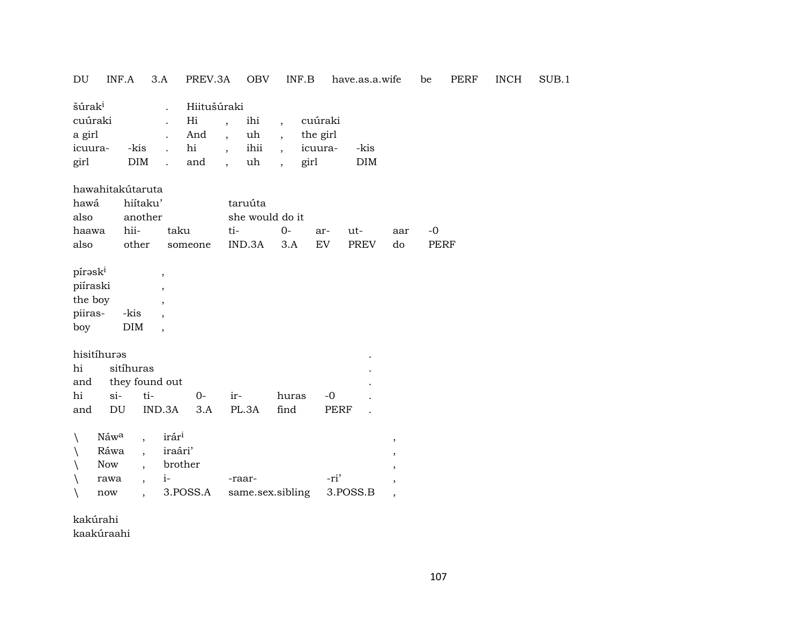| DU<br>INF.A<br>3.A                                                                                                                                                                                                                  | <b>OBV</b><br>PREV.3A                                                                                                             | INF.B                                                                                                                                          | have.as.a.wife                                                                                                                 | <b>PERF</b><br>be   | <b>INCH</b> | SUB.1 |
|-------------------------------------------------------------------------------------------------------------------------------------------------------------------------------------------------------------------------------------|-----------------------------------------------------------------------------------------------------------------------------------|------------------------------------------------------------------------------------------------------------------------------------------------|--------------------------------------------------------------------------------------------------------------------------------|---------------------|-------------|-------|
| šúrak <sup>i</sup><br>$\ddot{\phantom{a}}$<br>cuúraki<br>$\ddot{\phantom{a}}$<br>a girl<br>-kis<br>icuura-<br>DIM<br>girl<br>$\ddot{\phantom{a}}$                                                                                   | Hiitušúraki<br>Hi<br>ihi<br>And<br>uh<br>$\overline{\phantom{a}}$<br>$\hbox{hi}$<br>ihii<br>and<br>uh<br>$\overline{\phantom{a}}$ | cuúraki<br>$\overline{\phantom{a}}$<br>the girl<br>$\ddot{\phantom{0}}$<br>icuura-<br>$\overline{\phantom{a}}$<br>girl<br>$\ddot{\phantom{0}}$ | -kis<br>$\rm{DIM}$                                                                                                             |                     |             |       |
| hawahitakútaruta<br>hawá<br>hiítaku'<br>another<br>also<br>hii-<br>taku<br>haawa<br>other<br>also                                                                                                                                   | taruúta<br>she would do it<br>ti-<br>IND.3A<br>someone                                                                            | $0-$<br>ar-<br>EV<br>3.A                                                                                                                       | ut-<br>aar<br><b>PREV</b><br>do                                                                                                | $-0$<br><b>PERF</b> |             |       |
| pírask <sup>i</sup><br>$\, ,$<br>piíraski<br>$\overline{\phantom{a}}$<br>the boy<br>$\overline{\phantom{a}}$<br>piiras-<br>-kis<br>$\rm{DIM}$<br>boy<br>$\overline{\phantom{a}}$                                                    |                                                                                                                                   |                                                                                                                                                |                                                                                                                                |                     |             |       |
| hisitíhuras<br>hi<br>sitíhuras<br>they found out<br>and<br>hi<br>$si-$<br>ti-<br>DU<br>IND.3A<br>and                                                                                                                                | $0-$<br>ir-<br>PL.3A<br>3.A                                                                                                       | $-0$<br>huras<br>find                                                                                                                          | <b>PERF</b>                                                                                                                    |                     |             |       |
| irár <sup>i</sup><br>Náwa<br>∖<br>$\overline{ }$<br>iraári'<br>Ráwa<br>$\overline{ }$ ,<br>brother<br><b>Now</b><br>$\ddot{\phantom{0}}$<br>$i-$<br>rawa<br>$\overline{\phantom{a}}$<br>3.POSS.A<br>now<br>$\overline{\phantom{a}}$ | -raar-                                                                                                                            | same.sex.sibling                                                                                                                               | $\,$<br>$\overline{\phantom{a}}$<br>$\overline{ }$<br>-ri'<br>$\overline{\phantom{a}}$<br>3.POSS.B<br>$\overline{\phantom{a}}$ |                     |             |       |

kakúrahi

kaakúraahi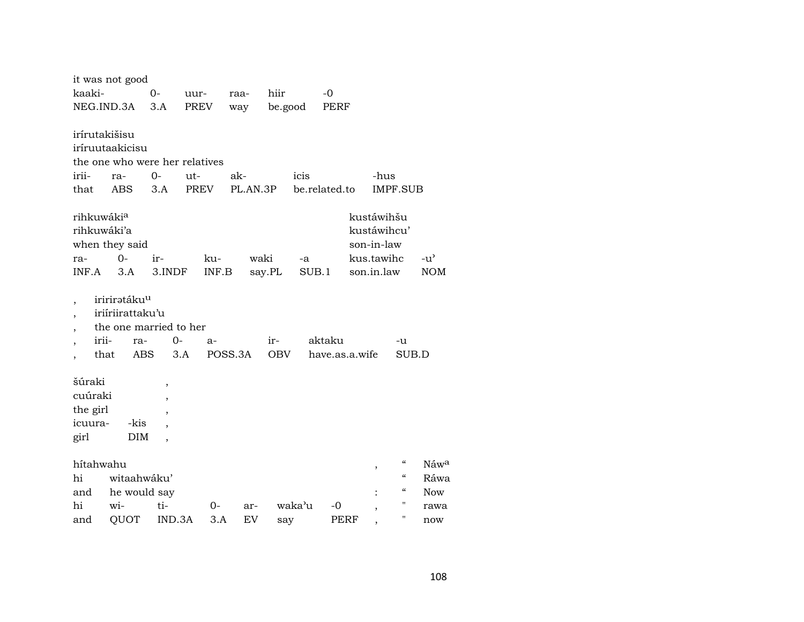|                                                     | it was not good                                                                      |                                                      |                                |          |                   |               |                          |                                                                     |                          |                             |
|-----------------------------------------------------|--------------------------------------------------------------------------------------|------------------------------------------------------|--------------------------------|----------|-------------------|---------------|--------------------------|---------------------------------------------------------------------|--------------------------|-----------------------------|
| kaaki-                                              |                                                                                      | 0-                                                   | uur-                           | raa-     | hiir              |               | $-0$                     |                                                                     |                          |                             |
| NEG.IND.3A                                          |                                                                                      | 3.A                                                  | PREV                           | way      | be.good           |               | PERF                     |                                                                     |                          |                             |
| irírutakišisu                                       | iríruutaakicisu                                                                      |                                                      | the one who were her relatives |          |                   |               |                          |                                                                     |                          |                             |
| irii-                                               | ra-                                                                                  | 0-                                                   | $ut-$                          | ak-      |                   | icis          |                          | -hus                                                                |                          |                             |
| that                                                | <b>ABS</b>                                                                           | 3.A                                                  | <b>PREV</b>                    | PL.AN.3P |                   | be.related.to |                          |                                                                     | <b>IMPF.SUB</b>          |                             |
| rihkuwákia<br>rihkuwáki'a<br>ra-<br>INF.A           | when they said<br>$0-$<br>3.A                                                        | ir-<br>3.INDF                                        | ku-<br>INF.B                   | waki     | say.PL            | -a<br>SUB.1   |                          | kustáwihšu<br>kustáwihcu'<br>son-in-law<br>kus.tawihc<br>son.in.law |                          | $-u^{\prime}$<br><b>NOM</b> |
| $\overline{\phantom{a}}$<br>٠<br>,<br>irii-<br>that | iririrətáku <sup>u</sup><br>iriiriirattaku'u<br>the one married to her<br>ra-<br>ABS | 0-                                                   | a-<br>3.A                      | POSS.3A  | ir-<br><b>OBV</b> |               | aktaku<br>have.as.a.wife |                                                                     | -u<br>SUB.D              |                             |
| šúraki<br>cuúraki<br>the girl<br>icuura-<br>girl    | -kis<br>DIM                                                                          | $\overline{ }$<br>,<br>,<br>$\overline{\phantom{a}}$ |                                |          |                   |               |                          |                                                                     |                          |                             |
| hítahwahu                                           |                                                                                      |                                                      |                                |          |                   |               |                          |                                                                     | $\mathcal{C}\mathcal{C}$ | Náwa                        |
| hi                                                  | witaahwáku'                                                                          |                                                      |                                |          |                   |               |                          | ,                                                                   | $\mathcal{C}\mathcal{C}$ | Ráwa                        |
| and                                                 | he would say                                                                         |                                                      |                                |          |                   |               |                          |                                                                     | $\mathcal{C}\mathcal{C}$ | <b>Now</b>                  |
| hi                                                  | wi-                                                                                  | ti-                                                  | 0-                             | ar-      |                   | waka'u        | -0                       | ,                                                                   | $\pmb{\mathsf{H}}$       | rawa                        |
| and                                                 | QUOT                                                                                 | IND.3A                                               | 3.A                            | EV       | say               |               | PERF                     |                                                                     | $\pmb{\mathsf{H}}$       | now                         |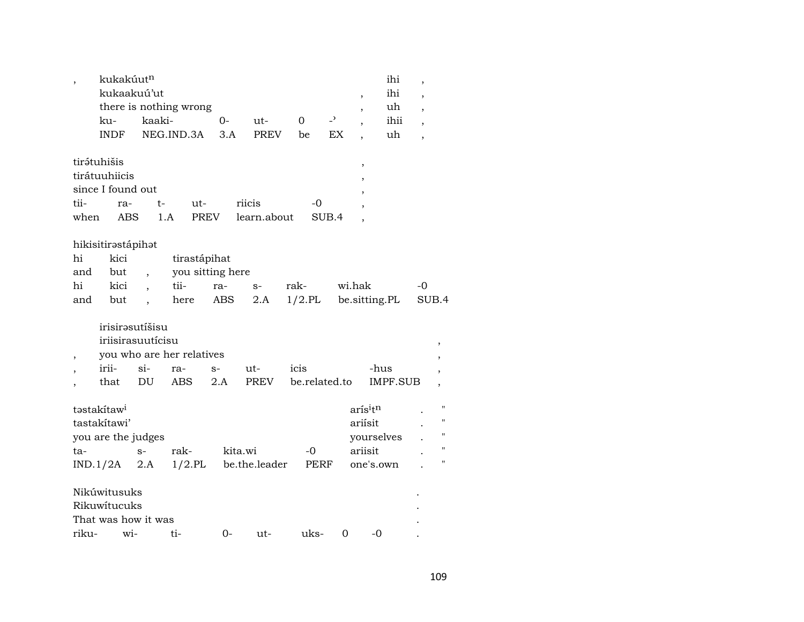|                          | kukakúutn               |                          |                           |             |               |           |                | ihi                             | $\overline{\phantom{a}}$ |              |
|--------------------------|-------------------------|--------------------------|---------------------------|-------------|---------------|-----------|----------------|---------------------------------|--------------------------|--------------|
|                          | kukaakuú'ut             |                          |                           |             |               |           |                | ihi<br>$\overline{\phantom{a}}$ | $\overline{\phantom{a}}$ |              |
|                          |                         |                          | there is nothing wrong    |             |               |           |                | uh<br>,                         | $\overline{\phantom{a}}$ |              |
|                          | ku-                     | kaaki-                   |                           | $O -$       | ut-           | $\Omega$  | $\overline{a}$ | ihii<br>$\cdot$                 | $\overline{\phantom{a}}$ |              |
|                          | <b>INDF</b>             |                          | NEG.IND.3A                | 3.A         | <b>PREV</b>   | be        | EX             | uh                              | $\overline{\phantom{a}}$ |              |
|                          | tirátuhišis             |                          |                           |             |               |           |                | $\overline{\phantom{a}}$        |                          |              |
|                          | tirátuuhiicis           |                          |                           |             |               |           |                |                                 |                          |              |
|                          | since I found out       |                          |                           |             |               |           |                |                                 |                          |              |
| tii-                     | ra-                     |                          | ut-<br>t-                 |             | riicis        | -0        |                |                                 |                          |              |
| when                     | <b>ABS</b>              |                          | 1.A                       | <b>PREV</b> | learn.about   |           | SUB.4          |                                 |                          |              |
|                          |                         |                          |                           |             |               |           |                |                                 |                          |              |
|                          | hikisitirəstápihət      |                          |                           |             |               |           |                |                                 |                          |              |
| hi                       | kici                    |                          | tirastápihat              |             |               |           |                |                                 |                          |              |
| and                      | but                     | $\overline{\phantom{a}}$ | you sitting here          |             |               |           |                |                                 |                          |              |
| hi                       | kici                    | $\overline{\phantom{a}}$ | tii-                      | ra-         | $S-$          | rak-      | wi.hak         |                                 | $-0$                     |              |
| and                      | but                     | $\overline{\phantom{a}}$ | here                      | ABS         | 2.A           | $1/2$ .PL |                | be.sitting.PL                   |                          | SUB.4        |
|                          | irisirəsutíšisu         |                          |                           |             |               |           |                |                                 |                          |              |
|                          | iriisirasuutícisu       |                          |                           |             |               |           |                |                                 |                          |              |
|                          |                         |                          |                           |             |               |           |                |                                 |                          |              |
| $\overline{\phantom{a}}$ |                         |                          | you who are her relatives |             |               |           |                |                                 |                          |              |
|                          | irii-                   | $\sin$                   | ra-                       | $S-$        | ut-           | icis      |                | -hus                            |                          |              |
| $\overline{\phantom{a}}$ | that                    | DU                       | <b>ABS</b>                | 2.A         | PREV          |           | be.related.to  | <b>IMPF.SUB</b>                 |                          |              |
|                          | təstakítaw <sup>i</sup> |                          |                           |             |               |           |                | arísitn                         |                          | $\mathbf{H}$ |
|                          | tastakítawi'            |                          |                           |             |               |           |                | ariísit                         |                          | $\mathbf{H}$ |
|                          | you are the judges      |                          |                           |             |               |           |                | yourselves                      |                          | $\mathbf{H}$ |
| ta-                      |                         | $S-$                     | rak-                      |             | kita.wi       | $-0$      |                | ariisit                         |                          | $\mathbf{H}$ |
|                          | $IND.1/2A$ 2.A          |                          | $1/2.$ PL                 |             | be.the.leader |           | PERF           | one's.own                       |                          | 11           |
|                          |                         |                          |                           |             |               |           |                |                                 |                          |              |
|                          | Nikúwitusuks            |                          |                           |             |               |           |                |                                 |                          |              |
|                          | Rikuwitucuks            |                          |                           |             |               |           |                |                                 |                          |              |
|                          | That was how it was     |                          |                           |             |               |           |                |                                 |                          |              |
| riku-                    | wi-                     |                          | ti-                       | 0-          | ut-           | uks-      | 0              | -0                              |                          |              |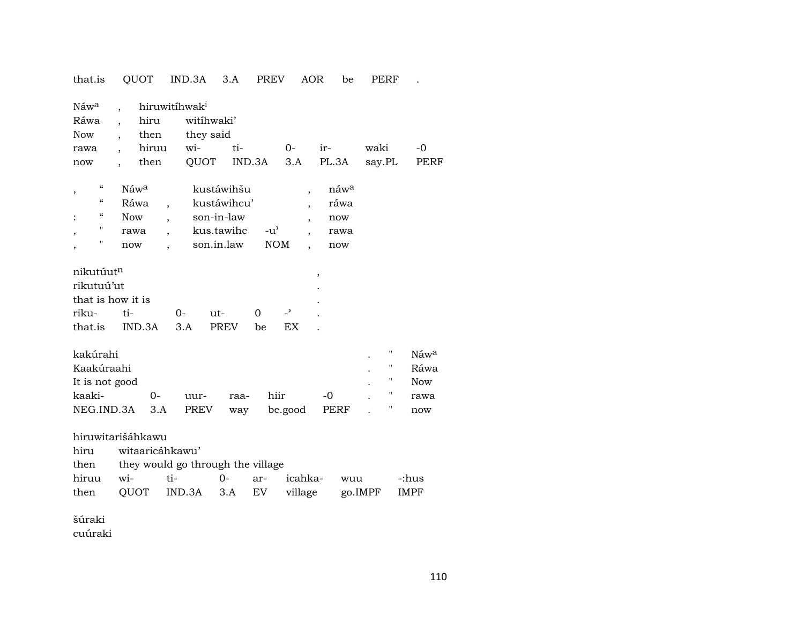that.is QUOT IND.3A 3.A PREV AOR be PERF .

| Náw <sup>a</sup>                                                                        |                                               |                 | hiruwitihwak <sup>i</sup>              |                           |                             |                                            |                                                |                         |                                                       |
|-----------------------------------------------------------------------------------------|-----------------------------------------------|-----------------|----------------------------------------|---------------------------|-----------------------------|--------------------------------------------|------------------------------------------------|-------------------------|-------------------------------------------------------|
| Ráwa                                                                                    |                                               | hiru            | witihwaki'                             |                           |                             |                                            |                                                |                         |                                                       |
| <b>Now</b>                                                                              |                                               | then            | they said                              |                           |                             |                                            |                                                |                         |                                                       |
| rawa                                                                                    |                                               | hiruu           | wi-                                    | ti-                       | $0-$                        |                                            | ir-                                            | waki                    | -0                                                    |
| now                                                                                     |                                               | then            | QUOT                                   | IND.3A                    | 3.A                         |                                            | PL.3A                                          | say.PL                  | <b>PERF</b>                                           |
| $\pmb{\zeta}\pmb{\zeta}$<br>$\, ,$<br>"<br>"<br>"<br>$\overline{\phantom{a}}$<br>"<br>, | Náw <sup>a</sup><br><b>Now</b><br>rawa<br>now | Ráwa            | son-in-law<br>kus.tawihc<br>son.in.law | kustáwihšu<br>kustáwihcu' | $-u^{\prime}$<br><b>NOM</b> | $\overline{ }$<br>$\overline{\phantom{a}}$ | náw <sup>a</sup><br>ráwa<br>now<br>rawa<br>now |                         |                                                       |
| nikutúut <sup>n</sup><br>rikutuú'ut<br>that is how it is<br>riku-<br>that.is            | ti-                                           | IND.3A          | $0-$<br>ut-<br>3.A                     | $\Omega$<br>PREV          | $\overline{a}$<br>EX<br>be  |                                            | $\overline{\phantom{a}}$                       |                         |                                                       |
| kakúrahi<br>Kaakúraahi<br>It is not good<br>kaaki-<br>NEG.IND.3A                        |                                               | 0-<br>3.A       | uur-<br>PREV                           | raa-<br>way               | hiir<br>be.good             |                                            | $-0$<br>PERF                                   | "<br>"<br>11<br>11<br>Π | Náw <sup>a</sup><br>Ráwa<br><b>Now</b><br>rawa<br>now |
| hiruwitarišáhkawu                                                                       |                                               |                 |                                        |                           |                             |                                            |                                                |                         |                                                       |
| hiru                                                                                    |                                               | witaaricáhkawu' |                                        |                           |                             |                                            |                                                |                         |                                                       |

| then | they would go through the village |  |  |
|------|-----------------------------------|--|--|
|------|-----------------------------------|--|--|

|  |  |  | hiruu wi-  ti-  0- ar- icahka- wuu  -:hus    |  |
|--|--|--|----------------------------------------------|--|
|  |  |  | then QUOT IND.3A 3.A EV village go.IMPF IMPF |  |

šúraki

cuúraki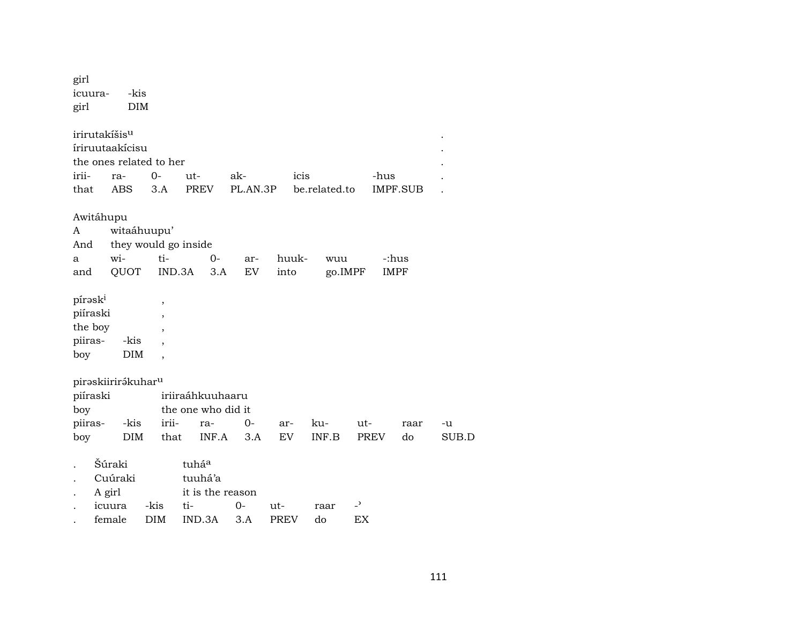| girl<br>icuura-<br>girl           | -kis<br><b>DIM</b>                                                      |                                                      |                                      |           |               |                |             |                      |       |
|-----------------------------------|-------------------------------------------------------------------------|------------------------------------------------------|--------------------------------------|-----------|---------------|----------------|-------------|----------------------|-------|
|                                   | irirutakíšis <sup>u</sup><br>íriruutaakícisu<br>the ones related to her |                                                      |                                      |           |               |                |             |                      |       |
| irii-                             | ra-                                                                     | $0-$                                                 | ut-                                  | ak-       | icis          |                | -hus        |                      |       |
| that                              | <b>ABS</b>                                                              | 3.A                                                  | <b>PREV</b>                          | PL.AN.3P  |               | be.related.to  |             | <b>IMPF.SUB</b>      |       |
| Awitáhupu<br>A<br>And<br>a<br>and | wi-<br>QUOT                                                             | witaáhuupu'<br>they would go inside<br>ti-<br>IND.3A | 0-<br>3.A                            | ar-<br>EV | huuk-<br>into | wuu<br>go.IMPF |             | -:hus<br><b>IMPF</b> |       |
| pírask <sup>i</sup>               |                                                                         | ,                                                    |                                      |           |               |                |             |                      |       |
| piíraski                          |                                                                         | $\overline{\phantom{a}}$                             |                                      |           |               |                |             |                      |       |
| the boy                           |                                                                         | $\overline{\phantom{a}}$                             |                                      |           |               |                |             |                      |       |
| piiras-                           | -kis                                                                    |                                                      |                                      |           |               |                |             |                      |       |
| boy                               | <b>DIM</b>                                                              |                                                      |                                      |           |               |                |             |                      |       |
|                                   |                                                                         |                                                      |                                      |           |               |                |             |                      |       |
|                                   | piraskiirirákuhar <sup>u</sup>                                          |                                                      |                                      |           |               |                |             |                      |       |
| piíraski                          |                                                                         |                                                      | iriiraáhkuuhaaru                     |           |               |                |             |                      |       |
| boy                               |                                                                         |                                                      | the one who did it                   |           |               |                |             |                      |       |
| piiras-                           | -kis                                                                    | irii-                                                | ra-                                  | $0-$      | ar-           | ku-            | ut-         | raar                 | -u    |
| boy                               | <b>DIM</b>                                                              | that                                                 | INF.A                                | 3.A       | EV            | INF.B          | <b>PREV</b> | do                   | SUB.D |
|                                   | Šúraki<br>Cuúraki<br>A girl                                             |                                                      | tuháa<br>tuuhá'a<br>it is the reason |           |               |                |             |                      |       |
|                                   | icuura                                                                  | -kis                                                 | ti-                                  | 0-        | ut-           | raar           | د_          |                      |       |
|                                   | female                                                                  | DIM                                                  | IND.3A                               | 3.A       | <b>PREV</b>   | do             | EX          |                      |       |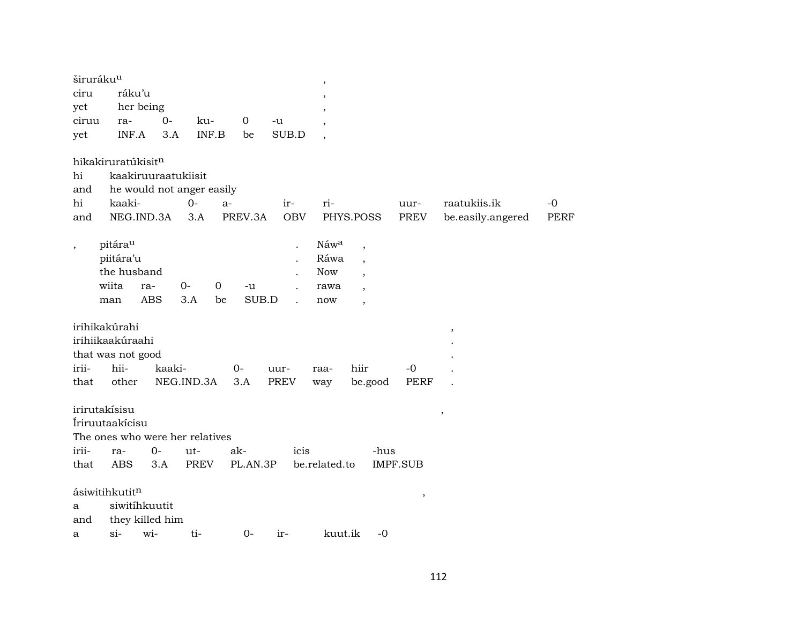|         | širuráku <sup>u</sup>             |                     |                           |             |            | $\overline{\phantom{a}}$ |                          |                 |                   |             |
|---------|-----------------------------------|---------------------|---------------------------|-------------|------------|--------------------------|--------------------------|-----------------|-------------------|-------------|
| ciru    | ráku'u                            |                     |                           |             |            |                          |                          |                 |                   |             |
| yet     | her being                         |                     |                           |             |            |                          |                          |                 |                   |             |
| ciruu   | ra-                               | $0-$                | ku-                       | $\mathbf 0$ | -u         |                          |                          |                 |                   |             |
| yet     | INF.A                             | 3.A                 | INF.B                     | be          | SUB.D      | $\overline{\phantom{a}}$ |                          |                 |                   |             |
|         | hikakiruratúkisitn                |                     |                           |             |            |                          |                          |                 |                   |             |
| hi      |                                   | kaakiruuraatukiisit |                           |             |            |                          |                          |                 |                   |             |
| and     |                                   |                     | he would not anger easily |             |            |                          |                          |                 |                   |             |
| hi      | kaaki-                            |                     | $O -$<br>$a-$             |             | ir-        | ri-                      |                          | uur-            | raatukiis.ik      | $-0$        |
| and     | NEG.IND.3A                        |                     | 3.A                       | PREV.3A     | <b>OBV</b> |                          | PHYS.POSS                | PREV            | be.easily.angered | <b>PERF</b> |
| $\cdot$ | pitárau                           |                     |                           |             |            | Náwa                     | $\overline{\phantom{a}}$ |                 |                   |             |
|         | piitára'u                         |                     |                           |             |            | Ráwa                     | $\cdot$                  |                 |                   |             |
|         | the husband                       |                     |                           |             |            | <b>Now</b>               |                          |                 |                   |             |
|         | wiita                             | 0-<br>ra-           | $\mathbf 0$               | -u          |            | rawa                     |                          |                 |                   |             |
|         | man                               | <b>ABS</b>          | 3.A<br>be                 | SUB.D       |            | now                      | $\overline{\phantom{a}}$ |                 |                   |             |
|         |                                   |                     |                           |             |            |                          |                          |                 |                   |             |
|         | irihikakúrahi<br>irihiikaakúraahi |                     |                           |             |            |                          |                          |                 | $^\mathrm{,}$     |             |
|         |                                   |                     |                           |             |            |                          |                          |                 |                   |             |
|         | that was not good                 |                     |                           |             |            |                          |                          |                 |                   |             |
| irii-   | hii-                              | kaaki-              |                           | 0-          | uur-       | raa-                     | hiir                     | $-0$            |                   |             |
| that    | other                             | NEG.IND.3A          |                           | 3.A         | PREV       | way                      | be.good                  | <b>PERF</b>     |                   |             |
|         | irirutakísisu                     |                     |                           |             |            |                          |                          |                 | $\, ,$            |             |
|         | Íriruutaakícisu                   |                     |                           |             |            |                          |                          |                 |                   |             |
|         | The ones who were her relatives   |                     |                           |             |            |                          |                          |                 |                   |             |
| irii-   | ra-                               | $0-$                | ut-                       | ak-         | icis       |                          | -hus                     |                 |                   |             |
| that    | <b>ABS</b>                        | 3.A                 | <b>PREV</b>               | PL.AN.3P    |            | be.related.to            |                          | <b>IMPF.SUB</b> |                   |             |
|         |                                   |                     |                           |             |            |                          |                          |                 |                   |             |
|         | ásiwitihkutitn                    |                     |                           |             |            |                          |                          | $\, ,$          |                   |             |
| a       | siwitihkuutit                     |                     |                           |             |            |                          |                          |                 |                   |             |
| and     |                                   | they killed him     |                           |             |            |                          |                          |                 |                   |             |
| a       | $si$ -                            | wi-                 | ti-                       | $0-$        | ir-        | kuut.ik                  | $-0$                     |                 |                   |             |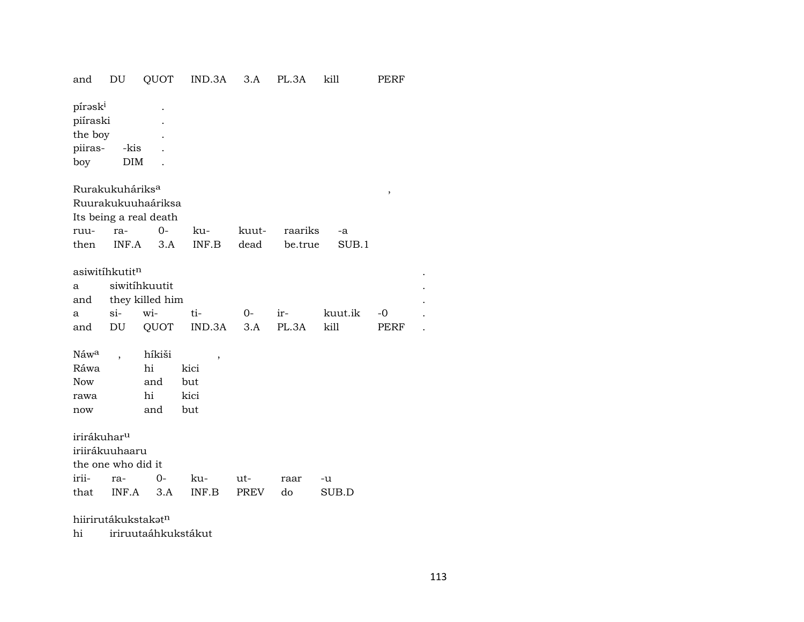| and                                                               | DU                                                   | QUOT                                                                                | IND.3A                                           | 3.A                | PL.3A        | kill            | PERF         |  |
|-------------------------------------------------------------------|------------------------------------------------------|-------------------------------------------------------------------------------------|--------------------------------------------------|--------------------|--------------|-----------------|--------------|--|
| pírəski<br>piíraski<br>the boy<br>piiras-<br>boy                  | -kis<br><b>DIM</b>                                   |                                                                                     |                                                  |                    |              |                 |              |  |
|                                                                   | Rurakukuháriks <sup>a</sup>                          |                                                                                     |                                                  |                    |              |                 | $\, ,$       |  |
|                                                                   |                                                      | Ruurakukuuhaáriksa                                                                  |                                                  |                    |              |                 |              |  |
|                                                                   |                                                      | Its being a real death                                                              |                                                  |                    |              |                 |              |  |
| ruu-                                                              | ra-                                                  | $0-$                                                                                | ku-                                              | kuut-              | raariks      | -a              |              |  |
| then                                                              | INF.A                                                | 3.A                                                                                 | INF.B                                            | dead               | be.true      | SUB.1           |              |  |
| a<br>and<br>a<br>and<br>Náwa<br>Ráwa<br><b>Now</b><br>rawa<br>now | asiwitihkutit <sup>n</sup><br>si-<br>DU              | siwitíhkuutit<br>they killed him<br>wi-<br>QUOT<br>híkiši<br>hi<br>and<br>hi<br>and | ti-<br>IND.3A<br>,<br>kici<br>but<br>kici<br>but | $0-$<br>3.A        | ir-<br>PL.3A | kuut.ik<br>kill | $-0$<br>PERF |  |
| irirákuhar <sup>u</sup><br>irii-<br>that                          | iriirákuuhaaru<br>the one who did it<br>ra-<br>INF.A | $0-$<br>3.A                                                                         | ku-<br>INF.B                                     | ut-<br><b>PREV</b> | raar<br>do   | -u<br>SUB.D     |              |  |
|                                                                   | hiirirutákukstakatn                                  |                                                                                     |                                                  |                    |              |                 |              |  |

hi iriruutaáhkukstákut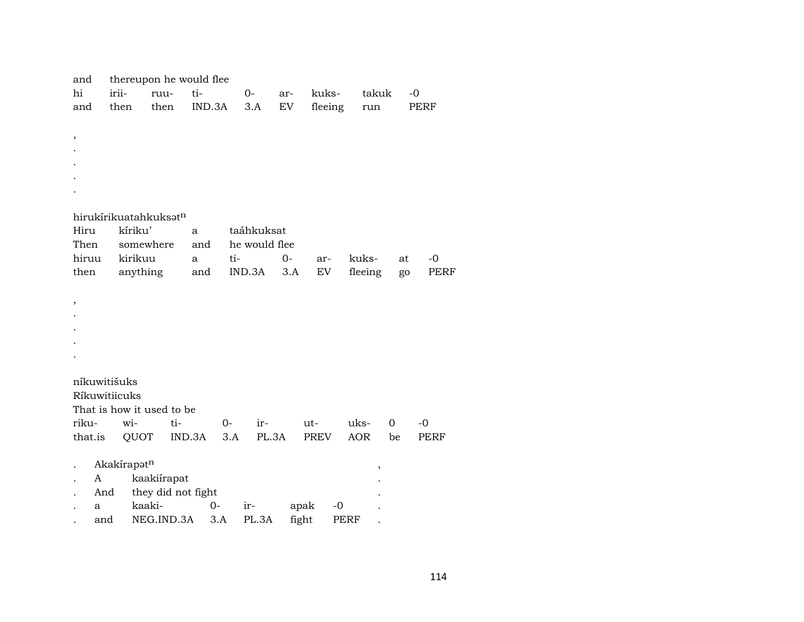| and           |             | thereupon he would flee   |        |        |      |               |       |         |      |            |    |             |
|---------------|-------------|---------------------------|--------|--------|------|---------------|-------|---------|------|------------|----|-------------|
| hi            | irii-       | ruu-                      |        | ti-    |      | $0-$          | ar-   | kuks-   |      | takuk      |    | $-0$        |
| and           | then        | then                      |        | IND.3A |      | 3.A           | EV    | fleeing |      | run        |    | PERF        |
|               |             |                           |        |        |      |               |       |         |      |            |    |             |
| $\, ,$        |             |                           |        |        |      |               |       |         |      |            |    |             |
|               |             |                           |        |        |      |               |       |         |      |            |    |             |
|               |             |                           |        |        |      |               |       |         |      |            |    |             |
|               |             |                           |        |        |      |               |       |         |      |            |    |             |
|               |             |                           |        |        |      |               |       |         |      |            |    |             |
|               |             |                           |        |        |      |               |       |         |      |            |    |             |
|               |             | hirukírikuatahkuksatn     |        |        |      |               |       |         |      |            |    |             |
| Hiru          |             | kíriku'                   | a      |        |      | taáhkuksat    |       |         |      |            |    |             |
| Then          |             | somewhere                 |        | and    |      | he would flee |       |         |      |            |    |             |
| hiruu         |             | kirikuu                   | a      |        | ti-  |               | $0-$  | ar-     |      | kuks-      | at | $-0$        |
| then          |             | anything                  |        | and    |      | IND.3A        | 3.A   | EV      |      | fleeing    | go | <b>PERF</b> |
|               |             |                           |        |        |      |               |       |         |      |            |    |             |
| $\, ,$        |             |                           |        |        |      |               |       |         |      |            |    |             |
|               |             |                           |        |        |      |               |       |         |      |            |    |             |
|               |             |                           |        |        |      |               |       |         |      |            |    |             |
|               |             |                           |        |        |      |               |       |         |      |            |    |             |
|               |             |                           |        |        |      |               |       |         |      |            |    |             |
|               |             |                           |        |        |      |               |       |         |      |            |    |             |
| níkuwitišuks  |             |                           |        |        |      |               |       |         |      |            |    |             |
| Ríkuwitiicuks |             |                           |        |        |      |               |       |         |      |            |    |             |
|               |             | That is how it used to be |        |        |      |               |       |         |      |            |    |             |
| riku-         | wi-         |                           | ti-    |        | $0-$ | ir-           |       | ut-     |      | uks-       | 0  | -0          |
| that.is       |             | QUOT                      | IND.3A |        | 3.A  | PL.3A         |       | PREV    |      | <b>AOR</b> | be | <b>PERF</b> |
|               |             |                           |        |        |      |               |       |         |      |            |    |             |
|               | Akakírapotn |                           |        |        |      |               |       |         |      | ,          |    |             |
| A             |             | kaakiírapat               |        |        |      |               |       |         |      |            |    |             |
| And           |             | they did not fight        |        |        |      |               |       |         |      |            |    |             |
| a             |             | kaaki-                    |        | $O -$  |      | ir-           |       | apak    | $-0$ |            |    |             |
| and           |             | NEG.IND.3A                |        | 3.A    |      | PL.3A         | fight |         | PERF |            |    |             |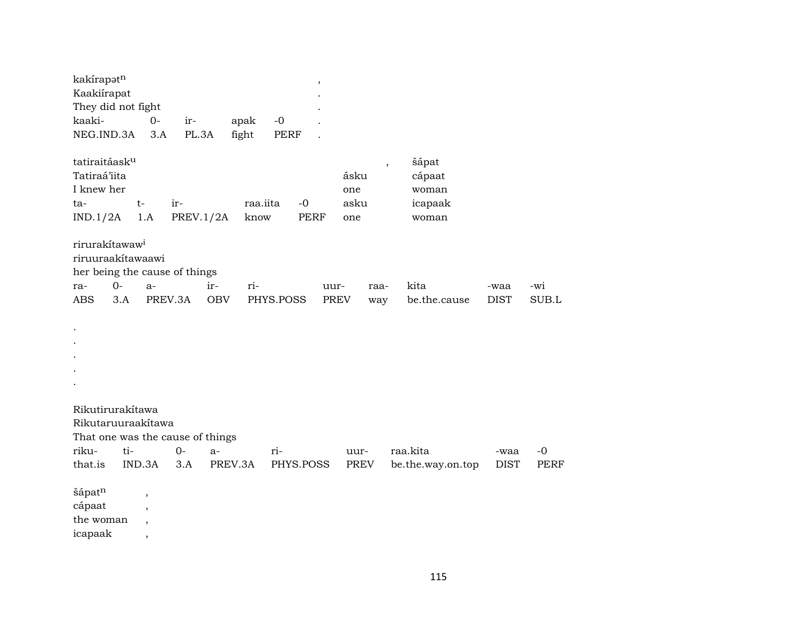| kakírapotn<br>Kaakiírapat<br>They did not fight<br>kaaki-<br>NEG.IND.3A                                              | $O -$<br>3.A                                                                                | ir-<br>PL.3A            | apak<br>fight     | $-0$<br><b>PERF</b> | $\overline{\phantom{a}}$ |                            |                                                                          |                     |              |
|----------------------------------------------------------------------------------------------------------------------|---------------------------------------------------------------------------------------------|-------------------------|-------------------|---------------------|--------------------------|----------------------------|--------------------------------------------------------------------------|---------------------|--------------|
| tatiraitáask <sup>u</sup><br>Tatiraá'iita<br>I knew her<br>ta-<br>IND.1/2A                                           | $t-$<br>1.A                                                                                 | ir-<br><b>PREV.1/2A</b> | raa.iita<br>know  | $-0$                | <b>PERF</b>              | ásku<br>one<br>asku<br>one | šápat<br>$\overline{\phantom{a}}$<br>cápaat<br>woman<br>icapaak<br>woman |                     |              |
| rirurakítawaw <sup>i</sup><br>riruuraakítawaawi<br>her being the cause of things<br>$0-$<br>ra-<br><b>ABS</b><br>3.A | $a-$                                                                                        | ir-<br>PREV.3A          | ri-<br><b>OBV</b> | PHYS.POSS           | uur-<br><b>PREV</b>      | raa-<br>way                | kita<br>be.the.cause                                                     | -waa<br><b>DIST</b> | -wi<br>SUB.L |
|                                                                                                                      |                                                                                             |                         |                   |                     |                          |                            |                                                                          |                     |              |
| Rikutirurakítawa<br>Rikutaruuraakítawa<br>That one was the cause of things<br>riku-<br>ti-                           |                                                                                             | $O -$<br>$a-$           |                   | ri-                 |                          | uur-                       | raa.kita                                                                 | -waa                | $-0$         |
| that.is<br>šápatn<br>cápaat<br>the woman<br>icapaak                                                                  | IND.3A<br>$\overline{\phantom{a}}$<br>$\overline{ }$<br>$\cdot$<br>$\overline{\phantom{a}}$ | 3.A                     | PREV.3A           | PHYS.POSS           |                          | <b>PREV</b>                | be.the.way.on.top                                                        | <b>DIST</b>         | <b>PERF</b>  |

115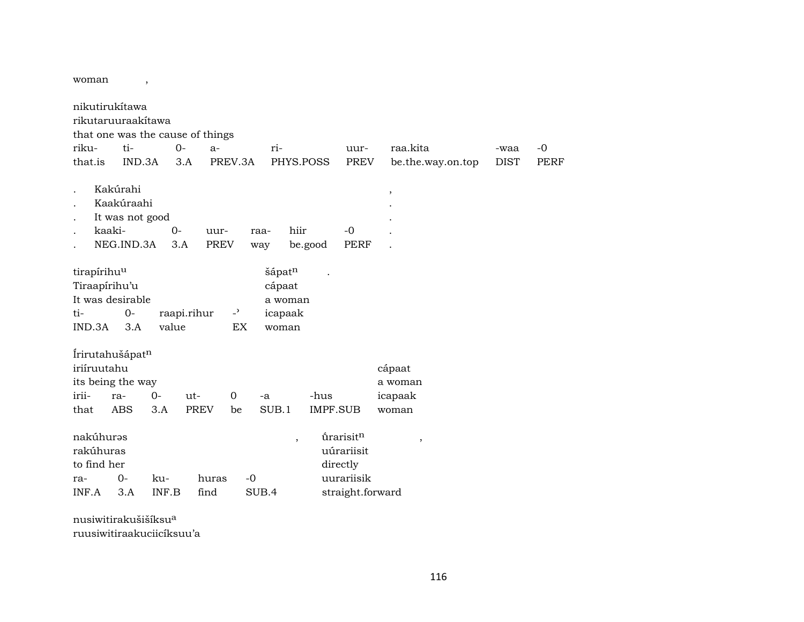woman ,

|                                  | nikutirukítawa  |       |             |                |       |           |          |                  |        |                   |             |             |
|----------------------------------|-----------------|-------|-------------|----------------|-------|-----------|----------|------------------|--------|-------------------|-------------|-------------|
| rikutaruuraakitawa               |                 |       |             |                |       |           |          |                  |        |                   |             |             |
| that one was the cause of things |                 |       |             |                |       |           |          |                  |        |                   |             |             |
| riku-                            | ti-             |       | $0-$        | $a-$           |       | ri-       |          | uur-             |        | raa.kita          | -waa        | -0          |
| that.is                          | IND.3A          |       | 3.A         | PREV.3A        |       | PHYS.POSS |          | <b>PREV</b>      |        | be.the.way.on.top | <b>DIST</b> | <b>PERF</b> |
|                                  |                 |       |             |                |       |           |          |                  |        |                   |             |             |
|                                  | Kakúrahi        |       |             |                |       |           |          |                  | $\, ,$ |                   |             |             |
|                                  | Kaakúraahi      |       |             |                |       |           |          |                  |        |                   |             |             |
|                                  | It was not good |       |             |                |       |           |          |                  |        |                   |             |             |
|                                  | kaaki-          | $0-$  |             | uur-           | raa-  | hiir      |          | $-0$             |        |                   |             |             |
|                                  | NEG.IND.3A      |       | 3.A         | <b>PREV</b>    | way   |           | be.good  | <b>PERF</b>      |        |                   |             |             |
|                                  |                 |       |             |                |       |           |          |                  |        |                   |             |             |
| tirapírihuu                      |                 |       |             |                |       | šápatn    |          |                  |        |                   |             |             |
| Tiraapírihu'u                    |                 |       |             |                |       | cápaat    |          |                  |        |                   |             |             |
| It was desirable                 |                 |       |             |                |       | a woman   |          |                  |        |                   |             |             |
| ti-                              | $0-$            |       | raapi.rihur | $\overline{a}$ |       | icapaak   |          |                  |        |                   |             |             |
| IND.3A                           | 3.A             | value |             | EX             |       | woman     |          |                  |        |                   |             |             |
|                                  |                 |       |             |                |       |           |          |                  |        |                   |             |             |
| Írirutahušápat <sup>n</sup>      |                 |       |             |                |       |           |          |                  |        |                   |             |             |
| iriíruutahu                      |                 |       |             |                |       |           |          |                  |        | cápaat            |             |             |
| its being the way                |                 |       |             |                |       |           |          |                  |        | a woman           |             |             |
| irii-                            | ra-             | $0-$  | ut-         | 0              | $-a$  |           | -hus     |                  |        | icapaak           |             |             |
| that                             | ABS             | 3.A   | <b>PREV</b> | be             |       | SUB.1     | IMPF.SUB |                  |        | woman             |             |             |
|                                  |                 |       |             |                |       |           |          |                  |        |                   |             |             |
| nakúhuras                        |                 |       |             |                |       | $\,$      |          | úrarisitn        |        | $\, ,$            |             |             |
| rakúhuras                        |                 |       |             |                |       |           |          | uúrariisit       |        |                   |             |             |
| to find her                      |                 |       |             |                |       |           |          | directly         |        |                   |             |             |
| ra-                              | $0-$            | ku-   | huras       |                | $-0$  |           |          | uurariisik       |        |                   |             |             |
| INF.A                            | 3.A             | INF.B | find        |                | SUB.4 |           |          | straight.forward |        |                   |             |             |
|                                  |                 |       |             |                |       |           |          |                  |        |                   |             |             |

nusiwitirakušišíksu° ruusiwitiraakuciicíksuu'a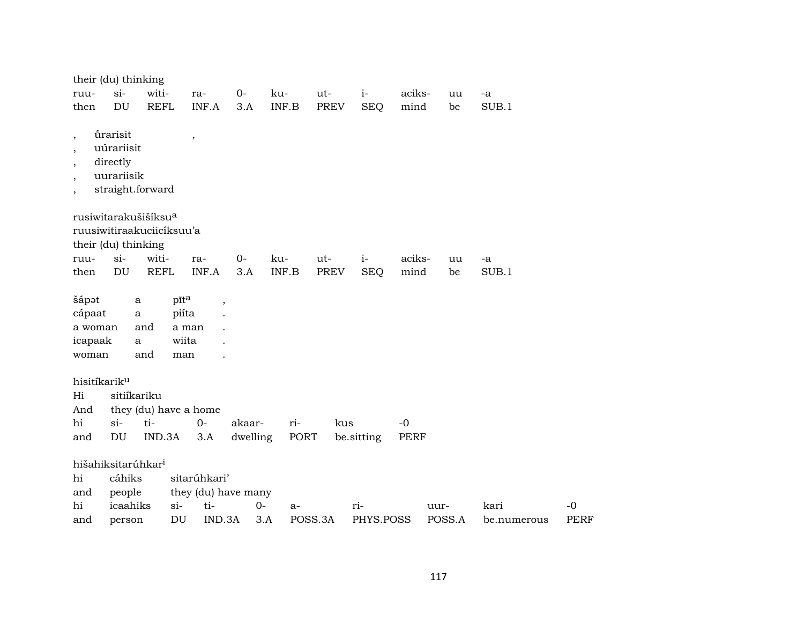| their (du) thinking                                                                                                                      |                                                                      |             |        |                          |          |                           |             |            |             |        |             |             |
|------------------------------------------------------------------------------------------------------------------------------------------|----------------------------------------------------------------------|-------------|--------|--------------------------|----------|---------------------------|-------------|------------|-------------|--------|-------------|-------------|
| ruu-                                                                                                                                     | $si-$                                                                | witi-       |        | ra-                      | $0-$     | ku-                       | ut-         | $i-$       | aciks-      | uu     | -a          |             |
| then                                                                                                                                     | DU                                                                   | <b>REFL</b> |        | INF.A                    | 3.A      | INF.B                     | <b>PREV</b> | <b>SEQ</b> | mind        | be     | SUB.1       |             |
| $\overline{\phantom{a}}$<br>$\overline{\phantom{a}}$<br>$\overline{\phantom{a}}$<br>$\overline{\phantom{a}}$<br>$\overline{\phantom{a}}$ | úrarisit<br>uúrariisit<br>directly<br>uurariisik<br>straight.forward |             |        | $\overline{\phantom{a}}$ |          |                           |             |            |             |        |             |             |
| rusiwitarakušišíksu <sup>a</sup>                                                                                                         |                                                                      |             |        |                          |          |                           |             |            |             |        |             |             |
| ruusiwitiraakuciicíksuu'a                                                                                                                |                                                                      |             |        |                          |          |                           |             |            |             |        |             |             |
| their (du) thinking                                                                                                                      |                                                                      |             |        |                          |          |                           |             |            |             |        |             |             |
| ruu-                                                                                                                                     | $si-$                                                                | witi-       |        | ra-                      | $0-$     | ku-                       | ut-         | $i-$       | aciks-      | uu     | -a          |             |
| then                                                                                                                                     | DU                                                                   | <b>REFL</b> |        | INF.A                    | 3.A      | $\textsf{INF}.\textsf{B}$ | <b>PREV</b> | <b>SEQ</b> | mind        | be     | SUB.1       |             |
| šápət                                                                                                                                    |                                                                      | $\mathbf a$ | pīta   | $\overline{\phantom{a}}$ |          |                           |             |            |             |        |             |             |
| cápaat                                                                                                                                   |                                                                      | $\bf a$     | piíta  |                          |          |                           |             |            |             |        |             |             |
| a woman                                                                                                                                  |                                                                      | and         | a man  |                          |          |                           |             |            |             |        |             |             |
| icapaak                                                                                                                                  |                                                                      | a           | wiita  |                          |          |                           |             |            |             |        |             |             |
| woman                                                                                                                                    |                                                                      | and         | man    |                          |          |                           |             |            |             |        |             |             |
| hisitíkarik <sup>u</sup>                                                                                                                 |                                                                      |             |        |                          |          |                           |             |            |             |        |             |             |
| Hi                                                                                                                                       | sitiíkariku                                                          |             |        |                          |          |                           |             |            |             |        |             |             |
| And                                                                                                                                      |                                                                      |             |        | they (du) have a home    |          |                           |             |            |             |        |             |             |
| hi                                                                                                                                       | $si-$                                                                | ti-         |        | $0-$                     | akaar-   | ri-                       | kus         |            | $-0$        |        |             |             |
| and                                                                                                                                      | $\mathop{\rm DU}\nolimits$                                           | IND.3A      |        | 3.A                      | dwelling | PORT                      |             | be.sitting | <b>PERF</b> |        |             |             |
| hišahiksitarúhkar <sup>i</sup>                                                                                                           |                                                                      |             |        |                          |          |                           |             |            |             |        |             |             |
| hi                                                                                                                                       | cáhiks                                                               |             |        | sitarúhkari'             |          |                           |             |            |             |        |             |             |
| and                                                                                                                                      | people                                                               |             |        | they (du) have many      |          |                           |             |            |             |        |             |             |
| hi                                                                                                                                       | icaahiks                                                             |             | $\sin$ | ti-                      | $0-$     | $a-$                      |             | ri-        |             | uur-   | kari        | $-0$        |
| and                                                                                                                                      | person                                                               |             | DU     | IND.3A                   |          | 3.A                       | POSS.3A     | PHYS.POSS  |             | POSS.A | be.numerous | <b>PERF</b> |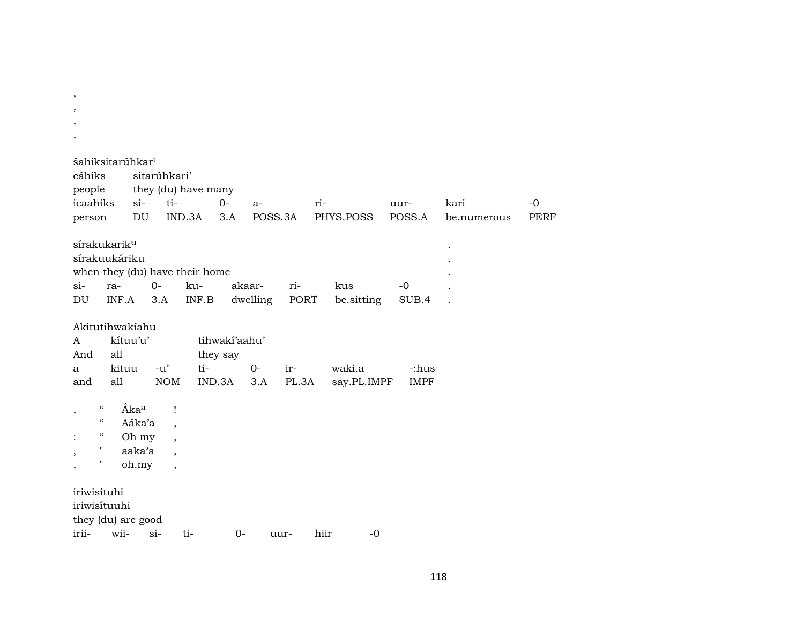| $\cdot$<br>$\overline{\phantom{a}}$<br>,                                                                                                                                                                                                 |                                                                                                  |                                   |                   |                |                     |                     |
|------------------------------------------------------------------------------------------------------------------------------------------------------------------------------------------------------------------------------------------|--------------------------------------------------------------------------------------------------|-----------------------------------|-------------------|----------------|---------------------|---------------------|
| šahiksitarúhkar <sup>i</sup><br>sitarúhkari'<br>cáhiks<br>people<br>icaahiks<br>$si-$<br>ti-<br>DU<br>person                                                                                                                             | they (du) have many<br>$O-$<br>IND.3A<br>3.A                                                     | $a-$<br>POSS.3A                   | ri-<br>PHYS.POSS  | uur-<br>POSS.A | kari<br>be.numerous | $-0$<br><b>PERF</b> |
| sírakukarik <sup>u</sup><br>sírakuukáriku<br>when they (du) have their home<br>$0-$<br>$\sin$<br>ra-<br>DU<br>INF.A<br>3.A                                                                                                               | ku-<br>INF.B                                                                                     | akaar-<br>ri-<br>dwelling<br>PORT | kus<br>be.sitting | $-0$<br>SUB.4  |                     |                     |
| Akitutihwakiahu<br>kítuu'u'<br>A<br>And<br>all<br>kituu<br>$-u'$<br>a                                                                                                                                                                    | tihwakí'aahu'<br>they say<br>ti-                                                                 | $0-$<br>ir-                       | waki.a            | -:hus          |                     |                     |
| all<br><b>NOM</b><br>and                                                                                                                                                                                                                 | IND.3A                                                                                           | PL.3A<br>3.A                      | say.PL.IMPF       | <b>IMPF</b>    |                     |                     |
| Ákaa<br>$\boldsymbol{\zeta}\boldsymbol{\zeta}$<br>$\overline{\phantom{a}}$<br>$\boldsymbol{\zeta}\boldsymbol{\zeta}$<br>Aáka'a<br>$\epsilon\epsilon$<br>Oh my<br>$\pmb{\mathsf{H}}$<br>aaka'a<br>$\overline{\phantom{a}}$<br>11<br>oh.my | Ţ<br>$\cdot$<br>$\overline{\phantom{a}}$<br>$\overline{\phantom{a}}$<br>$\overline{\phantom{a}}$ |                                   |                   |                |                     |                     |
| iriwisituhi<br>iriwisítuuhi<br>they (du) are good<br>irii-<br>wii-<br>$si$ -                                                                                                                                                             | ti-<br>$0-$                                                                                      | uur-                              | hiir<br>$-0$      |                |                     |                     |

,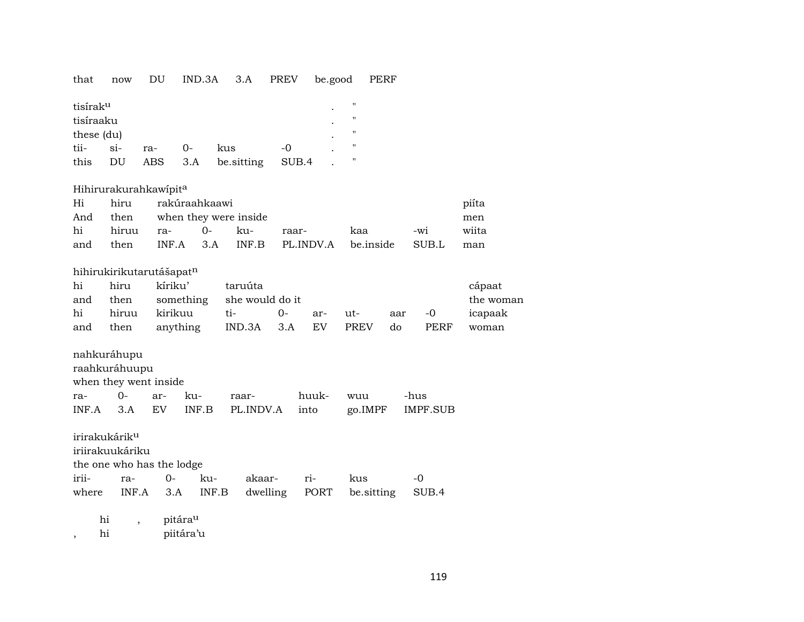#### that now DU IND.3A 3.A PREV be.good PERF

| tisírak <sup>u</sup> |       |     |          |            |       | $\bullet$ | " |
|----------------------|-------|-----|----------|------------|-------|-----------|---|
| tisíraaku            |       |     |          |            |       |           | " |
| these (du)           |       |     |          |            |       | ٠         | " |
| tii-                 | $Si-$ | ra- | $\Omega$ | kus        | -0    |           | " |
| this                 | DU    | ABS | 3.A      | be sitting | SUB.4 |           | " |

## Hihirurakurahkawípit<sup>a</sup>

| Hi |                      | hiru rakúraahkaawi<br>piíta                      |                                       |       |  |  |  |  |  |  |  |  |  |
|----|----------------------|--------------------------------------------------|---------------------------------------|-------|--|--|--|--|--|--|--|--|--|
|    |                      |                                                  | And then when they were inside<br>men |       |  |  |  |  |  |  |  |  |  |
|    | hi hiruu ra-  0- ku- |                                                  | -wi<br>kaa                            | wiita |  |  |  |  |  |  |  |  |  |
|    | and then             | INF.A 3.A INF.B PL.INDV.A be.inside SUB.L<br>man |                                       |       |  |  |  |  |  |  |  |  |  |

## hihirukirikutarutášapatn

| hi  | hiru | kíriku'                        | taruúta | cápaat    |     |     |        |      |         |
|-----|------|--------------------------------|---------|-----------|-----|-----|--------|------|---------|
| and |      | then something she would do it |         | the woman |     |     |        |      |         |
| hi  |      | hiruu kirikuu                  | $t_1$   | $O-$      | ar- | ut- | aar -0 |      | icapaak |
| and | then | anything IND.3A 3.A EV PREV    |         |           |     |     | do     | PERF | woman   |

nahkuráhupu

raahkuráhuupu

when they went inside

|  |  | INF.A 3.A EV INF.B PL.INDV.A into go.IMPF IMPF.SUB |  |  |
|--|--|----------------------------------------------------|--|--|

irirakukárikµ

iriirakuukáriku

the one who has the lodge

|  |  | irii- ra- 0- ku- akaar- ri- kus |                                                      |  |
|--|--|---------------------------------|------------------------------------------------------|--|
|  |  |                                 | where INF.A 3.A INF.B dwelling PORT be.sitting SUB.4 |  |

hi , pitára<sup>u</sup>

, hi piitára'u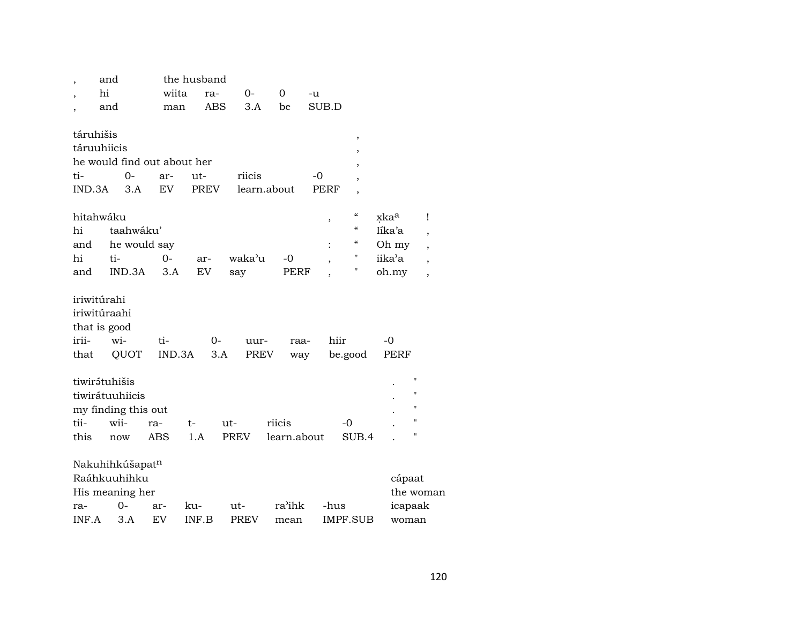| $\overline{\phantom{a}}$ | and                         |            | the husband |             |             |             |                    |                    |                          |
|--------------------------|-----------------------------|------------|-------------|-------------|-------------|-------------|--------------------|--------------------|--------------------------|
| hi                       |                             | wiita      | ra-         | 0-          | 0           | -u          |                    |                    |                          |
| ,                        | and                         | man        | <b>ABS</b>  | 3.A         | be          | SUB.D       |                    |                    |                          |
|                          |                             |            |             |             |             |             |                    |                    |                          |
| táruhišis                |                             |            |             |             |             |             | ,                  |                    |                          |
| táruuhiicis              |                             |            |             |             |             |             | ,                  |                    |                          |
|                          | he would find out about her |            |             |             |             |             | ,                  |                    |                          |
| ti-                      | 0-                          | ar-        | ut-         | riicis      |             | $-0$        | $\overline{ }$     |                    |                          |
| IND.3A                   | 3.A                         | EV         | <b>PREV</b> |             | learn.about | <b>PERF</b> | ,                  |                    |                          |
|                          |                             |            |             |             |             |             |                    |                    |                          |
| hitahwáku                |                             |            |             |             |             | $\,$        | $\epsilon\epsilon$ | xka <sup>a</sup>   | Ţ                        |
| hi                       | taahwáku'                   |            |             |             |             |             | $\epsilon\epsilon$ | Iíka'a             | $\overline{ }$           |
| and                      | he would say                |            |             |             |             |             | $\epsilon\epsilon$ | Oh my              | $\overline{\phantom{a}}$ |
| hi                       | ti-                         | $0-$       | ar-         | waka'u      | -0          | ,           | 11                 | iika'a             | $\overline{\phantom{a}}$ |
| and                      | IND.3A                      | 3.A        | <b>EV</b>   | say         |             | PERF        | "                  | oh.my              | ,                        |
|                          |                             |            |             |             |             |             |                    |                    |                          |
| iriwitúrahi              |                             |            |             |             |             |             |                    |                    |                          |
| iriwitúraahi             |                             |            |             |             |             |             |                    |                    |                          |
| that is good             |                             |            |             |             |             |             |                    |                    |                          |
| irii-                    | wi-                         | ti-        | $0-$        | uur-        |             | raa-        | hiir               | -0                 |                          |
| that                     | QUOT                        | IND.3A     |             | 3.A         | PREV        | way         | be.good            | PERF               |                          |
|                          |                             |            |             |             |             |             |                    |                    |                          |
| tiwirátuhišis            |                             |            |             |             |             |             |                    | $\pmb{\mathsf{H}}$ |                          |
|                          | tiwirátuuhiicis             |            |             |             |             |             |                    | $^{\prime\prime}$  |                          |
|                          | my finding this out         |            |             |             |             |             |                    | $^{\prime\prime}$  |                          |
| tii-                     | wii-                        | ra-        | t-          | ut-         | riicis      |             | -0                 | $^{\prime\prime}$  |                          |
| this                     | now                         | <b>ABS</b> | 1.A         | PREV        | learn.about |             | SUB.4              | $^{\prime\prime}$  |                          |
|                          |                             |            |             |             |             |             |                    |                    |                          |
|                          | Nakuhihkúšapatn             |            |             |             |             |             |                    |                    |                          |
|                          | Raáhkuuhihku                |            |             |             |             |             |                    | cápaat             |                          |
|                          | His meaning her             |            |             |             |             |             |                    |                    | the woman                |
| ra-                      | 0-                          | ar-        | ku-         | ut-         | ra'ihk      |             | -hus               | icapaak            |                          |
| INF.A                    | 3.A                         | EV         | INF.B       | <b>PREV</b> | mean        |             | IMPF.SUB           | woman              |                          |
|                          |                             |            |             |             |             |             |                    |                    |                          |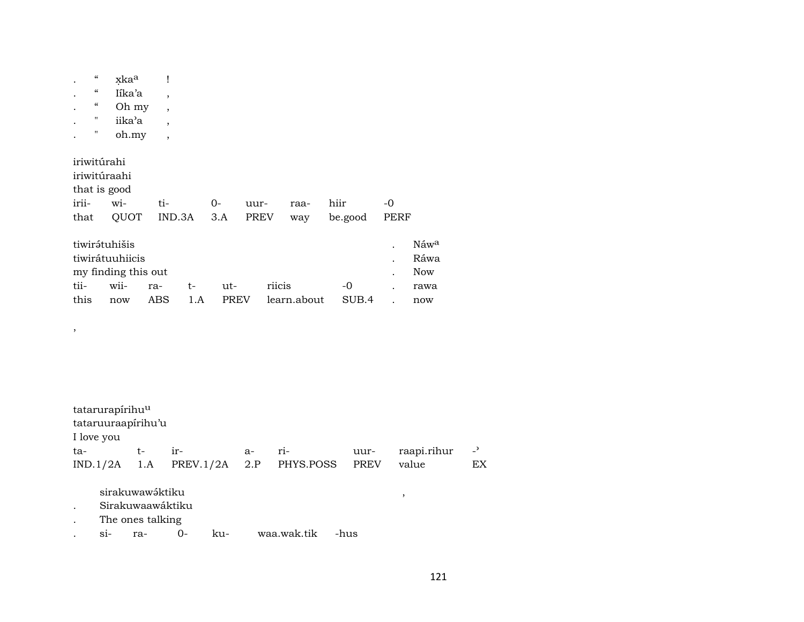|       | $\boldsymbol{\mathcal{C}}$ | xka <sup>a</sup>    | Ĩ                        |      |       |             |             |        |             |         |           |  |
|-------|----------------------------|---------------------|--------------------------|------|-------|-------------|-------------|--------|-------------|---------|-----------|--|
|       | $\boldsymbol{\mathcal{G}}$ | líka'a              | $\overline{ }$           |      |       |             |             |        |             |         |           |  |
|       | $\epsilon\epsilon$         | Oh my               | $\overline{ }$           |      |       |             |             |        |             |         |           |  |
|       | $\pmb{\mathsf{H}}$         | iika'a              | $\overline{ }$           |      |       |             |             |        |             |         |           |  |
|       | 11                         | oh.my               | $\overline{\phantom{a}}$ |      |       |             |             |        |             |         |           |  |
|       |                            |                     |                          |      |       |             |             |        |             |         |           |  |
|       | iriwitúrahi                |                     |                          |      |       |             |             |        |             |         |           |  |
|       |                            | iriwitúraahi        |                          |      |       |             |             |        |             |         |           |  |
|       |                            | that is good        |                          |      |       |             |             |        |             |         |           |  |
| irii- |                            | wi-                 | ti-                      |      | $O -$ |             | uur-        |        | raa-        | hiir    | -0        |  |
| that  |                            | QUOT                | IND.3A                   |      | 3.A   |             | <b>PREV</b> |        | way         | be.good | PERF      |  |
|       |                            |                     |                          |      |       |             |             |        |             |         |           |  |
|       |                            |                     |                          |      |       |             |             |        |             |         |           |  |
|       |                            | tiwirátuhišis       |                          |      |       |             |             |        |             |         | $\bullet$ |  |
|       |                            | tiwirátuuhiicis     |                          |      |       |             |             |        |             |         |           |  |
|       |                            | my finding this out |                          |      |       |             |             |        |             |         |           |  |
| tii-  |                            | wii-                | ra-                      | $t-$ |       | ut-         |             | riicis |             | $-0$    |           |  |
| this  |                            | now                 | ABS.                     | 1.A  |       | <b>PREV</b> |             |        | learn.about | SUB.4   |           |  |
|       |                            |                     |                          |      |       |             |             |        |             |         |           |  |
| ,     |                            |                     |                          |      |       |             |             |        |             |         |           |  |

| tatarurapírihu <sup>u</sup> |    |                                        |      |       |      |             |                          |
|-----------------------------|----|----------------------------------------|------|-------|------|-------------|--------------------------|
| tataruuraapirihu'u          |    |                                        |      |       |      |             |                          |
| I love you                  |    |                                        |      |       |      |             |                          |
| ta-                         | t- | $ir-$                                  | $a-$ | $ri-$ | uur- | raapi.rihur | $\overline{\phantom{0}}$ |
|                             |    | $IND.1/2A$ 1.A PREV.1/2A 2.P PHYS.POSS |      |       | PREV | value       | EX                       |
|                             |    |                                        |      |       |      |             |                          |
| sirakuwawáktiku             |    |                                        |      |       |      |             |                          |

Sirakuwaawáktiku  $\ddot{\phantom{a}}$ 

The ones talking  $\bullet$ 

waa.wak.tik  $si$ - $0-$ -hus raku- $\cdot$ 

 $\rm N\acute{a}w^a$ Ráwa  $\operatorname{Now}$ rawa  $\operatorname{now}$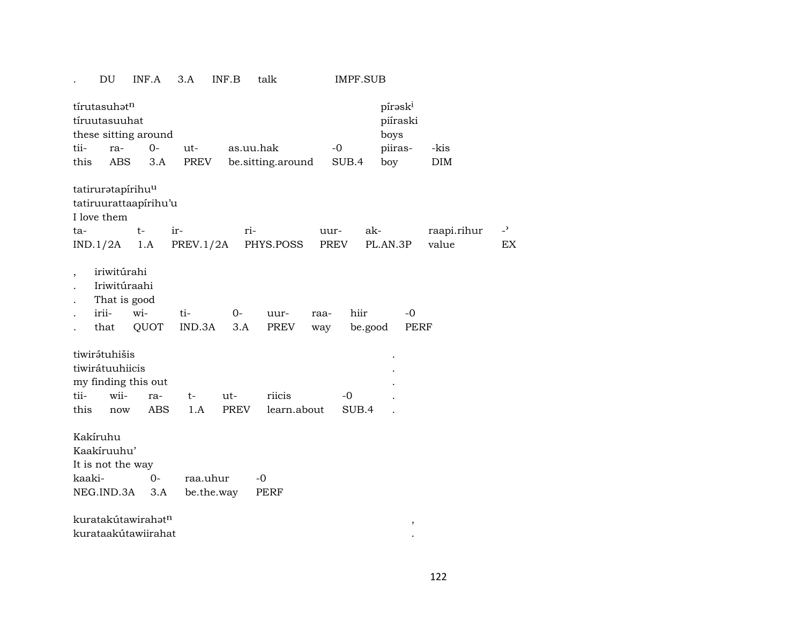. DU INF.A 3.A INF.B talk IMPF.SUB

|                | tírutasuhatn<br>tíruutasuuhat                                | these sitting around                                  |               |             |                   |             |       | pírask <sup>i</sup><br>boys | piíraski            |             |                |
|----------------|--------------------------------------------------------------|-------------------------------------------------------|---------------|-------------|-------------------|-------------|-------|-----------------------------|---------------------|-------------|----------------|
| tii-           | ra-                                                          | $0-$                                                  | ut-           |             | as.uu.hak         |             | $-o$  | piiras-                     |                     | -kis        |                |
| this           | <b>ABS</b>                                                   | 3.A                                                   | PREV          |             | be.sitting.around |             | SUB.4 | boy                         |                     | DIM         |                |
|                | tatiruratapírihu <sup>u</sup><br>I love them                 | tatiruurattaapirihu'u                                 |               |             |                   |             |       |                             |                     |             |                |
| ta-            |                                                              | $t-$                                                  | ir-           | ri-         |                   |             | uur-  | ak-                         |                     | raapi.rihur | $\overline{z}$ |
|                | IND.1/2A                                                     | 1.A                                                   | PREV.1/2A     |             | PHYS.POSS         |             | PREV  | PL.AN.3P                    |                     | value       | EX             |
| $\overline{ }$ | iriwitúrahi<br>Iriwitúraahi<br>That is good<br>irii-<br>that | wi-<br>QUOT                                           | ti-<br>IND.3A | $0-$<br>3.A | uur-<br>PREV      | raa-<br>way | hiir  | be.good                     | $-0$<br><b>PERF</b> |             |                |
|                | tiwirátuhišis<br>tiwirátuuhiicis                             |                                                       |               |             |                   |             |       |                             |                     |             |                |
|                |                                                              | my finding this out                                   |               |             |                   |             |       |                             |                     |             |                |
| tii-           | wii-                                                         | ra-                                                   | $t-$          | ut-         | riicis            |             | $-0$  |                             |                     |             |                |
| this           | now                                                          | ABS                                                   | 1.A           | <b>PREV</b> | learn.about       |             | SUB.4 |                             |                     |             |                |
| Kakíruhu       | Kaakíruuhu'                                                  |                                                       |               |             |                   |             |       |                             |                     |             |                |
|                | It is not the way                                            |                                                       |               |             |                   |             |       |                             |                     |             |                |
| kaaki-         |                                                              | $0 -$                                                 | raa.uhur      |             | $-0$              |             |       |                             |                     |             |                |
|                | NEG.IND.3A                                                   | 3.A                                                   | be.the.way    |             | PERF              |             |       |                             |                     |             |                |
|                |                                                              | kuratakútawirahat <sup>n</sup><br>kurataakútawiirahat |               |             |                   |             |       |                             | $^\mathrm{,}$       |             |                |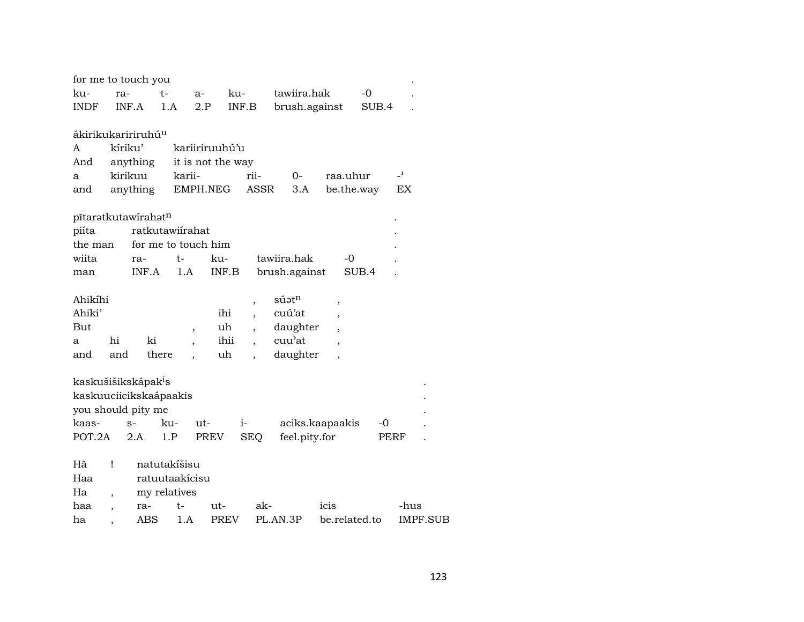| for me to touch you             |                          |          |                 |                                |                          |                      |                          |       |                          |
|---------------------------------|--------------------------|----------|-----------------|--------------------------------|--------------------------|----------------------|--------------------------|-------|--------------------------|
| ku-                             | ra-                      |          | t-              | $a-$                           | ku-                      | tawiira.hak          |                          | $-0$  |                          |
| <b>INDF</b>                     |                          | INF.A    | 1.A             | $2.P$                          | INF.B                    | brush.against        |                          | SUB.4 |                          |
|                                 |                          |          |                 |                                |                          |                      |                          |       |                          |
| ákirikukaririruhú <sup>u</sup>  |                          |          |                 |                                |                          |                      |                          |       |                          |
| A                               | kíriku'                  |          |                 | kariiriruuhú'u                 |                          |                      |                          |       |                          |
| And                             |                          | anything |                 | it is not the way              |                          |                      |                          |       |                          |
| a                               |                          | kirikuu  | karii-          |                                | rii-                     | 0-                   | raa.uhur                 |       | $\overline{\phantom{0}}$ |
| and                             |                          | anything |                 | EMPH.NEG                       | <b>ASSR</b>              | 3.A                  | be.the.way               |       | EX                       |
|                                 |                          |          |                 |                                |                          |                      |                          |       |                          |
| pītaratkutawirahatn             |                          |          |                 |                                |                          |                      |                          |       |                          |
| piíta                           |                          |          | ratkutawiírahat |                                |                          |                      |                          |       |                          |
| the man                         |                          |          |                 | for me to touch him            |                          |                      |                          |       |                          |
| wiita                           |                          | ra-      | t-              | ku-                            |                          | tawiira.hak          | -0                       |       |                          |
| man                             |                          | INF.A    | 1.A             | INF.B                          |                          | brush.against        |                          | SUB.4 |                          |
|                                 |                          |          |                 |                                |                          |                      |                          |       |                          |
| Ahikíhi                         |                          |          |                 |                                | $\overline{\phantom{a}}$ | $s$ úat <sup>n</sup> | $\overline{\phantom{a}}$ |       |                          |
| Ahiki'                          |                          |          |                 | ihi                            |                          | cuú'at               |                          |       |                          |
| But                             |                          |          |                 | uh<br>$\overline{\phantom{a}}$ | $\overline{\phantom{a}}$ | daughter             |                          |       |                          |
| a                               | hi                       | ki       |                 | ihii                           |                          | cuu'at               | $\overline{\phantom{a}}$ |       |                          |
| and                             | and                      |          | there           | uh                             |                          | daughter             |                          |       |                          |
|                                 |                          |          |                 |                                |                          |                      |                          |       |                          |
| kaskušišikskápak <sup>i</sup> s |                          |          |                 |                                |                          |                      |                          |       |                          |
| kaskuuciicikskaápaakis          |                          |          |                 |                                |                          |                      |                          |       |                          |
| you should pity me              |                          |          |                 |                                |                          |                      |                          |       |                          |
| kaas-                           |                          | $S-$     | ku-             | ut-                            | $i-$                     |                      | aciks.kaapaakis          | -0    |                          |
| POT.2A                          |                          | 2.A      | 1.P             | PREV                           | <b>SEQ</b>               | feel.pity.for        |                          |       | PERF                     |
|                                 |                          |          |                 |                                |                          |                      |                          |       |                          |
| Hã                              | Ţ                        |          | natutakíšisu    |                                |                          |                      |                          |       |                          |
| Haa                             |                          |          | ratuutaakícisu  |                                |                          |                      |                          |       |                          |
| Ha                              |                          |          | my relatives    |                                |                          |                      |                          |       |                          |
| haa                             | $\overline{\phantom{a}}$ | ra-      | t-              | ut-                            |                          | ak-                  | icis                     |       | -hus                     |
| ha                              |                          | ABS      | 1.A             | <b>PREV</b>                    |                          | PL.AN.3P             | be.related.to            |       | IMPF.SUB                 |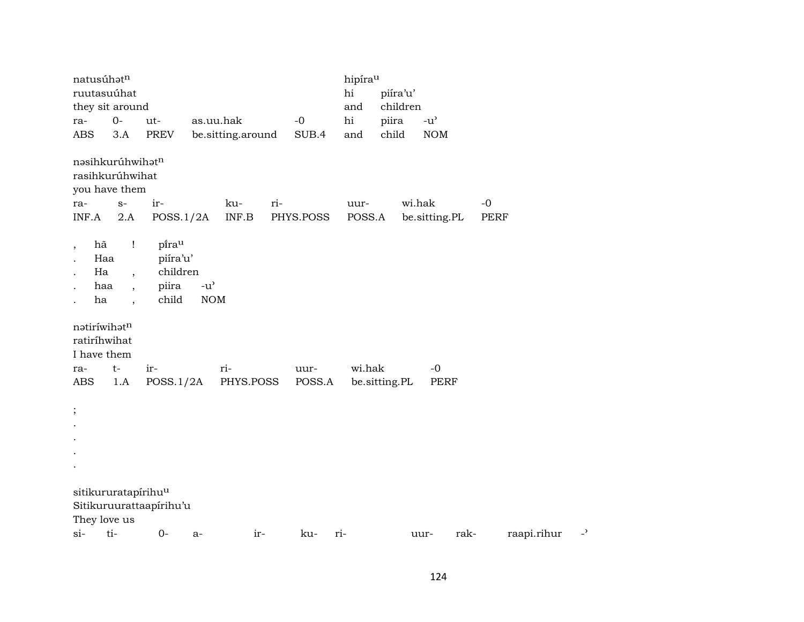| natusúhatn                                 |                                                                                |                                                 |                                                   |                   |     |                | hipírau     |               |          |                                     |      |             |    |
|--------------------------------------------|--------------------------------------------------------------------------------|-------------------------------------------------|---------------------------------------------------|-------------------|-----|----------------|-------------|---------------|----------|-------------------------------------|------|-------------|----|
|                                            | ruutasuúhat                                                                    |                                                 |                                                   |                   |     |                | $\hbox{hi}$ | piíra'u'      |          |                                     |      |             |    |
|                                            | they sit around                                                                |                                                 |                                                   |                   |     |                | and         |               | children |                                     |      |             |    |
| ra-                                        | $O-$                                                                           | ut-                                             |                                                   | as.uu.hak         |     | $-0$           | hi          | piira         |          | $-u$ <sup><math>\prime</math></sup> |      |             |    |
| <b>ABS</b>                                 | 3.A                                                                            | PREV                                            |                                                   | be.sitting.around |     | SUB.4          | and         | child         |          | <b>NOM</b>                          |      |             |    |
|                                            | nəsihkurúhwihətn<br>rasihkurúhwihat<br>you have them                           |                                                 |                                                   |                   |     |                |             |               |          |                                     |      |             |    |
| ra-                                        | $S-$                                                                           | $\operatorname{ir-}$                            |                                                   | ku-               | ri- |                | uur-        |               | wi.hak   |                                     |      | $-0$        |    |
| INF.A                                      | 2.A                                                                            | POSS.1/2A                                       |                                                   | INF.B             |     | PHYS.POSS      | POSS.A      |               |          | be.sitting.PL                       |      | PERF        |    |
| hã<br>$\overline{\phantom{a}}$<br>Ha<br>ha | $\mathbf{I}$<br>Haa<br>$\overline{\phantom{a}}$<br>haa<br>$\ddot{\phantom{0}}$ | pirau<br>piíra'u'<br>children<br>piira<br>child | $-u$ <sup><math>\prime</math></sup><br><b>NOM</b> |                   |     |                |             |               |          |                                     |      |             |    |
| I have them<br>ra-<br>ABS                  | natiríwihatn<br>ratiríhwihat<br>$t-$<br>1.A                                    | ir-<br>POSS.1/2A                                |                                                   | ri-<br>PHYS.POSS  |     | uur-<br>POSS.A | wi.hak      | be.sitting.PL |          | $-0$<br><b>PERF</b>                 |      |             |    |
| $\vdots$                                   |                                                                                |                                                 |                                                   |                   |     |                |             |               |          |                                     |      |             |    |
|                                            |                                                                                |                                                 |                                                   |                   |     |                |             |               |          |                                     |      |             |    |
|                                            | sitikururatapírihu <sup>u</sup><br>They love us                                | Sitikuruurattaapirihu'u                         |                                                   |                   |     |                |             |               |          |                                     |      |             |    |
| $si-$                                      | ti-                                                                            | $0-$                                            | a-                                                | ir-               |     | ku-            | ri-         |               | uur-     |                                     | rak- | raapi.rihur | -, |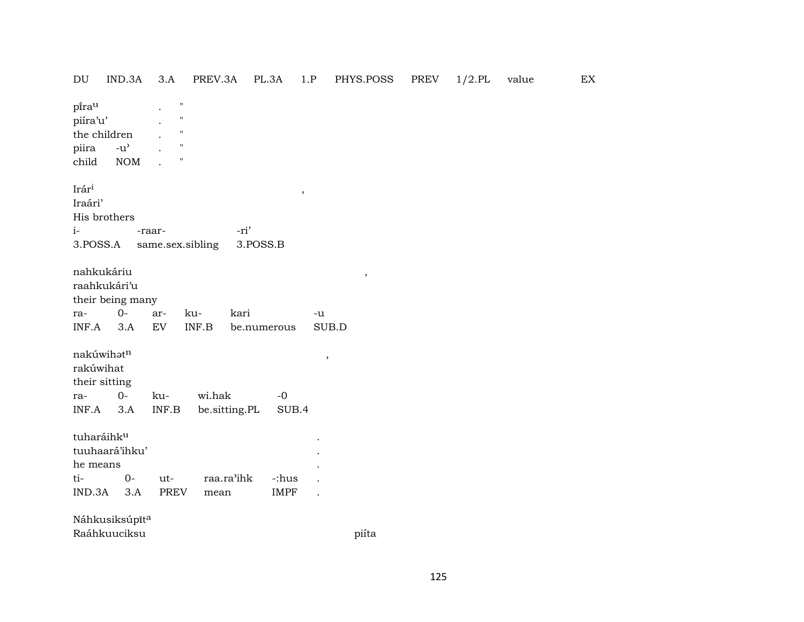DU IND.3A 3.A PREV.3A PL.3A 1.P PHYS.POSS PREV  $1/2$ .PL value EX pirau  $\boldsymbol{\mathsf{H}}$  $\ddot{\phantom{a}}$ piíra'u'  $^{\prime}$ the children  $\bar{\mathbf{u}}$  $\ddot{\phantom{a}}$ piira  $-u^{\prime}$  $\boldsymbol{\mathsf{H}}$ child **NOM**  $^{\prime}$  $\ddot{\phantom{a}}$ Irár<sup>i</sup>  $\overline{\phantom{a}}$ Iraári' His brothers  $i-$ -ri' -raar-3.POSS.A same.sex.sibling 3.POSS.B nahkukáriu  $\, ,$ raahkukári'u their being many  $0$ kuraarkari  $-u$ INF.A  $3.A$ EV INF.B SUB.D be.numerous nakúwihət<sup>n</sup>  $\cdot$ rakúwihat their sitting  $O$ wi.hak raku- $-0$ be.sitting.PL  $INF.A$  3.A  $INF.B$ SUB.4 tuharáihku  $\ddot{\phantom{a}}$ tuuhaará'ihku'  $\overline{a}$ he means  $\ddot{\phantom{a}}$  $O$ tiutraa.ra'ihk -:hus  $\ddot{\phantom{a}}$  $IND.3A$  3.A **PREV** mean **IMPF**  $\ddot{\phantom{a}}$ Náhkusiksúpīta Raáhkuuciksu piíta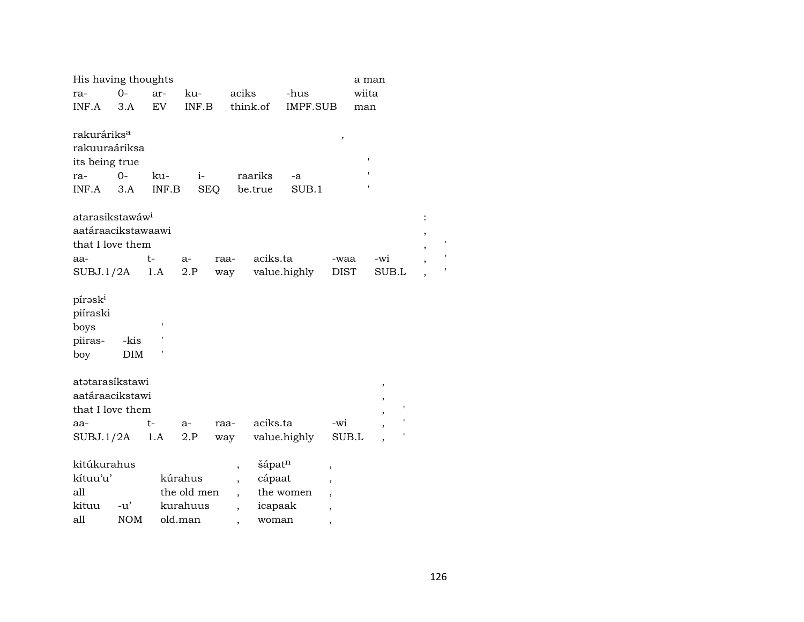| His having thoughts         |            |       |             |                          |                    |                 |                          | a man |                          |                |  |
|-----------------------------|------------|-------|-------------|--------------------------|--------------------|-----------------|--------------------------|-------|--------------------------|----------------|--|
| ra-                         | $O -$      | ar-   | ku-         | aciks                    |                    | -hus            |                          | wiita |                          |                |  |
| INF.A                       | 3.A        | EV    | INF.B       |                          | think.of           | <b>IMPF.SUB</b> |                          | man   |                          |                |  |
|                             |            |       |             |                          |                    |                 |                          |       |                          |                |  |
| rakuráriks <sup>a</sup>     |            |       |             |                          |                    |                 | $\,$                     |       |                          |                |  |
| rakuuraáriksa               |            |       |             |                          |                    |                 |                          |       |                          |                |  |
| its being true              |            |       |             |                          |                    |                 |                          |       |                          |                |  |
| ra-                         | $0-$       | ku-   | $i-$        |                          | raariks            | -a              |                          |       |                          |                |  |
| INF.A                       | 3.A        | INF.B | <b>SEQ</b>  |                          | be.true            | SUB.1           |                          |       |                          |                |  |
|                             |            |       |             |                          |                    |                 |                          |       |                          |                |  |
| atarasikstawáw <sup>i</sup> |            |       |             |                          |                    |                 |                          |       |                          | $\ddot{\cdot}$ |  |
| aatáraacikstawaawi          |            |       |             |                          |                    |                 |                          |       |                          | ,              |  |
| that I love them            |            |       |             |                          |                    |                 |                          |       |                          | ,              |  |
| aa-                         |            | $t-$  | a-          | raa-                     | aciks.ta           |                 | -waa                     |       | -wi                      |                |  |
| SUBJ.1/2A                   |            | 1.A   | 2.P         | way                      |                    | value.highly    | <b>DIST</b>              |       | SUB.L                    |                |  |
|                             |            |       |             |                          |                    |                 |                          |       |                          |                |  |
| pírask <sup>i</sup>         |            |       |             |                          |                    |                 |                          |       |                          |                |  |
| piíraski                    |            |       |             |                          |                    |                 |                          |       |                          |                |  |
| boys                        |            |       |             |                          |                    |                 |                          |       |                          |                |  |
| piiras-                     | -kis       |       |             |                          |                    |                 |                          |       |                          |                |  |
| boy                         | <b>DIM</b> |       |             |                          |                    |                 |                          |       |                          |                |  |
|                             |            |       |             |                          |                    |                 |                          |       |                          |                |  |
| atətarasíkstawi             |            |       |             |                          |                    |                 |                          |       | $^\mathrm{,}$            |                |  |
| aatáraacikstawi             |            |       |             |                          |                    |                 |                          |       | $\overline{\phantom{a}}$ |                |  |
| that I love them            |            |       |             |                          |                    |                 |                          |       |                          |                |  |
| aa-                         |            | $t-$  | $a-$        | raa-                     | aciks.ta           |                 | $-wi$                    |       |                          |                |  |
| SUBJ.1/2A                   |            | 1.A   | 2.P         | way                      |                    | value.highly    | SUB.L                    |       |                          |                |  |
|                             |            |       |             |                          |                    |                 |                          |       |                          |                |  |
| kitúkurahus                 |            |       |             | $\overline{\phantom{a}}$ | šápat <sup>n</sup> |                 | $\overline{\phantom{a}}$ |       |                          |                |  |
| kítuu'u'                    |            |       | kúrahus     | $\overline{\phantom{a}}$ | cápaat             |                 | $\overline{\phantom{a}}$ |       |                          |                |  |
| all                         |            |       | the old men |                          |                    | the women       | $\overline{\phantom{a}}$ |       |                          |                |  |
| kituu                       | $-u'$      |       | kurahuus    | $\overline{\phantom{a}}$ | icapaak            |                 | $\overline{\phantom{a}}$ |       |                          |                |  |
| all                         | <b>NOM</b> |       | old.man     |                          | woman              |                 | ,                        |       |                          |                |  |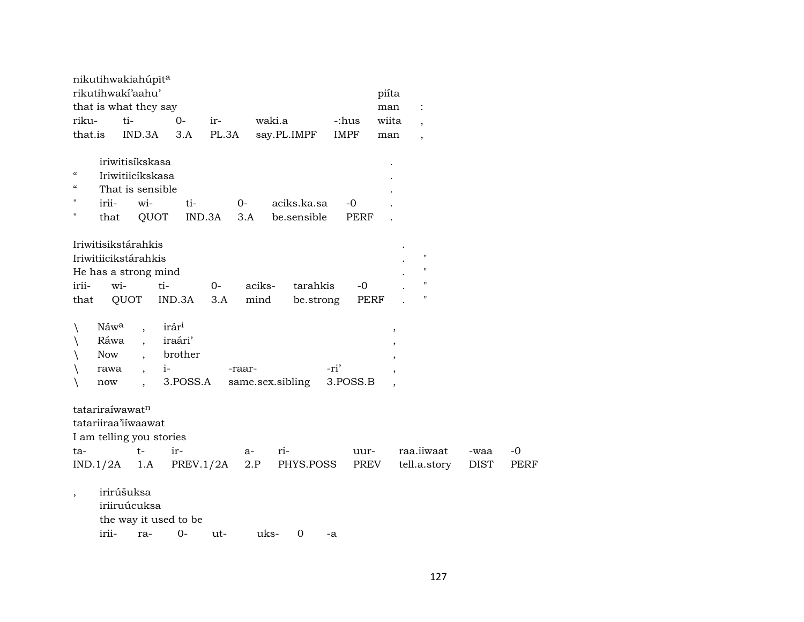|                          | nikutihwakiahúpīta       |                                  |           |               |        |                  |             |             |                    |             |             |
|--------------------------|--------------------------|----------------------------------|-----------|---------------|--------|------------------|-------------|-------------|--------------------|-------------|-------------|
|                          | rikutihwakí'aahu'        |                                  |           |               |        |                  |             | piíta       |                    |             |             |
|                          | that is what they say    |                                  |           |               |        |                  |             | man         | $\ddot{\cdot}$     |             |             |
| riku-                    | ti-                      |                                  | $0-$      | ir-           | waki.a |                  | -:hus       | wiita       | $\cdot$            |             |             |
| that.is                  |                          | IND.3A                           | 3.A       | PL.3A         |        | say.PL.IMPF      | <b>IMPF</b> | man         |                    |             |             |
|                          |                          |                                  |           |               |        |                  |             |             |                    |             |             |
|                          | iriwitisíkskasa          |                                  |           |               |        |                  |             |             |                    |             |             |
| $\mathcal{C}\mathcal{C}$ | Iriwitiicíkskasa         |                                  |           |               |        |                  |             |             |                    |             |             |
| $\mathcal{C}\mathcal{C}$ | That is sensible         |                                  |           |               |        |                  |             |             |                    |             |             |
| 11                       | irii-                    | wi-                              | ti-       | $O-$          |        | aciks.ka.sa      | $-0$        |             |                    |             |             |
|                          | that                     | QUOT                             |           | IND.3A<br>3.A |        | be.sensible      | <b>PERF</b> |             |                    |             |             |
|                          |                          |                                  |           |               |        |                  |             |             |                    |             |             |
|                          | Iriwitisikstárahkis      |                                  |           |               |        |                  |             |             |                    |             |             |
|                          | Iriwitiicikstárahkis     |                                  |           |               |        |                  |             |             | $\pmb{\mathsf{H}}$ |             |             |
|                          | He has a strong mind     |                                  |           |               |        |                  |             |             | "                  |             |             |
| irii-                    | wi-                      | ti-                              |           | $0-$          | aciks- | tarahkis         | $-0$        |             | $\mathbf H$        |             |             |
| that                     | QUOT                     |                                  | IND.3A    | 3.A           | mind   | be.strong        |             | <b>PERF</b> | $\pmb{\mathsf{H}}$ |             |             |
|                          |                          |                                  |           |               |        |                  |             |             |                    |             |             |
| $\setminus$              | Náwa                     | $\ddot{\phantom{0}}$             | irári     |               |        |                  |             | ,           |                    |             |             |
|                          | Ráwa                     |                                  | iraári'   |               |        |                  |             |             | ,                  |             |             |
|                          | Now                      | $\ddot{\phantom{0}}$             | brother   |               |        |                  |             |             |                    |             |             |
|                          | rawa                     | $i-$<br>$\overline{\phantom{a}}$ |           | -raar-        |        |                  | -ri'        |             |                    |             |             |
| $\backslash$             | now                      | $\overline{\phantom{a}}$         | 3.POSS.A  |               |        | same.sex.sibling | 3.POSS.B    |             |                    |             |             |
|                          |                          |                                  |           |               |        |                  |             |             |                    |             |             |
|                          | tatariraíwawatn          |                                  |           |               |        |                  |             |             |                    |             |             |
|                          | tatariiraa'iiwaawat      |                                  |           |               |        |                  |             |             |                    |             |             |
|                          | I am telling you stories |                                  |           |               |        |                  |             |             |                    |             |             |
| ta-                      |                          | $t-$                             | ir-       |               | a-     | ri-              | uur-        |             | raa.iiwaat         | -waa        | $-0$        |
| IND.1/2A                 |                          | 1.A                              | PREV.1/2A |               | 2.P    | PHYS.POSS        |             | PREV        | tell.a.story       | <b>DIST</b> | <b>PERF</b> |
|                          |                          |                                  |           |               |        |                  |             |             |                    |             |             |
| $\overline{\phantom{a}}$ | irirúšuksa               |                                  |           |               |        |                  |             |             |                    |             |             |
|                          | iriiruúcuksa             |                                  |           |               |        |                  |             |             |                    |             |             |
|                          | the way it used to be    |                                  |           |               |        |                  |             |             |                    |             |             |
|                          | irii-                    | ra-                              | $O -$     | ut-           | uks-   | $\mathbf 0$      | -a          |             |                    |             |             |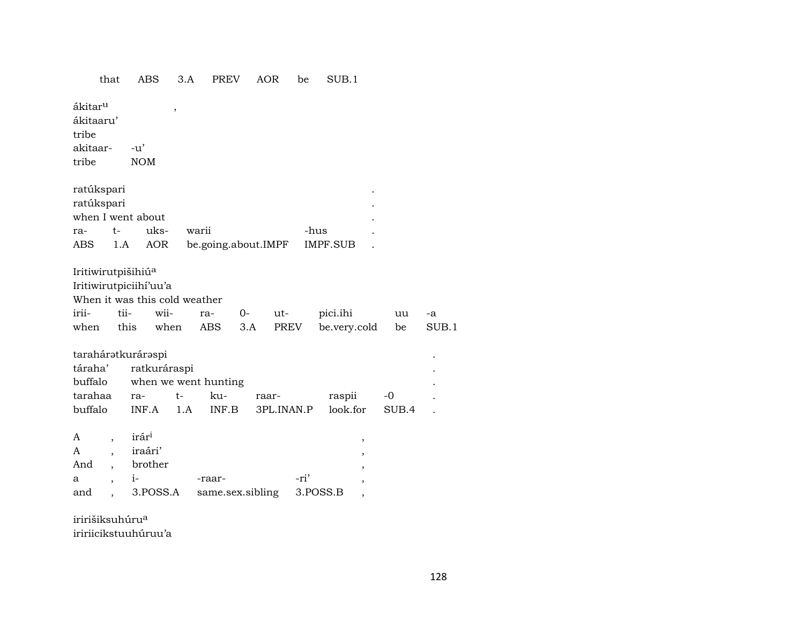#### that **ABS**  $3.A$ PREV AOR be SUB.1 ákitar<sup>u</sup>  $\overline{\phantom{a}}$ ákitaaru' tribe akitaar- $-u'$ tribe **NOM** ratúkspari ratúkspari when I went about  $t$ ukswarii ra--hus AOR be.going.about.IMPF **IMPF.SUB** ABS  $1.A$  $\ddot{\phantom{a}}$ Iritiwirutpišihiú<sup>a</sup> Iritiwirutpiciihí'uu'a When it was this cold weather iriitiiwiipici.ihi ra- $0$ utuu this **ABS**  $3.A$ **PREV** be.very.cold when when be taraháratkuráraspi táraha' ratkuráraspi buffalo when we went hunting ku- $-0$ tarahaa ra $t$ raarraspii buffalo INF.A 1.A INF.B 3PL.INAN.P look.for SUB.4 irár<sup>i</sup>  $\mathbf{A}$  $\overline{\phantom{a}}$  $\overline{\phantom{a}}$ iraári'  $\mathbf{A}$  $\overline{\phantom{a}}$  $\overline{\phantom{a}}$ brother And  $\overline{\phantom{a}}$  $\overline{\phantom{a}}$  $i-$ -ri'  $\mathbf{a}$ -raar-

same.sex.sibling

iririšiksuhúru<sup>a</sup> iririicikstuuhúruu'a

3.POSS.A

 $\overline{\phantom{a}}$ 

and

 $\cdot$ 

 $\overline{\phantom{a}}$ 

3.POSS.B

 $-a$ 

 $SUB.1$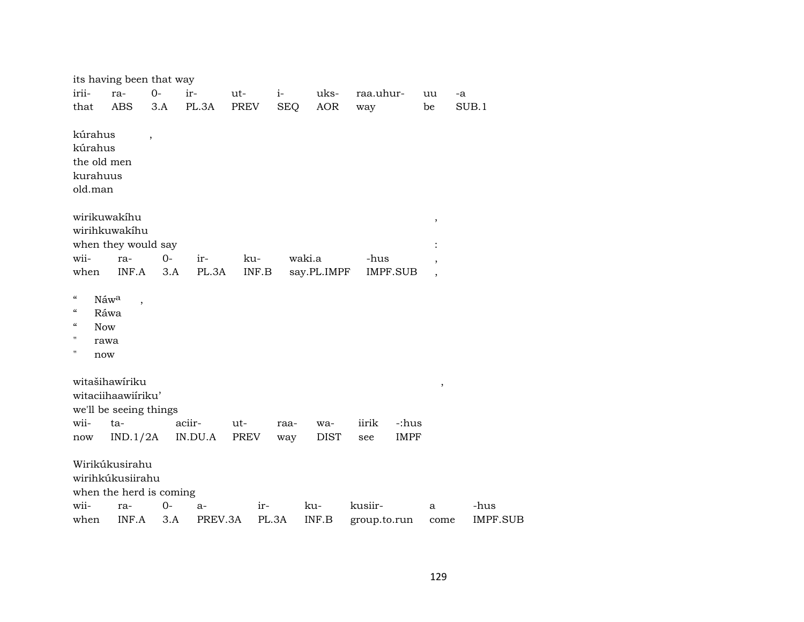|                                                                                                  | its having been that way                                                            |                          |                   |               |            |                    |                               |        |                 |
|--------------------------------------------------------------------------------------------------|-------------------------------------------------------------------------------------|--------------------------|-------------------|---------------|------------|--------------------|-------------------------------|--------|-----------------|
| irii-                                                                                            | ra-                                                                                 | $0-$                     | ir-               | ut-           | $i-$       | uks-               | raa.uhur-                     | uu     | -a              |
| that                                                                                             | <b>ABS</b>                                                                          | 3.A                      | PL.3A             | PREV          | <b>SEQ</b> | <b>AOR</b>         | way                           | be     | SUB.1           |
| kúrahus<br>kúrahus<br>kurahuus<br>old.man                                                        | the old men                                                                         | $\overline{\phantom{a}}$ |                   |               |            |                    |                               |        |                 |
|                                                                                                  | wirikuwakihu                                                                        |                          |                   |               |            |                    |                               | $\,$   |                 |
|                                                                                                  | wirihkuwakihu                                                                       |                          |                   |               |            |                    |                               |        |                 |
|                                                                                                  | when they would say                                                                 |                          |                   |               |            |                    |                               |        |                 |
| wii-                                                                                             | ra-                                                                                 | $0-$                     | ir-               | ku-           |            | waki.a             | -hus                          |        |                 |
| when                                                                                             | INF.A                                                                               | 3.A                      | PL.3A             | INF.B         |            | say.PL.IMPF        | <b>IMPF.SUB</b>               |        |                 |
| $\mathcal{C}\mathcal{C}$<br>$\mathcal{C}$<br>$\mathcal{C}$<br>$\mathbf{H}$<br>$\pmb{\mathsf{H}}$ | Náw <sup>a</sup><br>Ráwa<br><b>Now</b><br>rawa<br>now                               |                          |                   |               |            |                    |                               |        |                 |
| wii-                                                                                             | witašihawíriku<br>witaciihaawiiriku'<br>we'll be seeing things<br>$ta-$<br>IND.1/2A |                          | aciir-<br>IN.DU.A | $ut-$<br>PREV | raa-       | wa-<br><b>DIST</b> | iirik<br>-:hus<br><b>IMPF</b> | $\, ,$ |                 |
| now                                                                                              |                                                                                     |                          |                   |               | way        |                    | see                           |        |                 |
|                                                                                                  | Wirikúkusirahu<br>wirihkúkusiirahu<br>when the herd is coming                       |                          |                   |               |            |                    |                               |        |                 |
| wii-                                                                                             | ra-                                                                                 | $0-$                     | a-                | $ir-$         |            | ku-                | kusiir-                       | a      | -hus            |
| when                                                                                             | INF.A                                                                               | 3.A                      | PREV.3A           | PL.3A         |            | INF.B              | group.to.run                  | come   | <b>IMPF.SUB</b> |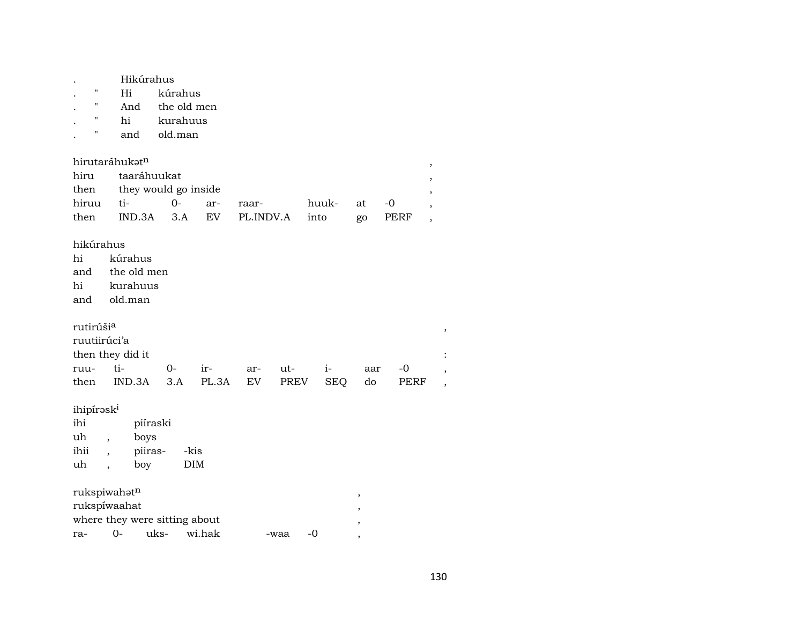| $\pmb{\mathsf{H}}$<br>"<br>11<br>$\pmb{\mathsf{H}}$       | Hi<br>And<br>hi<br>and                                                           | Hikúrahus<br>kúrahus<br>old.man    | the old men<br>kurahuus |           |      |            |     |      |      |
|-----------------------------------------------------------|----------------------------------------------------------------------------------|------------------------------------|-------------------------|-----------|------|------------|-----|------|------|
| hirutaráhukatn                                            |                                                                                  |                                    |                         |           |      |            |     |      | $\,$ |
| hiru                                                      |                                                                                  | taaráhuukat                        |                         |           |      |            |     |      | ,    |
| then                                                      |                                                                                  |                                    | they would go inside    |           |      |            |     |      | ,    |
| hiruu                                                     | ti-                                                                              | $0-$                               | ar-                     | raar-     |      | huuk-      | at  | -0   | ,    |
| then                                                      | IND.3A                                                                           |                                    | <b>EV</b><br>3.A        | PL.INDV.A |      | into       | go  | PERF | ,    |
| hikúrahus<br>hi<br>and<br>hi<br>and                       | kúrahus<br>kurahuus<br>old.man                                                   | the old men                        |                         |           |      |            |     |      |      |
| rutirúši <sup>a</sup><br>ruutiirúci'a<br>then they did it |                                                                                  |                                    |                         |           |      |            |     |      | ,    |
| ruu-                                                      | ti-                                                                              | $0-$                               | ir-                     | ar-       | ut-  | $i-$       | aar | -0   |      |
| then                                                      | IND.3A                                                                           | 3.A                                | PL.3A                   | EV        | PREV | <b>SEQ</b> | do  | PERF |      |
| ihipíraski<br>ihi<br>uh<br>ihii<br>uh                     | $\overline{\phantom{a}}$<br>$\overline{\phantom{a}}$<br>$\overline{\phantom{a}}$ | piíraski<br>boys<br>piiras-<br>boy | -kis<br><b>DIM</b>      |           |      |            |     |      |      |
| rukspiwahatn                                              |                                                                                  |                                    |                         |           |      |            |     |      |      |
| rukspíwaahat                                              |                                                                                  |                                    |                         |           |      |            | ,   |      |      |
|                                                           |                                                                                  | where they were sitting about      |                         |           |      |            |     |      |      |
| ra-                                                       | $0 -$                                                                            | uks-                               | wi.hak                  |           | -waa | $-0$       |     |      |      |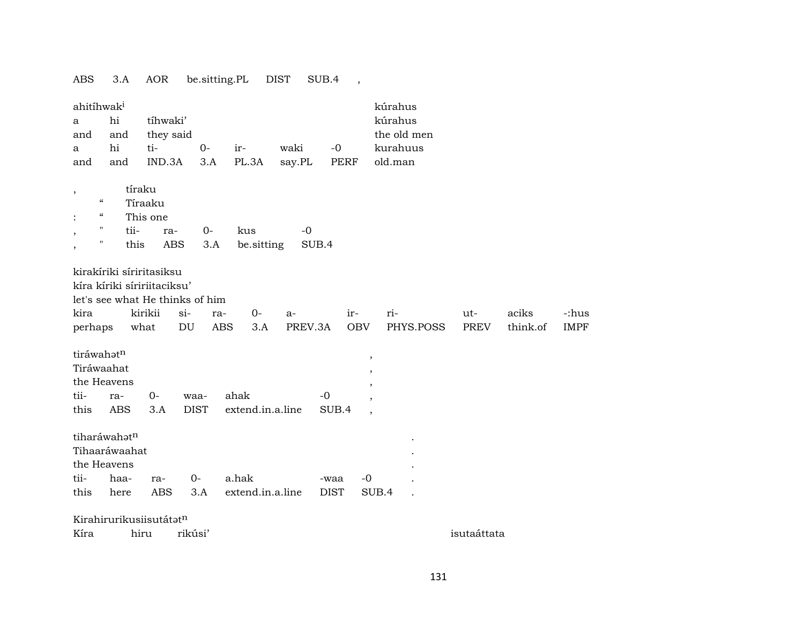ABS 3.A AOR be.sitting.PL DIST SUB.4 , ahitíhwak<sup>i</sup> kúrahus a hi tíhwaki' kúrahus and and they said the old men a hi ti- 0- ir- waki -0 kurahuus and and IND.3A 3.A PL.3A say.PL PERF old.man , tíraku " Tíraaku : " This one , " tii- ra- 0- kus -0 , " this ABS 3.A be.sitting SUB.4 kirakíriki síriritasiksu kíra kíriki síririitaciksu' let's see what He thinks of him kira kirikii si- ra- 0- a- ir- ri- ut- aciks -:hus perhaps what DU ABS 3.A PREV.3A OBV PHYS.POSS PREV think.of IMPF  $\text{tráwahət}^{\text{n}}$  , Tiráwaahat , the Heavens , tii- ra- 0- waa- ahak -0 , this ABS 3.A DIST extend.in.a.line SUB.4 tiharáwahat<sup>n</sup> Tihaaráwaahat . the Heavens tii- haa- ra- 0- a.hak -waa -0 . this here ABS 3.A extend.in.a.line DIST SUB.4 . Kirahirurikusiisutátat<sup>n</sup> Kíra hiru rikúsi' isutaáttata hiru rikúsi'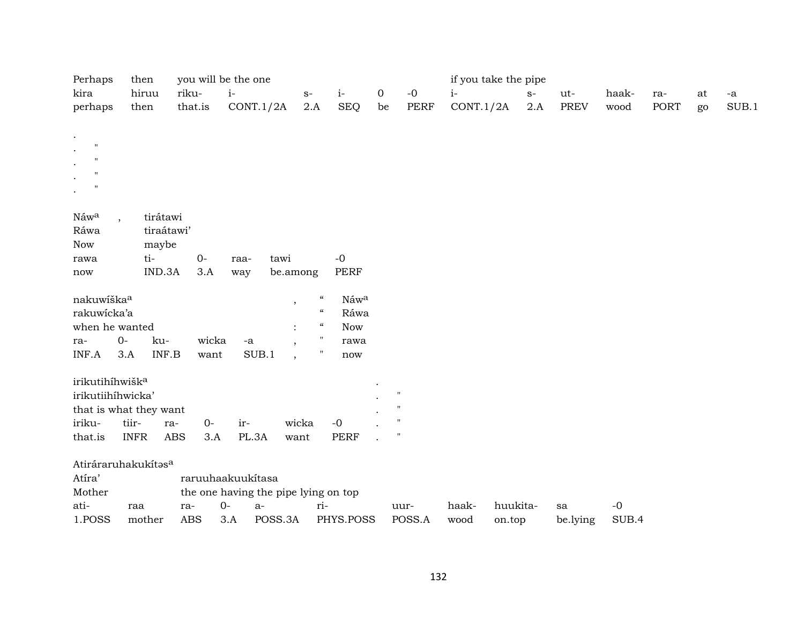| Perhaps<br>you will be the one<br>if you take the pipe<br>then |             |            |            |       |                   |         |                |                                        |    |                           |           |          |       |             |       |             |    |       |
|----------------------------------------------------------------|-------------|------------|------------|-------|-------------------|---------|----------------|----------------------------------------|----|---------------------------|-----------|----------|-------|-------------|-------|-------------|----|-------|
| kira                                                           |             | hiruu      | riku-      |       | $i-$              |         | $\mathbf{S}^-$ | $i-$                                   | 0  | $-0$                      | $i-$      |          | $S-$  | ut-         | haak- | ra-         | at | - $a$ |
| perhaps                                                        |             | then       | that.is    |       | CONT.1/2A         |         | 2.A            | SEQ                                    | be | PERF                      | CONT.1/2A |          | $2.A$ | <b>PREV</b> | wood  | <b>PORT</b> | go | SUB.1 |
| $\cdot$                                                        |             |            |            |       |                   |         |                |                                        |    |                           |           |          |       |             |       |             |    |       |
| $\mathbf{H}$<br>$\cdot$                                        |             |            |            |       |                   |         |                |                                        |    |                           |           |          |       |             |       |             |    |       |
| $^{\prime}$<br>$\ddot{\phantom{0}}$                            |             |            |            |       |                   |         |                |                                        |    |                           |           |          |       |             |       |             |    |       |
| $\mathbf{H}$<br>$\ddot{\phantom{0}}$                           |             |            |            |       |                   |         |                |                                        |    |                           |           |          |       |             |       |             |    |       |
| $^{\prime}$<br>$\bullet$                                       |             |            |            |       |                   |         |                |                                        |    |                           |           |          |       |             |       |             |    |       |
|                                                                |             |            |            |       |                   |         |                |                                        |    |                           |           |          |       |             |       |             |    |       |
| Náwa                                                           |             | tirátawi   |            |       |                   |         |                |                                        |    |                           |           |          |       |             |       |             |    |       |
| Ráwa                                                           |             | tiraátawi' |            |       |                   |         |                |                                        |    |                           |           |          |       |             |       |             |    |       |
| Now                                                            |             | maybe      |            |       |                   |         |                |                                        |    |                           |           |          |       |             |       |             |    |       |
| rawa                                                           |             | ti-        |            | $0-$  | raa-              | tawi    |                | $-0$                                   |    |                           |           |          |       |             |       |             |    |       |
| now                                                            |             | IND.3A     |            | 3.A   | way               |         | be.among       | <b>PERF</b>                            |    |                           |           |          |       |             |       |             |    |       |
| nakuwíška <sup>a</sup>                                         |             |            |            |       |                   |         | $\, ,$         | $\boldsymbol{\mathcal{C}}$<br>Náwa     |    |                           |           |          |       |             |       |             |    |       |
| rakuwicka'a                                                    |             |            |            |       |                   |         |                | $\mathcal{C}\mathcal{C}$<br>Ráwa       |    |                           |           |          |       |             |       |             |    |       |
| when he wanted                                                 |             |            |            |       |                   |         | $\ddot{\cdot}$ | $\mathcal{C}\mathcal{C}$<br><b>Now</b> |    |                           |           |          |       |             |       |             |    |       |
| ra-                                                            | $O -$       | ku-        |            | wicka | $\mbox{-a}$       |         |                | $^{\prime}$<br>rawa                    |    |                           |           |          |       |             |       |             |    |       |
| INF.A                                                          | 3.A         | INF.B      |            | want  | SUB.1             |         | $\cdot$        | H<br>$\operatorname{now}$              |    |                           |           |          |       |             |       |             |    |       |
| irikutihíhwišk <sup>a</sup>                                    |             |            |            |       |                   |         |                |                                        |    |                           |           |          |       |             |       |             |    |       |
| irikutiihíhwicka'                                              |             |            |            |       |                   |         |                |                                        |    |                           |           |          |       |             |       |             |    |       |
| that is what they want                                         |             |            |            |       |                   |         |                |                                        |    |                           |           |          |       |             |       |             |    |       |
| iriku-                                                         | tiir-       | ra-        |            | $0-$  | ir-               |         | wicka          | $-0$                                   |    | $^{\prime}$               |           |          |       |             |       |             |    |       |
| that.is                                                        | <b>INFR</b> |            | ABS        | 3.A   | PL.3A             |         | want           | <b>PERF</b>                            |    | $\boldsymbol{\mathsf{H}}$ |           |          |       |             |       |             |    |       |
|                                                                |             |            |            |       |                   |         |                |                                        |    |                           |           |          |       |             |       |             |    |       |
| Atiráraruhakukítasa                                            |             |            |            |       |                   |         |                |                                        |    |                           |           |          |       |             |       |             |    |       |
| Atíra'                                                         |             |            |            |       | raruuhaakuukítasa |         |                |                                        |    |                           |           |          |       |             |       |             |    |       |
| Mother                                                         |             |            |            |       |                   |         |                | the one having the pipe lying on top   |    |                           |           |          |       |             |       |             |    |       |
| ati-                                                           | raa         |            | ra-        | $0-$  | $a-$              |         |                | ri-                                    |    | uur-                      | haak-     | huukita- |       | sa          | $-0$  |             |    |       |
| 1.POSS                                                         |             | mother     | <b>ABS</b> |       | 3.A               | POSS.3A |                | PHYS.POSS                              |    | POSS.A                    | wood      | on.top   |       | be.lying    | SUB.4 |             |    |       |
|                                                                |             |            |            |       |                   |         |                |                                        |    |                           |           |          |       |             |       |             |    |       |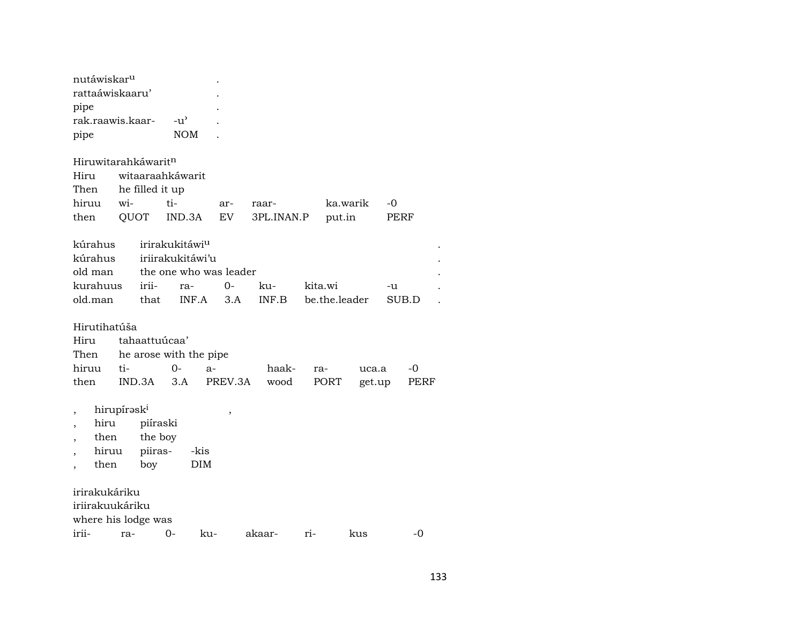| nutáwiskar <sup>u</sup> |                    |  |
|-------------------------|--------------------|--|
| rattaáwiskaaru'         |                    |  |
| pipe                    |                    |  |
| rak raawis kaar-        | $-11$ <sup>2</sup> |  |
| pipe                    | NOM                |  |
|                         |                    |  |

| Hiruwitarahkáwarit <sup>n</sup> |  |                       |  |                                            |             |  |  |  |  |  |  |
|---------------------------------|--|-----------------------|--|--------------------------------------------|-------------|--|--|--|--|--|--|
|                                 |  | Hiru witaaraahkáwarit |  |                                            |             |  |  |  |  |  |  |
|                                 |  | Then he filled it up  |  |                                            |             |  |  |  |  |  |  |
|                                 |  | hiruu wi- ti- ar-     |  | raar-                                      | ka.warik -0 |  |  |  |  |  |  |
|                                 |  |                       |  | then QUOT IND.3A EV 3PL.INAN.P put.in PERF |             |  |  |  |  |  |  |

| kúrahus irirakukitáwi <sup>u</sup> |  |  |                                                  |       |  |
|------------------------------------|--|--|--------------------------------------------------|-------|--|
| kúrahus iriirakukitáwi'u           |  |  |                                                  |       |  |
| old man the one who was leader     |  |  |                                                  |       |  |
| kurahuus irii- ra- 0- ku-          |  |  | kita.wi                                          | $-11$ |  |
|                                    |  |  | old.man that INF.A 3.A INF.B be.the.leader SUB.D |       |  |

# Hirutihatúša

| Hiru tahaattuúcaa'          |  |                                                                |  |  |  |  |  |  |  |
|-----------------------------|--|----------------------------------------------------------------|--|--|--|--|--|--|--|
| Then he arose with the pipe |  |                                                                |  |  |  |  |  |  |  |
|                             |  | hiruu ti-        0-    a-        haak-   ra-      uca.a     -0 |  |  |  |  |  |  |  |
|                             |  | then IND.3A 3.A PREV.3A wood PORT get.up PERF                  |  |  |  |  |  |  |  |

- 
- , hirupírəsk<sup>i</sup> , ,<br>, hiru piíraski , , hiru piíraski
- , then the boy
- , hiruu piiras- -kis
- , then boy DIM

irirakukáriku iriirakuukáriku where his lodge was irii- ra- 0- ku- akaar- ri- kus -0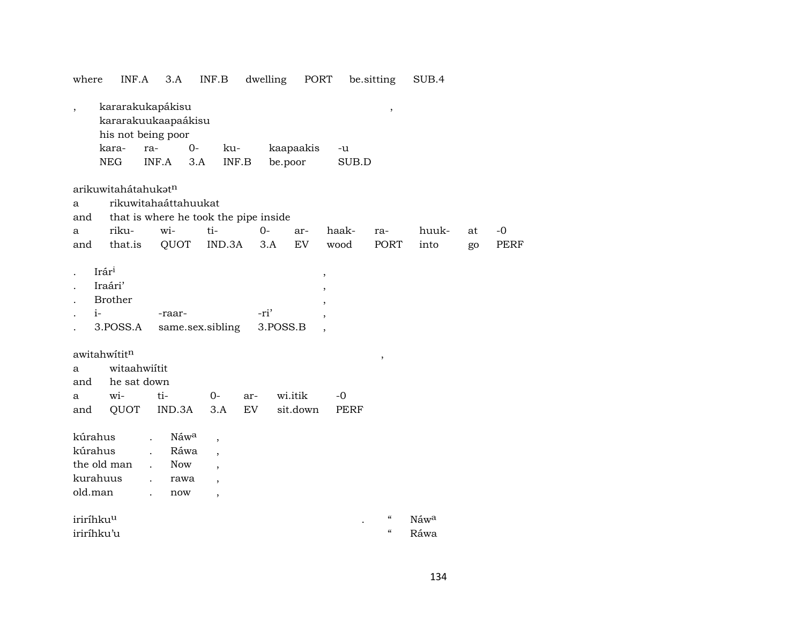| where                                                    | INF.A                                                                                                                                                                                                                                                                  | 3.A                                                                           | INF.B                                                                                                                                                            | dwelling                  | PORT                 |                                                           | be sitting                                                                       | SUB.4        |  |  |  |  |  |
|----------------------------------------------------------|------------------------------------------------------------------------------------------------------------------------------------------------------------------------------------------------------------------------------------------------------------------------|-------------------------------------------------------------------------------|------------------------------------------------------------------------------------------------------------------------------------------------------------------|---------------------------|----------------------|-----------------------------------------------------------|----------------------------------------------------------------------------------|--------------|--|--|--|--|--|
| $\overline{\phantom{a}}$                                 | kara-<br><b>NEG</b>                                                                                                                                                                                                                                                    | kararakukapákisu<br>kararakuukaapaákisu<br>his not being poor<br>ra-<br>INF.A | $0-$<br>ku-<br>3.A                                                                                                                                               | $\textsf{INF}.\textsf{B}$ | kaapaakis<br>be.poor | -u<br>SUB.D                                               | $\,$                                                                             |              |  |  |  |  |  |
| a<br>and<br>a<br>and                                     | arikuwitahátahukatn<br>rikuwitahaáttahuukat<br>that is where he took the pipe inside<br>wi-<br>ti-<br>riku-<br>$0-$<br>haak-<br>huuk-<br>$-0$<br>ar-<br>at<br>ra-<br><b>EV</b><br>QUOT<br>IND.3A<br><b>PORT</b><br>that.is<br>wood<br>into<br><b>PERF</b><br>3.A<br>go |                                                                               |                                                                                                                                                                  |                           |                      |                                                           |                                                                                  |              |  |  |  |  |  |
| Irári<br>$i-$                                            | Iraári'<br><b>Brother</b><br>3.POSS.A                                                                                                                                                                                                                                  | -raar-                                                                        | same.sex.sibling                                                                                                                                                 | -ri'                      | 3.POSS.B             | ,<br>$\overline{\phantom{a}}$<br>$\overline{\phantom{a}}$ |                                                                                  |              |  |  |  |  |  |
| awitahwititn<br>a<br>and<br>a<br>and                     | witaahwiitit<br>he sat down<br>wi-<br>QUOT                                                                                                                                                                                                                             | ti-<br>IND.3A                                                                 | $0-$<br>3.A                                                                                                                                                      | ar-<br>EV                 | wi.itik<br>sit.down  | $-0$<br><b>PERF</b>                                       | ,                                                                                |              |  |  |  |  |  |
| kúrahus<br>kúrahus<br>the old man<br>kurahuus<br>old.man |                                                                                                                                                                                                                                                                        | $\cdot$<br><b>Now</b><br>$\ddot{\phantom{a}}$<br>$\ddot{\phantom{a}}$<br>now  | Náwa<br>$\overline{\phantom{a}}$<br>Ráwa<br>$\overline{\phantom{a}}$<br>$\overline{\phantom{a}}$<br>rawa<br>$\overline{\phantom{a}}$<br>$\overline{\phantom{a}}$ |                           |                      |                                                           |                                                                                  |              |  |  |  |  |  |
| iriríhku <sup>u</sup><br>iriríhku'u                      |                                                                                                                                                                                                                                                                        |                                                                               |                                                                                                                                                                  |                           |                      |                                                           | $\boldsymbol{\zeta}\boldsymbol{\zeta}$<br>$\boldsymbol{\zeta}\boldsymbol{\zeta}$ | Náwa<br>Ráwa |  |  |  |  |  |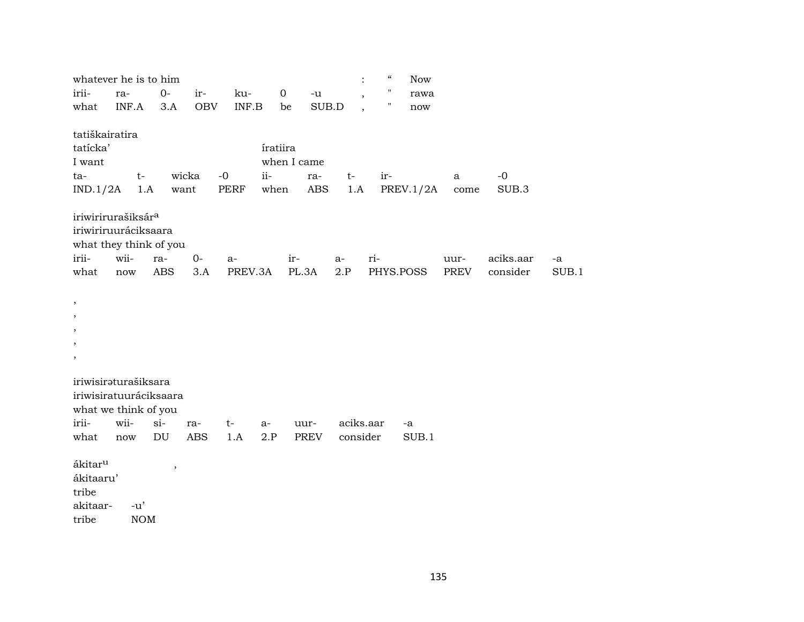|                     | whatever he is to him          |               |            |         |              |             | $\ddot{\cdot}$           | $\boldsymbol{\varsigma}\boldsymbol{\varsigma}$ | Now       |      |           |       |
|---------------------|--------------------------------|---------------|------------|---------|--------------|-------------|--------------------------|------------------------------------------------|-----------|------|-----------|-------|
| irii-               | ra-                            | $0-$          | ir-        | ku-     | $\mathbf{O}$ | $-u$        | $\overline{\phantom{a}}$ | $\pmb{\mathsf{H}}$                             | rawa      |      |           |       |
| what                | INF.A                          | 3.A           | <b>OBV</b> | INF.B   | be           | SUB.D       | $\overline{\phantom{a}}$ |                                                | now       |      |           |       |
|                     |                                |               |            |         |              |             |                          |                                                |           |      |           |       |
| tatiškairatira      |                                |               |            |         |              |             |                          |                                                |           |      |           |       |
| tatícka'            |                                |               |            |         | íratiira     |             |                          |                                                |           |      |           |       |
| I want              |                                |               |            |         |              | when I came |                          |                                                |           |      |           |       |
| ta-                 | $t-$                           |               | wicka      | $-0$    | $ii-$        | ra-         | $t-$                     | ir-                                            |           | a    | $-0$      |       |
| IND.1/2A            | 1.A                            | want          |            | PERF    | when         | <b>ABS</b>  | 1.A                      |                                                | PREV.1/2A | come | SUB.3     |       |
|                     | iriwirirurašiksár <sup>a</sup> |               |            |         |              |             |                          |                                                |           |      |           |       |
|                     | iriwiriruuráciksaara           |               |            |         |              |             |                          |                                                |           |      |           |       |
|                     | what they think of you         |               |            |         |              |             |                          |                                                |           |      |           |       |
| irii-               | wii-                           | ra-           | $0-$       | $a-$    |              | ir-         | $a-$                     | ri-                                            |           | uur- | aciks.aar | -a    |
| what                | $\operatorname{now}$           | ABS           | 3.A        | PREV.3A |              | PL.3A       | 2.P                      | PHYS.POSS                                      |           | PREV | consider  | SUB.1 |
|                     |                                |               |            |         |              |             |                          |                                                |           |      |           |       |
| $\, ,$              |                                |               |            |         |              |             |                          |                                                |           |      |           |       |
|                     |                                |               |            |         |              |             |                          |                                                |           |      |           |       |
|                     |                                |               |            |         |              |             |                          |                                                |           |      |           |       |
| $\cdot$             |                                |               |            |         |              |             |                          |                                                |           |      |           |       |
| $\,$                |                                |               |            |         |              |             |                          |                                                |           |      |           |       |
|                     | iriwisiraturašiksara           |               |            |         |              |             |                          |                                                |           |      |           |       |
|                     | iriwisiratuuráciksaara         |               |            |         |              |             |                          |                                                |           |      |           |       |
|                     | what we think of you           |               |            |         |              |             |                          |                                                |           |      |           |       |
| irii-               | wii-                           | $si-$         | ra-        | $t-$    | a-           | uur-        | aciks.aar                |                                                | -a        |      |           |       |
| what                | now                            | DU            | <b>ABS</b> | 1.A     | 2.P          | <b>PREV</b> | consider                 |                                                | SUB.1     |      |           |       |
|                     |                                |               |            |         |              |             |                          |                                                |           |      |           |       |
| ákitar <sup>u</sup> |                                | $^\mathrm{,}$ |            |         |              |             |                          |                                                |           |      |           |       |
| ákitaaru'           |                                |               |            |         |              |             |                          |                                                |           |      |           |       |
| tribe               |                                |               |            |         |              |             |                          |                                                |           |      |           |       |
| akitaar-            | $-u'$                          |               |            |         |              |             |                          |                                                |           |      |           |       |
| tribe               | $\rm{NOM}$                     |               |            |         |              |             |                          |                                                |           |      |           |       |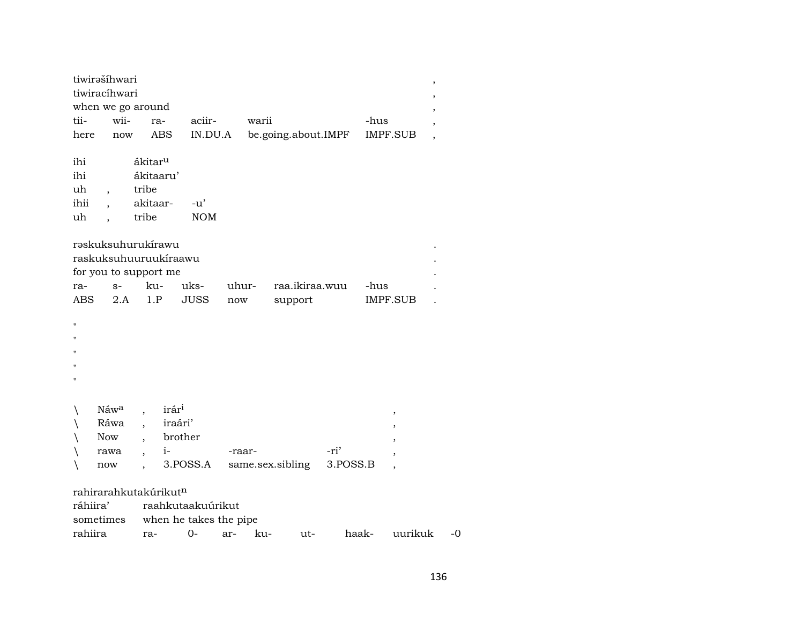| tiwirašíhwari  |                                                                      |                     |                        |        |       |                     |          |      |                 | ,              |
|----------------|----------------------------------------------------------------------|---------------------|------------------------|--------|-------|---------------------|----------|------|-----------------|----------------|
| tiwiracíhwari  |                                                                      |                     |                        |        |       |                     |          |      |                 | ,              |
|                | when we go around                                                    |                     |                        |        |       |                     |          |      |                 |                |
| tii-           | wii-                                                                 | ra-                 | aciir-                 |        | warii |                     |          | -hus |                 | $\overline{ }$ |
| here           | now                                                                  | ABS                 | IN.DU.A                |        |       | be.going.about.IMPF |          |      | <b>IMPF.SUB</b> |                |
| ihi            |                                                                      | ákitar <sup>u</sup> |                        |        |       |                     |          |      |                 |                |
| ihi            |                                                                      | ákitaaru'           |                        |        |       |                     |          |      |                 |                |
| uh             | tribe                                                                |                     |                        |        |       |                     |          |      |                 |                |
| ihii           |                                                                      | akitaar-            | $-u^{\prime}$          |        |       |                     |          |      |                 |                |
| uh             | tribe                                                                |                     | <b>NOM</b>             |        |       |                     |          |      |                 |                |
|                |                                                                      |                     |                        |        |       |                     |          |      |                 |                |
|                | rəskuksuhurukirawu<br>raskuksuhuuruukíraawu<br>for you to support me |                     |                        |        |       |                     |          |      |                 |                |
| ra-            | $S-$                                                                 | ku-                 | uks-                   | uhur-  |       | raa.ikiraa.wuu      |          | -hus |                 |                |
| <b>ABS</b>     | 2.A                                                                  | 1.P                 | <b>JUSS</b>            | now    |       | support             |          |      | IMPF.SUB        |                |
|                |                                                                      |                     |                        |        |       |                     |          |      |                 |                |
| Ħ              |                                                                      |                     |                        |        |       |                     |          |      |                 |                |
| 11             |                                                                      |                     |                        |        |       |                     |          |      |                 |                |
| $\blacksquare$ |                                                                      |                     |                        |        |       |                     |          |      |                 |                |
| $^{\prime}$    |                                                                      |                     |                        |        |       |                     |          |      |                 |                |
| 11             |                                                                      |                     |                        |        |       |                     |          |      |                 |                |
|                |                                                                      |                     |                        |        |       |                     |          |      |                 |                |
|                | Náw <sup>a</sup>                                                     | irár <sup>i</sup>   |                        |        |       |                     |          |      | $\, ,$          |                |
|                | Ráwa                                                                 | iraári'             |                        |        |       |                     |          |      |                 |                |
|                | Now                                                                  | brother             |                        |        |       |                     |          |      |                 |                |
|                | rawa<br>$\overline{\phantom{a}}$                                     | $i-$                |                        | -raar- |       |                     | -ri'     |      |                 |                |
|                | now                                                                  |                     | 3.POSS.A               |        |       | same.sex.sibling    | 3.POSS.B |      |                 |                |
|                |                                                                      |                     |                        |        |       |                     |          |      |                 |                |
|                | rahirarahkutakúrikutn                                                |                     |                        |        |       |                     |          |      |                 |                |
| ráhiira'       |                                                                      |                     | raahkutaakuúrikut      |        |       |                     |          |      |                 |                |
| sometimes      |                                                                      |                     | when he takes the pipe |        |       |                     |          |      |                 |                |

rahiira ra- 0- ar- ku- ut- haak- uurikuk -0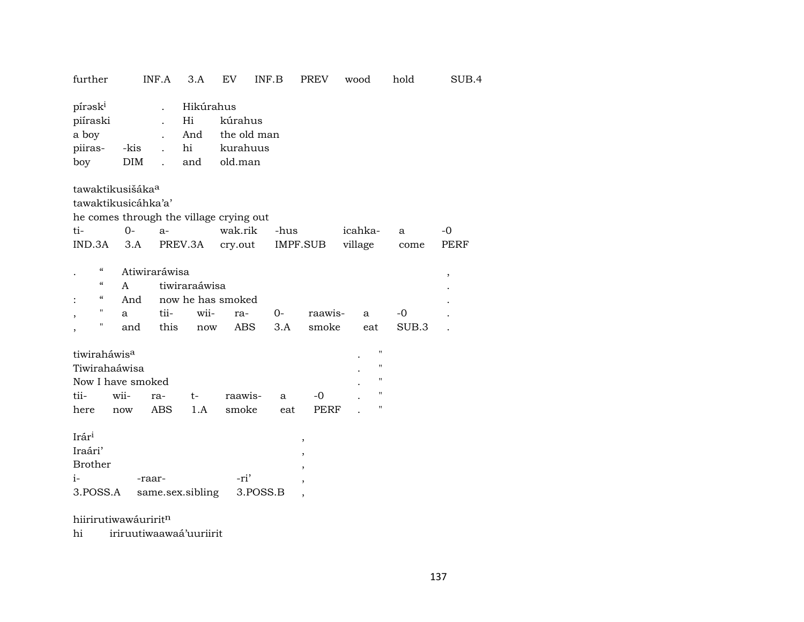| further                                                                                                                             |                                       | INF.A                | 3.A                                 | EV                                            | INF.B       | <b>PREV</b>                                                                | wood                                                           | hold        | SUB.4                   |  |  |
|-------------------------------------------------------------------------------------------------------------------------------------|---------------------------------------|----------------------|-------------------------------------|-----------------------------------------------|-------------|----------------------------------------------------------------------------|----------------------------------------------------------------|-------------|-------------------------|--|--|
| pírask <sup>i</sup><br>piíraski<br>a boy<br>piiras-<br>boy                                                                          | -kis<br><b>DIM</b>                    | $\ddot{\phantom{a}}$ | Hikúrahus<br>Hi<br>And<br>hi<br>and | kúrahus<br>the old man<br>kurahuus<br>old.man |             |                                                                            |                                                                |             |                         |  |  |
| tawaktikusišáka <sup>a</sup><br>tawaktikusicáhka'a'<br>he comes through the village crying out                                      |                                       |                      |                                     |                                               |             |                                                                            |                                                                |             |                         |  |  |
| ti-                                                                                                                                 | $0-$                                  | $a-$                 |                                     | wak.rik                                       | -hus        |                                                                            | icahka-                                                        | a           | $-0$                    |  |  |
| IND.3A                                                                                                                              | 3.A                                   |                      | PREV.3A                             | cry.out                                       |             | IMPF.SUB                                                                   | village                                                        | come        | PERF                    |  |  |
| $\boldsymbol{\varsigma} \boldsymbol{\varsigma}$<br>$\boldsymbol{\zeta}\boldsymbol{\zeta}$<br>$\epsilon$<br>$\pmb{\mathsf{H}}$<br>11 | Atiwiraráwisa<br>A<br>And<br>a<br>and | tii-<br>this         | tiwiraraáwisa<br>wii-<br>now        | now he has smoked<br>ra-<br><b>ABS</b>        | $0-$<br>3.A | raawis-<br>smoke                                                           | a<br>eat                                                       | -0<br>SUB.3 | $^\mathrm{^\mathrm{o}}$ |  |  |
| tiwiraháwis <sup>a</sup><br>Tiwirahaáwisa<br>Now I have smoked                                                                      |                                       |                      |                                     |                                               |             |                                                                            | $\pmb{\mathsf{H}}$<br>$\pmb{\mathsf{H}}$<br>$\pmb{\mathsf{H}}$ |             |                         |  |  |
| tii-                                                                                                                                | wii-                                  | ra-                  | t-                                  | raawis-                                       | a           | $-0$                                                                       | $\pmb{\mathsf{H}}$                                             |             |                         |  |  |
| here                                                                                                                                | now                                   | <b>ABS</b>           | 1.A                                 | smoke                                         | eat         | PERF                                                                       | $\blacksquare$                                                 |             |                         |  |  |
| Irári<br>Iraári'<br><b>Brother</b><br>$i-$<br>3.POSS.A                                                                              | -raar-                                |                      | same.sex.sibling                    | -ri'                                          | 3.POSS.B    | $\, ,$<br>,<br>$^\mathrm{,}$<br>$\overline{ }$<br>$\overline{\phantom{a}}$ |                                                                |             |                         |  |  |
|                                                                                                                                     | hiirirutiwawáuriritn                  |                      |                                     |                                               |             |                                                                            |                                                                |             |                         |  |  |

hi iriruutiwaawaá'uuriirit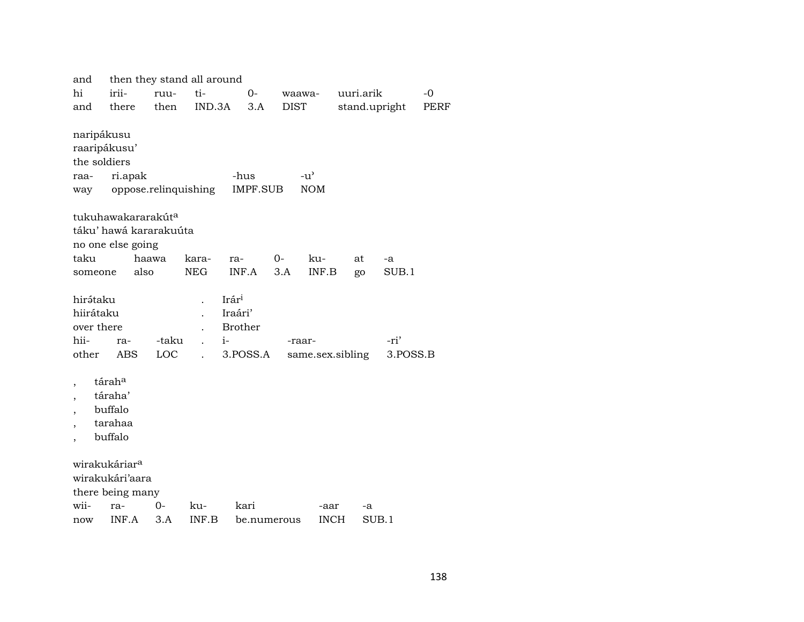| and          | then they stand all around                               |       |                      |                      |             |             |                  |             |      |  |  |  |
|--------------|----------------------------------------------------------|-------|----------------------|----------------------|-------------|-------------|------------------|-------------|------|--|--|--|
| hi           | irii-                                                    | ruu-  | ti-                  | 0-                   | waawa-      |             | uuri.arik        |             | $-0$ |  |  |  |
| and          | there                                                    | then  | IND.3A               | 3.A                  | <b>DIST</b> |             | stand.upright    |             | PERF |  |  |  |
|              |                                                          |       |                      |                      |             |             |                  |             |      |  |  |  |
| naripákusu   |                                                          |       |                      |                      |             |             |                  |             |      |  |  |  |
| raaripákusu' |                                                          |       |                      |                      |             |             |                  |             |      |  |  |  |
| the soldiers |                                                          |       |                      |                      |             |             |                  |             |      |  |  |  |
| raa-         | ri.apak<br>$-u$ <sup><math>\sim</math></sup><br>-hus     |       |                      |                      |             |             |                  |             |      |  |  |  |
| way          | <b>NOM</b><br>oppose.relinquishing<br>IMPF.SUB           |       |                      |                      |             |             |                  |             |      |  |  |  |
|              |                                                          |       |                      |                      |             |             |                  |             |      |  |  |  |
|              | tukuhawakararakút <sup>a</sup><br>táku' hawá kararakuúta |       |                      |                      |             |             |                  |             |      |  |  |  |
|              |                                                          |       |                      |                      |             |             |                  |             |      |  |  |  |
| taku         | no one else going                                        | haawa | kara-                | ra-                  | 0-          | ku-         | at               |             |      |  |  |  |
| someone      | also                                                     |       | <b>NEG</b>           | INF.A                | 3.A         | INF.B       | go               | -a<br>SUB.1 |      |  |  |  |
|              |                                                          |       |                      |                      |             |             |                  |             |      |  |  |  |
| hirátaku     |                                                          |       |                      | $Ir$ ár <sup>i</sup> |             |             |                  |             |      |  |  |  |
| hiirátaku    |                                                          |       |                      | Iraári'              |             |             |                  |             |      |  |  |  |
| over there   |                                                          |       |                      | <b>Brother</b>       |             |             |                  |             |      |  |  |  |
| hii-         | ra-                                                      | -taku | $\ddot{\phantom{a}}$ | $i-$                 | -raar-      |             |                  | -ri'        |      |  |  |  |
| other        | <b>ABS</b>                                               | LOC   | $\ddot{\phantom{a}}$ | 3.POSS.A             |             |             | same.sex.sibling | 3.POSS.B    |      |  |  |  |
|              |                                                          |       |                      |                      |             |             |                  |             |      |  |  |  |
|              | táraha                                                   |       |                      |                      |             |             |                  |             |      |  |  |  |
|              | táraha'                                                  |       |                      |                      |             |             |                  |             |      |  |  |  |
|              | buffalo                                                  |       |                      |                      |             |             |                  |             |      |  |  |  |
|              | tarahaa                                                  |       |                      |                      |             |             |                  |             |      |  |  |  |
|              | buffalo                                                  |       |                      |                      |             |             |                  |             |      |  |  |  |
|              |                                                          |       |                      |                      |             |             |                  |             |      |  |  |  |
|              | wirakukáriar <sup>a</sup>                                |       |                      |                      |             |             |                  |             |      |  |  |  |
|              | wirakukári'aara                                          |       |                      |                      |             |             |                  |             |      |  |  |  |
|              | there being many                                         |       |                      |                      |             |             |                  |             |      |  |  |  |
| wii-         | ra-                                                      | 0-    | ku-                  | kari                 |             | -aar        | -a               |             |      |  |  |  |
| now          | INF.A                                                    | 3.A   | INF.B                | be.numerous          |             | <b>INCH</b> | SUB.1            |             |      |  |  |  |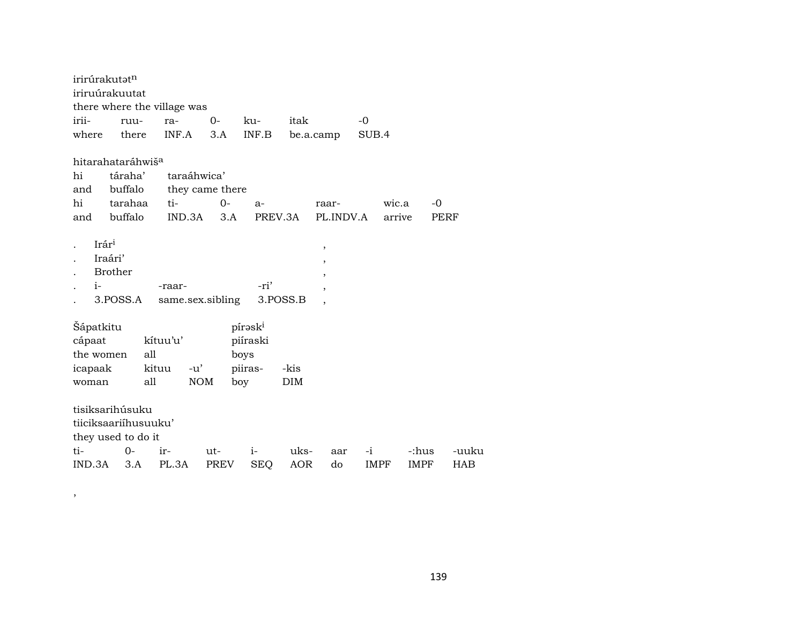|                | irirúrakutatn                 |       |                             |      |                     |          |                          |       |        |             |  |
|----------------|-------------------------------|-------|-----------------------------|------|---------------------|----------|--------------------------|-------|--------|-------------|--|
| iriruúrakuutat |                               |       |                             |      |                     |          |                          |       |        |             |  |
|                |                               |       | there where the village was |      |                     |          |                          |       |        |             |  |
| irii-          | ruu-                          |       | ra-                         | $0-$ | ku-                 | itak     |                          | $-0$  |        |             |  |
| where          | there                         |       | INF.A                       | 3.A  | INF.B               |          | be.a.camp                | SUB.4 |        |             |  |
|                |                               |       |                             |      |                     |          |                          |       |        |             |  |
|                | hitarahataráhwiš <sup>a</sup> |       |                             |      |                     |          |                          |       |        |             |  |
| hi             | táraha'                       |       | taraáhwica'                 |      |                     |          |                          |       |        |             |  |
| and            | buffalo                       |       | they came there             |      |                     |          |                          |       |        |             |  |
| hi             | tarahaa                       |       | ti-                         | $0-$ | $a-$                |          | raar-                    |       | wic.a  | -0          |  |
|                | and buffalo                   |       | IND.3A                      | 3.A  |                     | PREV.3A  | PL.INDV.A                |       | arrive | <b>PERF</b> |  |
|                |                               |       |                             |      |                     |          |                          |       |        |             |  |
|                | Irár <sup>i</sup>             |       |                             |      |                     |          | $\, ,$                   |       |        |             |  |
|                | Iraári'                       |       |                             |      |                     |          | $\overline{\phantom{a}}$ |       |        |             |  |
|                | <b>Brother</b>                |       |                             |      |                     |          | $\overline{ }$           |       |        |             |  |
| $i-$           |                               |       | -raar-                      |      | -ri'                |          |                          |       |        |             |  |
|                | 3.POSS.A                      |       | same.sex.sibling            |      |                     | 3.POSS.B |                          |       |        |             |  |
|                |                               |       |                             |      |                     |          |                          |       |        |             |  |
| Šápatkitu      |                               |       |                             |      | pírask <sup>i</sup> |          |                          |       |        |             |  |
| cápaat         |                               |       | kítuu'u'                    |      | piíraski            |          |                          |       |        |             |  |
| the women      |                               | all   |                             |      | boys                |          |                          |       |        |             |  |
| icapaak        |                               | kituu | -u'                         |      | piiras-             | -kis     |                          |       |        |             |  |
| woman          |                               | all   | <b>NOM</b>                  |      | boy                 | DIM      |                          |       |        |             |  |
|                |                               |       |                             |      |                     |          |                          |       |        |             |  |
|                | tisiksarihúsuku               |       |                             |      |                     |          |                          |       |        |             |  |
|                | tiiciksaariihusuuku'          |       |                             |      |                     |          |                          |       |        |             |  |
|                | they used to do it            |       |                             |      |                     |          |                          |       |        |             |  |
| ti-            | 0-                            |       | ir-                         | ut-  | $i-$                | uks-     | aar                      | $-i$  | -:hus  | -uuku       |  |
| IND.3A         | 3.A                           |       | PL.3A                       | PREV | <b>SEQ</b>          | AOR      | do                       | IMPF  | IMPF   | <b>HAB</b>  |  |

 $\overline{\phantom{a}}$ 

139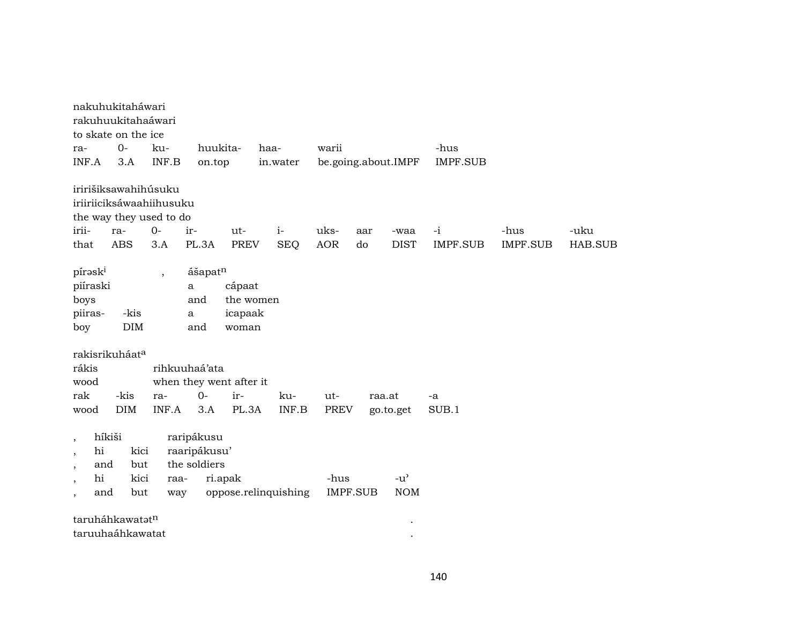|                                                                                                      | nakuhukitaháwari<br>rakuhuukitahaáwari<br>to skate on the ice                      |             |                                            |                                         |                      |             |          |                             |                 |          |                |
|------------------------------------------------------------------------------------------------------|------------------------------------------------------------------------------------|-------------|--------------------------------------------|-----------------------------------------|----------------------|-------------|----------|-----------------------------|-----------------|----------|----------------|
| ra-                                                                                                  | $O -$                                                                              | ku-         | huukita-                                   |                                         | haa-                 | warii       |          |                             | -hus            |          |                |
| INF.A                                                                                                | 3.A                                                                                | INF.B       | on.top                                     |                                         | in.water             |             |          | be.going.about.IMPF         | <b>IMPF.SUB</b> |          |                |
| irii-                                                                                                | iririšiksawahihúsuku<br>iriiriiciksáwaahiihusuku<br>the way they used to do<br>ra- | $0-$        | ir-<br>ut-                                 |                                         | $i-$                 | uks-        | aar      |                             | $-i$            | -hus     | -uku           |
| that                                                                                                 | <b>ABS</b>                                                                         | 3.A         | PL.3A                                      | <b>PREV</b>                             | <b>SEQ</b>           | <b>AOR</b>  | do       | <b>DIST</b>                 | IMPF.SUB        | IMPF.SUB | <b>HAB.SUB</b> |
| pírask <sup>i</sup><br>$\overline{\phantom{a}}$<br>piíraski<br>boys<br>piiras-<br>-kis<br>DIM<br>boy |                                                                                    |             | ášapatn<br>a<br>and<br>a<br>and            | cápaat<br>the women<br>icapaak<br>woman |                      |             |          |                             |                 |          |                |
| rakisrikuháat <sup>a</sup><br>rákis<br>rihkuuhaá'ata<br>when they went after it<br>wood              |                                                                                    |             |                                            |                                         |                      |             |          |                             |                 |          |                |
| rak                                                                                                  | -kis                                                                               | ra-         | $0 -$                                      | ir-                                     | ku-                  | ut-         |          | raa.at                      | $-a$            |          |                |
| wood                                                                                                 | DIM                                                                                | INF.A       | 3.A                                        | PL.3A                                   | INF.B                | <b>PREV</b> |          | go.to.get                   | SUB.1           |          |                |
| $\cdot$<br>hi<br>$\cdot$<br>and<br>hi<br>$\cdot$<br>and                                              | híkiši<br>kici<br>but<br>kici<br>but                                               | raa-<br>way | raripákusu<br>raaripákusu'<br>the soldiers | ri.apak                                 | oppose.relinquishing | -hus        | IMPF.SUB | $-u^{\prime}$<br><b>NOM</b> |                 |          |                |
|                                                                                                      | taruháhkawatatn                                                                    |             |                                            |                                         |                      |             |          |                             |                 |          |                |
|                                                                                                      | taruuhaáhkawatat                                                                   |             |                                            |                                         |                      |             |          |                             |                 |          |                |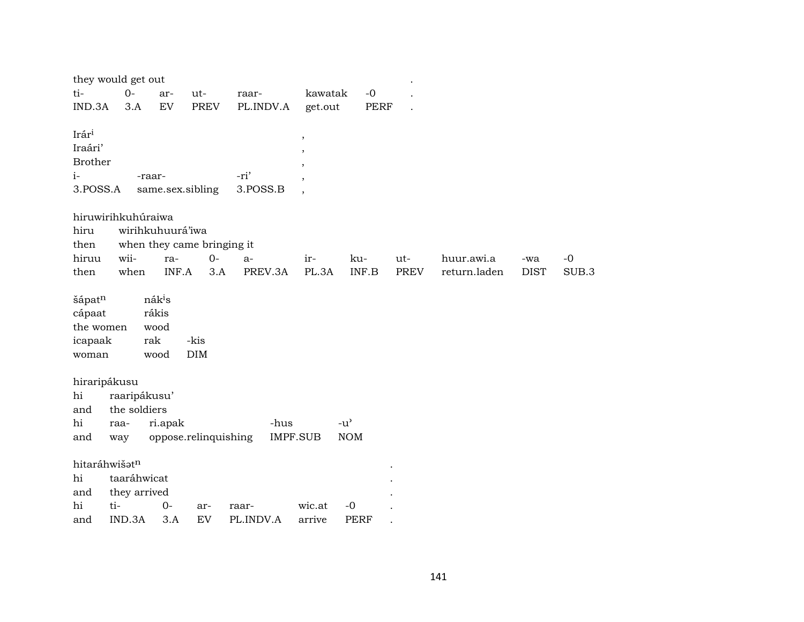|                                                        | they would get out |                                                    |                            |                  |                                                                                                               |                                     |      |              |             |       |
|--------------------------------------------------------|--------------------|----------------------------------------------------|----------------------------|------------------|---------------------------------------------------------------------------------------------------------------|-------------------------------------|------|--------------|-------------|-------|
| ti-                                                    | $0-$               | ar-                                                | ut-                        | raar-            | kawatak                                                                                                       | $-0$                                |      |              |             |       |
| IND.3A                                                 | 3.A                | EV                                                 | PREV                       | PL.INDV.A        | get.out                                                                                                       | PERF                                |      |              |             |       |
| Irári<br>Iraári'<br><b>Brother</b><br>$i-$<br>3.POSS.A |                    | -raar-                                             | same.sex.sibling           | -ri'<br>3.POSS.B | $\overline{\phantom{a}}$<br>$\cdot$<br>$\overline{\phantom{a}}$<br>$\overline{ }$<br>$\overline{\phantom{a}}$ |                                     |      |              |             |       |
|                                                        | hiruwirihkuhúraiwa |                                                    |                            |                  |                                                                                                               |                                     |      |              |             |       |
| hiru                                                   |                    | wirihkuhuurá'iwa                                   |                            |                  |                                                                                                               |                                     |      |              |             |       |
| then                                                   |                    |                                                    | when they came bringing it |                  |                                                                                                               |                                     |      |              |             |       |
| hiruu                                                  | wii-               | ra-                                                | $0-$                       | $a-$             | ir-                                                                                                           | ku-                                 | ut-  | huur.awi.a   | -wa         | $-0$  |
| then                                                   | when               | INF.A                                              | 3.A                        | PREV.3A          | PL.3A                                                                                                         | INF.B                               | PREV | return.laden | <b>DIST</b> | SUB.3 |
| šápatn<br>cápaat<br>the women<br>icapaak<br>woman      |                    | nák <sup>i</sup> s<br>rákis<br>wood<br>rak<br>wood | -kis<br>DIM                |                  |                                                                                                               |                                     |      |              |             |       |
|                                                        | hiraripákusu       |                                                    |                            |                  |                                                                                                               |                                     |      |              |             |       |
| hi                                                     | raaripákusu'       |                                                    |                            |                  |                                                                                                               |                                     |      |              |             |       |
| and                                                    | the soldiers       |                                                    |                            |                  |                                                                                                               |                                     |      |              |             |       |
| hi                                                     | raa-               | ri.apak                                            |                            | -hus             |                                                                                                               | $-u$ <sup><math>\prime</math></sup> |      |              |             |       |
| and                                                    | way                |                                                    | oppose.relinquishing       |                  | <b>IMPF.SUB</b>                                                                                               | <b>NOM</b>                          |      |              |             |       |
|                                                        | hitaráhwišatn      |                                                    |                            |                  |                                                                                                               |                                     |      |              |             |       |
| hi                                                     | taaráhwicat        |                                                    |                            |                  |                                                                                                               |                                     |      |              |             |       |
| and                                                    | they arrived       |                                                    |                            |                  |                                                                                                               |                                     |      |              |             |       |
| hi                                                     | ti-                | $0-$                                               | ar-                        | raar-            | wic.at                                                                                                        | $-0$                                |      |              |             |       |
| and                                                    | IND.3A             | 3.A                                                | EV                         | PL.INDV.A        | arrive                                                                                                        | <b>PERF</b>                         |      |              |             |       |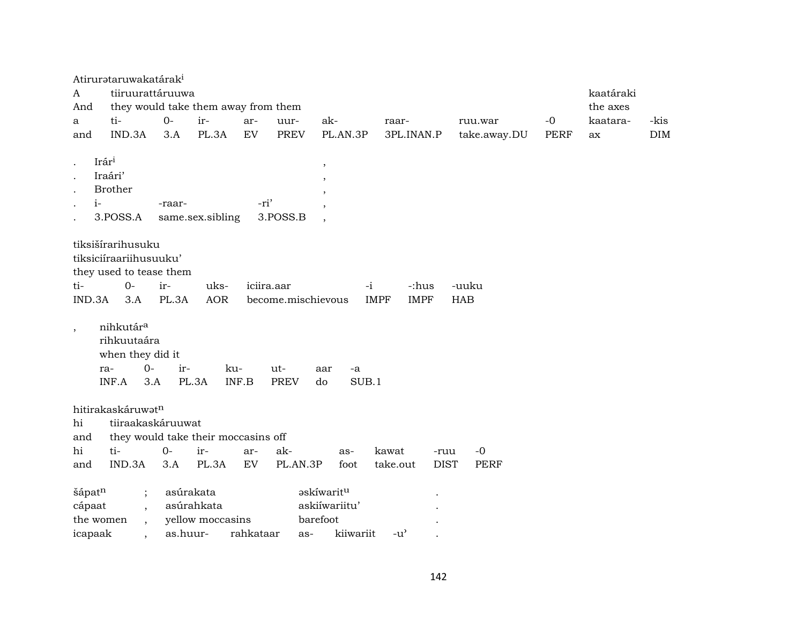|                          | Atirurataruwakatárak <sup>i</sup>                                                        |          |                  |            |                    |                          |                            |              |             |           |            |
|--------------------------|------------------------------------------------------------------------------------------|----------|------------------|------------|--------------------|--------------------------|----------------------------|--------------|-------------|-----------|------------|
| A                        | tiiruurattáruuwa                                                                         |          |                  |            |                    |                          |                            |              |             | kaatáraki |            |
| And                      | they would take them away from them                                                      |          |                  |            |                    |                          |                            |              |             | the axes  |            |
| a                        | ti-                                                                                      | $O -$    | ir-              | ar-        | uur-               | ak-                      | raar-                      | ruu.war      | $-0$        | kaatara-  | -kis       |
| and                      | IND.3A                                                                                   | 3.A      | PL.3A            | EV         | <b>PREV</b>        | PL.AN.3P                 | 3PL.INAN.P                 | take.away.DU | <b>PERF</b> | ax        | <b>DIM</b> |
|                          |                                                                                          |          |                  |            |                    |                          |                            |              |             |           |            |
|                          | Irár <sup>i</sup>                                                                        |          |                  |            |                    |                          |                            |              |             |           |            |
|                          | Iraári'                                                                                  |          |                  |            |                    | $^\mathrm{^\mathrm{o}}$  |                            |              |             |           |            |
|                          | <b>Brother</b>                                                                           |          |                  |            |                    |                          |                            |              |             |           |            |
| $i-$                     |                                                                                          | -raar-   |                  | -ri'       |                    |                          |                            |              |             |           |            |
| $\cdot$                  | 3.POSS.A                                                                                 |          | same.sex.sibling |            | 3.POSS.B           |                          |                            |              |             |           |            |
|                          |                                                                                          |          |                  |            |                    |                          |                            |              |             |           |            |
|                          | tiksišírarihusuku                                                                        |          |                  |            |                    |                          |                            |              |             |           |            |
|                          | tiksiciíraariihusuuku'                                                                   |          |                  |            |                    |                          |                            |              |             |           |            |
|                          |                                                                                          |          |                  |            |                    |                          |                            |              |             |           |            |
|                          | they used to tease them                                                                  |          |                  |            |                    |                          |                            |              |             |           |            |
| ti-                      | $0-$                                                                                     | ir-      | uks-             | iciira.aar |                    | $-i$                     | -:hus                      | -uuku        |             |           |            |
| IND.3A                   | 3.A                                                                                      | PL.3A    | <b>AOR</b>       |            | become.mischievous |                          | <b>IMPF</b><br><b>IMPF</b> | <b>HAB</b>   |             |           |            |
| $\overline{\phantom{a}}$ | nihkutár <sup>a</sup><br>rihkuutaára<br>when they did it<br>$O -$<br>ra-<br>INF.A<br>3.A | ir-      | ku-<br>PL.3A     | INF.B      | ut-<br><b>PREV</b> | aar<br>-a<br>SUB.1<br>do |                            |              |             |           |            |
|                          | hitirakaskáruwatn                                                                        |          |                  |            |                    |                          |                            |              |             |           |            |
| hi                       | tiiraakaskáruuwat                                                                        |          |                  |            |                    |                          |                            |              |             |           |            |
| and                      | they would take their moccasins off                                                      |          |                  |            |                    |                          |                            |              |             |           |            |
| hi                       | ti-                                                                                      | $0-$     | ir-              | ar-        | ak-                | as-                      | kawat<br>-ruu              | $-0$         |             |           |            |
| and                      | IND.3A                                                                                   | 3.A      | PL.3A            | EV         | PL.AN.3P           | foot                     | <b>DIST</b><br>take.out    | <b>PERF</b>  |             |           |            |
|                          |                                                                                          |          |                  |            |                    |                          |                            |              |             |           |            |
| šápatn                   |                                                                                          |          | asúrakata        |            |                    | askíwarit <sup>u</sup>   |                            |              |             |           |            |
|                          | $\vdots$                                                                                 |          | asúrahkata       |            |                    | askiíwariitu'            |                            |              |             |           |            |
| cápaat                   | $\overline{ }$ ,                                                                         |          |                  |            |                    |                          |                            |              |             |           |            |
| the women                | $\ddot{\phantom{1}}$                                                                     |          | yellow moccasins |            |                    | barefoot                 |                            |              |             |           |            |
| icapaak                  |                                                                                          | as.huur- |                  | rahkataar  | as-                | kiiwariit                | $-u^{\prime}$              |              |             |           |            |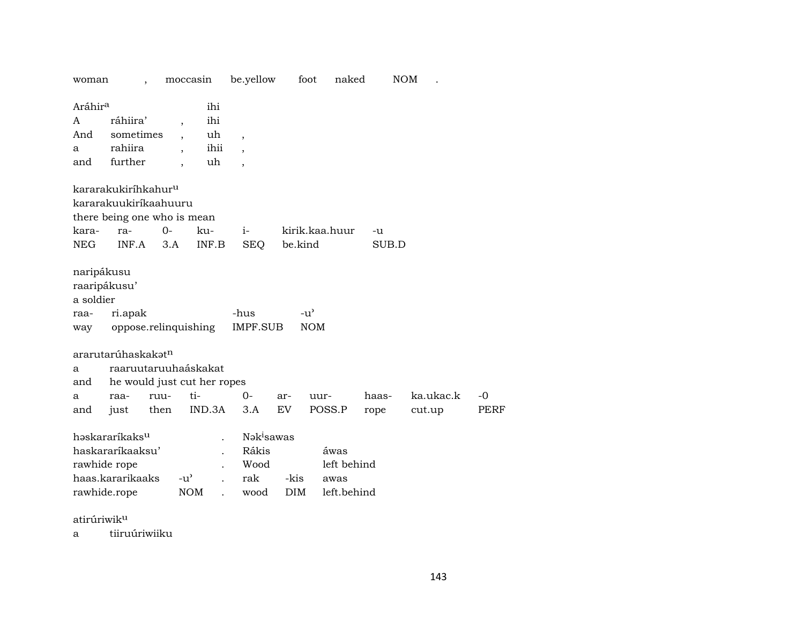| woman                                                  |                                                                                        |              | moccasin                                                             | be.yellow                    |                                 | foot                        | naked                                      | <b>NOM</b>    |                     |            |  |  |
|--------------------------------------------------------|----------------------------------------------------------------------------------------|--------------|----------------------------------------------------------------------|------------------------------|---------------------------------|-----------------------------|--------------------------------------------|---------------|---------------------|------------|--|--|
| Aráhir <sup>a</sup>                                    |                                                                                        |              | ihi                                                                  |                              |                                 |                             |                                            |               |                     |            |  |  |
| A                                                      | ráhiira'                                                                               |              | ihi<br>$\overline{\phantom{a}}$                                      |                              |                                 |                             |                                            |               |                     |            |  |  |
| And                                                    | sometimes                                                                              |              | uh                                                                   | $\overline{\phantom{a}}$     |                                 |                             |                                            |               |                     |            |  |  |
| a                                                      | rahiira                                                                                |              | ihii                                                                 |                              |                                 |                             |                                            |               |                     |            |  |  |
| and                                                    | further                                                                                |              | uh                                                                   | $\cdot$                      |                                 |                             |                                            |               |                     |            |  |  |
|                                                        | kararakukiríhkahur <sup>u</sup>                                                        |              |                                                                      |                              |                                 |                             |                                            |               |                     |            |  |  |
|                                                        | kararakuukiríkaahuuru                                                                  |              |                                                                      |                              |                                 |                             |                                            |               |                     |            |  |  |
|                                                        | there being one who is mean                                                            |              |                                                                      |                              |                                 |                             |                                            |               |                     |            |  |  |
| kara-                                                  | ra-                                                                                    | $0 -$        | ku-                                                                  | $i-$                         |                                 | kirik.kaa.huur              |                                            | -u            |                     |            |  |  |
| NEG                                                    | INF.A                                                                                  | 3.A          | INF.B                                                                | <b>SEQ</b>                   |                                 | be.kind                     |                                            | SUB.D         |                     |            |  |  |
| naripákusu<br>raaripákusu'<br>a soldier<br>raa-<br>way | ri.apak                                                                                |              | oppose.relinquishing                                                 | -hus<br>IMPF.SUB             |                                 | $-u^{\prime}$<br><b>NOM</b> |                                            |               |                     |            |  |  |
| a<br>and<br>a<br>and                                   | ararutarúhaskakət <sup>n</sup><br>raa-<br>just                                         | ruu-<br>then | raaruutaruuhaáskakat<br>he would just cut her ropes<br>ti-<br>IND.3A | $0-$<br>3.A                  | ar-<br>EV                       | uur-                        | POSS.P                                     | haas-<br>rope | ka.ukac.k<br>cut.up | -0<br>PERF |  |  |
|                                                        | həskararíkaksu<br>haskararíkaaksu'<br>rawhide rope<br>haas.kararikaaks<br>rawhide.rope |              | $-u^{\prime}$<br><b>NOM</b>                                          | Rákis<br>Wood<br>rak<br>wood | Nakisawas<br>-kis<br><b>DIM</b> |                             | áwas<br>left behind<br>awas<br>left.behind |               |                     |            |  |  |

atirúriwikµ

a tiiruúriwiiku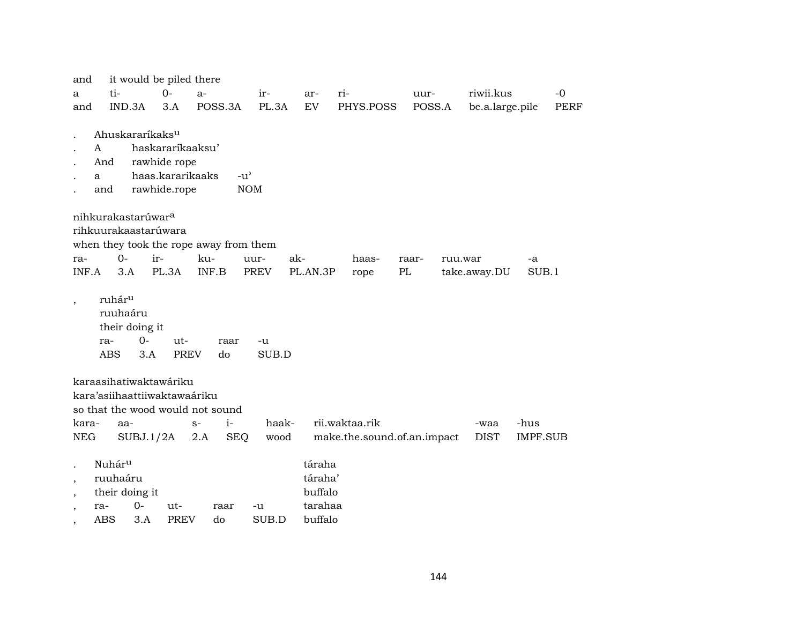| and                                                                                   |                                                     |                                           | it would be piled there                                |                                                                       |               |                                                    |                                               |        |         |                     |                  |             |
|---------------------------------------------------------------------------------------|-----------------------------------------------------|-------------------------------------------|--------------------------------------------------------|-----------------------------------------------------------------------|---------------|----------------------------------------------------|-----------------------------------------------|--------|---------|---------------------|------------------|-------------|
| a                                                                                     | ti-                                                 |                                           | $0-$                                                   | $a-$                                                                  | ir-           | ar-                                                | ri-                                           | uur-   |         | riwii.kus           |                  | $-0$        |
| and                                                                                   |                                                     | IND.3A                                    | 3.A                                                    | POSS.3A                                                               | PL.3A         | EV                                                 | PHYS.POSS                                     | POSS.A |         | be.a.large.pile     |                  | <b>PERF</b> |
|                                                                                       |                                                     | Ahuskararíkaks <sup>u</sup>               |                                                        |                                                                       |               |                                                    |                                               |        |         |                     |                  |             |
|                                                                                       | A                                                   |                                           | haskararíkaaksu'                                       |                                                                       |               |                                                    |                                               |        |         |                     |                  |             |
|                                                                                       | And                                                 |                                           | rawhide rope                                           |                                                                       |               |                                                    |                                               |        |         |                     |                  |             |
|                                                                                       | a                                                   |                                           | haas.kararikaaks                                       | $-u^{\prime}$                                                         |               |                                                    |                                               |        |         |                     |                  |             |
|                                                                                       | and                                                 |                                           | rawhide.rope                                           |                                                                       | <b>NOM</b>    |                                                    |                                               |        |         |                     |                  |             |
|                                                                                       |                                                     |                                           |                                                        |                                                                       |               |                                                    |                                               |        |         |                     |                  |             |
|                                                                                       |                                                     | nihkurakastarúwar <sup>a</sup>            |                                                        |                                                                       |               |                                                    |                                               |        |         |                     |                  |             |
|                                                                                       |                                                     | rihkuurakaastarúwara                      |                                                        |                                                                       |               |                                                    |                                               |        |         |                     |                  |             |
|                                                                                       |                                                     |                                           |                                                        | when they took the rope away from them                                |               |                                                    |                                               |        |         |                     |                  |             |
| ra-                                                                                   |                                                     | $O -$                                     | ir-                                                    | ku-                                                                   | uur-          | ak-                                                | haas-                                         | raar-  | ruu.war |                     | -a               |             |
| INF.A                                                                                 |                                                     | 3.A                                       | PL.3A                                                  | INF.B                                                                 | <b>PREV</b>   | PL.AN.3P                                           | rope                                          | PL     |         | take.away.DU        | SUB.1            |             |
| $^\mathrm{,}$                                                                         | ruhár <sup>u</sup><br>ra-<br><b>ABS</b>             | ruuhaáru<br>their doing it<br>$0-$<br>3.A | ut-<br><b>PREV</b>                                     | raar<br>do                                                            | -u<br>SUB.D   |                                                    |                                               |        |         |                     |                  |             |
| kara-<br>NEG                                                                          |                                                     | aa-<br>SUBJ.1/2A                          | karaasihatiwaktawáriku<br>kara'asiihaattiiwaktawaáriku | so that the wood would not sound<br>$i-$<br>$S-$<br><b>SEQ</b><br>2.A | haak-<br>wood |                                                    | rii.waktaa.rik<br>make.the.sound.of.an.impact |        |         | -waa<br><b>DIST</b> | -hus<br>IMPF.SUB |             |
| $\overline{\phantom{a}}$<br>$\overline{\phantom{a}}$<br>$\overline{\phantom{a}}$<br>, | Nuhár <sup>u</sup><br>ruuhaáru<br>ra-<br><b>ABS</b> | their doing it<br>$0 -$<br>3.A            | ut-<br><b>PREV</b>                                     | raar<br>do                                                            | -u<br>SUB.D   | táraha<br>táraha'<br>buffalo<br>tarahaa<br>buffalo |                                               |        |         |                     |                  |             |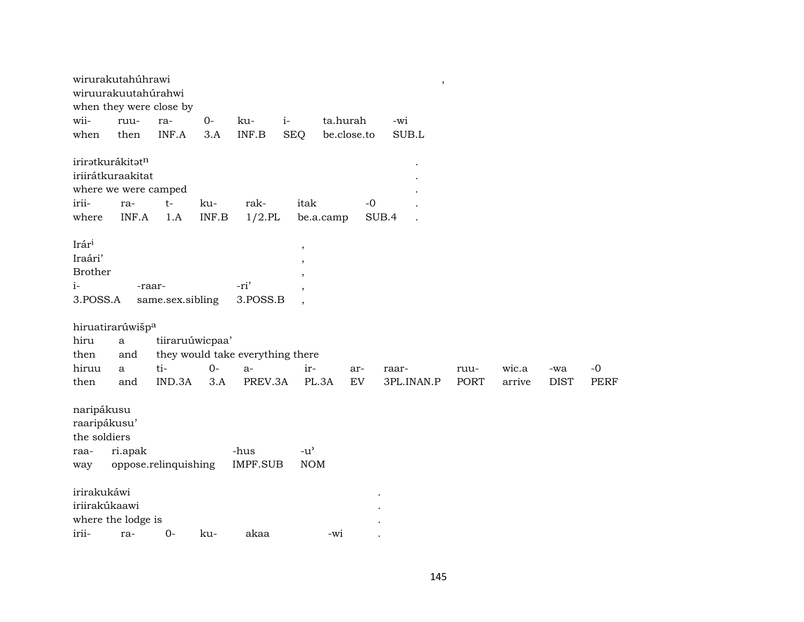|                                                                    | wirurakutahúhrawi<br>wiruurakuutahúrahwi                             | when they were close by    |                           |                                      |                                  |             | $\overline{\phantom{a}}$ |             |        |             |             |
|--------------------------------------------------------------------|----------------------------------------------------------------------|----------------------------|---------------------------|--------------------------------------|----------------------------------|-------------|--------------------------|-------------|--------|-------------|-------------|
| wii-                                                               | ruu-                                                                 | ra-                        | $0-$                      | $i-$<br>ku-                          |                                  | ta.hurah    | -wi                      |             |        |             |             |
| when                                                               | then                                                                 | INF.A                      | 3.A                       | $\ensuremath{\mathsf{INF.B}}\xspace$ | <b>SEQ</b>                       | be.close.to | SUB.L                    |             |        |             |             |
| irii-                                                              | iriratkurákitatn<br>iriirátkuraakitat<br>where we were camped<br>ra- | $t-$                       | ku-                       | rak-                                 | itak                             | $-0$        |                          |             |        |             |             |
| where                                                              | INF.A                                                                | 1.A                        | $\textsf{INF}.\textsf{B}$ | $1/2$ .PL                            | be.a.camp                        |             | SUB.4                    |             |        |             |             |
| Irár <sup>i</sup><br>Iraári'<br><b>Brother</b><br>$i-$<br>3.POSS.A |                                                                      | -raar-<br>same.sex.sibling |                           | -ri'<br>3.POSS.B                     | $\,$<br>$\overline{\phantom{a}}$ |             |                          |             |        |             |             |
|                                                                    | hiruatirarúwišp <sup>a</sup>                                         |                            |                           |                                      |                                  |             |                          |             |        |             |             |
| hiru                                                               | $\mathbf{a}$                                                         | tiiraruúwicpaa'            |                           |                                      |                                  |             |                          |             |        |             |             |
| then                                                               | and                                                                  |                            |                           | they would take everything there     |                                  |             |                          |             |        |             |             |
| hiruu                                                              | a                                                                    | ti-                        | $O -$                     | $a-$                                 | ir-                              | ar-         | raar-                    | ruu-        | wic.a  | -wa         | $-0$        |
| then                                                               | and                                                                  | IND.3A                     | 3.A                       | PREV.3A                              | PL.3A                            | EV          | 3PL.INAN.P               | <b>PORT</b> | arrive | <b>DIST</b> | <b>PERF</b> |
| naripákusu<br>raaripákusu'<br>the soldiers<br>raa-<br>way          | ri.apak                                                              | oppose.relinquishing       |                           | -hus<br><b>IMPF.SUB</b>              | $-u^{\prime}$<br><b>NOM</b>      |             |                          |             |        |             |             |
| irirakukáwi                                                        |                                                                      |                            |                           |                                      |                                  |             |                          |             |        |             |             |
| iriirakúkaawi                                                      |                                                                      |                            |                           |                                      |                                  |             |                          |             |        |             |             |
|                                                                    | where the lodge is                                                   |                            |                           |                                      |                                  |             |                          |             |        |             |             |
| irii-                                                              | ra-                                                                  | $0-$                       | ku-                       | akaa                                 | $-wi$                            |             |                          |             |        |             |             |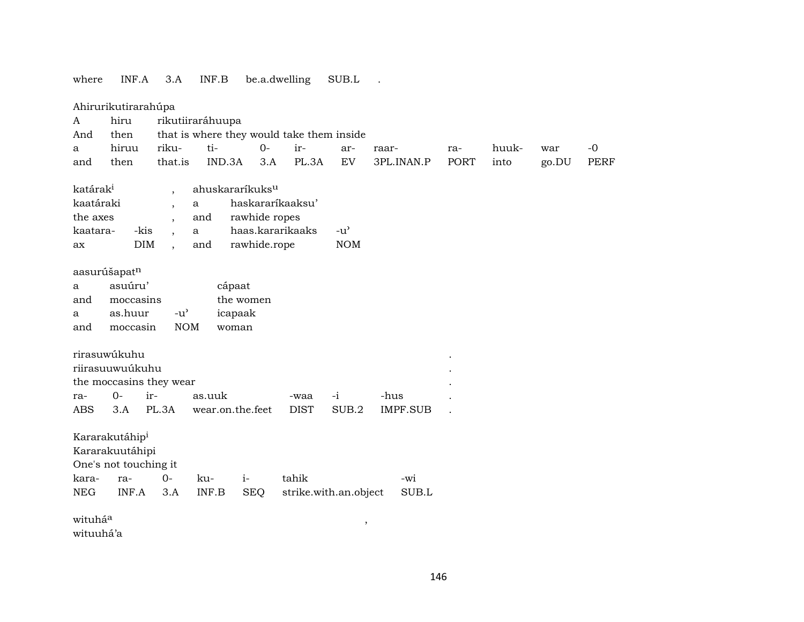## where INF.A 3.A INF.B be.a.dwelling SUB.L .

|                      | Ahirurikutirarahúpa                                                                       |                                     |                  |                             |                                           |               |                 |      |       |       |             |
|----------------------|-------------------------------------------------------------------------------------------|-------------------------------------|------------------|-----------------------------|-------------------------------------------|---------------|-----------------|------|-------|-------|-------------|
| A                    | hiru                                                                                      |                                     | rikutiiraráhuupa |                             |                                           |               |                 |      |       |       |             |
| And                  | then                                                                                      |                                     |                  |                             | that is where they would take them inside |               |                 |      |       |       |             |
| a                    | hiruu                                                                                     | riku-                               | ti-              | $0-$                        | ir-                                       | ar-           | raar-           | ra-  | huuk- | war   | $-0$        |
| and                  | then                                                                                      | that.is                             | IND.3A           | 3.A                         | PL.3A                                     | EV            | 3PL.INAN.P      | PORT | into  | go.DU | <b>PERF</b> |
|                      |                                                                                           |                                     |                  |                             |                                           |               |                 |      |       |       |             |
| katárak <sup>i</sup> |                                                                                           | $\overline{\phantom{a}}$            |                  | ahuskararíkuks <sup>u</sup> |                                           |               |                 |      |       |       |             |
| kaatáraki            |                                                                                           | $\overline{\phantom{a}}$            | a                | haskararíkaaksu'            |                                           |               |                 |      |       |       |             |
| the axes             |                                                                                           | $\overline{\phantom{a}}$            | and              | rawhide ropes               |                                           |               |                 |      |       |       |             |
| kaatara-             | -kis                                                                                      | $\overline{\phantom{a}}$            | $\mathbf{a}$     | haas.kararikaaks            |                                           | $-u^{\prime}$ |                 |      |       |       |             |
| ax                   | <b>DIM</b>                                                                                | $\overline{\phantom{a}}$            | and              | rawhide.rope                |                                           | <b>NOM</b>    |                 |      |       |       |             |
|                      | aasurúšapat <sup>n</sup>                                                                  |                                     |                  |                             |                                           |               |                 |      |       |       |             |
| a                    | asuúru'                                                                                   |                                     |                  | cápaat                      |                                           |               |                 |      |       |       |             |
| and                  | moccasins                                                                                 |                                     |                  | the women                   |                                           |               |                 |      |       |       |             |
| a                    | as.huur                                                                                   | $-u$ <sup><math>\prime</math></sup> |                  | icapaak                     |                                           |               |                 |      |       |       |             |
| and                  | moccasin                                                                                  | <b>NOM</b>                          |                  | woman                       |                                           |               |                 |      |       |       |             |
|                      |                                                                                           |                                     |                  |                             |                                           |               |                 |      |       |       |             |
|                      | rirasuwúkuhu                                                                              |                                     |                  |                             |                                           |               |                 |      |       |       |             |
|                      | riirasuuwuúkuhu                                                                           |                                     |                  |                             |                                           |               |                 |      |       |       |             |
|                      | the moccasins they wear                                                                   |                                     |                  |                             |                                           |               |                 |      |       |       |             |
| ra-                  | $O -$                                                                                     | ir-                                 | as.uuk           |                             | -waa                                      | $-i$          | -hus            |      |       |       |             |
| ABS                  | 3.A                                                                                       | PL.3A                               |                  | wear.on.the.feet            | <b>DIST</b>                               | SUB.2         | <b>IMPF.SUB</b> |      |       |       |             |
|                      |                                                                                           |                                     |                  |                             |                                           |               |                 |      |       |       |             |
|                      | Kararakutáhip <sup>i</sup>                                                                |                                     |                  |                             |                                           |               |                 |      |       |       |             |
|                      | Kararakuutáhipi                                                                           |                                     |                  |                             |                                           |               |                 |      |       |       |             |
|                      | One's not touching it                                                                     |                                     |                  |                             |                                           |               |                 |      |       |       |             |
| kara-                | ra-                                                                                       | $0-$                                | ku-              | $i-$                        | tahik                                     |               | -wi             |      |       |       |             |
| <b>NEG</b>           | INF.A<br>$\textsf{INF}.\textsf{B}$<br><b>SEQ</b><br>strike.with.an.object<br>SUB.L<br>3.A |                                     |                  |                             |                                           |               |                 |      |       |       |             |
|                      |                                                                                           |                                     |                  |                             |                                           |               |                 |      |       |       |             |
| wituháa              |                                                                                           |                                     |                  |                             |                                           | $\,$          |                 |      |       |       |             |
| wituuhá'a            |                                                                                           |                                     |                  |                             |                                           |               |                 |      |       |       |             |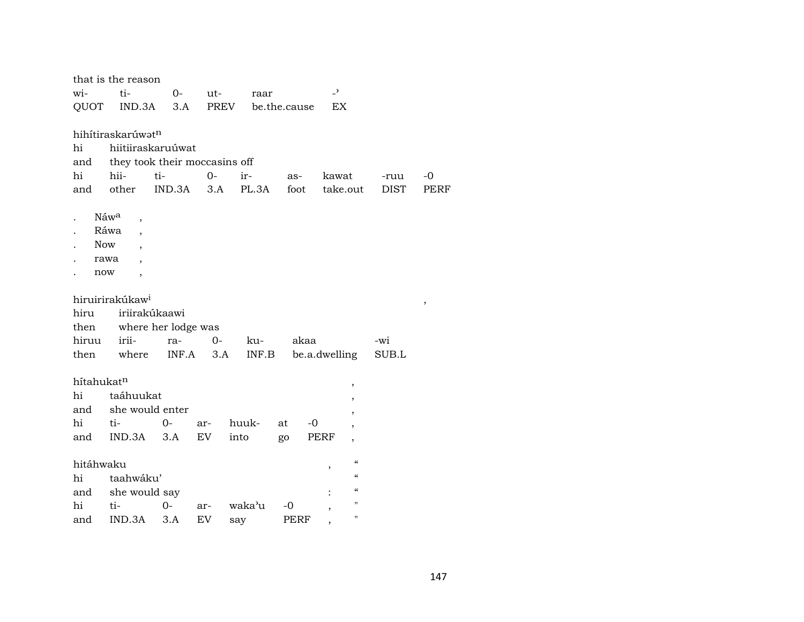|            | that is the reason               |                     |      |        |              |                          |             |             |
|------------|----------------------------------|---------------------|------|--------|--------------|--------------------------|-------------|-------------|
| wi-        | ti-                              | $0-$                | ut-  | raar   |              | $\overline{\phantom{a}}$ |             |             |
| QUOT       | IND.3A                           | 3.A                 | PREV |        | be.the.cause | EX                       |             |             |
|            |                                  |                     |      |        |              |                          |             |             |
|            | hihítiraskarúwatn                |                     |      |        |              |                          |             |             |
| hi         | hiitiiraskaruúwat                |                     |      |        |              |                          |             |             |
| and        | they took their moccasins off    |                     |      |        |              |                          |             |             |
| hi         | hii-                             | ti-                 | $0-$ | ir-    | as-          | kawat                    | -ruu        | $-0$        |
| and        | other                            | IND.3A              | 3.A  | PL.3A  | foot         | take.out                 | <b>DIST</b> | <b>PERF</b> |
|            | Náwa                             |                     |      |        |              |                          |             |             |
|            | $\overline{\phantom{a}}$<br>Ráwa |                     |      |        |              |                          |             |             |
| <b>Now</b> |                                  |                     |      |        |              |                          |             |             |
|            | rawa                             |                     |      |        |              |                          |             |             |
| now        | $\overline{\phantom{a}}$         |                     |      |        |              |                          |             |             |
|            |                                  |                     |      |        |              |                          |             |             |
|            | hiruirirakúkaw <sup>i</sup>      |                     |      |        |              |                          |             | $\, ,$      |
| hiru       | iriirakúkaawi                    |                     |      |        |              |                          |             |             |
| then       |                                  | where her lodge was |      |        |              |                          |             |             |
| hiruu      | irii-                            | ra-                 | $0-$ | ku-    | akaa         |                          | -wi         |             |
| then       | where                            | INF.A               | 3.A  | INF.B  |              | be.a.dwelling            | SUB.L       |             |
|            |                                  |                     |      |        |              |                          |             |             |
| hítahukatn |                                  |                     |      |        |              | $\,$                     |             |             |
| hi         | taáhuukat                        |                     |      |        |              | $\overline{\phantom{a}}$ |             |             |
| and        | she would enter                  |                     |      |        |              |                          |             |             |
| hi         | ti-                              | $0-$                | ar-  | huuk-  | $-0$<br>at   |                          |             |             |
| and        | IND.3A                           | 3.A                 | EV   | into   | go           | PERF<br>,                |             |             |
|            |                                  |                     |      |        |              |                          |             |             |
| hitáhwaku  |                                  |                     |      |        |              | $\epsilon\epsilon$<br>,  |             |             |
| hi         | taahwáku'                        |                     |      |        |              | $\epsilon\epsilon$       |             |             |
| and        | she would say                    |                     |      |        |              | $\epsilon\epsilon$       |             |             |
| hi         | ti-                              | 0-                  | ar-  | waka'u | -0           | $^{\prime\prime}$        |             |             |
| and        | IND.3A                           | 3.A                 | EV   | say    | <b>PERF</b>  | $\pmb{\mathsf{H}}$       |             |             |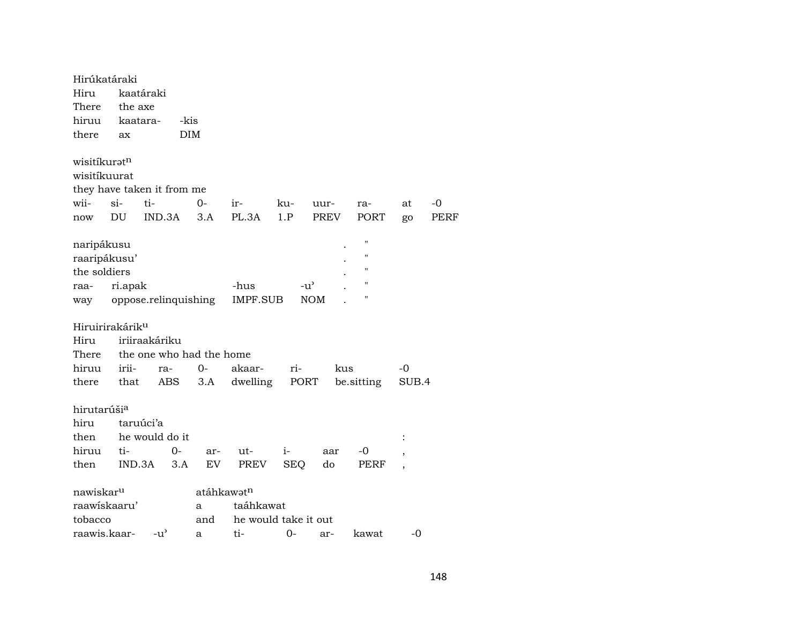| Hirúkatáraki                |          |                |                          |                        |            |               |                    |       |      |
|-----------------------------|----------|----------------|--------------------------|------------------------|------------|---------------|--------------------|-------|------|
| Hiru                        |          | kaatáraki      |                          |                        |            |               |                    |       |      |
| There                       | the axe  |                |                          |                        |            |               |                    |       |      |
| hiruu                       | kaatara- |                | -kis                     |                        |            |               |                    |       |      |
| there                       | ax       |                | DIM                      |                        |            |               |                    |       |      |
|                             |          |                |                          |                        |            |               |                    |       |      |
| wisitíkurat <sup>n</sup>    |          |                |                          |                        |            |               |                    |       |      |
| wisitíkuurat                |          |                |                          |                        |            |               |                    |       |      |
| they have taken it from me  |          |                |                          |                        |            |               |                    |       |      |
| wii-                        | $si-$    | ti-            | $O -$                    | ir-                    | ku-        | uur-          | ra-                | at    | $-0$ |
| now                         | DU       | IND.3A         | 3.A                      | PL.3A                  | 1.P        | PREV          | PORT               | go    | PERF |
|                             |          |                |                          |                        |            |               | $\pmb{\mathsf{H}}$ |       |      |
| naripákusu                  |          |                |                          |                        |            |               | $\pmb{\mathsf{H}}$ |       |      |
| raaripákusu'                |          |                |                          |                        |            |               | $^{\prime}$        |       |      |
| the soldiers                |          |                |                          |                        |            |               |                    |       |      |
| raa-                        | ri.apak  |                |                          | -hus                   |            | $-u^{\prime}$ | $\blacksquare$     |       |      |
| way                         |          |                | oppose.relinquishing     | IMPF.SUB               |            | <b>NOM</b>    |                    |       |      |
| Hiruirirakárik <sup>u</sup> |          |                |                          |                        |            |               |                    |       |      |
| Hiru                        |          | iriiraakáriku  |                          |                        |            |               |                    |       |      |
| There                       |          |                | the one who had the home |                        |            |               |                    |       |      |
| hiruu                       | irii-    | ra-            | $0-$                     | akaar-                 | ri-        | kus           |                    | -0    |      |
| there                       | that     | ABS            | 3.A                      | dwelling               | PORT       |               | be.sitting         | SUB.4 |      |
|                             |          |                |                          |                        |            |               |                    |       |      |
| hirutarúši <sup>a</sup>     |          |                |                          |                        |            |               |                    |       |      |
| hiru                        |          | taruúci'a      |                          |                        |            |               |                    |       |      |
| then                        |          | he would do it |                          |                        |            |               |                    |       |      |
| hiruu                       | ti-      |                | 0-<br>ar-                | ut-                    | $i-$       | aar           | -0                 |       |      |
| then                        | IND.3A   |                | EV<br>3.A                | PREV                   | <b>SEQ</b> | do            | PERF               |       |      |
|                             |          |                |                          |                        |            |               |                    |       |      |
| nawiskar <sup>u</sup>       |          |                |                          | atáhkawat <sup>n</sup> |            |               |                    |       |      |
| raawiskaaru'                |          |                | a                        | taáhkawat              |            |               |                    |       |      |
| tobacco                     |          |                | and                      | he would take it out   |            |               |                    |       |      |
| raawis.kaar-                |          | $-u^{\prime}$  | a                        | ti-                    | $O -$      | ar-           | kawat              | -0    |      |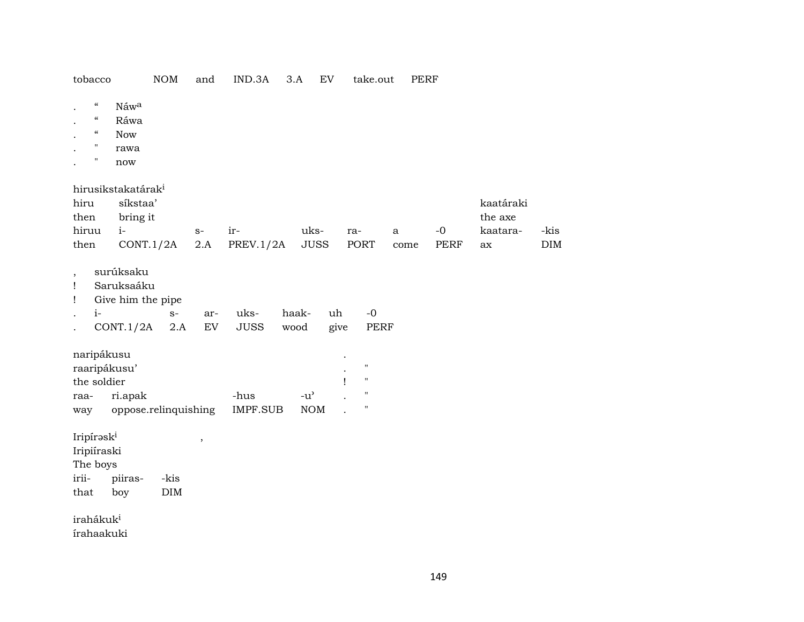| $\boldsymbol{\mathcal{C}}$<br>$\mathcal{C}$<br>$\boldsymbol{\varsigma} \boldsymbol{\varsigma}$<br>$\mathbf{H}$ |      | Náwa<br>Ráwa<br><b>Now</b><br>rawa                                          |                    |               |                         |               |                                                   |                                                                             |           |                     |                                        |                    |
|----------------------------------------------------------------------------------------------------------------|------|-----------------------------------------------------------------------------|--------------------|---------------|-------------------------|---------------|---------------------------------------------------|-----------------------------------------------------------------------------|-----------|---------------------|----------------------------------------|--------------------|
| $\pmb{\Pi}$                                                                                                    |      | now                                                                         |                    |               |                         |               |                                                   |                                                                             |           |                     |                                        |                    |
| hiru<br>then<br>hiruu<br>then                                                                                  |      | hirusikstakatárak <sup>i</sup><br>síkstaa'<br>bring it<br>$i-$<br>CONT.1/2A |                    | $S-$<br>2.A   | ir-<br>PREV.1/2A        |               | uks-<br><b>JUSS</b>                               | ra-<br>PORT                                                                 | a<br>come | $-0$<br><b>PERF</b> | kaatáraki<br>the axe<br>kaatara-<br>ax | -kis<br><b>DIM</b> |
| $\overline{\phantom{a}}$<br>Ţ<br>Ţ                                                                             | $i-$ | surúksaku<br>Saruksaáku<br>Give him the pipe<br>CONT.1/2A                   | $S-$<br>2.A        | ar-<br>EV     | uks-<br><b>JUSS</b>     | haak-<br>wood | uh<br>give                                        | $-0$<br>PERF                                                                |           |                     |                                        |                    |
| naripákusu<br>raaripákusu'<br>the soldier<br>raa-<br>way                                                       |      | ri.apak<br>oppose.relinquishing                                             |                    |               | -hus<br><b>IMPF.SUB</b> |               | $-u$ <sup><math>\prime</math></sup><br><b>NOM</b> | $\blacksquare$<br>$\mathbf{H}$<br>1<br>$\blacksquare$<br>$\pmb{\mathsf{H}}$ |           |                     |                                        |                    |
| Iripíraski<br>Iripiíraski<br>The boys<br>irii-<br>that                                                         |      | piiras-<br>boy                                                              | -kis<br>$\rm{DIM}$ | $^\mathrm{,}$ |                         |               |                                                   |                                                                             |           |                     |                                        |                    |
| irahákuk <sup>i</sup><br>írahaakuki                                                                            |      |                                                                             |                    |               |                         |               |                                                   |                                                                             |           |                     |                                        |                    |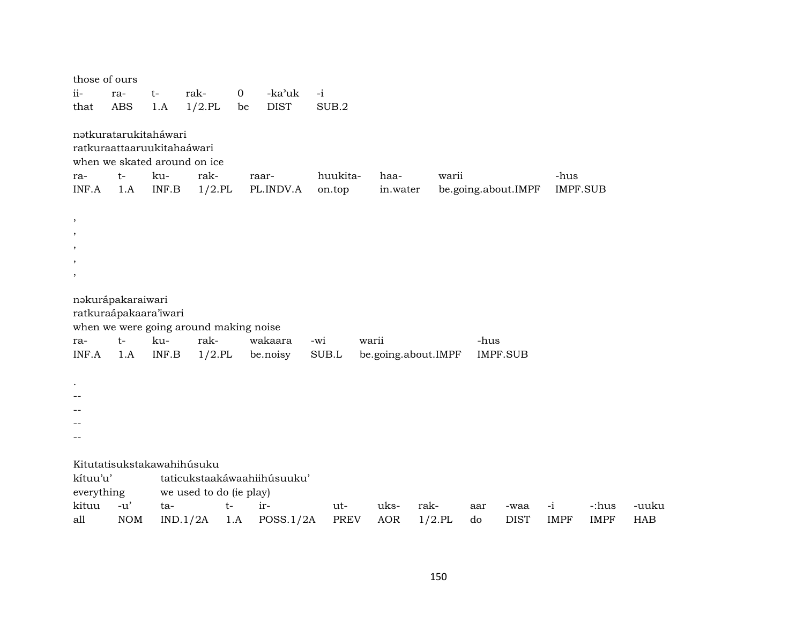| those of ours<br>ii-<br>that                                                                  | ra-<br><b>ABS</b>                                                  | $t-$<br>1.A  | rak-<br>$1/2$ .PL                                           | $\mathbf 0$<br>be | -ka'uk<br><b>DIST</b>       | $-i$<br>SUB.2      |       |                     |                   |           |                     |                         |                      |                     |
|-----------------------------------------------------------------------------------------------|--------------------------------------------------------------------|--------------|-------------------------------------------------------------|-------------------|-----------------------------|--------------------|-------|---------------------|-------------------|-----------|---------------------|-------------------------|----------------------|---------------------|
| ra-<br>INF.A                                                                                  | nətkuratarukitaháwari<br>ratkuraattaaruukitahaáwari<br>$t-$<br>1.A | ku-<br>INF.B | when we skated around on ice<br>rak-<br>$1/2$ .PL           |                   | raar-<br>PL.INDV.A          | huukita-<br>on.top |       | haa-<br>in.water    | warii             |           | be.going.about.IMPF | -hus<br><b>IMPF.SUB</b> |                      |                     |
| $\,$<br>$\overline{\phantom{a}}$<br>$\overline{\phantom{a}}$<br>$\overline{\phantom{a}}$<br>, |                                                                    |              |                                                             |                   |                             |                    |       |                     |                   |           |                     |                         |                      |                     |
| ra-<br>INF.A                                                                                  | nakurápakaraiwari<br>ratkuraápakaara'iwari<br>$t-$<br>1.A          | ku-<br>INF.B | when we were going around making noise<br>rak-<br>$1/2$ .PL |                   | wakaara<br>be.noisy         | -wi<br>SUB.L       | warii | be.going.about.IMPF |                   | -hus      | <b>IMPF.SUB</b>     |                         |                      |                     |
|                                                                                               |                                                                    |              |                                                             |                   |                             |                    |       |                     |                   |           |                     |                         |                      |                     |
| kítuu'u'<br>everything                                                                        |                                                                    |              | Kitutatisukstakawahihúsuku<br>we used to do (ie play)       |                   | taticukstaakáwaahiihúsuuku' |                    |       |                     |                   |           |                     |                         |                      |                     |
| kituu<br>all                                                                                  | $-u'$<br><b>NOM</b>                                                | ta-          | $t-$<br>IND.1/2A                                            | 1.A               | ir-<br>POSS.1/2A            | ut-<br><b>PREV</b> |       | uks-<br><b>AOR</b>  | rak-<br>$1/2$ .PL | aar<br>do | -waa<br><b>DIST</b> | $-i$<br><b>IMPF</b>     | -:hus<br><b>IMPF</b> | -uuku<br><b>HAB</b> |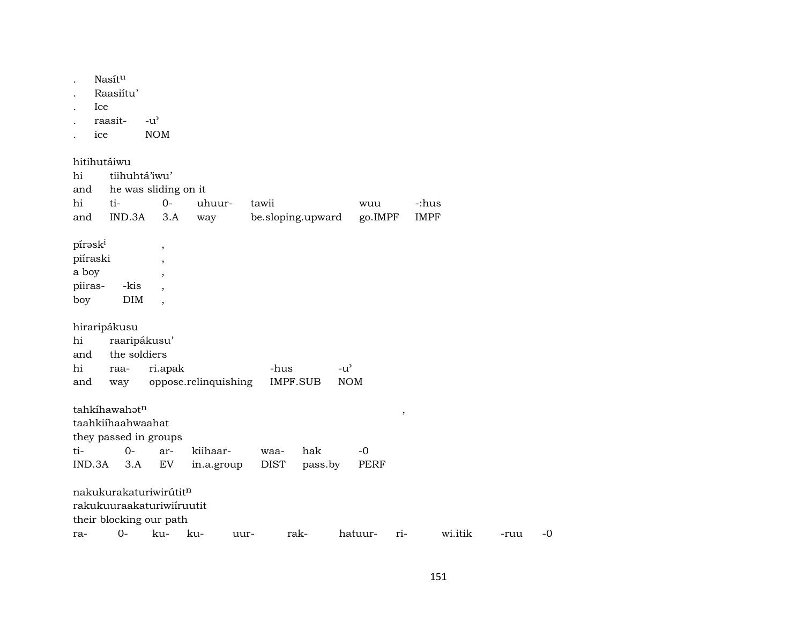| raasit-<br>$-u^{\prime}$<br><b>NOM</b><br>ice                                                                                                                                                            |              |
|----------------------------------------------------------------------------------------------------------------------------------------------------------------------------------------------------------|--------------|
| hitihutáiwu<br>tiihuhtá'iwu'<br>hi<br>he was sliding on it<br>and<br>$O -$<br>hi<br>ti-<br>uhuur-<br>tawii<br>-:hus<br>wuu<br><b>IMPF</b><br>IND.3A<br>3.A<br>go.IMPF<br>and<br>be.sloping.upward<br>way |              |
| píraski<br>$\, ,$<br>piíraski<br>$\overline{\phantom{a}}$<br>a boy<br>$\overline{\phantom{a}}$<br>piiras-<br>-kis<br>DIM<br>boy<br>$\cdot$                                                               |              |
| hiraripákusu<br>raaripákusu'<br>hi<br>the soldiers<br>and<br>hi<br>ri.apak<br>$-u^{\prime}$<br>-hus<br>raa-<br>oppose.relinquishing<br>IMPF.SUB<br><b>NOM</b><br>and<br>way                              |              |
| tahkíhawahatn<br>$\, ,$<br>taahkiihaahwaahat<br>they passed in groups<br>ti-<br>$0-$<br>hak<br>kiihaar-<br>$-0$<br>ar-<br>waa-                                                                           |              |
| IND.3A<br>${\rm EV}$<br><b>DIST</b><br>3.A<br>PERF<br>in.a.group<br>pass.by                                                                                                                              |              |
| nakukurakaturiwirútitn<br>rakukuuraakaturiwiiruutit<br>their blocking our path<br>$0-$<br>ku-<br>wi.itik<br>ku-<br>rak-<br>hatuur-<br>$ri-$<br>uur-<br>ra-                                               | $-0$<br>-ruu |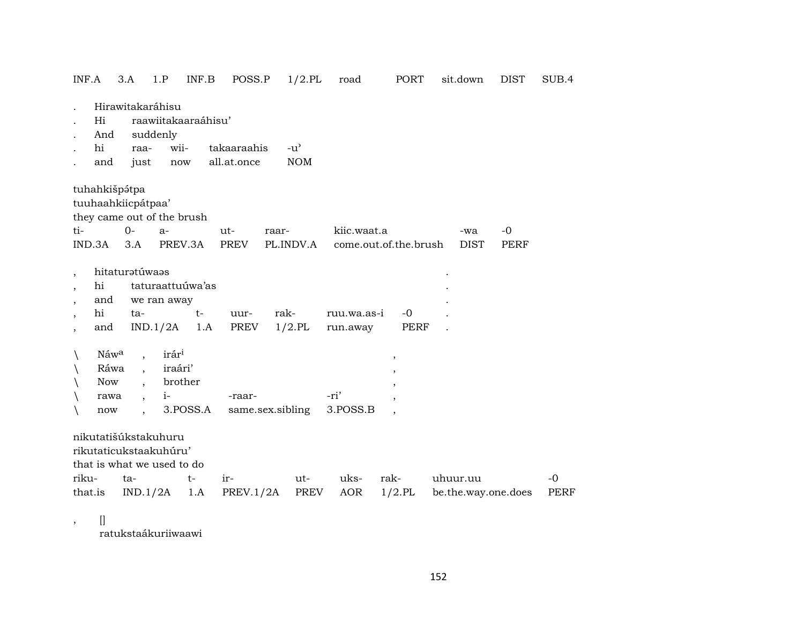| INF.A                                                                                                                                    |                                           | 3.A                                                                                             | 1.P                                             | INF.B                           | POSS.P           | $1/2$ .PL          |      | road                                 | PORT                | sit.down           | <b>DIST</b>         | SUB.4        |
|------------------------------------------------------------------------------------------------------------------------------------------|-------------------------------------------|-------------------------------------------------------------------------------------------------|-------------------------------------------------|---------------------------------|------------------|--------------------|------|--------------------------------------|---------------------|--------------------|---------------------|--------------|
|                                                                                                                                          | Hi<br>And                                 | Hirawitakaráhisu                                                                                | suddenly                                        | raawiitakaaraáhisu'             |                  |                    |      |                                      |                     |                    |                     |              |
|                                                                                                                                          | hi                                        | raa-                                                                                            | wii-                                            |                                 | takaaraahis      | $-u^{\prime}$      |      |                                      |                     |                    |                     |              |
|                                                                                                                                          | and                                       | just                                                                                            | now                                             |                                 | all.at.once      | <b>NOM</b>         |      |                                      |                     |                    |                     |              |
| tuhahkišpátpa                                                                                                                            |                                           | tuuhaahkiicpátpaa'<br>they came out of the brush                                                |                                                 |                                 |                  |                    |      |                                      |                     |                    |                     |              |
| ti-<br>IND.3A                                                                                                                            |                                           | $O-$<br>3.A                                                                                     | $a-$<br>PREV.3A                                 |                                 | ut-<br>PREV      | raar-<br>PL.INDV.A |      | kiic.waat.a<br>come.out.of.the.brush |                     | -wa<br><b>DIST</b> | $-0$<br><b>PERF</b> |              |
| $\overline{\phantom{a}}$<br>$\overline{\phantom{a}}$<br>$\overline{\phantom{a}}$<br>$\overline{\phantom{a}}$<br>$\overline{\phantom{a}}$ | hi<br>and<br>hi<br>and                    | hitaturatúwaas<br>ta-                                                                           | we ran away<br>IND.1/2A                         | taturaattuúwa'as<br>$t-$<br>1.A | uur-<br>PREV     | rak-<br>$1/2$ .PL  |      | ruu.wa.as-i<br>run.away              | $-0$<br><b>PERF</b> |                    |                     |              |
| $\backslash$<br>$\setminus$<br>$\setminus$<br>$\setminus$<br>$\setminus$                                                                 | Náwa<br>Ráwa<br><b>Now</b><br>rawa<br>now | $\ddot{\phantom{0}}$<br>$\ddot{\phantom{0}}$                                                    | irár <sup>i</sup><br>iraári'<br>brother<br>$i-$ | 3.POSS.A                        | -raar-           | same.sex.sibling   | -ri' | 3.POSS.B                             | $^\circ$            |                    |                     |              |
| riku-<br>that.is                                                                                                                         |                                           | nikutatišúkstakuhuru<br>rikutaticukstaakuhúru'<br>that is what we used to do<br>ta-<br>IND.1/2A |                                                 | $t-$<br>1.A                     | ir-<br>PREV.1/2A | ut-<br>PREV        |      | uks-<br>AOR                          | rak-<br>$1/2$ .PL   | uhuur.uu           | be.the.way.one.does | $-0$<br>PERF |

 $\left[ \right]$  $\overline{\phantom{a}}$ 

ratukstaákuriiwaawi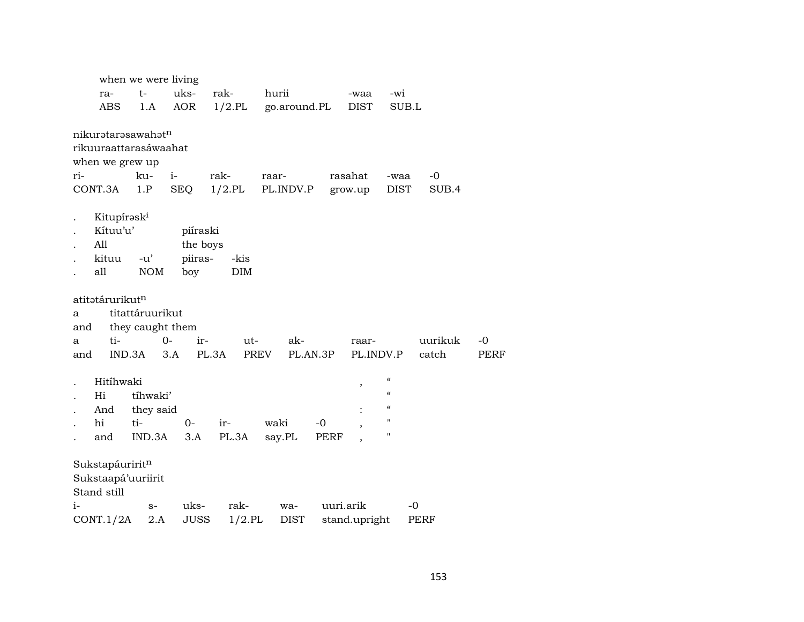| uks-<br>$t-$<br>rak-<br>hurii<br>-wi<br>ra-<br>-waa<br>$1/2$ .PL<br><b>ABS</b><br>AOR<br>DIST<br>go.around.PL<br>SUB.L<br>1.A<br>nikurətarəsawahət <sup>n</sup><br>rikuuraattarasáwaahat<br>when we grew up<br>ku-<br>$i-$<br>ri-<br>rak-<br>rasahat<br>$-0$<br>raar-<br>-waa<br>$1/2$ .PL<br>CONT.3A<br>1.P<br>SEQ<br>PL.INDV.P<br><b>DIST</b><br>SUB.4<br>grow.up<br>Kitupírask <sup>i</sup><br>Kítuu'u'<br>piíraski<br>All<br>the boys<br>piiras-<br>kituu<br>$-u'$<br>-kis<br>all<br><b>NOM</b><br>DIM<br>boy<br>atitətárurikut <sup>n</sup><br>titattáruurikut<br>a<br>they caught them<br>and<br>ti-<br>$O -$<br>ir-<br>ak-<br>uurikuk<br>$-0$<br>ut-<br>raar-<br>a<br>PL.3A<br>PREV<br>PL.AN.3P<br>IND.3A<br>PL.INDV.P<br>catch<br>3.A<br><b>PERF</b><br>and |
|---------------------------------------------------------------------------------------------------------------------------------------------------------------------------------------------------------------------------------------------------------------------------------------------------------------------------------------------------------------------------------------------------------------------------------------------------------------------------------------------------------------------------------------------------------------------------------------------------------------------------------------------------------------------------------------------------------------------------------------------------------------------|
|                                                                                                                                                                                                                                                                                                                                                                                                                                                                                                                                                                                                                                                                                                                                                                     |
|                                                                                                                                                                                                                                                                                                                                                                                                                                                                                                                                                                                                                                                                                                                                                                     |
|                                                                                                                                                                                                                                                                                                                                                                                                                                                                                                                                                                                                                                                                                                                                                                     |
|                                                                                                                                                                                                                                                                                                                                                                                                                                                                                                                                                                                                                                                                                                                                                                     |
|                                                                                                                                                                                                                                                                                                                                                                                                                                                                                                                                                                                                                                                                                                                                                                     |
|                                                                                                                                                                                                                                                                                                                                                                                                                                                                                                                                                                                                                                                                                                                                                                     |
|                                                                                                                                                                                                                                                                                                                                                                                                                                                                                                                                                                                                                                                                                                                                                                     |
|                                                                                                                                                                                                                                                                                                                                                                                                                                                                                                                                                                                                                                                                                                                                                                     |
|                                                                                                                                                                                                                                                                                                                                                                                                                                                                                                                                                                                                                                                                                                                                                                     |
|                                                                                                                                                                                                                                                                                                                                                                                                                                                                                                                                                                                                                                                                                                                                                                     |
|                                                                                                                                                                                                                                                                                                                                                                                                                                                                                                                                                                                                                                                                                                                                                                     |
|                                                                                                                                                                                                                                                                                                                                                                                                                                                                                                                                                                                                                                                                                                                                                                     |
|                                                                                                                                                                                                                                                                                                                                                                                                                                                                                                                                                                                                                                                                                                                                                                     |
|                                                                                                                                                                                                                                                                                                                                                                                                                                                                                                                                                                                                                                                                                                                                                                     |
|                                                                                                                                                                                                                                                                                                                                                                                                                                                                                                                                                                                                                                                                                                                                                                     |
|                                                                                                                                                                                                                                                                                                                                                                                                                                                                                                                                                                                                                                                                                                                                                                     |
|                                                                                                                                                                                                                                                                                                                                                                                                                                                                                                                                                                                                                                                                                                                                                                     |
|                                                                                                                                                                                                                                                                                                                                                                                                                                                                                                                                                                                                                                                                                                                                                                     |
|                                                                                                                                                                                                                                                                                                                                                                                                                                                                                                                                                                                                                                                                                                                                                                     |
| $\boldsymbol{\zeta}\boldsymbol{\zeta}$<br>Hitíhwaki<br>,                                                                                                                                                                                                                                                                                                                                                                                                                                                                                                                                                                                                                                                                                                            |
| $\mathcal{C}$<br>tíhwaki'<br>Hi                                                                                                                                                                                                                                                                                                                                                                                                                                                                                                                                                                                                                                                                                                                                     |
| $\mathcal{C}$<br>And<br>they said                                                                                                                                                                                                                                                                                                                                                                                                                                                                                                                                                                                                                                                                                                                                   |
| $\mathsf{H}$<br>hi<br>ti-<br>waki<br>$0-$<br>ir-<br>-0                                                                                                                                                                                                                                                                                                                                                                                                                                                                                                                                                                                                                                                                                                              |
| $\mathbf H$<br>PL.3A<br>IND.3A<br>3.A<br>say.PL<br>and<br>PERF                                                                                                                                                                                                                                                                                                                                                                                                                                                                                                                                                                                                                                                                                                      |
| Sukstapáuriritn<br>Sukstaapá'uuriirit<br>Stand still                                                                                                                                                                                                                                                                                                                                                                                                                                                                                                                                                                                                                                                                                                                |
| uks-<br>rak-<br>uuri.arik<br>$-0$<br>$i-$<br>wa-<br>$S-$                                                                                                                                                                                                                                                                                                                                                                                                                                                                                                                                                                                                                                                                                                            |
| JUSS<br>$1/2$ .PL<br>CONT.1/2A<br>2.A<br>DIST<br>stand.upright<br><b>PERF</b>                                                                                                                                                                                                                                                                                                                                                                                                                                                                                                                                                                                                                                                                                       |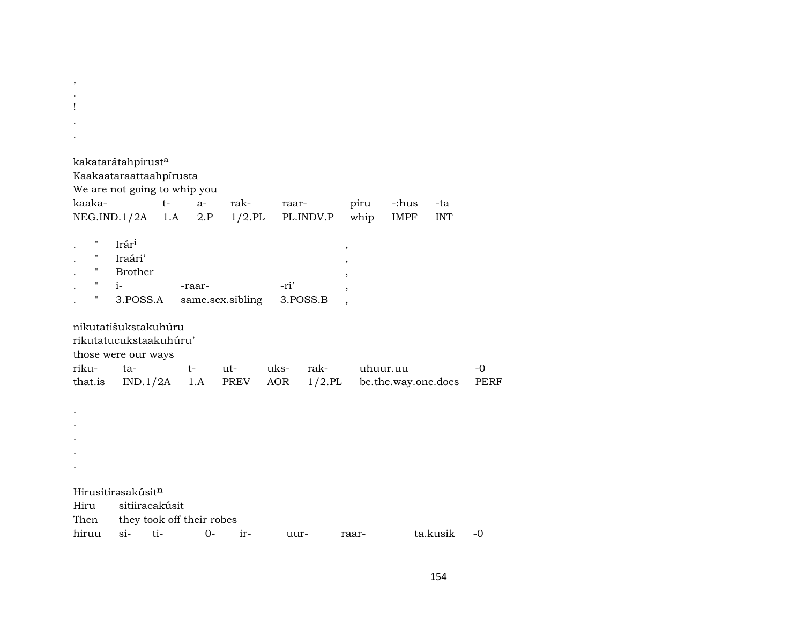| ,                                   |                |                |                           |                  |       |           |        |                     |            |             |  |
|-------------------------------------|----------------|----------------|---------------------------|------------------|-------|-----------|--------|---------------------|------------|-------------|--|
|                                     |                |                |                           |                  |       |           |        |                     |            |             |  |
| ļ                                   |                |                |                           |                  |       |           |        |                     |            |             |  |
|                                     |                |                |                           |                  |       |           |        |                     |            |             |  |
|                                     |                |                |                           |                  |       |           |        |                     |            |             |  |
| kakatarátahpirust <sup>a</sup>      |                |                |                           |                  |       |           |        |                     |            |             |  |
| Kaakaataraattaahpirusta             |                |                |                           |                  |       |           |        |                     |            |             |  |
| We are not going to whip you        |                |                |                           |                  |       |           |        |                     |            |             |  |
| kaaka-                              |                | $t-$           | $a-$                      | rak-             | raar- |           | piru   | -:hus               | -ta        |             |  |
| NEG.IND.1/2A                        |                | 1.A            | 2.P                       | $1/2$ .PL        |       | PL.INDV.P | whip   | <b>IMPF</b>         | <b>INT</b> |             |  |
|                                     |                |                |                           |                  |       |           |        |                     |            |             |  |
| н                                   | Irári          |                |                           |                  |       |           | $\, ,$ |                     |            |             |  |
| $\mathbf H$<br>$\ddot{\phantom{0}}$ | Iraári'        |                |                           |                  |       |           |        |                     |            |             |  |
| н.<br>$\ddot{\phantom{0}}$          | <b>Brother</b> |                |                           |                  |       |           |        |                     |            |             |  |
| $\mathbf H$                         | $i-$           |                | -raar-                    |                  | -ri'  |           |        |                     |            |             |  |
| Ħ                                   | 3.POSS.A       |                |                           | same.sex.sibling |       | 3.POSS.B  |        |                     |            |             |  |
| nikutatišukstakuhúru                |                |                |                           |                  |       |           |        |                     |            |             |  |
| rikutatucukstaakuhúru'              |                |                |                           |                  |       |           |        |                     |            |             |  |
| those were our ways                 |                |                |                           |                  |       |           |        |                     |            |             |  |
| riku-                               | ta-            |                | $t-$                      | ut-              | uks-  | rak-      |        | uhuur.uu            |            | $-0$        |  |
| that.is                             | IND.1/2A       |                |                           | 1.A PREV AOR     |       | $1/2$ .PL |        | be.the.way.one.does |            | <b>PERF</b> |  |
|                                     |                |                |                           |                  |       |           |        |                     |            |             |  |
|                                     |                |                |                           |                  |       |           |        |                     |            |             |  |
|                                     |                |                |                           |                  |       |           |        |                     |            |             |  |
|                                     |                |                |                           |                  |       |           |        |                     |            |             |  |
|                                     |                |                |                           |                  |       |           |        |                     |            |             |  |
|                                     |                |                |                           |                  |       |           |        |                     |            |             |  |
|                                     |                |                |                           |                  |       |           |        |                     |            |             |  |
| Hirusitirasakúsitn                  |                |                |                           |                  |       |           |        |                     |            |             |  |
| Hiru                                |                | sitiiracakúsit |                           |                  |       |           |        |                     |            |             |  |
| Then                                |                |                | they took off their robes |                  |       |           |        |                     |            |             |  |
| hiruu                               | si-            | ti-            | $0-$                      | ir-              | uur-  |           | raar-  |                     | ta.kusik   | $-0$        |  |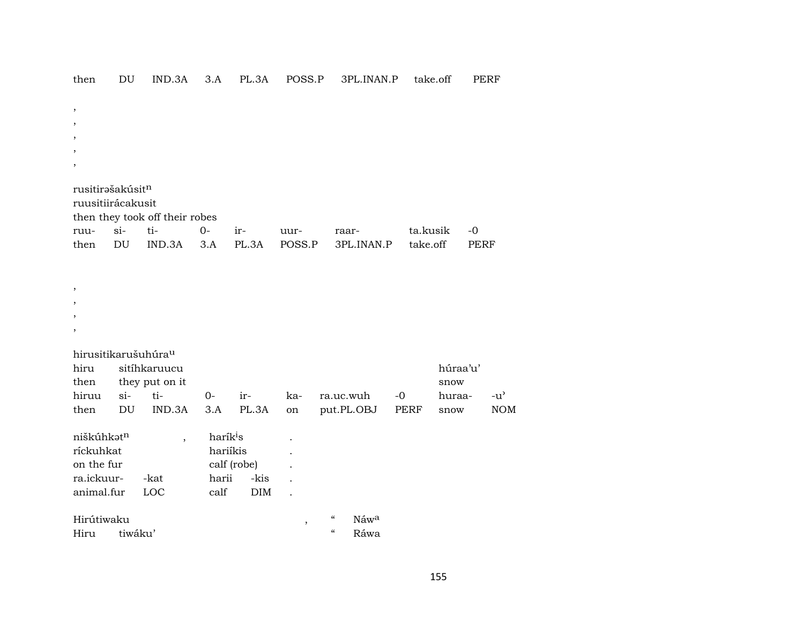| ,<br>,<br>$\cdot$<br>rusitirəšakúsit <sup>n</sup><br>ruusitiirácakusit |         | then they took off their robes          |                                                   |                            |               |                                                |             |             |               |
|------------------------------------------------------------------------|---------|-----------------------------------------|---------------------------------------------------|----------------------------|---------------|------------------------------------------------|-------------|-------------|---------------|
| ruu-                                                                   | $\sin$  | ti-                                     | $O -$                                             | ir-                        | uur-          | raar-                                          | ta.kusik    | $-0$        |               |
| then                                                                   | DU      | IND.3A                                  | 3.A                                               | PL.3A                      | POSS.P        | 3PL.INAN.P                                     | take.off    | <b>PERF</b> |               |
| ,<br>$\overline{\phantom{a}}$                                          |         |                                         |                                                   |                            |               |                                                |             |             |               |
| hirusitikarušuhúra <sup>u</sup>                                        |         |                                         |                                                   |                            |               |                                                |             |             |               |
| hiru                                                                   |         | sitíhkaruucu                            |                                                   |                            |               |                                                |             | húraa'u'    |               |
| then                                                                   |         | they put on it                          |                                                   |                            |               |                                                |             | snow        |               |
| hiruu                                                                  | $si-$   | ti-                                     | $0-$                                              | ir-                        | ka-           | ra.uc.wuh                                      | $-0$        | huraa-      | $-u^{\prime}$ |
| then                                                                   | DU      | IND.3A                                  | 3.A                                               | PL.3A                      | on            | put.PL.OBJ                                     | <b>PERF</b> | snow        | <b>NOM</b>    |
| niškúhkatn<br>ríckuhkat<br>on the fur<br>ra.ickuur-<br>animal.fur      |         | $\overline{\phantom{a}}$<br>-kat<br>LOC | harík <sup>i</sup> s<br>hariíkis<br>harii<br>calf | calf (robe)<br>-kis<br>DIM |               |                                                |             |             |               |
| Hirútiwaku                                                             |         |                                         |                                                   |                            | $^\mathrm{,}$ | $\boldsymbol{\zeta}\boldsymbol{\zeta}$<br>Náwa |             |             |               |
| Hiru                                                                   | tiwáku' |                                         |                                                   |                            |               | $\boldsymbol{\zeta}\boldsymbol{\zeta}$<br>Ráwa |             |             |               |

### then DU IND.3A 3.A PL.3A POSS.P 3PL.INAN.P take.off PERF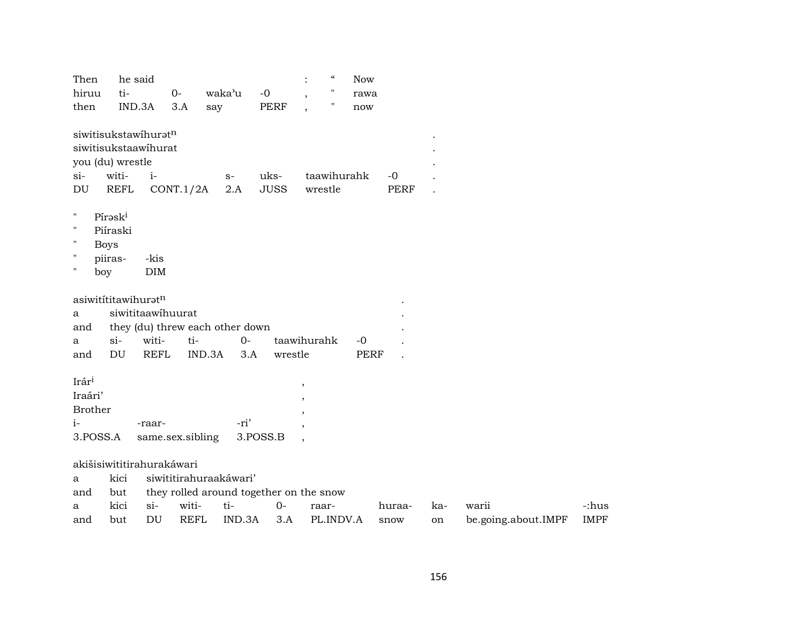| Then<br>hiruu<br>then                                                                                              | he said<br>ti-<br>IND.3A       |                    | $0-$<br>3.A      | waka'u<br>say                                                     | $-0$<br>PERF | $\ddot{\cdot}$    | $\epsilon\epsilon$<br>$\pmb{\mathsf{H}}$<br>" | <b>Now</b><br>rawa<br>now |             |     |                     |             |
|--------------------------------------------------------------------------------------------------------------------|--------------------------------|--------------------|------------------|-------------------------------------------------------------------|--------------|-------------------|-----------------------------------------------|---------------------------|-------------|-----|---------------------|-------------|
| siwitisukstawihuratn<br>siwitisukstaawihurat<br>you (du) wrestle<br>$si-$                                          | witi-                          | $i-$               |                  | $S-$                                                              | uks-         |                   | taawihurahk                                   |                           | $-0$        |     |                     |             |
| DU                                                                                                                 | <b>REFL</b>                    |                    | CONT.1/2A        | 2.A                                                               | <b>JUSS</b>  |                   | wrestle                                       |                           | <b>PERF</b> |     |                     |             |
| $\pmb{\mathsf{H}}$<br>$\pmb{\pi}$<br>$\pmb{\mathsf{H}}$<br><b>Boys</b><br>$\pmb{\mathsf{H}}$<br>$\pmb{\pi}$<br>boy | Píraski<br>Piíraski<br>piiras- | -kis<br><b>DIM</b> |                  |                                                                   |              |                   |                                               |                           |             |     |                     |             |
| asiwitititawihuratn                                                                                                |                                |                    |                  |                                                                   |              |                   |                                               |                           |             |     |                     |             |
| a                                                                                                                  | siwititaawihuurat              |                    |                  |                                                                   |              |                   |                                               |                           |             |     |                     |             |
| and                                                                                                                |                                |                    |                  | they (du) threw each other down                                   |              |                   |                                               |                           |             |     |                     |             |
| a                                                                                                                  | $si-$                          | witi-              | ti-              | $0-$                                                              |              | taawihurahk       |                                               | $-0$                      |             |     |                     |             |
| and                                                                                                                | DU                             | <b>REFL</b>        | IND.3A           | 3.A                                                               | wrestle      |                   |                                               | <b>PERF</b>               |             |     |                     |             |
| Irári<br>Iraári'                                                                                                   |                                |                    |                  |                                                                   |              | $\, ,$<br>$\cdot$ |                                               |                           |             |     |                     |             |
| <b>Brother</b>                                                                                                     |                                |                    |                  |                                                                   |              |                   |                                               |                           |             |     |                     |             |
| $i-$                                                                                                               |                                | -raar-             |                  | -ri'                                                              |              | $\cdot$           |                                               |                           |             |     |                     |             |
| 3.POSS.A                                                                                                           |                                |                    | same.sex.sibling |                                                                   | 3.POSS.B     |                   |                                               |                           |             |     |                     |             |
| akišisiwititirahurakáwari<br>a<br>and                                                                              | kici<br>but                    |                    |                  | siwititirahuraakáwari'<br>they rolled around together on the snow |              |                   |                                               |                           |             |     |                     |             |
| a                                                                                                                  | kici                           | $si-$              | witi-            | ti-                                                               | $O -$        |                   | raar-                                         |                           | huraa-      | ka- | warii               | -:hus       |
| and                                                                                                                | but                            | DU                 | <b>REFL</b>      | IND.3A                                                            | 3.A          |                   | PL.INDV.A                                     |                           | snow        | on  | be.going.about.IMPF | <b>IMPF</b> |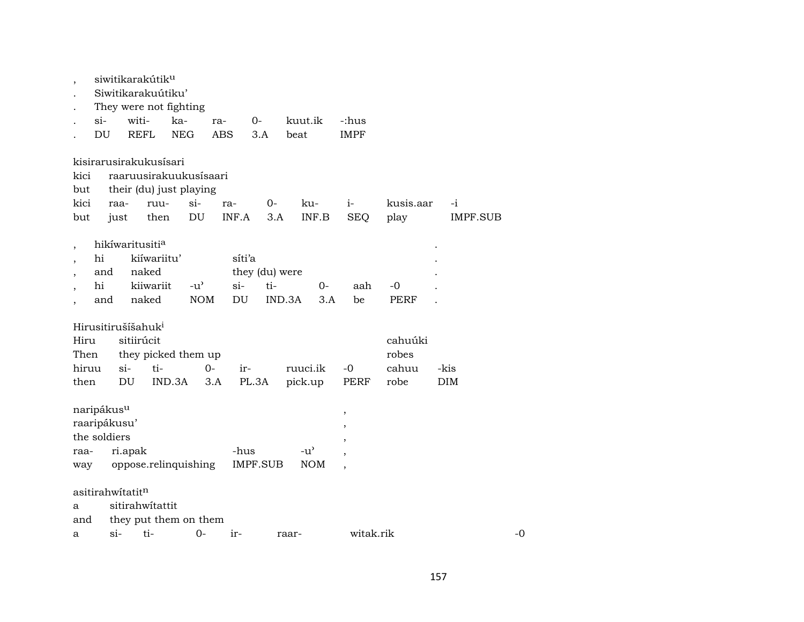|                                |                             |             | siwitikarakútik <sup>u</sup> |               |            |                |                                     |            |                          |             |          |    |
|--------------------------------|-----------------------------|-------------|------------------------------|---------------|------------|----------------|-------------------------------------|------------|--------------------------|-------------|----------|----|
|                                |                             |             | Siwitikarakuútiku'           |               |            |                |                                     |            |                          |             |          |    |
|                                |                             |             | They were not fighting       |               |            |                |                                     |            |                          |             |          |    |
|                                | $\sin$                      | witi-       | ka-                          |               | ra-        | 0-             | kuut.ik                             |            | -:hus                    |             |          |    |
|                                | DU                          | <b>REFL</b> | <b>NEG</b>                   |               | <b>ABS</b> | 3.A            | beat                                |            | <b>IMPF</b>              |             |          |    |
|                                |                             |             | kisirarusirakukusísari       |               |            |                |                                     |            |                          |             |          |    |
| kici                           |                             |             | raaruusirakuukusisaari       |               |            |                |                                     |            |                          |             |          |    |
| but                            |                             |             | their (du) just playing      |               |            |                |                                     |            |                          |             |          |    |
| kici                           | raa-                        |             | ruu-                         | $si-$         | ra-        | $O-$           |                                     | ku-        | $i-$                     | kusis.aar   | $-i$     |    |
| but                            | just                        |             | then                         | DU            | INF.A      | 3.A            |                                     | INF.B      | <b>SEQ</b>               | play        | IMPF.SUB |    |
|                                | hikíwaritusiti <sup>a</sup> |             |                              |               |            |                |                                     |            |                          |             |          |    |
|                                | hi                          |             | kiíwariitu'                  |               | síti'a     |                |                                     |            |                          |             |          |    |
|                                | and                         | naked       |                              |               |            | they (du) were |                                     |            |                          |             |          |    |
|                                | hi                          |             | kiiwariit                    | $-u^{\prime}$ | $\sin$     | ti-            |                                     | $0-$       | aah                      | -0          |          |    |
|                                | and                         | naked       |                              | <b>NOM</b>    | DU         |                | IND.3A                              | 3.A        | be                       | <b>PERF</b> |          |    |
| Hirusitirušíšahuk <sup>i</sup> |                             |             |                              |               |            |                |                                     |            |                          |             |          |    |
| Hiru                           |                             | sitiirúcit  |                              |               |            |                |                                     |            |                          | cahuúki     |          |    |
| Then                           |                             |             | they picked them up          |               |            |                |                                     |            |                          | robes       |          |    |
| hiruu                          |                             | $\sin$      | ti-                          | $0 -$         | ir-        |                | ruuci.ik                            |            | $-0$                     | cahuu       | -kis     |    |
| then                           |                             | DU          | IND.3A                       |               | 3.A        | PL.3A          | pick.up                             |            | PERF                     | robe        | DIM      |    |
| naripákus <sup>u</sup>         |                             |             |                              |               |            |                |                                     |            | ,                        |             |          |    |
| raaripákusu'                   |                             |             |                              |               |            |                |                                     |            | $\,$                     |             |          |    |
| the soldiers                   |                             |             |                              |               |            |                |                                     |            | ,                        |             |          |    |
| raa-                           |                             | ri.apak     |                              |               | -hus       |                | $-u$ <sup><math>\prime</math></sup> |            |                          |             |          |    |
| way                            |                             |             | oppose.relinquishing         |               |            | IMPF.SUB       |                                     | <b>NOM</b> | $\overline{\phantom{a}}$ |             |          |    |
| asitirahwitatitn               |                             |             |                              |               |            |                |                                     |            |                          |             |          |    |
| a                              |                             |             | sitirahwitattit              |               |            |                |                                     |            |                          |             |          |    |
| and                            |                             |             | they put them on them        |               |            |                |                                     |            |                          |             |          |    |
| a                              | $\sin$                      | ti-         |                              | 0-            | ir-        |                | raar-                               |            | witak.rik                |             |          | -0 |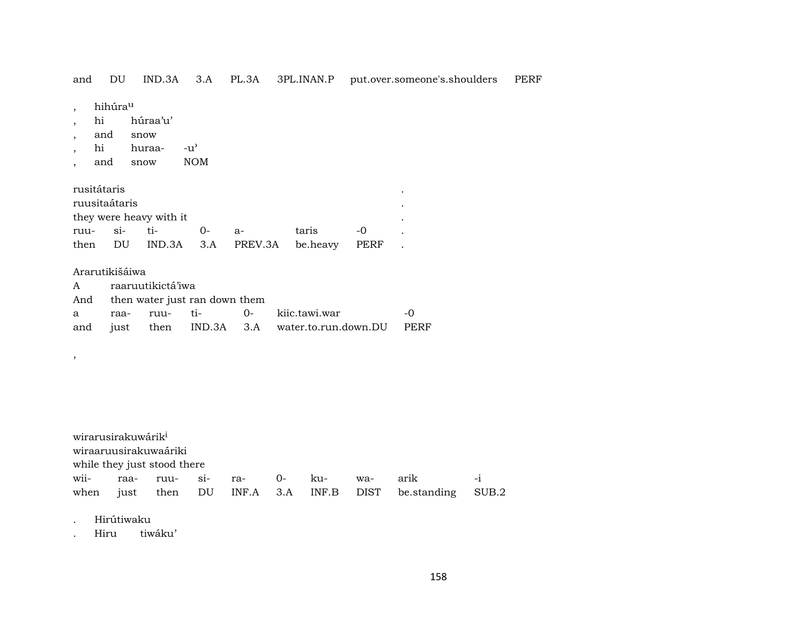and DU IND.3A 3.A PL.3A 3PL.INAN.P put.over.someone's.shoulders PERF

, hihúra<sup>u</sup>

- , hi húraa'u'
- , and snow
- , hi huraa- -u"
- , and snow NOM

| rusitátaris   |                         |    |                                     |       |       |  |
|---------------|-------------------------|----|-------------------------------------|-------|-------|--|
| ruusitaátaris |                         |    |                                     |       |       |  |
|               | they were heavy with it |    |                                     |       |       |  |
| ruu- si- ti-  |                         | () | -а-                                 | taris | $-()$ |  |
|               |                         |    | then DU IND.3A 3.A PREV.3A be.heavy |       | PERF  |  |

### Ararutikišáiwa

,

|  | A raaruutikictá'iwa |                                   |                                                    |     |
|--|---------------------|-----------------------------------|----------------------------------------------------|-----|
|  |                     | And then water just ran down them |                                                    |     |
|  |                     |                                   | a raa- ruu- ti-  0- kiic.tawi.war                  | - വ |
|  |                     |                                   | and just then IND.3A 3.A water.to.run.down.DU PERF |     |

# wirarusirakuwárik<sup>i</sup> wiraaruusirakuwaáriki while they just stood there wii- raa- ruu- si- ra- 0- ku- wa- arik -i when just then DU INF.A 3.A INF.B DIST be.standing SUB.2

. Hirútiwaku

. Hiru tiwáku'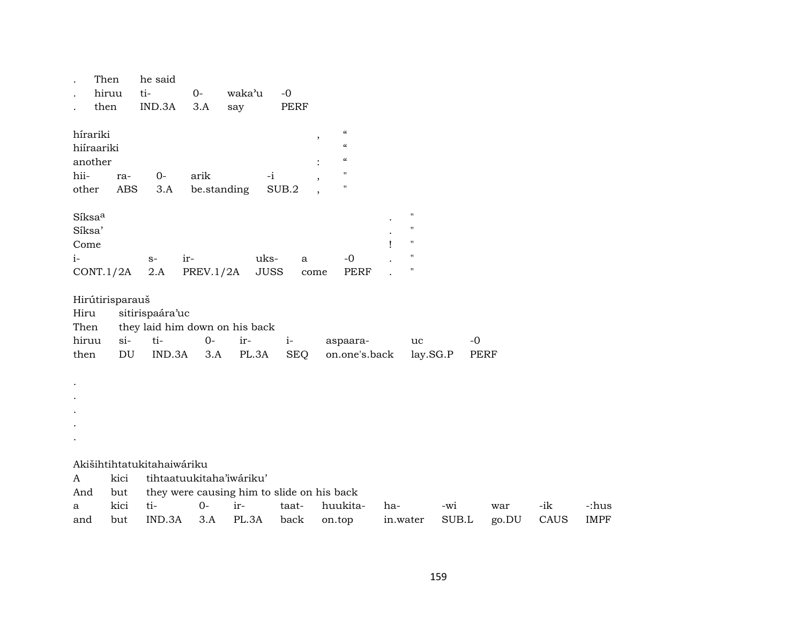| Then<br>hiruu<br>then                                                   | he said<br>ti-<br>$O -$<br>IND.3A<br>3.A                                               | waka'u<br>$-0$<br>PERF<br>say                                               |                                                                                                                                      |                                                                                                                    |              |              |             |                      |
|-------------------------------------------------------------------------|----------------------------------------------------------------------------------------|-----------------------------------------------------------------------------|--------------------------------------------------------------------------------------------------------------------------------------|--------------------------------------------------------------------------------------------------------------------|--------------|--------------|-------------|----------------------|
| hírariki<br>hiíraariki<br>another<br>hii-<br>ra-<br>other<br><b>ABS</b> | $O -$<br>arik<br>3.A                                                                   | $-i$<br>be.standing<br>SUB.2                                                | $\pmb{\zeta}\pmb{\zeta}$<br>$\,$<br>$\pmb{\zeta}\pmb{\zeta}$<br>$\pmb{\zeta}\pmb{\zeta}$<br>$\pmb{\mathsf{H}}$<br>$\pmb{\mathsf{H}}$ |                                                                                                                    |              |              |             |                      |
| Síksaa<br>Síksa'<br>Come<br>$i-$<br>CONT.1/2A                           | ir-<br>$S-$<br>2.A<br>PREV.1/2A                                                        | uks-<br>a<br><b>JUSS</b>                                                    | $-0$<br>PERF<br>come                                                                                                                 | $\pmb{\shortparallel}$<br>$\pmb{\mathsf{H}}$<br>$\pmb{\mathsf{H}}$<br>$\pmb{\shortparallel}$<br>$\pmb{\mathsf{H}}$ |              |              |             |                      |
| Hirútirisparauš<br>Hiru<br>Then<br>hiruu<br>$si-$<br>then<br>DU         | sitirispaára'uc<br>they laid him down on his back<br>ti-<br>$0-$<br>IND.3A<br>3.A      | ir-<br>$i-$<br>PL.3A<br><b>SEQ</b>                                          | aspaara-<br>on.one's.back                                                                                                            | uc<br>lay.SG.P                                                                                                     | $-0$         | PERF         |             |                      |
|                                                                         |                                                                                        |                                                                             |                                                                                                                                      |                                                                                                                    |              |              |             |                      |
| kici<br>A<br>And<br>but<br>kici<br>a<br>but<br>and                      | Akišihtihtatukitahaiwáriku<br>tihtaatuukitaha'iwáriku'<br>ti-<br>$0-$<br>IND.3A<br>3.A | they were causing him to slide on his back<br>ir-<br>taat-<br>PL.3A<br>back | huukita-<br>on.top                                                                                                                   | ha-<br>in.water                                                                                                    | -wi<br>SUB.L | war<br>go.DU | -ik<br>CAUS | -:hus<br><b>IMPF</b> |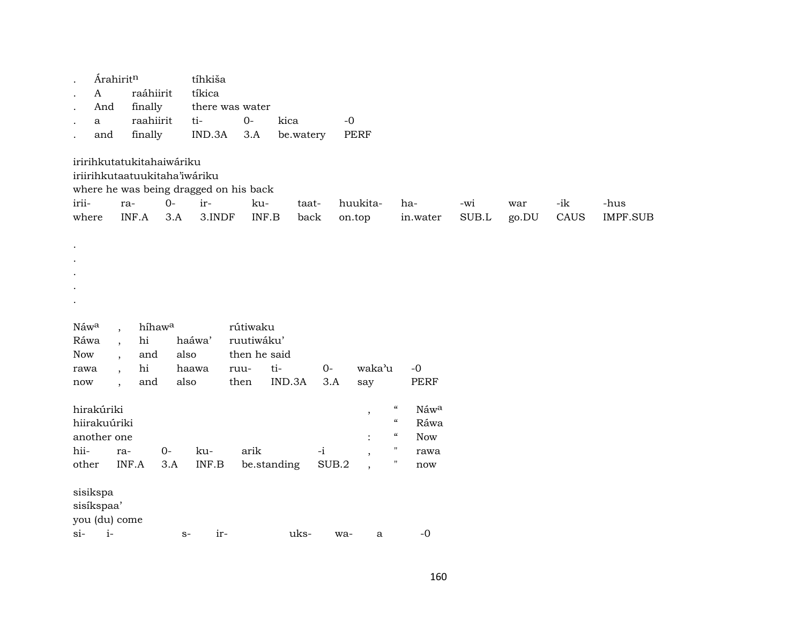|                      | Árahiritn                                            |                                                                            |             | tíhkiša       |                                                        |               |       |                    |                                        |                 |              |              |             |                  |
|----------------------|------------------------------------------------------|----------------------------------------------------------------------------|-------------|---------------|--------------------------------------------------------|---------------|-------|--------------------|----------------------------------------|-----------------|--------------|--------------|-------------|------------------|
|                      | $\mathbf{A}$                                         | raáhiirit                                                                  |             | tíkica        |                                                        |               |       |                    |                                        |                 |              |              |             |                  |
|                      | And                                                  | finally                                                                    |             |               | there was water                                        |               |       |                    |                                        |                 |              |              |             |                  |
|                      | a                                                    | raahiirit                                                                  |             | ti-           | $O-$                                                   | kica          | $-0$  |                    |                                        |                 |              |              |             |                  |
|                      | and                                                  | finally                                                                    |             | IND.3A        | 3.A                                                    | be.watery     |       | <b>PERF</b>        |                                        |                 |              |              |             |                  |
| irii-<br>where       |                                                      | iririhkutatukitahaiwáriku<br>iriirihkutaatuukitaha'iwáriku<br>ra-<br>INF.A | $0-$<br>3.A | ir-<br>3.INDF | where he was being dragged on his back<br>ku-<br>INF.B | taat-<br>back |       | huukita-<br>on.top |                                        | ha-<br>in.water | -wi<br>SUB.L | war<br>go.DU | -ik<br>CAUS | -hus<br>IMPF.SUB |
| Náwa<br>Ráwa         | $\overline{\phantom{a}}$<br>$\overline{\phantom{a}}$ | híhawa<br>hi                                                               |             | haáwa'        | rútiwaku<br>ruutiwáku'                                 |               |       |                    |                                        |                 |              |              |             |                  |
| Now                  |                                                      | and                                                                        | also        |               | then he said                                           |               |       |                    |                                        |                 |              |              |             |                  |
| rawa                 | $\overline{\phantom{a}}$                             | hi                                                                         |             | haawa         | ruu-                                                   | ti-           | $0-$  | waka'u             |                                        | $-0$            |              |              |             |                  |
| $\operatorname{now}$ | $\overline{\phantom{a}}$                             | and                                                                        | also        |               | then                                                   | IND.3A        | 3.A   | say                |                                        | <b>PERF</b>     |              |              |             |                  |
|                      |                                                      |                                                                            |             |               |                                                        |               |       |                    | $\boldsymbol{\zeta}\boldsymbol{\zeta}$ | Náwa            |              |              |             |                  |
|                      | hirakúriki<br>hiirakuúriki                           |                                                                            |             |               |                                                        |               |       | $^\mathrm{,}$      | $\epsilon\epsilon$                     | Ráwa            |              |              |             |                  |
|                      | another one                                          |                                                                            |             |               |                                                        |               |       |                    | $\boldsymbol{\mathcal{C}}$             | Now             |              |              |             |                  |
| hii-                 | ra-                                                  |                                                                            | $0-$        | ku-           | arik                                                   |               | $-i$  |                    | $\pmb{\mathsf{H}}$                     | rawa            |              |              |             |                  |
| other                |                                                      | INF.A                                                                      | 3.A         | INF.B         |                                                        | be.standing   | SUB.2 |                    | $\pmb{\mathsf{H}}$                     | now             |              |              |             |                  |
|                      |                                                      |                                                                            |             |               |                                                        |               |       |                    |                                        |                 |              |              |             |                  |
| sisikspa             | sisíkspaa'<br>you (du) come                          |                                                                            |             |               |                                                        |               |       |                    |                                        |                 |              |              |             |                  |
| $si-$                | $i-$                                                 |                                                                            | $S-$        | ir-           |                                                        | uks-          | wa-   | $\mathbf a$        |                                        | $-0$            |              |              |             |                  |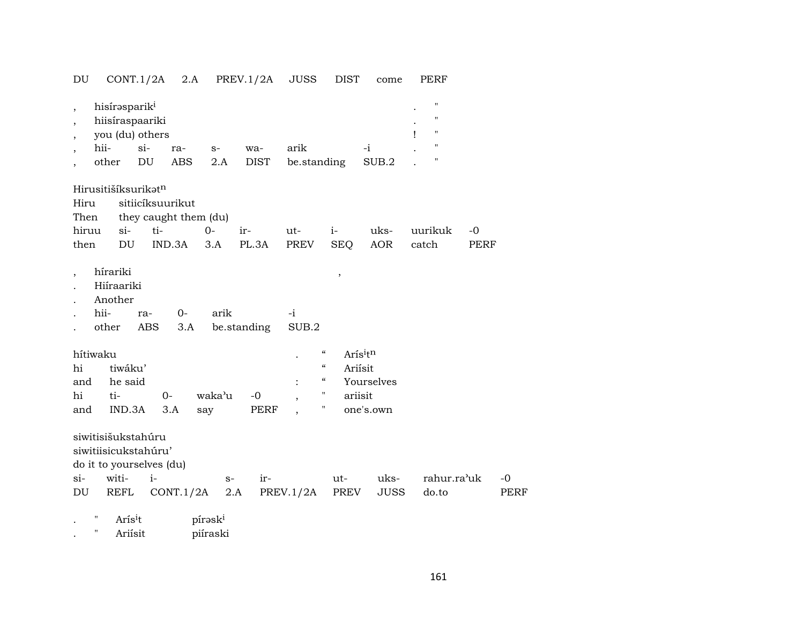DU CONT.1/2A 2.A PREV.1/2A JUSS DIST come PERF

| $\overline{\phantom{a}}$<br>$\overline{\phantom{a}}$<br>$\overline{\phantom{a}}$ | hisírəsparik <sup>1</sup><br>hiisíraspaariki<br>you (du) others |            |                          |                     |             |                          |                                        |             | "<br>11<br>"<br>Ţ |             |      |
|----------------------------------------------------------------------------------|-----------------------------------------------------------------|------------|--------------------------|---------------------|-------------|--------------------------|----------------------------------------|-------------|-------------------|-------------|------|
| $\overline{\phantom{a}}$                                                         | hii-                                                            | $si$ -     | ra-                      | $S-$                | wa-         | arik                     |                                        | $-i$        | 11                |             |      |
|                                                                                  | other                                                           | DU         | <b>ABS</b>               | 2.A                 | <b>DIST</b> | be.standing              |                                        | SUB.2       | 11                |             |      |
|                                                                                  | Hirusitišíksurikat <sup>n</sup>                                 |            |                          |                     |             |                          |                                        |             |                   |             |      |
| Hiru                                                                             |                                                                 |            | sitiicíksuurikut         |                     |             |                          |                                        |             |                   |             |      |
| Then                                                                             |                                                                 |            | they caught them (du)    |                     |             |                          |                                        |             |                   |             |      |
| hiruu                                                                            | $si-$                                                           |            | ti-                      | $0-$                | ir-         | ut-                      | $i-$                                   | uks-        | uurikuk           | $-0$        |      |
| then                                                                             | DU                                                              |            | IND.3A                   | 3.A                 | PL.3A       | PREV                     | <b>SEQ</b>                             | <b>AOR</b>  | catch             | PERF        |      |
| $\overline{\phantom{a}}$<br>hítiwaku                                             | hírariki<br>Hiíraariki<br>Another<br>hii-<br>other              | ra-<br>ABS | $0-$<br>3.A              | arik                | be.standing | $-i$<br>SUB.2            | ,<br>$\boldsymbol{\mathcal{C}}$        | Arisitn     |                   |             |      |
| hi                                                                               | tiwáku'                                                         |            |                          |                     |             |                          | $\boldsymbol{\zeta}\boldsymbol{\zeta}$ | Ariisit     |                   |             |      |
| and                                                                              | he said                                                         |            |                          |                     |             |                          | $\boldsymbol{\mathcal{C}}$             | Yourselves  |                   |             |      |
| hi                                                                               | ti-                                                             |            | $0-$                     | waka'u              | $-0$        | $\overline{\phantom{a}}$ | П                                      | ariisit     |                   |             |      |
| and                                                                              | IND.3A                                                          |            | 3.A                      | say                 | PERF        |                          | П                                      | one's.own   |                   |             |      |
|                                                                                  | siwitisišukstahúru<br>siwitiisicukstahúru'                      |            | do it to yourselves (du) |                     |             |                          |                                        |             |                   |             |      |
| $\sin$                                                                           | witi-                                                           |            | $i-$                     | $S-$                | ir-         |                          | ut-                                    | uks-        |                   | rahur.ra'uk | $-0$ |
| DU                                                                               | REFL                                                            |            | CONT.1/2A                |                     | 2.A         | PREV.1/2A                | PREV                                   | <b>JUSS</b> | do.to             |             | PERF |
|                                                                                  | Ħ<br>Aris <sup>i</sup> t                                        |            |                          | pírask <sup>i</sup> |             |                          |                                        |             |                   |             |      |

. " Ariísit piíraski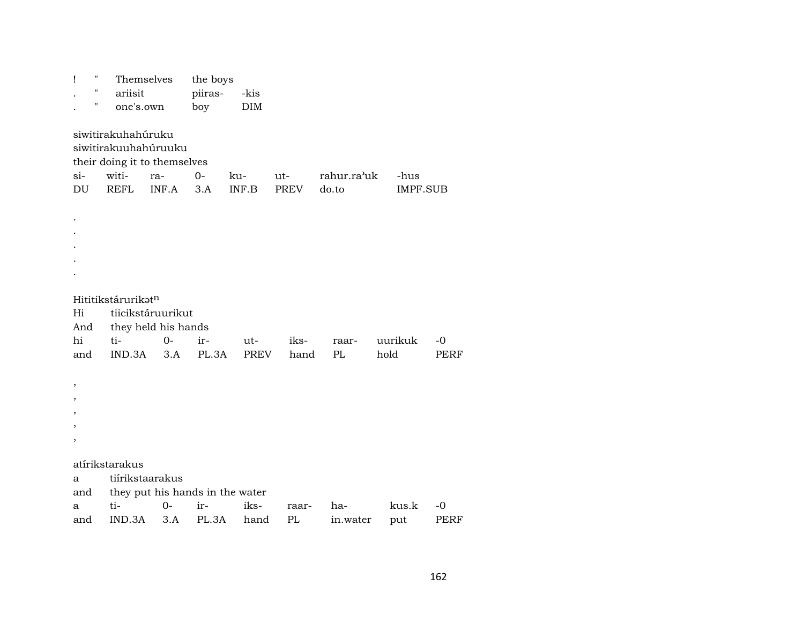| Ţ                        | "  | Themselves                                 |                                                                      | the boys  |              |             |                      |                         |             |  |
|--------------------------|----|--------------------------------------------|----------------------------------------------------------------------|-----------|--------------|-------------|----------------------|-------------------------|-------------|--|
|                          | 11 | ariisit                                    |                                                                      | piiras-   | -kis         |             |                      |                         |             |  |
|                          | н  | one's.own                                  |                                                                      | boy       | <b>DIM</b>   |             |                      |                         |             |  |
| $si-$<br>DU              |    | siwitirakuhahúruku<br>witi-<br><b>REFL</b> | siwitirakuuhahúruuku<br>their doing it to themselves<br>ra-<br>INF.A | 0-<br>3.A | ku-<br>INF.B | ut-<br>PREV | rahur.ra'uk<br>do.to | -hus<br><b>IMPF.SUB</b> |             |  |
|                          |    |                                            |                                                                      |           |              |             |                      |                         |             |  |
| Hi                       |    | Hititikstárurikatn                         | tiicikstáruurikut                                                    |           |              |             |                      |                         |             |  |
| And                      |    |                                            | they held his hands                                                  |           |              |             |                      |                         |             |  |
| hi                       |    | ti-                                        | $0-$                                                                 | $ir-$     | ut-          | iks-        | raar-                | uurikuk                 | -0          |  |
| and                      |    | IND.3A                                     | 3.A                                                                  | PL.3A     | <b>PREV</b>  | hand        | PL                   | hold                    | <b>PERF</b> |  |
|                          |    |                                            |                                                                      |           |              |             |                      |                         |             |  |
| $\overline{\phantom{a}}$ |    |                                            |                                                                      |           |              |             |                      |                         |             |  |
| $\overline{\phantom{a}}$ |    |                                            |                                                                      |           |              |             |                      |                         |             |  |
| ,                        |    |                                            |                                                                      |           |              |             |                      |                         |             |  |
|                          |    |                                            |                                                                      |           |              |             |                      |                         |             |  |
| $\overline{ }$           |    |                                            |                                                                      |           |              |             |                      |                         |             |  |
|                          |    | atírikstarakus                             |                                                                      |           |              |             |                      |                         |             |  |
| a                        |    | tiírikstaarakus                            |                                                                      |           |              |             |                      |                         |             |  |
| and                      |    |                                            | they put his hands in the water                                      |           |              |             |                      |                         |             |  |
| a                        |    | ti-                                        | $0 -$                                                                | ir-       | iks-         | raar-       | ha-                  | kus.k                   | -0          |  |
| and                      |    | IND.3A                                     | 3.A                                                                  | PL.3A     | hand         | PL          | in.water             | put                     | <b>PERF</b> |  |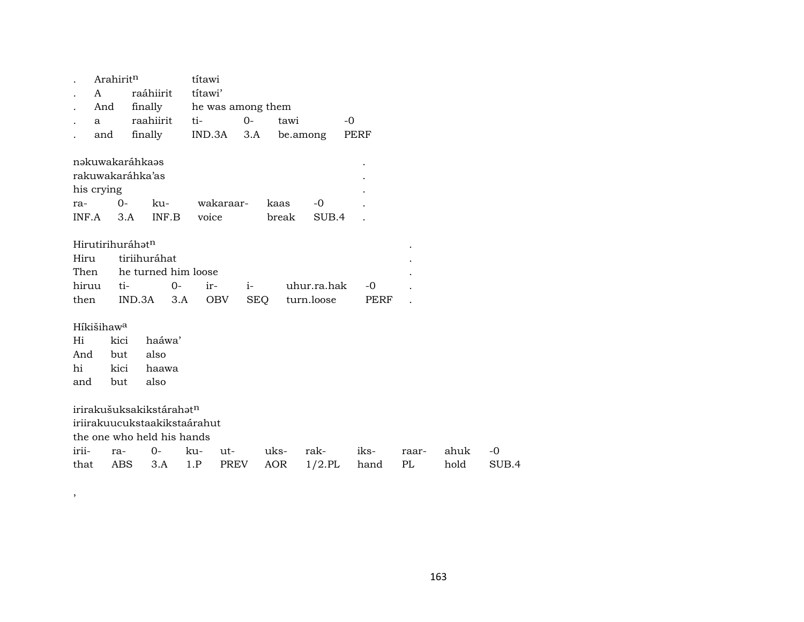| . Arahirit <sup>n</sup> |                                 | títawi |                                      |      |
|-------------------------|---------------------------------|--------|--------------------------------------|------|
|                         | . A raáhiirit títawi'           |        |                                      |      |
|                         | . And finally he was among them |        |                                      |      |
|                         | . a raahiirit                   | ti- 0- | tawi                                 | $-0$ |
|                         |                                 |        | and finally IND.3A 3.A be.among PERF |      |

| nəkuwakaráhkaəs       |        |          |                |       |           | ٠ |  |  |  |
|-----------------------|--------|----------|----------------|-------|-----------|---|--|--|--|
| rakuwakaráhka'as<br>٠ |        |          |                |       |           |   |  |  |  |
| his crying            |        |          |                |       |           |   |  |  |  |
| ra-                   | $()$ - | $k_{11}$ | wakaraar- kaas |       | $ \Omega$ |   |  |  |  |
| INF.A                 | 3 A    | INF B    | voice          | break | SUB.4     |   |  |  |  |

### Hirutirihuráhatn

| Hiru tiriihuráhat        |  |  |  |                                                             |  |  |  |
|--------------------------|--|--|--|-------------------------------------------------------------|--|--|--|
| Then he turned him loose |  |  |  |                                                             |  |  |  |
|                          |  |  |  | hiruu ti-      0-    ir-    i-      uhur.ra.hak   -0      . |  |  |  |
|                          |  |  |  | then IND.3A 3.A OBV SEO turn.loose PERF .                   |  |  |  |

### Híkišihaw<sup>a</sup>

 $\,$ 

 $Hi$ kici haáwa' also And but hi kici haawa and but also

irirakušuksakikstárahat<sup>n</sup>

iriirakuucukstaakikstaárahut

the one who held his hands

|  |  |  | irii- ra- 0- ku- ut- uks- rak- iks- raar- ahuk -0   |  |  |
|--|--|--|-----------------------------------------------------|--|--|
|  |  |  | that ABS 3.A 1.P PREV AOR 1/2.PL hand PL hold SUB.4 |  |  |

 $\blacksquare$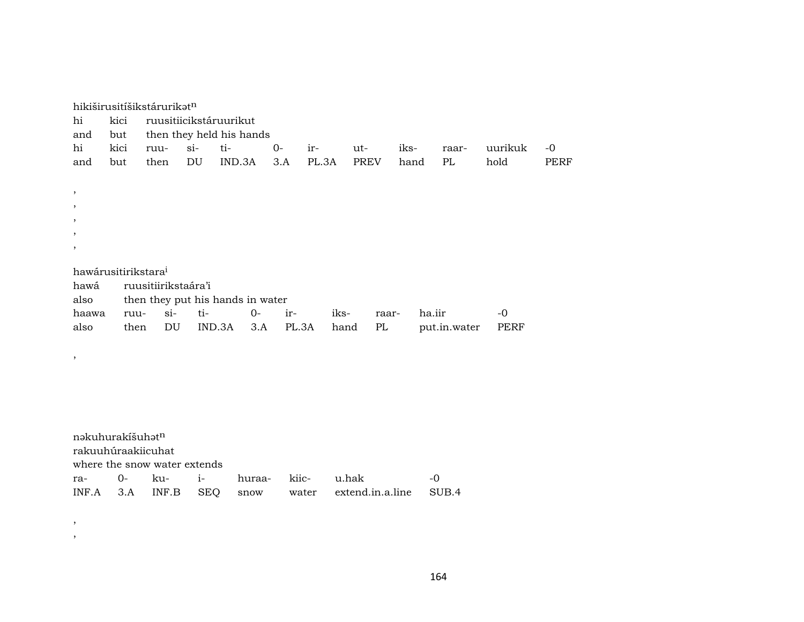| hi<br>and                                              | kici<br>but                     | hikiširusitíšikstárurikatn   |                    | ruusitiicikstáruurikut<br>then they held his hands |              |                |                           |              |        |              |                 |                     |
|--------------------------------------------------------|---------------------------------|------------------------------|--------------------|----------------------------------------------------|--------------|----------------|---------------------------|--------------|--------|--------------|-----------------|---------------------|
| hi<br>and                                              | kici<br>but                     | ruu-<br>then                 | $si$ -<br>DU       | ti-<br>IND.3A                                      | $O -$<br>3.A | ir-<br>PL.3A   | ut-<br><b>PREV</b>        | iks-<br>hand |        | raar-<br>PL  | uurikuk<br>hold | $-0$<br><b>PERF</b> |
| $\, ,$<br>$\, ,$<br>$\cdot$<br>$\cdot$<br>$\,$<br>hawá | hawárusitirikstara <sup>i</sup> | ruusitiirikstaára'i          |                    |                                                    |              |                |                           |              |        |              |                 |                     |
| also                                                   |                                 |                              |                    | then they put his hands in water                   |              |                |                           |              |        |              |                 |                     |
| haawa<br>also                                          | ruu-<br>then                    | $si-$<br>DU                  | ti-                | $0-$<br>IND.3A<br>3.A                              | ir-          | iks-<br>PL.3A  | PL<br>hand                | raar-        | ha.iir | put.in.water | $-0$<br>PERF    |                     |
| $\,$                                                   |                                 |                              |                    |                                                    |              |                |                           |              |        |              |                 |                     |
|                                                        |                                 |                              |                    |                                                    |              |                |                           |              |        |              |                 |                     |
|                                                        |                                 |                              |                    |                                                    |              |                |                           |              |        |              |                 |                     |
|                                                        | nakuhurakíšuhatn                | rakuuhúraakiicuhat           |                    |                                                    |              |                |                           |              |        |              |                 |                     |
|                                                        |                                 | where the snow water extends |                    |                                                    |              |                |                           |              |        |              |                 |                     |
| ra-<br>INF.A                                           | $0-$<br>3.A                     | ku-<br>INF.B                 | $i-$<br><b>SEQ</b> | huraa-<br>snow                                     |              | kiic-<br>water | u.hak<br>extend.in.a.line |              | $-0$   | SUB.4        |                 |                     |

,

,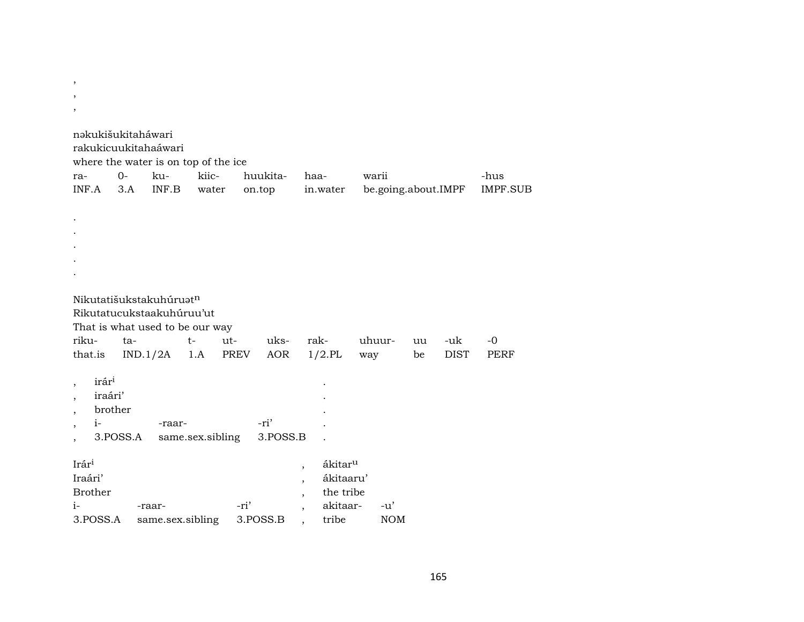$\, ,$  $\overline{\phantom{a}}$ nəkukišukitaháwari rakukicuukitahaáwari where the water is on top of the ice  $O$ kukiichuukitahaawarii -hus ra-INF.A  $3.A$ INF.B water on.top in.water be.going.about.IMPF **IMPF.SUB**  $\bullet$ Nikutatišukstakuhúruatn Rikutatucukstaakuhúruu'ut That is what used to be our way rikuta $t$ rak- $-0$ utuksuhuuruu -uk that.is  $IND.1/2A$ 1.A **PREV** AOR  $1/2.$ PL way be **DIST PERF**  $\mathrm{ir\acute{a}r^{i}}$ iraári' brother  $\overline{\phantom{a}}$  $i-$ -ri' -raar-3.POSS.A same.sex.sibling 3.POSS.B  $\overline{a}$  $\ddot{\phantom{1}}$  $Ir$ ári ákitar<sup>u</sup>  $\overline{\phantom{a}}$ Iraári' ákitaaru' **Brother** the tribe  $i-$ -ri' akitaar- $-u'$ -raar- $\overline{\phantom{a}}$ 

3.POSS.B

 $\cdot$ 

3.POSS.A

same.sex.sibling

 $\rm{NOM}$ 

tribe

 $\cdot$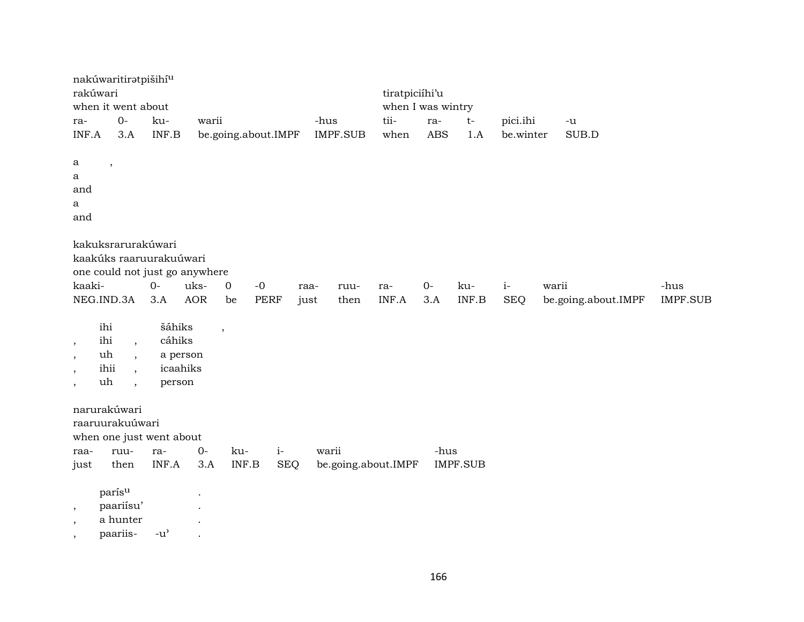| rakúwari                            | nakúwaritiratpišihí <sup>u</sup><br>when it went about    |                                     |                      |                                             |                     |      |                 | tiratpiciíhi'u<br>when I was wintry |            |                    |            |       |                     |                 |
|-------------------------------------|-----------------------------------------------------------|-------------------------------------|----------------------|---------------------------------------------|---------------------|------|-----------------|-------------------------------------|------------|--------------------|------------|-------|---------------------|-----------------|
| ra-                                 | $O -$                                                     | ku-                                 | warii                |                                             |                     | -hus |                 | tii-                                | ra-        | $t-$               | pici.ihi   |       | $-u$                |                 |
| INF.A                               | 3.A                                                       | INF.B                               |                      |                                             | be.going.about.IMPF |      | <b>IMPF.SUB</b> | when                                | <b>ABS</b> | 1.A                | be.winter  |       | SUB.D               |                 |
| a                                   | $\,$                                                      |                                     |                      |                                             |                     |      |                 |                                     |            |                    |            |       |                     |                 |
| a<br>and                            |                                                           |                                     |                      |                                             |                     |      |                 |                                     |            |                    |            |       |                     |                 |
| a                                   |                                                           |                                     |                      |                                             |                     |      |                 |                                     |            |                    |            |       |                     |                 |
| and                                 |                                                           |                                     |                      |                                             |                     |      |                 |                                     |            |                    |            |       |                     |                 |
|                                     | kakuksrarurakúwari                                        |                                     |                      |                                             |                     |      |                 |                                     |            |                    |            |       |                     |                 |
|                                     | kaakúks raaruurakuúwari<br>one could not just go anywhere |                                     |                      |                                             |                     |      |                 |                                     |            |                    |            |       |                     |                 |
| kaaki-                              |                                                           | $O -$                               | uks-                 | $\mathbf 0$                                 | $-0$                | raa- | ruu-            | ra-                                 | $0-$       | ku-                | $i-$       | warii |                     | -hus            |
|                                     | NEG.IND.3A                                                | 3.A                                 | AOR                  | be                                          | <b>PERF</b>         | just | then            | INF.A                               | 3.A        | $\textsf{INF.B}{}$ | <b>SEQ</b> |       | be.going.about.IMPF | <b>IMPF.SUB</b> |
|                                     | ihi                                                       | šáhiks                              |                      | $\overline{\phantom{a}}$                    |                     |      |                 |                                     |            |                    |            |       |                     |                 |
| $\,$                                | ihi<br>$\overline{\phantom{a}}$                           | cáhiks                              |                      |                                             |                     |      |                 |                                     |            |                    |            |       |                     |                 |
| $\cdot$<br>$\overline{\phantom{a}}$ | uh<br>$\cdot$<br>ihii                                     | a person<br>icaahiks                |                      |                                             |                     |      |                 |                                     |            |                    |            |       |                     |                 |
| $\cdot$                             | uh<br>$\cdot$                                             | person                              |                      |                                             |                     |      |                 |                                     |            |                    |            |       |                     |                 |
|                                     | narurakúwari                                              |                                     |                      |                                             |                     |      |                 |                                     |            |                    |            |       |                     |                 |
|                                     | raaruurakuúwari                                           |                                     |                      |                                             |                     |      |                 |                                     |            |                    |            |       |                     |                 |
|                                     | when one just went about                                  |                                     |                      |                                             |                     |      |                 |                                     |            |                    |            |       |                     |                 |
| raa-<br>just                        | ruu-<br>then                                              | ra-<br>INF.A                        | $0-$<br>3.A          | ku-<br>$\ensuremath{\mathsf{INF.B}}\xspace$ | $i-$<br><b>SEQ</b>  |      | warii           | be.going.about.IMPF                 | -hus       | <b>IMPF.SUB</b>    |            |       |                     |                 |
|                                     |                                                           |                                     |                      |                                             |                     |      |                 |                                     |            |                    |            |       |                     |                 |
|                                     | parísu                                                    |                                     | $\ddot{\phantom{a}}$ |                                             |                     |      |                 |                                     |            |                    |            |       |                     |                 |
| $\,$<br>$\cdot$                     | paariisu'<br>a hunter                                     |                                     |                      |                                             |                     |      |                 |                                     |            |                    |            |       |                     |                 |
| $\overline{\phantom{a}}$            | paariis-                                                  | $-u$ <sup><math>\prime</math></sup> |                      |                                             |                     |      |                 |                                     |            |                    |            |       |                     |                 |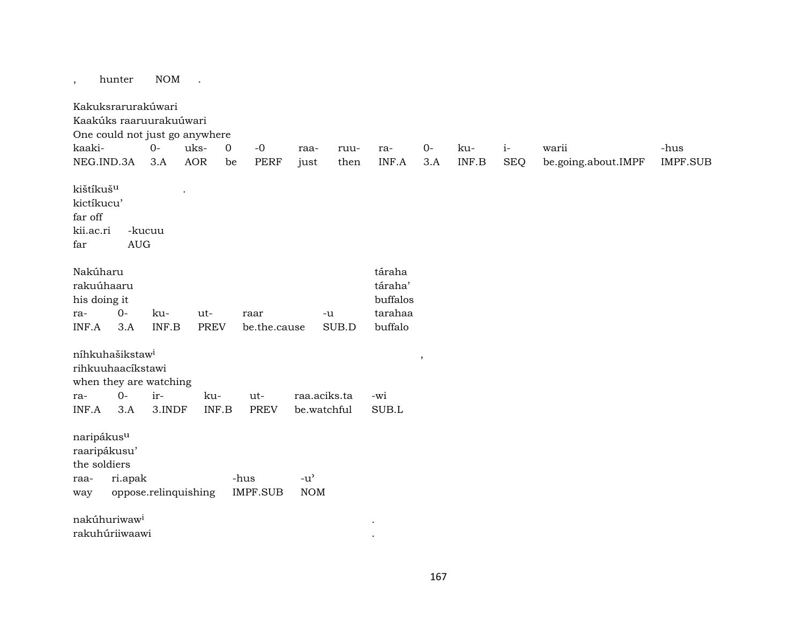, hunter NOM .

Kakuksrarurakúwari Kaakúks raaruurakuúwari One could not just go anywhere kaaki- 0- uks- 0 -0 raa- ruu- ra- 0- ku- i- warii -hus NEG.IND.3A 3.A AOR be PERF just then INF.A 3.A INF.B SEQ be.going.about.IMPF IMPF.SUB kištíkuš<sup>u</sup> . kictíkucu' far off kii.ac.ri -kucuu far AUG Nakúharu táraha táraha táraha táraha táraha táraha táraha táraha táraha táraha táraha táraha táraha táraha tár rakuúhaaru táraha' his doing it buffalos ra- 0- ku- ut- raar -u tarahaa INF.A 3.A INF.B PREV be.the.cause SUB.D buffalo níhkuhašikstaw³ , rihkuuhaacíkstawi when they are watching ra- 0- ir- ku- ut- raa.aciks.ta -wi INF.A 3.A 3.INDF INF.B PREV be.watchful SUB.L naripákusµ raaripákusu' the soldiers raa- ri.apak -hus -u' way oppose.relinquishing IMPF.SUB NOM  $n$ akúhuriwaw $^{i}$ rakuhúriiwaawi .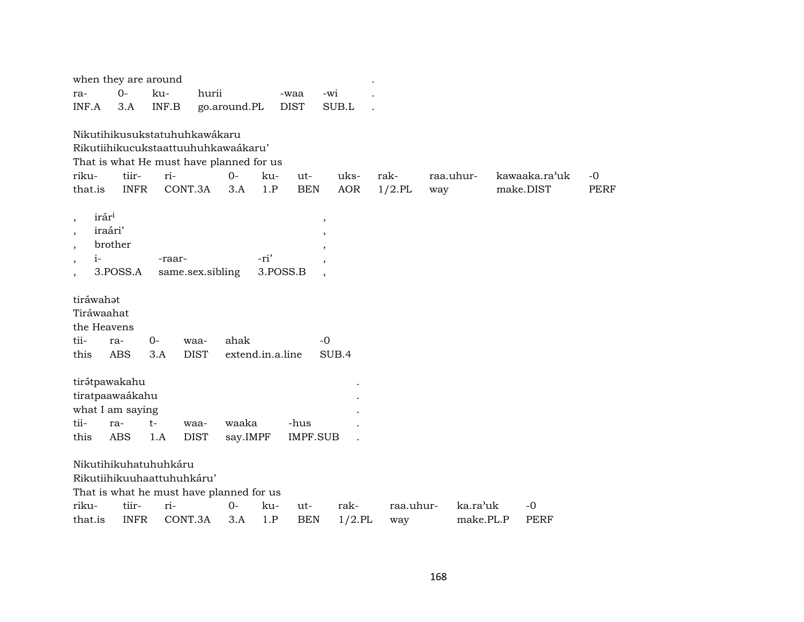| when they are around                |             |                                          |             |                  |          |                 |           |           |           |           |               |             |
|-------------------------------------|-------------|------------------------------------------|-------------|------------------|----------|-----------------|-----------|-----------|-----------|-----------|---------------|-------------|
| ra-                                 | $0-$        | ku-                                      | hurii       |                  |          | -waa            | -wi       |           |           |           |               |             |
| INF.A                               | 3.A         | INF.B                                    |             | go.around.PL     |          | <b>DIST</b>     | SUB.L     |           |           |           |               |             |
|                                     |             |                                          |             |                  |          |                 |           |           |           |           |               |             |
|                                     |             | Nikutihikusukstatuhuhkawákaru            |             |                  |          |                 |           |           |           |           |               |             |
|                                     |             | Rikutiihikucukstaattuuhuhkawaákaru'      |             |                  |          |                 |           |           |           |           |               |             |
|                                     |             | That is what He must have planned for us |             |                  |          |                 |           |           |           |           |               |             |
| riku-                               | tiir-       | ri-                                      |             | $O -$            | ku-      | ut-             | uks-      | rak-      | raa.uhur- |           | kawaaka.ra'uk | $-0$        |
| that.is                             | <b>INFR</b> | CONT.3A                                  |             | 3.A              | 1.P      | <b>BEN</b>      | AOR       | $1/2$ .PL | way       |           | make.DIST     | <b>PERF</b> |
| irár <sup>i</sup>                   |             |                                          |             |                  |          |                 |           |           |           |           |               |             |
| $\overline{\phantom{a}}$<br>iraári' |             |                                          |             |                  |          | $\, ,$          |           |           |           |           |               |             |
| $\overline{\phantom{a}}$            | brother     |                                          |             |                  |          | ,               |           |           |           |           |               |             |
| $\cdot$<br>$i-$                     |             | -raar-                                   |             |                  | -ri'     |                 |           |           |           |           |               |             |
| $\, ,$                              | 3.POSS.A    | same.sex.sibling                         |             |                  | 3.POSS.B |                 |           |           |           |           |               |             |
| $\overline{\phantom{a}}$            |             |                                          |             |                  |          |                 |           |           |           |           |               |             |
| tiráwahot                           |             |                                          |             |                  |          |                 |           |           |           |           |               |             |
| Tiráwaahat                          |             |                                          |             |                  |          |                 |           |           |           |           |               |             |
| the Heavens                         |             |                                          |             |                  |          |                 |           |           |           |           |               |             |
| tii-                                | ra-         | $0-$                                     | waa-        | ahak             |          | $-0$            |           |           |           |           |               |             |
| this                                | <b>ABS</b>  | 3.A                                      | <b>DIST</b> | extend.in.a.line |          |                 | SUB.4     |           |           |           |               |             |
|                                     |             |                                          |             |                  |          |                 |           |           |           |           |               |             |
| tirátpawakahu                       |             |                                          |             |                  |          |                 |           |           |           |           |               |             |
| tiratpaawaákahu                     |             |                                          |             |                  |          |                 |           |           |           |           |               |             |
| what I am saying                    |             |                                          |             |                  |          |                 |           |           |           |           |               |             |
| tii-                                | ra-         | $t-$                                     | waa-        | waaka            |          | -hus            |           |           |           |           |               |             |
| this                                | <b>ABS</b>  | 1.A                                      | <b>DIST</b> | say.IMPF         |          | <b>IMPF.SUB</b> |           |           |           |           |               |             |
|                                     |             |                                          |             |                  |          |                 |           |           |           |           |               |             |
|                                     |             | Nikutihikuhatuhuhkáru                    |             |                  |          |                 |           |           |           |           |               |             |
|                                     |             | Rikutiihikuuhaattuhuhkáru'               |             |                  |          |                 |           |           |           |           |               |             |
|                                     |             | That is what he must have planned for us |             |                  |          |                 |           |           |           |           |               |             |
| riku-                               | tiir-       | ri-<br>CONT.3A                           |             | $0-$             | ku-      | ut-             | rak-      | raa.uhur- |           | ka.ra'uk  | $-0$          |             |
| that.is                             | <b>INFR</b> |                                          |             | 3.A              | 1.P      | <b>BEN</b>      | $1/2$ .PL | way       |           | make.PL.P | PERF          |             |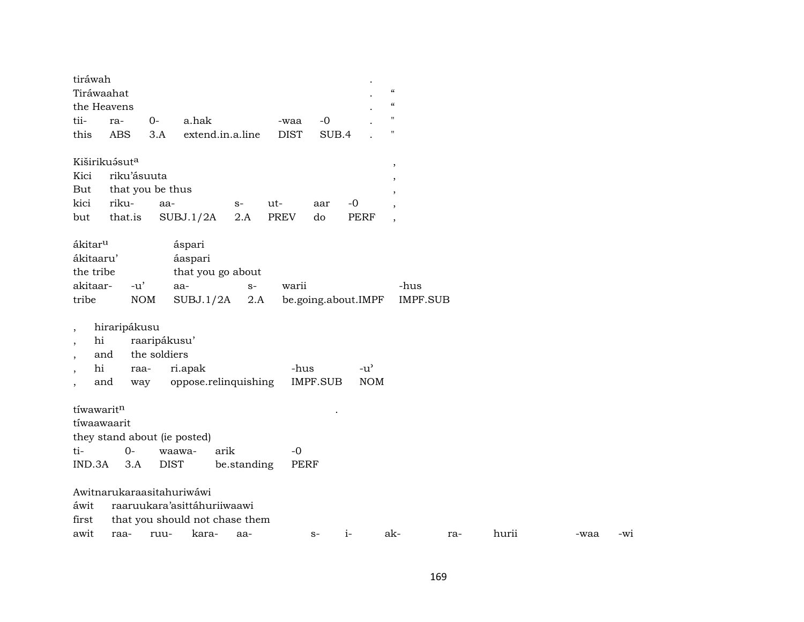| tiráwah                  |                  |              |                                |             |             |                 |                     |                                        |                 |       |      |       |
|--------------------------|------------------|--------------|--------------------------------|-------------|-------------|-----------------|---------------------|----------------------------------------|-----------------|-------|------|-------|
| Tiráwaahat               |                  |              |                                |             |             |                 |                     | $\boldsymbol{\zeta}\boldsymbol{\zeta}$ |                 |       |      |       |
|                          | the Heavens      |              |                                |             |             |                 |                     | $\boldsymbol{\mathcal{C}}$             |                 |       |      |       |
| tii-                     | ra-              | $0-$         | a.hak                          |             | -waa        | $-0$            |                     | $\pmb{\mathsf{H}}$                     |                 |       |      |       |
| this                     | <b>ABS</b>       | 3.A          | extend.in.a.line               |             | <b>DIST</b> | SUB.4           |                     | $\pmb{\mathsf{H}}$                     |                 |       |      |       |
|                          | Kiširikuásuta    |              |                                |             |             |                 |                     | $^\mathrm{^\mathrm{o}}$                |                 |       |      |       |
| Kici                     | riku'ásuuta      |              |                                |             |             |                 |                     | $\overline{\phantom{a}}$               |                 |       |      |       |
| But                      | that you be thus |              |                                |             |             |                 |                     | $\overline{\phantom{a}}$               |                 |       |      |       |
| kici                     | riku-            | aa-          |                                | $S-$        | ut-         | aar             | $-0$                | $\overline{\phantom{a}}$               |                 |       |      |       |
| but                      | that.is          |              | SUBJ.1/2A                      | 2.A         | <b>PREV</b> | do              | <b>PERF</b>         | $\overline{\phantom{a}}$               |                 |       |      |       |
| ákitar <sup>u</sup>      |                  |              | áspari                         |             |             |                 |                     |                                        |                 |       |      |       |
| ákitaaru'                |                  |              | áaspari                        |             |             |                 |                     |                                        |                 |       |      |       |
| the tribe                |                  |              | that you go about              |             |             |                 |                     |                                        |                 |       |      |       |
| akitaar-                 | $-u'$            |              | aa-                            | $S-$        | warii       |                 |                     | -hus                                   |                 |       |      |       |
| tribe                    |                  | <b>NOM</b>   | SUBJ.1/2A                      | 2.A         |             |                 | be.going.about.IMPF |                                        | <b>IMPF.SUB</b> |       |      |       |
| $\overline{\phantom{a}}$ | hiraripákusu     |              |                                |             |             |                 |                     |                                        |                 |       |      |       |
| hi<br>$\cdot$            |                  | raaripákusu' |                                |             |             |                 |                     |                                        |                 |       |      |       |
|                          | and              | the soldiers |                                |             |             |                 |                     |                                        |                 |       |      |       |
| hi                       | raa-             |              | ri.apak                        |             | -hus        |                 | $-u^{\prime}$       |                                        |                 |       |      |       |
|                          | and<br>way       |              | oppose.relinquishing           |             |             | <b>IMPF.SUB</b> | <b>NOM</b>          |                                        |                 |       |      |       |
|                          |                  |              |                                |             |             |                 |                     |                                        |                 |       |      |       |
| tíwawaritn               |                  |              |                                |             |             |                 |                     |                                        |                 |       |      |       |
| tíwaawaarit              |                  |              |                                |             |             |                 |                     |                                        |                 |       |      |       |
|                          |                  |              | they stand about (ie posted)   |             |             |                 |                     |                                        |                 |       |      |       |
| ti-                      | $O -$            |              | arik<br>waawa-                 |             | $-0$        |                 |                     |                                        |                 |       |      |       |
| IND.3A                   | 3.A              |              | <b>DIST</b>                    | be.standing | <b>PERF</b> |                 |                     |                                        |                 |       |      |       |
|                          |                  |              |                                |             |             |                 |                     |                                        |                 |       |      |       |
|                          |                  |              | Awitnarukaraasitahuriwáwi      |             |             |                 |                     |                                        |                 |       |      |       |
| áwit                     |                  |              | raaruukara'asittáhuriiwaawi    |             |             |                 |                     |                                        |                 |       |      |       |
| first                    |                  |              | that you should not chase them |             |             |                 |                     |                                        |                 |       |      |       |
| awit                     | raa-             | ruu-         | kara-                          | aa-         |             | $S-$            | $i-$                | ak-                                    | ra-             | hurii | -waa | $-W1$ |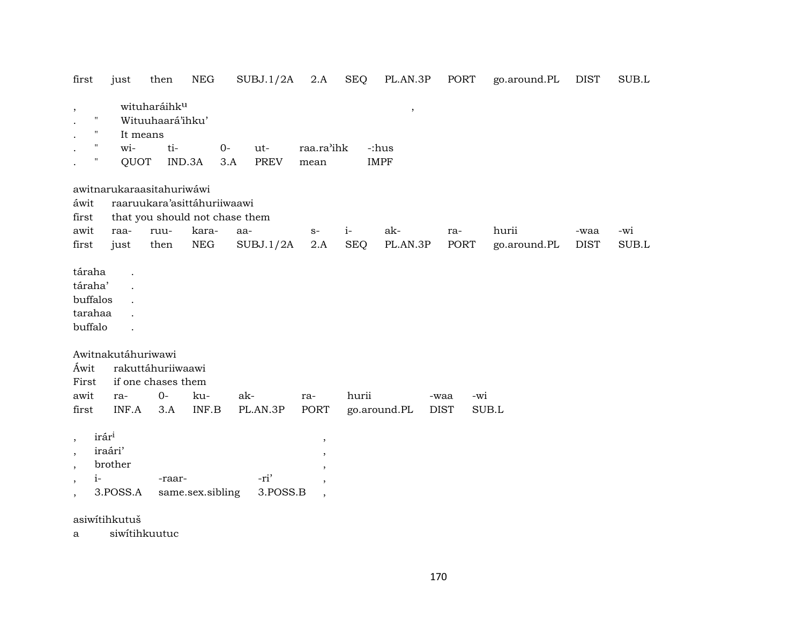| first                                                                                       | just                                                             | then                                                | NEG                         | SUBJ.1/2A                      | 2.A                                                            | <b>SEQ</b> | PL.AN.3P                                         | PORT        | go.around.PL | <b>DIST</b>         | $\rm SUB.L$ |
|---------------------------------------------------------------------------------------------|------------------------------------------------------------------|-----------------------------------------------------|-----------------------------|--------------------------------|----------------------------------------------------------------|------------|--------------------------------------------------|-------------|--------------|---------------------|-------------|
| $\,$<br>$\pmb{\mathsf{H}}$<br>$\pmb{\mathsf{H}}$<br>$^{\prime\prime}$<br>$\pmb{\mathsf{H}}$ | It means<br>wi-<br>QUOT                                          | wituharáihk <sup>u</sup><br>Wituuhaará'ihku'<br>ti- | $0-$<br>IND.3A              | ut-<br>3.A<br>PREV             | raa.ra'ihk<br>mean                                             |            | $\overline{\phantom{a}}$<br>-:hus<br><b>IMPF</b> |             |              |                     |             |
|                                                                                             | awitnarukaraasitahuriwáwi                                        |                                                     |                             |                                |                                                                |            |                                                  |             |              |                     |             |
| áwit                                                                                        |                                                                  |                                                     | raaruukara'asittáhuriiwaawi |                                |                                                                |            |                                                  |             |              |                     |             |
| first<br>awit                                                                               |                                                                  |                                                     | kara-                       | that you should not chase them |                                                                | $i-$       | ak-                                              |             | hurii        |                     | -wi         |
| first                                                                                       | raa-<br>just                                                     | ruu-<br>then                                        | <b>NEG</b>                  | aa-<br>SUBJ.1/2A               | $S-$<br>2.A                                                    | <b>SEQ</b> | PL.AN.3P                                         | ra-<br>PORT | go.around.PL | -waa<br><b>DIST</b> | $\rm SUB.L$ |
| táraha<br>táraha'<br>buffalos<br>tarahaa<br>buffalo                                         |                                                                  |                                                     |                             |                                |                                                                |            |                                                  |             |              |                     |             |
|                                                                                             | Awitnakutáhuriwawi                                               |                                                     |                             |                                |                                                                |            |                                                  |             |              |                     |             |
| Áwit<br>First                                                                               |                                                                  | rakuttáhuriiwaawi<br>if one chases them             |                             |                                |                                                                |            |                                                  |             |              |                     |             |
| awit                                                                                        | ra-                                                              | $0-$                                                | ku-                         | ak-                            | ra-                                                            | hurii      |                                                  | -wi<br>-waa |              |                     |             |
| first                                                                                       | INF.A                                                            | 3.A                                                 | INF.B                       | PL.AN.3P                       | <b>PORT</b>                                                    |            | go.around.PL                                     | <b>DIST</b> | SUB.L        |                     |             |
| $\cdot$<br>$\cdot$<br>$\cdot$<br>$i-$<br>$\, ,$<br>$\overline{\phantom{a}}$                 | irári<br>iraári'<br>brother<br>3.POSS.A                          | -raar-                                              | same.sex.sibling            | -ri'<br>3.POSS.B               | $\overline{\phantom{a}}$<br>$\, ,$<br>$\overline{\phantom{a}}$ |            |                                                  |             |              |                     |             |
|                                                                                             | $\mathbf{y}$ $\mathbf{y}$ $\mathbf{y}$ $\mathbf{y}$ $\mathbf{y}$ |                                                     |                             |                                |                                                                |            |                                                  |             |              |                     |             |

asiwítihkutuš

a siwítihkuutuc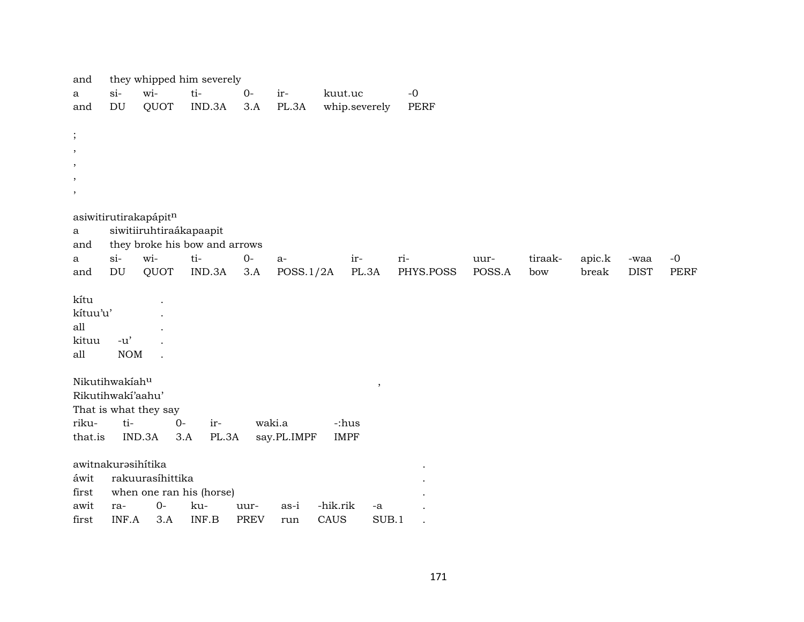| and          |                            |                         | they whipped him severely     |             |             |             |               |             |        |         |        |             |             |
|--------------|----------------------------|-------------------------|-------------------------------|-------------|-------------|-------------|---------------|-------------|--------|---------|--------|-------------|-------------|
| a            | $si-$                      | wi-                     | ti-                           | $O -$       | ir-         | kuut.uc     |               | $-0$        |        |         |        |             |             |
| and          | DU                         | QUOT                    | IND.3A                        | 3.A         | PL.3A       |             | whip.severely | <b>PERF</b> |        |         |        |             |             |
|              |                            |                         |                               |             |             |             |               |             |        |         |        |             |             |
| $\cdot$      |                            |                         |                               |             |             |             |               |             |        |         |        |             |             |
| $\,$         |                            |                         |                               |             |             |             |               |             |        |         |        |             |             |
| $\,$         |                            |                         |                               |             |             |             |               |             |        |         |        |             |             |
| $\,$         |                            |                         |                               |             |             |             |               |             |        |         |        |             |             |
| $\,$         |                            |                         |                               |             |             |             |               |             |        |         |        |             |             |
|              |                            |                         |                               |             |             |             |               |             |        |         |        |             |             |
|              |                            | asiwitirutirakapápitn   |                               |             |             |             |               |             |        |         |        |             |             |
| $\mathbf{a}$ |                            | siwitiiruhtiraákapaapit |                               |             |             |             |               |             |        |         |        |             |             |
| and          |                            |                         | they broke his bow and arrows |             |             |             |               |             |        |         |        |             |             |
| a            | $si-$                      | wi-                     | ti-                           | $0-$        | $a-$        |             | ir-           | ri-         | uur-   | tiraak- | apic.k | -waa        | $-0$        |
| and          | DU                         | QUOT                    | IND.3A                        | 3.A         | POSS.1/2A   |             | PL.3A         | PHYS.POSS   | POSS.A | bow     | break  | <b>DIST</b> | <b>PERF</b> |
| kítu         |                            |                         |                               |             |             |             |               |             |        |         |        |             |             |
| kítuu'u'     |                            |                         |                               |             |             |             |               |             |        |         |        |             |             |
| all          |                            |                         |                               |             |             |             |               |             |        |         |        |             |             |
| kituu        | $-u'$                      |                         |                               |             |             |             |               |             |        |         |        |             |             |
| all          | $\rm{NOM}$                 |                         |                               |             |             |             |               |             |        |         |        |             |             |
|              |                            |                         |                               |             |             |             |               |             |        |         |        |             |             |
|              | Nikutihwakíah <sup>u</sup> |                         |                               |             |             |             | $\, ,$        |             |        |         |        |             |             |
|              | Rikutihwakí'aahu'          |                         |                               |             |             |             |               |             |        |         |        |             |             |
|              |                            | That is what they say   |                               |             |             |             |               |             |        |         |        |             |             |
| riku-        | ti-                        | $0-$                    | ir-                           |             | waki.a      | -:hus       |               |             |        |         |        |             |             |
| that.is      |                            | IND.3A                  | 3.A<br>PL.3A                  |             | say.PL.IMPF | <b>IMPF</b> |               |             |        |         |        |             |             |
|              |                            |                         |                               |             |             |             |               |             |        |         |        |             |             |
|              |                            | awitnakurasihítika      |                               |             |             |             |               |             |        |         |        |             |             |
| áwit         |                            | rakuurasíhittika        |                               |             |             |             |               |             |        |         |        |             |             |
| first        |                            |                         | when one ran his (horse)      |             |             |             |               |             |        |         |        |             |             |
| awit         | ra-                        | $O -$                   | ku-                           | uur-        | as-i        | -hik.rik    | -a            |             |        |         |        |             |             |
| first        | INF.A                      | 3.A                     | INF.B                         | <b>PREV</b> | run         | CAUS        | SUB.1         |             |        |         |        |             |             |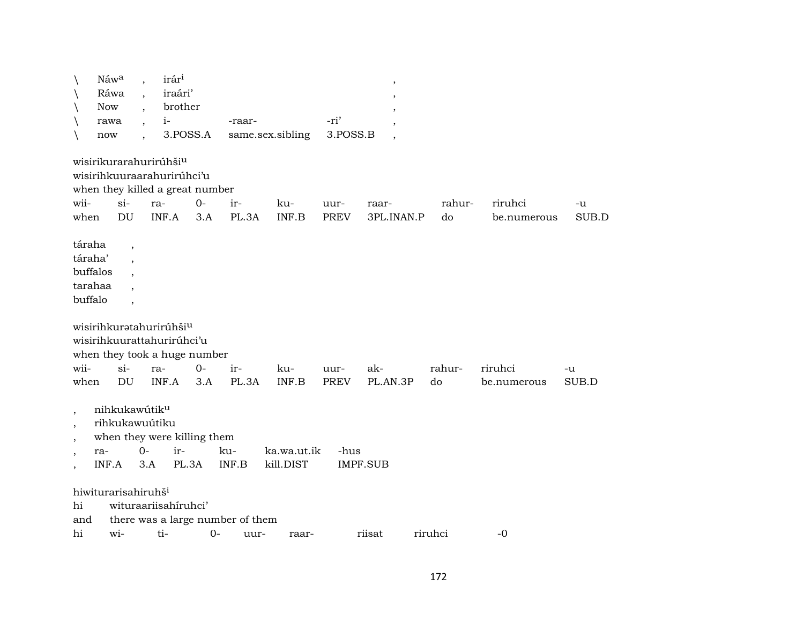|                                                                                                        | Náwa                                      |                          | irár <sup>i</sup>                                                                                                   |              |                                  |                          |                     | $\overline{\phantom{a}}$ |              |                        |             |
|--------------------------------------------------------------------------------------------------------|-------------------------------------------|--------------------------|---------------------------------------------------------------------------------------------------------------------|--------------|----------------------------------|--------------------------|---------------------|--------------------------|--------------|------------------------|-------------|
|                                                                                                        | Ráwa                                      |                          | iraári'                                                                                                             |              |                                  |                          |                     |                          |              |                        |             |
| $\setminus$                                                                                            | <b>Now</b>                                |                          | brother                                                                                                             |              |                                  |                          |                     |                          |              |                        |             |
| $\setminus$                                                                                            | rawa                                      | $\overline{\phantom{a}}$ | $i-$                                                                                                                |              | -raar-                           |                          | -ri'                |                          |              |                        |             |
|                                                                                                        | now                                       | $\ddot{\phantom{0}}$     | 3.POSS.A                                                                                                            |              |                                  | same.sex.sibling         | 3.POSS.B            | $\overline{\phantom{a}}$ |              |                        |             |
| wii-<br>when                                                                                           |                                           | $si-$<br>DU              | wisirikurarahurirúhši <sup>u</sup><br>wisirihkuuraarahurirúhci'u<br>when they killed a great number<br>ra-<br>INF.A | $O -$<br>3.A | ir-<br>PL.3A                     | ku-<br>INF.B             | uur-<br><b>PREV</b> | raar-<br>3PL.INAN.P      | rahur-<br>do | riruhci<br>be.numerous | -u<br>SUB.D |
| táraha<br>táraha'<br>buffalo                                                                           | buffalos<br>tarahaa                       | $\cdot$<br>$\cdot$       |                                                                                                                     |              |                                  |                          |                     |                          |              |                        |             |
|                                                                                                        |                                           |                          | wisirihkuratahurirúhši <sup>u</sup><br>wisirihkuurattahurirúhci'u<br>when they took a huge number                   |              |                                  |                          |                     |                          |              |                        |             |
| wii-<br>when                                                                                           |                                           | $si$ -<br>DU             | ra-<br>INF.A                                                                                                        | $0 -$<br>3.A | ir-<br>PL.3A                     | ku-<br>INF.B             | uur-<br>PREV        | ak-<br>PL.AN.3P          | rahur-<br>do | riruhci<br>be.numerous | -u<br>SUB.D |
| $\overline{\phantom{a}}$<br>$\cdot$<br>$\overline{\phantom{a}}$<br>$\cdot$<br>$\overline{\phantom{a}}$ | nihkukawútik <sup>u</sup><br>ra-<br>INF.A | $0-$                     | rihkukawuútiku<br>when they were killing them<br>ir-<br>3.A<br>PL.3A                                                |              | ku-<br>INF.B                     | ka.wa.ut.ik<br>kill.DIST | -hus                | <b>IMPF.SUB</b>          |              |                        |             |
| hi                                                                                                     | hiwiturarisahiruhš <sup>i</sup>           |                          | wituraariisahiruhci'                                                                                                |              |                                  |                          |                     |                          |              |                        |             |
| and                                                                                                    |                                           |                          |                                                                                                                     |              | there was a large number of them |                          |                     |                          |              |                        |             |
| hi                                                                                                     | wi-                                       |                          | ti-                                                                                                                 | $0-$         | uur-                             | raar-                    |                     | riisat                   | riruhci      | $-0$                   |             |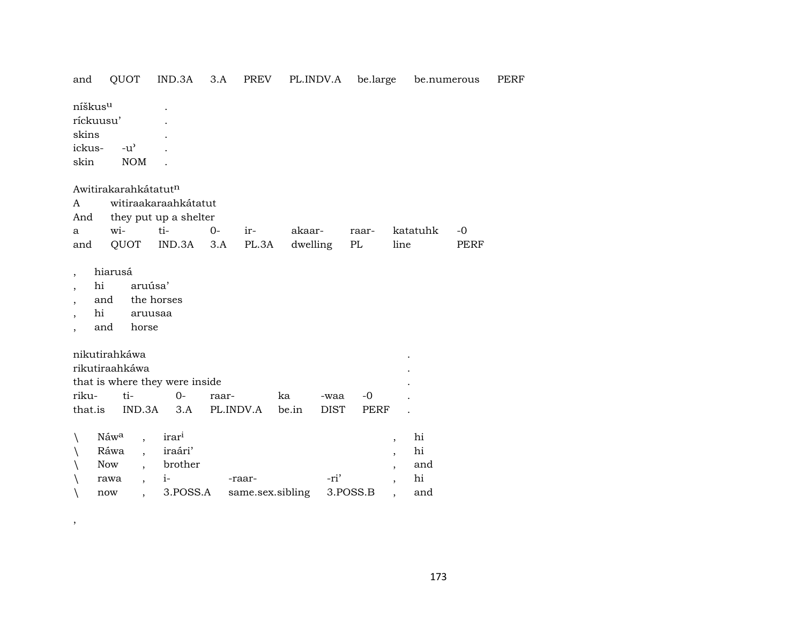| and                      | QUOT                                | IND.3A                         | 3.A   | PREV             | PL.INDV.A |             | be.large | be.numerous                    |      | PERF |
|--------------------------|-------------------------------------|--------------------------------|-------|------------------|-----------|-------------|----------|--------------------------------|------|------|
| níškus <sup>u</sup>      |                                     |                                |       |                  |           |             |          |                                |      |      |
| ríckuusu'                |                                     |                                |       |                  |           |             |          |                                |      |      |
| skins                    |                                     |                                |       |                  |           |             |          |                                |      |      |
| ickus-                   | $-u$ <sup><math>\prime</math></sup> |                                |       |                  |           |             |          |                                |      |      |
| skin                     | <b>NOM</b>                          |                                |       |                  |           |             |          |                                |      |      |
|                          |                                     |                                |       |                  |           |             |          |                                |      |      |
|                          | Awitirakarahkátatutn                |                                |       |                  |           |             |          |                                |      |      |
| A                        |                                     | witiraakaraahkátatut           |       |                  |           |             |          |                                |      |      |
| And                      |                                     | they put up a shelter          |       |                  |           |             |          |                                |      |      |
| a                        | wi-                                 | ti-                            | $0-$  | ir-              | akaar-    |             | raar-    | katatuhk                       | $-0$ |      |
| and                      | QUOT                                | IND.3A                         | 3.A   | PL.3A            | dwelling  |             | $\rm PL$ | line                           | PERF |      |
|                          |                                     |                                |       |                  |           |             |          |                                |      |      |
| $\overline{\phantom{a}}$ | hiarusá                             |                                |       |                  |           |             |          |                                |      |      |
| hi                       |                                     | aruúsa'                        |       |                  |           |             |          |                                |      |      |
|                          | and                                 | the horses                     |       |                  |           |             |          |                                |      |      |
| hi                       |                                     | aruusaa                        |       |                  |           |             |          |                                |      |      |
|                          | and<br>horse                        |                                |       |                  |           |             |          |                                |      |      |
|                          |                                     |                                |       |                  |           |             |          |                                |      |      |
|                          | nikutirahkáwa<br>rikutiraahkáwa     |                                |       |                  |           |             |          |                                |      |      |
|                          |                                     | that is where they were inside |       |                  |           |             |          |                                |      |      |
| riku-                    | ti-                                 | $0-$                           | raar- |                  | ka        | -waa        | $-0$     |                                |      |      |
| that.is                  | IND.3A                              | 3.A                            |       | PL.INDV.A        | be.in     | <b>DIST</b> | PERF     |                                |      |      |
|                          |                                     |                                |       |                  |           |             |          |                                |      |      |
| V                        | Náwa<br>$\overline{\phantom{a}}$    | irar <sup>i</sup>              |       |                  |           |             |          | hi<br>$\overline{\phantom{a}}$ |      |      |
|                          | Ráwa<br>$\ddot{\phantom{a}}$        | iraári'                        |       |                  |           |             |          | hi<br>$\overline{\phantom{a}}$ |      |      |
|                          | Now                                 | brother                        |       |                  |           |             |          | and<br>$\overline{ }$          |      |      |
|                          | rawa<br>$\overline{\phantom{a}}$    | $i-$                           |       | -raar-           |           | -ri'        |          | hi<br>$\overline{\phantom{a}}$ |      |      |
|                          | now                                 | 3.POSS.A                       |       | same.sex.sibling |           |             | 3.POSS.B | and                            |      |      |

 $\overline{\phantom{a}}$ 

173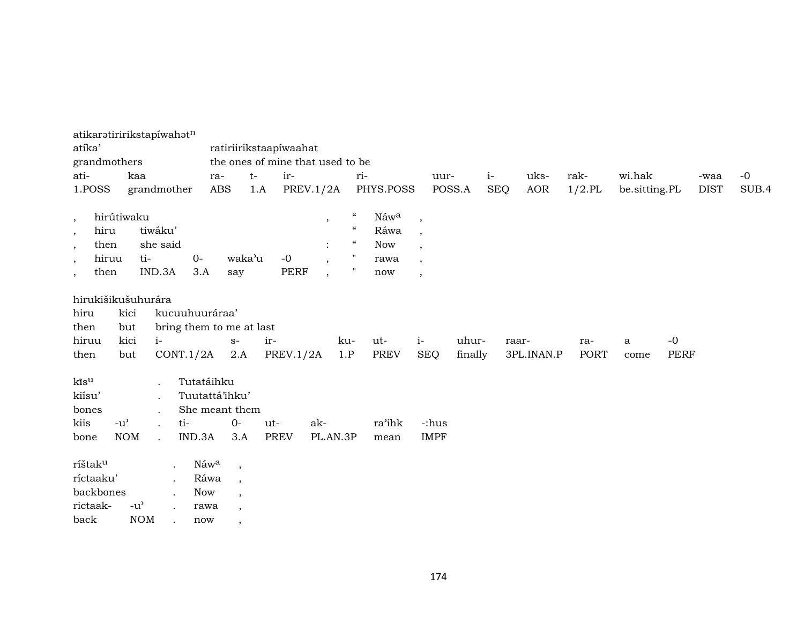| atikaratiririkstapíwahatn<br>atíka'<br>grandmothers<br>ati-<br>1.POSS                                 | kaa                         | grandmother                          |                                    | ra-<br><b>ABS</b>                               | ratiriirikstaapíwaahat<br>the ones of mine that used to be<br>$t-$<br>1.A | ir-<br><b>PREV.1/2A</b> |                                                                               | ri-                                                                    | PHYS.POSS                                 | uur-                                                                                                                    | POSS.A           | $i-$<br><b>SEQ</b> | uks-<br><b>AOR</b> | rak-<br>$1/2$ .PL  | wi.hak<br>be.sitting.PL |              | -waa<br><b>DIST</b> | $-0$<br>SUB.4 |
|-------------------------------------------------------------------------------------------------------|-----------------------------|--------------------------------------|------------------------------------|-------------------------------------------------|---------------------------------------------------------------------------|-------------------------|-------------------------------------------------------------------------------|------------------------------------------------------------------------|-------------------------------------------|-------------------------------------------------------------------------------------------------------------------------|------------------|--------------------|--------------------|--------------------|-------------------------|--------------|---------------------|---------------|
| $\cdot$<br>hiru<br>$\cdot$<br>then<br>$\overline{\phantom{a}}$<br>hiruu<br>$\cdot$<br>then<br>$\cdot$ | hirútiwaku                  | tiwáku'<br>she said<br>ti-<br>IND.3A | $O -$<br>3.A                       | waka'u<br>say                                   |                                                                           | $-0$<br><b>PERF</b>     | $\cdot$<br>$\ddot{\cdot}$<br>$\overline{\phantom{a}}$<br>$\ddot{\phantom{1}}$ | $\epsilon\epsilon$<br>$\epsilon\epsilon$<br>$\boldsymbol{\mathcal{U}}$ | Náwa<br>Ráwa<br><b>Now</b><br>rawa<br>now | $\overline{\phantom{a}}$<br>$\cdot$<br>$\overline{\phantom{a}}$<br>$\overline{\phantom{a}}$<br>$\overline{\phantom{a}}$ |                  |                    |                    |                    |                         |              |                     |               |
| hirukišikušuhurára<br>hiru<br>then<br>hiruu<br>then                                                   | kici<br>but<br>kici<br>but  | $i-$                                 | kucuuhuuráraa'<br>CONT.1/2A        | bring them to me at last<br>$S-$<br>2.A         | ir-                                                                       | PREV.1/2A               | ku-<br>1.P                                                                    |                                                                        | ut-<br><b>PREV</b>                        | $i-$<br><b>SEQ</b>                                                                                                      | uhur-<br>finally | raar-              | 3PL.INAN.P         | ra-<br><b>PORT</b> | a<br>come               | $-0$<br>PERF |                     |               |
| kīs <sup>u</sup><br>kiísu'<br>bones<br>kiis<br>bone                                                   | $-u^{\prime}$<br><b>NOM</b> | $\bullet$<br>$\cdot$<br>$\bullet$    | Tutatáihku<br>ti-<br>IND.3A        | Tuutattá'ihku'<br>She meant them<br>$0-$<br>3.A | ut-<br><b>PREV</b>                                                        | ak-                     | PL.AN.3P                                                                      |                                                                        | ra'ihk<br>mean                            | -:hus<br><b>IMPF</b>                                                                                                    |                  |                    |                    |                    |                         |              |                     |               |
| ríštak <sup>u</sup><br>ríctaaku'<br>backbones<br>rictaak-<br>back                                     | $-u^{\prime}$<br><b>NOM</b> |                                      | Náwa<br>Ráwa<br>Now<br>rawa<br>now | $\cdot$<br>$\cdot$<br>$\cdot$<br>$\cdot$        |                                                                           |                         |                                                                               |                                                                        |                                           |                                                                                                                         |                  |                    |                    |                    |                         |              |                     |               |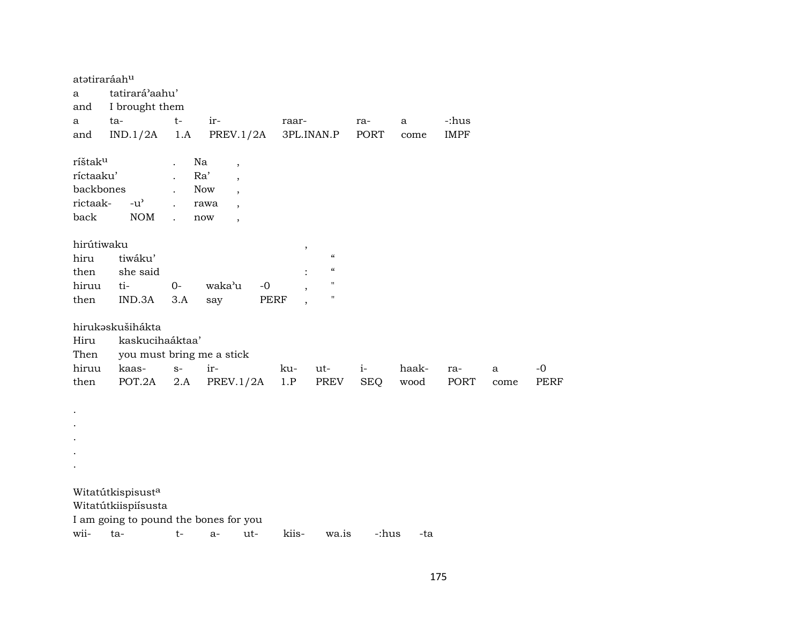| atətiraráahu<br>a<br>and<br>a                                     | tatirará'aahu'<br>I brought them<br>ta-         | $t-$        | ir-                                                                                                                                                                                | raar-      |                                                                                                           | ra-                | a             | -:hus       |                      |                     |
|-------------------------------------------------------------------|-------------------------------------------------|-------------|------------------------------------------------------------------------------------------------------------------------------------------------------------------------------------|------------|-----------------------------------------------------------------------------------------------------------|--------------------|---------------|-------------|----------------------|---------------------|
| and                                                               | IND.1/2A                                        | 1.A         | PREV.1/2A                                                                                                                                                                          |            | 3PL.INAN.P                                                                                                | <b>PORT</b>        | come          | <b>IMPF</b> |                      |                     |
| ríštak <sup>u</sup><br>ríctaaku'<br>backbones<br>rictaak-<br>back | $-u^{\prime}$<br>NOM                            |             | Na<br>$\overline{\phantom{a}}$<br>Ra'<br>$\overline{\phantom{a}}$<br><b>Now</b><br>$\overline{\phantom{a}}$<br>rawa<br>$\overline{\phantom{a}}$<br>now<br>$\overline{\phantom{a}}$ |            |                                                                                                           |                    |               |             |                      |                     |
| hirútiwaku<br>hiru<br>then<br>hiruu<br>then                       | tiwáku'<br>she said<br>ti-<br>IND.3A            | $0-$<br>3.A | waka'u<br>$-0$<br>say                                                                                                                                                              | ,<br>PERF  | $\pmb{\mathcal{U}}$<br>$\boldsymbol{\zeta}\boldsymbol{\zeta}$<br>$\pmb{\mathsf{H}}$<br>$\pmb{\mathsf{H}}$ |                    |               |             |                      |                     |
| Hiru<br>Then                                                      | hirukaskušihákta<br>kaskucihaáktaa'             |             | you must bring me a stick                                                                                                                                                          |            |                                                                                                           |                    |               |             |                      |                     |
| hiruu<br>then                                                     | kaas-<br>POT.2A                                 | $S-$<br>2.A | ir-<br>PREV.1/2A                                                                                                                                                                   | ku-<br>1.P | ut-<br>PREV                                                                                               | $i-$<br><b>SEQ</b> | haak-<br>wood | ra-<br>PORT | $\mathbf{a}$<br>come | $-0$<br><b>PERF</b> |
| $\bullet$                                                         |                                                 |             |                                                                                                                                                                                    |            |                                                                                                           |                    |               |             |                      |                     |
| wii-                                                              | Witatútkispisusta<br>Witatútkiispiísusta<br>ta- | t-          | I am going to pound the bones for you<br>ut-<br>$a-$                                                                                                                               | kiis-      | wa.is                                                                                                     | -:hus              | -ta           |             |                      |                     |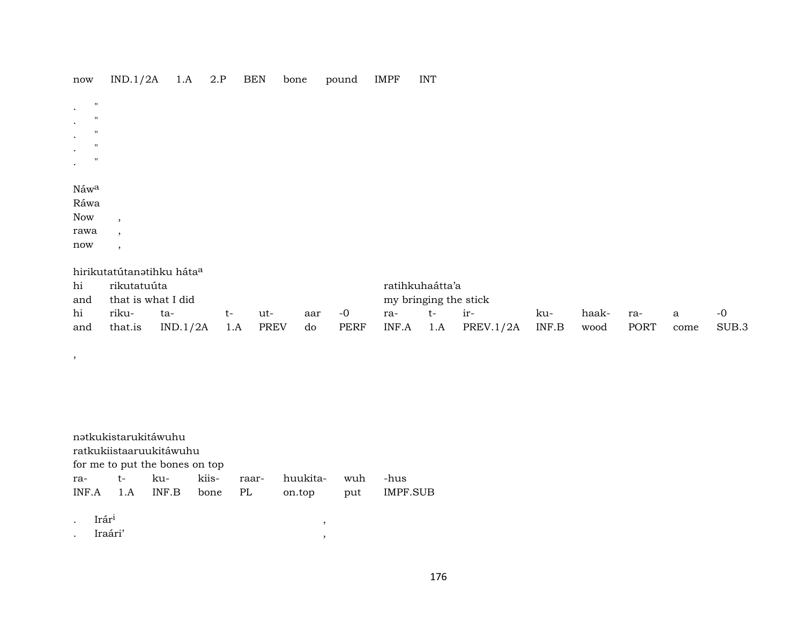| $\operatorname{now}$      | IND.1/2A | 1.A | 2.P | <b>BEN</b> | bone | pound | IMPF | <b>INT</b> |
|---------------------------|----------|-----|-----|------------|------|-------|------|------------|
|                           |          |     |     |            |      |       |      |            |
| $\mathbf{H}$<br>$\bullet$ |          |     |     |            |      |       |      |            |
| $\mathbf{H}$<br>$\bullet$ |          |     |     |            |      |       |      |            |
| $\mathbf{H}$<br>$\bullet$ |          |     |     |            |      |       |      |            |
| $\mathbf{H}$<br>$\bullet$ |          |     |     |            |      |       |      |            |
| $\mathbf{H}$<br>$\bullet$ |          |     |     |            |      |       |      |            |
|                           |          |     |     |            |      |       |      |            |
| Náw <sup>a</sup>          |          |     |     |            |      |       |      |            |
| Ráwa                      |          |     |     |            |      |       |      |            |
| Now                       | $\cdot$  |     |     |            |      |       |      |            |
| rawa                      | $\cdot$  |     |     |            |      |       |      |            |
| now                       | $\cdot$  |     |     |            |      |       |      |            |

| hi       | rikutatuúta            |                     |      |     |        |      | ratihkuhaátta'a       |          |                                 |     |           |     |              |       |
|----------|------------------------|---------------------|------|-----|--------|------|-----------------------|----------|---------------------------------|-----|-----------|-----|--------------|-------|
|          | and that is what I did |                     |      |     |        |      | my bringing the stick |          |                                 |     |           |     |              |       |
| hi riku- |                        | ta-                 | $t-$ | ut- | aar -0 |      | ra-                   | $t-$ ir- |                                 | ku- | haak-     | ra- | $\mathbf{a}$ |       |
| and      | that.is                | $IND.1/2A$ 1.A PREV |      |     | do     | PERF |                       |          | $INF.A$ 1.A $PREV.1/2A$ $INF.B$ |     | wood PORT |     | come         | SUB.3 |

|                                | nətkukistarukitáwuhu<br>ratkukiistaaruukitáwuhu |                         |  |       |          |     |              |  |  |  |  |  |  |  |
|--------------------------------|-------------------------------------------------|-------------------------|--|-------|----------|-----|--------------|--|--|--|--|--|--|--|
| for me to put the bones on top |                                                 |                         |  |       |          |     |              |  |  |  |  |  |  |  |
| ra- t-                         |                                                 | ku- kiis-               |  | raar- | huukita- | wuh | -hus         |  |  |  |  |  |  |  |
|                                |                                                 | INF.A 1.A INF.B bone PL |  |       | on.top   |     | put IMPF.SUB |  |  |  |  |  |  |  |
|                                |                                                 |                         |  |       |          |     |              |  |  |  |  |  |  |  |
| Irár <sup>1</sup>              |                                                 |                         |  |       |          |     |              |  |  |  |  |  |  |  |

| ٠ | -<br>. .<br>Irar <sup>i</sup> |  |
|---|-------------------------------|--|
|   | $Ira$ ári'                    |  |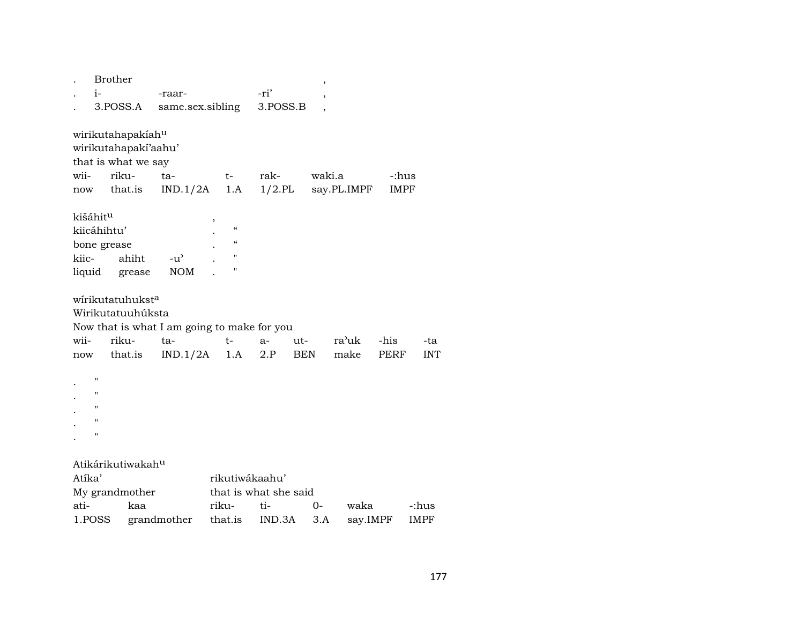|        | <b>Brother</b> |                               |                                             |                          |                       |            | $\,$   |                       |             |            |
|--------|----------------|-------------------------------|---------------------------------------------|--------------------------|-----------------------|------------|--------|-----------------------|-------------|------------|
|        | $i-$           |                               | -raar-                                      |                          | -ri'                  |            | ,      |                       |             |            |
|        | 3.POSS.A       |                               | same.sex.sibling                            |                          | 3.POSS.B              |            |        |                       |             |            |
|        |                |                               |                                             |                          |                       |            |        |                       |             |            |
|        |                | wirikutahapakiahu             |                                             |                          |                       |            |        |                       |             |            |
|        |                | wirikutahapaki'aahu'          |                                             |                          |                       |            |        |                       |             |            |
|        |                | that is what we say           |                                             |                          |                       |            |        |                       |             |            |
| wii-   |                | riku-                         | ta-                                         | t-                       | rak-                  |            | waki.a |                       | -:hus       |            |
| now    |                | that.is                       | IND.1/2A                                    | 1.A                      |                       |            |        | $1/2$ .PL say.PL.IMPF | <b>IMPF</b> |            |
|        | kišáhitu       |                               |                                             |                          |                       |            |        |                       |             |            |
|        | kiicáhihtu'    |                               |                                             | $\pmb{\zeta}\pmb{\zeta}$ |                       |            |        |                       |             |            |
|        | bone grease    |                               |                                             | $\pmb{\zeta}\pmb{\zeta}$ |                       |            |        |                       |             |            |
| kiic-  |                | ahiht                         | $-u^{\prime}$                               | П                        |                       |            |        |                       |             |            |
|        |                | liquid grease                 | <b>NOM</b>                                  | $\blacksquare$           |                       |            |        |                       |             |            |
|        |                |                               |                                             |                          |                       |            |        |                       |             |            |
|        |                | wirikutatuhukst <sup>a</sup>  |                                             |                          |                       |            |        |                       |             |            |
|        |                | Wirikutatuuhúksta             |                                             |                          |                       |            |        |                       |             |            |
|        |                |                               | Now that is what I am going to make for you |                          |                       |            |        |                       |             |            |
| wii-   |                | riku-                         | ta-                                         | $t-$                     | $a-$                  | ut-        |        | ra'uk                 | -his        | -ta        |
| now    |                | that.is                       | IND.1/2A                                    | 1.A                      | 2.P                   | <b>BEN</b> |        | make                  | <b>PERF</b> | <b>INT</b> |
|        |                |                               |                                             |                          |                       |            |        |                       |             |            |
|        | П              |                               |                                             |                          |                       |            |        |                       |             |            |
|        | н              |                               |                                             |                          |                       |            |        |                       |             |            |
|        | п              |                               |                                             |                          |                       |            |        |                       |             |            |
|        | Ħ              |                               |                                             |                          |                       |            |        |                       |             |            |
|        | п              |                               |                                             |                          |                       |            |        |                       |             |            |
|        |                |                               |                                             |                          |                       |            |        |                       |             |            |
|        |                | Atikárikutiwakah <sup>u</sup> |                                             |                          |                       |            |        |                       |             |            |
| Atíka' |                |                               |                                             | rikutiwákaahu'           |                       |            |        |                       |             |            |
|        |                | My grandmother                |                                             |                          | that is what she said |            |        |                       |             |            |
| ati-   |                | kaa                           |                                             | riku-                    | ti-                   |            | 0-     | waka                  |             | -:hus      |
|        | 1.POSS         |                               | grandmother                                 | that.is                  | IND.3A                |            | 3.A    |                       | say.IMPF    | IMPF       |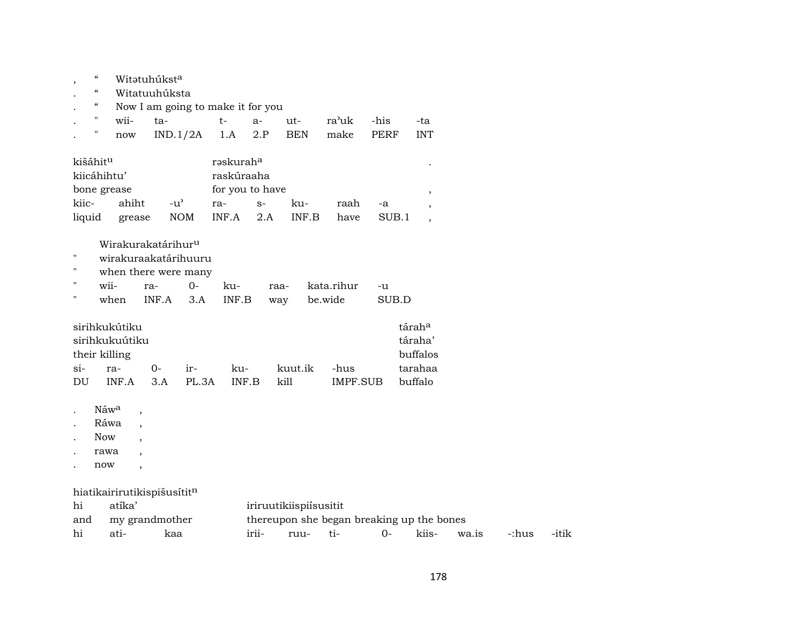| $\cdot$              | "                                      |                                   | Witətuhúkst <sup>a</sup>       |            |            |                           |            |                                           |             |                |       |       |       |  |
|----------------------|----------------------------------------|-----------------------------------|--------------------------------|------------|------------|---------------------------|------------|-------------------------------------------|-------------|----------------|-------|-------|-------|--|
|                      | $\epsilon\epsilon$                     |                                   | Witatuuhúksta                  |            |            |                           |            |                                           |             |                |       |       |       |  |
|                      | $\boldsymbol{\zeta}\boldsymbol{\zeta}$ | Now I am going to make it for you |                                |            |            |                           |            |                                           |             |                |       |       |       |  |
|                      | $\pmb{\mathsf{H}}$<br>wii-             |                                   | ta-                            |            | $t-$       | $a-$                      | $ut-$      | ra'uk                                     | -his        | -ta            |       |       |       |  |
|                      | п<br>now                               |                                   | IND.1/2A                       |            | 1.A        | 2.P                       | <b>BEN</b> | make                                      | <b>PERF</b> | <b>INT</b>     |       |       |       |  |
|                      |                                        |                                   |                                |            |            |                           |            |                                           |             |                |       |       |       |  |
| kišáhit <sup>u</sup> |                                        |                                   |                                |            | raskuraha  |                           |            |                                           |             |                |       |       |       |  |
|                      | kiicáhihtu'                            |                                   |                                |            | raskúraaha |                           |            |                                           |             |                |       |       |       |  |
|                      | bone grease                            |                                   |                                |            |            | for you to have<br>$\, ,$ |            |                                           |             |                |       |       |       |  |
| kiic-                |                                        | ahiht                             | $-u^{\prime}$                  |            | ra-        | $S-$                      | ku-        | raah                                      | -a          | $\cdot$        |       |       |       |  |
| liquid               |                                        | grease                            |                                | $\rm{NOM}$ | INF.A      | 2.A                       | INF.B      | have                                      | SUB.1       | $\overline{ }$ |       |       |       |  |
|                      |                                        |                                   |                                |            |            |                           |            |                                           |             |                |       |       |       |  |
|                      |                                        |                                   | Wirakurakatárihur <sup>u</sup> |            |            |                           |            |                                           |             |                |       |       |       |  |
| п                    |                                        |                                   | wirakuraakatárihuuru           |            |            |                           |            |                                           |             |                |       |       |       |  |
| н                    |                                        |                                   | when there were many           |            |            |                           |            |                                           |             |                |       |       |       |  |
| 11                   | wii-                                   |                                   | ra-                            | $0-$       | ku-        |                           | raa-       | kata.rihur                                | -u          |                |       |       |       |  |
|                      | when                                   |                                   | INF.A                          | 3.A        | INF.B      |                           | way        | be.wide                                   | SUB.D       |                |       |       |       |  |
|                      |                                        |                                   |                                |            |            |                           |            |                                           |             |                |       |       |       |  |
|                      | sirihkukútiku                          |                                   |                                |            |            |                           |            |                                           |             | táraha         |       |       |       |  |
|                      | sirihkukuútiku                         |                                   |                                |            |            |                           |            |                                           |             | táraha'        |       |       |       |  |
|                      | their killing                          |                                   |                                |            |            |                           |            |                                           |             | buffalos       |       |       |       |  |
| $si-$                | ra-                                    |                                   | $0-$                           | ir-        | ku-        |                           | kuut.ik    | -hus                                      |             | tarahaa        |       |       |       |  |
| DU                   | INF.A                                  |                                   | 3.A                            | PL.3A      | INF.B      |                           | kill       | IMPF.SUB                                  |             | buffalo        |       |       |       |  |
|                      |                                        |                                   |                                |            |            |                           |            |                                           |             |                |       |       |       |  |
|                      | Náwa                                   | $\overline{\phantom{a}}$          |                                |            |            |                           |            |                                           |             |                |       |       |       |  |
|                      | Ráwa                                   | $\cdot$                           |                                |            |            |                           |            |                                           |             |                |       |       |       |  |
|                      | <b>Now</b>                             |                                   |                                |            |            |                           |            |                                           |             |                |       |       |       |  |
|                      | rawa                                   |                                   |                                |            |            |                           |            |                                           |             |                |       |       |       |  |
|                      | now                                    | $\overline{\phantom{a}}$          |                                |            |            |                           |            |                                           |             |                |       |       |       |  |
|                      |                                        |                                   |                                |            |            |                           |            |                                           |             |                |       |       |       |  |
|                      |                                        |                                   | hiatikairirutikispišusítitn    |            |            |                           |            |                                           |             |                |       |       |       |  |
| hi                   | atíka'                                 |                                   |                                |            |            | iriruutikiispiisusitit    |            |                                           |             |                |       |       |       |  |
| and                  |                                        |                                   | my grandmother                 |            |            |                           |            | thereupon she began breaking up the bones |             |                |       |       |       |  |
| hi                   | ati-                                   |                                   | kaa                            |            |            | irii-                     | ruu-       | ti-                                       | $0 -$       | kiis-          | wa.is | -:hus | -itik |  |
|                      |                                        |                                   |                                |            |            |                           |            |                                           |             |                |       |       |       |  |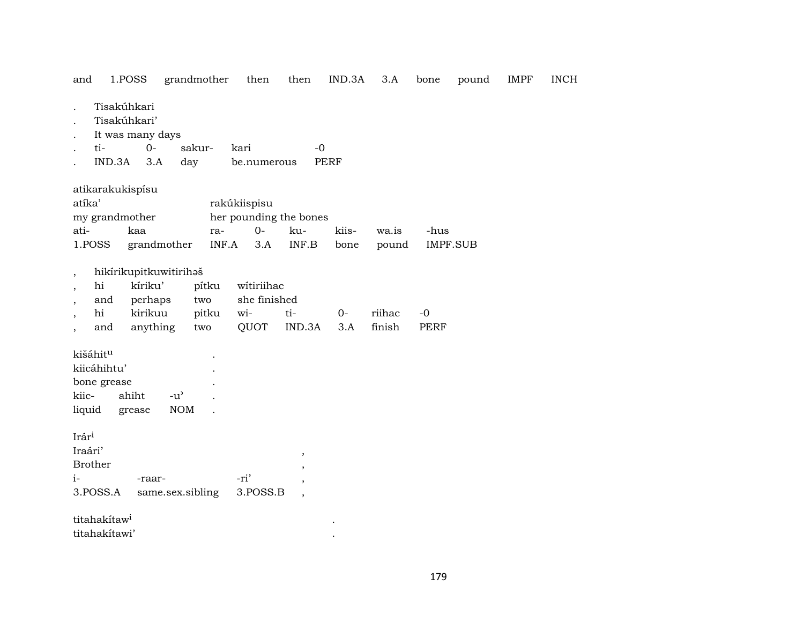| 1.POSS<br>and                                                                                                                                                                                                                                                                      |                             | grandmother  | then                        | then                                                                                 | IND.3A        | 3.A            | bone                    | pound | <b>IMPF</b> | <b>INCH</b> |
|------------------------------------------------------------------------------------------------------------------------------------------------------------------------------------------------------------------------------------------------------------------------------------|-----------------------------|--------------|-----------------------------|--------------------------------------------------------------------------------------|---------------|----------------|-------------------------|-------|-------------|-------------|
| Tisakúhkari<br>Tisakúhkari'<br>It was many days<br>ti-<br>IND.3A                                                                                                                                                                                                                   | $0-$<br>3.A<br>day          | sakur-       | kari<br>be.numerous         | $-0$                                                                                 | <b>PERF</b>   |                |                         |       |             |             |
| atikarakukispísu<br>atíka'<br>my grandmother<br>ati-<br>kaa<br>1.POSS                                                                                                                                                                                                              | grandmother                 | ra-<br>INF.A | rakúkiispisu<br>$0-$<br>3.A | her pounding the bones<br>ku-<br>$\ensuremath{\mathsf{INF}}.\ensuremath{\mathsf{B}}$ | kiis-<br>bone | wa.is<br>pound | -hus<br><b>IMPF.SUB</b> |       |             |             |
| hikírikupitkuwitirihaš<br>$\overline{\phantom{a}}$<br>kíriku'<br>witiriihac<br>hi<br>pítku<br>she finished<br>and<br>perhaps<br>two<br>kirikuu<br>wi-<br>hi<br>ti-<br>riihac<br>pitku<br>$O -$<br>$-0$<br>finish<br>anything<br>QUOT<br>IND.3A<br><b>PERF</b><br>and<br>3.A<br>two |                             |              |                             |                                                                                      |               |                |                         |       |             |             |
| kišáhit <sup>u</sup><br>kiicáhihtu'<br>bone grease<br>kiic-<br>ahiht<br>liquid<br>grease                                                                                                                                                                                           | $-u^{\prime}$<br><b>NOM</b> |              |                             |                                                                                      |               |                |                         |       |             |             |
| Irári<br>Iraári'<br><b>Brother</b><br>$i-$<br>3.POSS.A                                                                                                                                                                                                                             | -raar-<br>same.sex.sibling  |              | -ri'<br>3.POSS.B            | $\, ,$<br>$\overline{ }$<br>$\overline{\phantom{a}}$                                 |               |                |                         |       |             |             |
| titahakítaw <sup>i</sup><br>titahakítawi'                                                                                                                                                                                                                                          |                             |              |                             |                                                                                      |               |                |                         |       |             |             |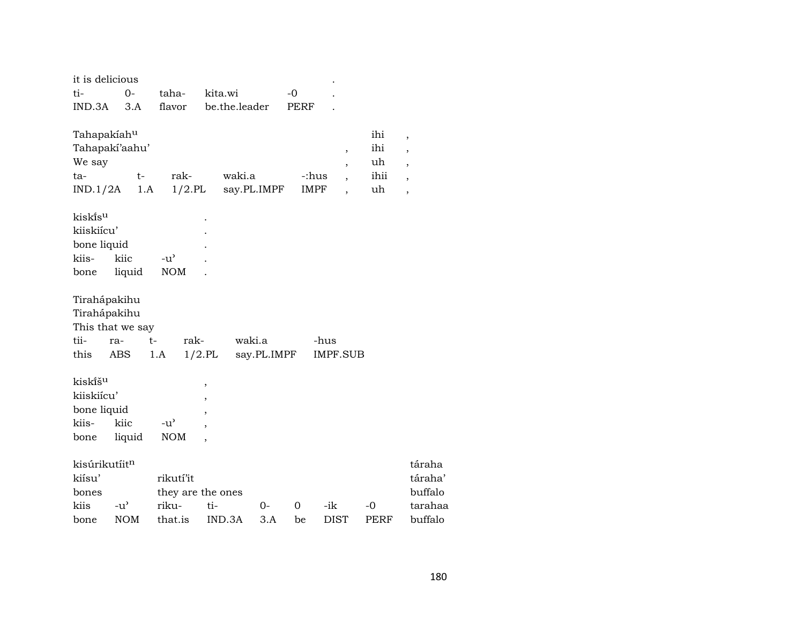| táraha  |
|---------|
| táraha' |
| buffalo |
| tarahaa |
|         |
|         |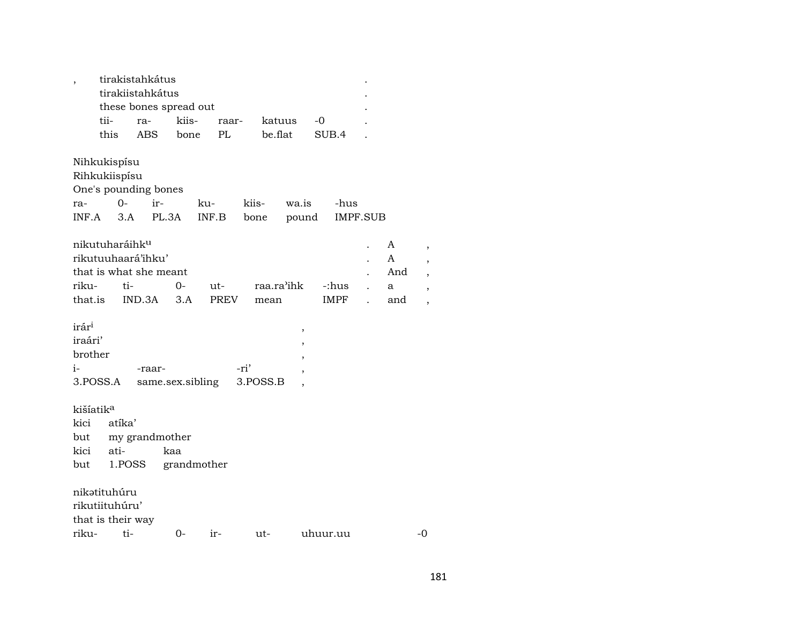|                            |        | tirakistahkátus        |             |             |       |            |       |          |          |     |
|----------------------------|--------|------------------------|-------------|-------------|-------|------------|-------|----------|----------|-----|
|                            |        | tirakiistahkátus       |             |             |       |            |       |          |          |     |
|                            |        | these bones spread out |             |             |       |            |       |          |          |     |
|                            | tii-   | $ra-$                  | kiis-       |             | raar- | katuus     |       | -0       |          |     |
|                            | this   | ABS                    | bone        |             | PL    | be.flat    |       | SUB.4    |          |     |
|                            |        |                        |             |             |       |            |       |          |          |     |
| Nihkukispísu               |        |                        |             |             |       |            |       |          |          |     |
| Rihkukiispísu              |        |                        |             |             |       |            |       |          |          |     |
|                            |        | One's pounding bones   |             |             |       |            |       |          |          |     |
| ra-                        | $0 -$  | ir-                    |             | ku-         | kiis- |            | wa.is |          | -hus     |     |
| INF.A                      | 3.A    | PL.3A                  |             | INF.B       | bone  |            | pound |          | IMPF.SUB |     |
|                            |        |                        |             |             |       |            |       |          |          |     |
| nikutuharáihk <sup>u</sup> |        |                        |             |             |       |            |       |          |          | A   |
|                            |        | rikutuuhaará'ihku'     |             |             |       |            |       |          |          | A   |
|                            |        | that is what she meant |             |             |       |            |       |          |          | And |
| riku-                      | ti-    |                        | 0-          | ut-         |       | raa.ra'ihk |       |          | -:hus    | a   |
| that.is                    |        | IND.3A                 | 3.A         | <b>PREV</b> |       | mean       |       |          | IMPF     | and |
|                            |        |                        |             |             |       |            |       |          |          |     |
| irár <sup>i</sup>          |        |                        |             |             |       |            | $\,$  |          |          |     |
| iraári'                    |        |                        |             |             |       |            | ,     |          |          |     |
| brother                    |        |                        |             |             |       |            |       |          |          |     |
| i-                         |        | -raar-                 |             |             | -ri'  |            |       |          |          |     |
| 3.POSS.A                   |        | same.sex.sibling       |             |             |       | 3.POSS.B   |       |          |          |     |
|                            |        |                        |             |             |       |            |       |          |          |     |
| kišíatik <sup>a</sup>      |        |                        |             |             |       |            |       |          |          |     |
| kici                       | atíka' |                        |             |             |       |            |       |          |          |     |
| but                        |        | my grandmother         |             |             |       |            |       |          |          |     |
| kici                       | ati-   |                        | kaa         |             |       |            |       |          |          |     |
| but                        |        | 1.POSS                 | grandmother |             |       |            |       |          |          |     |
|                            |        |                        |             |             |       |            |       |          |          |     |
| nikətituhúru               |        |                        |             |             |       |            |       |          |          |     |
| rikutiituhúru'             |        |                        |             |             |       |            |       |          |          |     |
| that is their way          |        |                        |             |             |       |            |       |          |          |     |
| riku-                      | ti-    |                        | 0-          | ir-         |       | ut-        |       | uhuur.uu |          |     |

181

 $-0$ 

 $\,$  ,  $\overline{\phantom{a}}$  $\cdot$  $\rightarrow$  $\rightarrow$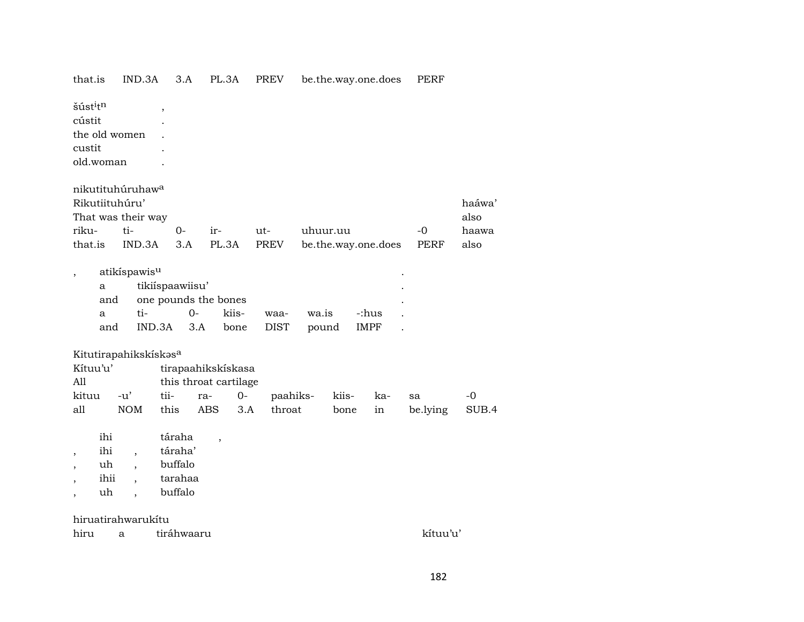|      | that.is                                    | IND.3A                                                               | 3.A                                                | PL.3A                    |               | <b>PREV</b>         |                | be.the.way.one.does |       | LFKL     |                |
|------|--------------------------------------------|----------------------------------------------------------------------|----------------------------------------------------|--------------------------|---------------|---------------------|----------------|---------------------|-------|----------|----------------|
|      | šúst <sup>i</sup> t <sup>n</sup><br>cústit | the old women                                                        | $\, ,$                                             |                          |               |                     |                |                     |       |          |                |
|      | custit                                     |                                                                      |                                                    |                          |               |                     |                |                     |       |          |                |
|      | old.woman                                  |                                                                      |                                                    |                          |               |                     |                |                     |       |          |                |
|      |                                            | nikutituhúruhaw <sup>a</sup><br>Rikutiituhúru'<br>That was their way |                                                    |                          |               |                     |                |                     |       |          | haáwa'<br>also |
|      | riku-                                      | ti-                                                                  | 0-                                                 | ir-                      |               | ut-                 | uhuur.uu       |                     |       | -0       | haawa          |
|      | that.is                                    | IND.3A                                                               | 3.A                                                | PL.3A                    |               | PREV                |                | be.the.way.one.does |       | PERF     | also           |
|      | a<br>and<br>a<br>and                       | atikíspawis <sup>u</sup><br>ti-                                      | tikiíspaawiisu'<br>one pounds the bones<br>IND.3A  | $0-$<br>3.A              | kiis-<br>bone | waa-<br><b>DIST</b> | wa.is<br>pound | <b>IMPF</b>         | -:hus |          |                |
|      |                                            | Kitutirapahikskískasa                                                |                                                    |                          |               |                     |                |                     |       |          |                |
|      | Kítuu'u'                                   |                                                                      |                                                    | tirapaahikskiskasa       |               |                     |                |                     |       |          |                |
| All  |                                            |                                                                      |                                                    | this throat cartilage    |               |                     |                |                     |       |          |                |
|      | kituu                                      | $-u'$                                                                | tii-                                               | ra-                      | $0-$          | paahiks-            |                | kiis-               | ka-   | sa       | $-0$           |
| all  |                                            | <b>NOM</b>                                                           | this                                               | <b>ABS</b>               | 3.A           | throat              |                | bone                | in    | be.lying | SUB.4          |
| ,    | ihi<br>ihi<br>uh<br>ihii<br>uh             | $\overline{\phantom{a}}$                                             | táraha<br>táraha'<br>buffalo<br>tarahaa<br>buffalo | $\overline{\phantom{a}}$ |               |                     |                |                     |       |          |                |
|      |                                            | hiruatirahwarukítu                                                   |                                                    |                          |               |                     |                |                     |       |          |                |
| hiru |                                            | a                                                                    | tiráhwaaru                                         |                          |               |                     |                |                     |       | kítuu'u' |                |
|      |                                            |                                                                      |                                                    |                          |               |                     |                |                     |       |          |                |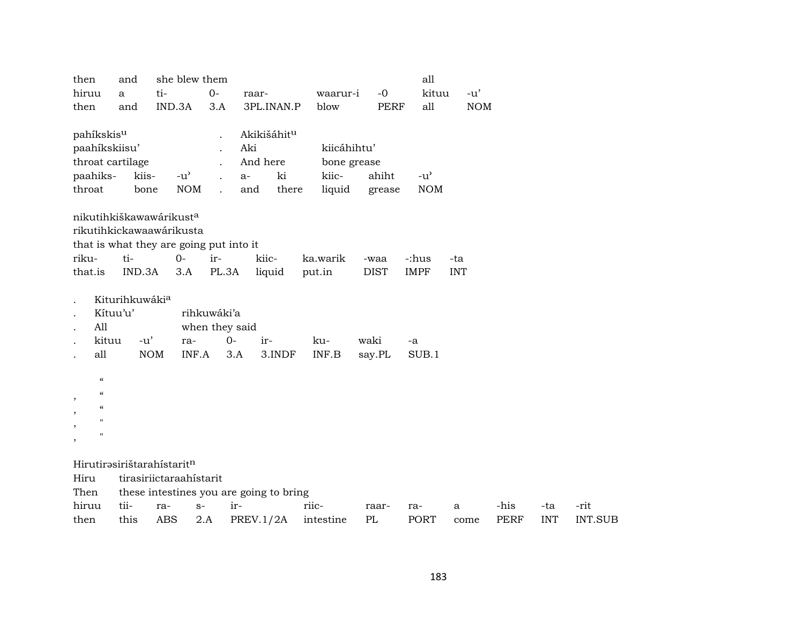| then                                                | and            |                         | she blew them  |              |                                         |             |             | all           |            |             |            |                |
|-----------------------------------------------------|----------------|-------------------------|----------------|--------------|-----------------------------------------|-------------|-------------|---------------|------------|-------------|------------|----------------|
| hiruu                                               | a              | ti-                     |                | $O -$        | raar-                                   | waarur-i    | $-0$        | kituu         | $-u'$      |             |            |                |
| then                                                | and            | IND.3A                  |                | 3.A          | 3PL.INAN.P                              | blow        | <b>PERF</b> | all           | <b>NOM</b> |             |            |                |
|                                                     |                |                         |                |              |                                         |             |             |               |            |             |            |                |
| pahíkskis <sup>u</sup>                              |                |                         |                |              | Akikišáhitu                             |             |             |               |            |             |            |                |
| paahíkskiisu'                                       |                |                         |                |              | Aki                                     | kiicáhihtu' |             |               |            |             |            |                |
| throat cartilage                                    |                |                         |                |              | And here                                | bone grease |             |               |            |             |            |                |
| paahiks-                                            | kiis-          |                         | $-u^{\prime}$  | $\mathbf{r}$ | ki<br>$a-$                              | kiic-       | ahiht       | $-u^{\prime}$ |            |             |            |                |
| throat                                              | bone           |                         | <b>NOM</b>     |              | and<br>there                            | liquid      | grease      | <b>NOM</b>    |            |             |            |                |
|                                                     |                |                         |                |              |                                         |             |             |               |            |             |            |                |
| nikutihkiškawawárikusta<br>rikutihkickawaawárikusta |                |                         |                |              |                                         |             |             |               |            |             |            |                |
| that is what they are going put into it             |                |                         |                |              |                                         |             |             |               |            |             |            |                |
| riku-                                               | ti-            | $0 -$                   |                | ir-          | kiic-                                   | ka.warik    | -waa        | -:hus         | -ta        |             |            |                |
| that.is                                             | IND.3A         |                         | 3.A            | PL.3A        | liquid                                  | put.in      | <b>DIST</b> | <b>IMPF</b>   | <b>INT</b> |             |            |                |
|                                                     |                |                         |                |              |                                         |             |             |               |            |             |            |                |
|                                                     | Kiturihkuwákia |                         |                |              |                                         |             |             |               |            |             |            |                |
|                                                     | Kítuu'u'       |                         | rihkuwáki'a    |              |                                         |             |             |               |            |             |            |                |
| All                                                 |                |                         | when they said |              |                                         |             |             |               |            |             |            |                |
| kituu                                               | $-u'$          |                         | ra-            | $0-$         | ir-                                     | ku-         | waki        | -a            |            |             |            |                |
| all                                                 |                | <b>NOM</b>              | INF.A          | 3.A          | 3.INDF                                  | INF.B       | say.PL      | SUB.1         |            |             |            |                |
|                                                     |                |                         |                |              |                                         |             |             |               |            |             |            |                |
| $\mathcal{C}$                                       |                |                         |                |              |                                         |             |             |               |            |             |            |                |
| $\pmb{\zeta}\pmb{\zeta}$                            |                |                         |                |              |                                         |             |             |               |            |             |            |                |
| $\pmb{\zeta}\pmb{\zeta}$                            |                |                         |                |              |                                         |             |             |               |            |             |            |                |
| П                                                   |                |                         |                |              |                                         |             |             |               |            |             |            |                |
| П<br>$\overline{\phantom{a}}$                       |                |                         |                |              |                                         |             |             |               |            |             |            |                |
|                                                     |                |                         |                |              |                                         |             |             |               |            |             |            |                |
| Hirutirəsirištarahistaritn                          |                |                         |                |              |                                         |             |             |               |            |             |            |                |
| Hiru                                                |                | tirasiriictaraahístarit |                |              |                                         |             |             |               |            |             |            |                |
| Then                                                |                |                         |                |              | these intestines you are going to bring |             |             |               |            |             |            |                |
| hiruu                                               | tii-           | ra-                     | $S-$           | ir-          |                                         | riic-       | raar-       | ra-           | a          | -his        | -ta        | -rit           |
| then                                                | this           | <b>ABS</b>              | 2.A            |              | PREV.1/2A                               | intestine   | PL          | PORT          | come       | <b>PERF</b> | <b>INT</b> | <b>INT.SUB</b> |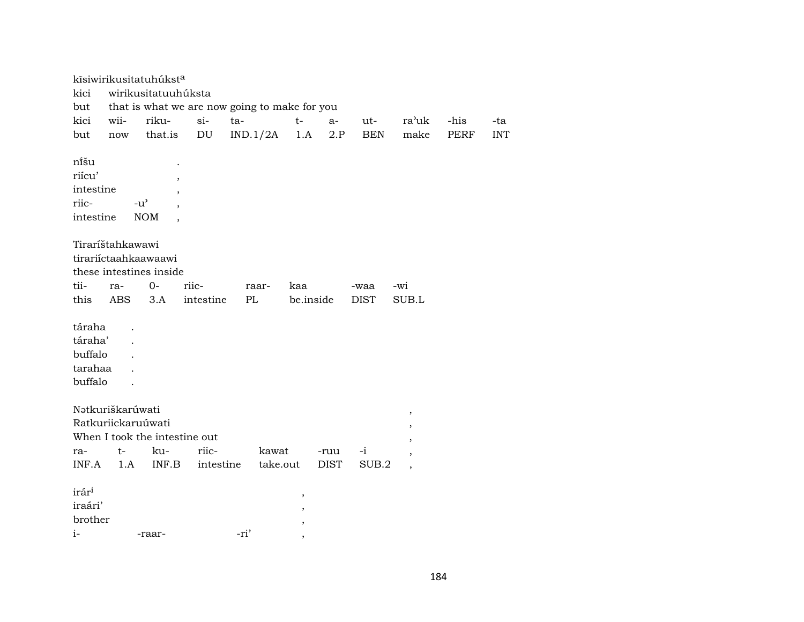|                   |                      | kīsiwirikusitatuhúksta        |                            |                                               |                          |             |             |                          |             |            |
|-------------------|----------------------|-------------------------------|----------------------------|-----------------------------------------------|--------------------------|-------------|-------------|--------------------------|-------------|------------|
| kici              |                      | wirikusitatuuhúksta           |                            |                                               |                          |             |             |                          |             |            |
| but               |                      |                               |                            | that is what we are now going to make for you |                          |             |             |                          |             |            |
| kici              | wii-                 | riku-                         | $si-$                      | ta-                                           | $t-$                     | $a-$        | ut-         | ra'uk                    | -his        | -ta        |
| but               | $\operatorname{now}$ | that.is                       | $\mathop{\rm DU}\nolimits$ | IND.1/2A                                      | 1.A                      | $2.P$       | <b>BEN</b>  | make                     | <b>PERF</b> | <b>INT</b> |
|                   |                      |                               |                            |                                               |                          |             |             |                          |             |            |
| nišu              |                      |                               |                            |                                               |                          |             |             |                          |             |            |
| riícu'            |                      |                               |                            |                                               |                          |             |             |                          |             |            |
| intestine         |                      | $\overline{\phantom{a}}$      |                            |                                               |                          |             |             |                          |             |            |
| riic-             |                      | $-u^{\prime}$                 |                            |                                               |                          |             |             |                          |             |            |
| intestine         |                      | $\rm{NOM}$                    |                            |                                               |                          |             |             |                          |             |            |
|                   |                      |                               |                            |                                               |                          |             |             |                          |             |            |
|                   | Tiraríštahkawawi     |                               |                            |                                               |                          |             |             |                          |             |            |
|                   |                      | tirariíctaahkaawaawi          |                            |                                               |                          |             |             |                          |             |            |
|                   |                      | these intestines inside       |                            |                                               |                          |             |             |                          |             |            |
| tii-              | ra-                  | $O -$                         | riic-                      | raar-                                         | kaa                      |             | -waa        | -wi                      |             |            |
| this              | <b>ABS</b>           | 3.A                           | intestine                  | PL                                            | be.inside                |             | <b>DIST</b> | SUB.L                    |             |            |
|                   |                      |                               |                            |                                               |                          |             |             |                          |             |            |
| táraha            |                      |                               |                            |                                               |                          |             |             |                          |             |            |
| táraha'           |                      |                               |                            |                                               |                          |             |             |                          |             |            |
| buffalo           |                      |                               |                            |                                               |                          |             |             |                          |             |            |
| tarahaa           |                      |                               |                            |                                               |                          |             |             |                          |             |            |
| buffalo           |                      |                               |                            |                                               |                          |             |             |                          |             |            |
|                   |                      |                               |                            |                                               |                          |             |             |                          |             |            |
|                   | Nətkuriškarúwati     |                               |                            |                                               |                          |             |             | $\, ,$                   |             |            |
|                   | Ratkuriickaruúwati   |                               |                            |                                               |                          |             |             | ,                        |             |            |
|                   |                      | When I took the intestine out |                            |                                               |                          |             |             | ,                        |             |            |
| ra-               | t-                   | ku-                           | riic-                      | kawat                                         |                          | -ruu        | $-1$        | $\overline{\phantom{a}}$ |             |            |
| INF.A             | 1.A                  | INF.B                         | intestine                  | take.out                                      |                          | <b>DIST</b> | SUB.2       | $\overline{ }$           |             |            |
|                   |                      |                               |                            |                                               |                          |             |             |                          |             |            |
| irár <sup>i</sup> |                      |                               |                            |                                               | $\, ,$                   |             |             |                          |             |            |
| iraári'           |                      |                               |                            |                                               | $\, ,$                   |             |             |                          |             |            |
| brother           |                      |                               |                            |                                               | ,                        |             |             |                          |             |            |
| $i-$              |                      | -raar-                        |                            | -ri'                                          | $\overline{\phantom{a}}$ |             |             |                          |             |            |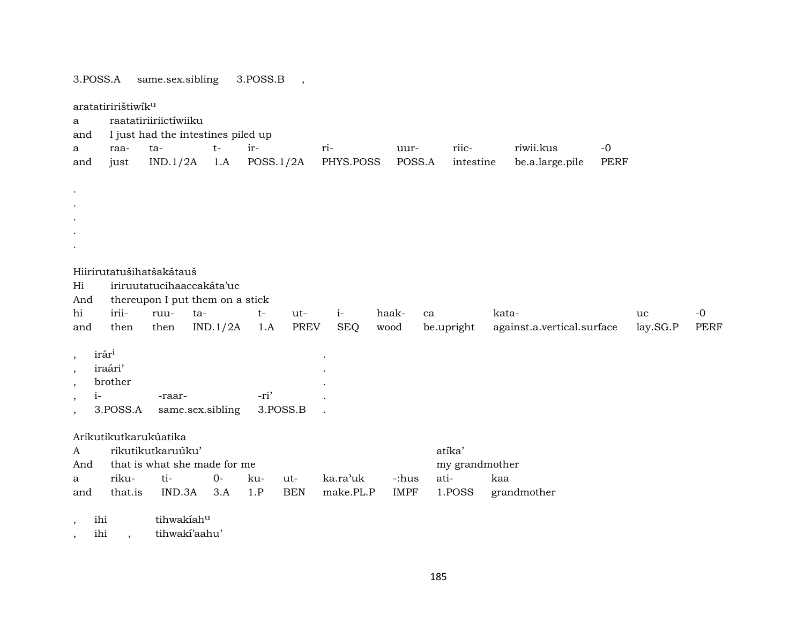same.sex.sibling 3.POSS.A 3.POSS.B

 $\cdot$ 

aratatiririštiwik<sup>u</sup> raatatiriiriictíwiiku  $\mathbf{a}$ I just had the intestines piled up and  $\mathbf{a}$ raata $t$ irriuurriicriwii.kus  $-0$  $IND.1/2A$  1.A  $POSS.1/2A$ PHYS.POSS POSS.A intestine be.a.large.pile **PERF** just and Hiirirutatušihatšakátauš Hi iriruutatucihaaccakáta'uc thereupon I put them on a stick And hi iriiruuta $t$ ut $i$ haakkata- $-0$ ca uc  $IND.1/2A$ **PREV SEQ** be.upright against.a.vertical.surface lay.SG.P **PERF** and then then  $1.A$ wood  $irár<sup>i</sup>$  $\cdot$ iraári' brother  $i-$ -raar--ri' 3.POSS.A same.sex.sibling 3.POSS.B Arikutikutkarukúatika atíka' rikutikutkaruúku'  $\mathsf{A}$ that is what she made for me my grandmother And riku $ti 0$ kuka.ra'uk atikaa  $\mathbf{a}$ ut--:hus make.PL.P grandmother that.is IND.3A  $3.A$  $1.P$ **BEN IMPF** 1.POSS and

tihwakiahu ihi  $\cdot$ 

tihwakí'aahu' ihi  $\overline{\phantom{a}}$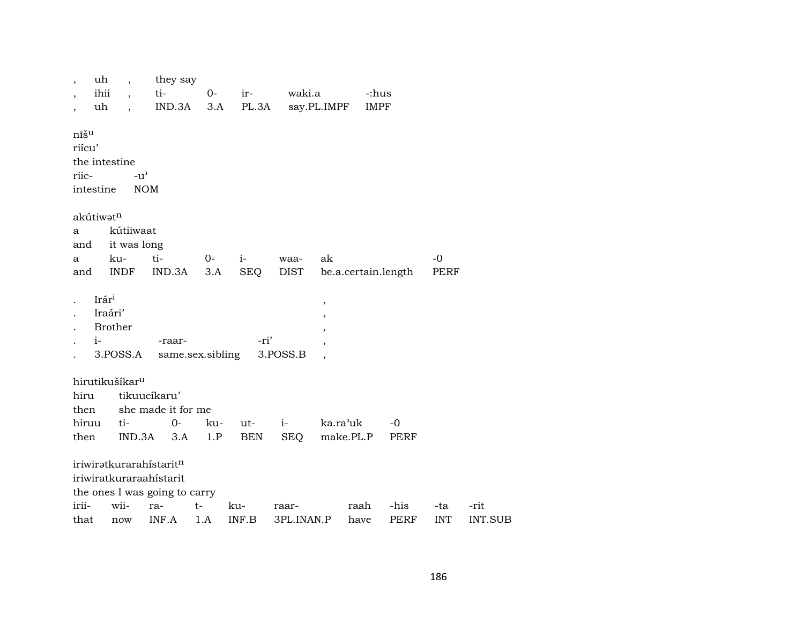|                               | uh<br>ihii<br>uh         | $\ddot{\phantom{0}}$                        | they say<br>ti-<br>IND.3A                                                                           | $0-$<br>3.A | ir-<br>PL.3A      | waki.a              | say.PL.IMPF | -:hus<br><b>IMPF</b> |              |                   |                        |
|-------------------------------|--------------------------|---------------------------------------------|-----------------------------------------------------------------------------------------------------|-------------|-------------------|---------------------|-------------|----------------------|--------------|-------------------|------------------------|
| nīšu<br>riícu'<br>riic-       | intestine                | the intestine<br>$-u^{\prime}$              | <b>NOM</b>                                                                                          |             |                   |                     |             |                      |              |                   |                        |
| a<br>and<br>a<br>and          | akútiwatn                | kútiiwaat<br>it was long<br>ku-<br>INDF     | ti-<br>IND.3A                                                                                       | $0-$<br>3.A | $i-$<br>SEQ       | waa-<br><b>DIST</b> | ak          | be.a.certain.length  |              | $-0$<br>PERF      |                        |
|                               | Irári<br>Iraári'<br>$i-$ | <b>Brother</b><br>3.POSS.A                  | -raar-<br>same.sex.sibling                                                                          |             | -ri'              | 3.POSS.B            | $\, ,$      |                      |              |                   |                        |
| hiru<br>then<br>hiruu<br>then |                          | hirutikušíkar <sup>u</sup><br>ti-<br>IND.3A | tikuucíkaru'<br>she made it for me<br>$0-$<br>3.A                                                   | ku-<br>1.P  | ut-<br><b>BEN</b> | $i-$<br><b>SEQ</b>  | ka.ra'uk    | make.PL.P            | $-0$<br>PERF |                   |                        |
| irii-<br>that                 |                          | wii-<br>now                                 | iriwiratkurarahistaritn<br>iriwiratkuraraahistarit<br>the ones I was going to carry<br>ra-<br>INF.A | $t-$<br>1.A | ku-<br>INF.B      | raar-<br>3PL.INAN.P |             | raah<br>have         | -his<br>PERF | -ta<br><b>INT</b> | -rit<br><b>INT.SUB</b> |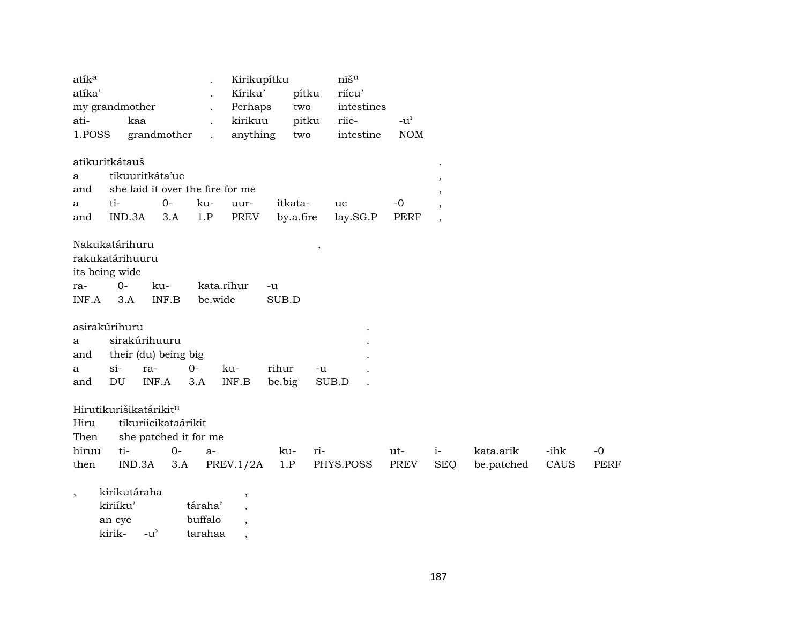| atík <sup>a</sup><br>atíka'<br>ati-<br>1.POSS | my grandmother                                        | kaa           | grandmother                                                                           | $\ddot{\phantom{a}}$          | Kirikupítku<br>Kíriku'<br>Perhaps<br>kirikuu<br>anything       | pítku<br>two<br>pitku<br>two |                         | nīšu<br>riícu'<br>intestines<br>riic-<br>intestine | $-u^{\prime}$<br><b>NOM</b> |                              |                         |              |                     |
|-----------------------------------------------|-------------------------------------------------------|---------------|---------------------------------------------------------------------------------------|-------------------------------|----------------------------------------------------------------|------------------------------|-------------------------|----------------------------------------------------|-----------------------------|------------------------------|-------------------------|--------------|---------------------|
| a<br>and<br>a<br>and                          | atikuritkátauš<br>ti-                                 | IND.3A        | tikuuritkáta'uc<br>$0-$<br>3.A                                                        | ku-<br>1.P                    | she laid it over the fire for me<br>uur-<br><b>PREV</b>        | itkata-<br>by.a.fire         | uc                      | lay.SG.P                                           | $-0$<br><b>PERF</b>         | ,<br>,<br>$\cdot$<br>$\cdot$ |                         |              |                     |
| ra-<br>INF.A                                  | Nakukatárihuru<br>rakukatárihuuru<br>its being wide   | $O -$<br>3.A  | ku-<br>INF.B                                                                          |                               | kata.rihur<br>be.wide                                          | -u<br>SUB.D                  | $^\mathrm{^\mathrm{o}}$ |                                                    |                             |                              |                         |              |                     |
| a<br>and<br>a<br>and                          | asirakúrihuru<br>$si$ -<br>$\mathop{\rm DU}\nolimits$ |               | sirakúrihuuru<br>their (du) being big<br>ra-<br>INF.A                                 | $0-$<br>3.A                   | ku-<br>$\textsf{INF.B}{}$                                      | rihur<br>be.big              | -u<br>SUB.D             |                                                    |                             |                              |                         |              |                     |
| Hiru<br>Then<br>hiruu<br>then                 |                                                       | ti-<br>IND.3A | Hirutikurišikatárikitn<br>tikuriicikataárikit<br>she patched it for me<br>$0-$<br>3.A | $a-$                          | PREV.1/2A                                                      | ku-<br>1.P                   | ri-                     | PHYS.POSS                                          | ut-<br>PREV                 | $i-$<br><b>SEQ</b>           | kata.arik<br>be.patched | -ihk<br>CAUS | $-0$<br><b>PERF</b> |
| $\overline{\phantom{a}}$                      | kiriíku'<br>an eye<br>kirik-                          | kirikutáraha  | $-u^{\prime}$                                                                         | táraha'<br>buffalo<br>tarahaa | $\, ,$<br>$\overline{\phantom{a}}$<br>$\overline{\phantom{a}}$ |                              |                         |                                                    |                             |                              |                         |              |                     |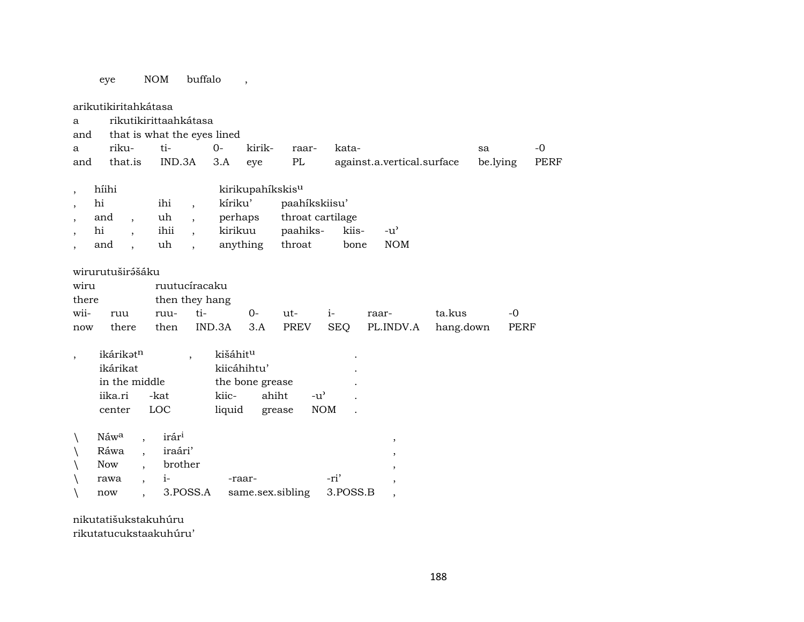## eye NOM buffalo ,

| a<br>and<br>a<br>and         | arikutikiritahkátasa<br>rikutikirittaahkátasa<br>that is what the eyes lined<br>riku-<br>that.is |                          | ti-<br>IND.3A                                               |                                                                                                              | $0-$<br>3.A                   | kirik-<br>eye                            | raar-<br>PL                                             |                             | kata-         | against.a.vertical.surface                                                                                                  |                     | sa<br>be.lying |                     | $-0$<br>PERF |
|------------------------------|--------------------------------------------------------------------------------------------------|--------------------------|-------------------------------------------------------------|--------------------------------------------------------------------------------------------------------------|-------------------------------|------------------------------------------|---------------------------------------------------------|-----------------------------|---------------|-----------------------------------------------------------------------------------------------------------------------------|---------------------|----------------|---------------------|--------------|
| $\overline{ }$               | híihi<br>hi<br>and<br>$\cdot$<br>hi<br>and                                                       |                          | ihi<br>uh<br>ihii<br>uh                                     | $\overline{\phantom{a}}$<br>$\overline{\phantom{a}}$<br>$\overline{\phantom{a}}$<br>$\overline{\phantom{a}}$ | kíriku'<br>perhaps<br>kirikuu | kirikupahíkskis <sup>u</sup><br>anything | paahíkskiisu'<br>throat cartilage<br>paahiks-<br>throat |                             | kiis-<br>bone | $-u^{\prime}$<br><b>NOM</b>                                                                                                 |                     |                |                     |              |
| wiru<br>there<br>wii-<br>now | wirurutuširášáku<br>ruu<br>there                                                                 |                          | ruutucíracaku<br>then they hang<br>ruu-<br>then             | ti-                                                                                                          | IND.3A                        | $O -$<br>3.A                             | ut-<br><b>PREV</b>                                      | $i-$<br><b>SEQ</b>          |               | raar-<br>PL.INDV.A                                                                                                          | ta.kus<br>hang.down |                | $-0$<br><b>PERF</b> |              |
| $\overline{ }$               | ikárikatn<br>ikárikat<br>in the middle<br>iika.ri<br>center                                      | -kat<br>LOC              |                                                             | $\cdot$                                                                                                      | kišáhitu<br>kiic-<br>liquid   | kiicáhihtu'<br>the bone grease           | ahiht<br>grease                                         | $-u^{\prime}$<br><b>NOM</b> |               |                                                                                                                             |                     |                |                     |              |
|                              | Náw <sup>a</sup><br>Ráwa<br><b>Now</b><br>rawa<br>now                                            | $\overline{\phantom{a}}$ | irár <sup>i</sup><br>iraári'<br>brother<br>$i-$<br>3.POSS.A |                                                                                                              |                               | -raar-                                   | same.sex.sibling                                        | -ri'<br>3.POSS.B            |               | $^\mathrm{^\mathrm{o}}$<br>$^\mathrm{^\mathrm{o}}$<br>$^\mathrm{,}$<br>$\overline{\phantom{a}}$<br>$\overline{\phantom{a}}$ |                     |                |                     |              |

nikutatišukstakuhúru rikutatucukstaakuhúru'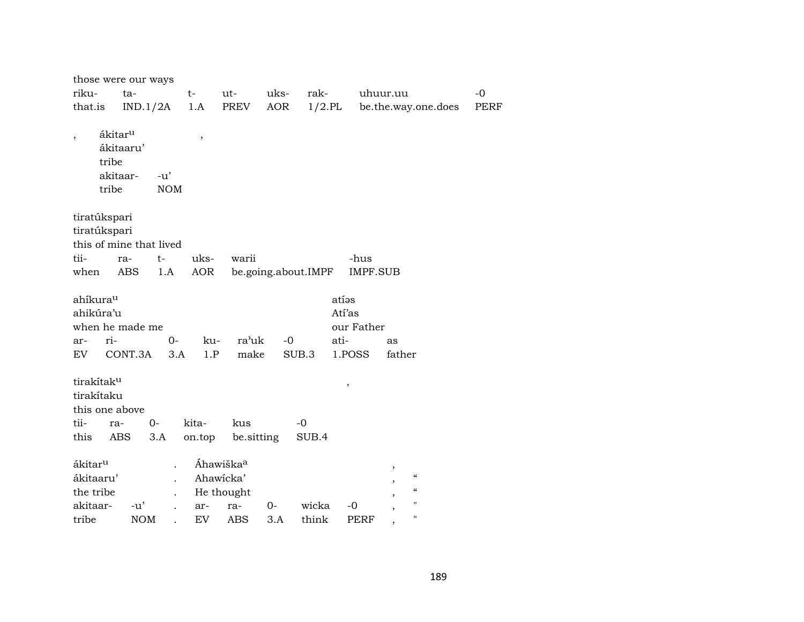|                                                                        | those were our ways                          |                               |                       |                     |                                       |                                                  |             |
|------------------------------------------------------------------------|----------------------------------------------|-------------------------------|-----------------------|---------------------|---------------------------------------|--------------------------------------------------|-------------|
| riku-                                                                  | ta-                                          | $t-$                          | ut-                   | uks-<br>rak-        |                                       | uhuur.uu                                         | $-0$        |
| that.is                                                                | IND.1/2A                                     | 1.A                           | PREV                  | AOR                 | $1/2$ .PL                             | be.the.way.one.does                              | <b>PERF</b> |
| tribe<br>tribe                                                         | ákitar <sup>u</sup><br>ákitaaru'<br>akitaar- | $\, ,$<br>$-u'$<br><b>NOM</b> |                       |                     |                                       |                                                  |             |
| tiratúkspari                                                           |                                              |                               |                       |                     |                                       |                                                  |             |
| tiratúkspari                                                           |                                              |                               |                       |                     |                                       |                                                  |             |
|                                                                        | this of mine that lived                      |                               |                       |                     |                                       |                                                  |             |
| tii-                                                                   | t-<br>ra-                                    | uks-                          | warii                 |                     | -hus                                  |                                                  |             |
| when                                                                   | ABS                                          | AOR<br>1.A                    |                       | be.going.about.IMPF | <b>IMPF.SUB</b>                       |                                                  |             |
| ahíkura <sup>u</sup><br>ahikúra'u<br>ri-<br>ar-                        | when he made me                              | $O -$<br>ku-                  | ra'uk                 | $-0$                | atíəs<br>Atí'as<br>our Father<br>ati- | as                                               |             |
| EV                                                                     | CONT.3A                                      | 3.A<br>1.P                    | make                  | SUB.3               | 1.POSS                                | father                                           |             |
| tirakítak <sup>u</sup><br>tirakítaku<br>this one above<br>tii-<br>this | 0-<br>ra-<br>ABS<br>3.A                      | kita-<br>on.top               | kus<br>be sitting     | $-0$<br>SUB.4       | $\, ,$                                |                                                  |             |
| ákitar <sup>u</sup>                                                    |                                              |                               | Áhawiška <sup>a</sup> |                     |                                       | $^\mathrm{,}$                                    |             |
| ákitaaru'                                                              |                                              |                               | Ahawicka'             |                     |                                       | $\boldsymbol{\zeta}$<br>$\overline{\phantom{a}}$ |             |
| the tribe                                                              |                                              |                               | He thought            |                     |                                       | $\boldsymbol{\zeta}\boldsymbol{\zeta}$           |             |
| akitaar-                                                               | $-u'$                                        | ar-                           | ra-                   | wicka<br>0-         | $-0$                                  | Ħ                                                |             |
| tribe                                                                  | <b>NOM</b>                                   | <b>EV</b>                     | <b>ABS</b>            | 3.A<br>think        | <b>PERF</b>                           | 11                                               |             |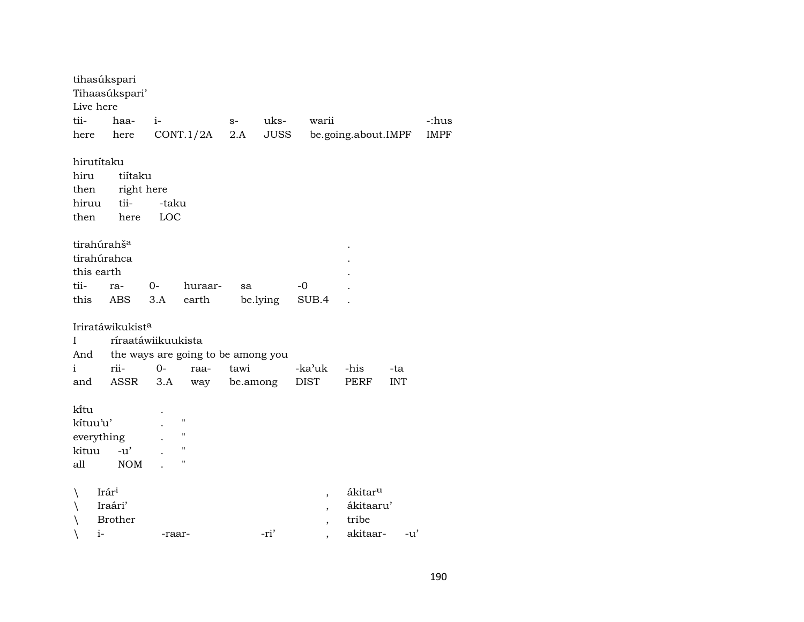|              | tihasúkspari                 |                    |                                    |      |          |                          |                     |            |             |
|--------------|------------------------------|--------------------|------------------------------------|------|----------|--------------------------|---------------------|------------|-------------|
|              | Tihaasúkspari'<br>Live here  |                    |                                    |      |          |                          |                     |            |             |
| tii-         | haa-                         | $i-$               |                                    | $S-$ | uks-     | warii                    |                     |            | -:hus       |
| here         | here                         |                    | CONT.1/2A                          | 2.A  | JUSS     |                          | be.going.about.IMPF |            | <b>IMPF</b> |
|              |                              |                    |                                    |      |          |                          |                     |            |             |
|              | hirutítaku                   |                    |                                    |      |          |                          |                     |            |             |
| hiru         | tiítaku                      |                    |                                    |      |          |                          |                     |            |             |
|              | then                         | right here         |                                    |      |          |                          |                     |            |             |
|              | tii-<br>hiruu                | -taku              |                                    |      |          |                          |                     |            |             |
| then         | here                         | LOC                |                                    |      |          |                          |                     |            |             |
|              |                              |                    |                                    |      |          |                          |                     |            |             |
|              | tirahúrahš <sup>a</sup>      |                    |                                    |      |          |                          |                     |            |             |
|              | tirahúrahca                  |                    |                                    |      |          |                          |                     |            |             |
|              | this earth                   |                    |                                    |      |          |                          |                     |            |             |
| tii-         | ra-                          | $O -$              | huraar-                            | sa   |          | $-0$                     |                     |            |             |
|              | this<br>ABS                  | 3.A                | earth                              |      | be.lying | SUB.4                    |                     |            |             |
|              | Iriratáwikukist <sup>a</sup> |                    |                                    |      |          |                          |                     |            |             |
| $\mathbf{I}$ |                              | ríraatáwiikuukista |                                    |      |          |                          |                     |            |             |
|              | And                          |                    | the ways are going to be among you |      |          |                          |                     |            |             |
| i            | rii-                         | $0 -$              | raa-                               | tawi |          | -ka'uk                   | -his                | -ta        |             |
|              | ASSR<br>and                  | 3.A                | way                                |      | be.among | <b>DIST</b>              | PERF                | <b>INT</b> |             |
|              |                              |                    |                                    |      |          |                          |                     |            |             |
| kitu         |                              |                    |                                    |      |          |                          |                     |            |             |
|              | kítuu'u'                     |                    | $\pmb{\mathsf{H}}$                 |      |          |                          |                     |            |             |
|              | everything                   |                    | $\pmb{\mathsf{H}}$                 |      |          |                          |                     |            |             |
| kituu        | $-u'$                        |                    | $\pmb{\mathsf{H}}$                 |      |          |                          |                     |            |             |
| all          | <b>NOM</b>                   |                    | Π                                  |      |          |                          |                     |            |             |
|              |                              |                    |                                    |      |          |                          |                     |            |             |
|              | Irár <sup>i</sup>            |                    |                                    |      |          | $\overline{\phantom{a}}$ | ákitar <sup>u</sup> |            |             |
|              | Iraári'                      |                    |                                    |      |          | $\overline{ }$           | ákitaaru'           |            |             |
|              | <b>Brother</b>               |                    |                                    |      |          | $\overline{\phantom{a}}$ | tribe               |            |             |
|              | $i-$                         | -raar-             |                                    |      | -ri'     | ,                        | akitaar-            | $-u'$      |             |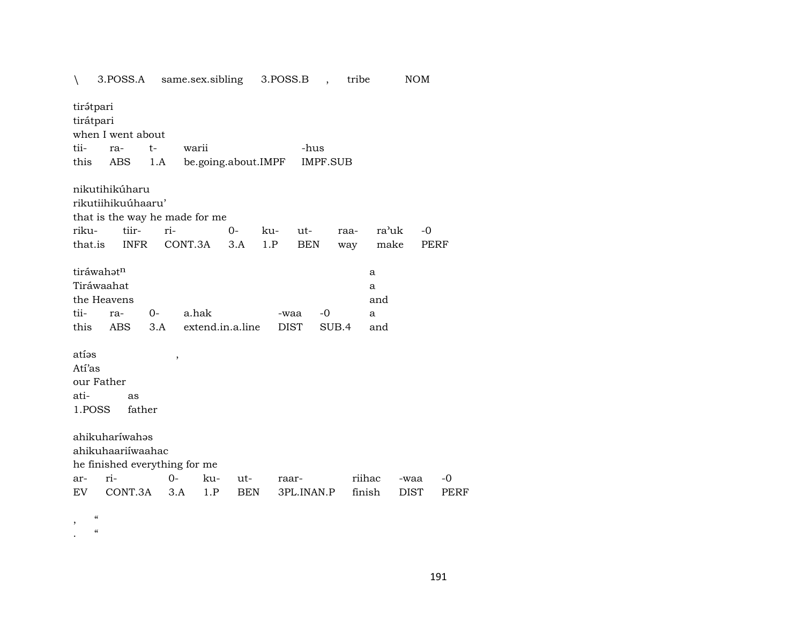| tirátpari<br>tirátpari<br>when I went about<br>tii-<br>-hus<br>$t-$<br>warii<br>ra-<br>be.going.about.IMPF<br><b>IMPF.SUB</b><br>this<br>ABS<br>1.A                                       |                             |
|-------------------------------------------------------------------------------------------------------------------------------------------------------------------------------------------|-----------------------------|
|                                                                                                                                                                                           |                             |
|                                                                                                                                                                                           |                             |
|                                                                                                                                                                                           |                             |
| nikutihikúharu                                                                                                                                                                            |                             |
| rikutiihikuúhaaru'                                                                                                                                                                        |                             |
| that is the way he made for me                                                                                                                                                            |                             |
| tiir-<br>ri-<br>riku-<br>$0-$<br>ra'uk<br>ku-<br>ut-<br>raa-                                                                                                                              | $-0$                        |
| CONT.3A<br>that.is<br><b>INFR</b><br>1.P<br><b>BEN</b><br>3.A<br>make<br>way                                                                                                              | PERF                        |
| tiráwahatn<br>a<br>Tiráwaahat<br>a<br>the Heavens<br>and<br>tii-<br>a.hak<br>0-<br>-0<br>ra-<br>-waa<br>a<br>this<br><b>ABS</b><br>extend.in.a.line<br><b>DIST</b><br>SUB.4<br>3.A<br>and |                             |
| atías<br>$\,$<br>Atí'as                                                                                                                                                                   |                             |
| our Father                                                                                                                                                                                |                             |
| ati-<br>as                                                                                                                                                                                |                             |
| 1.POSS<br>father                                                                                                                                                                          |                             |
| ahikuharíwahas<br>ahikuhaariiwaahac                                                                                                                                                       |                             |
| he finished everything for me<br>ri-<br>$0-$<br>riihac<br>ku-                                                                                                                             | -0                          |
| ut-<br>ar-<br>raar-<br>CONT.3A<br>finish<br>3.A<br>1.P<br><b>BEN</b><br>3PL.INAN.P<br>EV                                                                                                  | -waa<br><b>DIST</b><br>PERF |

 $\overline{\phantom{a}}$ ,  $\alpha$ 

 $\alpha$  $\ddot{\phantom{a}}$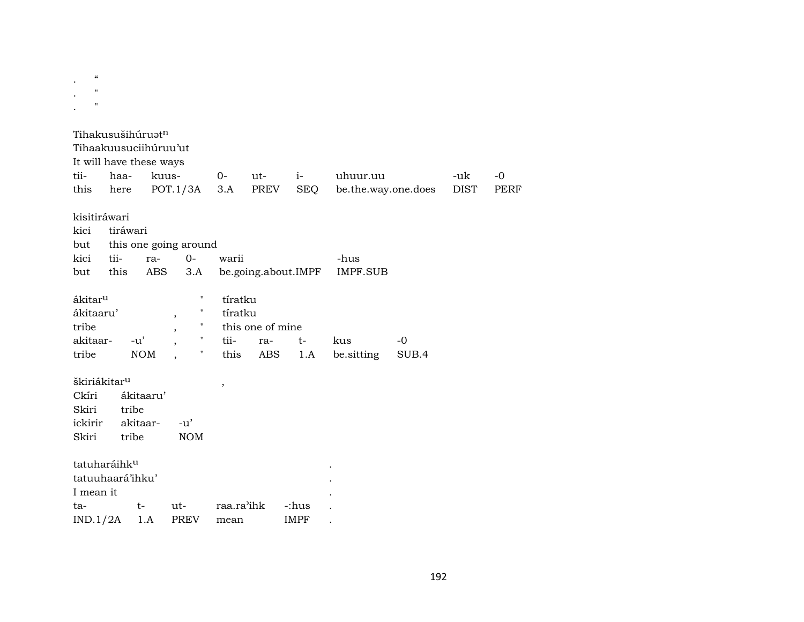| $\epsilon$<br>$^{\prime\prime}$<br>$\pmb{\mathsf{H}}$ |                          |                                                                                   |                               |            |                     |            |                     |       |             |             |
|-------------------------------------------------------|--------------------------|-----------------------------------------------------------------------------------|-------------------------------|------------|---------------------|------------|---------------------|-------|-------------|-------------|
|                                                       |                          | Tihakusušihúruət <sup>n</sup><br>Tihaakuusuciihúruu'ut<br>It will have these ways |                               |            |                     |            |                     |       |             |             |
| tii-                                                  | haa-                     |                                                                                   | kuus-                         | 0-         | ut-                 | $i-$       | uhuur.uu            |       | -uk         | $-0$        |
| this                                                  | here                     |                                                                                   | POT.1/3A                      | 3.A        | PREV                | <b>SEQ</b> | be.the.way.one.does |       | <b>DIST</b> | <b>PERF</b> |
|                                                       |                          |                                                                                   |                               |            |                     |            |                     |       |             |             |
|                                                       | kisitiráwari             |                                                                                   |                               |            |                     |            |                     |       |             |             |
| kici                                                  | tiráwari                 |                                                                                   |                               |            |                     |            |                     |       |             |             |
| but                                                   |                          |                                                                                   | this one going around         |            |                     |            |                     |       |             |             |
| kici                                                  | tii-                     | ra-                                                                               | $0-$                          | warii      |                     |            | -hus                |       |             |             |
| but                                                   | this                     | ABS                                                                               | 3.A                           |            | be.going.about.IMPF |            | <b>IMPF.SUB</b>     |       |             |             |
|                                                       |                          |                                                                                   |                               |            |                     |            |                     |       |             |             |
| ákitar <sup>u</sup>                                   |                          |                                                                                   | $\pmb{\mathsf{H}}$            | tíratku    |                     |            |                     |       |             |             |
| ákitaaru'                                             |                          |                                                                                   | Π<br>$\overline{\phantom{a}}$ | tíratku    |                     |            |                     |       |             |             |
| tribe                                                 |                          |                                                                                   | "<br>,                        |            | this one of mine    |            |                     |       |             |             |
| akitaar-                                              |                          | $-u'$                                                                             | "                             | tii-       | ra-                 | $t-$       | kus                 | -0    |             |             |
| tribe                                                 |                          | <b>NOM</b>                                                                        | $\pmb{\mathsf{H}}$            | this       | ABS                 | 1.A        | be.sitting          | SUB.4 |             |             |
|                                                       |                          |                                                                                   |                               |            |                     |            |                     |       |             |             |
|                                                       | škiriákitar <sup>u</sup> |                                                                                   |                               | $\, ,$     |                     |            |                     |       |             |             |
| Ckíri                                                 |                          | ákitaaru'                                                                         |                               |            |                     |            |                     |       |             |             |
| Skiri                                                 |                          | tribe                                                                             |                               |            |                     |            |                     |       |             |             |
| ickirir<br>Skiri                                      |                          | akitaar-<br>tribe                                                                 | $-u'$                         |            |                     |            |                     |       |             |             |
|                                                       |                          |                                                                                   | <b>NOM</b>                    |            |                     |            |                     |       |             |             |
|                                                       | tatuharáihku             |                                                                                   |                               |            |                     |            |                     |       |             |             |
|                                                       | tatuuhaará'ihku'         |                                                                                   |                               |            |                     |            |                     |       |             |             |
| I mean it                                             |                          |                                                                                   |                               |            |                     |            |                     |       |             |             |
| ta-                                                   |                          | $t-$                                                                              | $ut-$                         | raa.ra'ihk |                     | -:hus      |                     |       |             |             |
| IND.1/2A                                              |                          |                                                                                   |                               |            |                     |            |                     |       |             |             |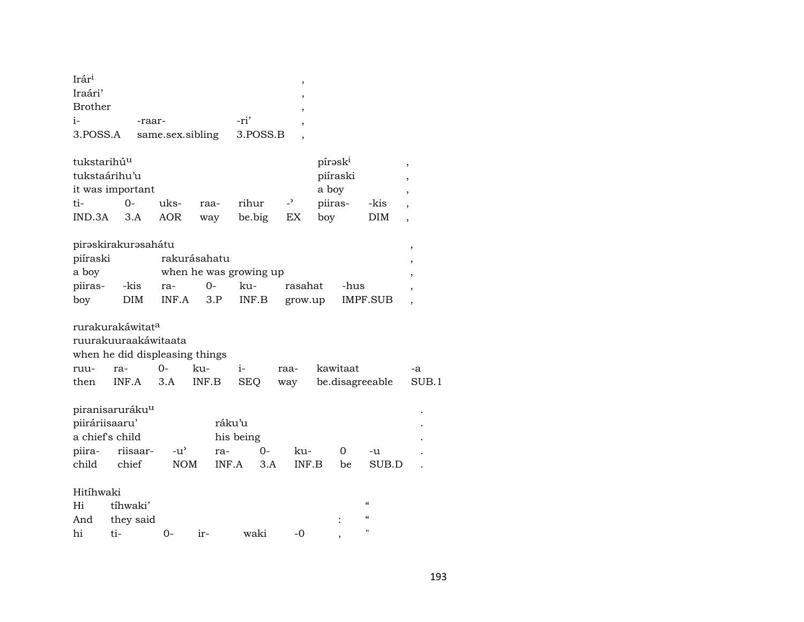| $Ir$ ár <sup>i</sup> |                  |          |  |
|----------------------|------------------|----------|--|
| Iraári'              |                  |          |  |
| Brother              |                  |          |  |
| $i-$                 | -raar-           | -ri'     |  |
| 3.POSS.A             | same.sex.sibling | 3.POSS.B |  |

| tukstarihú <sup>u</sup> |          |      |      |        |                          | pírask <sup>i</sup> |      |  |
|-------------------------|----------|------|------|--------|--------------------------|---------------------|------|--|
| tukstaárihu'u           | piíraski |      |      |        |                          |                     |      |  |
| it was important        |          |      |      |        |                          | a bov               |      |  |
| ti-                     | $()$ -   | uks- | raa- | rihur  | $\overline{\phantom{0}}$ | piiras-             | -kis |  |
| IND.3A                  | 3.A      | AOR  | way  | be big | ЕX                       | boy                 | DIM. |  |

| pirəskirakurəsahátu             |      |                     |        |     |         |          |  |  |  |
|---------------------------------|------|---------------------|--------|-----|---------|----------|--|--|--|
| piíraski                        |      | rakurásahatu        |        |     |         |          |  |  |  |
| when he was growing up<br>a boy |      |                     |        |     |         |          |  |  |  |
| piiras-                         | -kis | ra-                 | $()$ - | ku- | rasahat | -hus     |  |  |  |
| boy                             |      | DIM INF.A 3.P INF.B |        |     | grow.up | IMPF.SUB |  |  |  |

rurakurakáwitat<sup>a</sup>

ruurakuuraakáwitaata

when he did displeasing things

|  |  |  | then INF.A 3.A INF.B SEQ way be.disagreeable SUB.1 |  |
|--|--|--|----------------------------------------------------|--|

| piranisaruráku <sup>u</sup> |                     |     |             |        |       |    |       |  |
|-----------------------------|---------------------|-----|-------------|--------|-------|----|-------|--|
| piiráriisaaru'              |                     |     | ráku'u      |        |       |    |       |  |
| a chief's child             |                     |     | his being   |        |       |    |       |  |
|                             | piira- riisaar- -u' |     | ra-         | $()$ - | ku-   |    | $-11$ |  |
| child                       | chief               | NOM | $INF.A$ 3.A |        | INF B | be | SUB.D |  |

## Hitíhwaki

|    | Hi tíhwaki'   |          |      |   |
|----|---------------|----------|------|---|
|    | And they said |          |      | " |
| hi | $t_{i-}$ 0-   | ir- waki | $-0$ |   |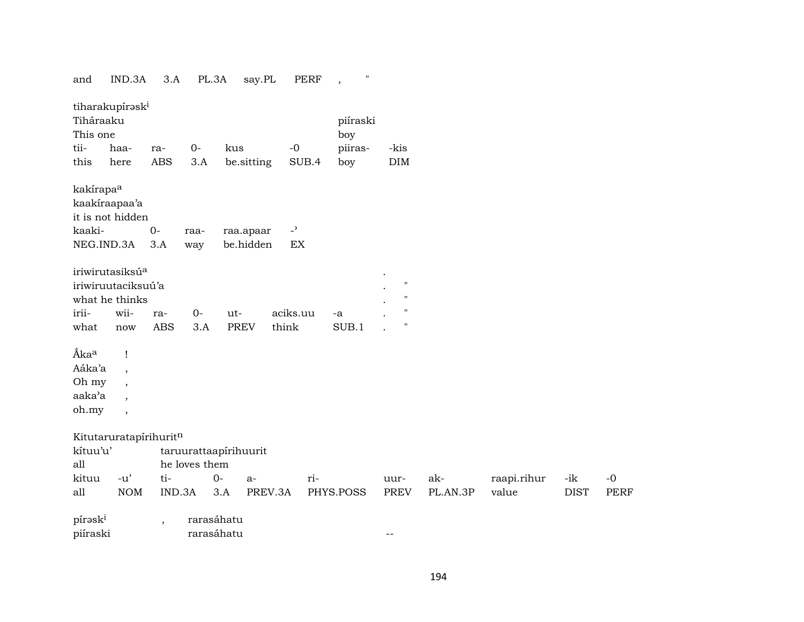| and                   | IND.3A                      | 3.A                      | PL.3A         |                       | say.PL  | PERF                       | $^{\prime\prime}$<br>$\cdot$ |                    |          |             |             |             |
|-----------------------|-----------------------------|--------------------------|---------------|-----------------------|---------|----------------------------|------------------------------|--------------------|----------|-------------|-------------|-------------|
|                       | tiharakupírask <sup>i</sup> |                          |               |                       |         |                            |                              |                    |          |             |             |             |
| Tiháraaku             |                             |                          |               |                       |         |                            | piíraski                     |                    |          |             |             |             |
| This one              |                             |                          |               |                       |         |                            | boy                          |                    |          |             |             |             |
| tii-                  | haa-                        | ra-                      | $0-$          | kus                   |         | $-0$                       | piiras-                      | -kis               |          |             |             |             |
| this                  | here                        | <b>ABS</b>               | 3.A           | be.sitting            |         | SUB.4                      | boy                          | DIM                |          |             |             |             |
| kakírapa <sup>a</sup> |                             |                          |               |                       |         |                            |                              |                    |          |             |             |             |
|                       | kaakiraapaa'a               |                          |               |                       |         |                            |                              |                    |          |             |             |             |
|                       | it is not hidden            |                          |               |                       |         |                            |                              |                    |          |             |             |             |
| kaaki-                |                             | $O -$                    | raa-          | raa.apaar             |         | $\overline{\phantom{a}}$   |                              |                    |          |             |             |             |
| NEG.IND.3A            |                             | 3.A                      | way           | be.hidden             |         | $\mathop{\rm EX}\nolimits$ |                              |                    |          |             |             |             |
|                       | iriwirutasiksúa             |                          |               |                       |         |                            |                              |                    |          |             |             |             |
|                       | iriwiruutaciksuú'a          |                          |               |                       |         |                            |                              | $\pmb{\mathsf{H}}$ |          |             |             |             |
|                       | what he thinks              |                          |               |                       |         |                            |                              | $\pmb{\mathsf{H}}$ |          |             |             |             |
| irii-                 | wii-                        | ra-                      | $0-$          | ut-                   |         | aciks.uu                   | -a                           | $\pmb{\mathsf{H}}$ |          |             |             |             |
| what                  | now                         | <b>ABS</b>               | 3.A           | <b>PREV</b>           | think   |                            | SUB.1                        | $\pmb{\mathsf{H}}$ |          |             |             |             |
| Ákaa                  | Ţ                           |                          |               |                       |         |                            |                              |                    |          |             |             |             |
| Aáka'a                | $\overline{\phantom{a}}$    |                          |               |                       |         |                            |                              |                    |          |             |             |             |
| Oh my                 |                             |                          |               |                       |         |                            |                              |                    |          |             |             |             |
| aaka'a                | $\overline{\phantom{a}}$    |                          |               |                       |         |                            |                              |                    |          |             |             |             |
| oh.my                 | $\overline{\phantom{a}}$    |                          |               |                       |         |                            |                              |                    |          |             |             |             |
|                       | Kitutaruratapírihuritn      |                          |               |                       |         |                            |                              |                    |          |             |             |             |
| kítuu'u'              |                             |                          |               | taruurattaapirihuurit |         |                            |                              |                    |          |             |             |             |
| all                   |                             |                          | he loves them |                       |         |                            |                              |                    |          |             |             |             |
| kituu                 | $-u'$                       | ti-                      |               | $0-$<br>a-            |         | ri-                        |                              | uur-               | ak-      | raapi.rihur | -ik         | $-0$        |
| all                   | $\rm{NOM}$                  |                          | IND.3A        | 3.A                   | PREV.3A |                            | PHYS.POSS                    | <b>PREV</b>        | PL.AN.3P | value       | <b>DIST</b> | <b>PERF</b> |
| pírask <sup>i</sup>   |                             | $\overline{\phantom{a}}$ |               | rarasáhatu            |         |                            |                              |                    |          |             |             |             |
| piíraski              |                             |                          |               | rarasáhatu            |         |                            |                              | $- -$              |          |             |             |             |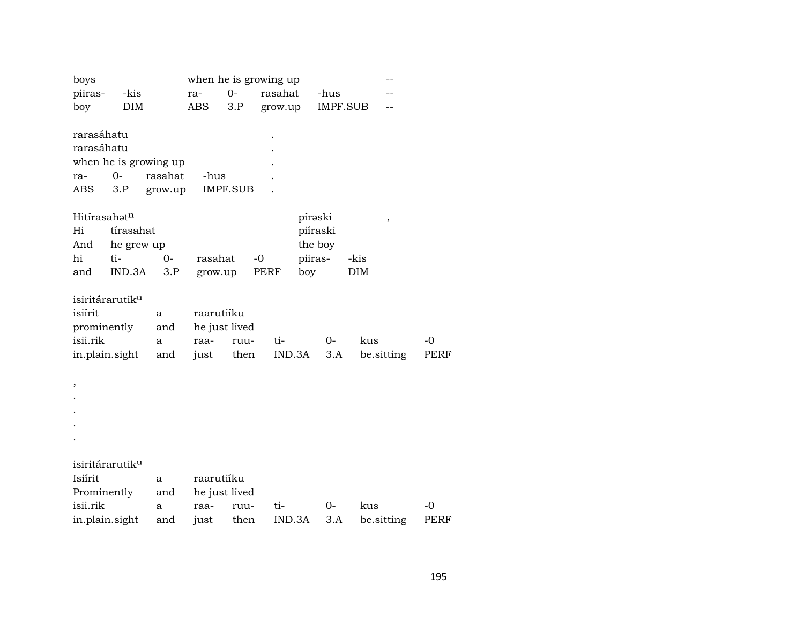| boys           |                             |         |               |                 | when he is growing up |          |                 |      |            |      |
|----------------|-----------------------------|---------|---------------|-----------------|-----------------------|----------|-----------------|------|------------|------|
| piiras-        | -kis                        |         | ra-           | $0-$            | rasahat               |          | -hus            |      |            |      |
| boy            | <b>DIM</b>                  |         | ABS           | 3.P             | grow.up               |          | <b>IMPF.SUB</b> |      |            |      |
|                |                             |         |               |                 |                       |          |                 |      |            |      |
| rarasáhatu     |                             |         |               |                 |                       |          |                 |      |            |      |
| rarasáhatu     |                             |         |               |                 |                       |          |                 |      |            |      |
|                | when he is growing up       |         |               |                 |                       |          |                 |      |            |      |
| ra-            | $0-$                        | rasahat | -hus          |                 |                       |          |                 |      |            |      |
| ABS            | 3.P                         | grow.up |               | <b>IMPF.SUB</b> |                       |          |                 |      |            |      |
| Hitírasahatn   |                             |         |               |                 |                       | pírəski  |                 |      |            |      |
| Hi             | tírasahat                   |         |               |                 |                       | piíraski |                 |      | ,          |      |
| And            | he grew up                  |         |               |                 |                       | the boy  |                 |      |            |      |
| hi             | ti-                         | 0-      | rasahat       |                 | $-0$                  | piiras-  |                 | -kis |            |      |
| and            | IND.3A                      | 3.P     | grow.up       |                 | PERF                  | boy      |                 | DIM  |            |      |
|                |                             |         |               |                 |                       |          |                 |      |            |      |
|                | isiritárarutik <sup>u</sup> |         |               |                 |                       |          |                 |      |            |      |
| isiírit        |                             | a       | raarutiíku    |                 |                       |          |                 |      |            |      |
| prominently    |                             | and     | he just lived |                 |                       |          |                 |      |            |      |
| isii.rik       |                             | a       | raa-          | ruu-            | ti-                   |          | $0-$            | kus  |            | -0   |
| in.plain.sight |                             | and     | just          | then            | IND.3A                |          | 3.A             |      | be.sitting | PERF |
|                |                             |         |               |                 |                       |          |                 |      |            |      |
| $\,$           |                             |         |               |                 |                       |          |                 |      |            |      |
|                |                             |         |               |                 |                       |          |                 |      |            |      |
|                |                             |         |               |                 |                       |          |                 |      |            |      |
|                |                             |         |               |                 |                       |          |                 |      |            |      |
|                |                             |         |               |                 |                       |          |                 |      |            |      |
|                | isiritárarutik <sup>u</sup> |         |               |                 |                       |          |                 |      |            |      |
| Isiírit        |                             | a       | raarutiíku    |                 |                       |          |                 |      |            |      |
| Prominently    |                             | and     | he just lived |                 |                       |          |                 |      |            |      |
| isii.rik       |                             | a       | raa-          | ruu-            | ti-                   |          | 0-              | kus  |            | $-0$ |
| in.plain.sight |                             | and     | just          | then            | IND.3A                |          | 3.A             |      | be.sitting | PERF |
|                |                             |         |               |                 |                       |          |                 |      |            |      |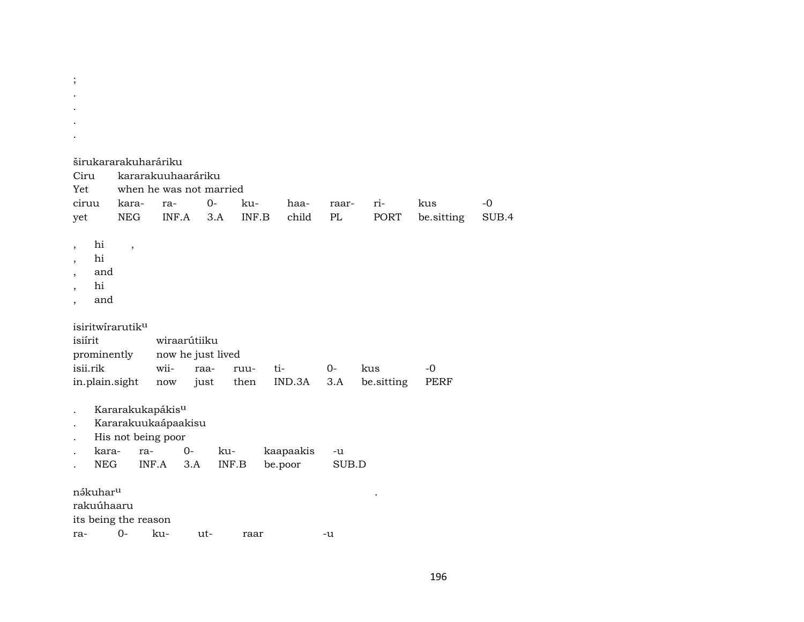| Ciru<br>Yet<br>ciruu                                                                 | kara-                    | širukararakuharáriku<br>ra-                                                               | kararakuuhaaráriku<br>when he was not married<br>$O -$ | ku-          | haa-                 | raar-       | ri-         | kus         | $-0$  |
|--------------------------------------------------------------------------------------|--------------------------|-------------------------------------------------------------------------------------------|--------------------------------------------------------|--------------|----------------------|-------------|-------------|-------------|-------|
| yet                                                                                  | <b>NEG</b>               | INF.A                                                                                     | 3.A                                                    | INF.B        | child                | PL          | <b>PORT</b> | be.sitting  | SUB.4 |
| hi<br>$\overline{\phantom{a}}$<br>hi<br>and<br>hi<br>and<br>$\overline{\phantom{a}}$ | $\overline{\phantom{a}}$ |                                                                                           |                                                        |              |                      |             |             |             |       |
| isiritwirarutiku<br>isiírit<br>prominently                                           |                          |                                                                                           | wiraarútiiku<br>now he just lived                      |              |                      |             |             |             |       |
| isii.rik                                                                             |                          | wii-                                                                                      | raa-                                                   | ruu-         | ti-                  | $0-$        | kus         | $-0$        |       |
| in.plain.sight                                                                       |                          | now                                                                                       | just                                                   | then         | IND.3A               | 3.A         | be.sitting  | <b>PERF</b> |       |
| kara-<br><b>NEG</b>                                                                  |                          | Kararakukapákis <sup>u</sup><br>Kararakuukaápaakisu<br>His not being poor<br>ra-<br>INF.A | $0-$<br>3.A                                            | ku-<br>INF.B | kaapaakis<br>be.poor | -u<br>SUB.D |             |             |       |
| nákuhar <sup>u</sup><br>rakuúhaaru<br>its being the reason<br>ra-                    | $0-$                     | ku-                                                                                       | ut-                                                    | raar         |                      | -u          |             |             |       |

; .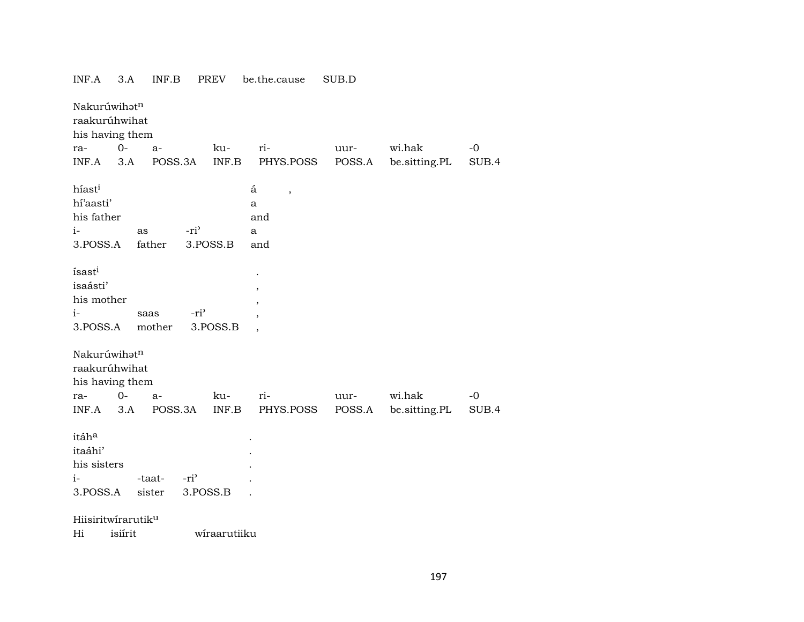| Nakurúwihatn<br>raakurúhwihat<br>his having them                                                                   |                                                       |                |                         |               |
|--------------------------------------------------------------------------------------------------------------------|-------------------------------------------------------|----------------|-------------------------|---------------|
| $O -$<br>ku-<br>ra-<br>a-                                                                                          | ri-                                                   | uur-           | wi.hak                  | $-0$          |
| INF.A<br>3.A<br>POSS.3A<br>INF.B                                                                                   | PHYS.POSS                                             | POSS.A         | be.sitting.PL           | SUB.4         |
| híast <sup>i</sup><br>hí'aasti'<br>his father<br>-ri <sup>3</sup><br>$i-$<br>as<br>3.POSS.B<br>3.POSS.A<br>father  | á<br>$\overline{\phantom{a}}$<br>a<br>and<br>a<br>and |                |                         |               |
| ísast <sup>i</sup><br>isaásti'<br>his mother<br>$i-$<br>-ri <sup>3</sup><br>saas<br>3.POSS.B<br>3.POSS.A<br>mother |                                                       |                |                         |               |
| Nakurúwihatn<br>raakurúhwihat<br>his having them<br>$0-$<br>ku-<br>$a-$<br>ra-<br>INF.B<br>INF.A<br>3.A<br>POSS.3A | ri-<br>PHYS.POSS                                      | uur-<br>POSS.A | wi.hak<br>be.sitting.PL | $-0$<br>SUB.4 |
| itáha<br>itaáhi'<br>his sisters<br>$i-$<br>$-ri$<br>-taat-<br>3.POSS.A<br>sister<br>3.POSS.B                       |                                                       |                |                         |               |
| Hiisiritwirarutiku                                                                                                 |                                                       |                |                         |               |
| isiírit<br>wiraarutiiku<br>Hi                                                                                      |                                                       |                |                         |               |
|                                                                                                                    |                                                       |                |                         |               |

## INF.A 3.A INF.B PREV be.the.cause SUB.D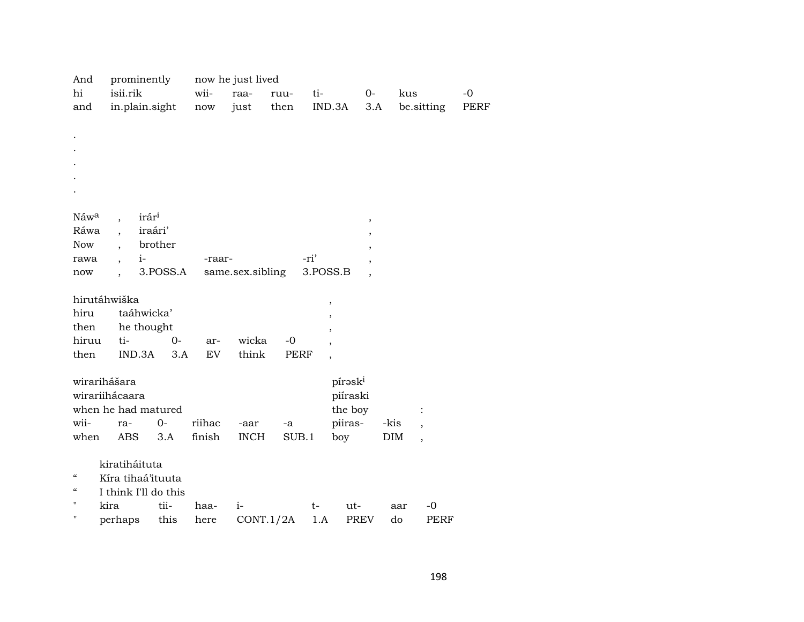| And                      | prominently                      |          |                      | now he just lived |             |          |                          |            |            |      |
|--------------------------|----------------------------------|----------|----------------------|-------------------|-------------|----------|--------------------------|------------|------------|------|
| hi                       | isii.rik                         |          | wii-                 | raa-              | ruu-        | ti-      | $0-$                     | kus        |            | $-0$ |
| and                      | in.plain.sight                   |          | $\operatorname{now}$ | just              | then        |          | IND.3A<br>3.A            |            | be.sitting | PERF |
|                          |                                  |          |                      |                   |             |          |                          |            |            |      |
|                          |                                  |          |                      |                   |             |          |                          |            |            |      |
|                          |                                  |          |                      |                   |             |          |                          |            |            |      |
|                          |                                  |          |                      |                   |             |          |                          |            |            |      |
|                          |                                  |          |                      |                   |             |          |                          |            |            |      |
|                          |                                  |          |                      |                   |             |          |                          |            |            |      |
|                          |                                  |          |                      |                   |             |          |                          |            |            |      |
| Náw <sup>a</sup>         | irár <sup>i</sup>                |          |                      |                   |             |          | $\, ,$                   |            |            |      |
| Ráwa                     | $\overline{\phantom{a}}$         | iraári'  |                      |                   |             |          | ,                        |            |            |      |
| Now                      |                                  | brother  |                      |                   |             |          |                          |            |            |      |
| rawa                     | $i-$<br>$\overline{\phantom{a}}$ |          | -raar-               |                   |             | -ri'     |                          |            |            |      |
| now                      |                                  | 3.POSS.A |                      | same.sex.sibling  |             | 3.POSS.B |                          |            |            |      |
|                          | hirutáhwiška                     |          |                      |                   |             |          |                          |            |            |      |
| hiru                     | taáhwicka'                       |          |                      |                   |             |          | ,                        |            |            |      |
| then                     | he thought                       |          |                      |                   |             |          | ,                        |            |            |      |
| hiruu                    | ti-                              | $0-$     | ar-                  | wicka             | $-0$        |          |                          |            |            |      |
| then                     | IND.3A                           | 3.A      | EV                   | think             | <b>PERF</b> |          |                          |            |            |      |
|                          |                                  |          |                      |                   |             |          | $\overline{\phantom{a}}$ |            |            |      |
|                          | wirarihášara                     |          |                      |                   |             |          | pírask <sup>i</sup>      |            |            |      |
|                          | wirariihácaara                   |          |                      |                   |             |          | piíraski                 |            |            |      |
|                          | when he had matured              |          |                      |                   |             |          | the boy                  |            |            |      |
| wii-                     | ra-                              | $0-$     | riihac               | -aar              | -a          |          | piiras-                  | -kis       |            |      |
| when                     | ABS                              | 3.A      | finish               | <b>INCH</b>       | SUB.1       |          | boy                      | <b>DIM</b> |            |      |
|                          |                                  |          |                      |                   |             |          |                          |            |            |      |
|                          | kiratiháituta                    |          |                      |                   |             |          |                          |            |            |      |
| $\mathcal{C}\mathcal{C}$ | Kíra tihaá'ituuta                |          |                      |                   |             |          |                          |            |            |      |
| $\epsilon\epsilon$       | I think I'll do this             |          |                      |                   |             |          |                          |            |            |      |
| $\pmb{\mathsf{H}}$       | kira                             | tii-     | haa-                 | $i-$              |             | $t-$     | ut-                      | aar        | -0         |      |
| 11                       | perhaps                          | this     | here                 | CONT.1/2A         |             | 1.A      | PREV                     | do         | PERF       |      |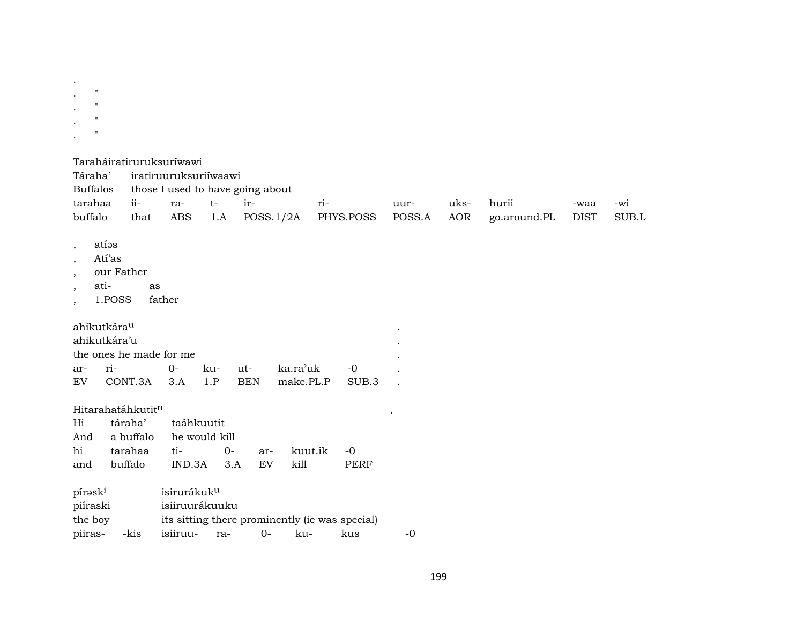| $\bullet$            |                   |  |  |
|----------------------|-------------------|--|--|
| $\ddot{\phantom{0}}$ | $^{\prime\prime}$ |  |  |
| ٠                    | $^{\prime\prime}$ |  |  |
| $\bullet$            | $^{\prime\prime}$ |  |  |
|                      | $^{\prime\prime}$ |  |  |
| ٠                    |                   |  |  |

| Taraháiratiruruksuríwawi |  |
|--------------------------|--|
|                          |  |

| Táraha'                                                                               |                                                                                                                                                                                                               |              | iratiruuruksuriiwaawi |      |                                                |          |     |           |        |            |              |             |       |
|---------------------------------------------------------------------------------------|---------------------------------------------------------------------------------------------------------------------------------------------------------------------------------------------------------------|--------------|-----------------------|------|------------------------------------------------|----------|-----|-----------|--------|------------|--------------|-------------|-------|
| <b>Buffalos</b>                                                                       |                                                                                                                                                                                                               |              |                       |      | those I used to have going about               |          |     |           |        |            |              |             |       |
| tarahaa                                                                               | ii-                                                                                                                                                                                                           |              | ra-                   | $t-$ | ir-                                            |          | ri- |           | uur-   | uks-       | hurii        | -waa        | -wi   |
| buffalo                                                                               | that                                                                                                                                                                                                          |              | <b>ABS</b>            | 1.A  | POSS.1/2A                                      |          |     | PHYS.POSS | POSS.A | <b>AOR</b> | go.around.PL | <b>DIST</b> | SUB.L |
| $\cdot$<br>$\overline{\phantom{a}}$<br>$\cdot$<br>$\cdot$<br>$\overline{\phantom{a}}$ | atías<br>Atí'as<br>our Father<br>ati-<br>1.POSS<br>ahikutkára <sup>u</sup>                                                                                                                                    | as<br>father |                       |      |                                                |          |     |           |        |            |              |             |       |
|                                                                                       | ahikutkára'u                                                                                                                                                                                                  |              |                       |      |                                                |          |     |           |        |            |              |             |       |
|                                                                                       | the ones he made for me                                                                                                                                                                                       |              |                       |      |                                                |          |     |           |        |            |              |             |       |
| ar-                                                                                   | ri-                                                                                                                                                                                                           |              | $0-$                  | ku-  | ut-                                            | ka.ra'uk |     | $-0$      |        |            |              |             |       |
| EV                                                                                    |                                                                                                                                                                                                               |              | 3.A                   | 1.P  | <b>BEN</b>                                     |          |     | SUB.3     |        |            |              |             |       |
| Hi<br>And<br>hi<br>and                                                                | CONT.3A<br>make.PL.P<br>Hitarahatáhkutitn<br>taáhkuutit<br>táraha'<br>a buffalo<br>he would kill<br>tarahaa<br>ti-<br>$0-$<br>kuut.ik<br>$-0$<br>ar-<br>buffalo<br>IND.3A<br>EV<br>kill<br><b>PERF</b><br>3.A |              |                       |      |                                                |          |     |           | ,      |            |              |             |       |
|                                                                                       | isirurákuk <sup>u</sup><br>pírask <sup>i</sup>                                                                                                                                                                |              |                       |      |                                                |          |     |           |        |            |              |             |       |
| isiiruurákuuku<br>piíraski                                                            |                                                                                                                                                                                                               |              |                       |      |                                                |          |     |           |        |            |              |             |       |
| the boy                                                                               |                                                                                                                                                                                                               |              |                       |      | its sitting there prominently (ie was special) |          |     |           |        |            |              |             |       |
| piiras-                                                                               | -kis                                                                                                                                                                                                          |              | isiiruu-              | ra-  | $0-$                                           | ku-      |     | kus       | $-0$   |            |              |             |       |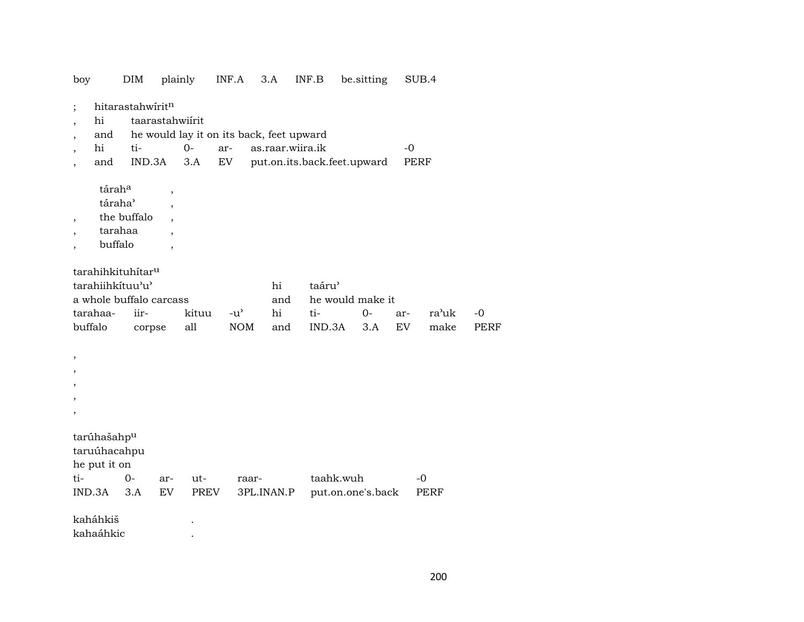| boy                                                                      |                                                                                                                      | DIM                               | plainly                                       |                                                         | INF.A                       | 3.A                 |                        | INF.B                       | be.sitting                    |                  | SUB.4        |               |                     |
|--------------------------------------------------------------------------|----------------------------------------------------------------------------------------------------------------------|-----------------------------------|-----------------------------------------------|---------------------------------------------------------|-----------------------------|---------------------|------------------------|-----------------------------|-------------------------------|------------------|--------------|---------------|---------------------|
| hi<br>$\overline{ }$<br>and<br>hi<br>,<br>and                            |                                                                                                                      | hitarastahwiritn<br>ti-<br>IND.3A | taarastahwiirit                               | he would lay it on its back, feet upward<br>$0-$<br>3.A | ar-<br>${\rm EV}$           |                     | as.raar.wiira.ik       | put.on.its.back.feet.upward |                               | $-0$             | PERF         |               |                     |
| $\overline{\phantom{a}}$                                                 | táraha<br>táraha <sup>3</sup><br>tarahaa                                                                             | the buffalo                       | $\, ,$<br>$\cdot$<br>$\overline{\phantom{a}}$ |                                                         |                             |                     |                        |                             |                               |                  |              |               |                     |
|                                                                          | buffalo<br>tarahihkituhítaru<br>tarahiihkítuu'u'<br>a whole buffalo carcass<br>tarahaa-<br>iir-<br>buffalo<br>corpse |                                   |                                               | kituu<br>all                                            | $-u^{\prime}$<br><b>NOM</b> |                     | hi<br>and<br>hi<br>and | taáru'<br>ti-<br>IND.3A     | he would make it<br>0-<br>3.A | ar-<br><b>EV</b> |              | ra'uk<br>make | $-0$<br><b>PERF</b> |
| ,<br>,                                                                   |                                                                                                                      |                                   |                                               |                                                         |                             |                     |                        |                             |                               |                  |              |               |                     |
| tarúhašahp <sup>u</sup><br>taruúhacahpu<br>he put it on<br>ti-<br>IND.3A |                                                                                                                      | $0-$<br>3.A                       | ar-<br>EV                                     | ut-<br>PREV                                             |                             | raar-<br>3PL.INAN.P |                        | taahk.wuh                   | put.on.one's.back             |                  | $-0$<br>PERF |               |                     |
| kaháhkiš<br>kahaáhkic                                                    |                                                                                                                      |                                   |                                               |                                                         |                             |                     |                        |                             |                               |                  |              |               |                     |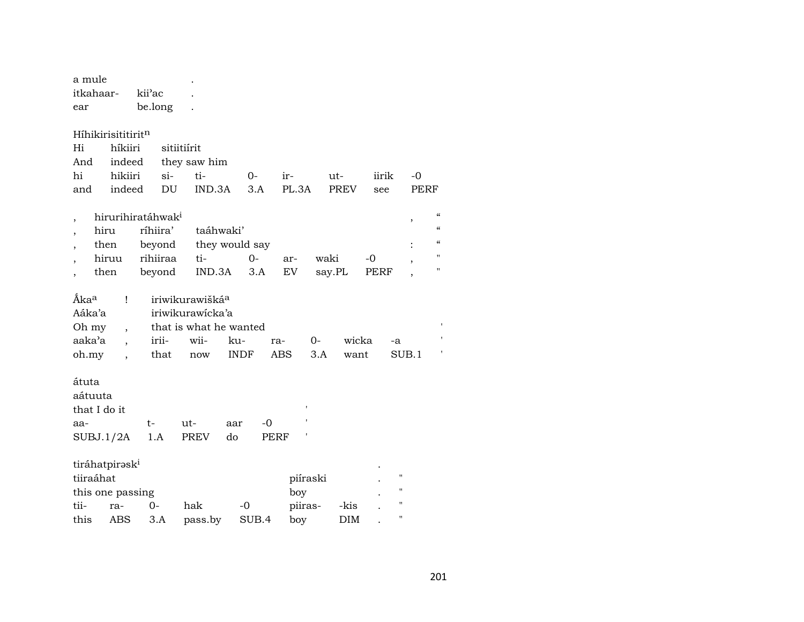| a mule                  |                            |                               |                             |                |            |          |             |       |                    |
|-------------------------|----------------------------|-------------------------------|-----------------------------|----------------|------------|----------|-------------|-------|--------------------|
| itkahaar-               |                            | kii'ac                        |                             |                |            |          |             |       |                    |
| ear                     |                            | be.long                       |                             |                |            |          |             |       |                    |
|                         |                            |                               |                             |                |            |          |             |       |                    |
|                         | Híhikirisititiritn         |                               |                             |                |            |          |             |       |                    |
| Hi                      | híkiiri                    |                               | sitiitiírit                 |                |            |          |             |       |                    |
| And                     | indeed                     |                               | they saw him                |                |            |          |             |       |                    |
| hi                      | hikiiri                    | si-                           | ti-                         | $O-$           | ir-        |          | ut-         | iirik | -0                 |
| and                     | indeed                     | DU                            | IND.3A                      | 3.A            | PL.3A      |          | <b>PREV</b> | see   | <b>PEI</b>         |
|                         |                            | hirurihiratáhwak <sup>i</sup> |                             |                |            |          |             |       |                    |
| ,<br>,                  | hiru                       | ríhiira'                      | taáhwaki'                   |                |            |          |             |       | $\, ,$             |
|                         | then                       | beyond                        |                             | they would say |            |          |             |       |                    |
|                         | hiruu                      | rihiiraa                      | ti-                         | $0 -$          | ar-        | waki     |             | $-0$  |                    |
|                         | then                       | beyond                        | IND.3A                      | 3.A            | EV         | say.PL   |             | PERF  |                    |
|                         |                            |                               |                             |                |            |          |             |       |                    |
| <b>Aka</b> <sup>a</sup> | Ţ                          |                               | iriwikurawišká <sup>a</sup> |                |            |          |             |       |                    |
| Aáka'a                  |                            |                               | iriwikurawicka'a            |                |            |          |             |       |                    |
| Oh my                   | $\overline{\phantom{a}}$   |                               | that is what he wanted      |                |            |          |             |       |                    |
| aaka'a                  |                            | irii-                         | wii-                        | ku-            | ra-        | 0-       | wicka       |       | -a                 |
| oh.my                   | $\ddot{\phantom{0}}$       | that                          | now                         | <b>INDF</b>    | <b>ABS</b> | 3.A      | want        |       | SUB.1              |
| átuta                   |                            |                               |                             |                |            |          |             |       |                    |
| aátuuta                 |                            |                               |                             |                |            |          |             |       |                    |
| that I do it            |                            |                               |                             |                |            |          |             |       |                    |
| aa-                     |                            | t-                            | ut-                         | aar            | -0         |          |             |       |                    |
|                         | SUBJ.1/2A                  | 1.A                           | PREV                        | do             | PERF       |          |             |       |                    |
|                         |                            |                               |                             |                |            |          |             |       |                    |
|                         | tiráhatpirəsk <sup>i</sup> |                               |                             |                |            |          |             |       |                    |
| tiiraáhat               |                            |                               |                             |                |            | piíraski |             |       | $\pmb{\mathsf{H}}$ |
|                         | this one passing           |                               |                             |                | boy        |          |             |       | $\mathbf{H}$       |
| tii-                    | ra-                        | 0-                            | hak                         | $-0$           |            | piiras-  | -kis        |       | Н                  |
| this                    | <b>ABS</b>                 | 3.A                           | pass.by                     | SUB.4          | boy        |          | <b>DIM</b>  |       | П                  |

 $-0$  ${\tt PERF}$ 

 $\boldsymbol{\alpha}$ 

 $\epsilon\epsilon$  $\pmb{\mathcal{C}}$ 

 $^{\prime}$ 

 $\boldsymbol{\mathsf{H}}$ 

 $\mathbf{L}$ 

 $\mathbf{L}$ 

 $\sim 10$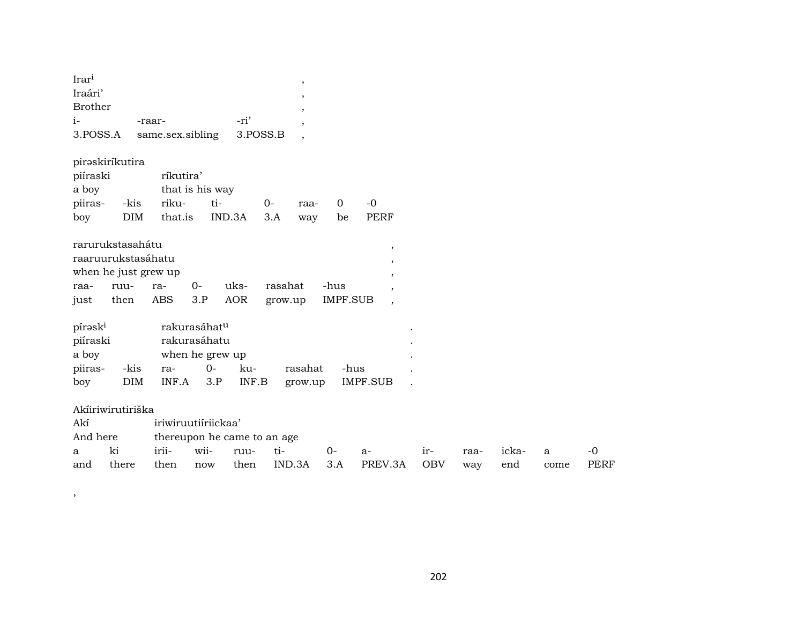| Irar <sup>i</sup><br>Iraári'<br>Brother<br>$i-$<br>3.POSS.A    |                    | -raar-<br>same.sex.sibling    |                                                                     | -ri'<br>3.POSS.B |                    | $\,$<br>,<br>$\cdot$<br>$\cdot$<br>$\cdot$ |                         |                             |                   |             |              |           |                   |
|----------------------------------------------------------------|--------------------|-------------------------------|---------------------------------------------------------------------|------------------|--------------------|--------------------------------------------|-------------------------|-----------------------------|-------------------|-------------|--------------|-----------|-------------------|
| piraskiríkutira<br>piíraski<br>a boy<br>piiras-<br>boy         | -kis<br><b>DIM</b> | ríkutira'<br>riku-<br>that.is | that is his way<br>ti-<br>IND.3A                                    |                  | $0-$<br>3.A        | raa-<br>way                                | $\mathbf 0$<br>be       | $-0$<br><b>PERF</b>         |                   |             |              |           |                   |
| rarurukstasahátu<br>raaruurukstasáhatu<br>when he just grew up |                    |                               |                                                                     |                  |                    |                                            |                         | $\, ,$<br>$\, ,$<br>$\cdot$ |                   |             |              |           |                   |
| raa-<br>just                                                   | ruu-<br>then       | ra-<br><b>ABS</b>             | $0 -$<br>3.P                                                        | uks-<br>AOR      | rasahat<br>grow.up |                                            | -hus<br><b>IMPF.SUB</b> | $\cdot$<br>$\cdot$          |                   |             |              |           |                   |
| pírask <sup>i</sup><br>piíraski<br>a boy<br>piiras-            | -kis               | ra-                           | rakurasáhat <sup>u</sup><br>rakurasáhatu<br>when he grew up<br>$0-$ | ku-              |                    | rasahat                                    | -hus                    |                             |                   |             |              |           |                   |
| boy                                                            | DIM                | INF.A                         | 3.P                                                                 | INF.B            |                    | grow.up                                    |                         | IMPF.SUB                    |                   |             |              |           |                   |
| Akiiriwirutiriška                                              |                    |                               |                                                                     |                  |                    |                                            |                         |                             |                   |             |              |           |                   |
| Akí                                                            |                    | iriwiruutiíriickaa'           |                                                                     |                  |                    |                                            |                         |                             |                   |             |              |           |                   |
| And here                                                       |                    | thereupon he came to an age   |                                                                     |                  |                    |                                            |                         |                             |                   |             |              |           |                   |
| a<br>and                                                       | ki<br>there        | irii-<br>then                 | wii-<br>now                                                         | ruu-<br>then     | ti-<br>IND.3A      |                                            | 0-<br>3.A               | $a-$<br>PREV.3A             | ir-<br><b>OBV</b> | raa-<br>way | icka-<br>end | a<br>come | -0<br><b>PERF</b> |

,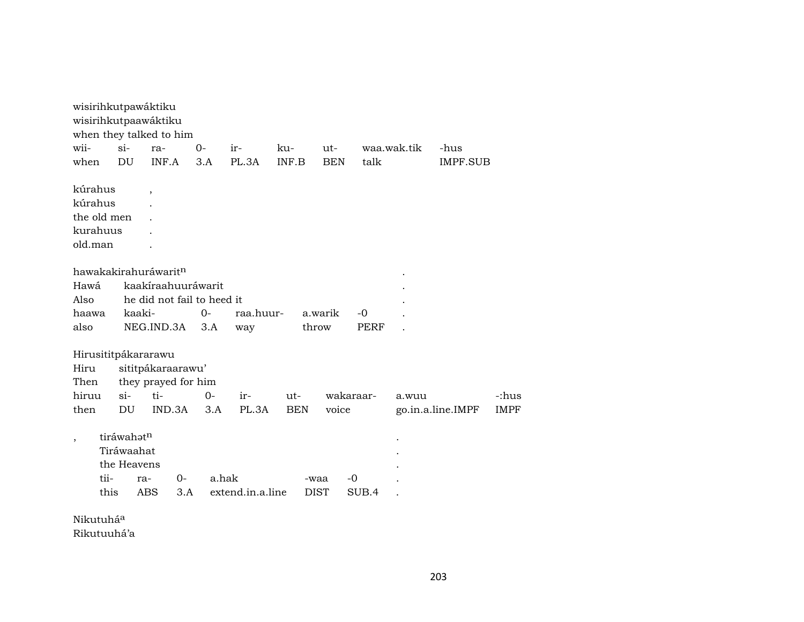|                       |      |             | wisirihkutpawáktiku              |       |       |                  |            |             |            |           |             |                   |             |
|-----------------------|------|-------------|----------------------------------|-------|-------|------------------|------------|-------------|------------|-----------|-------------|-------------------|-------------|
|                       |      |             | wisirihkutpaawáktiku             |       |       |                  |            |             |            |           |             |                   |             |
|                       |      |             | when they talked to him          |       |       |                  |            |             |            |           |             |                   |             |
| wii-                  |      | $si$ -      | ra-                              |       | $O -$ | ir-              | ku-        |             | $ut-$      |           | waa.wak.tik | -hus              |             |
| when                  |      | DU          | INF.A                            |       | 3.A   | PL.3A            | INF.B      |             | <b>BEN</b> | talk      |             | <b>IMPF.SUB</b>   |             |
|                       |      |             |                                  |       |       |                  |            |             |            |           |             |                   |             |
| kúrahus               |      |             | $\overline{\phantom{a}}$         |       |       |                  |            |             |            |           |             |                   |             |
| kúrahus               |      |             |                                  |       |       |                  |            |             |            |           |             |                   |             |
| the old men           |      |             |                                  |       |       |                  |            |             |            |           |             |                   |             |
| kurahuus              |      |             |                                  |       |       |                  |            |             |            |           |             |                   |             |
| old.man               |      |             |                                  |       |       |                  |            |             |            |           |             |                   |             |
|                       |      |             |                                  |       |       |                  |            |             |            |           |             |                   |             |
|                       |      |             | hawakakirahuráwarit <sup>n</sup> |       |       |                  |            |             |            |           |             |                   |             |
| Hawá                  |      |             | kaakíraahuuráwarit               |       |       |                  |            |             |            |           |             |                   |             |
| Also                  |      |             | he did not fail to heed it       |       |       |                  |            |             |            |           |             |                   |             |
| haawa                 |      | kaaki-      |                                  |       | $O -$ | raa.huur-        |            | a.warik     |            | $-0$      |             |                   |             |
| also                  |      |             | NEG.IND.3A                       |       | 3.A   | way              |            | throw       |            | PERF      |             |                   |             |
|                       |      |             |                                  |       |       |                  |            |             |            |           |             |                   |             |
|                       |      |             | Hirusititpákararawu              |       |       |                  |            |             |            |           |             |                   |             |
| Hiru                  |      |             | sititpákaraarawu'                |       |       |                  |            |             |            |           |             |                   |             |
| Then                  |      |             | they prayed for him              |       |       |                  |            |             |            |           |             |                   |             |
| hiruu                 |      | $si$ -      | ti-                              |       | $0-$  | ir-              | ut-        |             |            | wakaraar- | a.wuu       |                   | -:hus       |
| then                  |      | DU          | IND.3A                           |       | 3.A   | PL.3A            | <b>BEN</b> |             | voice      |           |             | go.in.a.line.IMPF | <b>IMPF</b> |
|                       |      |             |                                  |       |       |                  |            |             |            |           |             |                   |             |
|                       |      | tiráwahatn  |                                  |       |       |                  |            |             |            |           |             |                   |             |
|                       |      | Tiráwaahat  |                                  |       |       |                  |            |             |            |           |             |                   |             |
|                       |      | the Heavens |                                  |       |       |                  |            |             |            |           |             |                   |             |
|                       | tii- |             | ra-                              | $O -$ | a.hak |                  |            | -waa        |            | -0        |             |                   |             |
|                       | this |             | ABS                              | 3.A   |       | extend.in.a.line |            | <b>DIST</b> |            | SUB.4     |             |                   |             |
|                       |      |             |                                  |       |       |                  |            |             |            |           |             |                   |             |
| Nikutuhá <sup>a</sup> |      |             |                                  |       |       |                  |            |             |            |           |             |                   |             |
|                       |      |             |                                  |       |       |                  |            |             |            |           |             |                   |             |

Rikutuuhá'a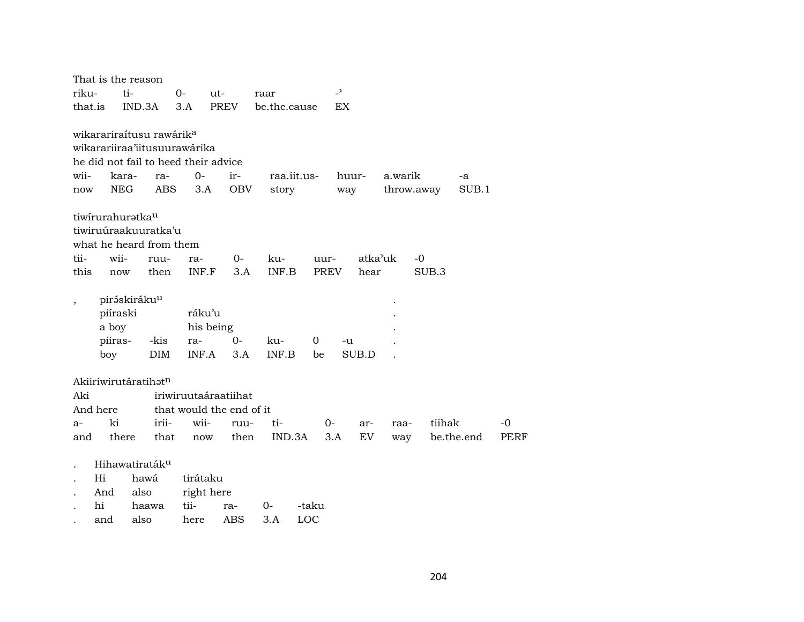|                          |                                     | That is the reason                                                                                                         |                                     |                   |                      |         |                          |         |                       |            |             |             |
|--------------------------|-------------------------------------|----------------------------------------------------------------------------------------------------------------------------|-------------------------------------|-------------------|----------------------|---------|--------------------------|---------|-----------------------|------------|-------------|-------------|
| riku-                    |                                     | ti-                                                                                                                        | $0-$                                | ut-               | raar                 |         | $\overline{\phantom{0}}$ |         |                       |            |             |             |
| that.is                  |                                     | IND.3A                                                                                                                     | 3.A                                 | PREV              | be.the.cause         |         | EX                       |         |                       |            |             |             |
| wii-<br>now              | kara-<br><b>NEG</b>                 | wikarariraítusu rawárik <sup>a</sup><br>wikarariiraa'iitusuurawárika<br>he did not fail to heed their advice<br>ra-<br>ABS | $O -$<br>3.A                        | ir-<br><b>OBV</b> | raa.iit.us-<br>story |         | way                      | huur-   | a.warik<br>throw.away |            | -a<br>SUB.1 |             |
|                          | tiwirurahuratka <sup>u</sup>        |                                                                                                                            |                                     |                   |                      |         |                          |         |                       |            |             |             |
|                          |                                     | tiwiruúraakuuratka'u                                                                                                       |                                     |                   |                      |         |                          |         |                       |            |             |             |
|                          |                                     | what he heard from them                                                                                                    |                                     |                   |                      |         |                          |         |                       |            |             |             |
| tii-                     | wii-                                | ruu-                                                                                                                       | ra-                                 | 0-                | ku-                  | uur-    |                          | atka'uk | -0                    |            |             |             |
| this                     | now                                 | then                                                                                                                       | INF.F                               | 3.A               | INF.B                | PREV    |                          | hear    |                       | SUB.3      |             |             |
| $\overline{\phantom{a}}$ | piíraski<br>a boy<br>piiras-<br>boy | piráskiráku <sup>u</sup><br>-kis<br><b>DIM</b>                                                                             | ráku'u<br>his being<br>ra-<br>INF.A | $0-$<br>3.A       | ku-<br>INF.B         | 0<br>be | -u                       | SUB.D   |                       |            |             |             |
|                          |                                     | Akiiriwirutáratihat <sup>n</sup>                                                                                           |                                     |                   |                      |         |                          |         |                       |            |             |             |
| Aki                      |                                     |                                                                                                                            | iriwiruutaáraatiihat                |                   |                      |         |                          |         |                       |            |             |             |
|                          | And here                            |                                                                                                                            | that would the end of it            |                   |                      |         |                          |         |                       |            |             |             |
| $a-$                     | ki                                  | irii-                                                                                                                      | wii-                                | ruu-              | ti-                  |         | $0-$                     | ar-     | raa-                  | tiihak     |             | $-0$        |
| and                      | there                               | that                                                                                                                       | now                                 | then              | IND.3A               |         | 3.A                      | EV      | way                   | be.the.end |             | <b>PERF</b> |
|                          |                                     | Hihawatiraták <sup>u</sup>                                                                                                 |                                     |                   |                      |         |                          |         |                       |            |             |             |
| $\ddot{\phantom{a}}$     | Hi                                  | hawá                                                                                                                       | tirátaku                            |                   |                      |         |                          |         |                       |            |             |             |
|                          | And                                 | also                                                                                                                       | right here                          |                   |                      |         |                          |         |                       |            |             |             |
|                          | hi                                  | haawa                                                                                                                      | tii-                                | ra-               | 0-                   | -taku   |                          |         |                       |            |             |             |
|                          | and                                 | also                                                                                                                       | here                                | ABS               | 3.A                  | LOC     |                          |         |                       |            |             |             |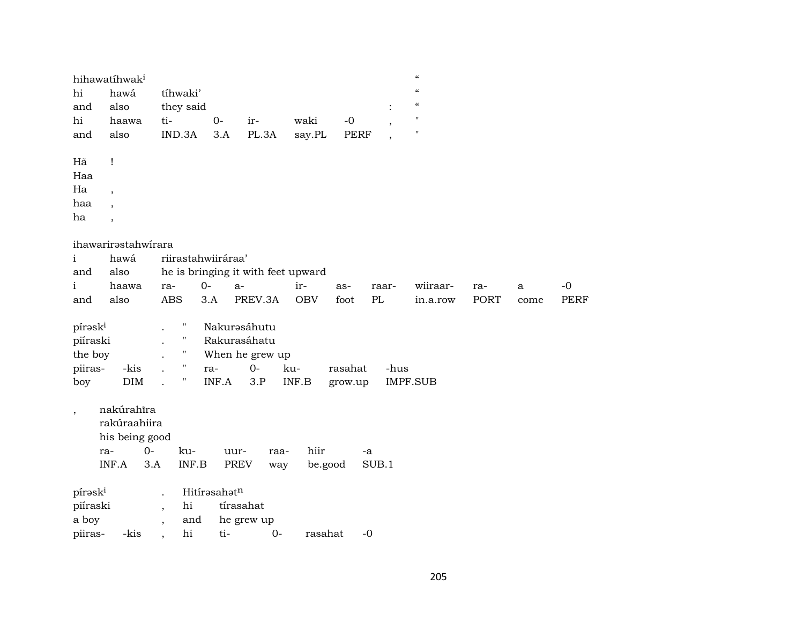| hihawatíhwak <sup>i</sup>      |                     |                                    |              |                 |            |             |       | $\boldsymbol{\zeta}\boldsymbol{\zeta}$ |      |      |             |
|--------------------------------|---------------------|------------------------------------|--------------|-----------------|------------|-------------|-------|----------------------------------------|------|------|-------------|
| hi                             | hawá                | tíhwaki'                           |              |                 |            |             |       | $\boldsymbol{\zeta}\boldsymbol{\zeta}$ |      |      |             |
| and                            | also                | they said                          |              |                 |            |             |       | $\zeta\zeta$                           |      |      |             |
| hi                             | haawa               | ti-                                | $0-$         | ir-             | waki       | $-0$        |       | $\pmb{\mathsf{H}}$                     |      |      |             |
| and                            | also                | IND.3A                             | 3.A          | PL.3A           | say.PL     | <b>PERF</b> |       | $\pmb{\mathsf{H}}$                     |      |      |             |
| Hã<br>$\mathbf{I}$             |                     |                                    |              |                 |            |             |       |                                        |      |      |             |
| Haa                            |                     |                                    |              |                 |            |             |       |                                        |      |      |             |
| Ha                             |                     |                                    |              |                 |            |             |       |                                        |      |      |             |
| $\overline{ }$<br>haa          |                     |                                    |              |                 |            |             |       |                                        |      |      |             |
| $\overline{\phantom{a}}$<br>ha |                     |                                    |              |                 |            |             |       |                                        |      |      |             |
| $\overline{ }$                 |                     |                                    |              |                 |            |             |       |                                        |      |      |             |
|                                | ihawarirastahwirara |                                    |              |                 |            |             |       |                                        |      |      |             |
| i                              | hawá                | riirastahwiiráraa'                 |              |                 |            |             |       |                                        |      |      |             |
| and                            | also                | he is bringing it with feet upward |              |                 |            |             |       |                                        |      |      |             |
| i                              | haawa               | $0-$<br>ra-                        | $a-$         |                 | ir-        | as-         | raar- | wiiraar-                               | ra-  | a    | $-0$        |
| and                            | also                | <b>ABS</b>                         | 3.A          | PREV.3A         | <b>OBV</b> | foot        | PL    | in.a.row                               | PORT | come | <b>PERF</b> |
| pírask <sup>i</sup>            |                     | Н                                  |              | Nakurasáhutu    |            |             |       |                                        |      |      |             |
| piíraski                       |                     | Ħ                                  |              | Rakurasáhatu    |            |             |       |                                        |      |      |             |
| the boy                        |                     | $\mathbf{H}$                       |              | When he grew up |            |             |       |                                        |      |      |             |
| piiras-                        | -kis                |                                    | ra-          | $0 -$           | ku-        | rasahat     | -hus  |                                        |      |      |             |
| boy                            | DIM                 | $\pmb{\mathsf{H}}$                 | INF.A        | 3.P             | INF.B      | grow.up     |       | <b>IMPF.SUB</b>                        |      |      |             |
|                                |                     |                                    |              |                 |            |             |       |                                        |      |      |             |
| $\overline{\phantom{a}}$       | nakúrahīra          |                                    |              |                 |            |             |       |                                        |      |      |             |
|                                | rakúraahiira        |                                    |              |                 |            |             |       |                                        |      |      |             |
|                                | his being good      |                                    |              |                 |            |             |       |                                        |      |      |             |
| ra-                            | $0-$                | ku-                                | uur-         | raa-            | hiir       |             | -a    |                                        |      |      |             |
| INF.A                          | 3.A                 | INF.B                              | PREV         | way             | be.good    |             | SUB.1 |                                        |      |      |             |
|                                |                     |                                    |              |                 |            |             |       |                                        |      |      |             |
| pírask <sup>i</sup>            |                     | $\ddot{\phantom{a}}$               | Hitírasahatn |                 |            |             |       |                                        |      |      |             |
| piíraski                       |                     | hi<br>$\overline{\phantom{a}}$     | tírasahat    |                 |            |             |       |                                        |      |      |             |
| a boy                          |                     | and<br>$\overline{\phantom{a}}$    |              | he grew up      |            |             |       |                                        |      |      |             |
| piiras-                        | -kis                | hi<br>$\cdot$                      | ti-          | $0-$            | rasahat    |             | $-0$  |                                        |      |      |             |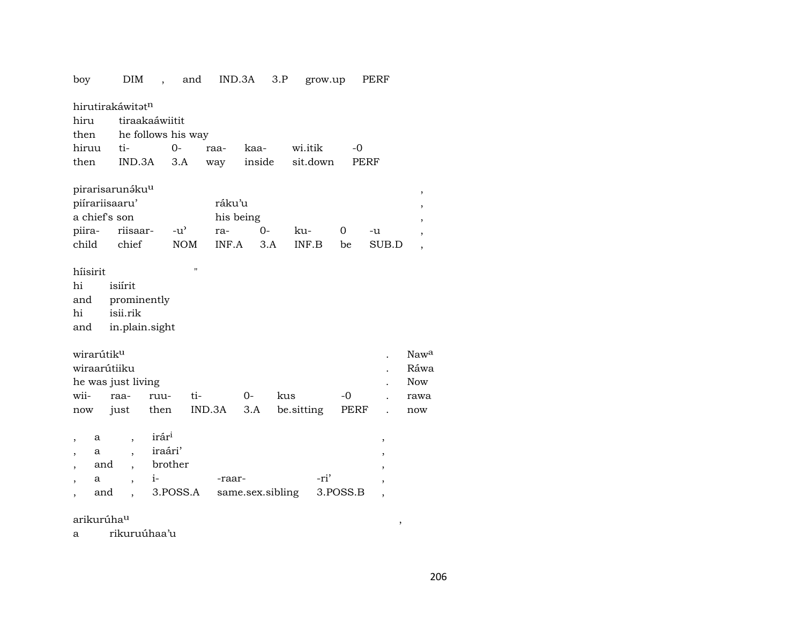| boy                      |          | DIM                         | $\overline{\phantom{a}}$ | and                |        | IND.3A           | 3.P    | grow.up    |      |          | PERF                     |                          |  |
|--------------------------|----------|-----------------------------|--------------------------|--------------------|--------|------------------|--------|------------|------|----------|--------------------------|--------------------------|--|
|                          |          | hirutirakáwitatn            |                          |                    |        |                  |        |            |      |          |                          |                          |  |
| hiru                     |          | tiraakaáwiitit              |                          |                    |        |                  |        |            |      |          |                          |                          |  |
| then                     |          |                             |                          | he follows his way |        |                  |        |            |      |          |                          |                          |  |
| hiruu                    |          | ti-                         |                          | $O -$              | raa-   | kaa-             |        | wi.itik    |      | $-0$     |                          |                          |  |
| then                     |          | IND.3A                      |                          | 3.A                | way    |                  | inside | sit.down   |      |          | <b>PERF</b>              |                          |  |
|                          |          |                             |                          |                    |        |                  |        |            |      |          |                          |                          |  |
|                          |          | pirarisarunáku <sup>u</sup> |                          |                    |        |                  |        |            |      |          |                          | $\, ,$                   |  |
|                          |          | piírariisaaru'              |                          |                    | ráku'u |                  |        |            |      |          |                          | ,                        |  |
| a chief's son            |          |                             |                          |                    |        | his being        |        |            |      |          |                          | ,                        |  |
| piira-                   |          | riisaar-                    |                          | $-u^{\prime}$      | ra-    |                  | $O -$  | ku-        |      | 0        | -u                       | $\overline{\phantom{a}}$ |  |
| child                    |          | chief                       |                          | <b>NOM</b>         | INF.A  |                  | 3.A    | INF.B      |      | be       | SUB.D                    | $\overline{\phantom{a}}$ |  |
|                          |          |                             |                          |                    |        |                  |        |            |      |          |                          |                          |  |
| hiisirit                 |          |                             |                          | "                  |        |                  |        |            |      |          |                          |                          |  |
| hi                       |          | isiírit                     |                          |                    |        |                  |        |            |      |          |                          |                          |  |
| and                      |          | prominently                 |                          |                    |        |                  |        |            |      |          |                          |                          |  |
| hi                       |          | isii.rik                    |                          |                    |        |                  |        |            |      |          |                          |                          |  |
| and                      |          | in.plain.sight              |                          |                    |        |                  |        |            |      |          |                          |                          |  |
|                          |          |                             |                          |                    |        |                  |        |            |      |          |                          |                          |  |
| wirarútik <sup>u</sup>   |          |                             |                          |                    |        |                  |        |            |      |          |                          | Nawa                     |  |
| wiraarútiiku             |          |                             |                          |                    |        |                  |        |            |      |          |                          | Ráwa                     |  |
|                          |          | he was just living          |                          |                    |        |                  |        |            |      |          |                          | <b>Now</b>               |  |
| wii-                     |          | raa-                        | ruu-                     | ti-                |        | $0-$             | kus    |            |      | $-0$     |                          | rawa                     |  |
| now                      |          | just                        | then                     |                    | IND.3A | 3.A              |        | be sitting |      | PERF     |                          | now                      |  |
|                          |          |                             | irár <sup>i</sup>        |                    |        |                  |        |            |      |          |                          |                          |  |
| ,                        | a        | $\overline{\phantom{a}}$    | iraári'                  |                    |        |                  |        |            |      |          | ,                        |                          |  |
| $\overline{\phantom{a}}$ | а<br>and |                             |                          | brother            |        |                  |        |            |      |          | ,                        |                          |  |
|                          | a        | $\overline{\phantom{a}}$    | $i-$                     |                    | -raar- |                  |        |            | -ri' |          |                          |                          |  |
| $\overline{\phantom{a}}$ | and      | $\overline{\phantom{a}}$    |                          | 3.POSS.A           |        | same.sex.sibling |        |            |      | 3.POSS.B | ,                        |                          |  |
|                          |          |                             |                          |                    |        |                  |        |            |      |          | $\overline{\phantom{a}}$ |                          |  |

arikurúha<sup>u</sup>

rikuruúhaa'u  $\mathbf{a}$ 

 $\overline{\phantom{a}}$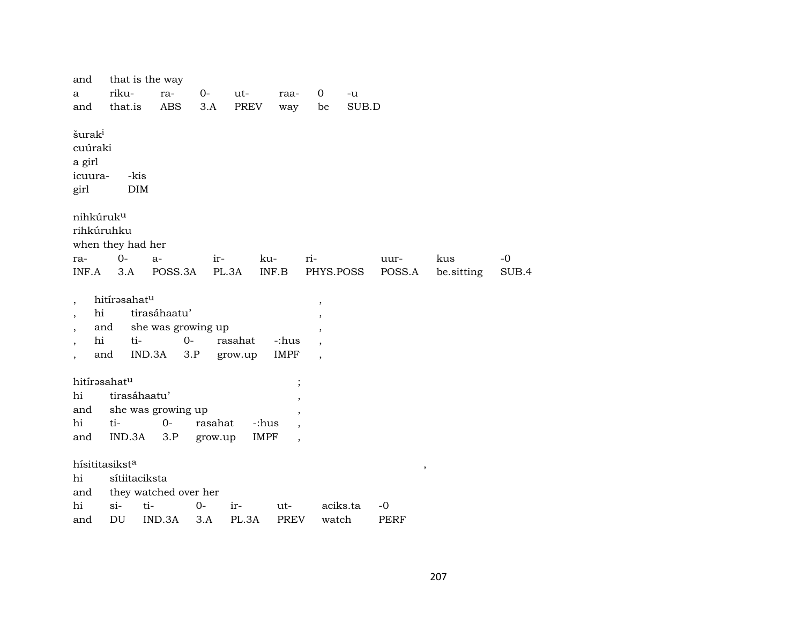| and                                                        |                                   | that is the way                                      |         |                    |                                  |                                                                                                    |          |             |            |       |
|------------------------------------------------------------|-----------------------------------|------------------------------------------------------|---------|--------------------|----------------------------------|----------------------------------------------------------------------------------------------------|----------|-------------|------------|-------|
| a                                                          | riku-                             | ra-                                                  | $0-$    | ut-                | raa-                             | 0                                                                                                  | -u       |             |            |       |
| and                                                        | that.is                           | <b>ABS</b>                                           | 3.A     | <b>PREV</b>        | way                              | be                                                                                                 | SUB.D    |             |            |       |
| šurak <sup>i</sup><br>cuúraki<br>a girl<br>icuura-<br>girl | -kis<br><b>DIM</b>                |                                                      |         |                    |                                  |                                                                                                    |          |             |            |       |
| nihkúruk <sup>u</sup>                                      |                                   |                                                      |         |                    |                                  |                                                                                                    |          |             |            |       |
| rihkúruhku                                                 |                                   |                                                      |         |                    |                                  |                                                                                                    |          |             |            |       |
|                                                            | when they had her                 |                                                      |         |                    |                                  |                                                                                                    |          |             |            |       |
| ra-                                                        | $0-$                              | $a-$                                                 | ir-     |                    | ku-                              | ri-                                                                                                |          | uur-        | kus        | -0    |
| INF.A                                                      | 3.A                               | POSS.3A                                              |         | PL.3A              | INF.B                            | PHYS.POSS                                                                                          |          | POSS.A      | be sitting | SUB.4 |
| hi<br>$\cdot$<br>hi                                        | hitírasahatu<br>and<br>ti-<br>and | tirasáhaatu'<br>she was growing up<br>$0-$<br>IND.3A | 3.P     | rasahat<br>grow.up | -:hus<br>IMPF                    | $\, ,$<br>$\overline{\phantom{a}}$<br>$\,$<br>$\overline{\phantom{a}}$<br>$\overline{\phantom{a}}$ |          |             |            |       |
| hitírasahatu                                               |                                   |                                                      |         |                    |                                  |                                                                                                    |          |             |            |       |
| hi                                                         | tirasáhaatu'                      |                                                      |         |                    | $\, ,$                           |                                                                                                    |          |             |            |       |
| and                                                        |                                   | she was growing up                                   |         |                    | $^\mathrm{^{^\circ}}$<br>$\cdot$ |                                                                                                    |          |             |            |       |
| hi                                                         | ti-                               | $O -$                                                | rasahat | -:hus              | $\cdot$                          |                                                                                                    |          |             |            |       |
| and                                                        | IND.3A                            | 3.P                                                  | grow.up | <b>IMPF</b>        | $\overline{\phantom{a}}$         |                                                                                                    |          |             |            |       |
| hi<br>and                                                  | hísititasiksta<br>sítiitaciksta   | they watched over her                                |         |                    |                                  |                                                                                                    |          | $\, ,$      |            |       |
| hi                                                         | $\sin$                            | ti-                                                  | $0-$    | ir-                | ut-                              |                                                                                                    | aciks.ta | -0          |            |       |
| and                                                        | DU                                | IND.3A                                               | 3.A     | PL.3A              | PREV                             | watch                                                                                              |          | <b>PERF</b> |            |       |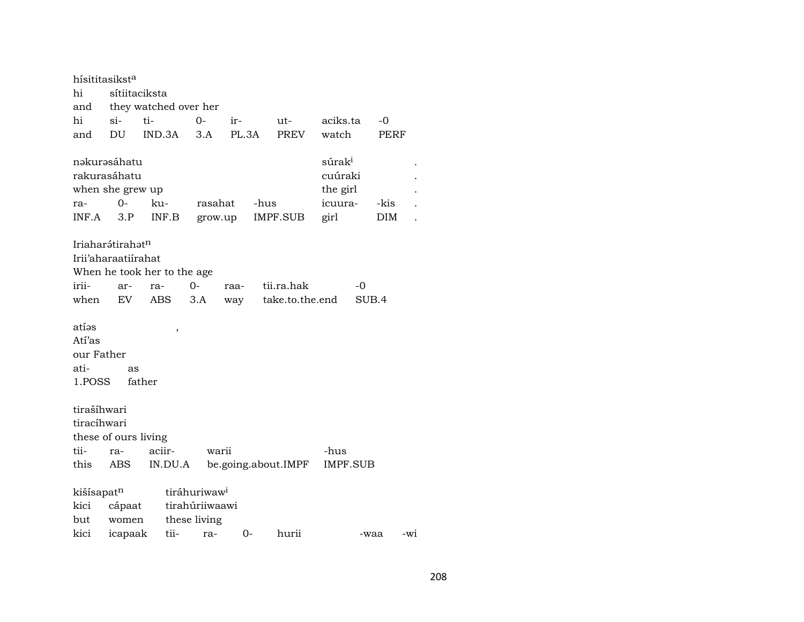| hísititasikst <sup>a</sup>                      |                                                     |                             |                          |         |      |                     |                                                              |       |             |     |
|-------------------------------------------------|-----------------------------------------------------|-----------------------------|--------------------------|---------|------|---------------------|--------------------------------------------------------------|-------|-------------|-----|
| hi                                              | sítiitaciksta                                       |                             |                          |         |      |                     |                                                              |       |             |     |
| and                                             |                                                     | they watched over her       |                          |         |      |                     |                                                              |       |             |     |
| hi                                              | $\sin$                                              | ti-                         | 0-                       | ir-     |      | ut-                 | aciks.ta                                                     |       | $-0$        |     |
| and                                             | DU                                                  | IND.3A                      | 3.A                      | PL.3A   |      | <b>PREV</b>         | watch                                                        |       | PERF        |     |
| rakurasáhatu<br>ra-<br>INF.A                    | nakurasáhatu<br>when she grew up<br>$0 -$<br>3.P    | ku-<br>INF.B                | rasahat                  | grow.up | -hus | <b>IMPF.SUB</b>     | súrak <sup>i</sup><br>cuúraki<br>the girl<br>icuura-<br>girl |       | -kis<br>DIM |     |
|                                                 | Iriaharátirahat <sup>n</sup><br>Irii'aharaatiirahat |                             |                          |         |      |                     |                                                              |       |             |     |
|                                                 |                                                     | When he took her to the age |                          |         |      |                     |                                                              |       |             |     |
| irii-                                           | ar-                                                 | ra-                         | $0-$                     | raa-    |      | tii.ra.hak          |                                                              | -0    |             |     |
| when                                            | EV                                                  | ABS                         | 3.A                      | way     |      | take.to.the.end     |                                                              | SUB.4 |             |     |
| atías<br>Atí'as<br>our Father<br>ati-<br>1.POSS | as<br>father                                        | ,                           |                          |         |      |                     |                                                              |       |             |     |
| tirašíhwari                                     |                                                     |                             |                          |         |      |                     |                                                              |       |             |     |
| tiracíhwari                                     |                                                     |                             |                          |         |      |                     |                                                              |       |             |     |
|                                                 | these of ours living                                |                             |                          |         |      |                     |                                                              |       |             |     |
| tii-                                            | ra-                                                 | aciir-                      |                          | warii   |      |                     | -hus                                                         |       |             |     |
| this                                            | ABS                                                 | IN.DU.A                     |                          |         |      | be.going.about.IMPF | <b>IMPF.SUB</b>                                              |       |             |     |
| kišísapatn                                      |                                                     |                             | tiráhuriwaw <sup>i</sup> |         |      |                     |                                                              |       |             |     |
| kici                                            | cápaat                                              |                             | tirahúriiwaawi           |         |      |                     |                                                              |       |             |     |
| but                                             | women                                               |                             | these living             |         |      |                     |                                                              |       |             |     |
| kici                                            | icapaak                                             | tii-                        | ra-                      | $0-$    |      | hurii               |                                                              | -waa  |             | -wi |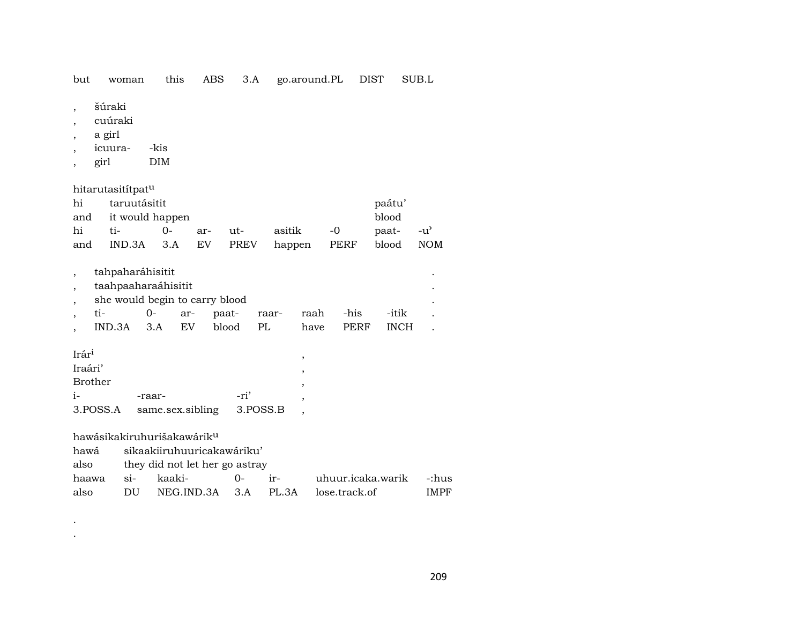but woman this ABS 3.A go.around.PL DIST SUB.L

- šúraki  $\overline{\phantom{a}}$
- cuúraki  $\cdot$
- a girl  $\cdot$
- icuura--kis  $\overline{\phantom{a}}$
- $DIM$ girl  $\, ,$

hitarutasitítpat<sup>u</sup>

| hi  | taruutásitit        |          | paátu'  |                                      |           |     |
|-----|---------------------|----------|---------|--------------------------------------|-----------|-----|
|     | and it would happen |          | blood   |                                      |           |     |
| hi  | $t_i$ $\sim$        | $\Omega$ | ar- ut- | asitik -0                            | paat- -u' |     |
| and |                     |          |         | IND.3A 3.A EV PREV happen PERF blood |           | NOM |

| tahpaharáhisitit               |      |     |                       |     |      |      |             |  |  |  |  |  |  |
|--------------------------------|------|-----|-----------------------|-----|------|------|-------------|--|--|--|--|--|--|
| taahpaaharaáhisitit            |      |     |                       |     |      |      |             |  |  |  |  |  |  |
| she would begin to carry blood |      |     |                       |     |      |      |             |  |  |  |  |  |  |
| ti-                            | $O-$ | ar- | paat- raar- raah -his |     |      |      | -itik       |  |  |  |  |  |  |
| $IND.3A$ $3.A$ $EV$            |      |     | blood                 | PL. | have | PERF | <b>INCH</b> |  |  |  |  |  |  |
|                                |      |     |                       |     |      |      |             |  |  |  |  |  |  |

| Irár <sup>i</sup> |                  |          |  |
|-------------------|------------------|----------|--|
| Iraári'           |                  |          |  |
| <b>Brother</b>    |                  |          |  |
| $\mathbf{i}$      | -raar-           | -ri'     |  |
| 3.POSS.A          | same.sex.sibling | 3.POSS.B |  |

hawásikakiruhurišakawárik<sup>u</sup>

 $\langle \cdot \rangle$  $\mathcal{A}^{\pm}$ 

hawá sikaakiiruhuuricakawáriku'

| also | they did not let her go astray |  |
|------|--------------------------------|--|
|      |                                |  |

| haawa | $S1-$ | kaaki-                             | ∩– | uhuur.icaka.warik -:hus |             |
|-------|-------|------------------------------------|----|-------------------------|-------------|
| also  | DU    | NEG.IND.3A 3.A PL.3A lose.track.of |    |                         | <b>IMPF</b> |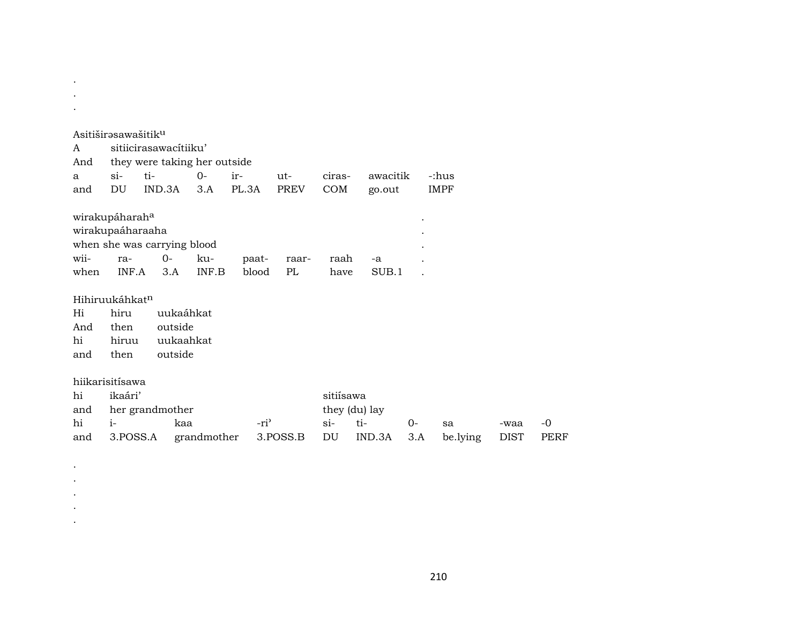|      | Asitiširəsawašitik <sup>u</sup> |           |             |        |          |           |               |      |             |             |  |  |  |  |
|------|---------------------------------|-----------|-------------|--------|----------|-----------|---------------|------|-------------|-------------|--|--|--|--|
| A    | sitiicirasawacitiiku'           |           |             |        |          |           |               |      |             |             |  |  |  |  |
| And  | they were taking her outside    |           |             |        |          |           |               |      |             |             |  |  |  |  |
| a    | $\sin$                          | ti-       | $0-$        | ir-    | ut-      | ciras-    | awacitik      |      | -:hus       |             |  |  |  |  |
| and  | DU                              | IND.3A    | 3.A         | PL.3A  | PREV     | COM       | go.out        |      | <b>IMPF</b> |             |  |  |  |  |
|      |                                 |           |             |        |          |           |               |      |             |             |  |  |  |  |
|      | wirakupáharah <sup>a</sup>      |           |             |        |          |           |               |      |             |             |  |  |  |  |
|      | wirakupaáharaaha                |           |             |        |          |           |               |      |             |             |  |  |  |  |
|      | when she was carrying blood     |           |             |        |          |           |               |      |             |             |  |  |  |  |
| wii- | ra-                             | $O-$      | ku-         | paat-  | raar-    | raah      | -a            |      |             |             |  |  |  |  |
| when | INF.A                           | 3.A       | INF.B       | blood  | PL       | have      | SUB.1         |      |             |             |  |  |  |  |
|      | Hihiruukáhkat <sup>n</sup>      |           |             |        |          |           |               |      |             |             |  |  |  |  |
| Hi   | hiru                            | uukaáhkat |             |        |          |           |               |      |             |             |  |  |  |  |
| And  | then                            | outside   |             |        |          |           |               |      |             |             |  |  |  |  |
| hi   | hiruu                           | uukaahkat |             |        |          |           |               |      |             |             |  |  |  |  |
| and  | then                            | outside   |             |        |          |           |               |      |             |             |  |  |  |  |
|      |                                 |           |             |        |          |           |               |      |             |             |  |  |  |  |
|      | hiikarisitísawa                 |           |             |        |          |           |               |      |             |             |  |  |  |  |
| hi   | ikaári'                         |           |             |        |          | sitiísawa |               |      |             |             |  |  |  |  |
| and  | her grandmother                 |           |             |        |          |           | they (du) lay |      |             |             |  |  |  |  |
| hi   | $i-$                            | kaa       |             | $-ri3$ |          | $\sin$    | ti-           | $0-$ | sa          | -waa        |  |  |  |  |
| and  | 3.POSS.A                        |           | grandmother |        | 3.POSS.B | DU        | IND.3A        | 3.A  | be.lying    | <b>DIST</b> |  |  |  |  |
|      |                                 |           |             |        |          |           |               |      |             |             |  |  |  |  |

 $\sim 10$  $\sim$ 

> $\langle \cdot \rangle$  $\bullet$  $\bullet$  $\langle \cdot \rangle$  $\langle \cdot \rangle$

 $\mbox{-}0$ PERF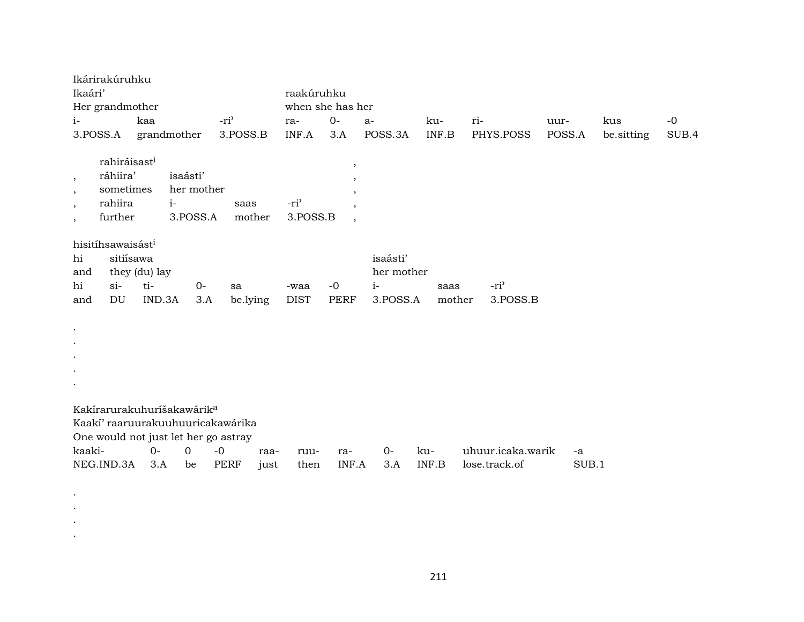|                                                      | Ikárirakúruhku                |               |                                        |                                      |          |                  |                          |            |        |                   |        |       |            |       |
|------------------------------------------------------|-------------------------------|---------------|----------------------------------------|--------------------------------------|----------|------------------|--------------------------|------------|--------|-------------------|--------|-------|------------|-------|
| Ikaári'                                              |                               |               |                                        |                                      |          | raakúruhku       |                          |            |        |                   |        |       |            |       |
|                                                      | Her grandmother               |               |                                        |                                      |          |                  | when she has her         |            |        |                   |        |       |            |       |
| $i-$                                                 |                               | kaa           |                                        | -ri <sup>3</sup>                     |          | ra-              | $0-$                     | $a-$       | ku-    | ri-               | uur-   | kus   |            | $-0$  |
|                                                      | 3.POSS.A                      |               | grandmother                            | 3.POSS.B                             |          | INF.A            | 3.A                      | POSS.3A    | INF.B  | PHYS.POSS         | POSS.A |       | be.sitting | SUB.4 |
|                                                      | rahiráisast <sup>i</sup>      |               |                                        |                                      |          |                  |                          |            |        |                   |        |       |            |       |
|                                                      | ráhiira'                      |               | isaásti'                               |                                      |          |                  | $\cdot$                  |            |        |                   |        |       |            |       |
| $\overline{\phantom{a}}$                             | sometimes                     |               | her mother                             |                                      |          |                  |                          |            |        |                   |        |       |            |       |
| $\overline{\phantom{a}}$                             | rahiira                       |               | $i-$                                   | saas                                 |          | -ri <sup>3</sup> |                          |            |        |                   |        |       |            |       |
| $\overline{\phantom{a}}$<br>$\overline{\phantom{a}}$ | further                       |               | 3.POSS.A                               |                                      | mother   | 3.POSS.B         | $\overline{\phantom{a}}$ |            |        |                   |        |       |            |       |
|                                                      |                               |               |                                        |                                      |          |                  |                          |            |        |                   |        |       |            |       |
|                                                      | hisitíhsawaisást <sup>i</sup> |               |                                        |                                      |          |                  |                          |            |        |                   |        |       |            |       |
| hi                                                   | sitiísawa                     |               |                                        |                                      |          |                  |                          | isaásti'   |        |                   |        |       |            |       |
| and                                                  |                               | they (du) lay |                                        |                                      |          |                  |                          | her mother |        |                   |        |       |            |       |
| hi                                                   | si                            | ti-           | $0-$                                   | sa                                   |          | -waa             | $-0$                     | $i-$       | saas   | -ri <sup>3</sup>  |        |       |            |       |
| and                                                  | DU                            | IND.3A        | 3.A                                    |                                      | be.lying | <b>DIST</b>      | <b>PERF</b>              | 3.POSS.A   | mother | 3.POSS.B          |        |       |            |       |
|                                                      |                               |               |                                        |                                      |          |                  |                          |            |        |                   |        |       |            |       |
| $\bullet$                                            |                               |               |                                        |                                      |          |                  |                          |            |        |                   |        |       |            |       |
| $\cdot$                                              |                               |               |                                        |                                      |          |                  |                          |            |        |                   |        |       |            |       |
| $\bullet$                                            |                               |               |                                        |                                      |          |                  |                          |            |        |                   |        |       |            |       |
| $\cdot$                                              |                               |               |                                        |                                      |          |                  |                          |            |        |                   |        |       |            |       |
| $\bullet$                                            |                               |               |                                        |                                      |          |                  |                          |            |        |                   |        |       |            |       |
|                                                      |                               |               | Kakírarurakuhuríšakawárik <sup>a</sup> |                                      |          |                  |                          |            |        |                   |        |       |            |       |
|                                                      |                               |               |                                        | Kaakí' raaruurakuuhuuricakawárika    |          |                  |                          |            |        |                   |        |       |            |       |
|                                                      |                               |               |                                        | One would not just let her go astray |          |                  |                          |            |        |                   |        |       |            |       |
| kaaki-                                               |                               | $O -$         | $\mathbf 0$                            | $-0$                                 | raa-     | ruu-             | ra-                      | $0-$       | ku-    | uhuur.icaka.warik |        | -a    |            |       |
|                                                      | NEG.IND.3A                    | 3.A           | be                                     | <b>PERF</b>                          | just     | then             | INF.A                    | 3.A        | INF.B  | lose.track.of     |        | SUB.1 |            |       |
|                                                      |                               |               |                                        |                                      |          |                  |                          |            |        |                   |        |       |            |       |

. . . .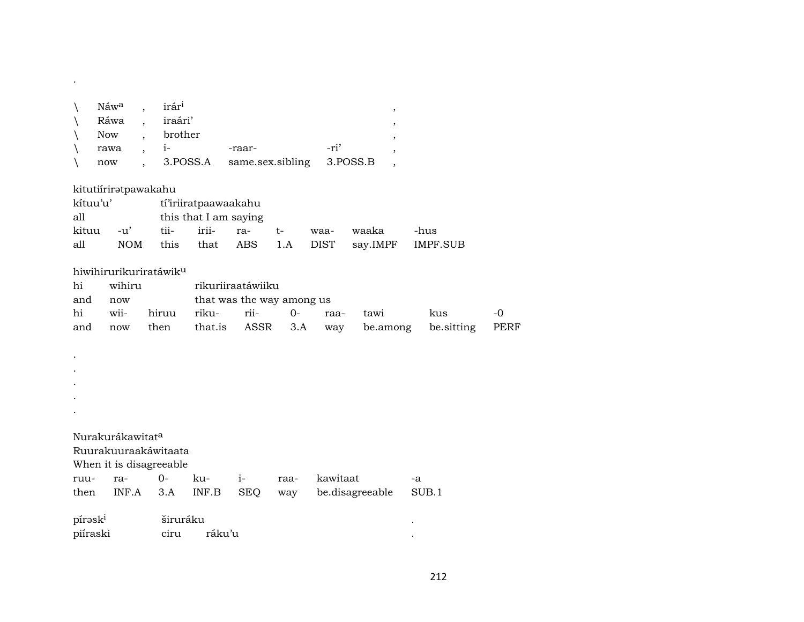| Náw <sup>a</sup> , irár <sup>i</sup> |                |                                         |      |  |
|--------------------------------------|----------------|-----------------------------------------|------|--|
|                                      | Ráwa , iraári' |                                         |      |  |
|                                      | Now , brother  |                                         |      |  |
| rawa , i-                            |                | -raar-                                  | -ri' |  |
|                                      |                | now, 3.POSS.A same.sex.sibling 3.POSS.B |      |  |

| kitutiírirətpawakahu         |                    |      |                      |     |       |                   |          |          |  |  |  |  |
|------------------------------|--------------------|------|----------------------|-----|-------|-------------------|----------|----------|--|--|--|--|
| kítuu'u'                     |                    |      | tí'iriiratpaawaakahu |     |       |                   |          |          |  |  |  |  |
| this that I am saying<br>all |                    |      |                      |     |       |                   |          |          |  |  |  |  |
| kituu                        | $-11$ <sup>'</sup> | tii- | irii-                | ra- | $-t-$ | waa-              | waaka    | -hus     |  |  |  |  |
| all                          | NOM                | this |                      |     |       | that ABS 1.A DIST | say.IMPF | IMPF.SUB |  |  |  |  |

## hiwihirurikuriratáwikµ

.

| hi      | wihiru |                                   | rikuriiraatáwiiku         |  |  |                                                    |     |           |  |  |  |
|---------|--------|-----------------------------------|---------------------------|--|--|----------------------------------------------------|-----|-----------|--|--|--|
| and     | now    |                                   | that was the way among us |  |  |                                                    |     |           |  |  |  |
|         |        | hi wii- hiruu riku- rii-  0- raa- |                           |  |  | tawi                                               | kus | $-\Omega$ |  |  |  |
| and now |        |                                   |                           |  |  | then that.is ASSR 3.A way be.among be.sitting PERF |     |           |  |  |  |

| $\bullet$                    |  |  |
|------------------------------|--|--|
| $\bullet$                    |  |  |
| $\bullet$                    |  |  |
| $\bullet$                    |  |  |
| $\bullet$                    |  |  |
|                              |  |  |
| Nurakurákawitat <sup>a</sup> |  |  |
| Ruurakuuraakáwitaata         |  |  |
| When it is disagreeable      |  |  |

|                     |                   |  |                                                    | -a |
|---------------------|-------------------|--|----------------------------------------------------|----|
|                     |                   |  | then INF.A 3.A INF.B SEO way be.disagreeable SUB.1 |    |
| pírəsk <sup>i</sup> | širuráku <b>s</b> |  |                                                    |    |

| <b>NII UNII</b> | un arana |        |  |  |  |
|-----------------|----------|--------|--|--|--|
| piíraski        | าบา      | raku´u |  |  |  |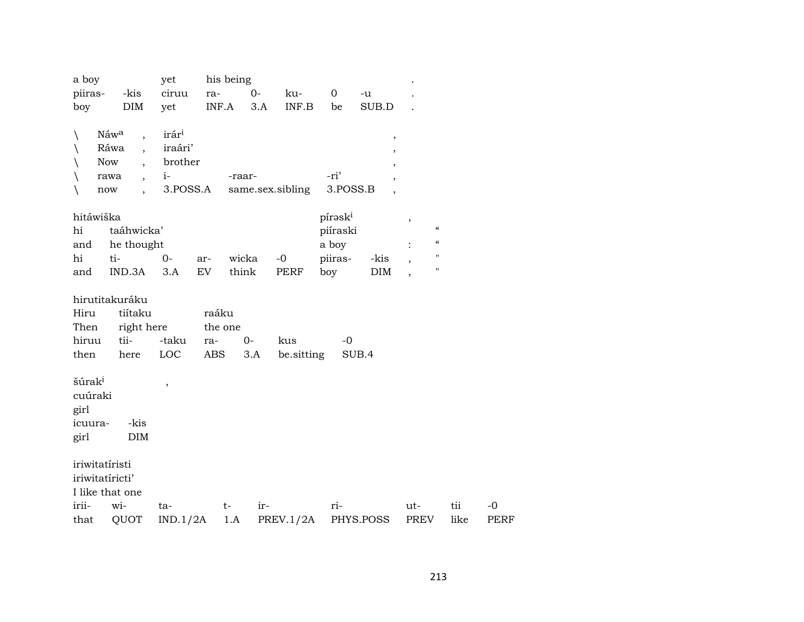| a boy              |                                    | yet               |         | his being |                  |             |           |                    |      |             |
|--------------------|------------------------------------|-------------------|---------|-----------|------------------|-------------|-----------|--------------------|------|-------------|
| piiras-            | -kis                               | ciruu             | ra-     | $O -$     | ku-              | $\mathbf 0$ | -u        |                    |      |             |
| boy                | DIM                                | yet               | INF.A   | 3.A       | INF.B            | be          | SUB.D     |                    |      |             |
| N                  | Náwa<br>$\overline{\phantom{a}}$   | irár <sup>i</sup> |         |           |                  |             | $\, ,$    |                    |      |             |
|                    | Ráwa<br>$\overline{\phantom{a}}$   | iraári'           |         |           |                  |             |           |                    |      |             |
|                    | <b>Now</b><br>$\ddot{\phantom{0}}$ | brother           |         |           |                  |             |           |                    |      |             |
| ∖                  | rawa<br>$\overline{\phantom{a}}$   | $i-$              |         | -raar-    |                  | -ri'        |           |                    |      |             |
| $\backslash$       | now                                | 3.POSS.A          |         |           | same.sex.sibling | 3.POSS.B    |           |                    |      |             |
| hitáwiška          |                                    |                   |         |           |                  | píraski     |           | $\, ,$             |      |             |
| hi                 | taáhwicka'                         |                   |         |           |                  | piíraski    |           | $\epsilon\epsilon$ |      |             |
| and                | he thought                         |                   |         |           |                  | a boy       |           | $\epsilon\epsilon$ |      |             |
| hi                 | ti-                                | $0-$              | ar-     | wicka     | $-0$             | piiras-     | -kis      | $\pmb{\mathsf{H}}$ |      |             |
| and                | IND.3A                             | 3.A               | EV      | think     | PERF             | boy         | DIM       | $\pmb{\mathsf{H}}$ |      |             |
|                    |                                    |                   |         |           |                  |             |           |                    |      |             |
|                    | hirutitakuráku                     |                   |         |           |                  |             |           |                    |      |             |
| Hiru               | tiítaku                            |                   | raáku   |           |                  |             |           |                    |      |             |
| Then               | right here                         |                   | the one |           |                  |             |           |                    |      |             |
| hiruu              | tii-                               | -taku             | ra-     | $0-$      | kus              | $-0$        |           |                    |      |             |
| then               | here                               | LOC               | ABS     | 3.A       | be sitting       |             | SUB.4     |                    |      |             |
| šúrak <sup>i</sup> |                                    | $\, ,$            |         |           |                  |             |           |                    |      |             |
| cuúraki            |                                    |                   |         |           |                  |             |           |                    |      |             |
| girl               |                                    |                   |         |           |                  |             |           |                    |      |             |
| icuura-            | -kis                               |                   |         |           |                  |             |           |                    |      |             |
| girl               | <b>DIM</b>                         |                   |         |           |                  |             |           |                    |      |             |
| iriwitatíristi     |                                    |                   |         |           |                  |             |           |                    |      |             |
|                    | iriwitatíricti'                    |                   |         |           |                  |             |           |                    |      |             |
|                    | I like that one                    |                   |         |           |                  |             |           |                    |      |             |
| irii-              | wi-                                | ta-               |         | ir-<br>t- |                  | ri-         |           | ut-                | tii  | $-0$        |
| that               | QUOT                               | IND.1/2A          |         | 1.A       | PREV.1/2A        |             | PHYS.POSS | PREV               | like | <b>PERF</b> |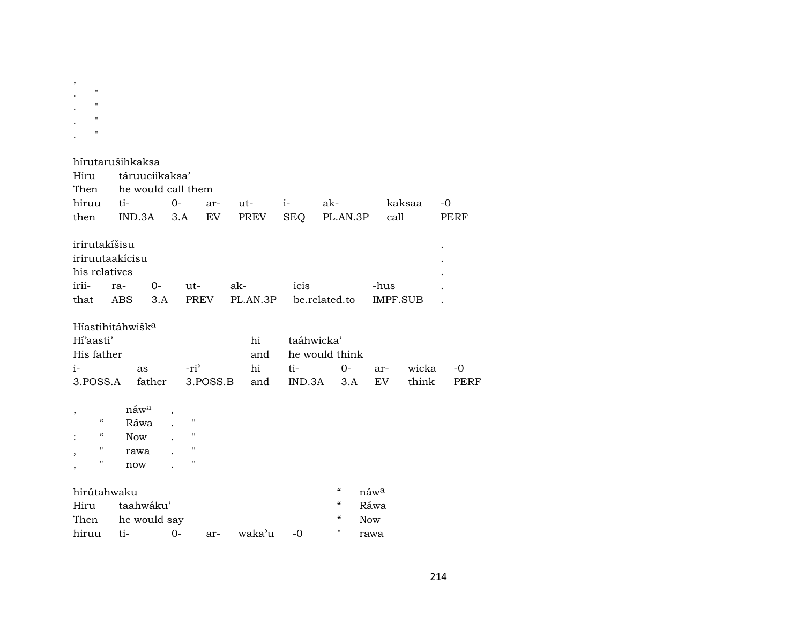| $\pmb{\mathsf{H}}$<br>11<br>11<br>$\pmb{\mathsf{H}}$                        |                                                       |                |                                                                                      |                        |            |                                                                                  |                          |                 |              |  |
|-----------------------------------------------------------------------------|-------------------------------------------------------|----------------|--------------------------------------------------------------------------------------|------------------------|------------|----------------------------------------------------------------------------------|--------------------------|-----------------|--------------|--|
| hírutarušihkaksa<br>Hiru                                                    |                                                       | táruuciikaksa' |                                                                                      |                        |            |                                                                                  |                          |                 |              |  |
| Then                                                                        | he would call them                                    |                |                                                                                      |                        |            |                                                                                  |                          |                 |              |  |
| hiruu                                                                       | ti-                                                   | $0-$           |                                                                                      | ut-<br>ar-             | $i-$       | ak-                                                                              |                          | kaksaa          | $-0$         |  |
| then                                                                        | IND.3A                                                |                | 3.A                                                                                  | EV<br>PREV             | <b>SEQ</b> | PL.AN.3P                                                                         |                          | call            | <b>PERF</b>  |  |
| irirutakíšisu<br>iriruutaakicisu<br>his relatives                           |                                                       |                |                                                                                      |                        |            |                                                                                  |                          |                 |              |  |
| irii-                                                                       | ra-                                                   | 0-             | ut-                                                                                  | ak-                    | icis       |                                                                                  | -hus                     |                 |              |  |
| that                                                                        | <b>ABS</b>                                            | 3.A            | <b>PREV</b>                                                                          | PL.AN.3P               |            | be.related.to                                                                    |                          | <b>IMPF.SUB</b> |              |  |
| Híastihitáhwišk <sup>a</sup><br>Hi'aasti'<br>His father<br>$i-$<br>3.POSS.A | as                                                    | father         | -ri <sup>3</sup><br>3.POSS.B                                                         | hi<br>and<br>hi<br>and | ti-        | taáhwicka'<br>he would think<br>$0-$<br>IND.3A<br>3.A                            | ar-<br>EV                | wicka<br>think  | $-0$<br>PERF |  |
| ,<br>$\boldsymbol{\zeta}\boldsymbol{\zeta}$<br>"<br>11<br>,<br>11           | náw <sup>a</sup><br>Ráwa<br><b>Now</b><br>rawa<br>now |                | $\pmb{\mathsf{H}}$<br>$\pmb{\mathsf{H}}$<br>$\pmb{\mathsf{H}}$<br>$\pmb{\mathsf{H}}$ |                        |            |                                                                                  |                          |                 |              |  |
| hirútahwaku<br>Hiru                                                         | taahwáku'                                             |                |                                                                                      |                        |            | $\boldsymbol{\zeta}\boldsymbol{\zeta}$<br>$\boldsymbol{\zeta}\boldsymbol{\zeta}$ | náw <sup>a</sup><br>Ráwa |                 |              |  |
| Then                                                                        |                                                       | he would say   |                                                                                      |                        |            | $\pmb{\zeta}\pmb{\zeta}$                                                         | Now                      |                 |              |  |
| hiruu                                                                       | ti-                                                   | $0-$           | ar-                                                                                  | waka'u                 | -0         | $\pmb{\mathsf{H}}$                                                               | rawa                     |                 |              |  |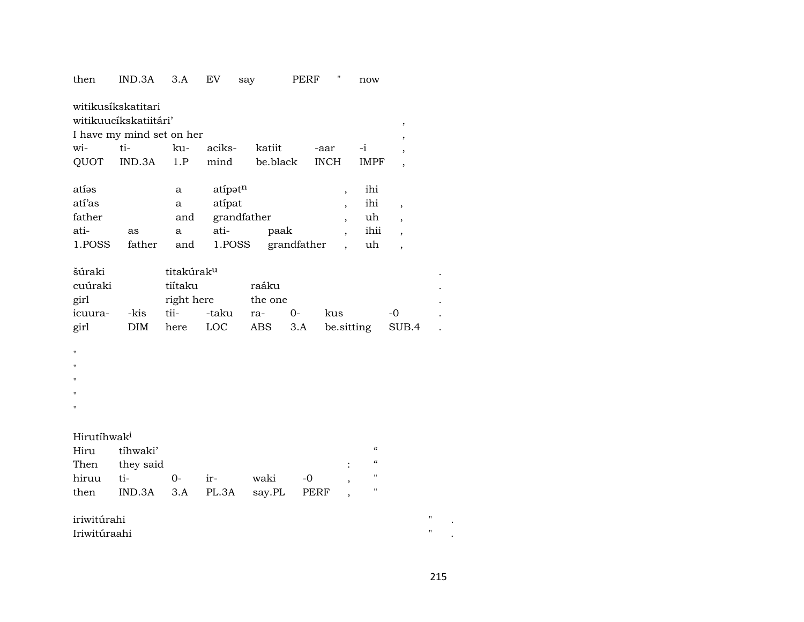| then                    | IND.3A                                      | 3.A                    | EV      | say         | <b>PERF</b> |                          | now         |                          |   |
|-------------------------|---------------------------------------------|------------------------|---------|-------------|-------------|--------------------------|-------------|--------------------------|---|
|                         | witikusíkskatitari<br>witikuucíkskatiitári' |                        |         |             |             |                          |             |                          |   |
|                         | I have my mind set on her                   |                        |         |             |             |                          |             | $\, ,$                   |   |
| wi-                     | ti-                                         | ku-                    | aciks-  | katiit      |             | -aar                     | -i          | $\overline{\phantom{a}}$ |   |
| QUOT                    | IND.3A                                      | 1.P                    | mind    | be.black    |             | <b>INCH</b>              | <b>IMPF</b> |                          |   |
|                         |                                             |                        |         |             |             |                          |             | $\overline{\phantom{a}}$ |   |
| atíos                   |                                             | a                      | atípatn |             |             | ,                        | ihi         |                          |   |
| atí'as                  |                                             | a                      | atípat  |             |             | $\overline{\phantom{a}}$ | ihi         | $\, ,$                   |   |
| father                  |                                             | and                    |         | grandfather |             | $\overline{\phantom{a}}$ | uh          | $\overline{ }$           |   |
| ati-                    | as                                          | a                      | ati-    | paak        |             | $\overline{\phantom{a}}$ | ihii        | $\overline{\phantom{a}}$ |   |
| 1.POSS                  | father                                      | and                    | 1.POSS  |             | grandfather |                          | uh          | ,                        |   |
| šúraki                  |                                             | titakúrak <sup>u</sup> |         |             |             |                          |             |                          |   |
| cuúraki                 |                                             | tiítaku                |         | raáku       |             |                          |             |                          |   |
| girl                    |                                             | right here             |         | the one     |             |                          |             |                          |   |
| icuura-                 | -kis                                        | tii-                   | -taku   | ra-         | 0-          | kus                      |             | -0                       |   |
| girl                    | <b>DIM</b>                                  | here                   | LOC     | ABS         | 3.A         | be.sitting               |             | SUB.4                    |   |
| п                       |                                             |                        |         |             |             |                          |             |                          |   |
| Ħ                       |                                             |                        |         |             |             |                          |             |                          |   |
| Ħ                       |                                             |                        |         |             |             |                          |             |                          |   |
| $\mathbf{H}$            |                                             |                        |         |             |             |                          |             |                          |   |
| п                       |                                             |                        |         |             |             |                          |             |                          |   |
|                         |                                             |                        |         |             |             |                          |             |                          |   |
| Hirutíhwak <sup>i</sup> |                                             |                        |         |             |             |                          |             |                          |   |
| Hiru                    | tíhwaki'                                    |                        |         |             |             |                          | $\epsilon$  |                          |   |
| Then                    | they said                                   |                        |         |             |             |                          | $\epsilon$  |                          |   |
| hiruu                   | ti-                                         | $0-$                   | ir-     | waki        | $-0$        | $\overline{\phantom{a}}$ | "           |                          |   |
| then                    | IND.3A                                      | $3.A$                  | PL.3A   | say.PL      | PERF        |                          | "           |                          |   |
| iriwitúrahi             |                                             |                        |         |             |             |                          |             |                          | " |
| Iriwitúraahi            |                                             |                        |         |             |             |                          |             |                          | н |

215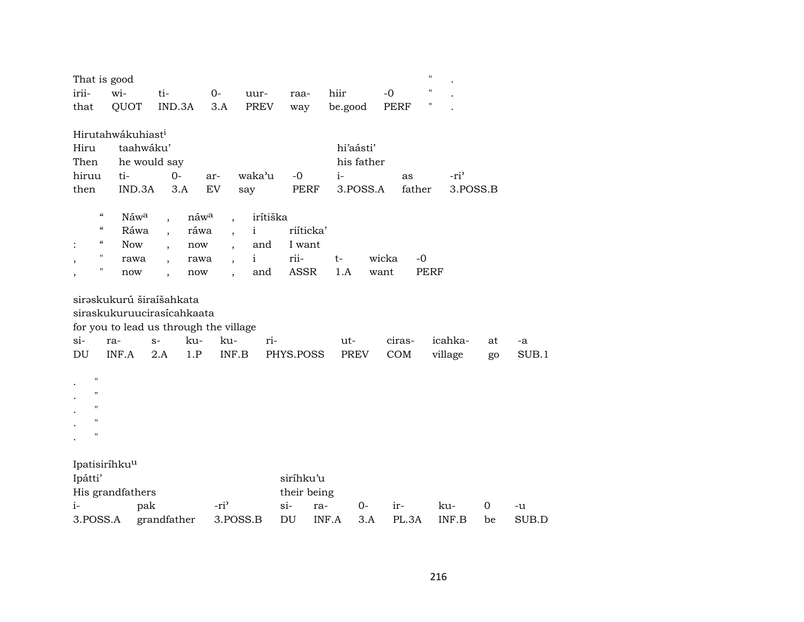| That is good                           |                               |                          |                  |                          |              |               |              |               | $\pmb{\mathsf{H}}$ |    |       |
|----------------------------------------|-------------------------------|--------------------------|------------------|--------------------------|--------------|---------------|--------------|---------------|--------------------|----|-------|
| irii-                                  | wi-                           | ti-                      |                  | $0-$                     | uur-         | raa-          | hiir         | $-0$          | $\pmb{\mathsf{H}}$ |    |       |
| that                                   | QUOT                          |                          | IND.3A           | 3.A                      | PREV         | way           | be.good      | <b>PERF</b>   | 11                 |    |       |
|                                        |                               |                          |                  |                          |              |               |              |               |                    |    |       |
|                                        | Hirutahwákuhiast <sup>i</sup> |                          |                  |                          |              |               |              |               |                    |    |       |
| Hiru                                   |                               | taahwáku'                |                  |                          |              |               | hi'aásti'    |               |                    |    |       |
| Then<br>he would say                   |                               |                          |                  |                          |              |               | his father   |               |                    |    |       |
| hiruu                                  | ti-                           |                          | $0-$             | ar-                      | waka'u       | $-0$          | $i-$         | as            | -ri <sup>3</sup>   |    |       |
| then                                   | IND.3A                        |                          | 3.A              | EV                       | say          | PERF          | 3.POSS.A     | father        | 3.POSS.B           |    |       |
| $\boldsymbol{\mathcal{C}}$             | Náwa                          |                          | náw <sup>a</sup> |                          | irítiška     |               |              |               |                    |    |       |
| $\boldsymbol{\zeta}\boldsymbol{\zeta}$ | Ráwa                          | $\overline{\phantom{a}}$ | ráwa             | $\overline{\phantom{a}}$ | i            | riíticka'     |              |               |                    |    |       |
| $\epsilon\epsilon$<br>$\ddot{\cdot}$   | <b>Now</b>                    | $\overline{\phantom{a}}$ | now              | $\overline{\phantom{a}}$ | and          | I want        |              |               |                    |    |       |
| $\pmb{\mathsf{H}}$<br>,                | rawa                          | $\overline{\phantom{a}}$ | rawa             | $\overline{\phantom{a}}$ | $\mathbf{i}$ | rii-          | $t-$         | $-0$<br>wicka |                    |    |       |
| "<br>,                                 | now                           |                          | now              |                          | and          | <b>ASSR</b>   | 1.A          | want          | <b>PERF</b>        |    |       |
|                                        |                               |                          |                  |                          |              |               |              |               |                    |    |       |
|                                        | sirəskukurú širaíšahkata      |                          |                  |                          |              |               |              |               |                    |    |       |
|                                        | siraskukuruucirasícahkaata    |                          |                  |                          |              |               |              |               |                    |    |       |
| for you to lead us through the village |                               |                          |                  |                          |              |               |              |               |                    |    |       |
| $si-$                                  | ra-                           | $S-$                     | ku-              | ku-                      | ri-          |               | ut-          | ciras-        | icahka-            | at | -a    |
| DU                                     | INF.A                         | 2.A                      | 1.P              | INF.B                    |              | PHYS.POSS     | <b>PREV</b>  | COM           | village            | go | SUB.1 |
|                                        |                               |                          |                  |                          |              |               |              |               |                    |    |       |
| $\pmb{\mathsf{H}}$                     |                               |                          |                  |                          |              |               |              |               |                    |    |       |
| $\pmb{\mathsf{H}}$                     |                               |                          |                  |                          |              |               |              |               |                    |    |       |
| $^{\prime\prime}$                      |                               |                          |                  |                          |              |               |              |               |                    |    |       |
| $^{\prime}$                            |                               |                          |                  |                          |              |               |              |               |                    |    |       |
| $\pmb{\mathsf{H}}$                     |                               |                          |                  |                          |              |               |              |               |                    |    |       |
|                                        | Ipatisiríhku <sup>u</sup>     |                          |                  |                          |              |               |              |               |                    |    |       |
| Ipátti'<br>siríhku'u                   |                               |                          |                  |                          |              |               |              |               |                    |    |       |
| His grandfathers                       |                               |                          |                  |                          |              | their being   |              |               |                    |    |       |
| $i-$                                   |                               | pak                      |                  | -ri <sup>3</sup>         |              | $\sin$<br>ra- | 0-           | ir-           | ku-                | 0  | -u    |
| 3.POSS.A                               |                               | grandfather              |                  | 3.POSS.B                 |              | DU            | INF.A<br>3.A | PL.3A         | INF.B              | be | SUB.D |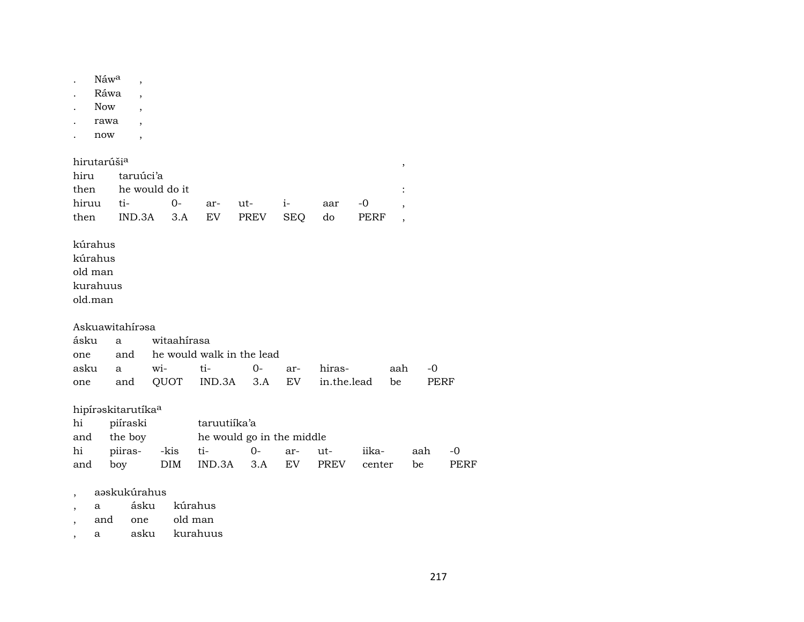|                                                                  | Náw <sup>a</sup>               |                |                           |             |            |             |             |                          |             |
|------------------------------------------------------------------|--------------------------------|----------------|---------------------------|-------------|------------|-------------|-------------|--------------------------|-------------|
|                                                                  | Ráwa                           |                |                           |             |            |             |             |                          |             |
| <b>Now</b>                                                       |                                |                |                           |             |            |             |             |                          |             |
|                                                                  | rawa                           |                |                           |             |            |             |             |                          |             |
| now                                                              | $\bullet$                      |                |                           |             |            |             |             |                          |             |
| hirutarúši <sup>a</sup>                                          |                                |                |                           |             |            |             |             | $\, ,$                   |             |
| hiru                                                             | taruúci'a                      |                |                           |             |            |             |             |                          |             |
| then                                                             |                                | he would do it |                           |             |            |             |             | $\ddot{\cdot}$           |             |
| hiruu                                                            | ti-                            | $0 -$          | ar-                       | ut-         | $i-$       | aar         | $-0$        | $\overline{\phantom{a}}$ |             |
| then                                                             | IND.3A                         | 3.A            | <b>EV</b>                 | <b>PREV</b> | <b>SEQ</b> | do          | <b>PERF</b> | $\cdot$                  |             |
| kúrahus<br>old man<br>kurahuus<br>old.man<br>ásku                | Askuawitahírəsa<br>a           | witaahirasa    |                           |             |            |             |             |                          |             |
| one                                                              | and                            |                | he would walk in the lead |             |            |             |             |                          |             |
| asku                                                             | a                              | wi-            | ti-                       | $0-$        | ar-        | hiras-      | aah         | $-0$                     |             |
| one                                                              | and                            | QUOT           | IND.3A                    | 3.A         | EV         | in.the.lead | be          |                          | PERF        |
|                                                                  | hipíraskitarutíka <sup>a</sup> |                |                           |             |            |             |             |                          |             |
| hi                                                               | piíraski                       |                | taruutiika'a              |             |            |             |             |                          |             |
| and                                                              | the boy                        |                | he would go in the middle |             |            |             |             |                          |             |
| hi                                                               | piiras-                        | -kis           | ti-                       | $0 -$       | ar-        | ut-         | iika-       | aah                      | $-0$        |
| and                                                              | boy                            | <b>DIM</b>     | IND.3A                    | 3.A         | EV         | <b>PREV</b> | center      | be                       | <b>PERF</b> |
| а<br>$\overline{\phantom{a}}$<br>and<br>$\overline{\phantom{a}}$ | aəskukúrahus<br>ásku<br>one    |                | kúrahus<br>old man        |             |            |             |             |                          |             |

, a asku kurahuus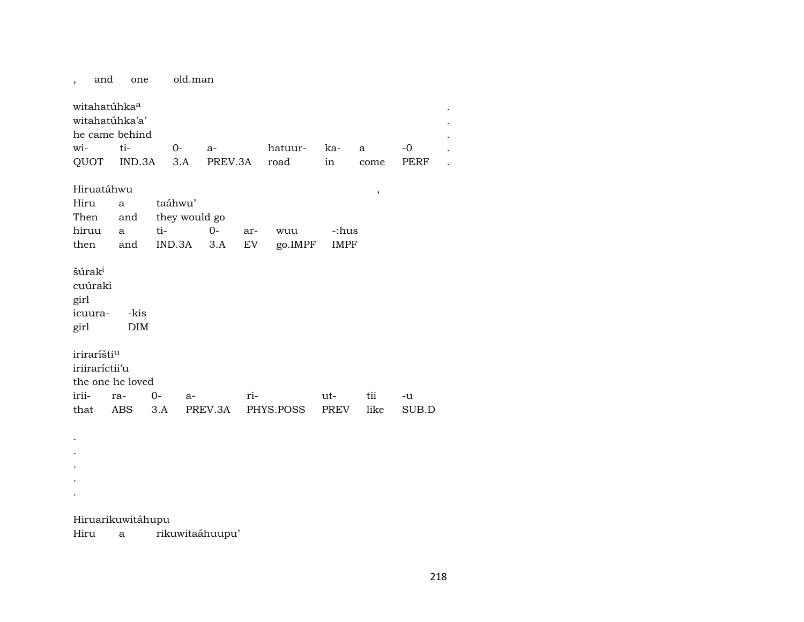old.man and one  $\overline{\phantom{a}}$ witahatúhka<sup>a</sup> witahatúhka'a' he came behind  $ti$ wi- $O -0$  $a$ hatuurka- $\mathbf{a}$ QUOT IND.3A  $3.A$ **PERF** PREV.3A road  $in$ come Hiruatáhwu  $\,$  , Hiru taáhwu'  $\mathbf{a}$ Then they would go and hiruu ti- $O -$ -:hus  $\mathbf{a}$ arwuu then  $IND.3A$  3.A  ${\rm EV}$ go.IMPF **IMPF** and šúra $\mathrm{k}^{\mathrm{i}}$ cuúraki girl icuura--kis **DIM** girl iriraríšti<sup>u</sup> iriiraríctii'u the one he loved irii- $0$ ra $a$ riuttii  $-u$ like PREV.3A PHYS.POSS SUB.D that **ABS**  $3.A$ **PREV**  $\bullet$ 

Hiruarikuwitáhupu

 $\overline{a}$  $\bullet$ 

 $\mathbf{r}$ 

rikuwitaáhuupu' Hiru  $\mathbf{a}$ 

 $\ddot{\phantom{a}}$ 

 $\ddot{\phantom{a}}$ 

 $\ddot{\phantom{a}}$ 

 $\ddot{\phantom{a}}$ 

 $\ddot{\phantom{a}}$  .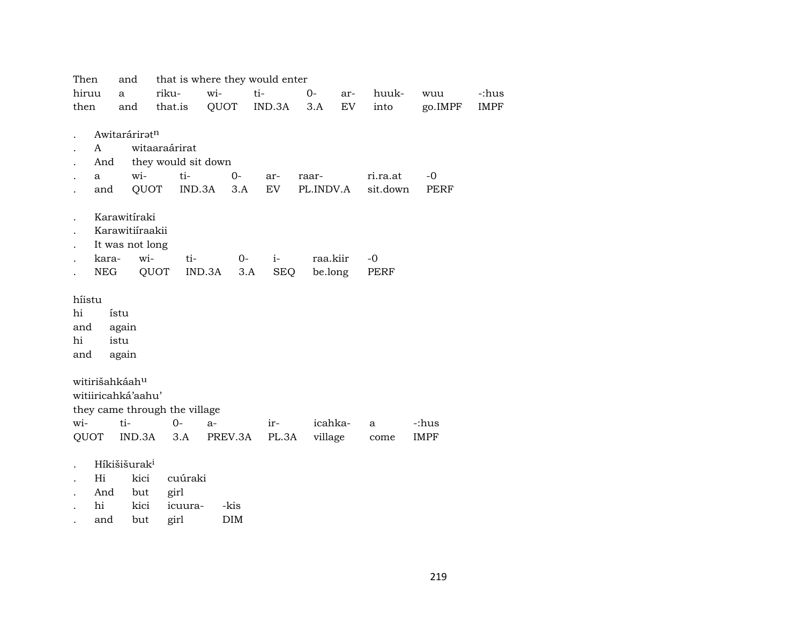| Then                          | and                      |                     |         |        |         | that is where they would enter |           |          |          |             |             |
|-------------------------------|--------------------------|---------------------|---------|--------|---------|--------------------------------|-----------|----------|----------|-------------|-------------|
| hiruu                         | a                        | riku-               |         | wi-    |         | ti-                            | $0-$      | ar-      | huuk-    | wuu         | -:hus       |
| then                          | and                      |                     | that.is | QUOT   |         | IND.3A                         | 3.A       | EV       | into     | go.IMPF     | <b>IMPF</b> |
|                               | Awitaráriratn            |                     |         |        |         |                                |           |          |          |             |             |
| A                             |                          | witaaraárirat       |         |        |         |                                |           |          |          |             |             |
| And                           |                          | they would sit down |         |        |         |                                |           |          |          |             |             |
| a                             | wi-                      |                     | ti-     |        | $0-$    | ar-                            | raar-     |          | ri.ra.at | -0          |             |
| and                           |                          | QUOT                | IND.3A  |        | 3.A     | EV                             | PL.INDV.A |          | sit.down | PERF        |             |
|                               | Karawitíraki             |                     |         |        |         |                                |           |          |          |             |             |
|                               | Karawitiíraakii          |                     |         |        |         |                                |           |          |          |             |             |
|                               | It was not long          |                     |         |        |         |                                |           |          |          |             |             |
| kara-                         |                          | wi-                 | ti-     |        | $0-$    | $i-$                           |           | raa.kiir | $-0$     |             |             |
|                               | NEG                      | QUOT                |         | IND.3A | 3.A     | SEQ                            |           | be.long  | PERF     |             |             |
| híistu                        |                          |                     |         |        |         |                                |           |          |          |             |             |
| hi                            | ístu                     |                     |         |        |         |                                |           |          |          |             |             |
| and                           | again                    |                     |         |        |         |                                |           |          |          |             |             |
| hi                            | istu                     |                     |         |        |         |                                |           |          |          |             |             |
| and                           | again                    |                     |         |        |         |                                |           |          |          |             |             |
| witirišahkáahu                |                          |                     |         |        |         |                                |           |          |          |             |             |
| witiiricahká'aahu'            |                          |                     |         |        |         |                                |           |          |          |             |             |
| they came through the village |                          |                     |         |        |         |                                |           |          |          |             |             |
| wi-                           | ti-                      |                     | $0-$    | a-     |         | ir-                            |           | icahka-  | a        | -:hus       |             |
| <b>QUOT</b>                   | IND.3A                   |                     | 3.A     |        | PREV.3A | PL.3A                          |           | village  | come     | <b>IMPF</b> |             |
|                               |                          |                     |         |        |         |                                |           |          |          |             |             |
|                               | Híkišišurak <sup>i</sup> |                     |         |        |         |                                |           |          |          |             |             |
| Hi                            | kici                     |                     | cuúraki |        |         |                                |           |          |          |             |             |
| And                           | but                      | girl                |         |        |         |                                |           |          |          |             |             |
| hi                            | kici                     |                     | icuura- |        | -kis    |                                |           |          |          |             |             |

. and but girl DIM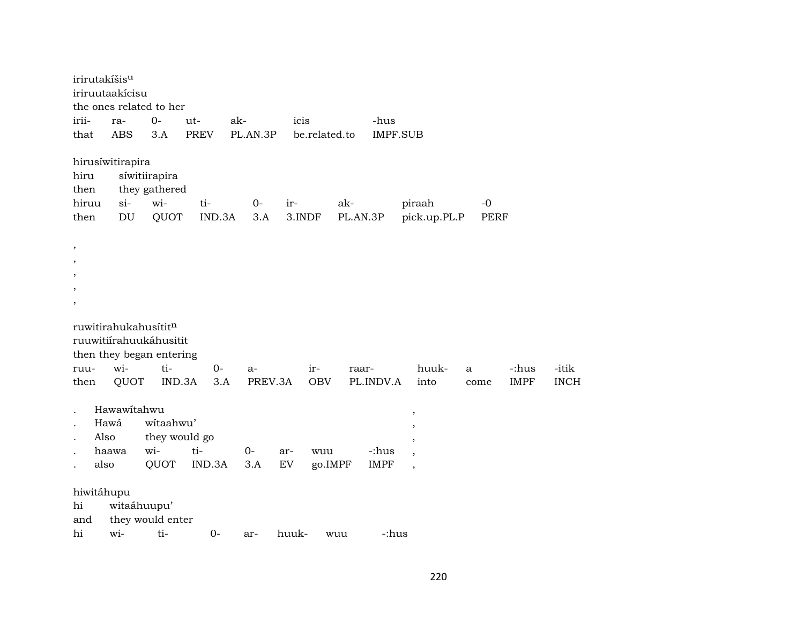|                      | irirutakíšis <sup>u</sup>  |                  |             |          |             |               |          |                 |                          |             |             |             |
|----------------------|----------------------------|------------------|-------------|----------|-------------|---------------|----------|-----------------|--------------------------|-------------|-------------|-------------|
|                      | iriruutaakícisu            |                  |             |          |             |               |          |                 |                          |             |             |             |
|                      | the ones related to her    |                  |             |          |             |               |          |                 |                          |             |             |             |
| irii-                | ra-                        | $0-$             | ut-         | ak-      |             | icis          |          | -hus            |                          |             |             |             |
| that                 | <b>ABS</b>                 | 3.A              | <b>PREV</b> | PL.AN.3P |             | be.related.to |          | <b>IMPF.SUB</b> |                          |             |             |             |
|                      | hirusíwitirapira           |                  |             |          |             |               |          |                 |                          |             |             |             |
| hiru                 |                            | síwitiirapira    |             |          |             |               |          |                 |                          |             |             |             |
| then                 |                            | they gathered    |             |          |             |               |          |                 |                          |             |             |             |
| hiruu                | $si-$                      | wi-              | ti-         |          | $0-$<br>ir- |               | ak-      |                 | piraah                   | $-0$        |             |             |
| then                 | $\mathop{\rm DU}\nolimits$ | QUOT             | IND.3A      |          | 3.A         | 3.INDF        | PL.AN.3P |                 | pick.up.PL.P             | <b>PERF</b> |             |             |
| $\, ,$               |                            |                  |             |          |             |               |          |                 |                          |             |             |             |
| $\, ,$               |                            |                  |             |          |             |               |          |                 |                          |             |             |             |
| $^\mathrm{,}$        |                            |                  |             |          |             |               |          |                 |                          |             |             |             |
| $\, ,$               |                            |                  |             |          |             |               |          |                 |                          |             |             |             |
| ,                    |                            |                  |             |          |             |               |          |                 |                          |             |             |             |
|                      | ruwitirahukahusititn       |                  |             |          |             |               |          |                 |                          |             |             |             |
|                      | ruuwitiírahuukáhusitit     |                  |             |          |             |               |          |                 |                          |             |             |             |
|                      | then they began entering   |                  |             |          |             |               |          |                 |                          |             |             |             |
| ruu-                 | wi-                        | ti-              | $0 -$       | a-       |             | $ir-$         | raar-    |                 | huuk-                    | a           | -:hus       | -itik       |
| then                 | QUOT                       | IND.3A           |             | 3.A      | PREV.3A     | <b>OBV</b>    |          | PL.INDV.A       | into                     | come        | <b>IMPF</b> | <b>INCH</b> |
|                      | Hawawitahwu                |                  |             |          |             |               |          |                 | $\,$                     |             |             |             |
| $\ddot{\phantom{a}}$ | Hawá                       | witaahwu'        |             |          |             |               |          |                 | ,                        |             |             |             |
| $\cdot$              | Also                       | they would go    |             |          |             |               |          |                 | $\cdot$                  |             |             |             |
|                      | haawa                      | wi-              | ti-         | $0-$     | ar-         | wuu           |          | -:hus           | $\,$                     |             |             |             |
|                      | also                       | QUOT             | IND.3A      | 3.A      | ${\rm EV}$  | go.IMPF       |          | <b>IMPF</b>     | $\overline{\phantom{a}}$ |             |             |             |
|                      | hiwitáhupu                 |                  |             |          |             |               |          |                 |                          |             |             |             |
| hi                   |                            | witaáhuupu'      |             |          |             |               |          |                 |                          |             |             |             |
| and                  |                            | they would enter |             |          |             |               |          |                 |                          |             |             |             |
| hi                   | wi-                        | ti-              | $0-$        | ar-      | huuk-       |               | wuu      | -:hus           |                          |             |             |             |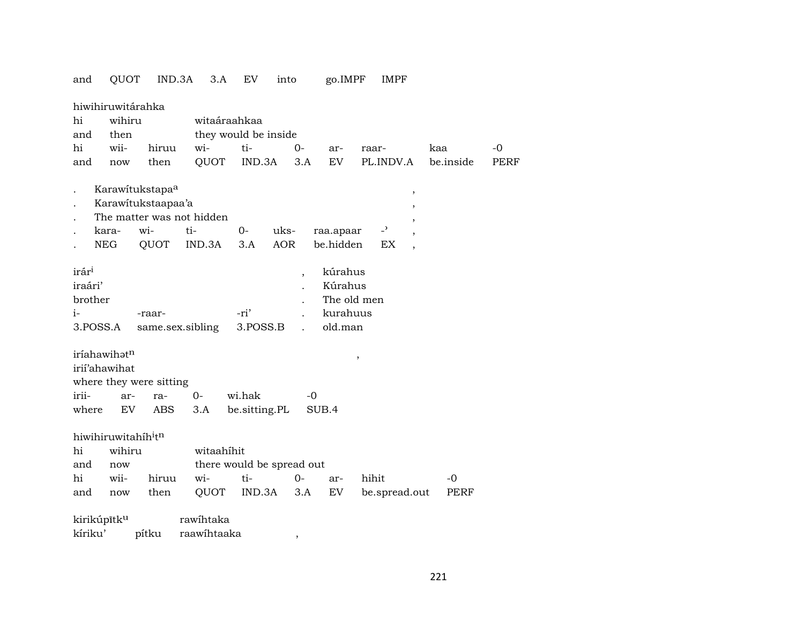| and               | QUOT                                        | IND.3A                      | 3.A                       | EV                   | into                      | go.IMPF     |                     | <b>IMPF</b>              |           |      |
|-------------------|---------------------------------------------|-----------------------------|---------------------------|----------------------|---------------------------|-------------|---------------------|--------------------------|-----------|------|
|                   | hiwihiruwitárahka                           |                             |                           |                      |                           |             |                     |                          |           |      |
| hi                | wihiru                                      |                             | witaáraahkaa              |                      |                           |             |                     |                          |           |      |
| and               | then                                        |                             |                           | they would be inside |                           |             |                     |                          |           |      |
| hi                | wii-                                        | hiruu                       | wi-                       | ti-                  | $0-$                      | ar-         | raar-               |                          | kaa       | -0   |
| and               | now                                         | then                        | QUOT                      | IND.3A               | 3.A                       | EV          |                     | PL.INDV.A                | be.inside | PERF |
|                   |                                             |                             |                           |                      |                           |             |                     |                          |           |      |
|                   |                                             | Karawitukstapa <sup>a</sup> |                           |                      |                           |             |                     |                          |           |      |
|                   |                                             | Karawitukstaapaa'a          |                           |                      |                           |             |                     | $\, ,$                   |           |      |
|                   |                                             |                             | The matter was not hidden |                      |                           |             |                     | $\overline{\phantom{a}}$ |           |      |
|                   | kara-                                       | wi-                         | ti-                       | 0-                   | uks-                      | raa.apaar   |                     | $-$ <sup>3</sup>         |           |      |
|                   | NEG                                         | QUOT                        | IND.3A                    | 3.A                  | AOR                       | be.hidden   |                     | EX                       |           |      |
|                   |                                             |                             |                           |                      |                           |             |                     |                          |           |      |
| irár <sup>i</sup> |                                             |                             |                           |                      |                           | kúrahus     |                     |                          |           |      |
| iraári'           |                                             |                             |                           |                      | $\overline{\phantom{a}}$  | Kúrahus     |                     |                          |           |      |
| brother           |                                             |                             |                           |                      |                           | The old men |                     |                          |           |      |
| i-                |                                             | -raar-                      |                           | -ri'                 |                           | kurahuus    |                     |                          |           |      |
|                   | 3.POSS.A                                    |                             | same.sex.sibling          | 3.POSS.B             |                           | old.man     |                     |                          |           |      |
|                   |                                             |                             |                           |                      |                           |             |                     |                          |           |      |
|                   | iríahawihatn                                |                             |                           |                      |                           |             |                     |                          |           |      |
|                   | irií'ahawihat                               |                             |                           |                      |                           |             | $\pmb{\mathcal{I}}$ |                          |           |      |
|                   |                                             | where they were sitting     |                           |                      |                           |             |                     |                          |           |      |
| irii-             | ar-                                         | ra-                         | $0-$                      | wi.hak               | -0                        |             |                     |                          |           |      |
|                   |                                             |                             |                           |                      |                           |             |                     |                          |           |      |
| where             | EV                                          | ABS                         | 3.A                       | be.sitting.PL        |                           | SUB.4       |                     |                          |           |      |
|                   | hiwihiruwitahíh <sup>i</sup> t <sup>n</sup> |                             |                           |                      |                           |             |                     |                          |           |      |
| hi                | wihiru                                      |                             | witaahihit                |                      |                           |             |                     |                          |           |      |
| and               | now                                         |                             |                           |                      | there would be spread out |             |                     |                          |           |      |
| hi                | wii-                                        | hiruu                       | wi-                       | ti-                  | $0-$                      | ar-         | hihit               |                          | $-0$      |      |
| and               | now                                         | then                        | QUOT                      | IND.3A               | 3.A                       | EV          |                     | be.spread.out            | PERF      |      |
|                   |                                             |                             |                           |                      |                           |             |                     |                          |           |      |
|                   | kirikúpītk <sup>u</sup>                     |                             | rawihtaka                 |                      |                           |             |                     |                          |           |      |
| kíriku'           |                                             | pítku                       | raawihtaaka               |                      | ,                         |             |                     |                          |           |      |

#### 221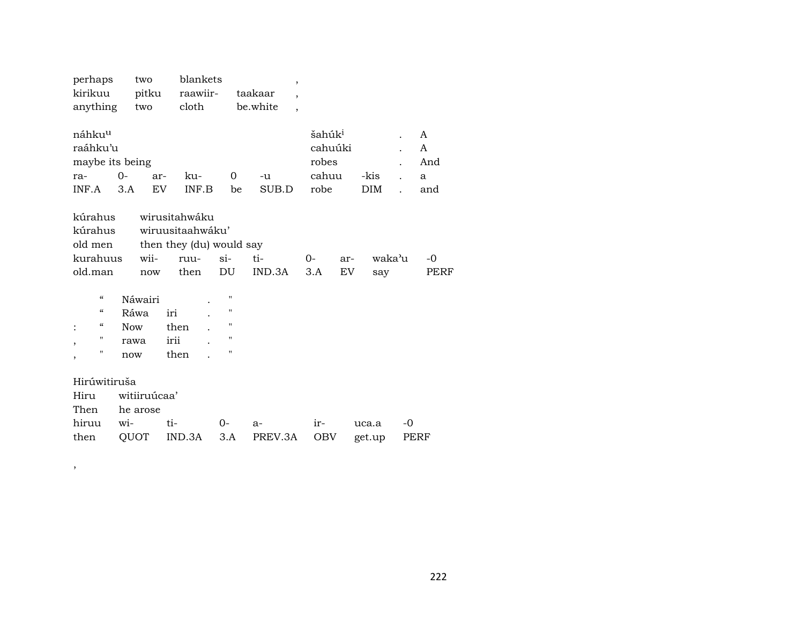| perhaps                                | two          | blankets                 |                    | $\overline{\phantom{a}}$             |                    |               |                           |
|----------------------------------------|--------------|--------------------------|--------------------|--------------------------------------|--------------------|---------------|---------------------------|
| kirikuu                                | pitku        | raawiir-                 |                    | taakaar<br>$\overline{\phantom{a}}$  |                    |               |                           |
| anything                               | two          | cloth                    |                    | be.white<br>$\overline{\phantom{a}}$ |                    |               |                           |
|                                        |              |                          |                    |                                      |                    |               |                           |
| náhku <sup>u</sup>                     |              |                          |                    |                                      | šahúk <sup>i</sup> |               | A<br>$\ddot{\phantom{0}}$ |
| raáhku'u                               |              |                          |                    |                                      | cahuúki            |               | A                         |
| maybe its being                        |              |                          |                    |                                      | robes              |               | And                       |
| ra-                                    | $0-$         | ku-<br>ar-               | 0                  | -u                                   | cahuu              | -kis          | $\mathbf{a}$              |
| INF.A                                  | 3.A          | <b>EV</b><br>INF.B       | be                 | SUB.D                                | robe               | <b>DIM</b>    | and                       |
|                                        |              |                          |                    |                                      |                    |               |                           |
| kúrahus                                |              | wirusitahwáku            |                    |                                      |                    |               |                           |
| kúrahus                                |              | wiruusitaahwáku'         |                    |                                      |                    |               |                           |
| old men                                |              | then they (du) would say |                    |                                      |                    |               |                           |
| kurahuus                               | wii-         | ruu-                     | $\sin$             | ti-                                  | $O -$              | waka'u<br>ar- | -0                        |
| old.man                                | now          | then                     | DU                 | IND.3A                               | 3.A                | EV<br>say     | PERF                      |
|                                        |              |                          |                    |                                      |                    |               |                           |
| $\boldsymbol{\zeta}\boldsymbol{\zeta}$ | Náwairi      |                          | $\pmb{\mathsf{H}}$ |                                      |                    |               |                           |
| $\boldsymbol{\zeta}\boldsymbol{\zeta}$ | Ráwa         | iri                      | п                  |                                      |                    |               |                           |
| $\boldsymbol{\zeta}\boldsymbol{\zeta}$ | <b>Now</b>   | then                     | 11                 |                                      |                    |               |                           |
| $\pmb{\mathsf{H}}$<br>$\cdot$          | rawa         | irii                     | $\pmb{\mathsf{H}}$ |                                      |                    |               |                           |
| "<br>,                                 | now          | then                     | Н                  |                                      |                    |               |                           |
|                                        |              |                          |                    |                                      |                    |               |                           |
| Hirúwitiruša                           |              |                          |                    |                                      |                    |               |                           |
| Hiru                                   | witiiruúcaa' |                          |                    |                                      |                    |               |                           |
| Then                                   | he arose     |                          |                    |                                      |                    |               |                           |
| hiruu                                  | wi-          | ti-                      | $0-$               | $a-$                                 | ir-                | uca.a         | $-0$                      |
| then                                   | QUOT         | IND.3A                   | 3.A                | PREV.3A                              | <b>OBV</b>         | get.up        | PERF                      |

,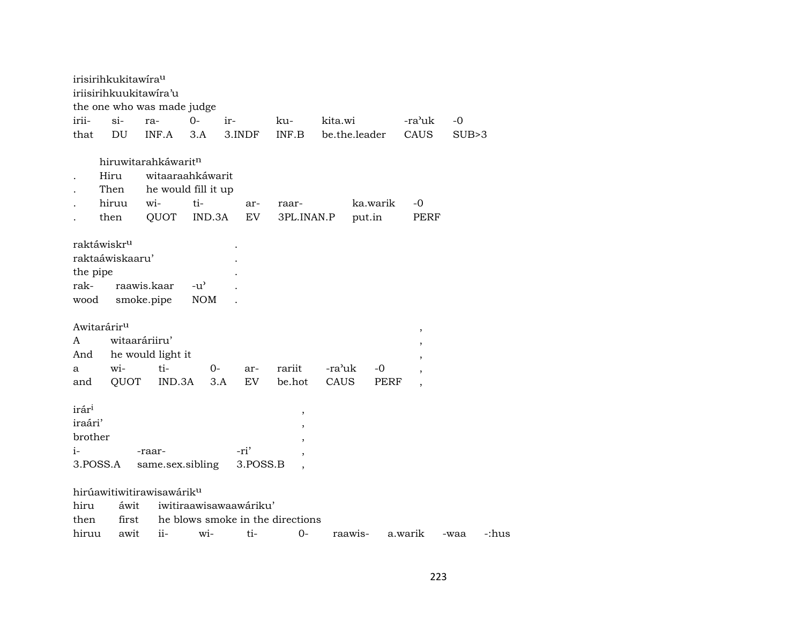|                              | irisirihkukitawira <sup>u</sup><br>iriisirihkuukitawira'u |                                       |                        |                                                                        |                          |               |          |                |       |       |
|------------------------------|-----------------------------------------------------------|---------------------------------------|------------------------|------------------------------------------------------------------------|--------------------------|---------------|----------|----------------|-------|-------|
|                              |                                                           | the one who was made judge            |                        |                                                                        |                          |               |          |                |       |       |
| irii-                        | $\sin$                                                    | ra-                                   | $O -$                  | ir-                                                                    | ku-                      | kita.wi       |          | -ra'uk         | $-0$  |       |
| that                         | DU                                                        | INF.A                                 | 3.A                    | 3.INDF                                                                 | INF.B                    | be.the.leader |          | CAUS           | SUB>3 |       |
|                              |                                                           |                                       |                        |                                                                        |                          |               |          |                |       |       |
|                              |                                                           | hiruwitarahkáwaritn                   |                        |                                                                        |                          |               |          |                |       |       |
|                              | Hiru                                                      | witaaraahkáwarit                      |                        |                                                                        |                          |               |          |                |       |       |
|                              | Then                                                      | he would fill it up                   |                        |                                                                        |                          |               |          |                |       |       |
|                              | hiruu                                                     | wi-                                   | ti-                    | ar-                                                                    | raar-                    |               | ka.warik | $-0$           |       |       |
|                              | then                                                      | QUOT                                  | IND.3A                 | EV                                                                     | 3PL.INAN.P               |               | put.in   | <b>PERF</b>    |       |       |
|                              |                                                           |                                       |                        |                                                                        |                          |               |          |                |       |       |
|                              | raktáwiskr <sup>u</sup>                                   |                                       |                        |                                                                        |                          |               |          |                |       |       |
|                              | raktaáwiskaaru'                                           |                                       |                        |                                                                        |                          |               |          |                |       |       |
| the pipe                     |                                                           |                                       |                        |                                                                        |                          |               |          |                |       |       |
| rak-                         |                                                           | raawis.kaar                           | $-u^{\prime}$          |                                                                        |                          |               |          |                |       |       |
| wood                         |                                                           | smoke.pipe                            | <b>NOM</b>             |                                                                        |                          |               |          |                |       |       |
|                              |                                                           |                                       |                        |                                                                        |                          |               |          |                |       |       |
|                              | Awitarárir <sup>u</sup>                                   |                                       |                        |                                                                        |                          |               |          | $\,$           |       |       |
| A                            |                                                           | witaaráriiru'                         |                        |                                                                        |                          |               |          | $\,$           |       |       |
| And                          |                                                           | he would light it                     |                        |                                                                        |                          |               |          | $\,$           |       |       |
| a                            | wi-                                                       | ti-                                   | $0-$                   | ar-                                                                    | rariit                   | -ra'uk        | $-0$     |                |       |       |
| and                          | QUOT                                                      | IND.3A                                | 3.A                    | EV                                                                     | be.hot                   | CAUS          | PERF     | $\overline{ }$ |       |       |
|                              |                                                           |                                       |                        |                                                                        |                          |               |          |                |       |       |
| irár <sup>i</sup><br>iraári' |                                                           |                                       |                        |                                                                        | $\, ,$                   |               |          |                |       |       |
|                              |                                                           |                                       |                        |                                                                        |                          |               |          |                |       |       |
| brother                      |                                                           |                                       |                        |                                                                        | $\overline{\phantom{a}}$ |               |          |                |       |       |
| i-                           |                                                           | -raar-                                |                        | -ri'                                                                   |                          |               |          |                |       |       |
|                              | 3.POSS.A                                                  | same.sex.sibling                      |                        | 3.POSS.B                                                               |                          |               |          |                |       |       |
|                              |                                                           | hirúawitiwitirawisawárik <sup>u</sup> |                        |                                                                        |                          |               |          |                |       |       |
|                              |                                                           |                                       |                        |                                                                        |                          |               |          |                |       |       |
|                              |                                                           |                                       |                        |                                                                        |                          |               |          |                |       |       |
|                              |                                                           |                                       |                        |                                                                        |                          |               |          |                |       |       |
| hiru<br>then<br>hiruu        | áwit<br>awit                                              | $\overline{\mathbf{i}}$               | $\overline{\text{wi}}$ | iwitiraawisawaawáriku'<br>first he blows smoke in the directions<br>ti | $0-$                     | raawis-       |          | a.warik        | -waa  | -:hus |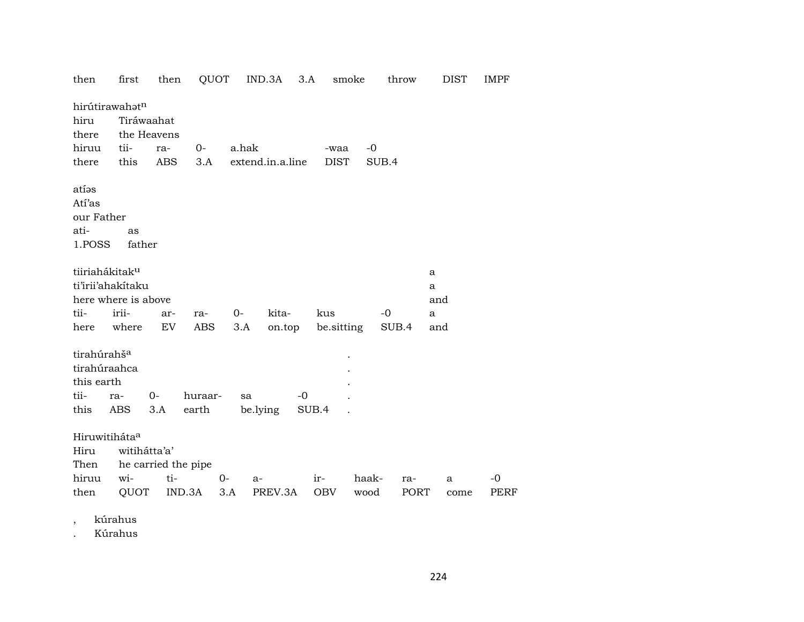| then                                                                  | first               | then                      | QUOT             |       | IND.3A           | 3.A<br>smoke |       | throw | <b>DIST</b> | <b>IMPF</b> |
|-----------------------------------------------------------------------|---------------------|---------------------------|------------------|-------|------------------|--------------|-------|-------|-------------|-------------|
| hiru<br>there                                                         | hirútirawahatn      | Tiráwaahat<br>the Heavens |                  |       |                  |              |       |       |             |             |
| hiruu                                                                 | tii-                | ra-                       | 0-               | a.hak |                  | -waa         | $-0$  |       |             |             |
| there                                                                 | this                | <b>ABS</b>                | 3.A              |       | extend.in.a.line | <b>DIST</b>  |       | SUB.4 |             |             |
| atías<br>Atí'as<br>our Father<br>ati-<br>1.POSS                       | as<br>father        |                           |                  |       |                  |              |       |       |             |             |
| tiiriahákitak <sup>u</sup>                                            |                     |                           |                  |       |                  |              |       |       | a           |             |
|                                                                       | ti'irii'ahakitaku   |                           |                  |       |                  |              |       |       | a           |             |
|                                                                       | here where is above |                           |                  |       |                  |              |       |       | and         |             |
| tii-                                                                  | irii-               | ar-                       | ra-              | $0-$  | kita-            | kus          |       | $-0$  | a           |             |
| here                                                                  | where               | EV                        | ABS              | 3.A   | on.top           | be sitting   |       | SUB.4 | and         |             |
| tirahúrahš <sup>a</sup><br>tirahúraahca<br>this earth<br>tii-<br>this | ra-<br>ABS          | $0 -$<br>3.A              | huraar-<br>earth | sa    | $-0$<br>be.lying | SUB.4        |       |       |             |             |
| Hiruwitiháta <sup>a</sup><br>Hiru<br>Then                             | witihátta'a'        | he carried the pipe       |                  |       |                  |              |       |       |             |             |
| hiruu                                                                 | wi-                 | ti-                       | $0-$             | a-    |                  | ir-          | haak- | ra-   | a           | -0          |
| then                                                                  | QUOT                |                           | IND.3A           | 3.A   | PREV.3A          | OBV          | wood  | PORT  | come        | PERF        |
|                                                                       |                     |                           |                  |       |                  |              |       |       |             |             |

kúrahus  $\cdot$ 

Kúrahus  $\ddot{\phantom{a}}$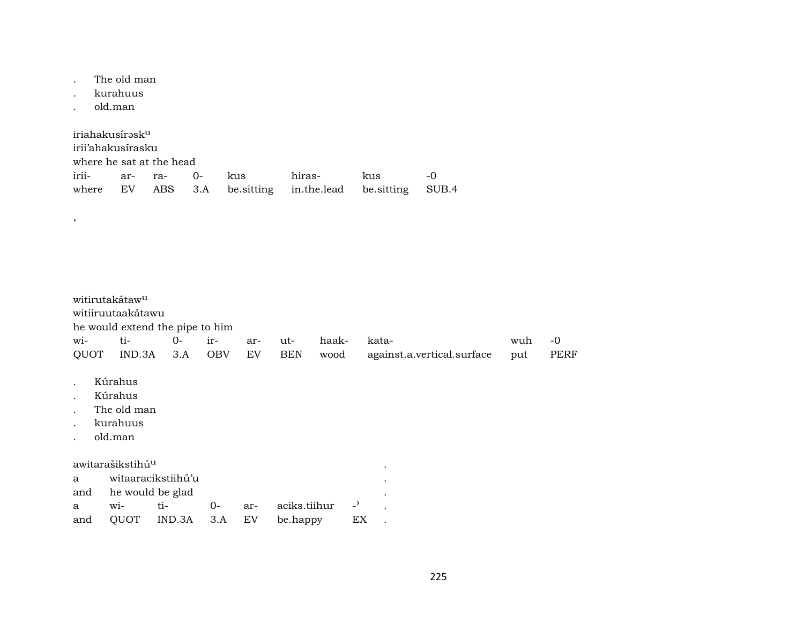. The old man

- . kurahuus
- . old.man

,

| iriahakusírəsk <sup>u</sup> |                          |  |  |     |                                                          |       |           |  |  |  |  |  |
|-----------------------------|--------------------------|--|--|-----|----------------------------------------------------------|-------|-----------|--|--|--|--|--|
|                             | irii'ahakusirasku        |  |  |     |                                                          |       |           |  |  |  |  |  |
|                             | where he sat at the head |  |  |     |                                                          |       |           |  |  |  |  |  |
| irii- ar- ra- 0-            |                          |  |  | kus | hiras-                                                   | – kus | $-\Omega$ |  |  |  |  |  |
|                             |                          |  |  |     | where EV ABS 3.A be sitting in the lead be sitting SUB.4 |       |           |  |  |  |  |  |

witirutakátaw<sup>u</sup> witiiruutaakátawu he would extend the pipe to him wi- ti- 0- ir- ar- ut- haak- kata- wuh -0 QUOT IND.3A 3.A OBV EV BEN wood against.a.vertical.surface put PERF . Kúrahus . Kúrahus . The old man . kurahuus . old.man awitarašikstihú<sup>u</sup> energy amerikanský herec a strong a strong a strong a strong a strong a strong a strong a strong a strong a strong a strong a strong a strong a strong a strong a strong a strong a strong a strong a stron a witaaracikstiihú'u . and he would be glad a wi- ti- 0- ar- aciks.tiihur -<sup>3</sup> . and QUOT IND.3A 3.A EV be.happy EX .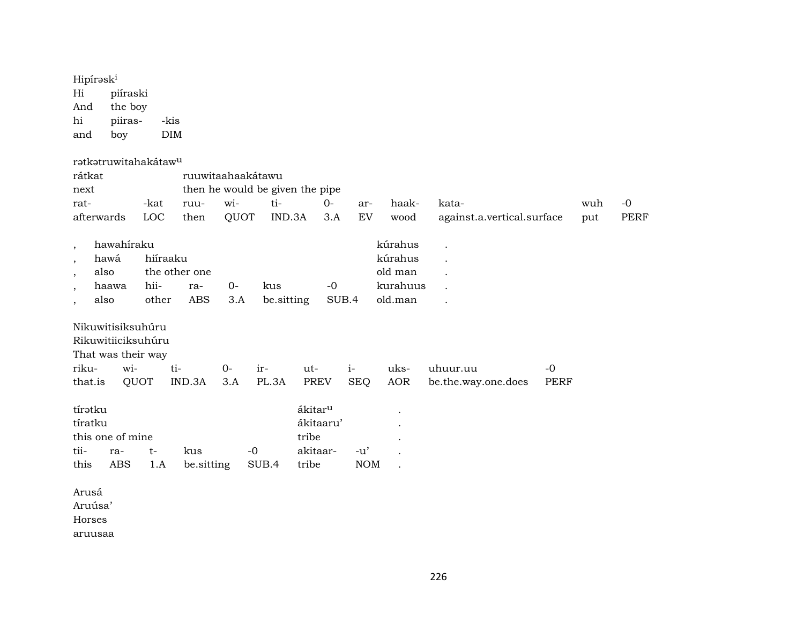| Hipírask <sup>i</sup><br>Hi<br>piíraski<br>the boy<br>And<br>piiras-<br>hi<br>boy<br>and                                                    | -kis<br><b>DIM</b>        |                                    |              |                   |                                                                |                     |                                                      |                                     |                     |            |                     |
|---------------------------------------------------------------------------------------------------------------------------------------------|---------------------------|------------------------------------|--------------|-------------------|----------------------------------------------------------------|---------------------|------------------------------------------------------|-------------------------------------|---------------------|------------|---------------------|
| ratkatruwitahakátaw <sup>u</sup><br>rátkat<br>next<br>rat-<br>afterwards                                                                    | -kat<br>LOC               | ruuwitaahaakátawu<br>ruu-<br>then  | wi-<br>QUOT  | ti-<br>IND.3A     | then he would be given the pipe<br>$0-$<br>3.A                 | ar-<br>${\rm EV}$   | haak-<br>wood                                        | kata-<br>against.a.vertical.surface |                     | wuh<br>put | $-0$<br><b>PERF</b> |
| hawahiraku<br>$\cdot$<br>hawá<br>$\overline{\phantom{a}}$<br>also<br>$\overline{ }$<br>haawa<br>$\overline{\phantom{a}}$<br>also<br>$\cdot$ | hiíraaku<br>hii-<br>other | the other one<br>ra-<br><b>ABS</b> | $0 -$<br>3.A | kus<br>be.sitting | $-0$<br>SUB.4                                                  |                     | kúrahus<br>kúrahus<br>old man<br>kurahuus<br>old.man |                                     |                     |            |                     |
| Nikuwitisiksuhúru<br>Rikuwitiiciksuhúru<br>That was their way<br>wi-<br>riku-<br>that.is                                                    | ti-<br>QUOT               | IND.3A                             | $O -$<br>3.A | ir-<br>PL.3A      | ut-<br><b>PREV</b>                                             | $i-$<br><b>SEQ</b>  | uks-<br><b>AOR</b>                                   | uhuur.uu<br>be.the.way.one.does     | $-0$<br><b>PERF</b> |            |                     |
| tíratku<br>tíratku<br>this one of mine<br>tii-<br>ra-<br><b>ABS</b><br>this                                                                 | $t-$<br>1.A               | kus<br>be.sitting                  |              | $-0$<br>SUB.4     | ákitar <sup>u</sup><br>ákitaaru'<br>tribe<br>akitaar-<br>tribe | $-u'$<br><b>NOM</b> |                                                      |                                     |                     |            |                     |
| Arusá<br>Aruúsa'<br>Horses<br>aruusaa                                                                                                       |                           |                                    |              |                   |                                                                |                     |                                                      |                                     |                     |            |                     |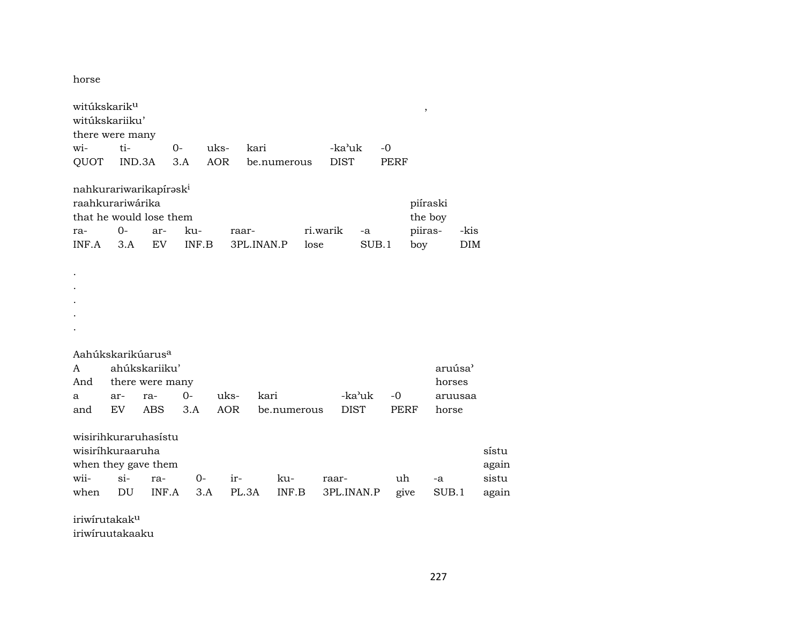horse

| witúkskarik <sup>u</sup><br>witúkskariiku'<br>there were many                                     |             |                 |              |            |                     |             |                  |             |             |      | $\,$                                  |         |                    |                |
|---------------------------------------------------------------------------------------------------|-------------|-----------------|--------------|------------|---------------------|-------------|------------------|-------------|-------------|------|---------------------------------------|---------|--------------------|----------------|
| wi-                                                                                               | ti-         |                 | $O -$        | uks-       | kari                |             |                  | -ka'uk      |             | $-0$ |                                       |         |                    |                |
| QUOT                                                                                              | IND.3A      |                 | 3.A          | <b>AOR</b> |                     | be.numerous |                  | <b>DIST</b> |             | PERF |                                       |         |                    |                |
| nahkurariwarikapirəsk <sup>i</sup><br>raahkurariwárika<br>that he would lose them<br>ra-<br>INF.A | $0-$<br>3.A | ar-<br>EV       | ku-<br>INF.B |            | raar-<br>3PL.INAN.P |             | ri.warik<br>lose |             | -a<br>SUB.1 |      | piíraski<br>the boy<br>piiras-<br>boy |         | -kis<br><b>DIM</b> |                |
|                                                                                                   |             |                 |              |            |                     |             |                  |             |             |      |                                       |         |                    |                |
| Aahúkskarikúarus <sup>a</sup><br>A                                                                |             | ahúkskariiku'   |              |            |                     |             |                  |             |             |      |                                       | aruúsa' |                    |                |
| And                                                                                               |             | there were many |              |            |                     |             |                  |             |             |      |                                       | horses  |                    |                |
| a                                                                                                 | ar-         | ra-             | $O -$        | uks-       | kari                |             |                  |             | -ka'uk      | $-0$ |                                       | aruusaa |                    |                |
| and                                                                                               | EV          | ABS             | 3.A          | <b>AOR</b> |                     | be.numerous |                  | <b>DIST</b> |             | PERF |                                       | horse   |                    |                |
| wisirihkuraruhasistu<br>wisiríhkuraaruha<br>when they gave them                                   |             |                 |              |            |                     |             |                  |             |             |      |                                       |         |                    | sístu<br>again |
| wii-                                                                                              | $\sin$      | ra-             | $0-$         | ir-        |                     | ku-         |                  | raar-       |             | uh   |                                       | -a      |                    | sistu          |
| when                                                                                              | DU          | INF.A           |              | 3.A        | PL.3A               | INF.B       |                  | 3PL.INAN.P  |             | give |                                       | SUB.1   |                    | again          |
| $int_{2}^{2} sin 2\pi sin 2\pi = 1 - 1 - 11$                                                      |             |                 |              |            |                     |             |                  |             |             |      |                                       |         |                    |                |

iriwírutakakµ iriwíruutakaaku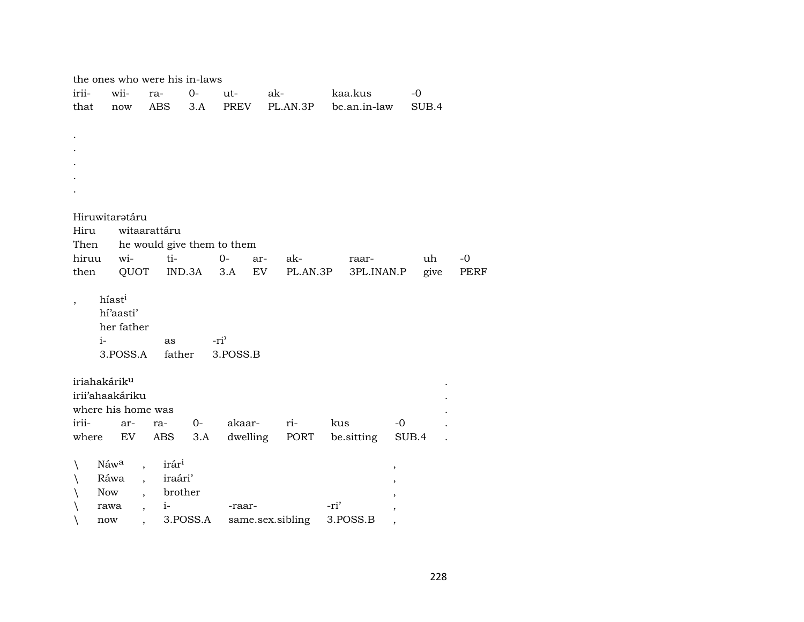|                          |                          | the ones who were his in-laws       |             |                            |                      |                   |                          |      |
|--------------------------|--------------------------|-------------------------------------|-------------|----------------------------|----------------------|-------------------|--------------------------|------|
| irii-                    | wii-                     | ra-                                 | $0 -$       | ut-                        | ak-                  | kaa.kus           | $-0$                     |      |
| that                     | now                      | ABS                                 | 3.A         | PREV                       | PL.AN.3P             | be.an.in-law      | SUB.4                    |      |
|                          |                          |                                     |             |                            |                      |                   |                          |      |
|                          |                          |                                     |             |                            |                      |                   |                          |      |
|                          |                          |                                     |             |                            |                      |                   |                          |      |
|                          |                          |                                     |             |                            |                      |                   |                          |      |
|                          |                          |                                     |             |                            |                      |                   |                          |      |
|                          |                          |                                     |             |                            |                      |                   |                          |      |
|                          | Hiruwitaratáru           |                                     |             |                            |                      |                   |                          |      |
| Hiru                     |                          | witaarattáru                        |             |                            |                      |                   |                          |      |
| Then                     |                          |                                     |             | he would give them to them |                      |                   |                          |      |
| hiruu                    | wi-                      | ti-                                 |             | $0-$                       | ak-<br>ar-           | raar-             | uh                       | $-0$ |
| then                     | QUOT                     |                                     | IND.3A      | 3.A                        | EV<br>PL.AN.3P       | 3PL.INAN.P        | give                     | PERF |
| $\overline{\phantom{a}}$ | híast <sup>i</sup>       |                                     |             |                            |                      |                   |                          |      |
|                          | hí'aasti'                |                                     |             |                            |                      |                   |                          |      |
|                          | her father               |                                     |             |                            |                      |                   |                          |      |
| $i-$                     |                          | as                                  |             | -ri <sup>2</sup>           |                      |                   |                          |      |
|                          | 3.POSS.A                 | father                              |             | 3.POSS.B                   |                      |                   |                          |      |
|                          |                          |                                     |             |                            |                      |                   |                          |      |
|                          | iriahakárik <sup>u</sup> |                                     |             |                            |                      |                   |                          |      |
|                          | irii'ahaakáriku          |                                     |             |                            |                      |                   |                          |      |
|                          | where his home was       |                                     |             |                            |                      |                   |                          |      |
| irii-<br>where           | ar-<br>EV                | ra-<br>ABS                          | $0-$<br>3.A | akaar-                     | ri-<br>dwelling PORT | kus<br>be sitting | $-0$<br>SUB.4            |      |
|                          |                          |                                     |             |                            |                      |                   |                          |      |
| ∖                        | Náwa                     | irári<br>$\overline{\phantom{a}}$   |             |                            |                      |                   | $\overline{\phantom{a}}$ |      |
|                          | Ráwa                     | iraári'<br>$\overline{\phantom{a}}$ |             |                            |                      |                   |                          |      |
|                          | Now                      |                                     | brother     |                            |                      |                   |                          |      |
|                          | rawa                     | $i-$<br>$\overline{ }$              |             | -raar-                     |                      | -ri'              |                          |      |
|                          | now                      |                                     | 3.POSS.A    |                            | same.sex.sibling     | 3.POSS.B          |                          |      |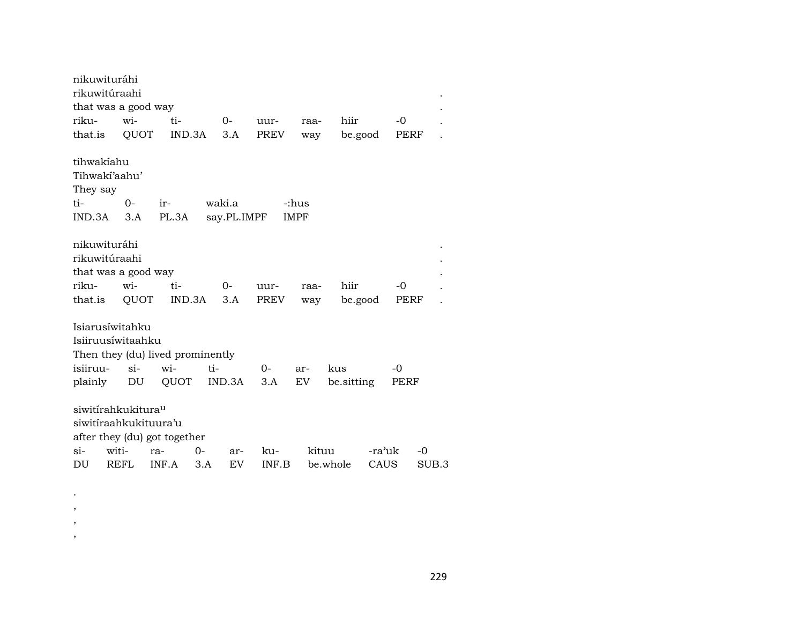| nikuwituráhi<br>rikuwitúraahi    |             |       |        |             |       |             |            |        |      |       |
|----------------------------------|-------------|-------|--------|-------------|-------|-------------|------------|--------|------|-------|
| that was a good way              |             |       |        |             |       |             |            |        |      |       |
| riku-                            | wi-         | ti-   |        | $O -$       | uur-  | raa-        | hiir       |        | -0   |       |
| that.is                          | QUOT        |       | IND.3A | 3.A         | PREV  | way         | be.good    |        | PERF |       |
| tihwakiahu                       |             |       |        |             |       |             |            |        |      |       |
| Tihwakí'aahu'                    |             |       |        |             |       |             |            |        |      |       |
| They say                         |             |       |        |             |       |             |            |        |      |       |
| ti-                              | $0-$        | $ir-$ |        | waki.a      |       | -:hus       |            |        |      |       |
| IND.3A                           | 3.A         | PL.3A |        | say.PL.IMPF |       | <b>IMPF</b> |            |        |      |       |
|                                  |             |       |        |             |       |             |            |        |      |       |
| nikuwituráhi                     |             |       |        |             |       |             |            |        |      |       |
| rikuwitúraahi                    |             |       |        |             |       |             |            |        |      |       |
| that was a good way              |             |       |        |             |       |             |            |        |      |       |
| riku-                            | wi-         | ti-   |        | $0-$        | uur-  | raa-        | hiir       |        | $-0$ |       |
| that.is                          | QUOT        |       | IND.3A | 3.A         | PREV  | way         | be.good    |        | PERF |       |
|                                  |             |       |        |             |       |             |            |        |      |       |
| Isiarusíwitahku                  |             |       |        |             |       |             |            |        |      |       |
| Isiiruusíwitaahku                |             |       |        |             |       |             |            |        |      |       |
| Then they (du) lived prominently |             |       |        |             |       |             |            |        |      |       |
| isiiruu-                         | $\sin$      | wi-   | ti-    |             | 0-    | ar-         | kus        |        | $-0$ |       |
| plainly                          | DU          | QUOT  |        | IND.3A      | 3.A   | <b>EV</b>   | be sitting |        | PERF |       |
|                                  |             |       |        |             |       |             |            |        |      |       |
| siwitirahkukitura <sup>u</sup>   |             |       |        |             |       |             |            |        |      |       |
| siwitiraahkukituura'u            |             |       |        |             |       |             |            |        |      |       |
| after they (du) got together     |             |       |        |             |       |             |            |        |      |       |
| $Si-$                            | witi-       | ra-   | $0-$   | ar-         | ku-   | kituu       |            | -ra'uk |      | -0    |
| DU                               | <b>REFL</b> | INF.A | 3.A    | EV          | INF.B |             | be.whole   | CAUS   |      | SUB.3 |
|                                  |             |       |        |             |       |             |            |        |      |       |

. , , ,

229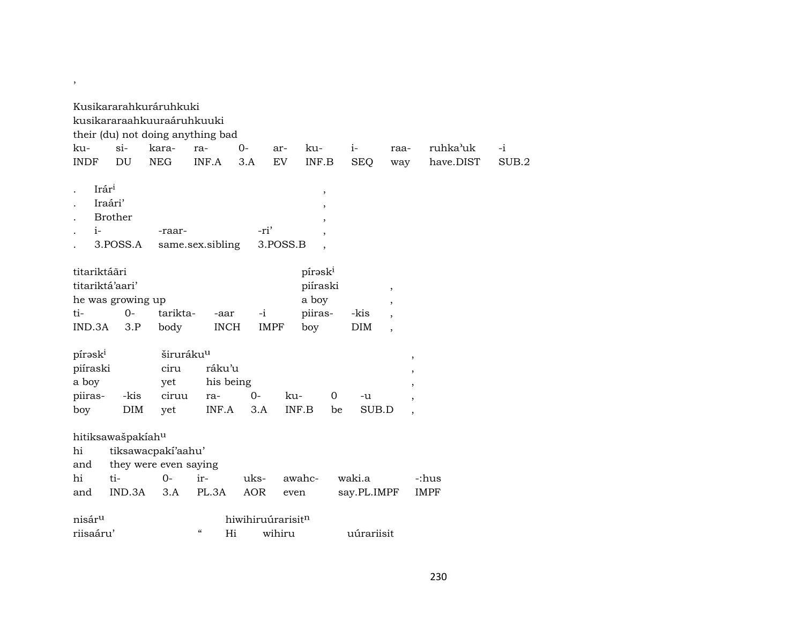|                    |                               | Kusikararahkuráruhkuki     |                                        |            |                   |                          |             |                          |             |       |
|--------------------|-------------------------------|----------------------------|----------------------------------------|------------|-------------------|--------------------------|-------------|--------------------------|-------------|-------|
|                    |                               | kusikararaahkuuraáruhkuuki |                                        |            |                   |                          |             |                          |             |       |
|                    |                               |                            | their (du) not doing anything bad      |            |                   |                          |             |                          |             |       |
| ku-                | $\sin$                        | kara-                      | ra-                                    | $0-$       | ar-               | ku-                      | $i-$        | raa-                     | ruhka'uk    | $-i$  |
| <b>INDF</b>        | DU                            | <b>NEG</b>                 | INF.A                                  | 3.A        | EV                | INF.B                    | <b>SEQ</b>  | way                      | have.DIST   | SUB.2 |
|                    |                               |                            |                                        |            |                   |                          |             |                          |             |       |
| Irár <sup>i</sup>  |                               |                            |                                        |            |                   | $\, ,$                   |             |                          |             |       |
|                    | Iraári'                       |                            |                                        |            |                   | $^\mathrm{,}$            |             |                          |             |       |
|                    | <b>Brother</b>                |                            |                                        |            |                   | $\overline{\phantom{a}}$ |             |                          |             |       |
| $i-$               |                               | -raar-                     |                                        | -ri'       |                   |                          |             |                          |             |       |
|                    | 3.POSS.A                      |                            | same.sex.sibling                       |            | 3.POSS.B          |                          |             |                          |             |       |
|                    |                               |                            |                                        |            |                   |                          |             |                          |             |       |
| titariktáāri       |                               |                            |                                        |            |                   | pírask <sup>i</sup>      |             |                          |             |       |
|                    | titariktá'aari'               |                            |                                        |            |                   | piíraski                 |             | $\pmb{\mathcal{I}}$      |             |       |
|                    | he was growing up             |                            |                                        |            |                   | a boy                    |             | $^\mathrm{,}$            |             |       |
| ti-                | $0-$                          | tarikta-                   | -aar                                   | $-i$       |                   | piiras-                  | -kis        | $\overline{\phantom{a}}$ |             |       |
| IND.3A             | 3.P                           | body                       | <b>INCH</b>                            |            | <b>IMPF</b>       | boy                      | <b>DIM</b>  | $\overline{\phantom{a}}$ |             |       |
| pírəski            |                               |                            | širuráku <sup>u</sup>                  |            |                   |                          |             |                          |             |       |
| piíraski           |                               | ciru                       | ráku'u                                 |            |                   |                          |             | $\, ,$                   |             |       |
| a boy              |                               | yet                        | his being                              |            |                   |                          |             | ,                        |             |       |
| piiras-            | -kis                          | ciruu                      | ra-                                    | $0-$       | ku-               | 0                        | -u          |                          |             |       |
| boy                | DIM                           | yet                        | INF.A                                  | 3.A        | INF.B             | be                       | SUB.D       |                          |             |       |
|                    |                               |                            |                                        |            |                   |                          |             |                          |             |       |
|                    | hitiksawašpakíah <sup>u</sup> |                            |                                        |            |                   |                          |             |                          |             |       |
| hi                 |                               | tiksawacpakí'aahu'         |                                        |            |                   |                          |             |                          |             |       |
| and                |                               | they were even saying      |                                        |            |                   |                          |             |                          |             |       |
| hi                 | ti-                           | $0 -$                      | ir-                                    | uks-       | awahc-            |                          | waki.a      |                          | -:hus       |       |
| and                | IND.3A                        | 3.A                        | PL.3A                                  | <b>AOR</b> | even              |                          | say.PL.IMPF |                          | <b>IMPF</b> |       |
|                    |                               |                            |                                        |            |                   |                          |             |                          |             |       |
| nisár <sup>u</sup> |                               |                            |                                        |            | hiwihiruúrarisitn |                          |             |                          |             |       |
| riisaáru'          |                               |                            | $\boldsymbol{\zeta}\boldsymbol{\zeta}$ | Hi         | wihiru            |                          | uúrariisit  |                          |             |       |

,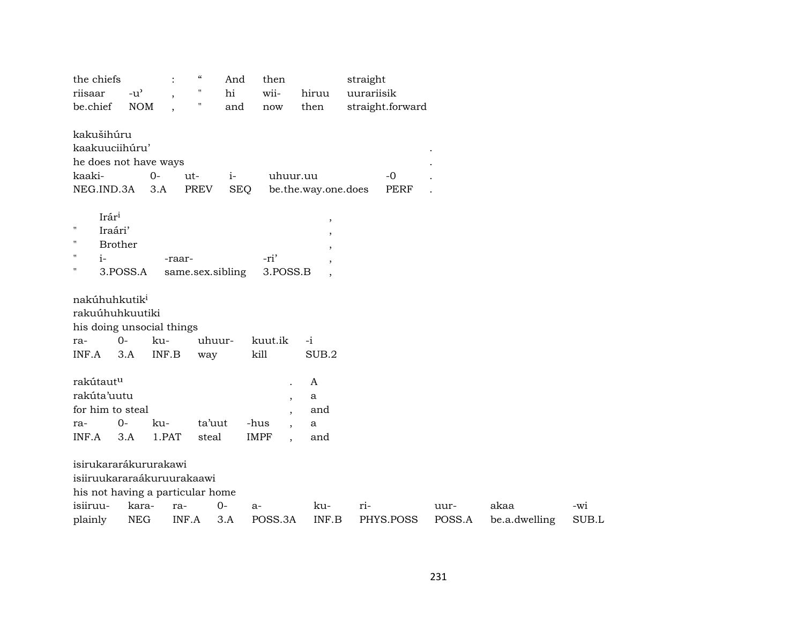| the chiefs<br>riisaar                        | $-u^{\prime}$  |              | $\epsilon\epsilon$<br>"<br>Π | And<br>hi  | then<br>wii-    | hiruu                    | straight<br>uurariisik |                  |      |      |     |
|----------------------------------------------|----------------|--------------|------------------------------|------------|-----------------|--------------------------|------------------------|------------------|------|------|-----|
| be.chief                                     | <b>NOM</b>     |              |                              | and        | now             | then                     |                        | straight.forward |      |      |     |
| kakušihúru                                   |                |              |                              |            |                 |                          |                        |                  |      |      |     |
| kaakuuciihúru'                               |                |              |                              |            |                 |                          |                        |                  |      |      |     |
| he does not have ways                        |                |              |                              |            |                 |                          |                        |                  |      |      |     |
| kaaki-                                       |                | $0-$         | ut-                          | $i-$       | uhuur.uu        |                          |                        | $-0$             |      |      |     |
| NEG.IND.3A                                   |                | 3.A          | <b>PREV</b>                  | <b>SEQ</b> |                 | be.the.way.one.does      |                        | <b>PERF</b>      |      |      |     |
| Irár <sup>i</sup>                            |                |              |                              |            |                 | $\,$                     |                        |                  |      |      |     |
| "                                            | Iraári'        |              |                              |            |                 | $\overline{\phantom{a}}$ |                        |                  |      |      |     |
| н                                            | <b>Brother</b> |              |                              |            |                 | $\overline{\phantom{a}}$ |                        |                  |      |      |     |
| н<br>$i-$                                    |                | -raar-       |                              |            | -ri'            | $\cdot$                  |                        |                  |      |      |     |
| н                                            | 3.POSS.A       |              | same.sex.sibling             |            | 3.POSS.B        | $\overline{\phantom{a}}$ |                        |                  |      |      |     |
| his doing unsocial things<br>ra-<br>INF.A    | $0-$<br>3.A    | ku-<br>INF.B | uhuur-<br>way                |            | kuut.ik<br>kill | $-i$<br>SUB.2            |                        |                  |      |      |     |
| rakútautu                                    |                |              |                              |            |                 | A                        |                        |                  |      |      |     |
| rakúta'uutu                                  |                |              |                              |            | $\overline{ }$  | a                        |                        |                  |      |      |     |
| for him to steal                             |                |              |                              |            |                 | and                      |                        |                  |      |      |     |
| ra-                                          | $O -$          | ku-          | ta'uut                       |            | -hus            | a                        |                        |                  |      |      |     |
| INF.A                                        | 3.A            | 1.PAT        | steal                        |            | <b>IMPF</b>     | and                      |                        |                  |      |      |     |
| isirukararákururakawi                        |                |              |                              |            |                 |                          |                        |                  |      |      |     |
| isiiruukararaákuruurakaawi                   |                |              |                              |            |                 |                          |                        |                  |      |      |     |
|                                              |                |              |                              |            |                 |                          |                        |                  |      |      |     |
|                                              |                |              |                              |            |                 |                          |                        |                  |      |      |     |
| his not having a particular home<br>isiiruu- | kara-          | ra-          |                              | $0-$       | $a-$            | ku-                      | ri-                    |                  | uur- | akaa | -wi |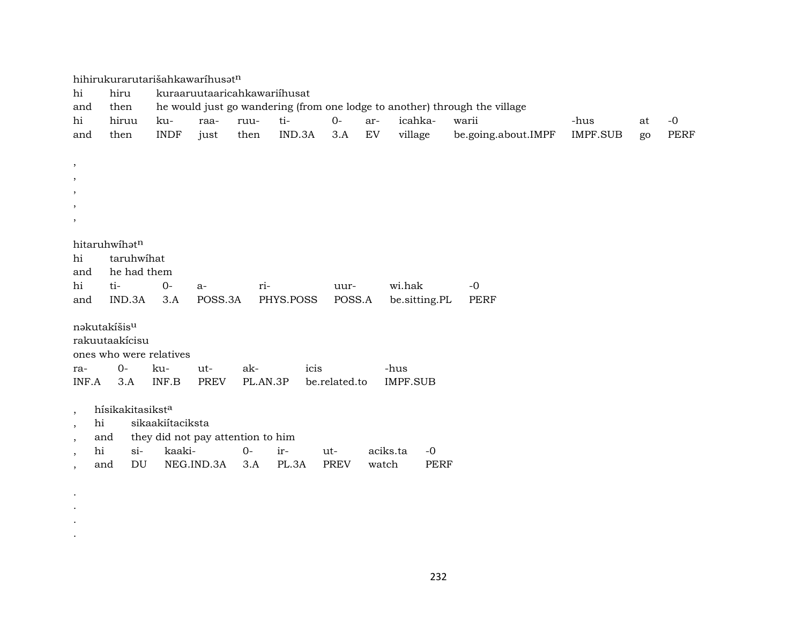|                                | hihirukurarutarišahkawaríhusatn                                                                                    |                  |                                   |          |           |               |          |                 |                     |          |    |             |  |  |  |
|--------------------------------|--------------------------------------------------------------------------------------------------------------------|------------------|-----------------------------------|----------|-----------|---------------|----------|-----------------|---------------------|----------|----|-------------|--|--|--|
| hi                             | hiru<br>kuraaruutaaricahkawariihusat<br>he would just go wandering (from one lodge to another) through the village |                  |                                   |          |           |               |          |                 |                     |          |    |             |  |  |  |
| and                            | then                                                                                                               |                  |                                   |          |           |               |          |                 |                     |          |    |             |  |  |  |
| hi                             | hiruu                                                                                                              | ku-              | raa-                              | ruu-     | ti-       | $O -$         | ar-      | icahka-         | warii               | -hus     | at | $-0$        |  |  |  |
| and                            | then                                                                                                               | <b>INDF</b>      | just                              | then     | IND.3A    | 3.A           | EV       | village         | be.going.about.IMPF | IMPF.SUB | go | <b>PERF</b> |  |  |  |
|                                |                                                                                                                    |                  |                                   |          |           |               |          |                 |                     |          |    |             |  |  |  |
| $\,$                           |                                                                                                                    |                  |                                   |          |           |               |          |                 |                     |          |    |             |  |  |  |
| $\,$                           |                                                                                                                    |                  |                                   |          |           |               |          |                 |                     |          |    |             |  |  |  |
| $\,$                           |                                                                                                                    |                  |                                   |          |           |               |          |                 |                     |          |    |             |  |  |  |
| $\,$                           |                                                                                                                    |                  |                                   |          |           |               |          |                 |                     |          |    |             |  |  |  |
| $\cdot$                        |                                                                                                                    |                  |                                   |          |           |               |          |                 |                     |          |    |             |  |  |  |
|                                | hitaruhwihatn                                                                                                      |                  |                                   |          |           |               |          |                 |                     |          |    |             |  |  |  |
| hi                             | taruhwihat                                                                                                         |                  |                                   |          |           |               |          |                 |                     |          |    |             |  |  |  |
| and                            | he had them                                                                                                        |                  |                                   |          |           |               |          |                 |                     |          |    |             |  |  |  |
| hi                             | ti-                                                                                                                | $0-$             | $a-$                              | ri-      |           | uur-          |          | wi.hak          | $-0$                |          |    |             |  |  |  |
| and                            | IND.3A                                                                                                             | 3.A              | POSS.3A                           |          | PHYS.POSS | POSS.A        |          | be.sitting.PL   | <b>PERF</b>         |          |    |             |  |  |  |
|                                |                                                                                                                    |                  |                                   |          |           |               |          |                 |                     |          |    |             |  |  |  |
|                                | nakutakíšis <sup>u</sup>                                                                                           |                  |                                   |          |           |               |          |                 |                     |          |    |             |  |  |  |
|                                | rakuutaakicisu                                                                                                     |                  |                                   |          |           |               |          |                 |                     |          |    |             |  |  |  |
|                                | ones who were relatives                                                                                            |                  |                                   |          |           |               |          |                 |                     |          |    |             |  |  |  |
| ra-                            | $0 -$                                                                                                              | ku-              | ut-                               | ak-      | icis      |               |          | -hus            |                     |          |    |             |  |  |  |
| INF.A                          | 3.A                                                                                                                | INF.B            | <b>PREV</b>                       | PL.AN.3P |           | be.related.to |          | <b>IMPF.SUB</b> |                     |          |    |             |  |  |  |
|                                |                                                                                                                    |                  |                                   |          |           |               |          |                 |                     |          |    |             |  |  |  |
| $\cdot$                        | hísikakitasikst <sup>a</sup>                                                                                       |                  |                                   |          |           |               |          |                 |                     |          |    |             |  |  |  |
| hi<br>$\,$                     |                                                                                                                    | sikaakiítaciksta |                                   |          |           |               |          |                 |                     |          |    |             |  |  |  |
| $, \,$                         | and                                                                                                                |                  | they did not pay attention to him |          |           |               |          |                 |                     |          |    |             |  |  |  |
| hi<br>$\overline{\phantom{a}}$ | $\sin$                                                                                                             | kaaki-           |                                   | $0-$     | ir-       | ut-           | aciks.ta | $-0$            |                     |          |    |             |  |  |  |
| $\overline{\phantom{a}}$       | $\mathop{\rm DU}\nolimits$<br>and                                                                                  |                  | NEG.IND.3A                        | 3.A      | PL.3A     | <b>PREV</b>   | watch    | <b>PERF</b>     |                     |          |    |             |  |  |  |
|                                |                                                                                                                    |                  |                                   |          |           |               |          |                 |                     |          |    |             |  |  |  |

. . . .

232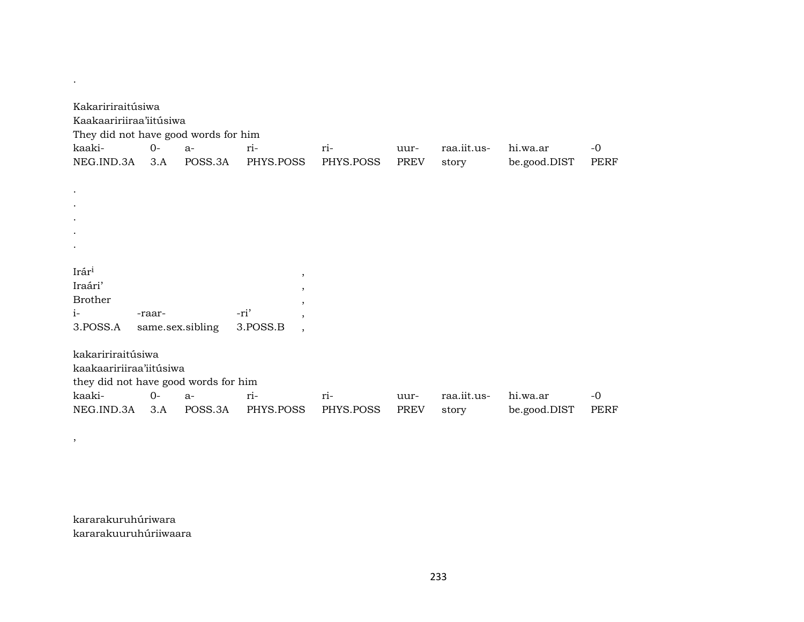| Kakaririraitúsiwa<br>Kaakaaririiraa'iitúsiwa<br>They did not have good words for him |                  |         |           |         |           |             |             |              |             |
|--------------------------------------------------------------------------------------|------------------|---------|-----------|---------|-----------|-------------|-------------|--------------|-------------|
| kaaki-                                                                               | $0-$             | $a-$    | ri-       |         | ri-       | uur-        | raa.iit.us- | hi.wa.ar     | $-0$        |
| NEG.IND.3A                                                                           | 3.A              | POSS.3A | PHYS.POSS |         | PHYS.POSS | PREV        | story       | be.good.DIST | <b>PERF</b> |
|                                                                                      |                  |         |           |         |           |             |             |              |             |
| $\bullet$                                                                            |                  |         |           |         |           |             |             |              |             |
|                                                                                      |                  |         |           |         |           |             |             |              |             |
|                                                                                      |                  |         |           |         |           |             |             |              |             |
|                                                                                      |                  |         |           |         |           |             |             |              |             |
|                                                                                      |                  |         |           |         |           |             |             |              |             |
| Irári                                                                                |                  |         |           | $\,$    |           |             |             |              |             |
| Iraári'                                                                              |                  |         |           | $\cdot$ |           |             |             |              |             |
| <b>Brother</b>                                                                       |                  |         |           | $\cdot$ |           |             |             |              |             |
| $i-$                                                                                 | -raar-           |         | -ri'      | $\cdot$ |           |             |             |              |             |
| 3.POSS.A                                                                             | same.sex.sibling |         | 3.POSS.B  | $\cdot$ |           |             |             |              |             |
|                                                                                      |                  |         |           |         |           |             |             |              |             |
| kakaririraitúsiwa                                                                    |                  |         |           |         |           |             |             |              |             |
| kaakaaririiraa'iitúsiwa                                                              |                  |         |           |         |           |             |             |              |             |
| they did not have good words for him                                                 |                  |         |           |         |           |             |             |              |             |
| kaaki-                                                                               | $0-$             | $a-$    | ri-       |         | ri-       | uur-        | raa.iit.us- | hi.wa.ar     | $-0$        |
| NEG.IND.3A                                                                           | 3.A              | POSS.3A | PHYS.POSS |         | PHYS.POSS | <b>PREV</b> | story       | be.good.DIST | PERF        |

kararakuruhúriwara kararakuuruhúriiwaara

,

.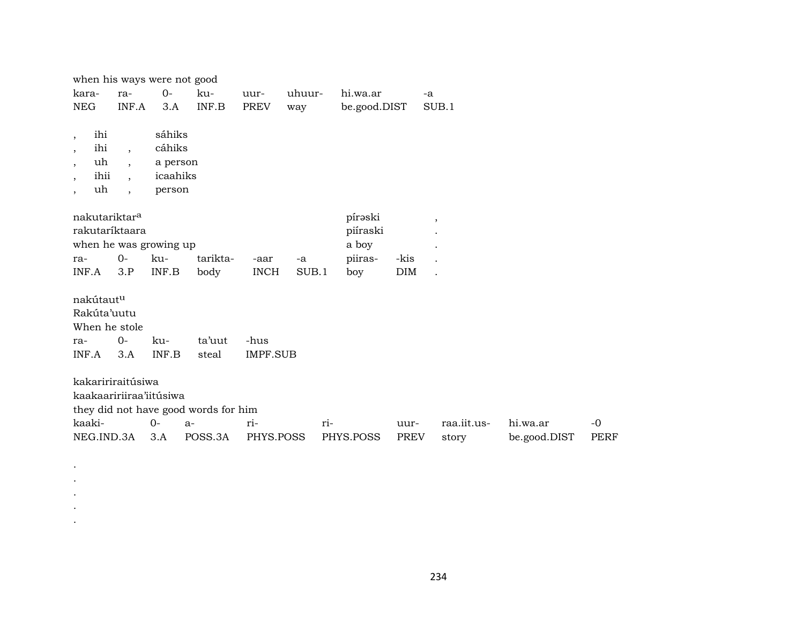|                          | when his ways were not good                                            |                                              |                                                                                                                 |                                      |                                        |              |                      |              |             |
|--------------------------|------------------------------------------------------------------------|----------------------------------------------|-----------------------------------------------------------------------------------------------------------------|--------------------------------------|----------------------------------------|--------------|----------------------|--------------|-------------|
| ra-                      | $O -$                                                                  | ku-                                          | uur-                                                                                                            |                                      | hi.wa.ar                               |              | $-a$                 |              |             |
|                          | 3.A                                                                    | INF.B                                        | <b>PREV</b>                                                                                                     | way                                  |                                        |              | SUB.1                |              |             |
|                          |                                                                        |                                              |                                                                                                                 |                                      |                                        |              |                      |              |             |
| $\overline{\phantom{a}}$ |                                                                        |                                              |                                                                                                                 |                                      |                                        |              |                      |              |             |
| $\ddot{\phantom{0}}$     |                                                                        |                                              |                                                                                                                 |                                      |                                        |              |                      |              |             |
| $\cdot$                  |                                                                        |                                              |                                                                                                                 |                                      |                                        |              |                      |              |             |
| $\ddot{\phantom{0}}$     |                                                                        |                                              |                                                                                                                 |                                      |                                        |              |                      |              |             |
|                          |                                                                        |                                              |                                                                                                                 |                                      | pírəski                                |              | $\cdot$              |              |             |
|                          |                                                                        |                                              |                                                                                                                 |                                      | piíraski                               |              |                      |              |             |
|                          |                                                                        |                                              |                                                                                                                 |                                      | a boy                                  |              |                      |              |             |
| $O -$                    | ku-                                                                    | tarikta-                                     | -aar                                                                                                            | -a                                   | piiras-                                | -kis         | $\ddot{\phantom{a}}$ |              |             |
| 3.P                      | INF.B                                                                  | body                                         | <b>INCH</b>                                                                                                     |                                      | boy                                    | <b>DIM</b>   | $\ddot{\phantom{a}}$ |              |             |
|                          |                                                                        |                                              |                                                                                                                 |                                      |                                        |              |                      |              |             |
|                          |                                                                        |                                              |                                                                                                                 |                                      |                                        |              |                      |              |             |
|                          |                                                                        |                                              |                                                                                                                 |                                      |                                        |              |                      |              |             |
| $0-$                     | ku-                                                                    | ta'uut                                       | -hus                                                                                                            |                                      |                                        |              |                      |              |             |
| 3.A                      | INF.B                                                                  | steal                                        |                                                                                                                 |                                      |                                        |              |                      |              |             |
|                          |                                                                        |                                              |                                                                                                                 |                                      |                                        |              |                      |              |             |
|                          |                                                                        |                                              |                                                                                                                 |                                      |                                        |              |                      |              |             |
|                          |                                                                        |                                              |                                                                                                                 |                                      |                                        |              |                      |              |             |
|                          | $0-$                                                                   |                                              | ri-                                                                                                             |                                      |                                        | uur-         |                      | hi.wa.ar     | $-0$        |
| NEG.IND.3A               | 3.A                                                                    | POSS.3A                                      |                                                                                                                 |                                      | PHYS.POSS                              | PREV         | story                | be.good.DIST | <b>PERF</b> |
|                          | nakutariktar <sup>a</sup><br>nakútautu<br>Rakúta'uutu<br>When he stole | INF.A<br>rakutaríktaara<br>kakaririraitúsiwa | sáhiks<br>cáhiks<br>a person<br>icaahiks<br>person<br>when he was growing up<br>kaakaaririiraa'iitúsiwa<br>$a-$ | they did not have good words for him | uhuur-<br><b>IMPF.SUB</b><br>PHYS.POSS | SUB.1<br>ri- | be.good.DIST         |              | raa.iit.us- |

. . . . .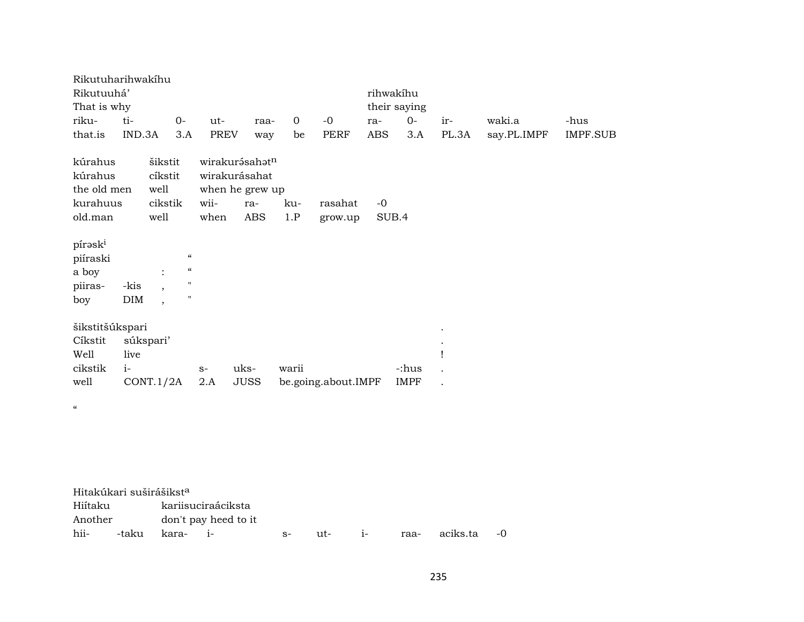| Rikutuharihwakihu        |        |                |                                        |      |                   |             |                     |              |             |       |             |                 |
|--------------------------|--------|----------------|----------------------------------------|------|-------------------|-------------|---------------------|--------------|-------------|-------|-------------|-----------------|
| Rikutuuhá'               |        |                |                                        |      |                   |             |                     | rihwakíhu    |             |       |             |                 |
| That is why              |        |                |                                        |      |                   |             |                     | their saying |             |       |             |                 |
| riku-                    | ti-    |                | $0-$                                   | ut-  | raa-              | $\mathbf 0$ | $-0$                | ra-          | $0-$        | ir-   | waki.a      | -hus            |
| that.is                  | IND.3A |                | 3.A                                    | PREV | way               | be          | PERF                | ABS          | 3.A         | PL.3A | say.PL.IMPF | <b>IMPF.SUB</b> |
| kúrahus                  |        | šikstit        |                                        |      | wirakurásahatn    |             |                     |              |             |       |             |                 |
| kúrahus                  |        | cíkstit        |                                        |      | wirakurásahat     |             |                     |              |             |       |             |                 |
| the old men              |        | well           |                                        |      | when he grew up   |             |                     |              |             |       |             |                 |
| kurahuus                 |        | cikstik        |                                        | wii- |                   | ku-         | rasahat             | $-0$         |             |       |             |                 |
|                          |        | well           |                                        |      | ra-<br><b>ABS</b> | 1.P         |                     |              |             |       |             |                 |
| old.man                  |        |                |                                        | when |                   |             | grow.up             | SUB.4        |             |       |             |                 |
| pírəsk <sup>i</sup>      |        |                |                                        |      |                   |             |                     |              |             |       |             |                 |
| piíraski                 |        |                | $\boldsymbol{\zeta}\boldsymbol{\zeta}$ |      |                   |             |                     |              |             |       |             |                 |
| a boy                    |        | $\ddot{\cdot}$ | $\boldsymbol{\zeta}\boldsymbol{\zeta}$ |      |                   |             |                     |              |             |       |             |                 |
|                          | -kis   |                | $\pmb{\mathsf{H}}$                     |      |                   |             |                     |              |             |       |             |                 |
| piiras-                  |        |                | 11                                     |      |                   |             |                     |              |             |       |             |                 |
| boy                      | DIM    | $\cdot$        |                                        |      |                   |             |                     |              |             |       |             |                 |
| šikstitšúkspari          |        |                |                                        |      |                   |             |                     |              |             |       |             |                 |
| Cíkstit                  |        | súkspari'      |                                        |      |                   |             |                     |              |             |       |             |                 |
| Well                     | live   |                |                                        |      |                   |             |                     |              |             |       |             |                 |
|                          |        |                |                                        |      |                   |             |                     |              |             |       |             |                 |
| cikstik                  | $i-$   |                |                                        | $S-$ | uks-              | warii       |                     |              | -:hus       |       |             |                 |
| well                     |        | CONT.1/2A      |                                        | 2.A  | <b>JUSS</b>       |             | be.going.about.IMPF |              | <b>IMPF</b> |       |             |                 |
| $\mathcal{C}\mathcal{C}$ |        |                |                                        |      |                   |             |                     |              |             |       |             |                 |
|                          |        |                |                                        |      |                   |             |                     |              |             |       |             |                 |

|         | Hitakúkari suširášikst <sup>a</sup> |                      |      |        |                             |      |                |  |
|---------|-------------------------------------|----------------------|------|--------|-----------------------------|------|----------------|--|
| Hiítaku |                                     | kariisuciraáciksta   |      |        |                             |      |                |  |
| Another |                                     | don't pay heed to it |      |        |                             |      |                |  |
| hii-    | -taku kara-                         | $1 -$                | $S-$ | $11t-$ | $\sim$ $\sim$ $\sim$ $\sim$ | raa- | - aciks.ta - 0 |  |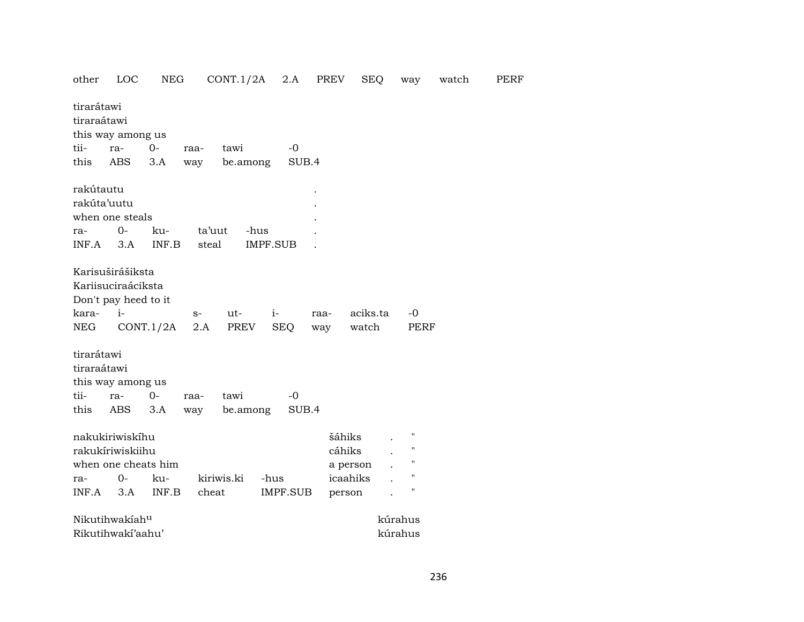| other                                     | LOC                                                                    | <b>NEG</b>                |             | CONT.1/2A        | 2.A                | PREV        | <b>SEQ</b>        | way                 | watch | PERF |
|-------------------------------------------|------------------------------------------------------------------------|---------------------------|-------------|------------------|--------------------|-------------|-------------------|---------------------|-------|------|
| tirarátawi<br>tiraraátawi                 | this way among us                                                      |                           |             |                  |                    |             |                   |                     |       |      |
| tii-                                      | ra-                                                                    | $0-$                      | raa-        | tawi             | $-0$               |             |                   |                     |       |      |
| this                                      | ABS                                                                    | 3.A                       | way         | be.among         | SUB.4              |             |                   |                     |       |      |
| rakútautu                                 |                                                                        |                           |             |                  |                    |             |                   |                     |       |      |
| rakúta'uutu                               |                                                                        |                           |             |                  |                    |             |                   |                     |       |      |
|                                           | when one steals                                                        |                           |             |                  |                    |             |                   |                     |       |      |
| ra-                                       | $O -$                                                                  | ku-                       | ta'uut      | -hus             |                    |             |                   |                     |       |      |
| INF.A                                     | 3.A                                                                    | INF.B                     | steal       |                  | IMPF.SUB           |             |                   |                     |       |      |
| kara-<br>NEG                              | Karisuširášiksta<br>Kariisuciraáciksta<br>Don't pay heed to it<br>$i-$ | CONT.1/2A                 | $S-$<br>2.A | ut-<br>PREV      | $i-$<br><b>SEQ</b> | raa-<br>way | aciks.ta<br>watch | -0<br>PERF          |       |      |
| tirarátawi<br>tiraraátawi<br>tii-<br>this | this way among us<br>ra-<br>ABS                                        | $0-$<br>3.A               | raa-<br>way | tawi<br>be.among | $-0$<br>SUB.4      |             |                   |                     |       |      |
|                                           | nakukiriwiskihu<br>rakukíriwiskiihu                                    |                           |             |                  |                    |             | šáhiks<br>cáhiks  | п<br>$\blacksquare$ |       |      |
|                                           | when one cheats him                                                    |                           |             |                  |                    |             | a person          | $^{\prime\prime}$   |       |      |
| ra-                                       | $0-$                                                                   | ku-                       |             | kiriwis.ki       | -hus               |             | icaahiks          | $\pmb{\mathsf{H}}$  |       |      |
| INF.A                                     | 3.A                                                                    | $\textsf{INF}.\textsf{B}$ | cheat       |                  | IMPF.SUB           |             | person            | 11                  |       |      |
|                                           | Nikutihwakiahu                                                         |                           |             |                  |                    |             |                   | kúrahus             |       |      |
|                                           | Rikutihwakí'aahu'                                                      |                           |             |                  |                    |             |                   | kúrahus             |       |      |
|                                           |                                                                        |                           |             |                  |                    |             |                   |                     |       |      |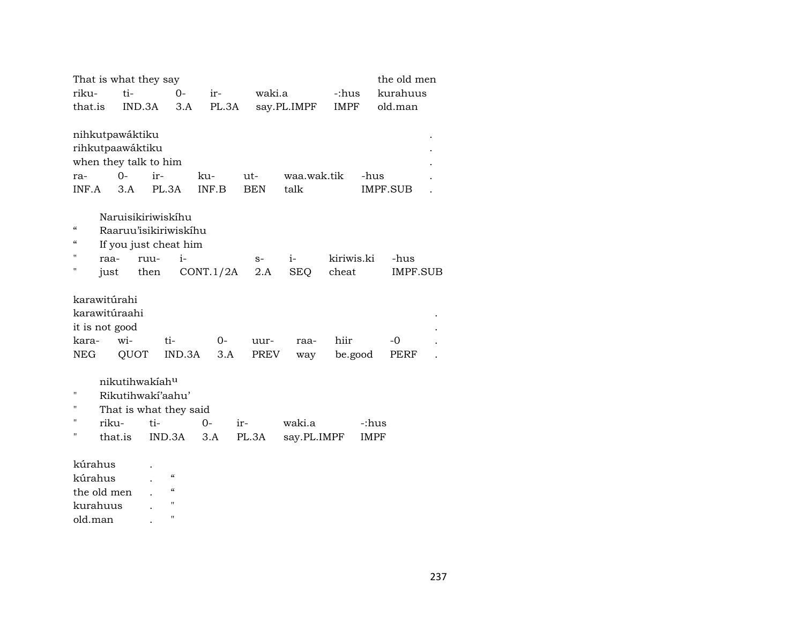| That is what they say                                                        |                            |                                                                |              |                   |                       |                     | the old men             |  |
|------------------------------------------------------------------------------|----------------------------|----------------------------------------------------------------|--------------|-------------------|-----------------------|---------------------|-------------------------|--|
| riku-                                                                        | ti-                        | $O -$                                                          | ir-          | waki.a            |                       | -:hus               | kurahuus                |  |
| that.is                                                                      | IND.3A                     | 3.A                                                            | PL.3A        |                   | say.PL.IMPF           | <b>IMPF</b>         | old.man                 |  |
| nihkutpawáktiku<br>rihkutpaawáktiku<br>when they talk to him<br>ra-<br>INF.A | $O -$<br>3.A               | ir-<br>PL.3A                                                   | ku-<br>INF.B | ut-<br><b>BEN</b> | waa.wak.tik<br>talk   |                     | -hus<br><b>IMPF.SUB</b> |  |
| $\epsilon$                                                                   |                            | Naruisikiriwiskihu<br>Raaruu'isikiriwiskihu                    |              |                   |                       |                     |                         |  |
| $\epsilon$<br>п                                                              |                            | If you just cheat him                                          |              |                   |                       |                     |                         |  |
| raa-<br>Н                                                                    |                            | $i-$<br>ruu-                                                   | CONT.1/2A    | $S-$<br>2.A       | $i-$<br><b>SEQ</b>    | kiriwis.ki<br>cheat | -hus<br><b>IMPF.SUB</b> |  |
| just                                                                         |                            | then                                                           |              |                   |                       |                     |                         |  |
| karawitúrahi<br>karawitúraahi<br>it is not good<br>kara-                     | wi-                        | ti-                                                            | $O -$        | uur-              | raa-                  | hiir                | $-0$                    |  |
| NEG                                                                          | QUOT                       | IND.3A                                                         | 3.A          | PREV              | way                   | be.good             | PERF                    |  |
| "<br>$^{\prime}$<br>п<br>riku-<br>"<br>that.is                               | nikutihwakiah <sup>u</sup> | Rikutihwakí'aahu'<br>That is what they said<br>$ti-$<br>IND.3A | $0-$<br>3.A  | ir-<br>PL.3A      | waki.a<br>say.PL.IMPF |                     | -:hus<br><b>IMPF</b>    |  |
|                                                                              |                            |                                                                |              |                   |                       |                     |                         |  |
| kúrahus                                                                      |                            | $\boldsymbol{\zeta}\boldsymbol{\zeta}$                         |              |                   |                       |                     |                         |  |
| kúrahus                                                                      |                            | $\pmb{\zeta}\pmb{\zeta}$                                       |              |                   |                       |                     |                         |  |
| the old men<br>kurahuus                                                      |                            | $\pmb{\mathsf{H}}$                                             |              |                   |                       |                     |                         |  |
|                                                                              |                            |                                                                |              |                   |                       |                     |                         |  |

old.man . "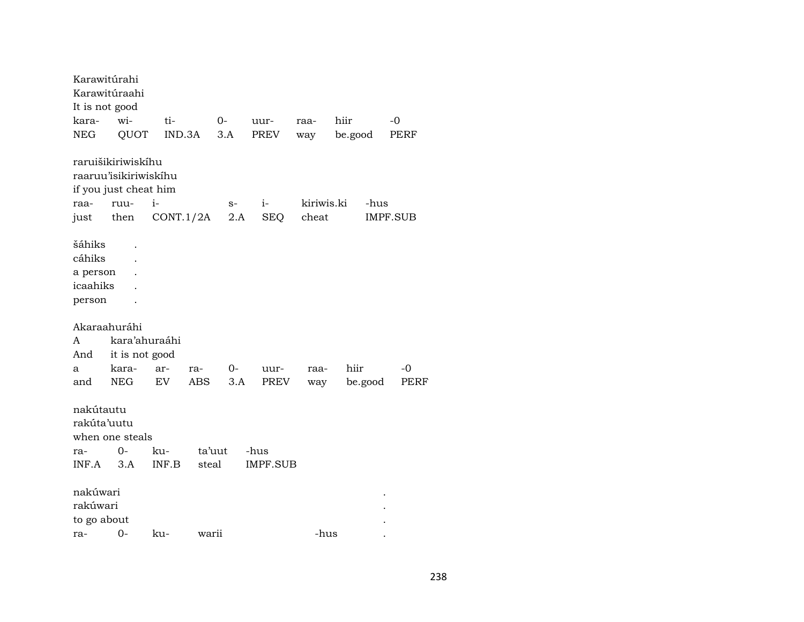Karawitúrahi Karawitúraahi It is not good kara- wi- ti- 0- uur- raa- hiir -0 NEG QUOT IND.3A 3.A PREV way be.good PERF raruišikiriwiskíhu raaruu'isikiriwiskíhu if you just cheat him raa- ruu- i- s- i- kiriwis.ki -hus just then CONT.1/2A 2.A SEQ cheat IMPF.SUB šáhiks . cáhiks . a person . icaahiks . person . Akaraahuráhi A kara'ahuraáhi And it is not good a kara- ar- ra- 0- uur- raa- hiir -0 and NEG EV ABS 3.A PREV way be.good PERF nakútautu rakúta'uutu when one steals ra- 0- ku- ta'uut -hus INF.A 3.A INF.B steal IMPF.SUB nakúwari . rakúwari . to go about . ra- 0- ku- warii -hus .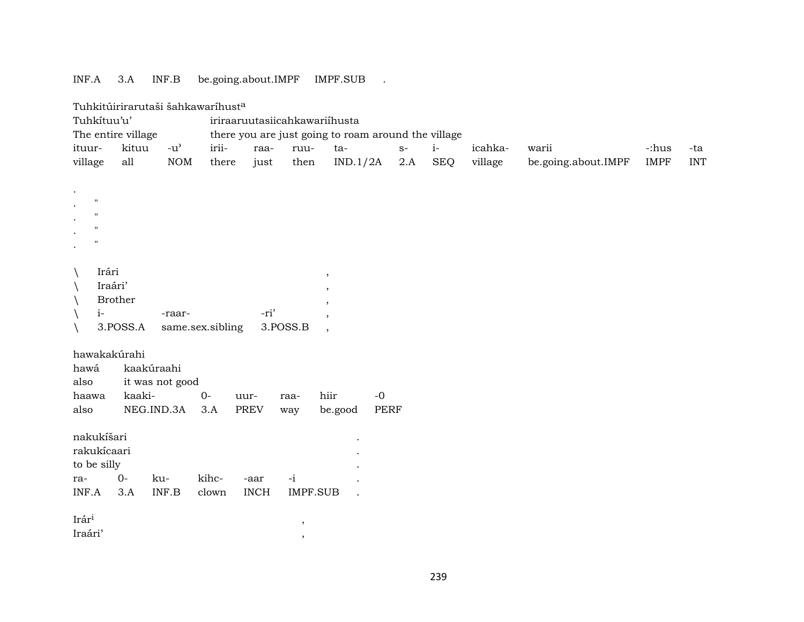## INF.A 3.A INF.B be.going.about.IMPF IMPF.SUB .

| Tuhkitúirirarutaši šahkawaríhust <sup>a</sup> |  |
|-----------------------------------------------|--|
|                                               |  |

|                                                                                | $1$ unkitun nai utasi sankawai must $\sim$ |                               |                  |                     |             |                                                     |                |            |         |                     |             |            |
|--------------------------------------------------------------------------------|--------------------------------------------|-------------------------------|------------------|---------------------|-------------|-----------------------------------------------------|----------------|------------|---------|---------------------|-------------|------------|
| Tuhkítuu'u'                                                                    |                                            |                               |                  |                     |             | iriraaruutasiicahkawariihusta                       |                |            |         |                     |             |            |
|                                                                                | The entire village                         |                               |                  |                     |             | there you are just going to roam around the village |                |            |         |                     |             |            |
| ituur-                                                                         | kituu                                      | $-u^{\prime}$                 | irii-            | raa-                | ruu-        | ta-                                                 | $\mathbf{S}^-$ | $i-$       | icahka- | warii               | -:hus       | -ta        |
| village                                                                        | all                                        | NOM                           | there            | just                | then        | IND.1/2A                                            | 2.A            | <b>SEQ</b> | village | be.going.about.IMPF | <b>IMPF</b> | <b>INT</b> |
| п<br>$^{\prime}$<br>$^{\prime}$<br>Irári<br>$\setminus$<br>$i-$<br>$\setminus$ | Iraári'<br><b>Brother</b><br>3.POSS.A      | -raar-                        | same.sex.sibling | -ri'                | 3.POSS.B    | ,<br>$\overline{\phantom{a}}$                       |                |            |         |                     |             |            |
| hawakakúrahi<br>hawá<br>also<br>haawa<br>also                                  | kaakúraahi<br>kaaki-                       | it was not good<br>NEG.IND.3A | $0-$<br>3.A      | uur-<br><b>PREV</b> | raa-<br>way | hiir<br>be.good                                     | $-0$<br>PERF   |            |         |                     |             |            |
| nakukíšari<br>rakukícaari<br>to be silly<br>ra-<br>INF.A                       | $0-$<br>3.A                                | ku-<br>INF.B                  | kihc-<br>clown   | -aar<br><b>INCH</b> | $-i$        | <b>IMPF.SUB</b>                                     |                |            |         |                     |             |            |
| Irári                                                                          |                                            |                               |                  |                     | $\cdot$     |                                                     |                |            |         |                     |             |            |

Iraári' ,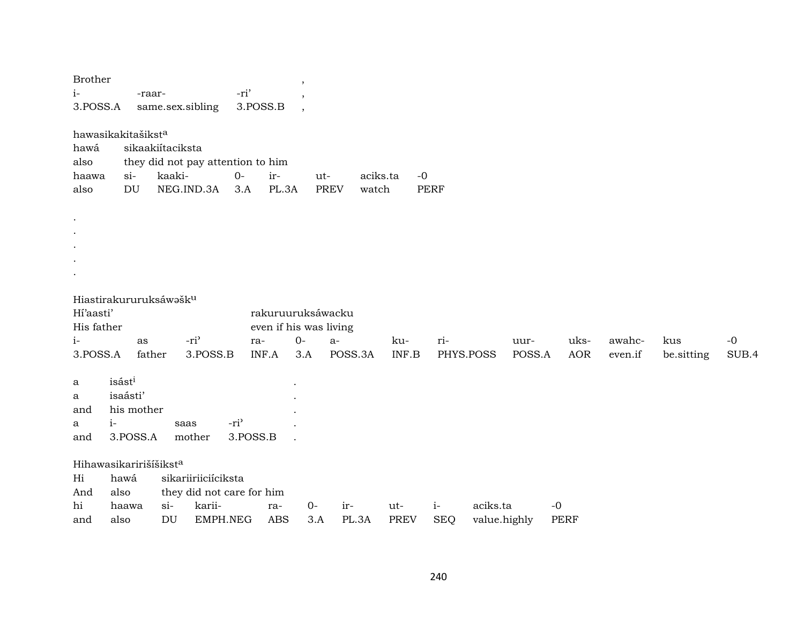| <b>Brother</b><br>$i-$<br>3.POSS.A                            |                                                      | -raar-       |                            | same.sex.sibling                                                       | -ri'<br>3.POSS.B             |                   | ,<br>$\cdot$                                |              |                           |                     |                          |                |                     |                   |                   |               |
|---------------------------------------------------------------|------------------------------------------------------|--------------|----------------------------|------------------------------------------------------------------------|------------------------------|-------------------|---------------------------------------------|--------------|---------------------------|---------------------|--------------------------|----------------|---------------------|-------------------|-------------------|---------------|
| hawasikakitašiksta<br>hawá<br>also<br>haawa<br>also           | $si$ -<br>DU                                         |              | sikaakiítaciksta<br>kaaki- | they did not pay attention to him<br>NEG.IND.3A                        | $O-$<br>3.A                  | ir-<br>PL.3A      | ut-<br><b>PREV</b>                          | watch        | aciks.ta                  | $-0$<br><b>PERF</b> |                          |                |                     |                   |                   |               |
| $\cdot$<br>$\bullet$                                          |                                                      |              |                            |                                                                        |                              |                   |                                             |              |                           |                     |                          |                |                     |                   |                   |               |
| Hiastirakururuksáwašk <sup>u</sup><br>Hi'aasti'<br>His father |                                                      |              |                            |                                                                        |                              |                   | rakuruuruksáwacku<br>even if his was living |              |                           |                     |                          |                |                     |                   |                   |               |
| $i-$<br>3.POSS.A                                              |                                                      | as<br>father |                            | -ri <sup>3</sup><br>3.POSS.B                                           | ra-                          | INF.A             | $0-$<br>$a-$<br>3.A                         | POSS.3A      | ku-<br>$\textsf{INF.B}{}$ | ri-                 | PHYS.POSS                | uur-<br>POSS.A | uks-<br><b>AOR</b>  | awahc-<br>even.if | kus<br>be.sitting | $-0$<br>SUB.4 |
| a<br>a<br>and<br>a<br>and                                     | isásti<br>isaásti'<br>his mother<br>$i-$<br>3.POSS.A |              | saas                       | mother                                                                 | -ri <sup>3</sup><br>3.POSS.B |                   |                                             |              |                           |                     |                          |                |                     |                   |                   |               |
| Hihawasikaririšíšikst <sup>a</sup><br>Hi<br>And<br>hi<br>and  | hawá<br>also<br>haawa<br>also                        |              | $si$ -<br>DU               | sikariiriiciíciksta<br>they did not care for him<br>karii-<br>EMPH.NEG |                              | ra-<br><b>ABS</b> | $O -$<br>3.A                                | ir-<br>PL.3A | ut-<br><b>PREV</b>        | $i-$<br><b>SEQ</b>  | aciks.ta<br>value.highly |                | $-0$<br><b>PERF</b> |                   |                   |               |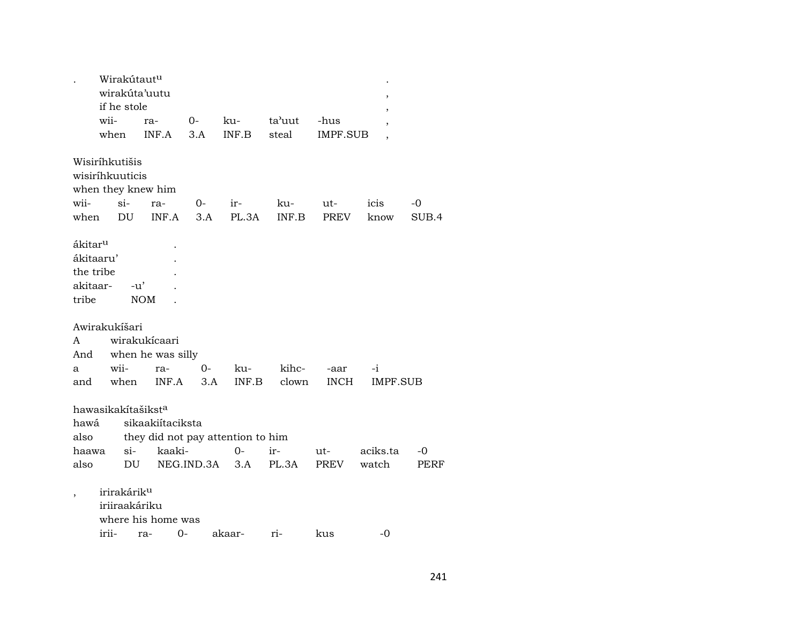|                     | Wirakútaut <sup>u</sup>        |                                   |            |        |        |             |          |       |
|---------------------|--------------------------------|-----------------------------------|------------|--------|--------|-------------|----------|-------|
|                     |                                | wirakúta'uutu                     |            |        |        |             |          |       |
|                     | if he stole                    |                                   |            |        |        |             |          |       |
|                     | wii-                           | ra-                               | $0-$       | ku-    | ta'uut | -hus        |          |       |
|                     | when                           | INF.A                             | 3.A        | INF.B  | steal  | IMPF.SUB    |          |       |
|                     |                                |                                   |            |        |        |             |          |       |
|                     | Wisiríhkutišis                 |                                   |            |        |        |             |          |       |
|                     | wisiríhkuuticis                |                                   |            |        |        |             |          |       |
|                     |                                |                                   |            |        |        |             |          |       |
|                     |                                | when they knew him                |            |        |        |             |          |       |
| wii-                | $si-$                          | ra-                               | 0-         | ir-    | ku-    | ut-         | icis     | -0    |
| when                | DU                             | INF.A                             | 3.A        | PL.3A  | INF.B  | <b>PREV</b> | know     | SUB.4 |
|                     |                                |                                   |            |        |        |             |          |       |
| ákitar <sup>u</sup> |                                |                                   |            |        |        |             |          |       |
| ákitaaru'           |                                |                                   |            |        |        |             |          |       |
| the tribe           |                                |                                   |            |        |        |             |          |       |
| akitaar-            |                                | $-u'$                             |            |        |        |             |          |       |
| tribe               |                                | <b>NOM</b>                        |            |        |        |             |          |       |
|                     |                                |                                   |            |        |        |             |          |       |
|                     | Awirakukíšari                  |                                   |            |        |        |             |          |       |
| A                   |                                | wirakukícaari                     |            |        |        |             |          |       |
| And                 |                                | when he was silly                 |            |        |        |             |          |       |
| a                   | wii-                           | ra-                               | 0-         | ku-    | kihc-  | -aar        | $-i$     |       |
|                     |                                |                                   |            |        |        |             |          |       |
| and                 | when                           | INF.A                             | 3.A        | INF.B  | clown  | <b>INCH</b> | IMPF.SUB |       |
|                     |                                |                                   |            |        |        |             |          |       |
|                     | hawasikakítašikst <sup>a</sup> |                                   |            |        |        |             |          |       |
| hawá                |                                | sikaakiítaciksta                  |            |        |        |             |          |       |
| also                |                                | they did not pay attention to him |            |        |        |             |          |       |
| haawa               | $si-$                          | kaaki-                            |            | 0-     | ir-    | ut-         | aciks.ta | -0    |
| also                |                                | DU                                | NEG.IND.3A | 3.A    | PL.3A  | PREV        | watch    | PERF  |
|                     |                                |                                   |            |        |        |             |          |       |
|                     | irirakárik <sup>u</sup>        |                                   |            |        |        |             |          |       |
|                     | iriiraakáriku                  |                                   |            |        |        |             |          |       |
|                     |                                | where his home was                |            |        |        |             |          |       |
|                     | irii-                          | ra-                               | 0-         | akaar- | ri-    | kus         | -0       |       |